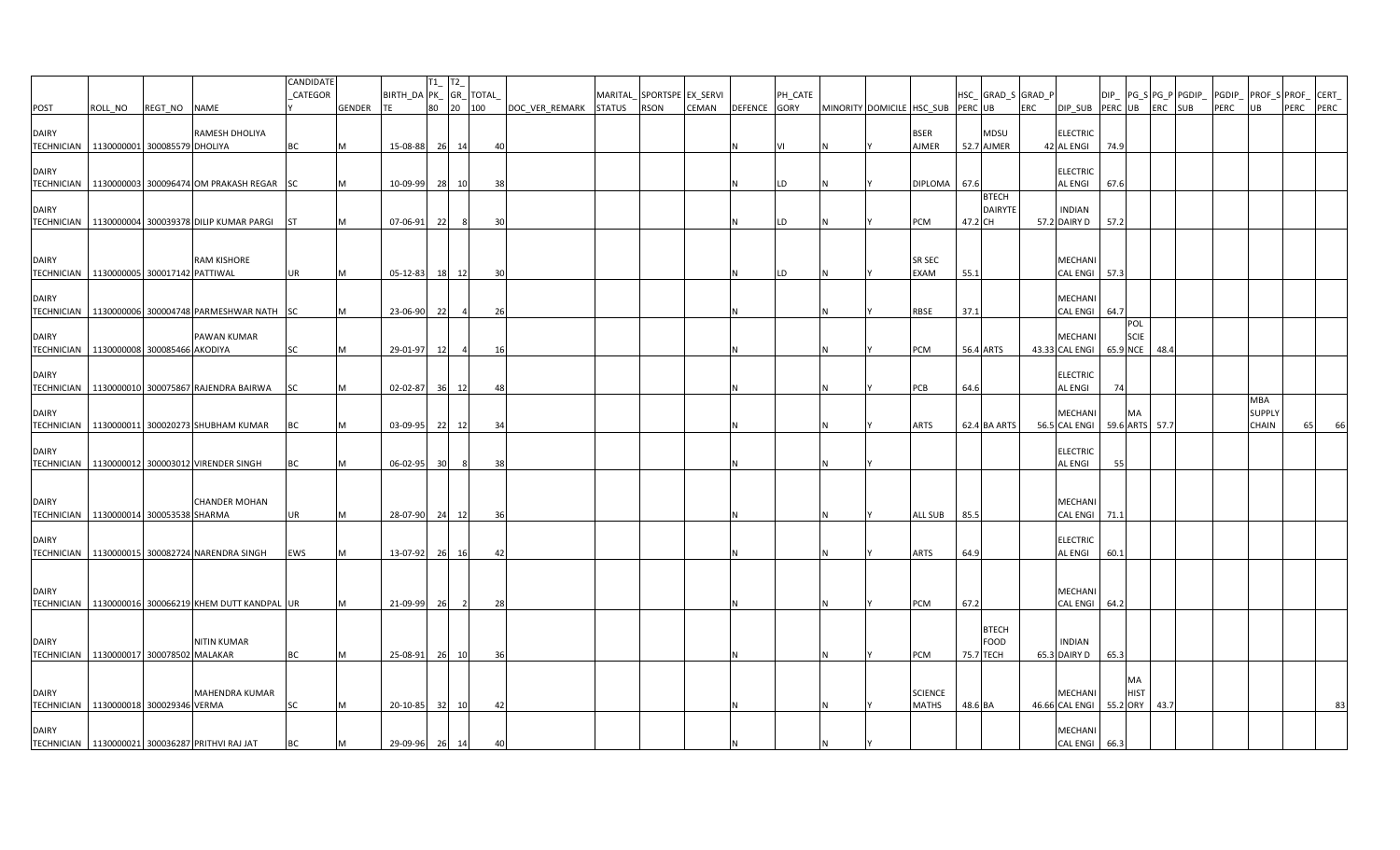|                                                           |                              |              |                                                        | CANDIDATE |        |                        | $T1$ <sub>_</sub> $T2$ |                |      |                       |         |                   |       |              |         |                                   |                |                          |            |                               |      |      |                             |      |               |                           |
|-----------------------------------------------------------|------------------------------|--------------|--------------------------------------------------------|-----------|--------|------------------------|------------------------|----------------|------|-----------------------|---------|-------------------|-------|--------------|---------|-----------------------------------|----------------|--------------------------|------------|-------------------------------|------|------|-----------------------------|------|---------------|---------------------------|
|                                                           |                              |              |                                                        | CATEGOR   |        | BIRTH_DA PK_ GR_ TOTAL |                        |                |      |                       | MARITAL | SPORTSPE EX_SERVI |       |              | PH_CATE |                                   |                | HSC_GRAD_S GRAD_P        |            |                               |      |      | $DIP$ $PG_S$ $PG_P$ $PGDIP$ |      |               | PGDIP_ PROF_S PROF_ CERT_ |
| POST                                                      | ROLL_NO                      | REGT_NO NAME |                                                        |           | GENDER |                        |                        | 80 20 100      |      | DOC VER REMARK STATUS |         | RSON              | CEMAN | DEFENCE GORY |         | MINORITY DOMICILE HSC_SUB PERC UB |                |                          | <b>ERC</b> | DIP SUB PERC UB ERC SUB       |      |      |                             | PERC | UB            | PERC PERC                 |
|                                                           |                              |              |                                                        |           |        |                        |                        |                |      |                       |         |                   |       |              |         |                                   |                |                          |            |                               |      |      |                             |      |               |                           |
| <b>DAIRY</b>                                              |                              |              | RAMESH DHOLIYA                                         |           |        |                        |                        |                |      |                       |         |                   |       |              |         |                                   | <b>BSER</b>    | MDSU                     |            | <b>ELECTRIC</b>               |      |      |                             |      |               |                           |
| TECHNICIAN 1130000001 300085579 DHOLIYA                   |                              |              |                                                        | ВC        | M      | 15-08-88               |                        | 26 14          | 40   |                       |         |                   |       |              |         |                                   | <b>AJMER</b>   | 52.7 AJMER               |            | 42 AL ENGI                    | 74.9 |      |                             |      |               |                           |
| <b>DAIRY</b>                                              |                              |              |                                                        |           |        |                        |                        |                |      |                       |         |                   |       |              |         |                                   |                |                          |            | <b>ELECTRIC</b>               |      |      |                             |      |               |                           |
|                                                           |                              |              | TECHNICIAN 1130000003 300096474 OM PRAKASH REGAR SC    |           |        | 10-09-99               |                        | 28 10          | 38   |                       |         |                   |       |              |         |                                   | DIPLOMA        | 67.6                     |            | <b>AL ENGI</b>                | 67.6 |      |                             |      |               |                           |
|                                                           |                              |              |                                                        |           |        |                        |                        |                |      |                       |         |                   |       |              |         |                                   |                | <b>BTECH</b>             |            |                               |      |      |                             |      |               |                           |
| <b>DAIRY</b>                                              |                              |              |                                                        |           |        |                        |                        |                |      |                       |         |                   |       |              |         |                                   |                | <b>DAIRYTE</b>           |            | <b>INDIAN</b>                 |      |      |                             |      |               |                           |
| <b>TECHNICIAN</b>                                         |                              |              | 1130000004 300039378 DILIP KUMAR PARGI                 | ST        | м      | 07-06-91               | 22                     | -81            | 30   |                       |         |                   |       |              | LD      |                                   | PCM            | 47.2 CH                  |            | 57.2 DAIRY D                  | 57.2 |      |                             |      |               |                           |
|                                                           |                              |              |                                                        |           |        |                        |                        |                |      |                       |         |                   |       |              |         |                                   |                |                          |            |                               |      |      |                             |      |               |                           |
|                                                           |                              |              |                                                        |           |        |                        |                        |                |      |                       |         |                   |       |              |         |                                   |                |                          |            |                               |      |      |                             |      |               |                           |
| <b>DAIRY</b>                                              |                              |              | <b>RAM KISHORE</b>                                     |           |        |                        |                        |                |      |                       |         |                   |       |              |         |                                   | <b>SR SEC</b>  |                          |            | MECHANI                       |      |      |                             |      |               |                           |
| TECHNICIAN 1130000005 300017142 PATTIWAL                  |                              |              |                                                        | UR        | M      | 05-12-83               |                        | 18 12          | 30   |                       |         |                   |       |              | LD      |                                   | <b>EXAM</b>    | 55.1                     |            | CAL ENGI 57.3                 |      |      |                             |      |               |                           |
|                                                           |                              |              |                                                        |           |        |                        |                        |                |      |                       |         |                   |       |              |         |                                   |                |                          |            |                               |      |      |                             |      |               |                           |
| <b>DAIRY</b>                                              |                              |              |                                                        |           |        |                        |                        |                |      |                       |         |                   |       |              |         |                                   |                |                          |            | MECHANI                       |      |      |                             |      |               |                           |
|                                                           |                              |              | TECHNICIAN 1130000006 300004748 PARMESHWAR NATH SC     |           |        | 23-06-90               | 22                     |                | 26   |                       |         |                   |       |              |         |                                   | RBSE           | 37.1                     |            | CAL ENGI 64.7                 |      |      |                             |      |               |                           |
| <b>DAIRY</b>                                              |                              |              | PAWAN KUMAR                                            |           |        |                        |                        |                |      |                       |         |                   |       |              |         |                                   |                |                          |            | MECHANI                       | POL  | SCIE |                             |      |               |                           |
| <b>TECHNICIAN</b>                                         | 1130000008 300085466 AKODIYA |              |                                                        | SC        | M      | 29-01-97               | 12                     | $\overline{a}$ | 16   |                       |         |                   |       |              |         |                                   | PCM            | 56.4 ARTS                |            | 43.33 CAL ENGI 65.9 NCE       |      |      | 48.4                        |      |               |                           |
|                                                           |                              |              |                                                        |           |        |                        |                        |                |      |                       |         |                   |       |              |         |                                   |                |                          |            |                               |      |      |                             |      |               |                           |
| <b>DAIRY</b>                                              |                              |              |                                                        |           |        |                        |                        |                |      |                       |         |                   |       |              |         |                                   |                |                          |            | <b>ELECTRIC</b>               |      |      |                             |      |               |                           |
|                                                           |                              |              | TECHNICIAN 1130000010 300075867 RAJENDRA BAIRWA        | SC        | м      | 02-02-87 36 12         |                        |                | 48   |                       |         |                   |       |              |         |                                   | PCB            | 64.6                     |            | AL ENGI                       | 74   |      |                             |      |               |                           |
|                                                           |                              |              |                                                        |           |        |                        |                        |                |      |                       |         |                   |       |              |         |                                   |                |                          |            |                               |      |      |                             |      | <b>MBA</b>    |                           |
| <b>DAIRY</b>                                              |                              |              |                                                        |           |        |                        |                        |                |      |                       |         |                   |       |              |         |                                   |                |                          |            | MECHANI                       | МA   |      |                             |      | <b>SUPPLY</b> |                           |
| <b>TECHNICIAN</b>                                         |                              |              | 1130000011 300020273 SHUBHAM KUMAR                     | BC        | M      | 03-09-95               |                        | 22 12          | 34   |                       |         |                   |       |              |         |                                   | ARTS           | 62.4 BA ARTS             |            | 56.5 CAL ENGI 59.6 ARTS       |      |      | 57.7                        |      | CHAIN         | 66<br>65                  |
|                                                           |                              |              |                                                        |           |        |                        |                        |                |      |                       |         |                   |       |              |         |                                   |                |                          |            |                               |      |      |                             |      |               |                           |
| <b>DAIRY</b>                                              |                              |              |                                                        |           |        |                        |                        |                |      |                       |         |                   |       |              |         |                                   |                |                          |            | <b>ELECTRIC</b>               |      |      |                             |      |               |                           |
|                                                           |                              |              | TECHNICIAN   1130000012 300003012 VIRENDER SINGH       | ВC        | М      | 06-02-95               | 30                     |                | 38   |                       |         |                   |       |              |         |                                   |                |                          |            | AL ENGI                       | 55   |      |                             |      |               |                           |
|                                                           |                              |              |                                                        |           |        |                        |                        |                |      |                       |         |                   |       |              |         |                                   |                |                          |            |                               |      |      |                             |      |               |                           |
| <b>DAIRY</b>                                              |                              |              | <b>CHANDER MOHAN</b>                                   |           |        |                        |                        |                |      |                       |         |                   |       |              |         |                                   |                |                          |            | MECHANI                       |      |      |                             |      |               |                           |
| TECHNICIAN   1130000014 300053538 SHARMA                  |                              |              |                                                        | UR        | M      | 28-07-90 24 12         |                        |                | - 36 |                       |         |                   |       |              |         |                                   | ALL SUB        | 85.5                     |            | CAL ENGI 71.1                 |      |      |                             |      |               |                           |
|                                                           |                              |              |                                                        |           |        |                        |                        |                |      |                       |         |                   |       |              |         |                                   |                |                          |            |                               |      |      |                             |      |               |                           |
| <b>DAIRY</b>                                              |                              |              |                                                        |           |        |                        |                        |                |      |                       |         |                   |       |              |         |                                   |                |                          |            | <b>ELECTRIC</b>               |      |      |                             |      |               |                           |
|                                                           |                              |              | TECHNICIAN   1130000015 300082724 NARENDRA SINGH       | EWS       | M      | 13-07-92               |                        | 26 16          | 42   |                       |         |                   |       |              |         |                                   | ARTS           | 64.9                     |            | <b>AL ENGI</b>                | 60.1 |      |                             |      |               |                           |
|                                                           |                              |              |                                                        |           |        |                        |                        |                |      |                       |         |                   |       |              |         |                                   |                |                          |            |                               |      |      |                             |      |               |                           |
|                                                           |                              |              |                                                        |           |        |                        |                        |                |      |                       |         |                   |       |              |         |                                   |                |                          |            |                               |      |      |                             |      |               |                           |
| <b>DAIRY</b>                                              |                              |              |                                                        |           |        |                        |                        |                |      |                       |         |                   |       |              |         |                                   |                |                          |            | <b>MECHANI</b>                |      |      |                             |      |               |                           |
|                                                           |                              |              | TECHNICIAN   1130000016 300066219 KHEM DUTT KANDPAL UR |           |        | 21-09-99               | 26                     | $\overline{2}$ | 28   |                       |         |                   |       |              |         |                                   | PCM            | 67.2                     |            | CAL ENGI 64.2                 |      |      |                             |      |               |                           |
|                                                           |                              |              |                                                        |           |        |                        |                        |                |      |                       |         |                   |       |              |         |                                   |                |                          |            |                               |      |      |                             |      |               |                           |
|                                                           |                              |              |                                                        |           |        |                        |                        |                |      |                       |         |                   |       |              |         |                                   |                | <b>BTECH</b>             |            |                               |      |      |                             |      |               |                           |
| <b>DAIRY</b><br>TECHNICIAN   1130000017 300078502 MALAKAR |                              |              | <b>NITIN KUMAR</b>                                     | <b>BC</b> | M      | 25-08-91               |                        | 26 10          |      |                       |         |                   |       |              |         |                                   | PCM            | <b>FOOD</b><br>75.7 TECH |            | <b>INDIAN</b><br>65.3 DAIRY D | 65.3 |      |                             |      |               |                           |
|                                                           |                              |              |                                                        |           |        |                        |                        |                | 36   |                       |         |                   |       |              |         |                                   |                |                          |            |                               |      |      |                             |      |               |                           |
|                                                           |                              |              |                                                        |           |        |                        |                        |                |      |                       |         |                   |       |              |         |                                   |                |                          |            |                               | МA   |      |                             |      |               |                           |
| <b>DAIRY</b>                                              |                              |              | MAHENDRA KUMAR                                         |           |        |                        |                        |                |      |                       |         |                   |       |              |         |                                   | <b>SCIENCE</b> |                          |            | <b>MECHANI</b>                |      | HIST |                             |      |               |                           |
| TECHNICIAN 1130000018 300029346 VERMA                     |                              |              |                                                        | SC        |        | 20-10-85               |                        | 32 10          | 42   |                       |         |                   |       |              |         |                                   | <b>MATHS</b>   | 48.6 BA                  |            | 46.66 CAL ENGI 55.2 ORY       |      |      | 43.7                        |      |               | 83                        |
|                                                           |                              |              |                                                        |           |        |                        |                        |                |      |                       |         |                   |       |              |         |                                   |                |                          |            |                               |      |      |                             |      |               |                           |
| <b>DAIRY</b>                                              |                              |              |                                                        |           |        |                        |                        |                |      |                       |         |                   |       |              |         |                                   |                |                          |            | MECHANI                       |      |      |                             |      |               |                           |
|                                                           |                              |              | TECHNICIAN   1130000021 300036287 PRITHVI RAJ JAT      | ВC        | M      | 29-09-96 26 14         |                        |                | 40   |                       |         |                   |       |              |         |                                   |                |                          |            | CAL ENGI 66.3                 |      |      |                             |      |               |                           |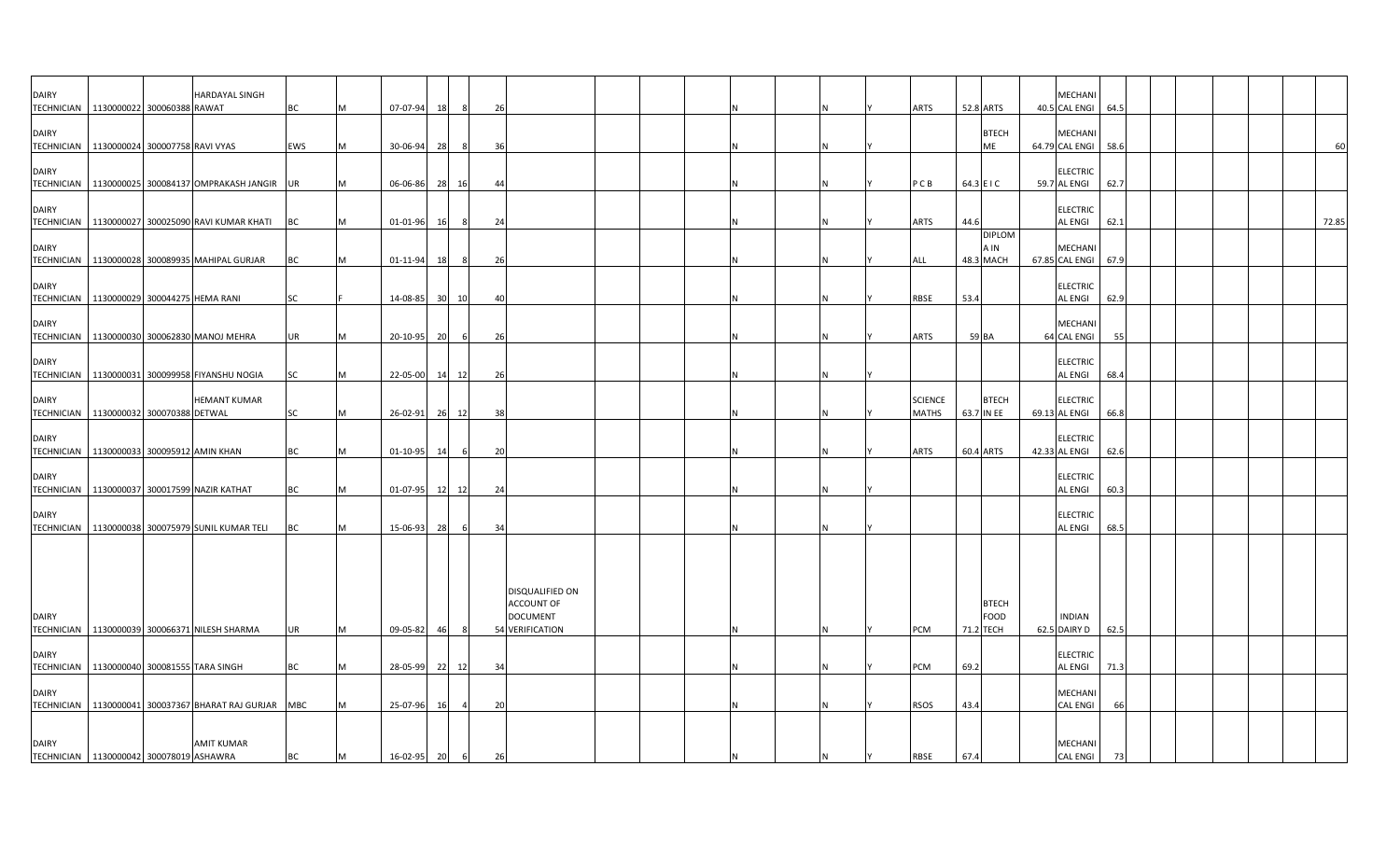| <b>DAIRY</b><br>TECHNICIAN 1130000022 300060388 RAWAT       |                                 | HARDAYAL SINGH                                        | <b>BC</b>  | M | 07-07-94       | 18 |       | 26                                               |  |  |   | <b>ARTS</b>                    | 52.8 ARTS                                | <b>MECHANI</b><br>40.5 CAL ENGI 64.5 |      |  |  |       |
|-------------------------------------------------------------|---------------------------------|-------------------------------------------------------|------------|---|----------------|----|-------|--------------------------------------------------|--|--|---|--------------------------------|------------------------------------------|--------------------------------------|------|--|--|-------|
| <b>DAIRY</b>                                                |                                 |                                                       |            |   |                |    |       |                                                  |  |  |   |                                | <b>BTECH</b>                             | MECHANI                              |      |  |  |       |
| TECHNICIAN   1130000024 300007758 RAVI VYAS<br><b>DAIRY</b> |                                 |                                                       | <b>EWS</b> | M | 30-06-94       | 28 |       | 36                                               |  |  |   |                                | ME                                       | 64.79 CAL ENGI<br><b>ELECTRIC</b>    | 58.6 |  |  | 60    |
| <b>DAIRY</b>                                                |                                 | TECHNICIAN 1130000025 300084137 OMPRAKASH JANGIR UR   |            | M | 06-06-86       | 28 | 16    | 44                                               |  |  |   | PCB                            | 64.3 E I C                               | 59.7 AL ENGI<br><b>ELECTRIC</b>      | 62.7 |  |  |       |
|                                                             |                                 | TECHNICIAN 1130000027 300025090 RAVI KUMAR KHATI BC   |            | M | 01-01-96       | 16 |       | 24                                               |  |  |   | <b>ARTS</b>                    | 44.6<br><b>DIPLOM</b>                    | AL ENGI                              | 62.1 |  |  | 72.85 |
| <b>DAIRY</b>                                                |                                 | TECHNICIAN 1130000028 300089935 MAHIPAL GURJAR        | <b>BC</b>  | M | 01-11-94       | 18 | -8    | 26                                               |  |  |   | ALL                            | A IN<br>48.3 MACH                        | MECHANI<br>67.85 CAL ENGI            | 67.9 |  |  |       |
| <b>DAIRY</b><br><b>TECHNICIAN</b>                           | 1130000029 300044275 HEMA RANI  |                                                       | <b>SC</b>  |   | 14-08-85       | 30 | 10    | 40                                               |  |  |   | <b>RBSE</b>                    | 53.4                                     | <b>ELECTRIC</b><br>AL ENGI           | 62.9 |  |  |       |
| <b>DAIRY</b><br><b>TECHNICIAN</b>                           |                                 | 1130000030 300062830 MANOJ MEHRA                      | <b>UR</b>  | M | 20-10-95       | 20 | 6     | 26                                               |  |  | N | ARTS                           | 59 BA                                    | MECHANI<br>64 CAL ENGI               | 55   |  |  |       |
| <b>DAIRY</b>                                                |                                 | TECHNICIAN   1130000031 300099958 FIYANSHU NOGIA      | <b>SC</b>  | M | 22-05-00       |    | 14 12 | 26                                               |  |  |   |                                |                                          | <b>ELECTRIC</b><br><b>AL ENGI</b>    | 68.4 |  |  |       |
| <b>DAIRY</b><br>TECHNICIAN 1130000032 300070388 DETWAL      |                                 | <b>HEMANT KUMAR</b>                                   | <b>SC</b>  | M | 26-02-91       | 26 | 12    | 38                                               |  |  |   | <b>SCIENCE</b><br><b>MATHS</b> | <b>BTECH</b><br>63.7 IN EE               | <b>ELECTRIC</b><br>69.13 AL ENGI     | 66.8 |  |  |       |
| <b>DAIRY</b><br>TECHNICIAN   1130000033 300095912 AMIN KHAN |                                 |                                                       | BC         | M | $01 - 10 - 95$ | 14 |       | 20                                               |  |  |   | ARTS                           | 60.4 ARTS                                | <b>ELECTRIC</b><br>42.33 AL ENGI     | 62.6 |  |  |       |
| <b>DAIRY</b><br><b>TECHNICIAN</b>                           |                                 | 1130000037 300017599 NAZIR KATHAT                     | <b>BC</b>  | M | 01-07-95       |    | 12 12 | 24                                               |  |  |   |                                |                                          | <b>ELECTRIC</b><br>AL ENGI           | 60.3 |  |  |       |
| DAIRY                                                       |                                 |                                                       |            |   |                |    |       |                                                  |  |  |   |                                |                                          | <b>ELECTRIC</b>                      |      |  |  |       |
| <b>TECHNICIAN</b>                                           |                                 | 1130000038 300075979 SUNIL KUMAR TELI                 | <b>BC</b>  | M | 15-06-93       | 28 | 6     | 34                                               |  |  |   |                                |                                          | AL ENGI                              | 68.5 |  |  |       |
|                                                             |                                 |                                                       |            |   |                |    |       | DISQUALIFIED ON                                  |  |  |   |                                |                                          |                                      |      |  |  |       |
| <b>DAIRY</b>                                                |                                 | TECHNICIAN 1130000039 300066371 NILESH SHARMA         | <b>UR</b>  | M | $09 - 05 - 82$ | 46 | 8     | ACCOUNT OF<br><b>DOCUMENT</b><br>54 VERIFICATION |  |  | N | PCM                            | <b>BTECH</b><br><b>FOOD</b><br>71.2 TECH | <b>INDIAN</b><br>62.5 DAIRY D        | 62.5 |  |  |       |
| <b>DAIRY</b>                                                |                                 |                                                       |            |   |                |    |       |                                                  |  |  |   |                                |                                          | <b>ELECTRIC</b>                      |      |  |  |       |
| TECHNICIAN<br><b>DAIRY</b>                                  | 1130000040 300081555 TARA SINGH |                                                       | <b>BC</b>  | M | 28-05-99       |    | 22 12 | 34                                               |  |  |   | PCM                            | 69.2                                     | <b>AL ENGI</b><br>MECHANI            | 71.3 |  |  |       |
|                                                             |                                 | TECHNICIAN 1130000041 300037367 BHARAT RAJ GURJAR MBC |            | M | 25-07-96       | 16 |       | 20                                               |  |  |   | RSOS                           | 43.4                                     | <b>CAL ENGI</b>                      | 66   |  |  |       |
| <b>DAIRY</b><br>TECHNICIAN   1130000042 300078019 ASHAWRA   |                                 | <b>AMIT KUMAR</b>                                     | <b>BC</b>  | M | 16-02-95 20    |    | 6     | 26                                               |  |  |   | <b>RBSE</b>                    | 67.4                                     | MECHANI<br><b>CAL ENGI</b>           | 73   |  |  |       |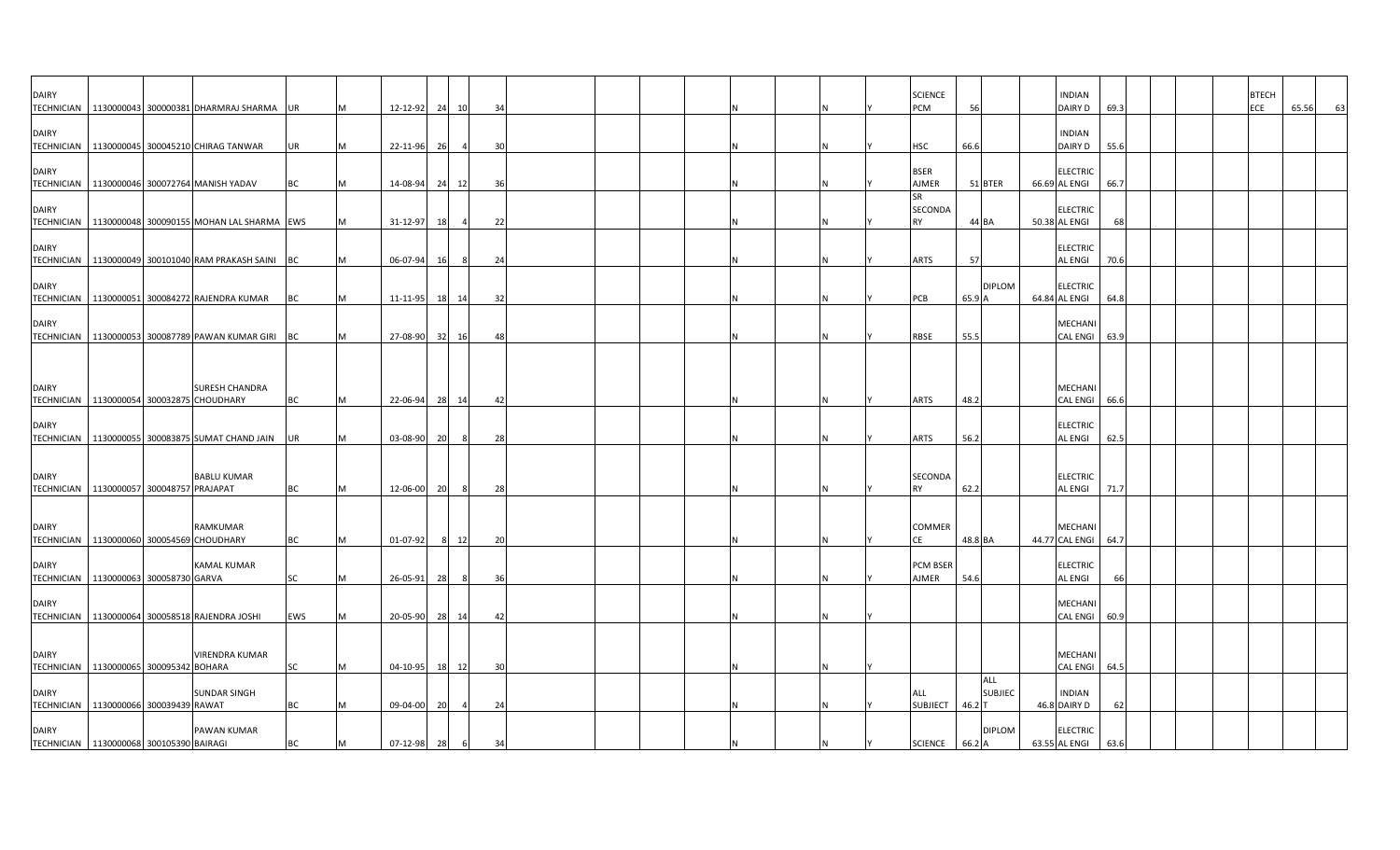| <b>DAIRY</b><br><b>TECHNICIAN</b>                           |  | 1130000043 300000381 DHARMRAJ SHARMA                   | <b>UR</b> | M | 12-12-92             |     | 24 10 | 34       |  |  |  |     | <b>SCIENCE</b><br>PCM             | 56                      | <b>INDIAN</b><br>DAIRY D               | 69.3       |  | <b>BTECH</b><br>ECE | 65.56<br>63 |
|-------------------------------------------------------------|--|--------------------------------------------------------|-----------|---|----------------------|-----|-------|----------|--|--|--|-----|-----------------------------------|-------------------------|----------------------------------------|------------|--|---------------------|-------------|
| <b>DAIRY</b>                                                |  | TECHNICIAN 1130000045 300045210 CHIRAG TANWAR          | <b>UR</b> | М | 22-11-96             | 26  |       | 30       |  |  |  |     | HSC                               | 66.6                    | <b>INDIAN</b><br>DAIRY D               | 55.6       |  |                     |             |
| <b>DAIRY</b>                                                |  | TECHNICIAN   1130000046 300072764 MANISH YADAV         | BC        | М | 14-08-94             |     | 24 12 | 36       |  |  |  |     | <b>BSER</b><br>AJMER              | 51 BTER                 | <b>ELECTRIC</b><br>66.69 AL ENGI       | 66.7       |  |                     |             |
| <b>DAIRY</b>                                                |  | TECHNICIAN   1130000048 300090155 MOHAN LAL SHARMA EWS |           | м | 31-12-97             | 18  | 4     | 22       |  |  |  |     | <b>SR</b><br>SECONDA<br><b>RY</b> | 44 BA                   | <b>ELECTRIC</b><br>50.38 AL ENGI       | 68         |  |                     |             |
| <b>DAIRY</b>                                                |  | TECHNICIAN 1130000049 300101040 RAM PRAKASH SAINI BC   |           | M | 06-07-94             | 16  | 8     | 24       |  |  |  | IN. | <b>ARTS</b>                       | 57                      | <b>ELECTRIC</b><br><b>AL ENGI</b>      | 70.6       |  |                     |             |
| <b>DAIRY</b><br><b>TECHNICIAN</b>                           |  | 1130000051 300084272 RAJENDRA KUMAR                    | <b>BC</b> | M | 11-11-95             |     | 18 14 | 32       |  |  |  |     | PCB                               | <b>DIPLOM</b><br>65.9 A | <b>ELECTRIC</b><br>64.84 AL ENGI       | 64.8       |  |                     |             |
| <b>DAIRY</b>                                                |  | TECHNICIAN   1130000053 300087789 PAWAN KUMAR GIRI BC  |           | м | 27-08-90             |     | 32 16 | 48       |  |  |  |     | RBSE                              | 55.5                    | MECHANI<br>CAL ENGI 63.9               |            |  |                     |             |
|                                                             |  |                                                        |           |   |                      |     |       |          |  |  |  |     |                                   |                         |                                        |            |  |                     |             |
| <b>DAIRY</b><br>TECHNICIAN   1130000054 300032875 CHOUDHARY |  | <b>SURESH CHANDRA</b>                                  | <b>BC</b> | M | 22-06-94             |     | 28 14 | 42       |  |  |  |     | ARTS                              | 48.2                    | MECHANI<br>CAL ENGI 66.6               |            |  |                     |             |
| <b>DAIRY</b><br><b>TECHNICIAN</b>                           |  | 1130000055 300083875 SUMAT CHAND JAIN                  | UR        |   | 03-08-90             | 20  | -8    | 28       |  |  |  |     | ARTS                              | 56.2                    | <b>ELECTRIC</b><br>AL ENGI             | 62.5       |  |                     |             |
| <b>DAIRY</b><br>TECHNICIAN 1130000057 300048757 PRAJAPAT    |  | <b>BABLU KUMAR</b>                                     | <b>BC</b> | M | 12-06-00             | 20  |       | 28       |  |  |  |     | SECONDA<br><b>RY</b>              | 62.2                    | <b>ELECTRIC</b><br><b>AL ENGI</b>      | 71.7       |  |                     |             |
| <b>DAIRY</b>                                                |  | RAMKUMAR                                               |           |   |                      |     |       |          |  |  |  |     | <b>COMMER</b>                     |                         | <b>MECHANI</b>                         |            |  |                     |             |
| TECHNICIAN 1130000060 300054569 CHOUDHARY<br><b>DAIRY</b>   |  | <b>KAMAL KUMAR</b>                                     | ВC<br>SC  | M | 01-07-92             | - 8 | - 12  | 20       |  |  |  |     | <b>PCM BSER</b><br>AJMER          | 48.8 BA<br>54.6         | 44.77 CAL ENGI 64.7<br><b>ELECTRIC</b> |            |  |                     |             |
| TECHNICIAN   1130000063 300058730 GARVA<br><b>DAIRY</b>     |  | TECHNICIAN 1130000064 300058518 RAJENDRA JOSHI         | EWS       | M | 26-05-91<br>20-05-90 | 28  | 28 14 | 36<br>42 |  |  |  |     |                                   |                         | <b>AL ENGI</b><br>MECHANI<br>CAL ENGI  | 66<br>60.9 |  |                     |             |
| <b>DAIRY</b><br>TECHNICIAN 1130000065 300095342 BOHARA      |  | <b>VIRENDRA KUMAR</b>                                  | SC        | М | $04 - 10 - 95$       |     | 18 12 | 30       |  |  |  |     |                                   |                         | MECHANI<br>CAL ENGI 64.5               |            |  |                     |             |
| <b>DAIRY</b><br>TECHNICIAN 1130000066 300039439 RAWAT       |  | SUNDAR SINGH                                           | ВC        |   | 09-04-00             | 20  |       | 24       |  |  |  |     | ALL<br>SUBJIECT 46.2 T            | ALL<br><b>SUBJIEC</b>   | <b>INDIAN</b><br>46.8 DAIRY D          | 62         |  |                     |             |
| <b>DAIRY</b><br>TECHNICIAN   1130000068 300105390 BAIRAGI   |  | PAWAN KUMAR                                            | <b>BC</b> | M | 07-12-98             | 28  | 6     | 34       |  |  |  |     | SCIENCE 66.2 A                    | <b>DIPLOM</b>           | <b>ELECTRIC</b><br>63.55 AL ENGI       | 63.6       |  |                     |             |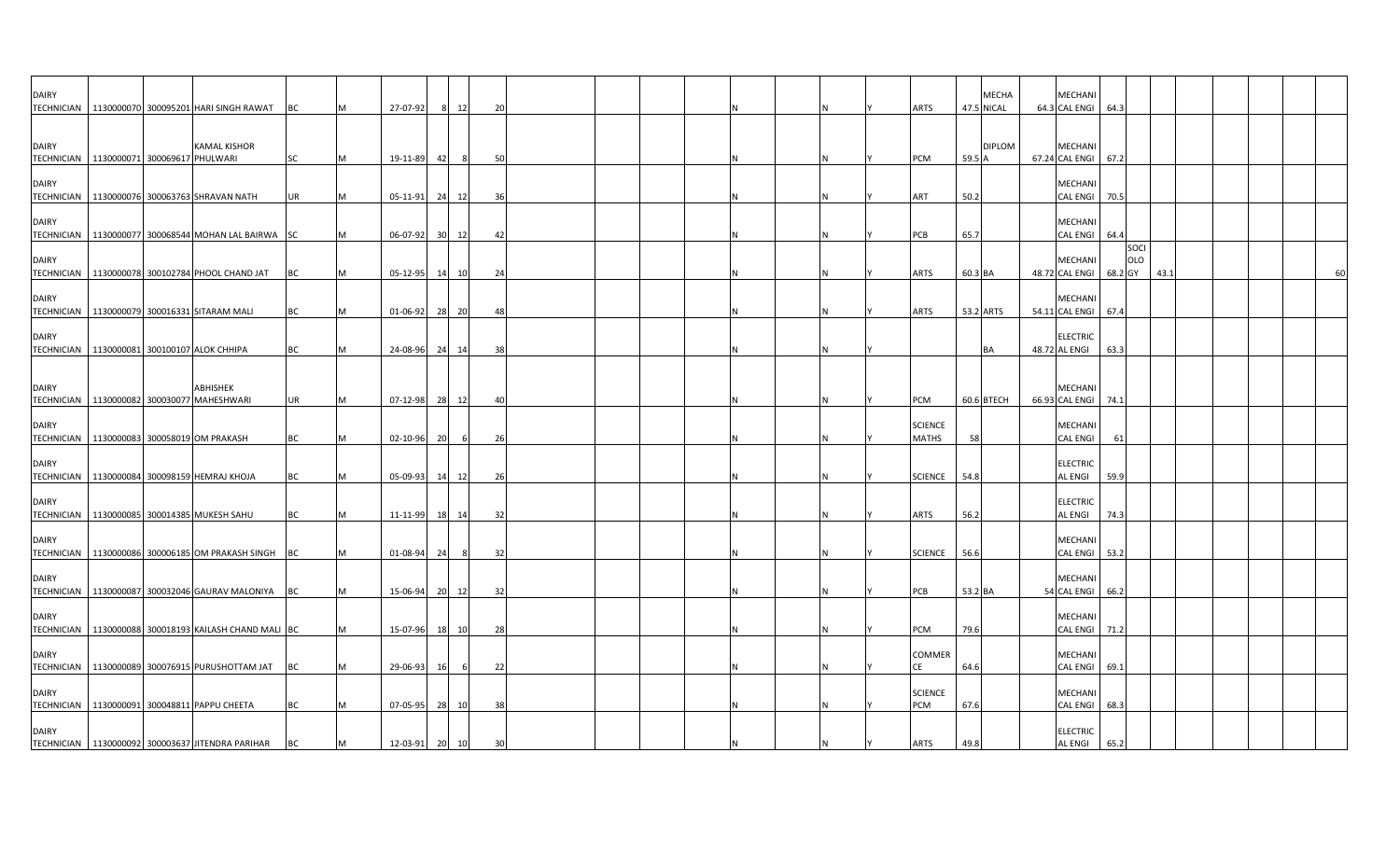| <b>DAIRY</b>      | TECHNICIAN   1130000070 300095201 HARI SINGH RAWAT  | <b>BC</b> |     | 27-07-92       | 12<br>8               |     | 20             |  |  |  | <b>ARTS</b>                    |           | <b>MECHA</b><br>47.5 NICAL | <b>MECHAN</b><br>64.3 CAL ENGI    | 64.3 |             |      |  |  |    |
|-------------------|-----------------------------------------------------|-----------|-----|----------------|-----------------------|-----|----------------|--|--|--|--------------------------------|-----------|----------------------------|-----------------------------------|------|-------------|------|--|--|----|
| <b>DAIRY</b>      | <b>KAMAL KISHOR</b>                                 |           |     |                |                       |     |                |  |  |  |                                |           | <b>DIPLOM</b>              | <b>MECHANI</b>                    |      |             |      |  |  |    |
| <b>TECHNICIAN</b> | 1130000071 300069617 PHULWARI                       | <b>SC</b> |     | 19-11-89       | 42                    | 8   | 50             |  |  |  | PCM                            | 59.5 A    |                            | 67.24 CAL ENGI 67.2               |      |             |      |  |  |    |
| <b>DAIRY</b>      | TECHNICIAN   1130000076 300063763 SHRAVAN NATH      | UR        |     | 05-11-91       | 24 12                 |     | $\overline{3}$ |  |  |  | ART                            | 50.2      |                            | <b>MECHANI</b><br><b>CAL ENGI</b> | 70.5 |             |      |  |  |    |
| <b>DAIRY</b>      | TECHNICIAN 1130000077 300068544 MOHAN LAL BAIRWA SC |           |     | 06-07-92       | 30 <sup>1</sup><br>12 |     |                |  |  |  | PCB                            | 65.7      |                            | <b>MECHANI</b><br><b>CAL ENGI</b> | 64.4 |             |      |  |  |    |
| <b>DAIRY</b>      |                                                     |           |     |                |                       |     | 42             |  |  |  |                                |           |                            | <b>MECHANI</b>                    |      | SOCI<br>OLO |      |  |  |    |
|                   | TECHNICIAN 1130000078 300102784 PHOOL CHAND JAT     | BC        |     | 05-12-95       | 14<br>10              |     | 24             |  |  |  | ARTS                           | 60.3 BA   |                            | 48.72 CAL ENGI 68.2 GY            |      |             | 43.1 |  |  | 60 |
| <b>DAIRY</b>      | TECHNICIAN 1130000079 300016331 SITARAM MALI        | BC        | IM. | 01-06-92       | 28 20                 |     | 48             |  |  |  | <b>ARTS</b>                    | 53.2 ARTS |                            | <b>MECHANI</b><br>54.11 CAL ENGI  | 67.4 |             |      |  |  |    |
| <b>DAIRY</b>      | TECHNICIAN 1130000081 300100107 ALOK CHHIPA         | <b>BC</b> |     | 24-08-96 24 14 |                       |     | -38            |  |  |  |                                |           | BA                         | <b>ELECTRIC</b><br>48.72 AL ENGI  | 63.3 |             |      |  |  |    |
| <b>DAIRY</b>      | ABHISHEK                                            |           |     |                |                       |     |                |  |  |  |                                |           |                            | MECHANI                           |      |             |      |  |  |    |
|                   | TECHNICIAN   1130000082 300030077 MAHESHWARI        | UR        |     | 07-12-98 28 12 |                       |     |                |  |  |  | PCM                            |           | 60.6 BTECH                 | 66.93 CAL ENGI                    | 74.1 |             |      |  |  |    |
| <b>DAIRY</b>      | TECHNICIAN 1130000083 300058019 OM PRAKASH          | BC        |     | 02-10-96       | 20                    | - 6 | 26             |  |  |  | <b>SCIENCE</b><br><b>MATHS</b> | 58        |                            | <b>MECHANI</b><br><b>CAL ENGI</b> | 61   |             |      |  |  |    |
| <b>DAIRY</b>      | TECHNICIAN 1130000084 300098159 HEMRAJ KHOJA        | BC        | M   | 05-09-93       | 14 12                 |     | 26             |  |  |  | <b>SCIENCE</b>                 | 54.8      |                            | <b>ELECTRIC</b><br><b>AL ENGI</b> | 59.9 |             |      |  |  |    |
| <b>DAIRY</b>      | TECHNICIAN 1130000085 300014385 MUKESH SAHU         | <b>BC</b> | M   | 11-11-99       | 18 14                 |     | 32             |  |  |  | <b>ARTS</b>                    | 56.2      |                            | <b>ELECTRIC</b><br><b>AL ENGI</b> | 74.3 |             |      |  |  |    |
| <b>DAIRY</b>      | TECHNICIAN 1130000086 300006185 OM PRAKASH SINGH BC |           |     | 01-08-94       | 24                    | -8  | 32             |  |  |  | <b>SCIENCE</b>                 | 56.6      |                            | MECHANI<br>CAL ENGI 53.2          |      |             |      |  |  |    |
| <b>DAIRY</b>      |                                                     |           |     |                |                       |     |                |  |  |  |                                |           |                            | MECHANI                           |      |             |      |  |  |    |
| <b>DAIRY</b>      | TECHNICIAN   1130000087 300032046 GAURAV MALONIYA   | <b>BC</b> | M   | 15-06-94       | 20<br>12              |     | 32             |  |  |  | PCB                            | 53.2 BA   |                            | 54 CAL ENGI<br>MECHANI            | 66.2 |             |      |  |  |    |
| <b>TECHNICIAN</b> | 1130000088 300018193 KAILASH CHAND MALI BC          |           |     | 15-07-96 18 10 |                       |     | 28             |  |  |  | PCM                            | 79.6      |                            | <b>CAL ENGI</b>                   | 71.2 |             |      |  |  |    |
| <b>DAIRY</b>      | TECHNICIAN 1130000089 300076915 PURUSHOTTAM JAT     | BC        |     | 29-06-93       | 16                    | - 6 | 22             |  |  |  | COMMER<br>СE                   | 64.6      |                            | <b>MECHAN</b><br>CAL ENGI 69.1    |      |             |      |  |  |    |
| <b>DAIRY</b>      | TECHNICIAN 1130000091 300048811 PAPPU CHEETA        | BC        |     | 07-05-95       | 28 10                 |     | 38             |  |  |  | <b>SCIENCE</b><br>PCM          | 67.6      |                            | <b>MECHANI</b><br><b>CAL ENGI</b> | 68.3 |             |      |  |  |    |
| <b>DAIRY</b>      | TECHNICIAN   1130000092 300003637 JITENDRA PARIHAR  | <b>BC</b> |     | 12-03-91       | 20<br>10              |     | 30             |  |  |  | <b>ARTS</b>                    | 49.8      |                            | <b>ELECTRIC</b><br><b>AL ENGI</b> | 65.2 |             |      |  |  |    |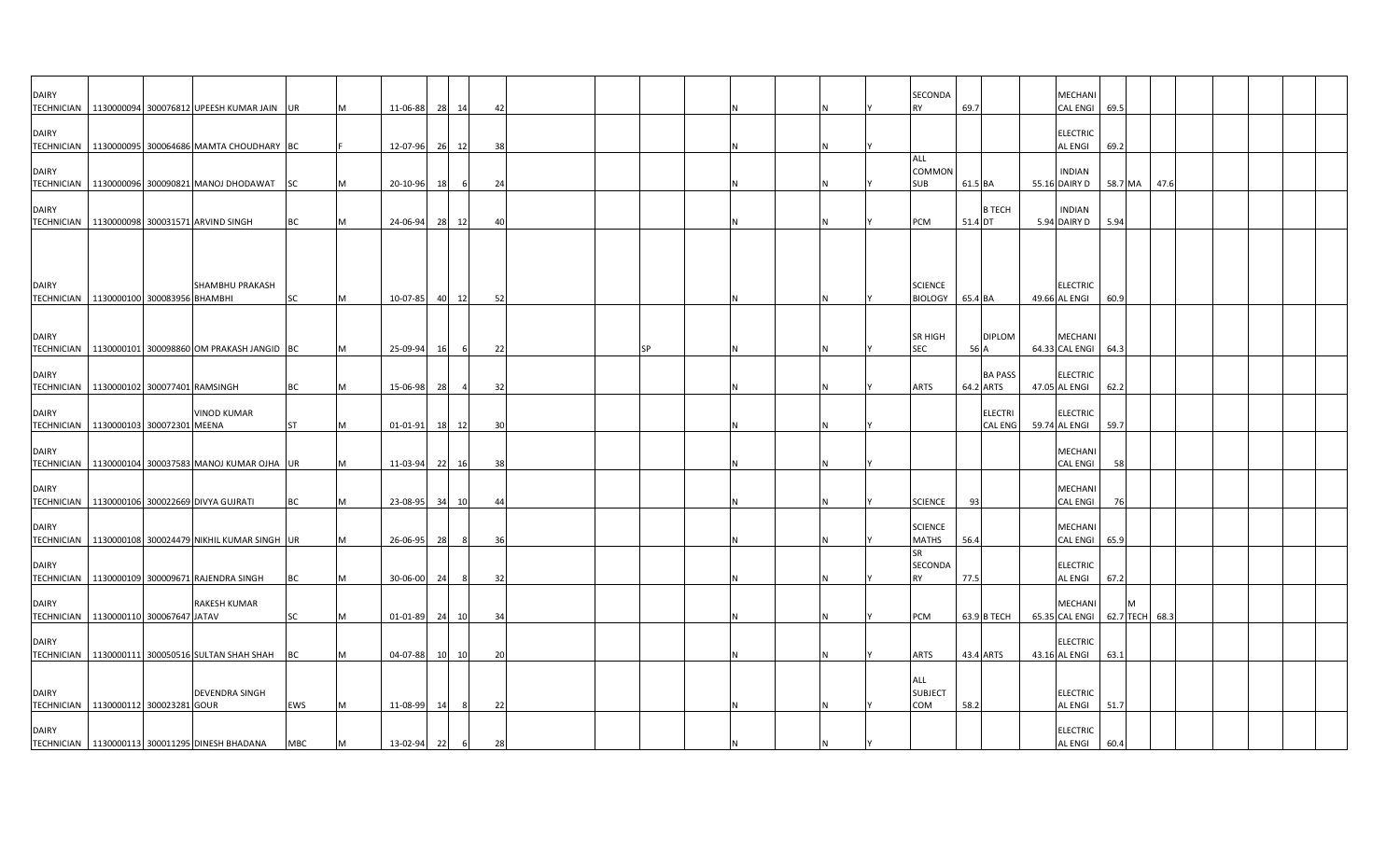| <b>DAIRY</b>                                              |  | TECHNICIAN   1130000094 300076812 UPEESH KUMAR JAIN UR                                    |           | M      | 11-06-88             | 28        | 14             | 42        |    |     |  |  | SECONDA<br><b>RY</b>              | 69.7                        | MECHANI<br><b>CAL ENGI</b>                           | 69.5                |      |  |  |  |
|-----------------------------------------------------------|--|-------------------------------------------------------------------------------------------|-----------|--------|----------------------|-----------|----------------|-----------|----|-----|--|--|-----------------------------------|-----------------------------|------------------------------------------------------|---------------------|------|--|--|--|
| <b>DAIRY</b>                                              |  | TECHNICIAN 1130000095 300064686 MAMTA CHOUDHARY BC                                        |           |        | 12-07-96             | 26        | 12             | 38        |    |     |  |  |                                   |                             | <b>ELECTRIC</b><br><b>AL ENGI</b>                    | 69.2                |      |  |  |  |
| <b>DAIRY</b><br><b>TECHNICIAN</b>                         |  | 1130000096 300090821 MANOJ DHODAWAT                                                       | <b>SC</b> | M      | 20-10-96             | 18        | - 6            | 24        |    |     |  |  | ALL<br>COMMON<br>SUB              | 61.5 BA                     | <b>INDIAN</b><br>55.16 DAIRY D                       | 58.7 MA             | 47.6 |  |  |  |
| <b>DAIRY</b>                                              |  | TECHNICIAN   1130000098 300031571 ARVIND SINGH                                            | BC        | M      | 24-06-94             | 28        | 12             | 40        |    | IN. |  |  | PCM                               | <b>B TECH</b><br>51.4 DT    | <b>INDIAN</b><br>5.94 DAIRY D                        | 5.94                |      |  |  |  |
|                                                           |  |                                                                                           |           |        |                      |           |                |           |    |     |  |  |                                   |                             |                                                      |                     |      |  |  |  |
| <b>DAIRY</b><br>TECHNICIAN   1130000100 300083956 BHAMBHI |  | SHAMBHU PRAKASH                                                                           | <b>SC</b> | M      | 10-07-85             | 40        | 12             | 52        |    |     |  |  | <b>SCIENCE</b><br><b>BIOLOGY</b>  | 65.4 BA                     | <b>ELECTRIC</b><br>49.66 AL ENGI                     | 60.9                |      |  |  |  |
| <b>DAIRY</b>                                              |  |                                                                                           |           |        |                      |           |                |           |    |     |  |  | <b>SR HIGH</b>                    | <b>DIPLOM</b>               | <b>MECHANI</b>                                       |                     |      |  |  |  |
| <b>DAIRY</b>                                              |  | TECHNICIAN   1130000101 300098860 OM PRAKASH JANGID BC                                    |           | M      | 25-09-94             | 16        | 6              | 22        | SP |     |  |  | SEC                               | 56 A<br><b>BA PASS</b>      | 64.33 CAL ENGI<br><b>ELECTRIC</b>                    | 64.3                |      |  |  |  |
| TECHNICIAN 1130000102 300077401 RAMSINGH<br><b>DAIRY</b>  |  | <b>VINOD KUMAR</b>                                                                        | BC        | M      | 15-06-98             | -281      | $\overline{a}$ | 32        |    |     |  |  | ARTS                              | 64.2 ARTS<br><b>ELECTRI</b> | 47.05 AL ENGI<br><b>ELECTRIC</b>                     | 62.2                |      |  |  |  |
| TECHNICIAN 1130000103 300072301 MEENA<br><b>DAIRY</b>     |  |                                                                                           | <b>ST</b> | M      | 01-01-91             | 18        | 12             | 30        |    |     |  |  |                                   | <b>CAL ENG</b>              | 59.74 AL ENGI<br><b>MECHANI</b>                      | 59.7                |      |  |  |  |
| <b>TECHNICIAN</b><br><b>DAIRY</b>                         |  | 1130000104 300037583 MANOJ KUMAR OJHA UR<br>TECHNICIAN 1130000106 300022669 DIVYA GUJRATI |           | M      | 11-03-94<br>23-08-95 | 22<br>34  | 16<br>10       | -38<br>44 |    | N   |  |  | <b>SCIENCE</b>                    | 93                          | <b>CAL ENGI</b><br><b>MECHANI</b><br><b>CAL ENGI</b> | 58<br>76            |      |  |  |  |
| <b>DAIRY</b>                                              |  | TECHNICIAN 1130000108 300024479 NIKHIL KUMAR SINGH UR                                     | BC        | M      | 26-06-95             | -281      | -8             | 36        |    |     |  |  | <b>SCIENCE</b><br>MATHS           | 56.4                        | <b>MECHANI</b><br><b>CAL ENGI</b>                    | 65.9                |      |  |  |  |
| <b>DAIRY</b>                                              |  | TECHNICIAN   1130000109 300009671 RAJENDRA SINGH                                          | BC        | M<br>M | 30-06-00             | 24        |                | 32        |    |     |  |  | <b>SR</b><br>SECONDA<br><b>RY</b> | 77.5                        | <b>ELECTRIC</b><br><b>AL ENGI</b>                    | 67.2                |      |  |  |  |
| <b>DAIRY</b><br>TECHNICIAN 1130000110 300067647 JATAV     |  | RAKESH KUMAR                                                                              | SC        | M      | $01 - 01 - 89$       | 24        | 10             | 34        |    |     |  |  | PCM                               | 63.9 B TECH                 | <b>MECHANI</b><br>65.35 CAL ENGI                     | M<br>62.7 TECH 68.3 |      |  |  |  |
| <b>DAIRY</b>                                              |  | TECHNICIAN 1130000111 300050516 SULTAN SHAH SHAH                                          | BC        | M      | 04-07-88             | <b>10</b> | 10             | 20        |    |     |  |  | ARTS                              | 43.4 ARTS                   | <b>ELECTRIC</b><br>43.16 AL ENGI                     | 63.1                |      |  |  |  |
| <b>DAIRY</b>                                              |  | <b>DEVENDRA SINGH</b>                                                                     |           |        |                      |           |                |           |    |     |  |  | ALL<br><b>SUBJECT</b>             |                             | <b>ELECTRIC</b>                                      |                     |      |  |  |  |
| TECHNICIAN 1130000112 300023281 GOUR<br><b>DAIRY</b>      |  |                                                                                           | EWS       | M      | 11-08-99             | 14        |                | 22        |    | IN. |  |  | COM                               | 58.2                        | <b>AL ENGI</b><br><b>ELECTRIC</b>                    | 51.7                |      |  |  |  |
|                                                           |  | TECHNICIAN   1130000113 300011295 DINESH BHADANA                                          | MBC       | M      | 13-02-94             | 22        | 6              | 28        |    |     |  |  |                                   |                             | <b>AL ENGI</b>                                       | 60.4                |      |  |  |  |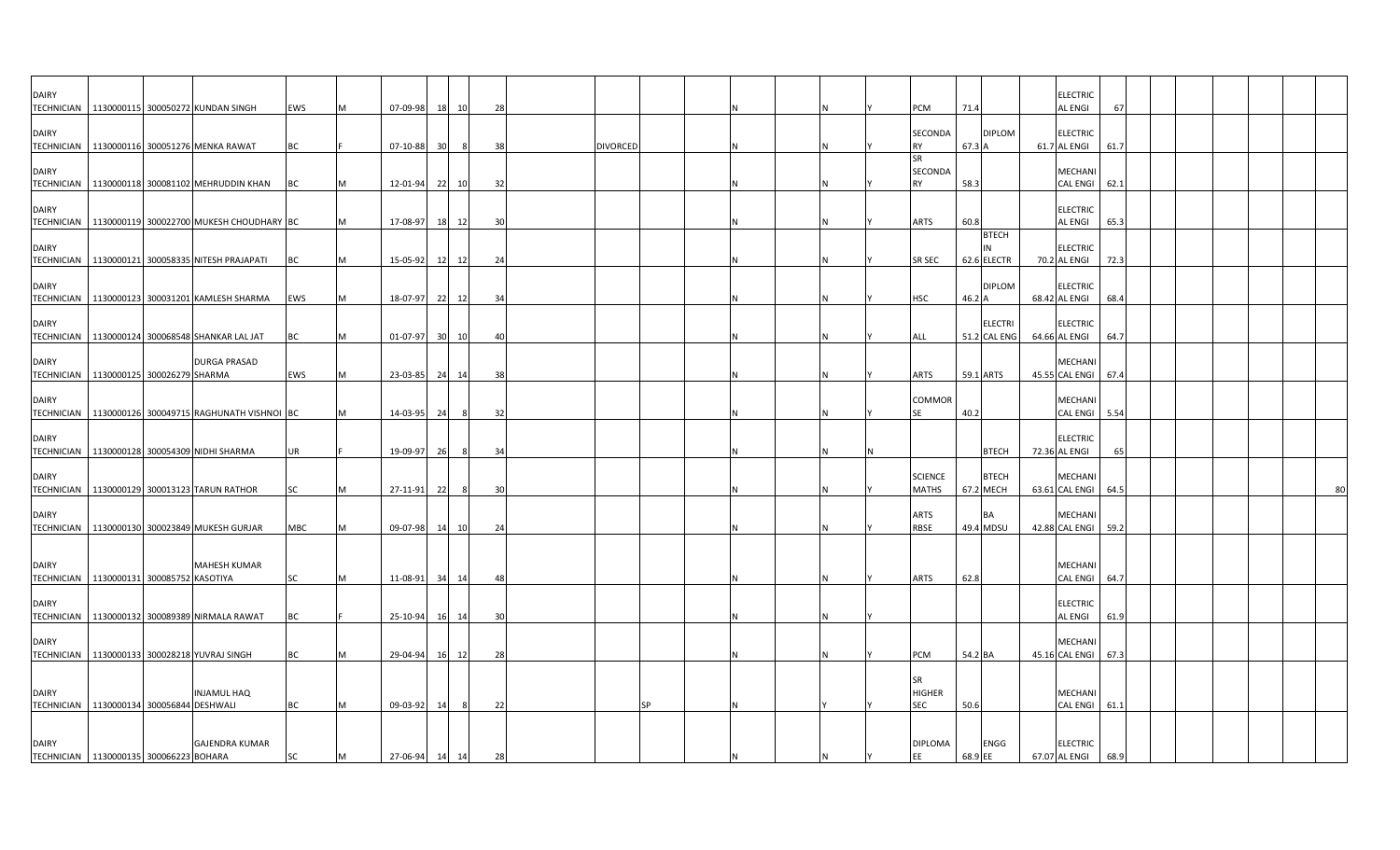| <b>DAIRY</b>                                             |  | TECHNICIAN   1130000115 300050272 KUNDAN SINGH         | EWS        |   | 07-09-98    | <b>18</b> | 10    | 28 |                 |           |  |  | <b>PCM</b>                               | 71.4    |                                | <b>ELECTRIC</b><br>67<br>AL ENGI           |  |  |  |    |
|----------------------------------------------------------|--|--------------------------------------------------------|------------|---|-------------|-----------|-------|----|-----------------|-----------|--|--|------------------------------------------|---------|--------------------------------|--------------------------------------------|--|--|--|----|
| <b>DAIRY</b>                                             |  | TECHNICIAN   1130000116 300051276 MENKA RAWAT          | BC         |   | $07-10-88$  | 30        |       | 38 | <b>DIVORCED</b> |           |  |  | <b>SECONDA</b><br><b>RY</b>              | 67.3 A  | <b>DIPLOM</b>                  | <b>ELECTRIC</b><br>61.7 AL ENGI<br>61.7    |  |  |  |    |
| <b>DAIRY</b>                                             |  | TECHNICIAN 1130000118 300081102 MEHRUDDIN KHAN         | <b>BC</b>  |   | 12-01-94    | 22        | 10    | 32 |                 |           |  |  | <b>SR</b><br><b>SECONDA</b><br><b>RY</b> | 58.3    |                                | MECHANI<br><b>CAL ENGI</b><br>62.1         |  |  |  |    |
| <b>DAIRY</b>                                             |  | TECHNICIAN   1130000119 300022700 MUKESH CHOUDHARY BC  |            |   | 17-08-97    | 18        | 12    | 30 |                 |           |  |  | ARTS                                     | 60.8    |                                | <b>ELECTRIC</b><br>AL ENGI<br>65.3         |  |  |  |    |
| <b>DAIRY</b>                                             |  | TECHNICIAN 1130000121 300058335 NITESH PRAJAPATI       | BC         |   | 15-05-92    | 12        | 12    | 24 |                 |           |  |  | SR SEC                                   |         | <b>BTECH</b><br>62.6 ELECTR    | <b>ELECTRIC</b><br>70.2 AL ENGI<br>72.3    |  |  |  |    |
| <b>DAIRY</b>                                             |  | TECHNICIAN 1130000123 300031201 KAMLESH SHARMA         | EWS        |   | 18-07-97    | 22        | 12    | 34 |                 |           |  |  | <b>HSC</b>                               | 46.2 A  | <b>DIPLOM</b>                  | <b>ELECTRIC</b><br>68.42 AL ENGI<br>68.4   |  |  |  |    |
| <b>DAIRY</b>                                             |  | TECHNICIAN   1130000124 300068548 SHANKAR LAL JAT      | ВC         |   | 01-07-97    |           | 30 10 | 40 |                 |           |  |  | ALL                                      |         | <b>ELECTRI</b><br>51.2 CAL ENG | <b>ELECTRIC</b><br>64.66 AL ENGI<br>64.7   |  |  |  |    |
| <b>DAIRY</b><br>TECHNICIAN   1130000125 300026279 SHARMA |  | <b>DURGA PRASAD</b>                                    | EWS        |   | 23-03-85 24 |           | 14    | 38 |                 |           |  |  | ARTS                                     |         | 59.1 ARTS                      | <b>MECHAN</b><br>45.55 CAL ENGI<br>67.4    |  |  |  |    |
| <b>DAIRY</b>                                             |  | TECHNICIAN   1130000126 300049715 RAGHUNATH VISHNOI BC |            |   | 14-03-95    | 24        | 8     | 32 |                 |           |  |  | COMMOR<br>SE                             | 40.2    |                                | MECHANI<br><b>CAL ENGI</b><br>5.54         |  |  |  |    |
| <b>DAIRY</b>                                             |  | TECHNICIAN   1130000128 300054309 NIDHI SHARMA         | UR         |   | 19-09-97    | 26        | -8    | 34 |                 |           |  |  |                                          |         | <b>BTECH</b>                   | <b>ELECTRIC</b><br>72.36 AL ENGI<br>65     |  |  |  |    |
| <b>DAIRY</b>                                             |  | TECHNICIAN 1130000129 300013123 TARUN RATHOR           | SC         |   | 27-11-91    | 22        |       | 30 |                 |           |  |  | <b>SCIENCE</b><br><b>MATHS</b>           |         | <b>BTECH</b><br>67.2 MECH      | MECHANI<br>63.61 CAL ENGI<br>64.5          |  |  |  | 80 |
| <b>DAIRY</b>                                             |  | TECHNICIAN   1130000130 300023849 MUKESH GURJAR        | <b>MBC</b> |   | 09-07-98    | 14        | 10    | 24 |                 |           |  |  | ARTS<br>RBSE                             |         | <b>BA</b><br>49.4 MDSU         | MECHANI<br>42.88 CAL ENGI<br>59.2          |  |  |  |    |
| <b>DAIRY</b>                                             |  | <b>MAHESH KUMAR</b>                                    |            |   |             |           |       |    |                 |           |  |  |                                          |         |                                | MECHANI                                    |  |  |  |    |
| TECHNICIAN 1130000131 300085752 KASOTIYA<br><b>DAIRY</b> |  |                                                        | SC         | M | 11-08-91    | 34        | 14    | 48 |                 |           |  |  | ARTS                                     | 62.8    |                                | <b>CAL ENGI</b><br>64.7<br><b>ELECTRIC</b> |  |  |  |    |
|                                                          |  | TECHNICIAN   1130000132 300089389 NIRMALA RAWAT        | BC         |   | 25-10-94    | 16        | 14    | 30 |                 |           |  |  |                                          |         |                                | AL ENGI<br>61.9                            |  |  |  |    |
| <b>DAIRY</b>                                             |  | TECHNICIAN   1130000133 300028218 YUVRAJ SINGH         | BC         |   | 29-04-94    | 16        | 12    | 28 |                 |           |  |  | PCM                                      | 54.2 BA |                                | <b>MECHAN</b><br>45.16 CAL ENGI<br>67.3    |  |  |  |    |
| <b>DAIRY</b><br>TECHNICIAN 1130000134 300056844 DESHWALI |  | <b>INJAMUL HAQ</b>                                     | <b>BC</b>  | м | 09-03-92    | 14        | 8     | 22 |                 | <b>SP</b> |  |  | <b>SR</b><br><b>HIGHER</b><br>SEC        | 50.6    |                                | <b>MECHAN</b><br><b>CAL ENGI</b><br>61.1   |  |  |  |    |
| <b>DAIRY</b><br>TECHNICIAN 1130000135 300066223 BOHARA   |  | <b>GAJENDRA KUMAR</b>                                  | SC         | M | 27-06-94    | 14        | 14    | 28 |                 |           |  |  | <b>DIPLOMA</b><br>EE                     | 68.9 EE | ENGG                           | <b>ELECTRIC</b><br>67.07 AL ENGI<br>68.9   |  |  |  |    |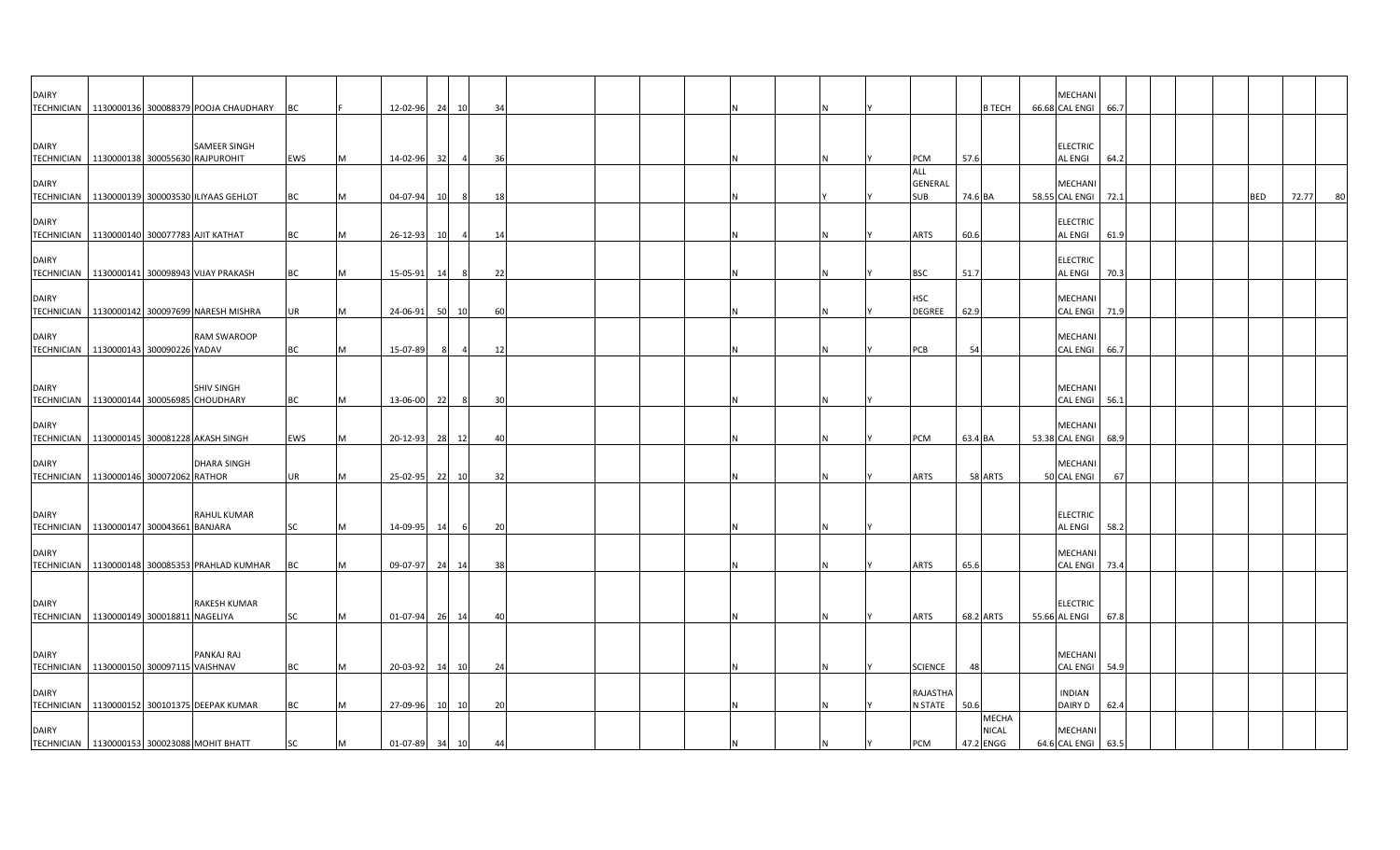| <b>DAIRY</b>                      | TECHNICIAN 1130000136 300088379 POOJA CHAUDHARY                   | BC        |   | 12-02-96       |           | 24 10          | 34 |  |  |     |  |                                     |         | <b>B TECH</b>                      | MECHANI<br>66.68 CAL ENGI 66.7   |      |  |            |       |    |
|-----------------------------------|-------------------------------------------------------------------|-----------|---|----------------|-----------|----------------|----|--|--|-----|--|-------------------------------------|---------|------------------------------------|----------------------------------|------|--|------------|-------|----|
| <b>DAIRY</b>                      | <b>SAMEER SINGH</b><br>TECHNICIAN 1130000138 300055630 RAJPUROHIT | EWS       | M | 14-02-96       | 32        | $\overline{a}$ | 36 |  |  |     |  | PCM                                 | 57.6    |                                    | <b>ELECTRIC</b><br>AL ENGI       | 64.2 |  |            |       |    |
| <b>DAIRY</b>                      | TECHNICIAN   1130000139 300003530 ILIYAAS GEHLOT                  | BC        |   | 04-07-94       | <b>10</b> | 8              | 18 |  |  |     |  | ALL<br><b>GENERAL</b><br><b>SUB</b> | 74.6 BA |                                    | MECHANI<br>58.55 CAL ENGI        | 72.1 |  | <b>BED</b> | 72.77 | 80 |
| <b>DAIRY</b>                      | TECHNICIAN   1130000140 300077783 AJIT KATHAT                     | BC        |   | 26-12-93       | 10        |                | 14 |  |  |     |  | ARTS                                | 60.6    |                                    | <b>ELECTRIC</b><br>AL ENGI       | 61.9 |  |            |       |    |
| <b>DAIRY</b>                      | TECHNICIAN 1130000141 300098943 VIJAY PRAKASH                     | BC        |   | 15-05-91       | 14        | -8             | 22 |  |  |     |  | <b>BSC</b>                          | 51.7    |                                    | <b>ELECTRIC</b><br>AL ENGI       | 70.3 |  |            |       |    |
| <b>DAIRY</b><br><b>TECHNICIAN</b> | 1130000142 300097699 NARESH MISHRA                                | UR        |   | 24-06-91       |           | 50 10          | 60 |  |  |     |  | <b>HSC</b><br>DEGREE                | 62.9    |                                    | MECHANI<br><b>CAL ENGI</b>       | 71.9 |  |            |       |    |
| <b>DAIRY</b>                      | <b>RAM SWAROOP</b><br>TECHNICIAN 1130000143 300090226 YADAV       | BC        |   | 15-07-89       |           | $\overline{4}$ | 12 |  |  |     |  | PCB                                 | 54      |                                    | MECHANI<br>CAL ENGI 66.7         |      |  |            |       |    |
| <b>DAIRY</b>                      | <b>SHIV SINGH</b><br>TECHNICIAN 1130000144 300056985 CHOUDHARY    | ВC        |   | 13-06-00       | 22        | -8             | 30 |  |  |     |  |                                     |         |                                    | MECHANI<br>CAL ENGI 56.1         |      |  |            |       |    |
| <b>DAIRY</b>                      | TECHNICIAN 1130000145 300081228 AKASH SINGH                       | EWS       |   | 20-12-93       | 28        | 12             | 40 |  |  |     |  | <b>PCM</b>                          | 63.4 BA |                                    | MECHANI<br>53.38 CAL ENGI        | 68.9 |  |            |       |    |
| <b>DAIRY</b>                      | <b>DHARA SINGH</b><br>TECHNICIAN   1130000146 300072062 RATHOR    | UR        |   | 25-02-95       |           | 22 10          | 32 |  |  |     |  | ARTS                                |         | 58 ARTS                            | MECHANI<br>50 CAL ENGI           | 67   |  |            |       |    |
| <b>DAIRY</b>                      | <b>RAHUL KUMAR</b><br>TECHNICIAN 1130000147 300043661 BANJARA     | SC        | M | 14-09-95       | 14        | -6             | 20 |  |  | IN. |  |                                     |         |                                    | <b>ELECTRIC</b><br>AL ENGI       | 58.2 |  |            |       |    |
| <b>DAIRY</b>                      | TECHNICIAN 1130000148 300085353 PRAHLAD KUMHAR                    | BC        |   | 09-07-97       | 24        | 14             | 38 |  |  |     |  | ARTS                                | 65.6    |                                    | MECHANI<br>CAL ENGI              | 73.4 |  |            |       |    |
| <b>DAIRY</b>                      | <b>RAKESH KUMAR</b><br>TECHNICIAN   1130000149 300018811 NAGELIYA | <b>SC</b> | M | 01-07-94       |           | 26 14          | 40 |  |  |     |  | <b>ARTS</b>                         |         | 68.2 ARTS                          | <b>ELECTRIC</b><br>55.66 AL ENGI | 67.8 |  |            |       |    |
| <b>DAIRY</b>                      | PANKAJ RAJ<br>TECHNICIAN 1130000150 300097115 VAISHNAV            | <b>BC</b> |   | 20-03-92       |           | 14 10          | 24 |  |  |     |  | <b>SCIENCE</b>                      | 48      |                                    | MECHANI<br>CAL ENGI 54.9         |      |  |            |       |    |
| <b>DAIRY</b>                      | TECHNICIAN 1130000152 300101375 DEEPAK KUMAR                      | <b>BC</b> |   | 27-09-96       | 10        | 10             | 20 |  |  |     |  | RAJASTHA<br><b>N STATE</b>          | 50.6    |                                    | <b>INDIAN</b><br>DAIRY D         | 62.4 |  |            |       |    |
| <b>DAIRY</b>                      | TECHNICIAN   1130000153 300023088 MOHIT BHATT                     | SC        | M | 01-07-89 34 10 |           |                | 44 |  |  |     |  | PCM                                 |         | <b>MECHA</b><br>NICAL<br>47.2 ENGG | MECHANI<br>64.6 CAL ENGI 63.5    |      |  |            |       |    |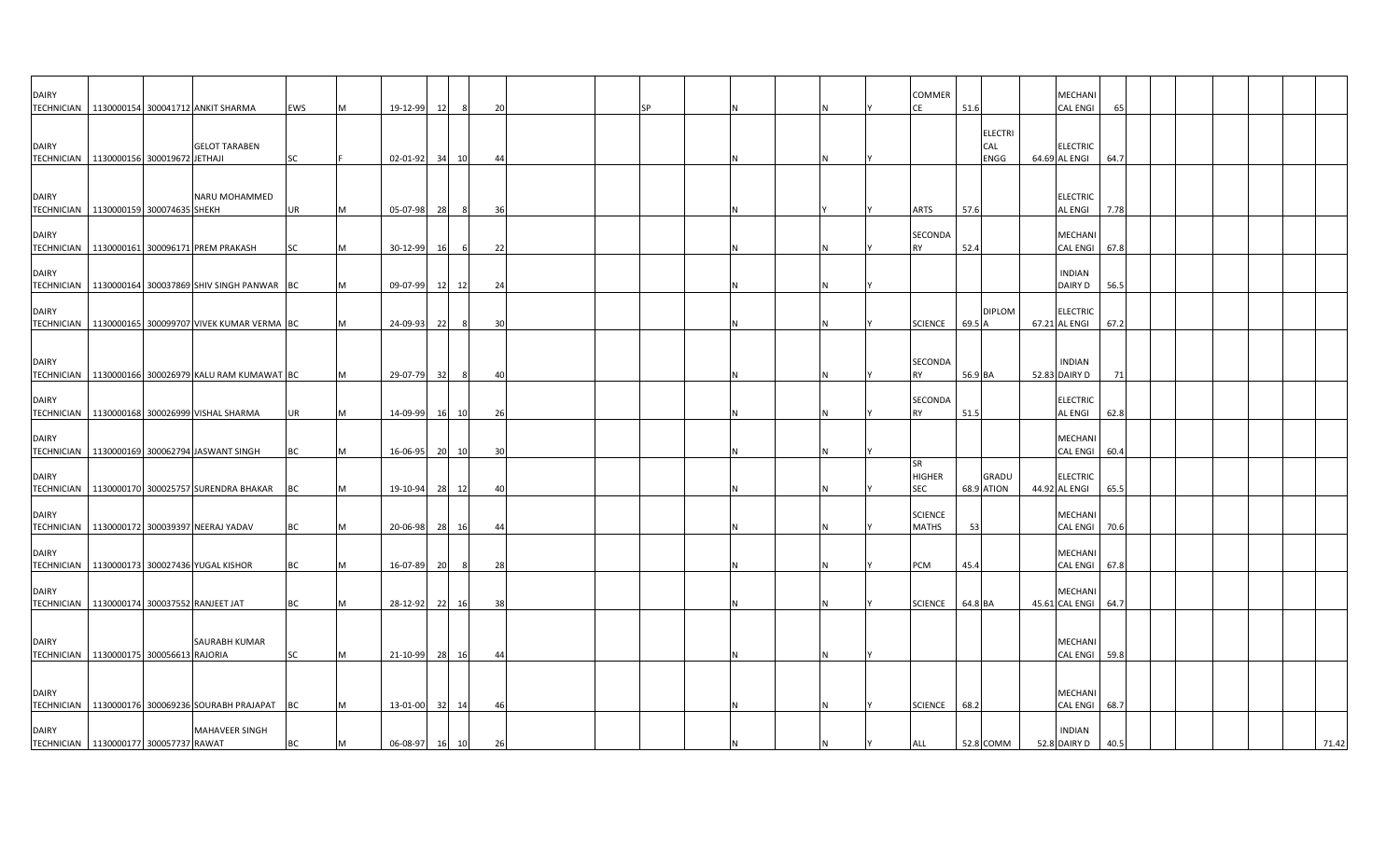| <b>DAIRY</b>                                                |  | TECHNICIAN 1130000154 300041712 ANKIT SHARMA           | <b>EWS</b> | M | 19-12-99       | 12 | -8             | 20   |  | SP |   |   | COMMER<br>СE                      | 51.6    |                               | MECHANI<br><b>CAL ENGI</b>       | 65   |  |       |
|-------------------------------------------------------------|--|--------------------------------------------------------|------------|---|----------------|----|----------------|------|--|----|---|---|-----------------------------------|---------|-------------------------------|----------------------------------|------|--|-------|
| <b>DAIRY</b><br>TECHNICIAN 1130000156 300019672 JETHAJI     |  | <b>GELOT TARABEN</b>                                   | SC         |   | 02-01-92       | 34 | 10             | 44   |  |    |   |   |                                   |         | <b>ELECTRI</b><br>CAL<br>ENGG | <b>ELECTRIC</b><br>64.69 AL ENGI | 64.7 |  |       |
| <b>DAIRY</b><br>TECHNICIAN   1130000159 300074635 SHEKH     |  | NARU MOHAMMED                                          | UR         | M | 05-07-98       | 28 |                | - 36 |  |    |   |   | <b>ARTS</b>                       | 57.6    |                               | <b>ELECTRIC</b><br>AL ENGI       | 7.78 |  |       |
| <b>DAIRY</b>                                                |  | TECHNICIAN   1130000161 300096171 PREM PRAKASH         | SC         | M | 30-12-99       | 16 | -6             | 22   |  |    |   |   | SECONDA<br><b>RY</b>              | 52.4    |                               | MECHANI<br><b>CAL ENGI</b>       | 67.8 |  |       |
| <b>DAIRY</b>                                                |  | TECHNICIAN   1130000164 300037869 SHIV SINGH PANWAR BC |            | M | 09-07-99       |    | 12 12          | 24   |  |    |   |   |                                   |         |                               | <b>INDIAN</b><br><b>DAIRY D</b>  | 56.5 |  |       |
| <b>DAIRY</b>                                                |  | TECHNICIAN   1130000165 300099707 VIVEK KUMAR VERMA BC |            | M | 24-09-93       | 22 | 8              | 30   |  |    |   |   | <b>SCIENCE</b>                    | 69.5 A  | <b>DIPLOM</b>                 | <b>ELECTRIC</b><br>67.21 AL ENGI | 67.2 |  |       |
| <b>DAIRY</b>                                                |  | TECHNICIAN   1130000166 300026979 KALU RAM KUMAWAT BC  |            | M | 29-07-79       | 32 | - 8            | 40   |  |    |   |   | SECONDA<br><b>RY</b>              | 56.9 BA |                               | <b>INDIAN</b><br>52.83 DAIRY D   | 71   |  |       |
| <b>DAIRY</b>                                                |  | TECHNICIAN   1130000168 300026999 VISHAL SHARMA        | UR         | M | 14-09-99       | 16 | 10             | -26  |  |    |   |   | SECONDA<br>RY                     | 51.5    |                               | <b>ELECTRIC</b><br>AL ENGI       | 62.8 |  |       |
| <b>DAIRY</b>                                                |  | TECHNICIAN 1130000169 300062794 JASWANT SINGH          | BC         | M | 16-06-95       | 20 | 10             | 30   |  |    |   |   |                                   |         |                               | MECHANI<br><b>CAL ENGI</b>       | 60.4 |  |       |
| <b>DAIRY</b>                                                |  | TECHNICIAN   1130000170 300025757 SURENDRA BHAKAR      | ВC         | M | 19-10-94       | 28 | 12             | 40   |  |    |   |   | SR<br><b>HIGHER</b><br><b>SEC</b> |         | GRADU<br><b>68.9 ATION</b>    | <b>ELECTRIC</b><br>44.92 AL ENGI | 65.5 |  |       |
| <b>DAIRY</b>                                                |  | TECHNICIAN 1130000172 300039397 NEERAJ YADAV           | ВC         | M | 20-06-98       | 28 | <b>16</b>      | 44   |  |    |   |   | <b>SCIENCE</b><br><b>MATHS</b>    | 53      |                               | MECHANI<br><b>CAL ENGI</b>       | 70.6 |  |       |
| <b>DAIRY</b>                                                |  | TECHNICIAN 1130000173 300027436 YUGAL KISHOR           | <b>BC</b>  | M | 16-07-89       | 20 | 8 <sup>8</sup> | 28   |  |    |   | N | PCM                               | 45.4    |                               | <b>MECHANI</b><br>CAL ENGI 67.8  |      |  |       |
| <b>DAIRY</b><br>TECHNICIAN 1130000174 300037552 RANJEET JAT |  |                                                        | <b>BC</b>  | M | 28-12-92 22 16 |    |                | 38   |  |    |   |   | <b>SCIENCE</b>                    | 64.8 BA |                               | MECHANI<br>45.61 CAL ENGI 64.7   |      |  |       |
| <b>DAIRY</b><br>TECHNICIAN   1130000175 300056613 RAJORIA   |  | SAURABH KUMAR                                          | <b>SC</b>  | M | 21-10-99       | 28 | 16             | 44   |  |    | N |   |                                   |         |                               | MECHANI<br><b>CAL ENGI</b>       | 59.8 |  |       |
| <b>DAIRY</b>                                                |  | TECHNICIAN 1130000176 300069236 SOURABH PRAJAPAT       | <b>BC</b>  | M | 13-01-00       | 32 | 14             | -46  |  |    | N |   | <b>SCIENCE</b>                    | 68.2    |                               | MECHANI<br><b>CAL ENGI</b>       | 68.7 |  |       |
| <b>DAIRY</b><br>TECHNICIAN   1130000177 300057737 RAWAT     |  | <b>MAHAVEER SINGH</b>                                  | BC         | M | 06-08-97 16 10 |    |                | 26   |  |    |   |   | <b>ALL</b>                        |         | 52.8 COMM                     | <b>INDIAN</b><br>52.8 DAIRY D    | 40.5 |  | 71.42 |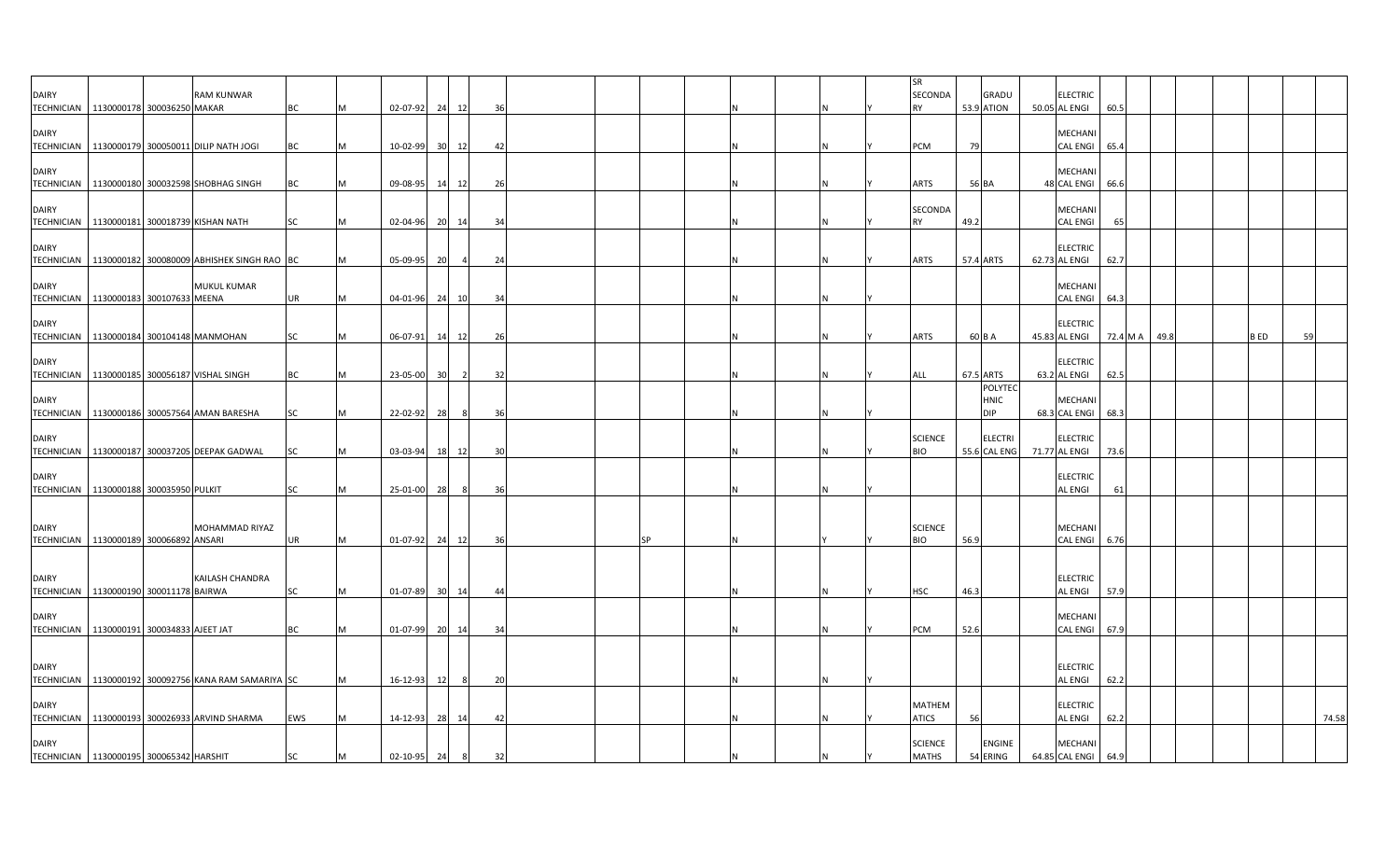| DAIRY                                                    |                             | <b>RAM KUNWAR</b>                                      |            |   |                |    |                |                |    |  |  | <b>SR</b><br><b>SECONDA</b>    | <b>GRADU</b>                         | <b>ELECTRIC</b>                           |      |      |             |       |
|----------------------------------------------------------|-----------------------------|--------------------------------------------------------|------------|---|----------------|----|----------------|----------------|----|--|--|--------------------------------|--------------------------------------|-------------------------------------------|------|------|-------------|-------|
| TECHNICIAN 1130000178 300036250 MAKAR                    |                             |                                                        | <b>BC</b>  | M | 02-07-92 24 12 |    |                | 36             |    |  |  | <b>RY</b>                      | <b>53.9 ATION</b>                    | 50.05 AL ENGI                             | 60.5 |      |             |       |
| <b>DAIRY</b>                                             |                             | TECHNICIAN   1130000179 300050011 DILIP NATH JOGI      | <b>BC</b>  |   | 10-02-99       | 30 | 12             | 42             |    |  |  | <b>PCM</b>                     | 79                                   | MECHANI<br><b>CAL ENGI</b>                | 65.4 |      |             |       |
| <b>DAIRY</b>                                             |                             |                                                        |            |   |                |    |                |                |    |  |  |                                |                                      | <b>MECHANI</b>                            |      |      |             |       |
|                                                          |                             | TECHNICIAN 1130000180 300032598 SHOBHAG SINGH          | BC         | M | 09-08-95       | 14 | 12             | 26             |    |  |  | ARTS                           | 56 BA                                | 48 CAL ENGI                               | 66.6 |      |             |       |
| <b>DAIRY</b>                                             |                             | TECHNICIAN   1130000181 300018739 KISHAN NATH          | SC         | M | 02-04-96 20 14 |    |                | 34             |    |  |  | SECONDA<br><b>RY</b>           | 49.2                                 | <b>MECHANI</b><br><b>CAL ENGI</b>         | 65   |      |             |       |
| <b>DAIRY</b><br>TECHNICIAN                               |                             | 1130000182 300080009 ABHISHEK SINGH RAO BC             |            | M | 05-09-95       | 20 | $\overline{4}$ | 24             |    |  |  | <b>ARTS</b>                    | 57.4 ARTS                            | <b>ELECTRIC</b><br>62.73 AL ENGI          | 62.7 |      |             |       |
| <b>DAIRY</b><br>TECHNICIAN   1130000183 300107633 MEENA  |                             | <b>MUKUL KUMAR</b>                                     | UR         | M | 04-01-96 24 10 |    |                | 34             |    |  |  |                                |                                      | <b>MECHANI</b><br>CAL ENGI 64.3           |      |      |             |       |
| <b>DAIRY</b><br>TECHNICIAN 1130000184 300104148 MANMOHAN |                             |                                                        | SC         | M | 06-07-91 14 12 |    |                | 26             |    |  |  | <b>ARTS</b>                    | 60 B A                               | <b>ELECTRIC</b><br>45.83 AL ENGI 72.4 M A |      | 49.8 | <b>B</b> ED | 59    |
| <b>DAIRY</b>                                             |                             |                                                        |            |   |                |    |                |                |    |  |  |                                |                                      | <b>ELECTRIC</b>                           |      |      |             |       |
|                                                          |                             | TECHNICIAN   1130000185 300056187 VISHAL SINGH         | <b>BC</b>  | M | 23-05-00       | 30 |                | 32             |    |  |  | ALL                            | 67.5 ARTS                            | 63.2 AL ENGI                              | 62.5 |      |             |       |
| <b>DAIRY</b>                                             |                             | TECHNICIAN 1130000186 300057564 AMAN BARESHA           | <b>SC</b>  | M | 22-02-92       | 28 |                | 36             |    |  |  |                                | <b>POLYTEC</b><br>HNIC<br><b>DIP</b> | MECHANI<br>68.3 CAL ENGI 68.3             |      |      |             |       |
| <b>DAIRY</b><br><b>TECHNICIAN</b>                        |                             | 1130000187 300037205 DEEPAK GADWAL                     | SC         | M | 03-03-94       | 18 | 12             | 3 <sup>0</sup> |    |  |  | <b>SCIENCE</b><br><b>BIO</b>   | <b>ELECTRI</b><br>55.6 CAL ENG       | <b>ELECTRIC</b><br>71.77 AL ENGI          | 73.6 |      |             |       |
| <b>DAIRY</b><br><b>TECHNICIAN</b>                        |                             |                                                        | <b>SC</b>  | M | 25-01-00       |    |                | 36             |    |  |  |                                |                                      | <b>ELECTRIC</b><br>AL ENGI                | 61   |      |             |       |
|                                                          | 1130000188 300035950 PULKIT |                                                        |            |   |                | 28 |                |                |    |  |  |                                |                                      |                                           |      |      |             |       |
| <b>DAIRY</b><br>TECHNICIAN 1130000189 300066892 ANSARI   |                             | MOHAMMAD RIYAZ                                         | <b>UR</b>  | M | 01-07-92 24 12 |    |                | 36             | SP |  |  | <b>SCIENCE</b><br><b>BIO</b>   | 56.9                                 | MECHANI<br>CAL ENGI 6.76                  |      |      |             |       |
| <b>DAIRY</b><br>TECHNICIAN   1130000190 300011178 BAIRWA |                             | KAILASH CHANDRA                                        | <b>SC</b>  | M | 01-07-89       |    | 30 14          | 44             |    |  |  | HSC                            | 46.3                                 | <b>ELECTRIC</b><br>AL ENGI                | 57.9 |      |             |       |
| <b>DAIRY</b>                                             |                             |                                                        |            |   |                |    |                |                |    |  |  |                                |                                      | <b>MECHANI</b>                            |      |      |             |       |
| TECHNICIAN 1130000191 300034833 AJEET JAT                |                             |                                                        | <b>BC</b>  | M | 01-07-99 20 14 |    |                | 34             |    |  |  | PCM                            | 52.6                                 | CAL ENGI 67.9                             |      |      |             |       |
| <b>DAIRY</b>                                             |                             | TECHNICIAN   1130000192 300092756 KANA RAM SAMARIYA SC |            | M | $16 - 12 - 93$ | 12 | 8              | 20             |    |  |  |                                |                                      | <b>ELECTRIC</b><br><b>AL ENGI</b>         | 62.2 |      |             |       |
| <b>DAIRY</b>                                             |                             | TECHNICIAN 1130000193 300026933 ARVIND SHARMA          | <b>EWS</b> | M | 14-12-93       | 28 | 14             | 42             |    |  |  | <b>MATHEM</b><br><b>ATICS</b>  | 56                                   | <b>ELECTRIC</b><br><b>AL ENGI</b>         | 62.2 |      |             | 74.58 |
| <b>DAIRY</b><br>TECHNICIAN 1130000195 300065342 HARSHIT  |                             |                                                        | <b>SC</b>  | M | 02-10-95 24    |    | 8              | 32             |    |  |  | <b>SCIENCE</b><br><b>MATHS</b> | <b>ENGINE</b><br>54 ERING            | MECHANI<br>64.85 CAL ENGI 64.9            |      |      |             |       |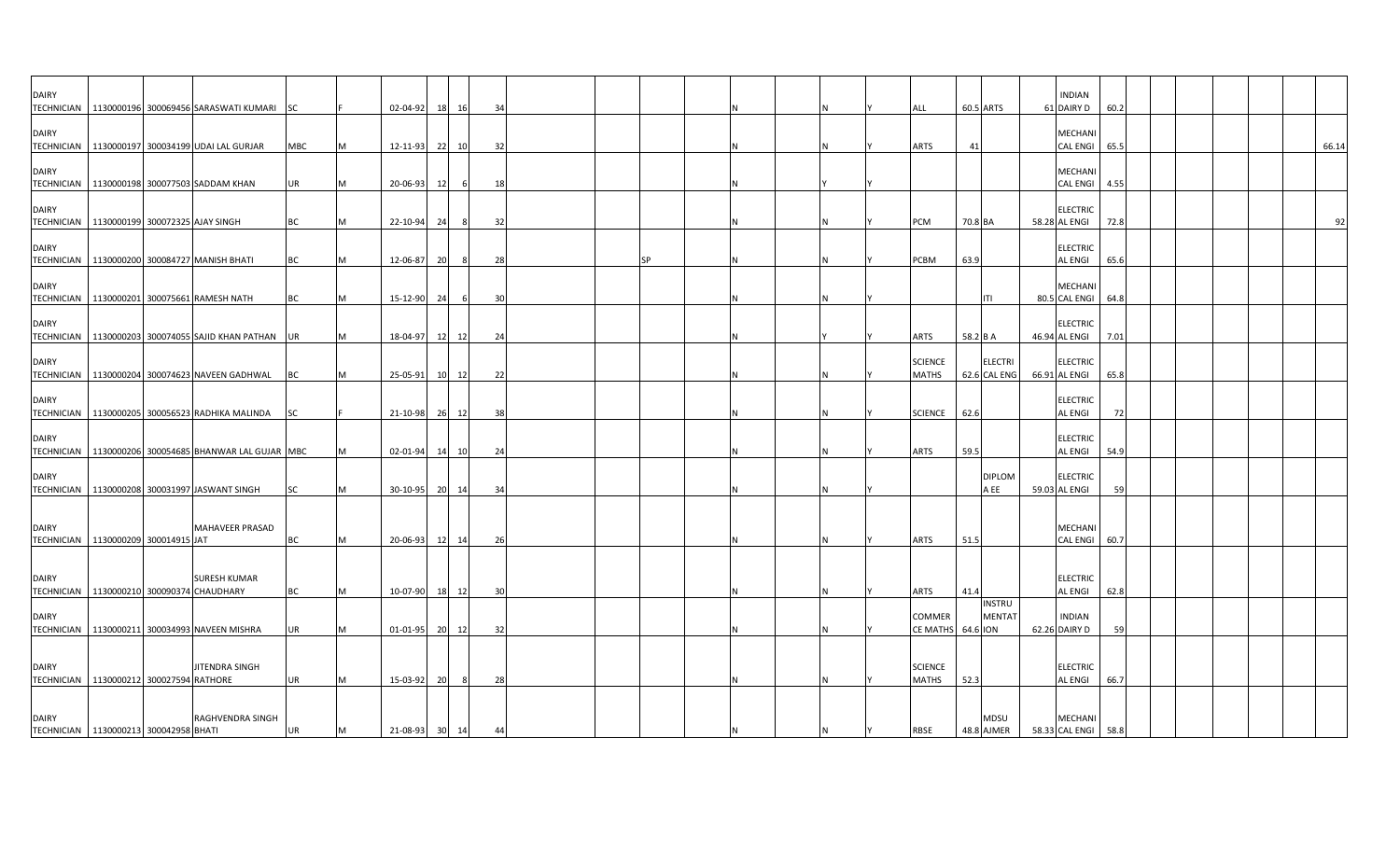| <b>DAIRY</b>                                                 |  |                                                        |           |   |                |           |       |    |  |           |  |          |                         |                                | <b>INDIAN</b>                     |      |  |  |       |
|--------------------------------------------------------------|--|--------------------------------------------------------|-----------|---|----------------|-----------|-------|----|--|-----------|--|----------|-------------------------|--------------------------------|-----------------------------------|------|--|--|-------|
|                                                              |  | TECHNICIAN   1130000196 300069456 SARASWATI KUMARI     | <b>SC</b> |   | 02-04-92       | 18        | 16    | 34 |  |           |  |          | ALL                     | 60.5 ARTS                      | 61 DAIRY D                        | 60.2 |  |  |       |
| <b>DAIRY</b>                                                 |  |                                                        |           |   |                |           |       |    |  |           |  |          |                         |                                | MECHANI                           |      |  |  |       |
|                                                              |  | TECHNICIAN 1130000197 300034199 UDAI LAL GURJAR        | MBC       |   | 12-11-93       | 22        | 10    | 32 |  |           |  | N        | <b>ARTS</b>             | 41                             | CAL ENGI                          | 65.5 |  |  | 66.14 |
| <b>DAIRY</b>                                                 |  | TECHNICIAN 1130000198 300077503 SADDAM KHAN            | UR        |   | 20-06-93       | 12        | 6     | 18 |  |           |  |          |                         |                                | <b>MECHANI</b><br>CAL ENGI        | 4.55 |  |  |       |
|                                                              |  |                                                        |           |   |                |           |       |    |  |           |  |          |                         |                                |                                   |      |  |  |       |
| <b>DAIRY</b><br>TECHNICIAN   1130000199 300072325 AJAY SINGH |  |                                                        | <b>BC</b> | M | 22-10-94       | 24        | 8     | 32 |  |           |  |          | PCM                     | 70.8 BA                        | <b>ELECTRIC</b><br>58.28 AL ENGI  | 72.8 |  |  | 92    |
| <b>DAIRY</b>                                                 |  |                                                        |           |   |                |           |       |    |  |           |  |          |                         |                                | <b>ELECTRIC</b>                   |      |  |  |       |
|                                                              |  | TECHNICIAN   1130000200 300084727 MANISH BHATI         | <b>BC</b> |   | 12-06-87       | <b>20</b> | - 8   | 28 |  | <b>SP</b> |  |          | <b>PCBM</b>             | 63.9                           | AL ENGI                           | 65.6 |  |  |       |
| <b>DAIRY</b>                                                 |  |                                                        |           |   |                |           |       |    |  |           |  |          |                         |                                | MECHANI                           |      |  |  |       |
| <b>TECHNICIAN</b>                                            |  | 1130000201 300075661 RAMESH NATH                       | BC        |   | 15-12-90       | 24        | 6     | 30 |  |           |  |          |                         | ITI                            | 80.5 CAL ENGI                     | 64.8 |  |  |       |
| <b>DAIRY</b>                                                 |  | TECHNICIAN   1130000203 300074055 SAJID KHAN PATHAN UR |           |   | 18-04-97       | 12        | 12    | 24 |  |           |  |          | <b>ARTS</b>             | 58.2 B A                       | <b>ELECTRIC</b><br>46.94 AL ENGI  | 7.01 |  |  |       |
|                                                              |  |                                                        |           |   |                |           |       |    |  |           |  |          |                         |                                |                                   |      |  |  |       |
| <b>DAIRY</b>                                                 |  | TECHNICIAN   1130000204 300074623 NAVEEN GADHWAL       | <b>BC</b> |   | 25-05-91       | 10        | 12    | 22 |  |           |  |          | <b>SCIENCE</b><br>MATHS | <b>ELECTRI</b><br>62.6 CAL ENG | <b>ELECTRIC</b><br>66.91 AL ENGI  | 65.8 |  |  |       |
| <b>DAIRY</b>                                                 |  |                                                        |           |   |                |           |       |    |  |           |  |          |                         |                                |                                   |      |  |  |       |
|                                                              |  | TECHNICIAN 1130000205 300056523 RADHIKA MALINDA        | <b>SC</b> |   | 21-10-98 26    |           | 12    | 38 |  |           |  | IN.      | <b>SCIENCE</b>          | 62.6                           | <b>ELECTRIC</b><br>AL ENGI        | 72   |  |  |       |
|                                                              |  |                                                        |           |   |                |           |       |    |  |           |  |          |                         |                                |                                   |      |  |  |       |
| <b>DAIRY</b>                                                 |  | TECHNICIAN 1130000206 300054685 BHANWAR LAL GUJAR MBC  |           |   | 02-01-94       | 14        | 10    | 24 |  |           |  | IN.      | ARTS                    | 59.5                           | <b>ELECTRIC</b><br><b>AL ENGI</b> | 54.9 |  |  |       |
|                                                              |  |                                                        |           |   |                |           |       |    |  |           |  |          |                         |                                |                                   |      |  |  |       |
| <b>DAIRY</b>                                                 |  |                                                        |           |   |                |           |       |    |  |           |  |          |                         | <b>DIPLOM</b>                  | <b>ELECTRIC</b>                   |      |  |  |       |
|                                                              |  | TECHNICIAN 1130000208 300031997 JASWANT SINGH          | SC        |   | 30-10-95 20 14 |           |       | 34 |  |           |  |          |                         | A EE                           | 59.03 AL ENGI                     | 59   |  |  |       |
|                                                              |  |                                                        |           |   |                |           |       |    |  |           |  |          |                         |                                |                                   |      |  |  |       |
| <b>DAIRY</b>                                                 |  | MAHAVEER PRASAD                                        |           |   |                |           |       |    |  |           |  |          |                         |                                | MECHANI                           |      |  |  |       |
| TECHNICIAN 1130000209 300014915 JAT                          |  |                                                        | <b>BC</b> |   | 20-06-93       | 12        | 14    | 26 |  |           |  | <b>N</b> | <b>ARTS</b>             | 51.5                           | CAL ENGI                          | 60.7 |  |  |       |
|                                                              |  |                                                        |           |   |                |           |       |    |  |           |  |          |                         |                                |                                   |      |  |  |       |
| <b>DAIRY</b>                                                 |  | <b>SURESH KUMAR</b>                                    |           |   |                |           |       |    |  |           |  |          |                         |                                | <b>ELECTRIC</b>                   |      |  |  |       |
| TECHNICIAN 1130000210 300090374 CHAUDHARY                    |  |                                                        | <b>BC</b> | M | 10-07-90 18 12 |           |       | 30 |  |           |  | IN.      | <b>ARTS</b>             | 41.4                           | <b>AL ENGI</b>                    | 62.8 |  |  |       |
| <b>DAIRY</b>                                                 |  |                                                        |           |   |                |           |       |    |  |           |  |          | <b>COMMER</b>           | <b>INSTRU</b><br><b>MENTAT</b> | <b>INDIAN</b>                     |      |  |  |       |
|                                                              |  | TECHNICIAN   1130000211 300034993 NAVEEN MISHRA        | <b>UR</b> |   | 01-01-95       |           | 20 12 | 32 |  |           |  | IN.      | CE MATHS 64.6 ION       |                                | 62.26 DAIRY D                     | 59   |  |  |       |
|                                                              |  |                                                        |           |   |                |           |       |    |  |           |  |          |                         |                                |                                   |      |  |  |       |
| <b>DAIRY</b>                                                 |  | JITENDRA SINGH                                         |           |   |                |           |       |    |  |           |  |          | <b>SCIENCE</b>          |                                | <b>ELECTRIC</b>                   |      |  |  |       |
| TECHNICIAN 1130000212 300027594 RATHORE                      |  |                                                        | UR        | M | 15-03-92       | 20        | 8     | 28 |  |           |  | IN.      | <b>MATHS</b>            | 52.3                           | AL ENGI                           | 66.7 |  |  |       |
|                                                              |  |                                                        |           |   |                |           |       |    |  |           |  |          |                         |                                |                                   |      |  |  |       |
|                                                              |  |                                                        |           |   |                |           |       |    |  |           |  |          |                         |                                |                                   |      |  |  |       |
| <b>DAIRY</b><br>TECHNICIAN 1130000213 300042958 BHATI        |  | RAGHVENDRA SINGH                                       | UR        | M | 21-08-93 30 14 |           |       | 44 |  |           |  | <b>N</b> | <b>RBSE</b>             | MDSU<br>48.8 AJMER             | MECHANI<br>58.33 CAL ENGI 58.8    |      |  |  |       |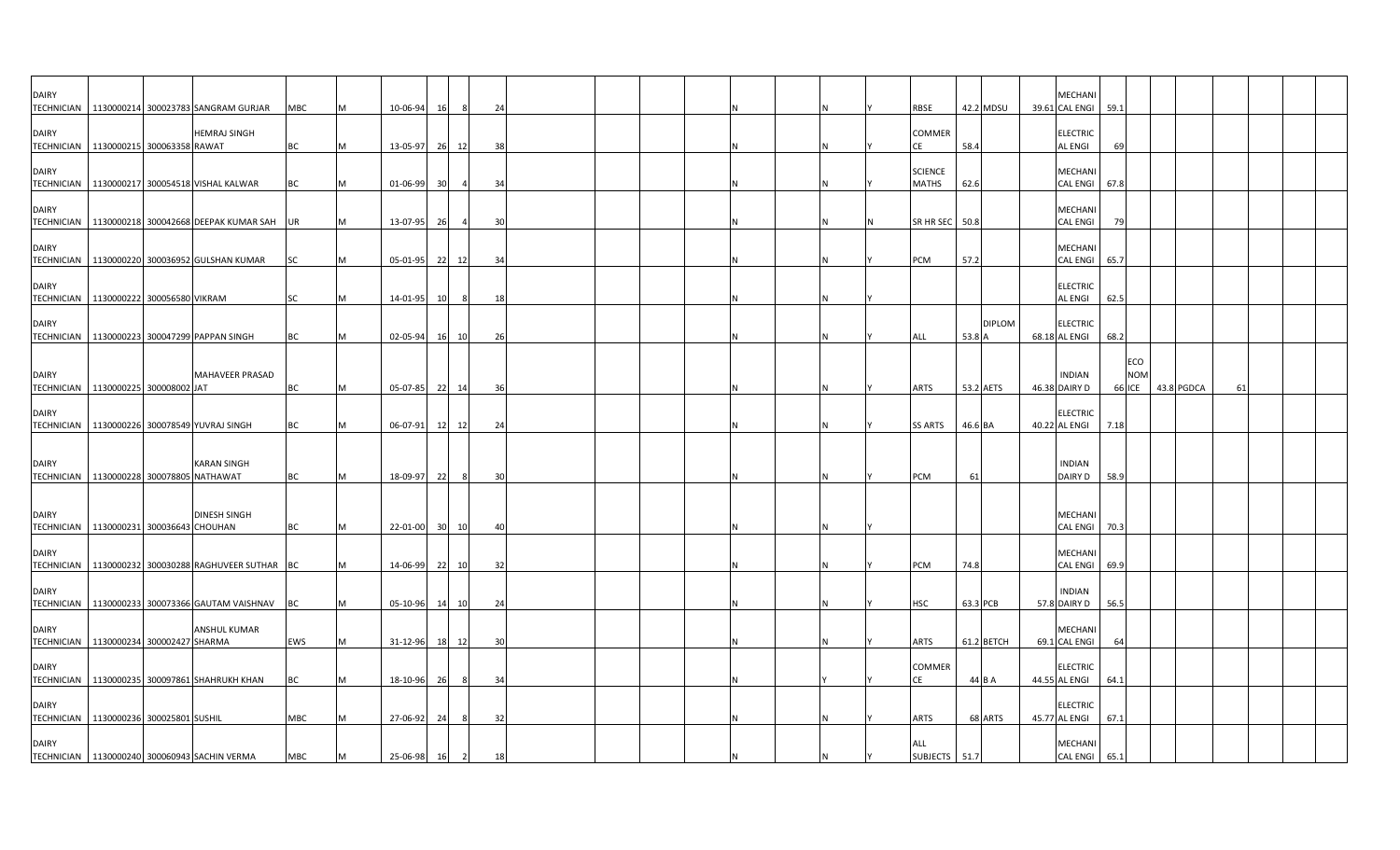| <b>DAIRY</b>                      | TECHNICIAN   1130000214 300023783 SANGRAM GURJAR                                              | MBC        | M | 10-06-94             | 16          | -8             | 24             |  |  |  |  | <b>RBSE</b>                    | 42.2 MDSU        |               | MECHAN<br>39.61 CAL ENGI 59.1                    |              |                   |            |    |  |
|-----------------------------------|-----------------------------------------------------------------------------------------------|------------|---|----------------------|-------------|----------------|----------------|--|--|--|--|--------------------------------|------------------|---------------|--------------------------------------------------|--------------|-------------------|------------|----|--|
| <b>DAIRY</b>                      | <b>HEMRAJ SINGH</b><br>TECHNICIAN   1130000215 300063358 RAWAT                                | BC         |   | 13-05-97             | 26          | 12             | 38             |  |  |  |  | COMMER<br>СE                   | 58.4             |               | <b>ELECTRIC</b><br><b>AL ENGI</b>                | 69           |                   |            |    |  |
| <b>DAIRY</b>                      | TECHNICIAN 1130000217 300054518 VISHAL KALWAR                                                 | BC         |   | 01-06-99             | 30          |                | 34             |  |  |  |  | <b>SCIENCE</b><br><b>MATHS</b> | 62.6             |               | <b>MECHANI</b><br><b>CAL ENGI</b>                | 67.8         |                   |            |    |  |
| <b>DAIRY</b>                      | TECHNICIAN 1130000218 300042668 DEEPAK KUMAR SAH                                              | UR         |   | 13-07-95             | 26          |                | $\overline{3}$ |  |  |  |  | SR HR SEC                      | 50.8             |               | MECHANI<br><b>CAL ENGI</b>                       |              |                   |            |    |  |
| <b>DAIRY</b>                      | TECHNICIAN 1130000220 300036952 GULSHAN KUMAR                                                 | <b>SC</b>  |   | 05-01-95             | 22          | 12             | 34             |  |  |  |  | PCM                            | 57.2             |               | MECHANI<br><b>CAL ENGI</b>                       | 65.7         |                   |            |    |  |
| <b>DAIRY</b>                      | TECHNICIAN 1130000222 300056580 VIKRAM                                                        | SC         | M | 14-01-95 10          |             | 8              | 18             |  |  |  |  |                                |                  |               | <b>ELECTRIC</b><br><b>AL ENGI</b>                | 62.5         |                   |            |    |  |
| <b>DAIRY</b>                      | TECHNICIAN   1130000223 300047299 PAPPAN SINGH                                                | BC         |   | 02-05-94             | 16 10       |                | 26             |  |  |  |  | ALL                            | 53.8             | <b>DIPLOM</b> | <b>ELECTRIC</b><br>68.18 AL ENGI                 | 68.2         |                   |            |    |  |
| <b>DAIRY</b>                      | <b>MAHAVEER PRASAD</b>                                                                        |            |   |                      |             |                |                |  |  |  |  |                                |                  |               | <b>INDIAN</b>                                    |              | ECO<br><b>NOM</b> |            |    |  |
| <b>DAIRY</b>                      | TECHNICIAN 1130000225 300008002 JAT                                                           | BC         | M | 05-07-85 22 14       |             |                | 36             |  |  |  |  | <b>ARTS</b>                    | 53.2 AETS        |               | 46.38 DAIRY D<br><b>ELECTRIC</b>                 |              | <b>66 ICE</b>     | 43.8 PGDCA | 61 |  |
|                                   | TECHNICIAN   1130000226 300078549 YUVRAJ SINGH                                                | BC         |   | 06-07-91             | 12          | 12             | 24             |  |  |  |  | <b>SS ARTS</b>                 | 46.6 BA          |               | 40.22 AL ENGI                                    | 7.18         |                   |            |    |  |
| <b>DAIRY</b>                      | <b>KARAN SINGH</b><br>TECHNICIAN 1130000228 300078805 NATHAWAT                                | <b>BC</b>  | M | 18-09-97             | 22          | - 8            | 30             |  |  |  |  | <b>PCM</b>                     | 61               |               | <b>INDIAN</b><br><b>DAIRY D</b>                  | 58.9         |                   |            |    |  |
| <b>DAIRY</b>                      | <b>DINESH SINGH</b>                                                                           |            |   |                      |             |                |                |  |  |  |  |                                |                  |               | <b>MECHANI</b>                                   |              |                   |            |    |  |
| <b>TECHNICIAN</b><br><b>DAIRY</b> | 1130000231 300036643 CHOUHAN                                                                  | BC         | M | 22-01-00 30          |             | 10             | $\overline{4}$ |  |  |  |  |                                |                  |               | <b>CAL ENGI</b><br><b>MECHANI</b>                | 70.3         |                   |            |    |  |
| <b>TECHNICIAN</b><br><b>DAIRY</b> | 1130000232 300030288 RAGHUVEER SUTHAR BC<br>TECHNICIAN   1130000233 300073366 GAUTAM VAISHNAV | <b>BC</b>  |   | 14-06-99<br>05-10-96 | 22<br>14 10 | 10             | 32<br>24       |  |  |  |  | PCM<br><b>HSC</b>              | 74.8<br>63.3 PCB |               | <b>CAL ENGI</b><br><b>INDIAN</b><br>57.8 DAIRY D | 69.9<br>56.5 |                   |            |    |  |
| <b>DAIRY</b>                      | <b>ANSHUL KUMAR</b><br>TECHNICIAN 1130000234 300002427 SHARMA                                 | EWS        |   | 31-12-96 18 12       |             |                | 30             |  |  |  |  | <b>ARTS</b>                    | 61.2 BETCH       |               | MECHAN<br>69.1 CAL ENGI                          | 64           |                   |            |    |  |
| <b>DAIRY</b>                      | TECHNICIAN   1130000235 300097861 SHAHRUKH KHAN                                               | <b>BC</b>  |   | 18-10-96             | 26          |                | 34             |  |  |  |  | COMMER<br>CE                   | 44 B A           |               | <b>ELECTRIC</b><br>44.55 AL ENGI                 | 64.1         |                   |            |    |  |
| <b>DAIRY</b>                      | TECHNICIAN 1130000236 300025801 SUSHIL                                                        | <b>MBC</b> |   | 27-06-92             | 24          | -8             | 32             |  |  |  |  | <b>ARTS</b>                    | 68 ARTS          |               | <b>ELECTRIC</b><br>45.77 AL ENGI                 | 67.1         |                   |            |    |  |
| <b>DAIRY</b>                      | TECHNICIAN 1130000240 300060943 SACHIN VERMA                                                  | <b>MBC</b> |   | 25-06-98             | 16          | $\overline{2}$ | 18             |  |  |  |  | ALL<br>SUBJECTS 51.7           |                  |               | MECHANI<br>CAL ENGI 65.1                         |              |                   |            |    |  |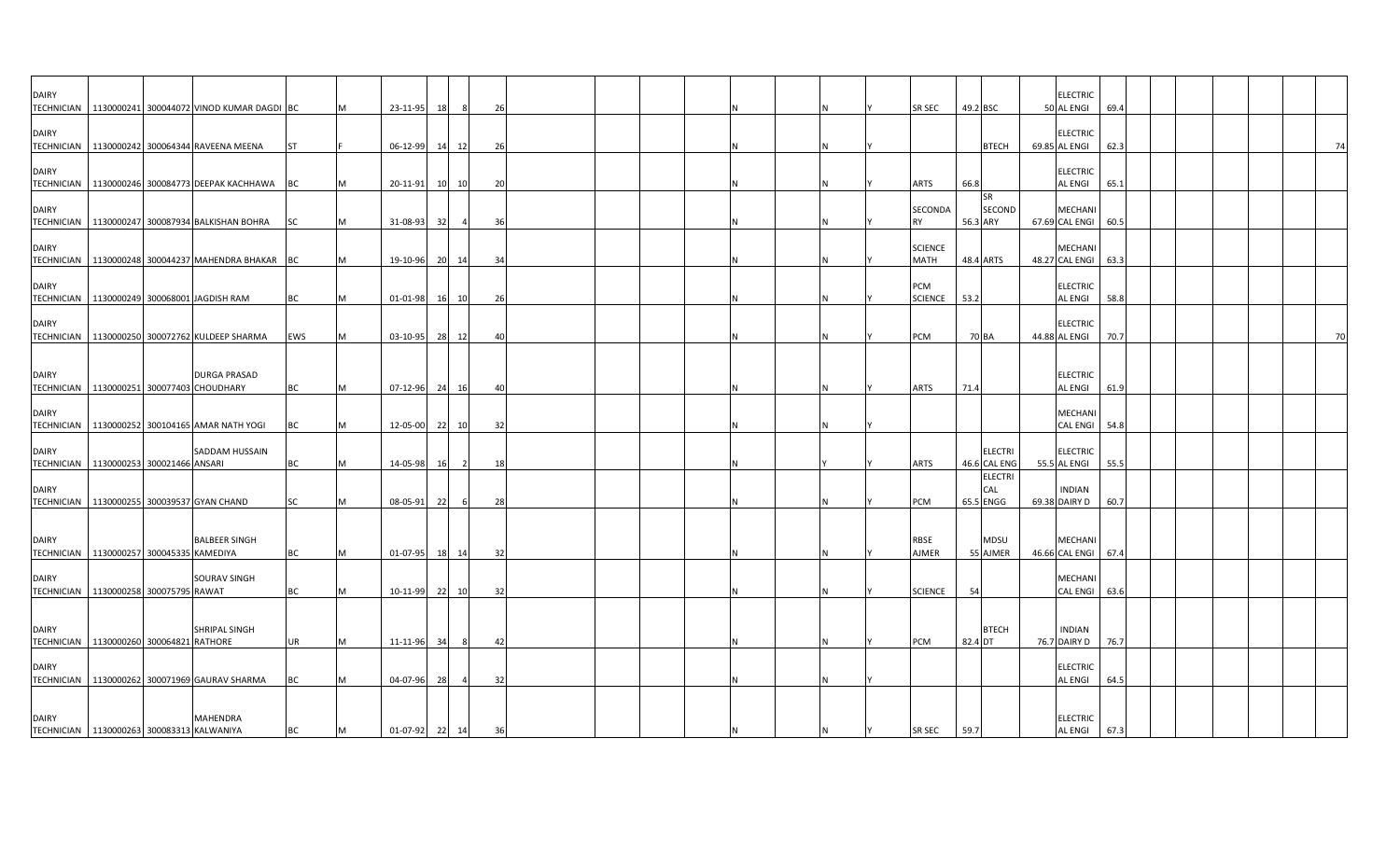| <b>DAIRY</b>                               |  |                                                        |           |          |                |    |                |     |  |  |  |    |          |                |          |                | <b>ELECTRIC</b> |      |  |    |
|--------------------------------------------|--|--------------------------------------------------------|-----------|----------|----------------|----|----------------|-----|--|--|--|----|----------|----------------|----------|----------------|-----------------|------|--|----|
|                                            |  | TECHNICIAN   1130000241 300044072 VINOD KUMAR DAGDI BC |           |          | 23-11-95       | 18 | - 8            | 26  |  |  |  |    |          | SR SEC         | 49.2 BSC |                | 50 AL ENGI      | 69.4 |  |    |
| <b>DAIRY</b>                               |  |                                                        |           |          |                |    |                |     |  |  |  |    |          |                |          |                | <b>ELECTRIC</b> |      |  |    |
|                                            |  | TECHNICIAN 1130000242 300064344 RAVEENA MEENA          | <b>ST</b> |          | 06-12-99 14    |    | 12             | -26 |  |  |  |    |          |                |          | <b>BTECH</b>   | 69.85 AL ENGI   | 62.3 |  | 74 |
| <b>DAIRY</b>                               |  |                                                        |           |          |                |    |                |     |  |  |  |    |          |                |          |                | <b>ELECTRIC</b> |      |  |    |
|                                            |  | TECHNICIAN 1130000246 300084773 DEEPAK KACHHAWA        | BC        |          | 20-11-91       |    | 10 10          | 20  |  |  |  |    |          | ARTS           | 66.8     |                | AL ENGI         | 65.1 |  |    |
|                                            |  |                                                        |           |          |                |    |                |     |  |  |  |    |          |                |          | <b>SR</b>      |                 |      |  |    |
| <b>DAIRY</b>                               |  |                                                        |           |          |                |    |                |     |  |  |  |    |          | SECONDA        |          | SECOND         | <b>MECHANI</b>  |      |  |    |
|                                            |  | TECHNICIAN 1130000247 300087934 BALKISHAN BOHRA        | <b>SC</b> | M        | 31-08-93       | 32 | $\overline{a}$ | 36  |  |  |  |    |          | <b>RY</b>      | 56.3 ARY |                | 67.69 CAL ENGI  | 60.5 |  |    |
| <b>DAIRY</b>                               |  |                                                        |           |          |                |    |                |     |  |  |  |    |          | <b>SCIENCE</b> |          |                | MECHANI         |      |  |    |
|                                            |  | TECHNICIAN   1130000248 300044237 MAHENDRA BHAKAR BC   |           | M        | 19-10-96 20 14 |    |                | 34  |  |  |  |    |          | MATH           |          | 48.4 ARTS      | 48.27 CAL ENGI  | 63.3 |  |    |
|                                            |  |                                                        |           |          |                |    |                |     |  |  |  |    |          |                |          |                |                 |      |  |    |
| <b>DAIRY</b>                               |  |                                                        |           |          |                |    |                |     |  |  |  |    |          | PCM            |          |                | <b>ELECTRIC</b> |      |  |    |
|                                            |  | TECHNICIAN 1130000249 300068001 JAGDISH RAM            | ВC        | M        | 01-01-98 16 10 |    |                | 26  |  |  |  |    |          | <b>SCIENCE</b> | 53.2     |                | AL ENGI         | 58.8 |  |    |
| <b>DAIRY</b>                               |  |                                                        |           |          |                |    |                |     |  |  |  |    |          |                |          |                | <b>ELECTRIC</b> |      |  |    |
|                                            |  | TECHNICIAN 1130000250 300072762 KULDEEP SHARMA         | EWS       | M        | 03-10-95       |    | 28 12          | 40  |  |  |  |    |          | <b>PCM</b>     | 70 BA    |                | 44.88 AL ENGI   | 70.7 |  | 70 |
|                                            |  |                                                        |           |          |                |    |                |     |  |  |  |    |          |                |          |                |                 |      |  |    |
| <b>DAIRY</b>                               |  | <b>DURGA PRASAD</b>                                    |           |          |                |    |                |     |  |  |  |    |          |                |          |                | <b>ELECTRIC</b> |      |  |    |
|                                            |  | TECHNICIAN 1130000251 300077403 CHOUDHARY              | BC        |          | 07-12-96 24    |    | 16             | 40  |  |  |  |    |          | <b>ARTS</b>    | 71.4     |                | AL ENGI         | 61.9 |  |    |
|                                            |  |                                                        |           |          |                |    |                |     |  |  |  |    |          |                |          |                |                 |      |  |    |
| <b>DAIRY</b>                               |  |                                                        |           |          |                |    |                |     |  |  |  |    |          |                |          |                | MECHANI         |      |  |    |
|                                            |  | TECHNICIAN   1130000252 300104165 AMAR NATH YOGI       | BC        |          | 12-05-00       | 22 | 10             | 32  |  |  |  |    |          |                |          |                | <b>CAL ENGI</b> | 54.8 |  |    |
| <b>DAIRY</b>                               |  | SADDAM HUSSAIN                                         |           |          |                |    |                |     |  |  |  |    |          |                |          | <b>ELECTRI</b> | <b>ELECTRIC</b> |      |  |    |
| TECHNICIAN   1130000253 300021466 ANSARI   |  |                                                        | BC        | M        | 14-05-98       | 16 | $\overline{2}$ | 18  |  |  |  |    |          | ARTS           |          | 46.6 CAL ENG   | 55.5 AL ENGI    | 55.5 |  |    |
|                                            |  |                                                        |           |          |                |    |                |     |  |  |  |    |          |                |          | <b>ELECTRI</b> |                 |      |  |    |
| <b>DAIRY</b>                               |  |                                                        |           |          |                |    |                |     |  |  |  |    |          |                |          | CAL            | <b>INDIAN</b>   |      |  |    |
|                                            |  | TECHNICIAN 1130000255 300039537 GYAN CHAND             | SC        |          | 08-05-91       | 22 | 6              | 28  |  |  |  |    |          | PCM            |          | 65.5 ENGG      | 69.38 DAIRY D   | 60.7 |  |    |
|                                            |  |                                                        |           |          |                |    |                |     |  |  |  |    |          |                |          |                |                 |      |  |    |
| <b>DAIRY</b>                               |  | <b>BALBEER SINGH</b>                                   |           |          |                |    |                |     |  |  |  |    |          | RBSE           |          | <b>MDSU</b>    | <b>MECHANI</b>  |      |  |    |
| TECHNICIAN   1130000257 300045335 KAMEDIYA |  |                                                        | <b>BC</b> | IM.      | 01-07-95 18 14 |    |                | 32  |  |  |  | ΙN |          | <b>AJMER</b>   |          | 55 AJMER       | 46.66 CAL ENGI  | 67.4 |  |    |
| <b>DAIRY</b>                               |  | SOURAV SINGH                                           |           |          |                |    |                |     |  |  |  |    |          |                |          |                | <b>MECHANI</b>  |      |  |    |
| TECHNICIAN   1130000258 300075795 RAWAT    |  |                                                        | <b>BC</b> |          | 10-11-99 22 10 |    |                | 32  |  |  |  |    |          | <b>SCIENCE</b> | 54       |                | CAL ENGI 63.6   |      |  |    |
|                                            |  |                                                        |           |          |                |    |                |     |  |  |  |    |          |                |          |                |                 |      |  |    |
|                                            |  |                                                        |           |          |                |    |                |     |  |  |  |    |          |                |          |                |                 |      |  |    |
| <b>DAIRY</b>                               |  | SHRIPAL SINGH                                          | <b>UR</b> |          |                |    |                |     |  |  |  | IN |          |                |          | <b>BTECH</b>   | <b>INDIAN</b>   |      |  |    |
| TECHNICIAN 1130000260 300064821 RATHORE    |  |                                                        |           | <b>M</b> | 11-11-96       | 34 | 8              | 42  |  |  |  |    |          | PCM            | 82.4 DT  |                | 76.7 DAIRY D    | 76.7 |  |    |
| <b>DAIRY</b>                               |  |                                                        |           |          |                |    |                |     |  |  |  |    |          |                |          |                | <b>ELECTRIC</b> |      |  |    |
|                                            |  | TECHNICIAN   1130000262 300071969 GAURAV SHARMA        | ВC        |          | 04-07-96 28    |    | $\overline{4}$ | 32  |  |  |  |    |          |                |          |                | AL ENGI         | 64.5 |  |    |
|                                            |  |                                                        |           |          |                |    |                |     |  |  |  |    |          |                |          |                |                 |      |  |    |
| <b>DAIRY</b>                               |  | MAHENDRA                                               |           |          |                |    |                |     |  |  |  |    |          |                |          |                | <b>ELECTRIC</b> |      |  |    |
| TECHNICIAN 1130000263 300083313 KALWANIYA  |  |                                                        | <b>BC</b> | M        | 01-07-92 22 14 |    |                | 36  |  |  |  | N. | <b>Y</b> | <b>SR SEC</b>  | 59.7     |                | <b>AL ENGI</b>  | 67.3 |  |    |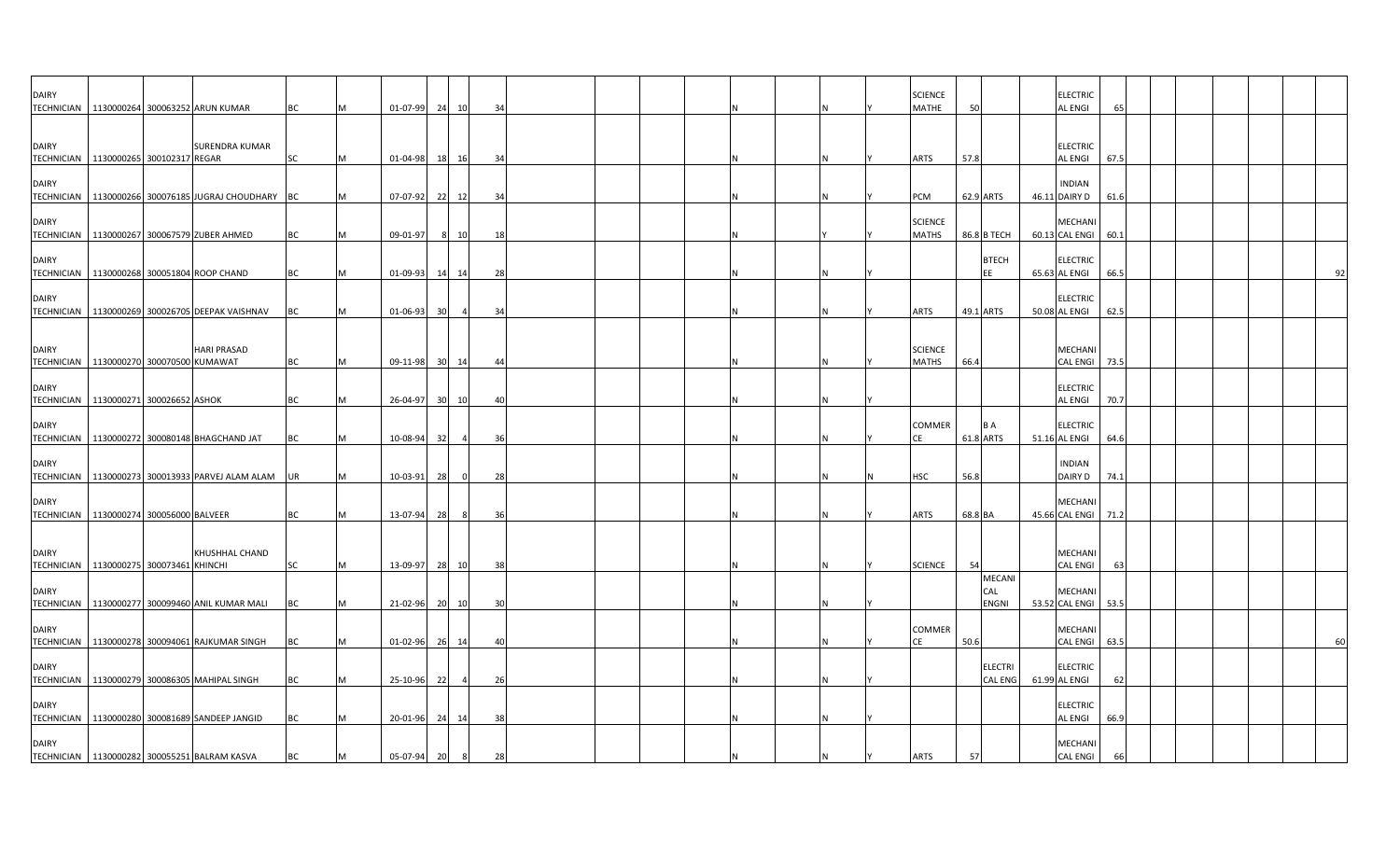| <b>DAIRY</b>                      | TECHNICIAN   1130000264 300063252 ARUN KUMAR       |                       | BC        |   | 01-07-99       | 24              | 10       | 34 |  |  |   | <b>SCIENCE</b><br><b>MATHE</b> | 50        |                                      | <b>ELECTRIC</b><br><b>AL ENGI</b> | 65   |  |  |    |
|-----------------------------------|----------------------------------------------------|-----------------------|-----------|---|----------------|-----------------|----------|----|--|--|---|--------------------------------|-----------|--------------------------------------|-----------------------------------|------|--|--|----|
| <b>DAIRY</b><br><b>TECHNICIAN</b> | 1130000265 300102317 REGAR                         | <b>SURENDRA KUMAR</b> | SC        | М | 01-04-98       | 18              | 16       | 34 |  |  | Ν | ARTS                           | 57.8      |                                      | <b>ELECTRIC</b><br>AL ENGI        | 67.5 |  |  |    |
| <b>DAIRY</b><br><b>TECHNICIAN</b> | 1130000266 300076185 JUGRAJ CHOUDHARY BC           |                       |           |   | 07-07-92       | 22              | 12       | 34 |  |  |   | PCM                            | 62.9 ARTS |                                      | <b>INDIAN</b><br>46.11 DAIRY D    | 61.6 |  |  |    |
| <b>DAIRY</b>                      | TECHNICIAN 1130000267 300067579 ZUBER AHMED        |                       | BC        |   | 09-01-97       | 8               | 10       | 18 |  |  |   | <b>SCIENCE</b><br><b>MATHS</b> |           | 86.8 B TECH                          | MECHANI<br>60.13 CAL ENGI 60.1    |      |  |  |    |
| <b>DAIRY</b>                      | TECHNICIAN 1130000268 300051804 ROOP CHAND         |                       | BC        |   | 01-09-93       | 14              | 14       | 28 |  |  | Ν |                                |           | <b>BTECH</b><br>EE                   | <b>ELECTRIC</b><br>65.63 AL ENGI  | 66.5 |  |  | 92 |
| <b>DAIRY</b>                      | TECHNICIAN 1130000269 300026705 DEEPAK VAISHNAV    |                       | BC        |   | 01-06-93       | 30              |          | 34 |  |  |   | <b>ARTS</b>                    | 49.1 ARTS |                                      | <b>ELECTRIC</b><br>50.08 AL ENGI  | 62.5 |  |  |    |
| <b>DAIRY</b><br><b>TECHNICIAN</b> | 1130000270 300070500 KUMAWAT                       | <b>HARI PRASAD</b>    | BC        |   | 09-11-98 30 14 |                 |          | 44 |  |  |   | <b>SCIENCE</b><br><b>MATHS</b> | 66.4      |                                      | <b>MECHANI</b><br>CAL ENGI        | 73.5 |  |  |    |
| <b>DAIRY</b><br><b>TECHNICIAN</b> | 1130000271 300026652 ASHOK                         |                       | BC        |   | 26-04-97       | 30 <sup>1</sup> | 10       | 40 |  |  | N |                                |           |                                      | <b>ELECTRIC</b><br><b>AL ENGI</b> | 70.7 |  |  |    |
| <b>DAIRY</b>                      | TECHNICIAN 1130000272 300080148 BHAGCHAND JAT      |                       | BC        |   | 10-08-94       | -32             |          | 36 |  |  |   | <b>COMMER</b><br>СE            | 61.8 ARTS | B A                                  | <b>ELECTRIC</b><br>51.16 AL ENGI  | 64.6 |  |  |    |
| <b>DAIRY</b>                      | TECHNICIAN   1130000273 300013933 PARVEJ ALAM ALAM |                       | <b>UR</b> |   | 10-03-91       | 28              | $\Omega$ | 28 |  |  |   | <b>HSC</b>                     | 56.8      |                                      | <b>INDIAN</b><br>DAIRY D          | 74.1 |  |  |    |
| <b>DAIRY</b>                      | TECHNICIAN 1130000274 300056000 BALVEER            |                       | BC        |   | 13-07-94       | 28              |          | 36 |  |  |   | <b>ARTS</b>                    | 68.8 BA   |                                      | MECHANI<br>45.66 CAL ENGI         | 71.2 |  |  |    |
| <b>DAIRY</b><br><b>TECHNICIAN</b> | 1130000275 300073461 KHINCHI                       | KHUSHHAL CHAND        | <b>SC</b> |   | 13-09-97       | 28              | 10       | 38 |  |  |   | <b>SCIENCE</b>                 | 54        |                                      | <b>MECHANI</b><br><b>CAL ENGI</b> | 63   |  |  |    |
| <b>DAIRY</b>                      | TECHNICIAN 1130000277 300099460 ANIL KUMAR MALI    |                       | ВC        |   | 21-02-96       |                 | 20 10    | 30 |  |  |   |                                |           | <b>MECANI</b><br>CAL<br><b>ENGNI</b> | MECHANI<br>53.52 CAL ENGI 53.5    |      |  |  |    |
| <b>DAIRY</b>                      | TECHNICIAN   1130000278 300094061 RAJKUMAR SINGH   |                       | BC        |   | 01-02-96       | 26              | 14       | 40 |  |  |   | COMMER<br>CE                   | 50.6      |                                      | <b>MECHANI</b><br>CAL ENGI        | 63.5 |  |  | 60 |
| <b>DAIRY</b>                      | TECHNICIAN 1130000279 300086305 MAHIPAL SINGH      |                       | ВC        |   | 25-10-96       | 22              |          | 26 |  |  |   |                                |           | <b>ELECTRI</b><br><b>CAL ENG</b>     | <b>ELECTRIC</b><br>61.99 AL ENGI  | 62   |  |  |    |
| <b>DAIRY</b>                      | TECHNICIAN 1130000280 300081689 SANDEEP JANGID     |                       | BC        |   | 20-01-96       | 24              | 14       | 38 |  |  |   |                                |           |                                      | <b>ELECTRIC</b><br><b>AL ENGI</b> | 66.9 |  |  |    |
| <b>DAIRY</b>                      | TECHNICIAN 1130000282 300055251 BALRAM KASVA       |                       | BC        |   | 05-07-94       | 20              | 8        | 28 |  |  |   | <b>ARTS</b>                    | 57        |                                      | MECHANI<br><b>CAL ENGI</b>        | 66   |  |  |    |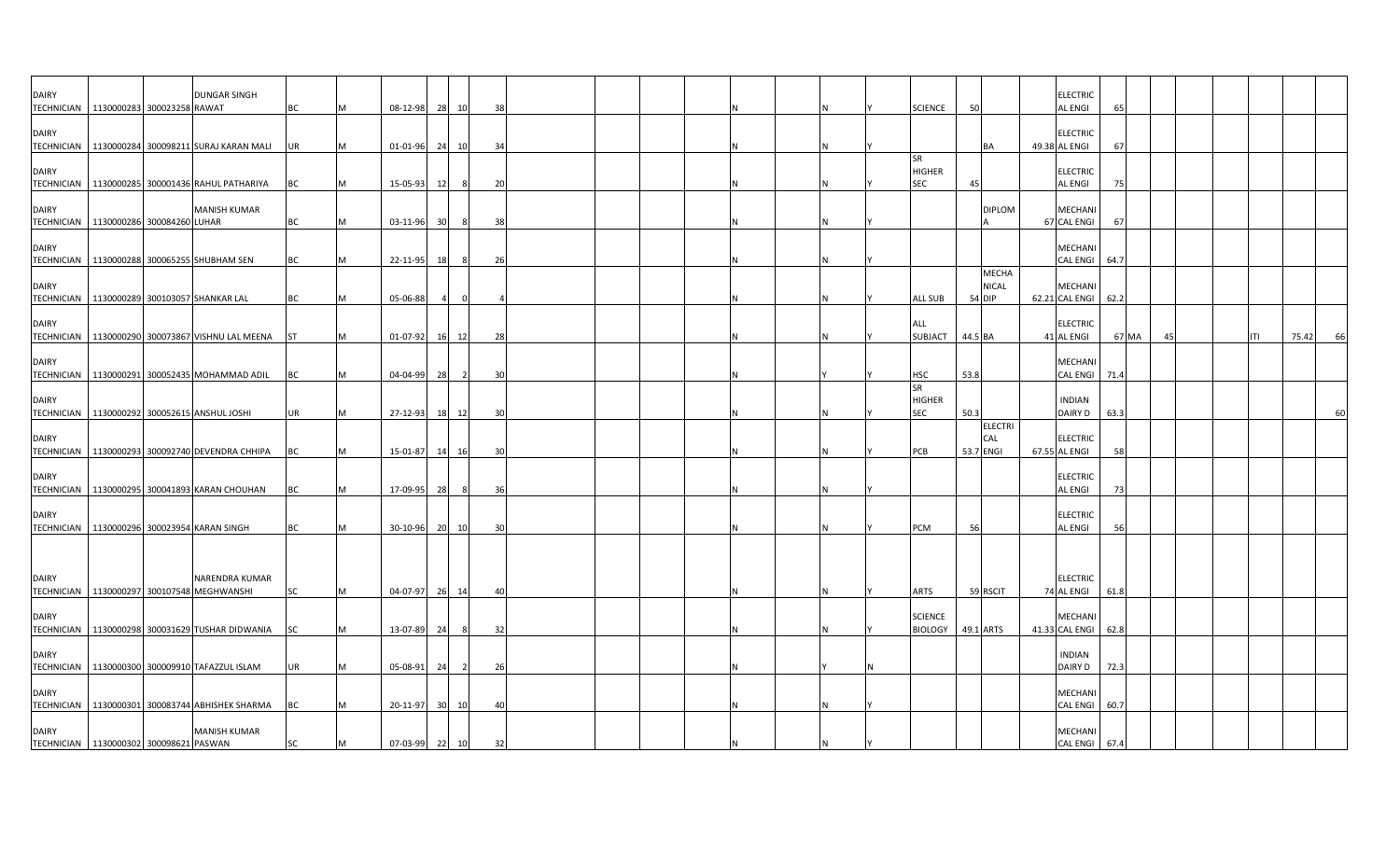| <b>DAIRY</b><br>TECHNICIAN 1130000283 300023258 RAWAT |  | <b>DUNGAR SINGH</b>                                                      | BC        | M   | 08-12-98       |                 | 28 10 | 38 |  |  |     | <b>SCIENCE</b>                           | 50        |                              | <b>ELECTRIC</b><br><b>AL ENGI</b> | 65    |    |  |     |       |    |
|-------------------------------------------------------|--|--------------------------------------------------------------------------|-----------|-----|----------------|-----------------|-------|----|--|--|-----|------------------------------------------|-----------|------------------------------|-----------------------------------|-------|----|--|-----|-------|----|
| <b>DAIRY</b>                                          |  | TECHNICIAN   1130000284 300098211 SURAJ KARAN MALI   UR                  |           |     | 01-01-96       |                 | 24 10 | 34 |  |  |     |                                          |           |                              | <b>ELECTRIC</b><br>49.38 AL ENGI  | 67    |    |  |     |       |    |
| <b>DAIRY</b>                                          |  |                                                                          |           | M   |                |                 |       |    |  |  |     | <b>SR</b><br><b>HIGHER</b>               |           | BA                           | <b>ELECTRIC</b>                   |       |    |  |     |       |    |
| TECHNICIAN<br><b>DAIRY</b>                            |  | 1130000285 300001436 RAHUL PATHARIYA<br><b>MANISH KUMAR</b>              | BC        | M   | 15-05-93       | 12              | 8     | 20 |  |  |     | <b>SEC</b>                               | 45        | <b>DIPLOM</b>                | <b>AL ENGI</b><br><b>MECHAN</b>   | 75    |    |  |     |       |    |
| TECHNICIAN 1130000286 300084260 LUHAR                 |  |                                                                          | BC        | M   | 03-11-96       | 30 <sup>1</sup> | 8     | 38 |  |  | ΙN  |                                          |           |                              | 67 CAL ENGI                       | 67    |    |  |     |       |    |
| <b>DAIRY</b>                                          |  | TECHNICIAN   1130000288 300065255 SHUBHAM SEN                            | <b>BC</b> | M   | 22-11-95       | 18              |       | 26 |  |  | IN. |                                          |           |                              | MECHANI<br><b>CAL ENGI</b>        | 64.7  |    |  |     |       |    |
| <b>DAIRY</b>                                          |  | TECHNICIAN   1130000289 300103057 SHANKAR LAL                            | <b>BC</b> | M   | 05-06-88       |                 |       |    |  |  |     | <b>ALL SUB</b>                           | 54 DIP    | <b>MECHA</b><br><b>NICAL</b> | MECHANI<br>62.21 CAL ENGI         | 62.2  |    |  |     |       |    |
| <b>DAIRY</b><br><b>TECHNICIAN</b>                     |  | 1130000290 300073867 VISHNU LAL MEENA                                    | <b>ST</b> | M   | 01-07-92       |                 | 16 12 | 28 |  |  |     | ALL<br>SUBJACT 44.5 BA                   |           |                              | <b>ELECTRIC</b><br>41 AL ENGI     | 67 MA | 45 |  | ITI | 75.42 | 66 |
| DAIRY<br>TECHNICIAN                                   |  | 1130000291 300052435 MOHAMMAD ADIL                                       | <b>BC</b> | M   | 04-04-99       | 28              | -2    | 30 |  |  |     | <b>HSC</b>                               | 53.8      |                              | MECHANI<br><b>CAL ENGI</b>        | 71.4  |    |  |     |       |    |
| <b>DAIRY</b>                                          |  | TECHNICIAN 1130000292 300052615 ANSHUL JOSHI                             | <b>UR</b> | M   | 27-12-93       |                 | 18 12 | 30 |  |  | IN. | <b>SR</b><br><b>HIGHER</b><br><b>SEC</b> | 50.3      |                              | <b>INDIAN</b><br>DAIRY D          | 63.3  |    |  |     |       | 60 |
| <b>DAIRY</b>                                          |  | TECHNICIAN   1130000293 300092740 DEVENDRA CHHIPA                        | <b>BC</b> | IM. | 15-01-87       |                 | 14 16 | 30 |  |  | IN. | PCB                                      | 53.7 ENGI | <b>ELECTRI</b><br>CAL        | <b>ELECTRIC</b><br>67.55 AL ENGI  | 58    |    |  |     |       |    |
| <b>DAIRY</b>                                          |  |                                                                          |           |     |                |                 |       |    |  |  |     |                                          |           |                              | <b>ELECTRIC</b>                   |       |    |  |     |       |    |
| <b>DAIRY</b>                                          |  | TECHNICIAN 1130000295 300041893 KARAN CHOUHAN                            | <b>BC</b> | M   | 17-09-95       | 28              |       | 36 |  |  | N   |                                          |           |                              | <b>AL ENGI</b><br><b>ELECTRIC</b> | 73    |    |  |     |       |    |
|                                                       |  | TECHNICIAN   1130000296 300023954 KARAN SINGH                            | BC        | M   | 30-10-96       |                 | 20 10 | 30 |  |  | N   | PCM                                      | 56        |                              | <b>AL ENGI</b>                    | .56   |    |  |     |       |    |
| <b>DAIRY</b><br>TECHNICIAN                            |  | NARENDRA KUMAR<br>1130000297 300107548 MEGHWANSHI                        | SC        | M   | 04-07-97 26 14 |                 |       | 40 |  |  |     | ARTS                                     |           | 59 RSCIT                     | <b>ELECTRIC</b><br>74 AL ENGI     | 61.8  |    |  |     |       |    |
| <b>DAIRY</b><br><b>TECHNICIAN</b>                     |  | 1130000298 300031629 TUSHAR DIDWANIA                                     | <b>SC</b> | M   | 13-07-89       | 24              | -8    | 32 |  |  |     | <b>SCIENCE</b><br><b>BIOLOGY</b>         | 49.1 ARTS |                              | <b>MECHAN</b><br>41.33 CAL ENGI   | 62.8  |    |  |     |       |    |
| <b>DAIRY</b>                                          |  |                                                                          |           |     |                |                 |       |    |  |  |     |                                          |           |                              | <b>INDIAN</b>                     |       |    |  |     |       |    |
| <b>DAIRY</b>                                          |  | TECHNICIAN   1130000300 300009910 TAFAZZUL ISLAM                         | UR        |     | $05-08-91$     | 24              | 2     | 26 |  |  |     |                                          |           |                              | DAIRY D<br>MECHAN                 | 72.3  |    |  |     |       |    |
| <b>DAIRY</b>                                          |  | TECHNICIAN   1130000301 300083744 ABHISHEK SHARMA<br><b>MANISH KUMAR</b> | BC        |     | 20-11-97       | 30              | 10    | 40 |  |  |     |                                          |           |                              | <b>CAL ENGI</b><br><b>MECHANI</b> | 60.7  |    |  |     |       |    |
| TECHNICIAN 1130000302 300098621 PASWAN                |  |                                                                          | <b>SC</b> | M   | 07-03-99 22 10 |                 |       | 32 |  |  |     |                                          |           |                              | CAL ENGI 67.4                     |       |    |  |     |       |    |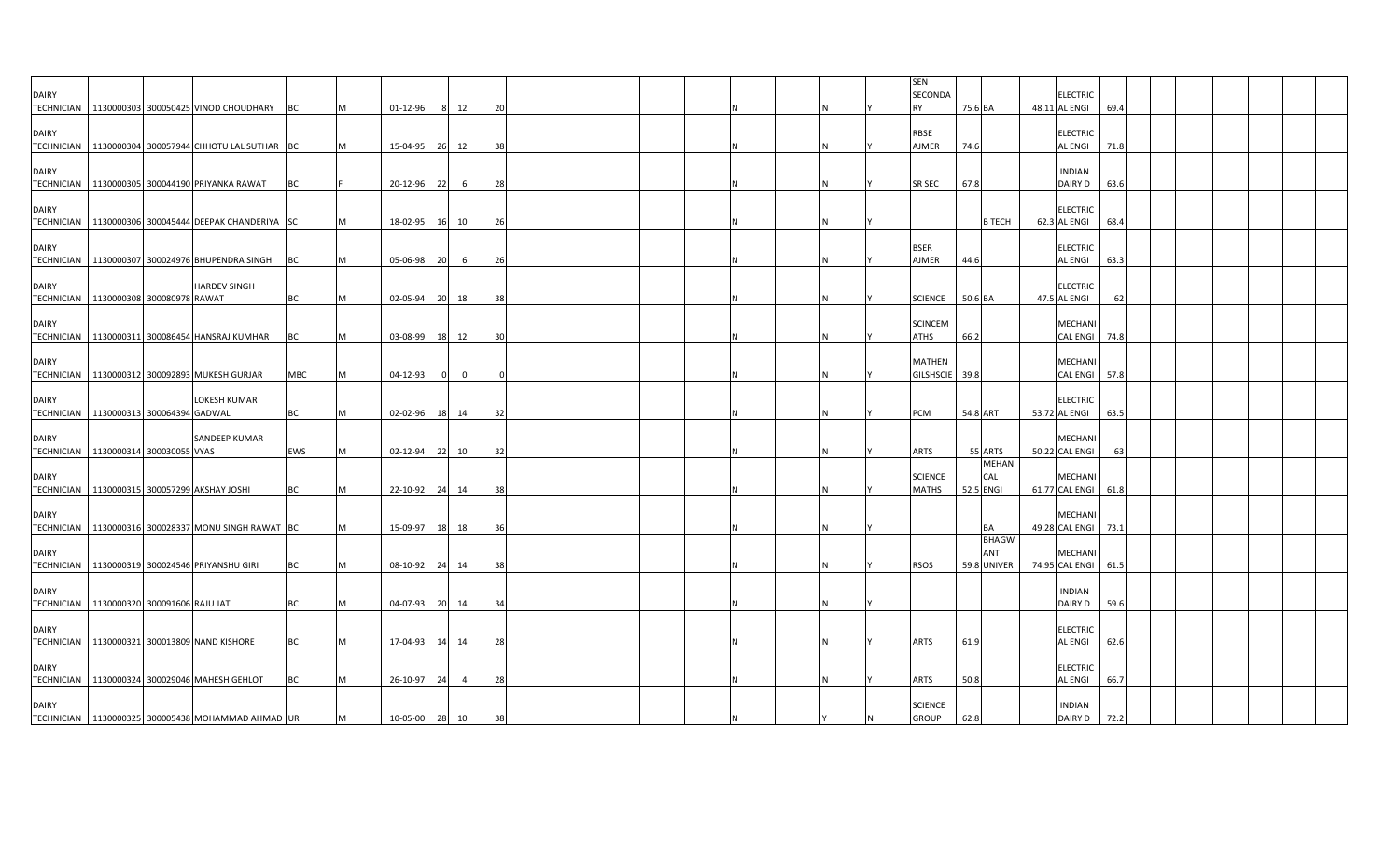|                                            |  |                                                        |     |           |                |           |       |     |  |   |  |  | <b>SEN</b>     |               |                     |      |  |  |  |
|--------------------------------------------|--|--------------------------------------------------------|-----|-----------|----------------|-----------|-------|-----|--|---|--|--|----------------|---------------|---------------------|------|--|--|--|
| <b>DAIRY</b>                               |  |                                                        |     |           |                |           |       |     |  |   |  |  | SECONDA        |               | <b>ELECTRIC</b>     |      |  |  |  |
|                                            |  | TECHNICIAN   1130000303 300050425 VINOD CHOUDHARY      | BC  | <b>IM</b> | 01-12-96       |           | 12    | 20  |  |   |  |  | <b>RY</b>      | 75.6 BA       | 48.11 AL ENGI       | 69.4 |  |  |  |
|                                            |  |                                                        |     |           |                |           |       |     |  |   |  |  |                |               |                     |      |  |  |  |
| <b>DAIRY</b>                               |  |                                                        |     |           |                |           |       |     |  |   |  |  | <b>RBSE</b>    |               | <b>ELECTRIC</b>     |      |  |  |  |
|                                            |  | TECHNICIAN 1130000304 300057944 CHHOTU LAL SUTHAR BC   |     | <b>M</b>  | 15-04-95       | 26        | 12    | 38  |  |   |  |  | AJMER          | 74.6          | <b>AL ENGI</b>      | 71.8 |  |  |  |
|                                            |  |                                                        |     |           |                |           |       |     |  |   |  |  |                |               |                     |      |  |  |  |
| <b>DAIRY</b>                               |  |                                                        |     |           |                |           |       |     |  |   |  |  |                |               | <b>INDIAN</b>       |      |  |  |  |
|                                            |  | TECHNICIAN   1130000305 300044190 PRIYANKA RAWAT       | BC  |           | 20-12-96       | 221       | -6    | 28  |  |   |  |  | <b>SR SEC</b>  | 67.8          | DAIRY D             | 63.6 |  |  |  |
|                                            |  |                                                        |     |           |                |           |       |     |  |   |  |  |                |               |                     |      |  |  |  |
| <b>DAIRY</b>                               |  |                                                        |     |           |                |           |       |     |  |   |  |  |                |               | <b>ELECTRIC</b>     |      |  |  |  |
|                                            |  | TECHNICIAN   1130000306 300045444 DEEPAK CHANDERIYA SC |     | M         | 18-02-95       | 16 I      | 10    | 26  |  |   |  |  |                | <b>B TECH</b> | 62.3 AL ENGI        | 68.4 |  |  |  |
|                                            |  |                                                        |     |           |                |           |       |     |  |   |  |  |                |               |                     |      |  |  |  |
| <b>DAIRY</b>                               |  |                                                        |     |           |                |           |       |     |  |   |  |  | <b>BSER</b>    |               | <b>ELECTRIC</b>     |      |  |  |  |
|                                            |  |                                                        |     |           | 05-06-98       |           | -6    |     |  |   |  |  | AJMER          | 44.6          | <b>AL ENGI</b>      | 63.3 |  |  |  |
|                                            |  | TECHNICIAN   1130000307 300024976 BHUPENDRA SINGH      | BC  | M         |                | 20        |       | -26 |  |   |  |  |                |               |                     |      |  |  |  |
|                                            |  |                                                        |     |           |                |           |       |     |  |   |  |  |                |               |                     |      |  |  |  |
| <b>DAIRY</b>                               |  | <b>HARDEV SINGH</b>                                    |     |           |                |           |       |     |  |   |  |  |                |               | <b>ELECTRIC</b>     |      |  |  |  |
| TECHNICIAN 1130000308 300080978 RAWAT      |  |                                                        | BC  | M         | 02-05-94       | 20        | 18    | 38  |  |   |  |  | <b>SCIENCE</b> | 50.6 BA       | 47.5 AL ENGI        | 62   |  |  |  |
|                                            |  |                                                        |     |           |                |           |       |     |  |   |  |  |                |               |                     |      |  |  |  |
| <b>DAIRY</b>                               |  |                                                        |     |           |                |           |       |     |  |   |  |  | <b>SCINCEM</b> |               | <b>MECHANI</b>      |      |  |  |  |
|                                            |  | TECHNICIAN 1130000311 300086454 HANSRAJ KUMHAR         | BC  | M         | $03 - 08 - 99$ | 18        | 12    | 30  |  |   |  |  | ATHS           | 66.2          | <b>CAL ENGI</b>     | 74.8 |  |  |  |
|                                            |  |                                                        |     |           |                |           |       |     |  |   |  |  |                |               |                     |      |  |  |  |
| <b>DAIRY</b>                               |  |                                                        |     |           |                |           |       |     |  |   |  |  | <b>MATHEN</b>  |               | <b>MECHANI</b>      |      |  |  |  |
|                                            |  | TECHNICIAN 1130000312 300092893 MUKESH GURJAR          | MBC | M         | 04-12-93       |           |       |     |  |   |  |  | GILSHSCIE 39.8 |               | CAL ENGI 57.8       |      |  |  |  |
|                                            |  |                                                        |     |           |                |           |       |     |  |   |  |  |                |               |                     |      |  |  |  |
| <b>DAIRY</b>                               |  | LOKESH KUMAR                                           |     |           |                |           |       |     |  |   |  |  |                |               | <b>ELECTRIC</b>     |      |  |  |  |
| TECHNICIAN   1130000313 300064394 GADWAL   |  |                                                        | BC  | M         | 02-02-96       | 181       | 14    | 32  |  |   |  |  | PCM            | 54.8 ART      | 53.72 AL ENGI       | 63.5 |  |  |  |
|                                            |  |                                                        |     |           |                |           |       |     |  |   |  |  |                |               |                     |      |  |  |  |
| <b>DAIRY</b>                               |  | SANDEEP KUMAR                                          |     |           |                |           |       |     |  |   |  |  |                |               | <b>MECHANI</b>      |      |  |  |  |
| TECHNICIAN   1130000314 300030055 VYAS     |  |                                                        | EWS | M         | 02-12-94       | 22        | 10    | 32  |  |   |  |  | ARTS           | 55 ARTS       | 50.22 CAL ENGI      | 63   |  |  |  |
|                                            |  |                                                        |     |           |                |           |       |     |  |   |  |  |                | <b>MEHAN</b>  |                     |      |  |  |  |
| <b>DAIRY</b>                               |  |                                                        |     |           |                |           |       |     |  |   |  |  | <b>SCIENCE</b> | CAL           | <b>MECHAN</b>       |      |  |  |  |
|                                            |  | TECHNICIAN 1130000315 300057299 AKSHAY JOSHI           | BC  | M         | 22-10-92       | 24        | 14    | 38  |  |   |  |  | <b>MATHS</b>   | 52.5 ENGI     | 61.77 CAL ENGI      | 61.8 |  |  |  |
|                                            |  |                                                        |     |           |                |           |       |     |  |   |  |  |                |               |                     |      |  |  |  |
| <b>DAIRY</b>                               |  |                                                        |     |           |                |           |       |     |  |   |  |  |                |               | <b>MECHANI</b>      |      |  |  |  |
|                                            |  | TECHNICIAN 1130000316 300028337 MONU SINGH RAWAT BC    |     | M         | 15-09-97       | 18        | 18    | 36  |  |   |  |  |                | BA            | 49.28 CAL ENGI      | 73.1 |  |  |  |
|                                            |  |                                                        |     |           |                |           |       |     |  |   |  |  |                | <b>BHAGW</b>  |                     |      |  |  |  |
| <b>DAIRY</b>                               |  |                                                        |     |           |                |           |       |     |  |   |  |  |                | ANT           | <b>MECHAN</b>       |      |  |  |  |
|                                            |  | TECHNICIAN   1130000319 300024546 PRIYANSHU GIRI       | BC  | M         | 08-10-92       | 24        | 14    | 38  |  |   |  |  | RSOS           | 59.8 UNIVER   | 74.95 CAL ENGI 61.5 |      |  |  |  |
|                                            |  |                                                        |     |           |                |           |       |     |  |   |  |  |                |               |                     |      |  |  |  |
| <b>DAIRY</b>                               |  |                                                        |     |           |                |           |       |     |  |   |  |  |                |               | <b>INDIAN</b>       |      |  |  |  |
| TECHNICIAN   1130000320 300091606 RAJU JAT |  |                                                        | BC  |           | 04-07-93       |           |       | 34  |  | N |  |  |                |               | DAIRY D             | 59.6 |  |  |  |
|                                            |  |                                                        |     | M         |                | <b>20</b> | 14    |     |  |   |  |  |                |               |                     |      |  |  |  |
|                                            |  |                                                        |     |           |                |           |       |     |  |   |  |  |                |               |                     |      |  |  |  |
| <b>DAIRY</b>                               |  |                                                        |     |           |                |           |       |     |  |   |  |  |                |               | <b>ELECTRIC</b>     |      |  |  |  |
|                                            |  | TECHNICIAN   1130000321 300013809 NAND KISHORE         | BC  | M         | 17-04-93       |           | 14 14 | 28  |  |   |  |  | ARTS           | 61.9          | AL ENGI             | 62.6 |  |  |  |
|                                            |  |                                                        |     |           |                |           |       |     |  |   |  |  |                |               |                     |      |  |  |  |
| <b>DAIRY</b>                               |  |                                                        |     |           |                |           |       |     |  |   |  |  |                |               | <b>ELECTRIC</b>     |      |  |  |  |
|                                            |  | TECHNICIAN 1130000324 300029046 MAHESH GEHLOT          | BC  | M         | 26-10-97       | 24        |       | 28  |  |   |  |  | ARTS           | 50.8          | <b>AL ENGI</b>      | 66.7 |  |  |  |
|                                            |  |                                                        |     |           |                |           |       |     |  |   |  |  |                |               |                     |      |  |  |  |
| <b>DAIRY</b>                               |  |                                                        |     |           |                |           |       |     |  |   |  |  | <b>SCIENCE</b> |               | <b>INDIAN</b>       |      |  |  |  |
|                                            |  | TECHNICIAN   1130000325 300005438 MOHAMMAD AHMAD UR    |     | M         | 10-05-00 28 10 |           |       | 38  |  | N |  |  | <b>GROUP</b>   | 62.8          | DAIRY D 72.2        |      |  |  |  |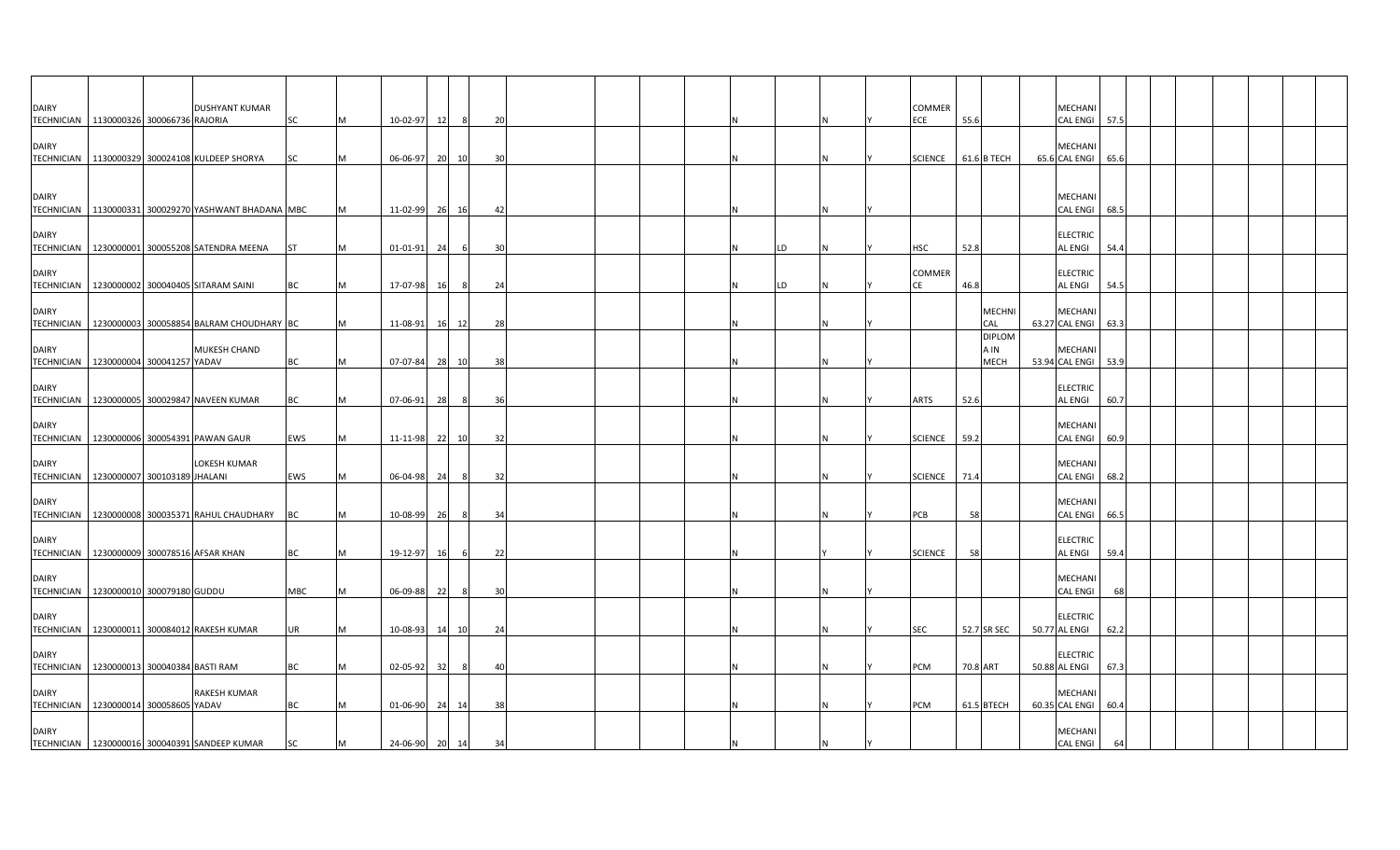| <b>DAIRY</b>                                            |  | <b>DUSHYANT KUMAR</b>                                  |           |           |          |    |                |                |  |  |    |  | COMMER         |          |                     | MECHANI                          |      |  |  |
|---------------------------------------------------------|--|--------------------------------------------------------|-----------|-----------|----------|----|----------------|----------------|--|--|----|--|----------------|----------|---------------------|----------------------------------|------|--|--|
| TECHNICIAN   1130000326 300066736 RAJORIA               |  |                                                        | <b>SC</b> | <b>M</b>  | 10-02-97 | 12 | - 8            | 20             |  |  |    |  | ECE            | 55.6     |                     | CAL ENGI 57.5                    |      |  |  |
| <b>DAIRY</b>                                            |  |                                                        |           |           |          |    |                |                |  |  |    |  |                |          |                     | MECHANI                          |      |  |  |
| <b>TECHNICIAN</b>                                       |  | 1130000329 300024108 KULDEEP SHORYA                    | SC        |           | 06-06-97 | 20 | 10             | 30             |  |  |    |  | <b>SCIENCE</b> |          | 61.6 B TECH         | 65.6 CAL ENGI                    | 65.6 |  |  |
|                                                         |  |                                                        |           |           |          |    |                |                |  |  |    |  |                |          |                     |                                  |      |  |  |
|                                                         |  |                                                        |           |           |          |    |                |                |  |  |    |  |                |          |                     |                                  |      |  |  |
| <b>DAIRY</b>                                            |  | TECHNICIAN   1130000331 300029270 YASHWANT BHADANA MBC |           | <b>M</b>  | 11-02-99 |    | 26 16          | 42             |  |  |    |  |                |          |                     | MECHANI<br><b>CAL ENGI</b>       | 68.5 |  |  |
|                                                         |  |                                                        |           |           |          |    |                |                |  |  |    |  |                |          |                     |                                  |      |  |  |
| <b>DAIRY</b>                                            |  |                                                        |           |           |          |    |                |                |  |  |    |  |                |          |                     | <b>ELECTRIC</b>                  |      |  |  |
|                                                         |  | TECHNICIAN   1230000001 300055208 SATENDRA MEENA       | <b>ST</b> | м         | 01-01-91 | 24 |                | $\overline{3}$ |  |  | LD |  | HSC            | 52.8     |                     | AL ENGI                          | 54.4 |  |  |
| <b>DAIRY</b>                                            |  |                                                        |           |           |          |    |                |                |  |  |    |  | COMMER         |          |                     | <b>ELECTRIC</b>                  |      |  |  |
|                                                         |  | TECHNICIAN   1230000002 300040405 SITARAM SAINI        | BC        | M         | 17-07-98 | 16 | - 8            | 24             |  |  | LD |  | СE             | 46.8     |                     | AL ENGI                          | 54.5 |  |  |
| <b>DAIRY</b>                                            |  |                                                        |           |           |          |    |                |                |  |  |    |  |                |          | <b>MECHNI</b>       | <b>MECHANI</b>                   |      |  |  |
|                                                         |  | TECHNICIAN 1230000003 300058854 BALRAM CHOUDHARY BC    |           | M         | 11-08-91 |    | 16 12          | -28            |  |  |    |  |                |          | CAL                 | 63.27 CAL ENGI 63.3              |      |  |  |
|                                                         |  |                                                        |           |           |          |    |                |                |  |  |    |  |                |          | <b>DIPLOM</b>       |                                  |      |  |  |
| <b>DAIRY</b><br>TECHNICIAN   1230000004 300041257 YADAV |  | <b>MUKESH CHAND</b>                                    | BC        | M         | 07-07-84 | 28 | 10             | -38            |  |  |    |  |                |          | A IN<br><b>MECH</b> | MECHAN<br>53.94 CAL ENGI         | 53.9 |  |  |
|                                                         |  |                                                        |           |           |          |    |                |                |  |  |    |  |                |          |                     |                                  |      |  |  |
| <b>DAIRY</b>                                            |  |                                                        |           |           |          |    |                |                |  |  |    |  |                |          |                     | <b>ELECTRIC</b>                  |      |  |  |
|                                                         |  | TECHNICIAN   1230000005 300029847 NAVEEN KUMAR         | BC        |           | 07-06-91 | 28 |                | 36             |  |  |    |  | ARTS           | 52.6     |                     | <b>AL ENGI</b>                   | 60.7 |  |  |
| <b>DAIRY</b>                                            |  |                                                        |           |           |          |    |                |                |  |  |    |  |                |          |                     | MECHANI                          |      |  |  |
|                                                         |  | TECHNICIAN   1230000006 300054391 PAWAN GAUR           | EWS       | M         | 11-11-98 | 22 | 10             | 32             |  |  |    |  | <b>SCIENCE</b> | 59.2     |                     | <b>CAL ENGI</b>                  | 60.9 |  |  |
| <b>DAIRY</b>                                            |  | LOKESH KUMAR                                           |           |           |          |    |                |                |  |  |    |  |                |          |                     | <b>MECHANI</b>                   |      |  |  |
| TECHNICIAN   1230000007 300103189 JHALANI               |  |                                                        | EWS       | <b>M</b>  | 06-04-98 | 24 | 8 <sup>1</sup> | -32            |  |  |    |  | SCIENCE 71.4   |          |                     | CAL ENGI 68.2                    |      |  |  |
|                                                         |  |                                                        |           |           |          |    |                |                |  |  |    |  |                |          |                     |                                  |      |  |  |
| <b>DAIRY</b>                                            |  | TECHNICIAN   1230000008 300035371 RAHUL CHAUDHARY      |           | <b>IM</b> |          |    | - 8            | 34             |  |  |    |  |                | 58       |                     | MECHANI                          |      |  |  |
|                                                         |  |                                                        | <b>BC</b> |           | 10-08-99 | 26 |                |                |  |  |    |  | PCB            |          |                     | <b>CAL ENGI</b>                  | 66.5 |  |  |
| <b>DAIRY</b>                                            |  |                                                        |           |           |          |    |                |                |  |  |    |  |                |          |                     | <b>ELECTRIC</b>                  |      |  |  |
| TECHNICIAN   1230000009 300078516 AFSAR KHAN            |  |                                                        | BC        | M         | 19-12-97 | 16 | - 6            | 22             |  |  |    |  | <b>SCIENCE</b> | 58       |                     | AL ENGI                          | 59.4 |  |  |
| <b>DAIRY</b>                                            |  |                                                        |           |           |          |    |                |                |  |  |    |  |                |          |                     | MECHANI                          |      |  |  |
| TECHNICIAN   1230000010 300079180 GUDDU                 |  |                                                        | MBC       | м         | 06-09-88 | 22 |                | -30            |  |  |    |  |                |          |                     | <b>CAL ENGI</b>                  | 68   |  |  |
|                                                         |  |                                                        |           |           |          |    |                |                |  |  |    |  |                |          |                     |                                  |      |  |  |
| <b>DAIRY</b>                                            |  | TECHNICIAN 1230000011 300084012 RAKESH KUMAR           | UR        |           | 10-08-93 |    | 14 10          | 24             |  |  |    |  | <b>SEC</b>     |          | 52.7 SR SEC         | <b>ELECTRIC</b><br>50.77 AL ENGI | 62.2 |  |  |
|                                                         |  |                                                        |           |           |          |    |                |                |  |  |    |  |                |          |                     |                                  |      |  |  |
| <b>DAIRY</b>                                            |  |                                                        |           |           |          |    |                |                |  |  |    |  |                |          |                     | <b>ELECTRIC</b>                  |      |  |  |
| TECHNICIAN   1230000013 300040384 BASTI RAM             |  |                                                        | BC        | M         | 02-05-92 | 32 | - 8            | 4(             |  |  |    |  | PCM            | 70.8 ART |                     | 50.88 AL ENGI                    | 67.3 |  |  |
| <b>DAIRY</b>                                            |  | <b>RAKESH KUMAR</b>                                    |           |           |          |    |                |                |  |  |    |  |                |          |                     | MECHAN                           |      |  |  |
| TECHNICIAN   1230000014 300058605 YADAV                 |  |                                                        | BC        |           | 01-06-90 |    | 24 14          | 38             |  |  |    |  | PCM            |          | 61.5 BTECH          | 60.35 CAL ENGI                   | 60.4 |  |  |
| <b>DAIRY</b>                                            |  |                                                        |           |           |          |    |                |                |  |  |    |  |                |          |                     | MECHANI                          |      |  |  |
|                                                         |  | TECHNICIAN   1230000016 300040391 SANDEEP KUMAR        | SC        | M         | 24-06-90 | 20 | 14             | 34             |  |  |    |  |                |          |                     | <b>CAL ENGI</b>                  | 64   |  |  |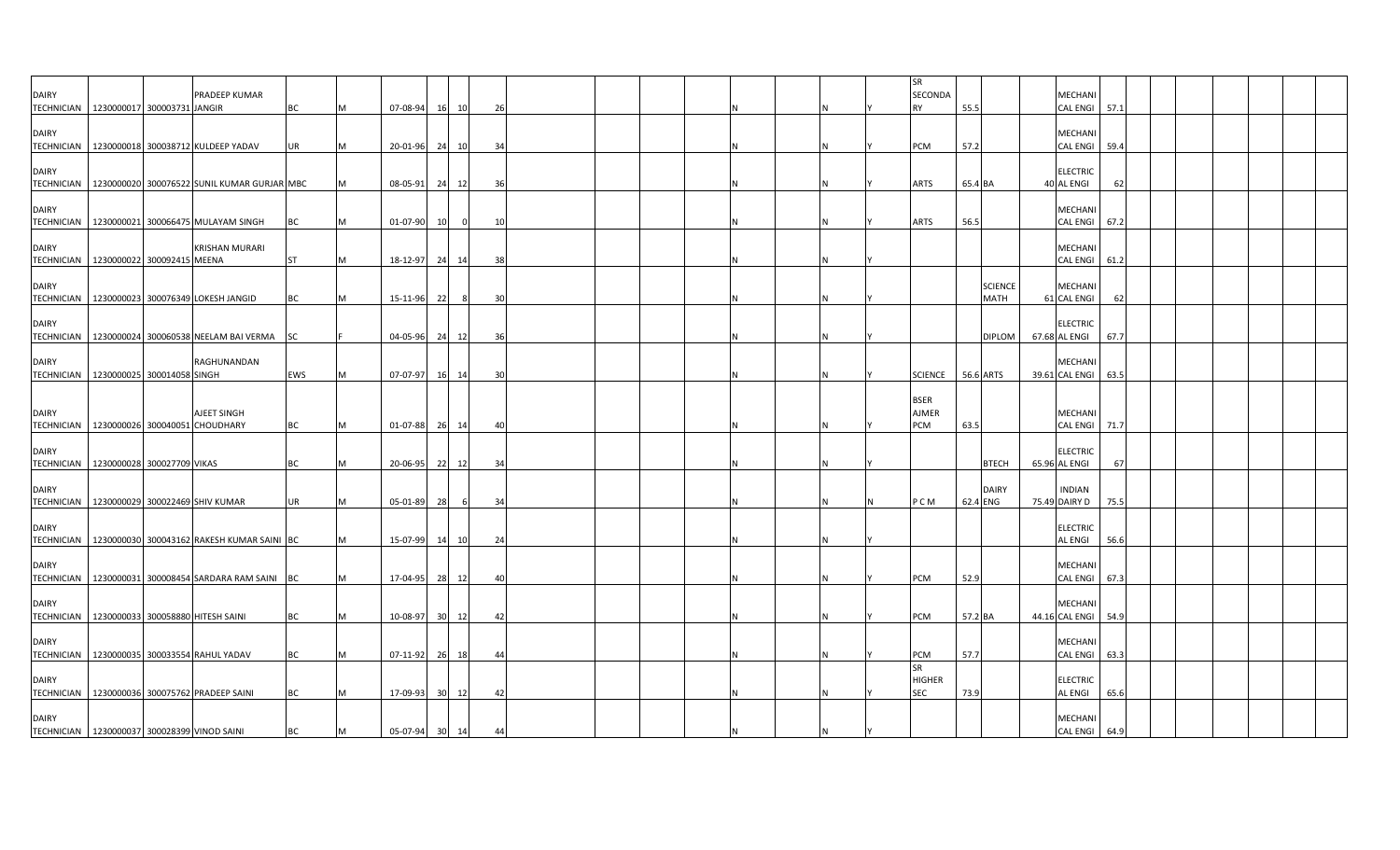|                                                         |  |                                                          |           |   |                |                 |                |    |  |  |          | <b>SR</b>      |          |                               |                                  |      |  |  |  |
|---------------------------------------------------------|--|----------------------------------------------------------|-----------|---|----------------|-----------------|----------------|----|--|--|----------|----------------|----------|-------------------------------|----------------------------------|------|--|--|--|
| <b>DAIRY</b>                                            |  | PRADEEP KUMAR                                            |           |   |                |                 |                |    |  |  |          | SECONDA        |          |                               | MECHANI                          |      |  |  |  |
| TECHNICIAN   1230000017 300003731 JANGIR                |  |                                                          | ВC        |   | 07-08-94       | 16              | 10             | 26 |  |  |          | <b>RY</b>      | 55.5     |                               | CAL ENGI 57.1                    |      |  |  |  |
| <b>DAIRY</b>                                            |  |                                                          |           |   |                |                 |                |    |  |  |          |                |          |                               | MECHANI                          |      |  |  |  |
|                                                         |  | TECHNICIAN   1230000018 300038712 KULDEEP YADAV          | <b>UR</b> | M | 20-01-96       |                 | 24 10          | 34 |  |  | <b>N</b> | PCM            | 57.2     |                               | CAL ENGI 59.4                    |      |  |  |  |
|                                                         |  |                                                          |           |   |                |                 |                |    |  |  |          |                |          |                               |                                  |      |  |  |  |
| <b>DAIRY</b>                                            |  |                                                          |           |   |                |                 |                |    |  |  |          |                |          |                               | <b>ELECTRIC</b>                  |      |  |  |  |
|                                                         |  | TECHNICIAN   1230000020 300076522 SUNIL KUMAR GURJAR MBC |           | м | 08-05-91       |                 | 24 12          | 36 |  |  | N        | ARTS           | 65.4 BA  |                               | 40 AL ENGI                       | 62   |  |  |  |
| <b>DAIRY</b>                                            |  |                                                          |           |   |                |                 |                |    |  |  |          |                |          |                               | MECHANI                          |      |  |  |  |
|                                                         |  | TECHNICIAN   1230000021 300066475 MULAYAM SINGH          | BC        | M | 01-07-90       | 10              | $\overline{0}$ | 10 |  |  | N        | ARTS           | 56.5     |                               | CAL ENGI 67.2                    |      |  |  |  |
|                                                         |  |                                                          |           |   |                |                 |                |    |  |  |          |                |          |                               |                                  |      |  |  |  |
| <b>DAIRY</b>                                            |  | <b>KRISHAN MURARI</b>                                    |           |   |                |                 |                |    |  |  |          |                |          |                               | MECHANI                          |      |  |  |  |
| TECHNICIAN 1230000022 300092415 MEENA                   |  |                                                          | ST        | м | 18-12-97       | 24              | -14            | 38 |  |  |          |                |          |                               | CAL ENGI 61.2                    |      |  |  |  |
|                                                         |  |                                                          |           |   |                |                 |                |    |  |  |          |                |          |                               |                                  |      |  |  |  |
| <b>DAIRY</b>                                            |  | TECHNICIAN   1230000023 300076349 LOKESH JANGID          | BC        | M | 15-11-96       | 22              | 8              | 30 |  |  |          |                |          | <b>SCIENCE</b><br><b>MATH</b> | MECHANI<br>61 CAL ENGI           | 62   |  |  |  |
|                                                         |  |                                                          |           |   |                |                 |                |    |  |  |          |                |          |                               |                                  |      |  |  |  |
| <b>DAIRY</b>                                            |  |                                                          |           |   |                |                 |                |    |  |  |          |                |          |                               | <b>ELECTRIC</b>                  |      |  |  |  |
|                                                         |  | TECHNICIAN   1230000024 300060538 NEELAM BAI VERMA       | SC        |   | 04-05-96       |                 | 24 12          | 36 |  |  | N        |                |          | <b>DIPLOM</b>                 | 67.68 AL ENGI                    | 67.7 |  |  |  |
|                                                         |  |                                                          |           |   |                |                 |                |    |  |  |          |                |          |                               |                                  |      |  |  |  |
| <b>DAIRY</b>                                            |  | RAGHUNANDAN                                              |           |   |                |                 |                |    |  |  |          |                |          |                               | MECHANI                          |      |  |  |  |
| TECHNICIAN   1230000025 300014058 SINGH                 |  |                                                          | EWS       | M | 07-07-97       | 16              | 14             | 30 |  |  |          | <b>SCIENCE</b> |          | 56.6 ARTS                     | 39.61 CAL ENGI 63.5              |      |  |  |  |
|                                                         |  |                                                          |           |   |                |                 |                |    |  |  |          | <b>BSER</b>    |          |                               |                                  |      |  |  |  |
| <b>DAIRY</b>                                            |  | AJEET SINGH                                              |           |   |                |                 |                |    |  |  |          | <b>AJMER</b>   |          |                               | MECHANI                          |      |  |  |  |
| TECHNICIAN 1230000026 300040051 CHOUDHARY               |  |                                                          | <b>BC</b> | M | 01-07-88       |                 | 26 14          | 40 |  |  |          | PCM            | 63.5     |                               | CAL ENGI 71.7                    |      |  |  |  |
|                                                         |  |                                                          |           |   |                |                 |                |    |  |  |          |                |          |                               |                                  |      |  |  |  |
| <b>DAIRY</b><br>TECHNICIAN   1230000028 300027709 VIKAS |  |                                                          | ВC        | М | 20-06-95       | 22              | 12             | 34 |  |  |          |                |          | <b>BTECH</b>                  | <b>ELECTRIC</b><br>65.96 AL ENGI | 67   |  |  |  |
|                                                         |  |                                                          |           |   |                |                 |                |    |  |  |          |                |          |                               |                                  |      |  |  |  |
| <b>DAIRY</b>                                            |  |                                                          |           |   |                |                 |                |    |  |  |          |                |          | <b>DAIRY</b>                  | <b>INDIAN</b>                    |      |  |  |  |
| TECHNICIAN 1230000029 300022469 SHIV KUMAR              |  |                                                          | <b>UR</b> | M | 05-01-89       | 28              | 6              | 34 |  |  | N        | P C M          | 62.4 ENG |                               | 75.49 DAIRY D                    | 75.5 |  |  |  |
|                                                         |  |                                                          |           |   |                |                 |                |    |  |  |          |                |          |                               |                                  |      |  |  |  |
| <b>DAIRY</b>                                            |  |                                                          |           | M |                |                 |                |    |  |  | IN.      |                |          |                               | <b>ELECTRIC</b>                  |      |  |  |  |
|                                                         |  | TECHNICIAN   1230000030 300043162 RAKESH KUMAR SAINI BC  |           |   | 15-07-99       |                 | 14 10          | 24 |  |  |          |                |          |                               | <b>AL ENGI</b>                   | 56.6 |  |  |  |
| <b>DAIRY</b>                                            |  |                                                          |           |   |                |                 |                |    |  |  |          |                |          |                               | MECHANI                          |      |  |  |  |
|                                                         |  | TECHNICIAN   1230000031 300008454 SARDARA RAM SAINI BC   |           | M | 17-04-95       |                 | 28 12          | 40 |  |  |          | PCM            | 52.9     |                               | CAL ENGI 67.3                    |      |  |  |  |
|                                                         |  |                                                          |           |   |                |                 |                |    |  |  |          |                |          |                               |                                  |      |  |  |  |
| <b>DAIRY</b>                                            |  |                                                          |           |   |                |                 |                |    |  |  |          |                |          |                               | <b>MECHANI</b>                   |      |  |  |  |
| TECHNICIAN                                              |  | 1230000033 300058880 HITESH SAINI                        | BC        | M | 10-08-97       | 30 <sup>1</sup> | 12             | 42 |  |  |          | PCM            | 57.2 BA  |                               | 44.16 CAL ENGI 54.9              |      |  |  |  |
| <b>DAIRY</b>                                            |  |                                                          |           |   |                |                 |                |    |  |  |          |                |          |                               | MECHANI                          |      |  |  |  |
|                                                         |  | TECHNICIAN   1230000035 300033554 RAHUL YADAV            | BC        | M | 07-11-92       |                 | 26 18          | 44 |  |  | N        | <b>PCM</b>     | 57.7     |                               | CAL ENGI 63.3                    |      |  |  |  |
|                                                         |  |                                                          |           |   |                |                 |                |    |  |  |          | SR             |          |                               |                                  |      |  |  |  |
| <b>DAIRY</b>                                            |  |                                                          |           |   |                |                 |                |    |  |  |          | <b>HIGHER</b>  |          |                               | <b>ELECTRIC</b>                  |      |  |  |  |
|                                                         |  | TECHNICIAN 1230000036 300075762 PRADEEP SAINI            | <b>BC</b> | M | 17-09-93       |                 | 30 12          | 42 |  |  | <b>N</b> | <b>SEC</b>     | 73.9     |                               | <b>AL ENGI</b>                   | 65.6 |  |  |  |
| <b>DAIRY</b>                                            |  |                                                          |           |   |                |                 |                |    |  |  |          |                |          |                               | MECHANI                          |      |  |  |  |
| TECHNICIAN   1230000037 300028399 VINOD SAINI           |  |                                                          | BC        | M | 05-07-94 30 14 |                 |                | 44 |  |  |          |                |          |                               | CAL ENGI 64.9                    |      |  |  |  |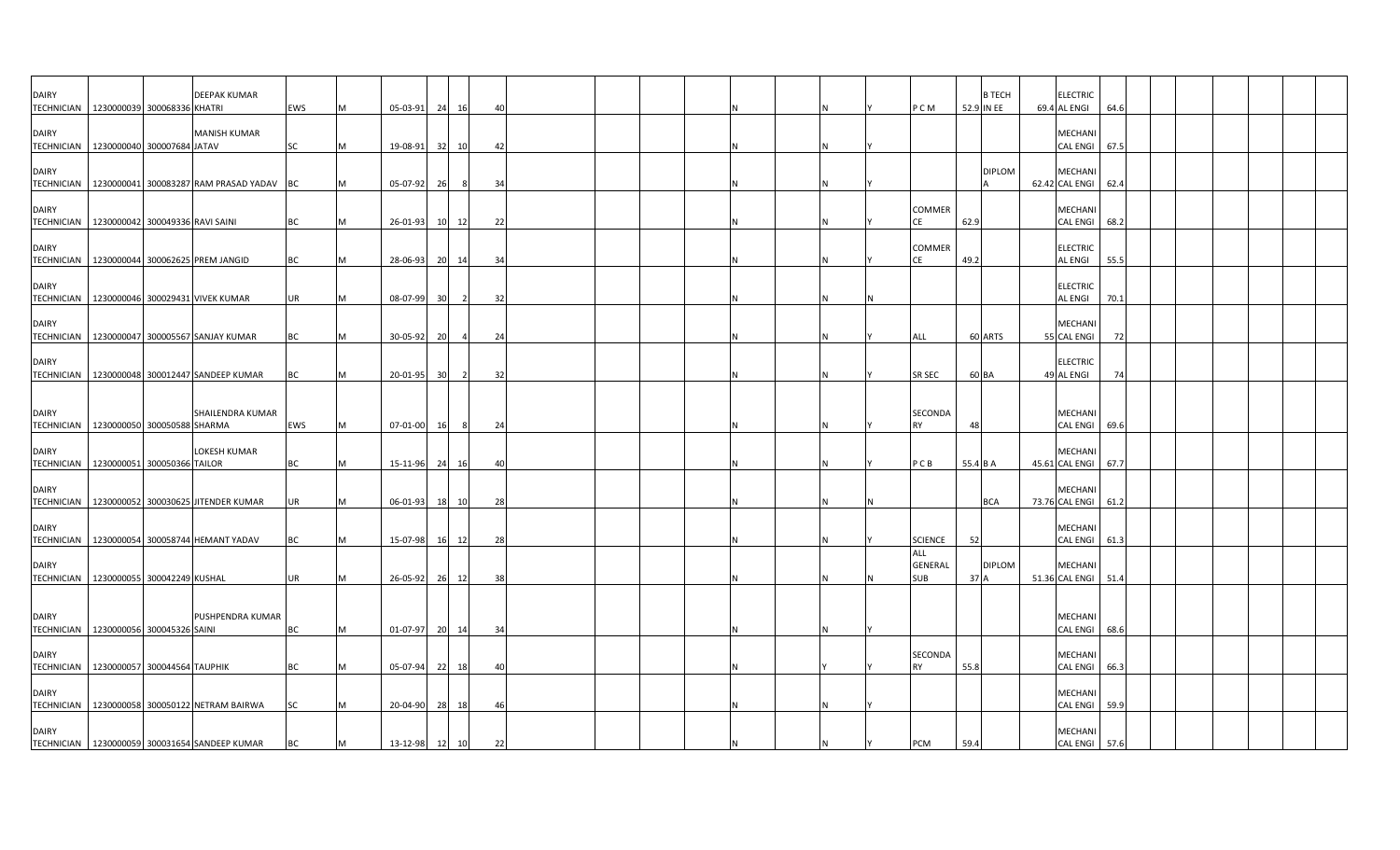| <b>DAIRY</b>                      | TECHNICIAN   1230000039 300068336 KHATRI                                           | <b>DEEPAK KUMAR</b>     | EWS       |   | 05-03-91                   | 24              | 16             | 40       |  |  |   | P C M                               | 52.9 IN EE     | <b>B TECH</b> | <b>ELECTRIC</b><br>69.4 AL ENGI                 | 64.6 |  |  |  |
|-----------------------------------|------------------------------------------------------------------------------------|-------------------------|-----------|---|----------------------------|-----------------|----------------|----------|--|--|---|-------------------------------------|----------------|---------------|-------------------------------------------------|------|--|--|--|
| <b>DAIRY</b>                      | TECHNICIAN   1230000040 300007684 JATAV                                            | <b>MANISH KUMAR</b>     | SC        |   | 19-08-91                   | - 321           | 10             | 42       |  |  |   |                                     |                |               | MECHANI<br>CAL ENGI 67.5                        |      |  |  |  |
| <b>DAIRY</b><br><b>TECHNICIAN</b> | 1230000041 300083287 RAM PRASAD YADAV BC                                           |                         |           |   | 05-07-92                   | - 26            | -8             | 34       |  |  | N |                                     |                | <b>DIPLOM</b> | MECHANI<br>62.42 CAL ENGI 62.4                  |      |  |  |  |
| <b>DAIRY</b><br><b>TECHNICIAN</b> | 1230000042 300049336 RAVI SAINI                                                    |                         | <b>BC</b> | м | 26-01-93                   |                 | 10 12          | 22       |  |  |   | COMMER<br>CE                        | 62.9           |               | MECHANI<br>CAL ENGI 68.2                        |      |  |  |  |
| <b>DAIRY</b>                      | TECHNICIAN 1230000044 300062625 PREM JANGID                                        |                         | BC        |   | 28-06-93                   |                 | 20 14          | 34       |  |  |   | <b>COMMER</b><br>CΕ                 | 49.2           |               | <b>ELECTRIC</b><br><b>AL ENGI</b>               | 55.5 |  |  |  |
| <b>DAIRY</b>                      | TECHNICIAN 1230000046 300029431 VIVEK KUMAR                                        |                         | <b>UR</b> |   | 08-07-99                   | 30 <sup>1</sup> |                | 32       |  |  |   |                                     |                |               | <b>ELECTRIC</b><br><b>AL ENGI</b>               | 70.1 |  |  |  |
| <b>DAIRY</b>                      | TECHNICIAN   1230000047 300005567 SANJAY KUMAR                                     |                         | BC        |   | 30-05-92                   | <b>20</b>       |                | 24       |  |  |   | ALL                                 |                | 60 ARTS       | MECHANI<br>55 CAL ENGI                          | 72   |  |  |  |
| <b>DAIRY</b><br><b>TECHNICIAN</b> | 1230000048 300012447 SANDEEP KUMAR                                                 |                         | BC        |   | 20-01-95                   | 30 <sup>1</sup> | $\overline{2}$ | 32       |  |  |   | <b>SR SEC</b>                       | 60 BA          |               | <b>ELECTRIC</b><br>49 AL ENGI                   | 74   |  |  |  |
| <b>DAIRY</b>                      |                                                                                    | <b>SHAILENDRA KUMAR</b> |           |   |                            |                 |                |          |  |  |   | SECONDA                             |                |               | MECHANI                                         |      |  |  |  |
| <b>DAIRY</b>                      | TECHNICIAN 1230000050 300050588 SHARMA<br>TECHNICIAN   1230000051 300050366 TAILOR | LOKESH KUMAR            | EWS<br>ВC | M | 07-01-00 16<br>15-11-96 24 |                 | 8              | 24<br>40 |  |  |   | <b>RY</b><br>PCB                    | 48<br>55.4 B A |               | CAL ENGI 69.6<br>MECHANI<br>45.61 CAL ENGI 67.7 |      |  |  |  |
| <b>DAIRY</b><br><b>TECHNICIAN</b> | 1230000052 300030625 JITENDER KUMAR                                                |                         | UR        |   | $06 - 01 - 93$             | 18              | 16<br>10       | 28       |  |  |   |                                     |                | <b>BCA</b>    | MECHANI<br>73.76 CAL ENGI                       | 61.2 |  |  |  |
| <b>DAIRY</b>                      | TECHNICIAN 1230000054 300058744 HEMANT YADAV                                       |                         | BC        |   | 15-07-98                   |                 | 16 12          | 28       |  |  | N | <b>SCIENCE</b>                      | 52             |               | MECHANI<br>CAL ENGI 61.3                        |      |  |  |  |
| <b>DAIRY</b>                      | TECHNICIAN   1230000055 300042249 KUSHAL                                           |                         | <b>UR</b> |   | 26-05-92                   | 26              | 12             | 38       |  |  |   | ALL<br><b>GENERAL</b><br><b>SUB</b> | 37 A           | <b>DIPLOM</b> | MECHANI<br>51.36 CAL ENGI 51.4                  |      |  |  |  |
| <b>DAIRY</b>                      |                                                                                    | PUSHPENDRA KUMAR        |           |   |                            |                 |                |          |  |  |   |                                     |                |               | MECHANI                                         |      |  |  |  |
| <b>DAIRY</b>                      | TECHNICIAN   1230000056 300045326 SAINI                                            |                         | BC        |   | 01-07-97                   |                 | 20 14          | 34       |  |  |   | SECONDA                             |                |               | CAL ENGI 68.6<br>MECHANI                        |      |  |  |  |
| <b>DAIRY</b>                      | TECHNICIAN   1230000057 300044564 TAUPHIK                                          |                         | BC        |   | 05-07-94                   | - 22            | 18             | 40       |  |  |   |                                     | 55.8           |               | CAL ENGI 66.3<br>MECHANI                        |      |  |  |  |
| <b>DAIRY</b>                      | TECHNICIAN 1230000058 300050122 NETRAM BAIRWA                                      |                         | SC        |   | 20-04-90                   | - 28            | 18             | 46       |  |  |   |                                     |                |               | CAL ENGI<br>MECHANI                             | 59.9 |  |  |  |
|                                   | TECHNICIAN 1230000059 300031654 SANDEEP KUMAR                                      |                         | <b>BC</b> | M | 13-12-98                   | 12              | 10             | 22       |  |  |   | PCM                                 | 59.4           |               | CAL ENGI 57.6                                   |      |  |  |  |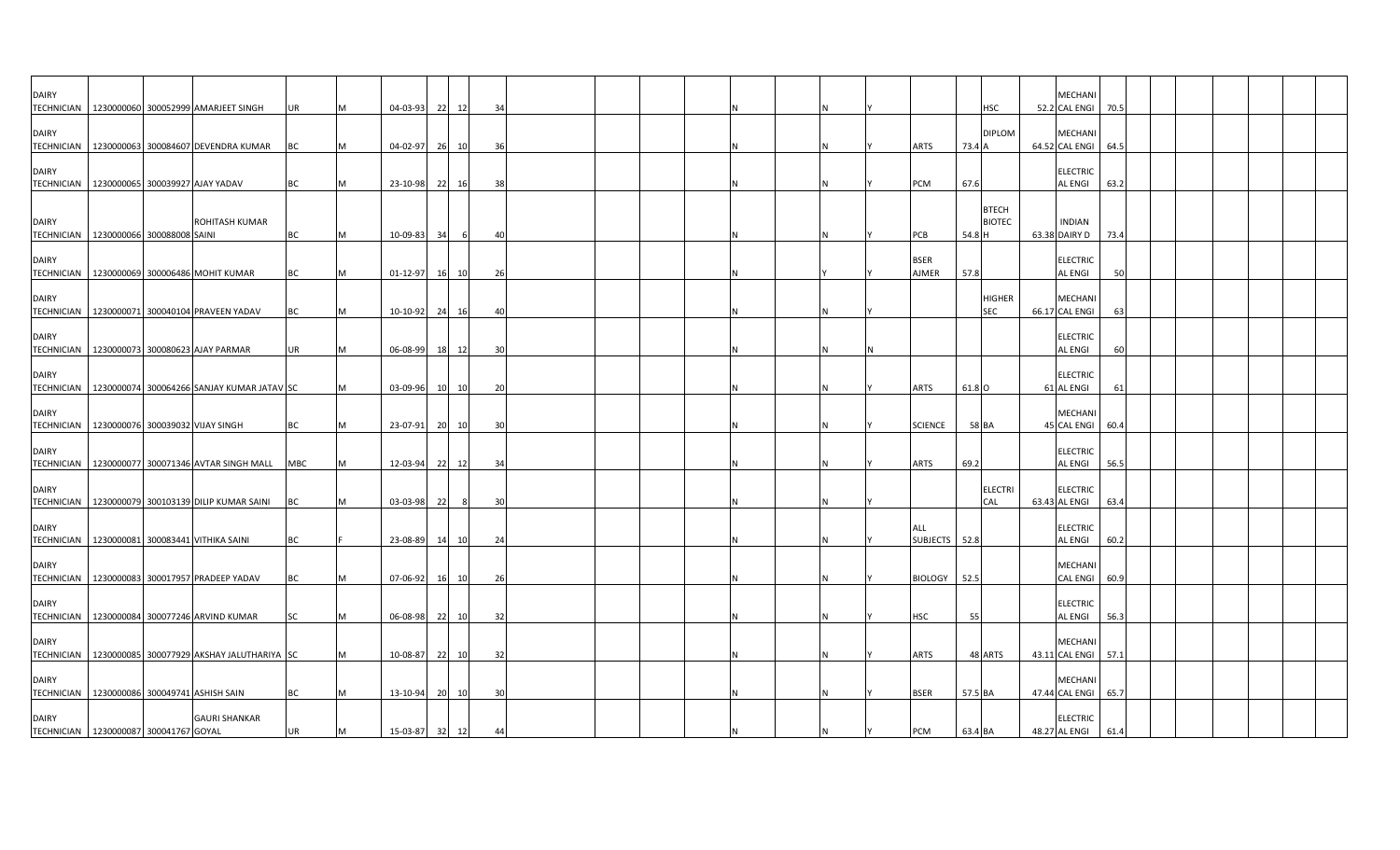| <b>DAIRY</b> |                                                               |           |   |                |          |                     |  |  |  |  |                             |                                         | <b>MECHAN</b>                        |      |  |  |  |
|--------------|---------------------------------------------------------------|-----------|---|----------------|----------|---------------------|--|--|--|--|-----------------------------|-----------------------------------------|--------------------------------------|------|--|--|--|
| <b>DAIRY</b> | TECHNICIAN   1230000060 300052999 AMARJEET SINGH              | UR        |   | 04-03-93       | 22<br>12 | 34                  |  |  |  |  |                             | <b>HSC</b><br><b>DIPLOM</b>             | 52.2 CAL ENGI<br>MECHANI             | 70.5 |  |  |  |
|              | TECHNICIAN   1230000063 300084607 DEVENDRA KUMAR              | ВC        |   | 04-02-97       | 26<br>10 | -36                 |  |  |  |  | ARTS                        | 73.4 A                                  | 64.52 CAL ENGI                       | 64.5 |  |  |  |
| <b>DAIRY</b> | TECHNICIAN 1230000065 300039927 AJAY YADAV                    | BC        |   | 23-10-98 22 16 |          | 38                  |  |  |  |  | PCM                         | 67.6                                    | <b>ELECTRIC</b><br><b>AL ENGI</b>    | 63.2 |  |  |  |
| <b>DAIRY</b> | ROHITASH KUMAR<br>TECHNICIAN 1230000066 300088008 SAINI       | BC        | M | 10-09-83       | 34       | -6<br>4(            |  |  |  |  | PCB                         | <b>BTECH</b><br><b>BIOTEC</b><br>54.8 H | <b>INDIAN</b><br>63.38 DAIRY D       | 73.4 |  |  |  |
| <b>DAIRY</b> | TECHNICIAN   1230000069 300006486 MOHIT KUMAR                 | BC        |   | 01-12-97       | 16 10    | 26                  |  |  |  |  | <b>BSER</b><br><b>AJMER</b> | 57.8                                    | <b>ELECTRIC</b><br><b>AL ENGI</b>    | 50   |  |  |  |
| <b>DAIRY</b> | TECHNICIAN   1230000071 300040104 PRAVEEN YADAV               | BC        |   | 10-10-92 24    | 16       | 40                  |  |  |  |  |                             | <b>HIGHER</b><br><b>SEC</b>             | <b>MECHAN</b><br>66.17 CAL ENGI      | 63   |  |  |  |
| <b>DAIRY</b> | TECHNICIAN 1230000073 300080623 AJAY PARMAR                   | UR        | M | 06-08-99       | 18<br>12 | -30                 |  |  |  |  |                             |                                         | <b>ELECTRIC</b><br><b>AL ENGI</b>    | 60   |  |  |  |
| <b>DAIRY</b> | TECHNICIAN   1230000074 300064266 SANJAY KUMAR JATAV SC       |           |   | 03-09-96       | 10 10    | 20                  |  |  |  |  | <b>ARTS</b>                 | 61.8 O                                  | <b>ELECTRIC</b><br>61 AL ENGI        | 61   |  |  |  |
| <b>DAIRY</b> | TECHNICIAN 1230000076 300039032 VIJAY SINGH                   | BC        |   | 23-07-91       | 20<br>10 | -30                 |  |  |  |  | <b>SCIENCE</b>              | 58 BA                                   | <b>MECHANI</b><br>45 CAL ENGI        | 60.4 |  |  |  |
| <b>DAIRY</b> | TECHNICIAN   1230000077 300071346 AVTAR SINGH MALL   MBC      |           |   | 12-03-94       | 22<br>12 | 34                  |  |  |  |  | <b>ARTS</b>                 | 69.2                                    | <b>ELECTRIC</b><br><b>AL ENGI</b>    | 56.5 |  |  |  |
| <b>DAIRY</b> | TECHNICIAN 1230000079 300103139 DILIP KUMAR SAINI             | BC        |   | 03-03-98       | 22       | 8<br>$\overline{3}$ |  |  |  |  |                             | <b>ELECTRI</b><br>CAL                   | <b>ELECTRIC</b><br>63.43 AL ENGI     | 63.4 |  |  |  |
| <b>DAIRY</b> | TECHNICIAN 1230000081 300083441 VITHIKA SAINI                 | BC        |   | 23-08-89 14 10 |          | 24                  |  |  |  |  | ALL<br>SUBJECTS 52.8        |                                         | <b>ELECTRIC</b><br><b>AL ENGI</b>    | 60.2 |  |  |  |
| <b>DAIRY</b> | TECHNICIAN   1230000083 300017957 PRADEEP YADAV               | BC        |   | 07-06-92       | 16 10    | 26                  |  |  |  |  | <b>BIOLOGY</b>              | 52.5                                    | <b>MECHANI</b><br><b>CAL ENGI</b>    | 60.9 |  |  |  |
| <b>DAIRY</b> | TECHNICIAN   1230000084 300077246 ARVIND KUMAR                | <b>SC</b> |   | 06-08-98       | 22<br>10 | 32                  |  |  |  |  | HSC                         | 55                                      | <b>ELECTRIC</b><br><b>AL ENGI</b>    | 56.3 |  |  |  |
| <b>DAIRY</b> | TECHNICIAN 1230000085 300077929 AKSHAY JALUTHARIYA SC         |           |   | 10-08-87       | 22 10    | 32                  |  |  |  |  | <b>ARTS</b>                 | 48 ARTS                                 | <b>MECHAN</b><br>43.11 CAL ENGI 57.1 |      |  |  |  |
| <b>DAIRY</b> | TECHNICIAN 1230000086 300049741 ASHISH SAIN                   | BC        |   | 13-10-94       | 20 10    | 30                  |  |  |  |  | <b>BSER</b>                 | 57.5 BA                                 | <b>MECHAN</b><br>47.44 CAL ENGI      | 65.7 |  |  |  |
| <b>DAIRY</b> | <b>GAURI SHANKAR</b><br>TECHNICIAN 1230000087 300041767 GOYAL | UR        | M | 15-03-87 32 12 |          | 44                  |  |  |  |  | PCM                         | 63.4 BA                                 | <b>ELECTRIC</b><br>48.27 AL ENGI     | 61.4 |  |  |  |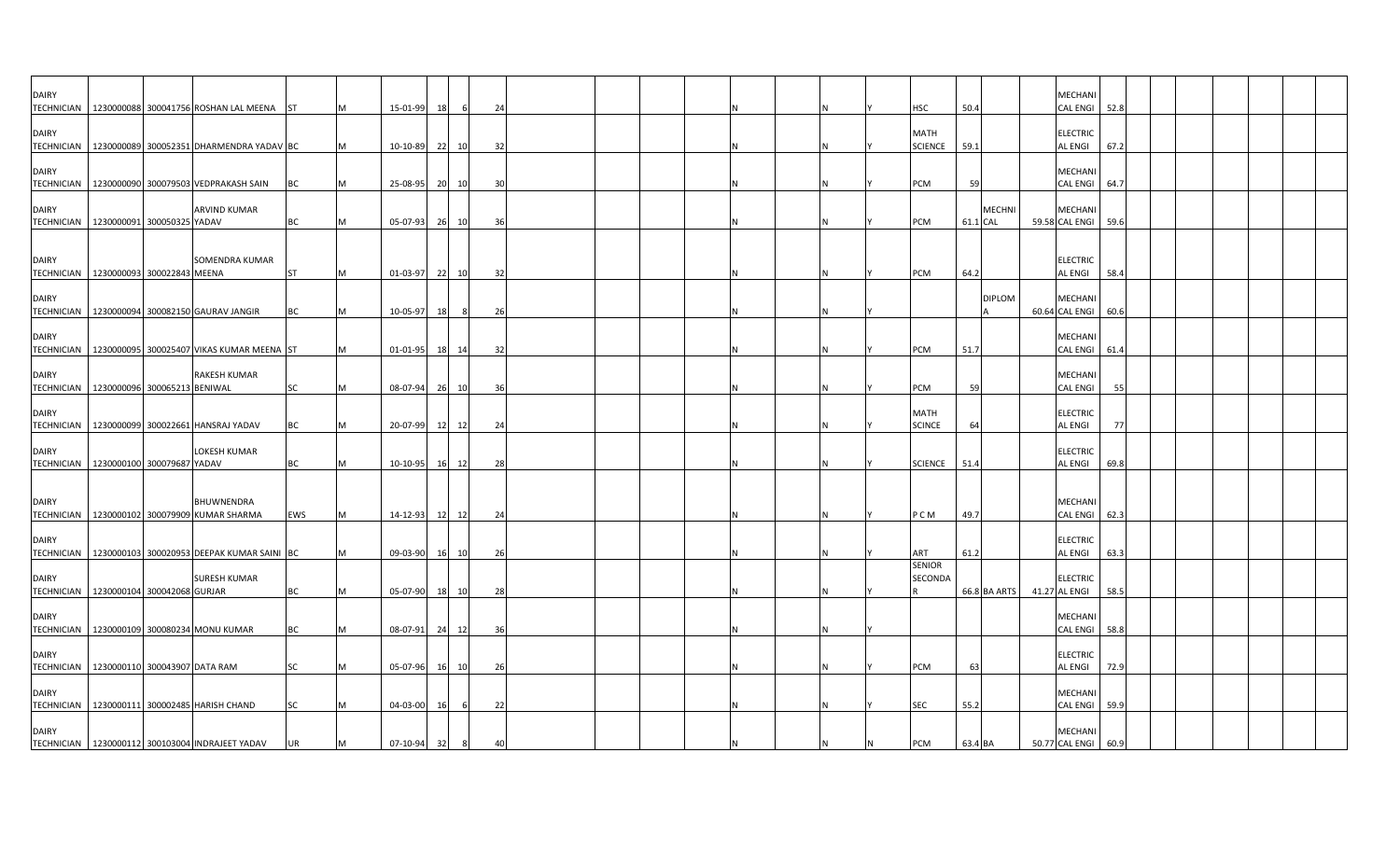| <b>DAIRY</b>                      | TECHNICIAN 1230000088 300041756 ROSHAN LAL MEENA ST                 |            |          | 15-01-99       | 18        |     | 24 |  |  |  |  | <b>HSC</b>                    | 50.4     |               | <b>MECHANI</b><br><b>CAL ENGI</b>     | 52.8 |  |  |  |
|-----------------------------------|---------------------------------------------------------------------|------------|----------|----------------|-----------|-----|----|--|--|--|--|-------------------------------|----------|---------------|---------------------------------------|------|--|--|--|
| <b>DAIRY</b>                      | TECHNICIAN   1230000089 300052351 DHARMENDRA YADAV BC               |            |          | 10-10-89       | 22 10     |     | 32 |  |  |  |  | <b>MATH</b><br><b>SCIENCE</b> | 59.1     |               | <b>ELECTRIC</b><br><b>AL ENGI</b>     | 67.2 |  |  |  |
| <b>DAIRY</b>                      | TECHNICIAN   1230000090 300079503 VEDPRAKASH SAIN                   | BC         |          | 25-08-95       | 20        | 10  | 30 |  |  |  |  | PCM                           | 59       |               | MECHANI<br><b>CAL ENGI</b>            | 64.7 |  |  |  |
| <b>DAIRY</b>                      | <b>ARVIND KUMAR</b><br>TECHNICIAN 1230000091 300050325 YADAV        | <b>BC</b>  | M        | 05-07-93 26 10 |           |     | 36 |  |  |  |  | PCM                           | 61.1 CAL | <b>MECHNI</b> | <b>MECHANI</b><br>59.58 CAL ENGI 59.6 |      |  |  |  |
| <b>DAIRY</b>                      | SOMENDRA KUMAR<br>TECHNICIAN 1230000093 300022843 MEENA             | <b>ST</b>  |          | 01-03-97       | 22 10     |     | 32 |  |  |  |  | PCM                           | 64.2     |               | <b>ELECTRIC</b><br><b>AL ENGI</b>     | 58.4 |  |  |  |
| <b>DAIRY</b>                      | TECHNICIAN 1230000094 300082150 GAURAV JANGIR                       | <b>BC</b>  |          | 10-05-97       | 18        | - 8 | 26 |  |  |  |  |                               |          | <b>DIPLOM</b> | <b>MECHANI</b><br>60.64 CAL ENGI      | 60.6 |  |  |  |
| <b>DAIRY</b>                      | TECHNICIAN 1230000095 300025407 VIKAS KUMAR MEENA ST                |            |          | 01-01-95 18 14 |           |     | 32 |  |  |  |  | PCM                           | 51.7     |               | MECHANI<br>CAL ENGI                   | 61.4 |  |  |  |
| <b>DAIRY</b>                      | <b>RAKESH KUMAR</b><br>TECHNICIAN 1230000096 300065213 BENIWAL      | SC         | M        | 08-07-94 26 10 |           |     | 36 |  |  |  |  | PCM                           | 59       |               | <b>MECHANI</b><br><b>CAL ENGI</b>     | 55   |  |  |  |
| <b>DAIRY</b>                      | TECHNICIAN   1230000099 300022661 HANSRAJ YADAV                     | BC         |          | 20-07-99 12 12 |           |     | 24 |  |  |  |  | <b>MATH</b><br><b>SCINCE</b>  | 64       |               | <b>ELECTRIC</b><br><b>AL ENGI</b>     | 77   |  |  |  |
| <b>DAIRY</b>                      | LOKESH KUMAR<br>TECHNICIAN   1230000100 300079687 YADAV             | <b>BC</b>  |          | 10-10-95 16 12 |           |     | 28 |  |  |  |  | <b>SCIENCE</b>                | 51.4     |               | <b>ELECTRIC</b><br><b>AL ENGI</b>     | 69.8 |  |  |  |
| <b>DAIRY</b>                      | <b>BHUWNENDRA</b><br>TECHNICIAN   1230000102 300079909 KUMAR SHARMA | <b>EWS</b> | <b>M</b> | 14-12-93 12 12 |           |     | 24 |  |  |  |  | P C M                         | 49.7     |               | <b>MECHAN</b><br><b>CAL ENGI</b>      | 62.3 |  |  |  |
| <b>DAIRY</b>                      | TECHNICIAN   1230000103 300020953 DEEPAK KUMAR SAINI BC             |            |          | 09-03-90       | 16 10     |     | 26 |  |  |  |  | ART                           | 61.2     |               | <b>ELECTRIC</b><br><b>AL ENGI</b>     | 63.3 |  |  |  |
| <b>DAIRY</b>                      | <b>SURESH KUMAR</b><br>TECHNICIAN   1230000104 300042068 GURJAR     | BC         | M        | 05-07-90       | 18        | 10  | 28 |  |  |  |  | <b>SENIOR</b><br>SECONDA      |          | 66.8 BA ARTS  | <b>ELECTRIC</b><br>41.27 AL ENGI      | 58.5 |  |  |  |
| <b>DAIRY</b><br><b>TECHNICIAN</b> | 1230000109 300080234 MONU KUMAR                                     | ВC         |          | 08-07-91       | 24 12     |     | 36 |  |  |  |  |                               |          |               | MECHANI<br><b>CAL ENGI</b>            | 58.8 |  |  |  |
| <b>DAIRY</b>                      | TECHNICIAN 1230000110 300043907 DATA RAM                            | SC         |          | 05-07-96 16 10 |           |     | 26 |  |  |  |  | PCM                           | 63       |               | <b>ELECTRIC</b><br><b>AL ENGI</b>     | 72.9 |  |  |  |
| <b>DAIRY</b>                      | TECHNICIAN 1230000111 300002485 HARISH CHAND                        | SC         |          | 04-03-00       | <b>16</b> |     | 22 |  |  |  |  | SEC                           | 55.2     |               | <b>MECHANI</b><br><b>CAL ENGI</b>     | 59.9 |  |  |  |
| <b>DAIRY</b>                      | TECHNICIAN   1230000112 300103004 INDRAJEET YADAV                   | UR         |          | 07-10-94       | 32        | 8   |    |  |  |  |  | PCM                           | 63.4 BA  |               | MECHANI<br>50.77 CAL ENGI             | 60.9 |  |  |  |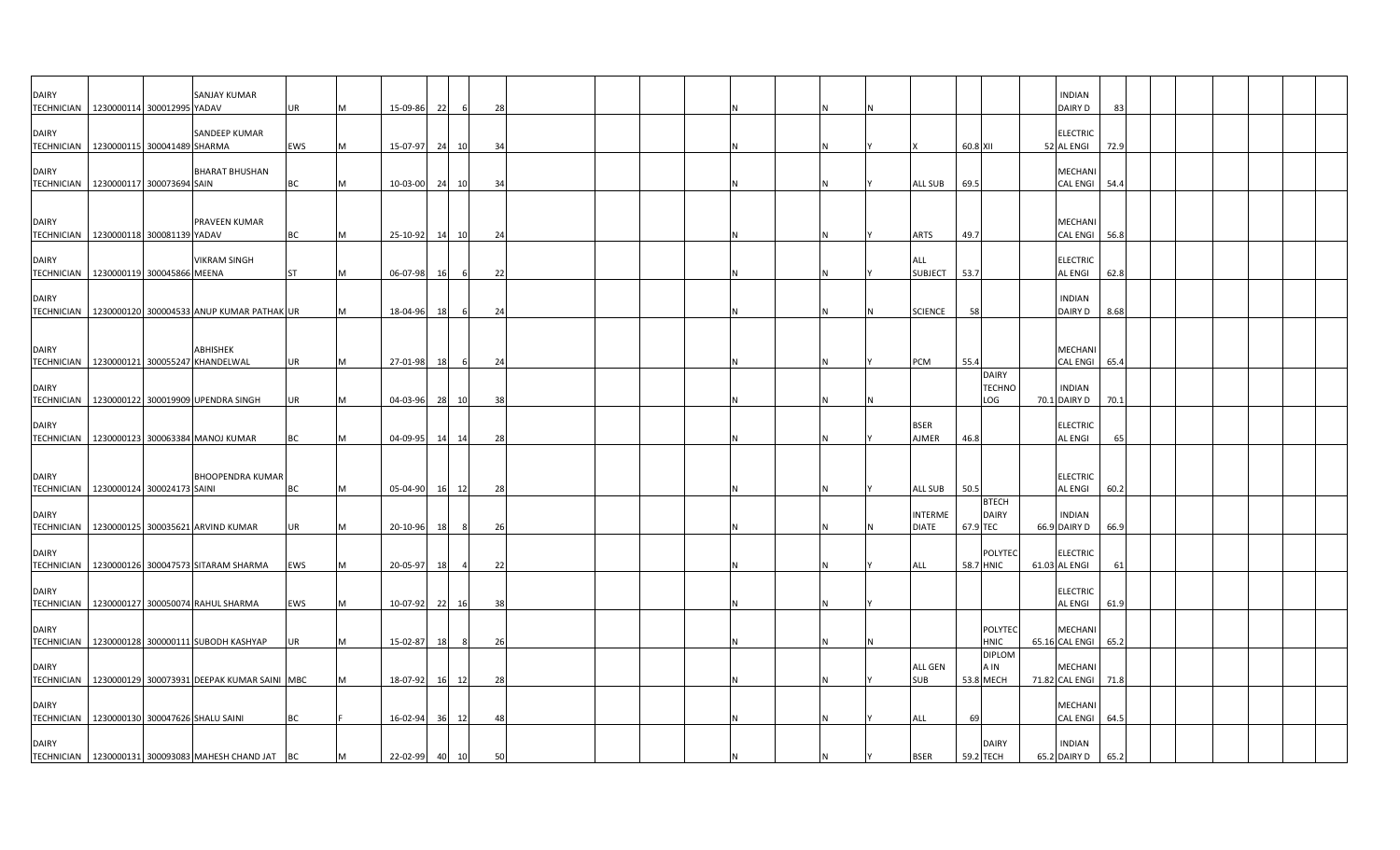| <b>DAIRY</b><br><b>TECHNICIAN</b>                       | 1230000114 300012995 YADAV | <b>SANJAY KUMAR</b>                                      | UR         | M | 15-09-86   | 22 |       | 28 |  |  |  |                                |          |                                      | <b>INDIAN</b><br>DAIRY D          | -83  |  |  |  |
|---------------------------------------------------------|----------------------------|----------------------------------------------------------|------------|---|------------|----|-------|----|--|--|--|--------------------------------|----------|--------------------------------------|-----------------------------------|------|--|--|--|
| DAIRY<br>TECHNICIAN 1230000115 300041489 SHARMA         |                            | SANDEEP KUMAR                                            | <b>EWS</b> | M | 15-07-97   | 24 | 10    | 34 |  |  |  |                                | 60.8 XII |                                      | <b>ELECTRIC</b><br>52 AL ENGI     | 72.9 |  |  |  |
| DAIRY<br>TECHNICIAN   1230000117 300073694 SAIN         |                            | <b>BHARAT BHUSHAN</b>                                    | BC         | M | 10-03-00   | 24 | 10    | 34 |  |  |  | ALL SUB                        | 69.5     |                                      | <b>MECHANI</b><br>CAL ENGI 54.4   |      |  |  |  |
| DAIRY                                                   |                            | PRAVEEN KUMAR                                            |            |   |            |    |       |    |  |  |  |                                |          |                                      | MECHANI                           |      |  |  |  |
| TECHNICIAN   1230000118 300081139 YADAV                 |                            |                                                          | BC         | M | 25-10-92   | 14 | 10    | 24 |  |  |  | <b>ARTS</b>                    | 49.7     |                                      | CAL ENGI 56.8                     |      |  |  |  |
| DAIRY<br>TECHNICIAN   1230000119 300045866 MEENA        |                            | <b>VIKRAM SINGH</b>                                      | <b>ST</b>  | M | 06-07-98   | 16 |       | 22 |  |  |  | ALL<br><b>SUBJECT</b>          | 53.7     |                                      | <b>ELECTRIC</b><br><b>AL ENGI</b> | 62.8 |  |  |  |
| DAIRY<br><b>TECHNICIAN</b>                              |                            | 1230000120 300004533 ANUP KUMAR PATHAK UR                |            | M | 18-04-96   | 18 |       | 24 |  |  |  | <b>SCIENCE</b>                 | 58       |                                      | <b>INDIAN</b><br>DAIRY D          | 8.68 |  |  |  |
| DAIRY<br><b>TECHNICIAN</b>                              |                            | ABHISHEK<br>1230000121 300055247 KHANDELWAL              | <b>UR</b>  | M | 27-01-98   | 18 |       | 24 |  |  |  | PCM                            | 55.4     |                                      | MECHANI<br><b>CAL ENGI</b>        | 65.4 |  |  |  |
| DAIRY<br><b>TECHNICIAN</b>                              |                            | 1230000122 300019909 UPENDRA SINGH                       | UR         | M | 04-03-96   |    | 28 10 | 38 |  |  |  |                                |          | <b>DAIRY</b><br><b>TECHNO</b><br>LOG | <b>INDIAN</b><br>70.1 DAIRY D     | 70.1 |  |  |  |
| DAIRY                                                   |                            | TECHNICIAN   1230000123 300063384 MANOJ KUMAR            | ВC         | M | 04-09-95   | 14 | 14    | 28 |  |  |  | <b>BSER</b><br>AJMER           | 46.8     |                                      | <b>ELECTRIC</b><br>AL ENGI        | 65   |  |  |  |
|                                                         |                            |                                                          |            |   |            |    |       |    |  |  |  |                                |          |                                      |                                   |      |  |  |  |
| <b>DAIRY</b><br>TECHNICIAN   1230000124 300024173 SAINI |                            | <b>BHOOPENDRA KUMAR</b>                                  | ВC         | M | 05-04-90   | 16 | 12    | 28 |  |  |  | ALL SUB                        | 50.5     |                                      | <b>ELECTRIC</b><br><b>AL ENGI</b> | 60.2 |  |  |  |
| <b>DAIRY</b><br>TECHNICIAN                              |                            | 1230000125 300035621 ARVIND KUMAR                        | UR         | M | 20-10-96   | 18 |       | 26 |  |  |  | <b>INTERME</b><br><b>DIATE</b> | 67.9 TEC | <b>BTECH</b><br><b>DAIRY</b>         | <b>INDIAN</b><br>66.9 DAIRY D     | 66.9 |  |  |  |
| DAIRY<br><b>TECHNICIAN</b>                              |                            | 1230000126 300047573 SITARAM SHARMA                      | EWS        | M | 20-05-97   | 18 |       | 22 |  |  |  | ALL                            |          | POLYTEC<br>58.7 HNIC                 | <b>ELECTRIC</b><br>61.03 AL ENGI  | 61   |  |  |  |
| DAIRY                                                   |                            | TECHNICIAN 1230000127 300050074 RAHUL SHARMA             | EWS        | M | $10-07-92$ | 22 | 16    | 38 |  |  |  |                                |          |                                      | <b>ELECTRIC</b><br>AL ENGI        | 61.9 |  |  |  |
| DAIRY<br><b>TECHNICIAN</b>                              |                            | 1230000128 300000111 SUBODH KASHYAP                      | UR         | M | 15-02-87   | 18 |       | 26 |  |  |  |                                |          | <b>POLYTEC</b><br><b>HNIC</b>        | <b>MECHAN</b><br>65.16 CAL ENGI   | 65.2 |  |  |  |
| DAIRY                                                   |                            | TECHNICIAN   1230000129 300073931 DEEPAK KUMAR SAINI MBC |            |   | 18-07-92   | 16 | 12    | 28 |  |  |  | ALL GEN<br><b>SUB</b>          |          | <b>DIPLOM</b><br>A IN<br>53.8 MECH   | MECHANI<br>71.82 CAL ENGI         | 71.8 |  |  |  |
| DAIRY<br>TECHNICIAN 1230000130 300047626 SHALU SAINI    |                            |                                                          | <b>BC</b>  |   | 16-02-94   | 36 | 12    | 48 |  |  |  | ALL                            | 69       |                                      | MECHANI<br><b>CAL ENGI</b>        | 64.  |  |  |  |
| DAIRY                                                   |                            | TECHNICIAN   1230000131 300093083 MAHESH CHAND JAT   BC  |            | M | 22-02-99   | 40 | 10    | 50 |  |  |  | <b>BSER</b>                    |          | <b>DAIRY</b><br>59.2 TECH            | <b>INDIAN</b><br>65.2 DAIRY D     | 65.2 |  |  |  |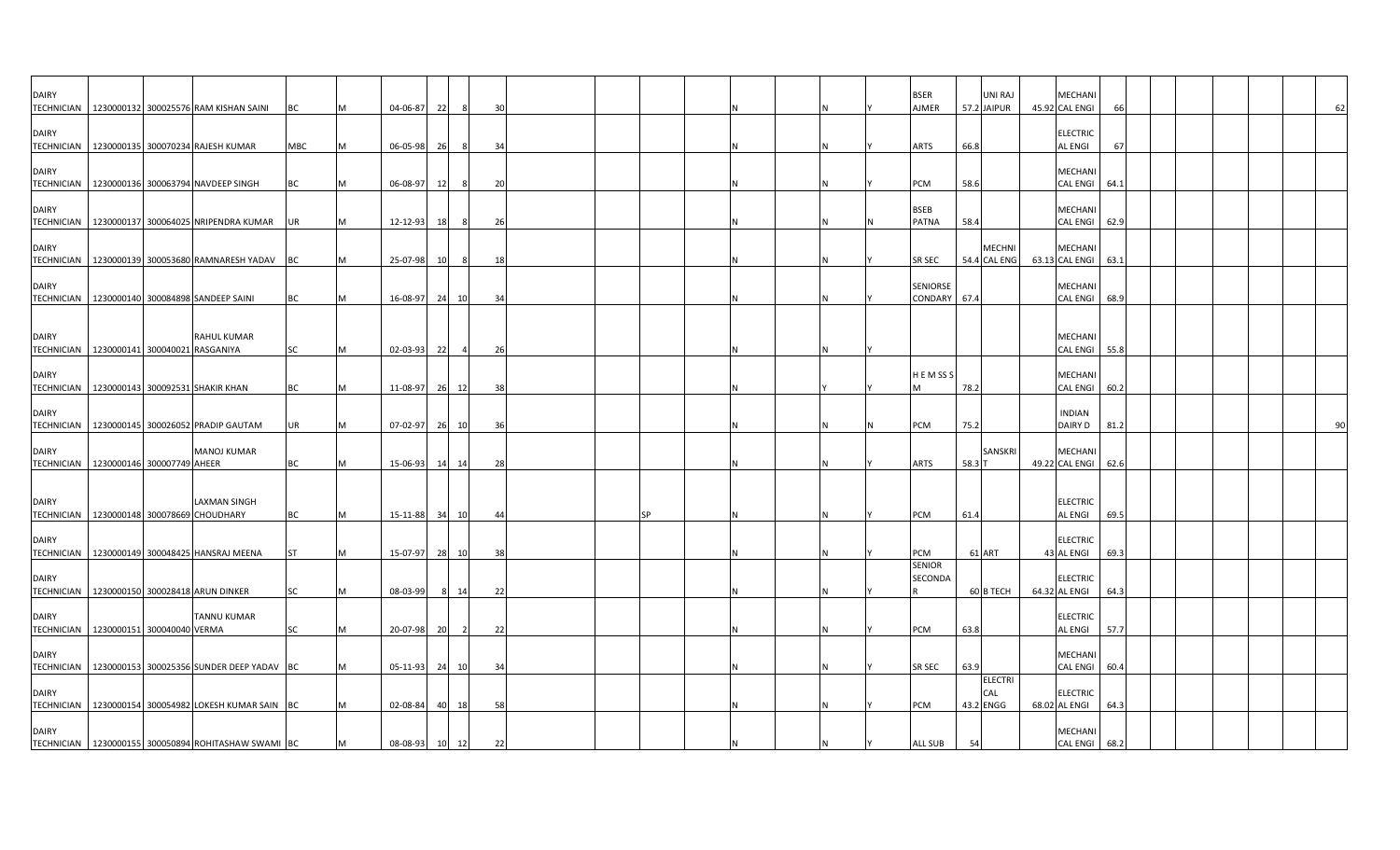| <b>DAIRY</b> | TECHNICIAN   1230000132 300025576 RAM KISHAN SAINI                | <b>BC</b> |   | 04-06-87       | 22    |                | 30  |  |    |  |  | <b>BSER</b><br><b>AJMER</b>     | 57.2 JAIPUR | UNI RAJ                       | <b>MECHAN</b><br>45.92 CAL ENGI       |      |  |  |  | 62 |
|--------------|-------------------------------------------------------------------|-----------|---|----------------|-------|----------------|-----|--|----|--|--|---------------------------------|-------------|-------------------------------|---------------------------------------|------|--|--|--|----|
| <b>DAIRY</b> | TECHNICIAN 1230000135 300070234 RAJESH KUMAR                      | MBC       |   | 06-05-98       | 26    |                | 34  |  |    |  |  | <b>ARTS</b>                     | 66.8        |                               | <b>ELECTRIC</b><br><b>AL ENGI</b>     | 67   |  |  |  |    |
| <b>DAIRY</b> | TECHNICIAN   1230000136 300063794 NAVDEEP SINGH                   | ВC        |   | 06-08-97       | 12    | -8             | 20  |  |    |  |  | PCM                             | 58.6        |                               | MECHANI<br><b>CAL ENGI</b>            | 64.1 |  |  |  |    |
| <b>DAIRY</b> | TECHNICIAN   1230000137 300064025 NRIPENDRA KUMAR                 | UR        |   | 12-12-93       | 18    | 8              | 26  |  |    |  |  | <b>BSEB</b><br><b>PATNA</b>     | 58.4        |                               | MECHANI<br>CAL ENGI 62.9              |      |  |  |  |    |
| <b>DAIRY</b> | TECHNICIAN   1230000139 300053680 RAMNARESH YADAV BC              |           |   | 25-07-98 10    |       | 8              | 18  |  |    |  |  | SR SEC                          |             | <b>MECHNI</b><br>54.4 CAL ENG | <b>MECHANI</b><br>63.13 CAL ENGI 63.1 |      |  |  |  |    |
| <b>DAIRY</b> | TECHNICIAN 1230000140 300084898 SANDEEP SAINI                     | <b>BC</b> |   | 16-08-97       | 24 10 |                | 34  |  |    |  |  | SENIORSE<br>CONDARY             | 67.4        |                               | <b>MECHANI</b><br>CAL ENGI            | 68.9 |  |  |  |    |
| <b>DAIRY</b> | <b>RAHUL KUMAR</b><br>TECHNICIAN 1230000141 300040021 RASGANIYA   | SC        | M | 02-03-93       | 22    | $\overline{4}$ | 26  |  |    |  |  |                                 |             |                               | MECHANI<br>CAL ENGI 55.8              |      |  |  |  |    |
| <b>DAIRY</b> | TECHNICIAN   1230000143 300092531 SHAKIR KHAN                     | <b>BC</b> | M | 11-08-97 26 12 |       |                | 38  |  |    |  |  | HEMSSS                          | 78.2        |                               | <b>MECHANI</b><br>CAL ENGI 60.2       |      |  |  |  |    |
| <b>DAIRY</b> | TECHNICIAN   1230000145 300026052 PRADIP GAUTAM                   | UR        |   | 07-02-97       | 26 10 |                | 36  |  |    |  |  | PCM                             | 75.2        |                               | <b>INDIAN</b><br>DAIRY D              | 81.2 |  |  |  | 90 |
| <b>DAIRY</b> | <b>MANOJ KUMAR</b><br>TECHNICIAN   1230000146 300007749 AHEER     | ВC        |   | 15-06-93       | 14    | 14             | -28 |  |    |  |  | <b>ARTS</b>                     | 58.3        | <b>SANSKR</b>                 | MECHANI<br>49.22 CAL ENGI 62.6        |      |  |  |  |    |
| <b>DAIRY</b> | <b>LAXMAN SINGH</b>                                               |           |   |                |       |                |     |  |    |  |  |                                 |             |                               | <b>ELECTRIC</b>                       |      |  |  |  |    |
| <b>DAIRY</b> | TECHNICIAN 1230000148 300078669 CHOUDHARY                         | BC        | M | 15-11-88 34 10 |       |                | 44  |  | SP |  |  | PCM                             | 61.4        |                               | <b>AL ENGI</b><br><b>ELECTRIC</b>     | 69.5 |  |  |  |    |
| <b>DAIRY</b> | TECHNICIAN   1230000149 300048425 HANSRAJ MEENA                   | <b>ST</b> |   | 15-07-97       | 28 10 |                | 38  |  |    |  |  | PCM<br><b>SENIOR</b><br>SECONDA | 61 ART      |                               | 43 AL ENGI<br><b>ELECTRIC</b>         | 69.3 |  |  |  |    |
| <b>DAIRY</b> | TECHNICIAN 1230000150 300028418 ARUN DINKER<br><b>TANNU KUMAR</b> | SC        |   | 08-03-99       | 8     | -14            | 22  |  |    |  |  |                                 |             | 60 B TECH                     | 64.32 AL ENGI<br><b>ELECTRIC</b>      | 64.3 |  |  |  |    |
| <b>DAIRY</b> | TECHNICIAN   1230000151 300040040 VERMA                           | <b>SC</b> | M | 20-07-98       | 20    | $\overline{2}$ | 22  |  |    |  |  | PCM                             | 63.8        |                               | <b>AL ENGI</b><br>MECHANI             | 57.7 |  |  |  |    |
| <b>DAIRY</b> | TECHNICIAN 1230000153 300025356 SUNDER DEEP YADAV BC              |           |   | 05-11-93       | 24 10 |                | 34  |  |    |  |  | SR SEC                          | 63.9        | <b>ELECTRI</b><br>CAL         | CAL ENGI 60.4<br><b>ELECTRIC</b>      |      |  |  |  |    |
| <b>DAIRY</b> | TECHNICIAN 1230000154 300054982 LOKESH KUMAR SAIN BC              |           |   | 02-08-84       | 40    | 18             | 58  |  |    |  |  | PCM                             | 43.2 ENGG   |                               | 68.02 AL ENGI<br><b>MECHANI</b>       | 64.3 |  |  |  |    |
|              | TECHNICIAN   1230000155 300050894 ROHITASHAW SWAMI BC             |           |   | 08-08-93       | 10 12 |                | 22  |  |    |  |  | <b>ALL SUB</b>                  | 54          |                               | <b>CAL ENGI</b>                       | 68.2 |  |  |  |    |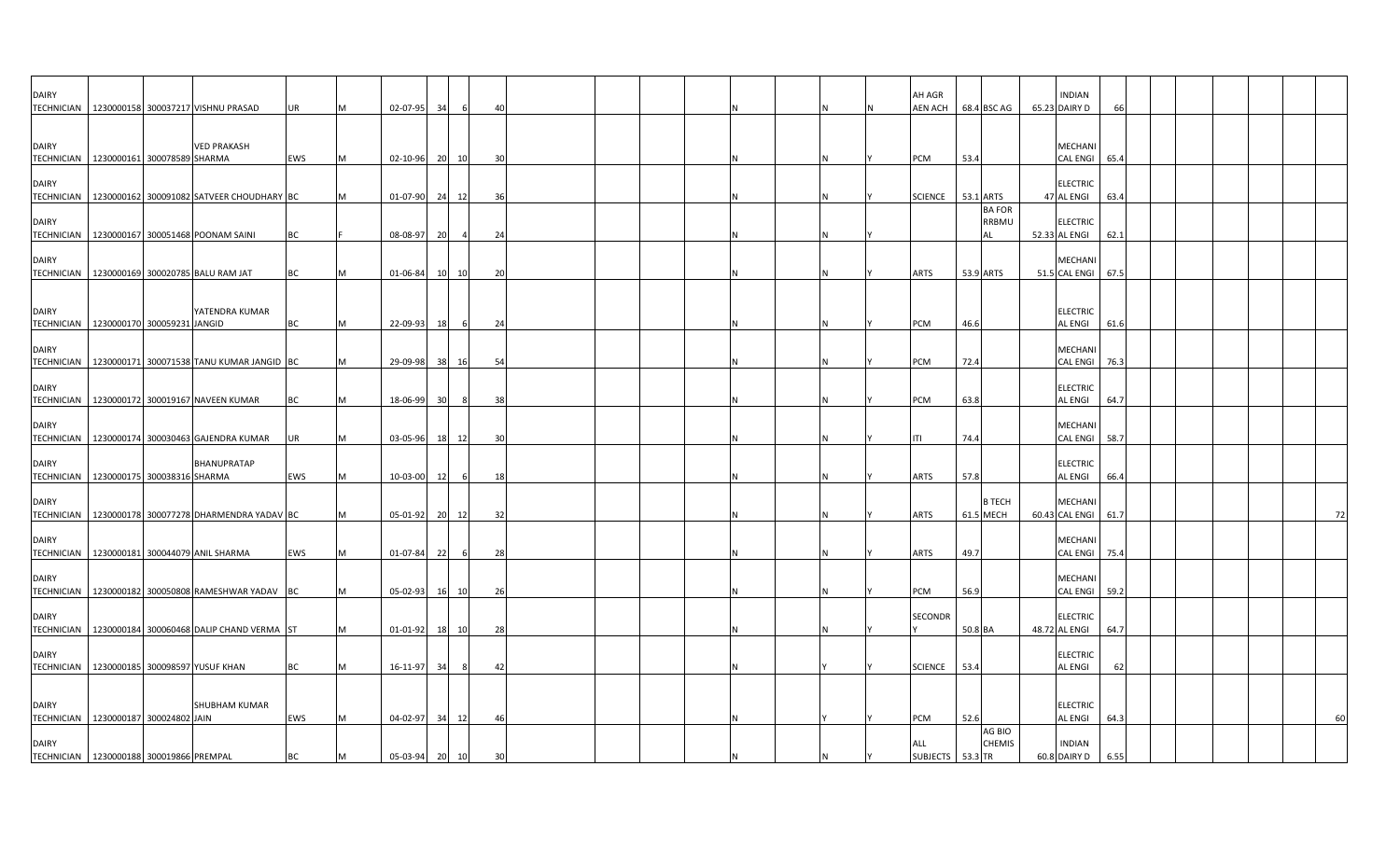| <b>DAIRY</b>                                               |  | TECHNICIAN   1230000158 300037217 VISHNU PRASAD        | UR        | M  | 02-07-95 34    |                 | 6              | 40 |  |  |     | AH AGR<br>AEN ACH       |         | 68.4 BSC AG                  | <b>INDIAN</b><br>65.23 DAIRY D   | 66   |  |  |    |
|------------------------------------------------------------|--|--------------------------------------------------------|-----------|----|----------------|-----------------|----------------|----|--|--|-----|-------------------------|---------|------------------------------|----------------------------------|------|--|--|----|
| <b>DAIRY</b><br>TECHNICIAN   1230000161 300078589 SHARMA   |  | <b>VED PRAKASH</b>                                     | EWS       | M  | 02-10-96 20 10 |                 |                | 30 |  |  | IN. | PCM                     | 53.4    |                              | MECHANI<br><b>CAL ENGI</b>       | 65.4 |  |  |    |
| <b>DAIRY</b><br><b>TECHNICIAN</b>                          |  | 1230000162 300091082 SATVEER CHOUDHARY BC              |           | M  | 01-07-90       | 24              | 12             | 36 |  |  |     | <b>SCIENCE</b>          |         | 53.1 ARTS                    | <b>ELECTRIC</b><br>47 AL ENGI    | 63.4 |  |  |    |
| <b>DAIRY</b>                                               |  | TECHNICIAN   1230000167 300051468 POONAM SAINI         | ВC        |    | 08-08-97       | 20              | $\overline{4}$ | 24 |  |  |     |                         |         | <b>BA FOR</b><br>RRBMU<br>ΑI | <b>ELECTRIC</b><br>52.33 AL ENGI | 62.1 |  |  |    |
| <b>DAIRY</b>                                               |  | TECHNICIAN 1230000169 300020785 BALU RAM JAT           | ВC        |    | 01-06-84       | 10 10           |                | 20 |  |  |     | ARTS                    |         | 53.9 ARTS                    | MECHAN<br>51.5 CAL ENGI          | 67.5 |  |  |    |
| <b>DAIRY</b><br>TECHNICIAN   1230000170 300059231 JANGID   |  | YATENDRA KUMAR                                         | ВC        |    | 22-09-93       | 18              |                | 24 |  |  |     | PCM                     | 46.6    |                              | <b>ELECTRIC</b><br>AL ENGI       | 61.6 |  |  |    |
| <b>DAIRY</b><br><b>TECHNICIAN</b>                          |  | 1230000171 300071538 TANU KUMAR JANGID BC              |           |    | 29-09-98       | 38              | 16             | 54 |  |  |     | PCM                     | 72.4    |                              | MECHANI<br><b>CAL ENGI</b>       | 76.3 |  |  |    |
| <b>DAIRY</b>                                               |  | TECHNICIAN   1230000172 300019167 NAVEEN KUMAR         | ВC        |    | 18-06-99       | 30 <sup>1</sup> | 8              | 38 |  |  |     | PCM                     | 63.8    |                              | <b>ELECTRIC</b><br>AL ENGI       | 64.7 |  |  |    |
| <b>DAIRY</b>                                               |  | TECHNICIAN 1230000174 300030463 GAJENDRA KUMAR         | JR        |    | 03-05-96       | 18 12           |                |    |  |  |     | ITI                     | 74.4    |                              | MECHANI<br>CAL ENGI              | 58.7 |  |  |    |
| <b>DAIRY</b><br>TECHNICIAN   1230000175 300038316 SHARMA   |  | <b>BHANUPRATAP</b>                                     | EWS       | IM | 10-03-00       | 12              |                | 18 |  |  |     | ARTS                    | 57.8    |                              | <b>ELECTRIC</b><br>AL ENGI       | 66.4 |  |  |    |
| <b>DAIRY</b>                                               |  | TECHNICIAN 1230000178 300077278 DHARMENDRA YADAV BC    |           |    | 05-01-92       | 20 12           |                | 32 |  |  |     | ARTS                    |         | <b>B TECH</b><br>61.5 MECH   | MECHAN<br>60.43 CAL ENGI         | 61.7 |  |  | 72 |
| <b>DAIRY</b>                                               |  | TECHNICIAN 1230000181 300044079 ANIL SHARMA            | EWS       |    | 01-07-84       | 22              | 6              | 28 |  |  |     | ARTS                    | 49.7    |                              | MECHANI<br><b>CAL ENGI</b>       | 75.4 |  |  |    |
| <b>DAIRY</b>                                               |  | TECHNICIAN   1230000182 300050808 RAMESHWAR YADAV BC   |           |    | 05-02-93       | 16              | 10             | 26 |  |  | N   | PCM                     | 56.9    |                              | MECHANI<br><b>CAL ENGI</b>       | 59.2 |  |  |    |
| <b>DAIRY</b>                                               |  | TECHNICIAN   1230000184 300060468 DALIP CHAND VERMA ST |           |    | 01-01-92       | 18 10           |                | 28 |  |  |     | SECONDR                 | 50.8 BA |                              | <b>ELECTRIC</b><br>48.72 AL ENGI | 64.7 |  |  |    |
| <b>DAIRY</b><br>TECHNICIAN 1230000185 300098597 YUSUF KHAN |  |                                                        | <b>BC</b> |    | 16-11-97       | 34              | 8              | 42 |  |  |     | <b>SCIENCE</b>          | 53.4    |                              | <b>ELECTRIC</b><br>AL ENGI       | 62   |  |  |    |
| <b>DAIRY</b><br>TECHNICIAN   1230000187 300024802 JAIN     |  | SHUBHAM KUMAR                                          | EWS       | M  | 04-02-97 34 12 |                 |                | 46 |  |  |     | PCM                     | 52.6    |                              | <b>ELECTRIC</b><br>AL ENGI       | 64.3 |  |  | 60 |
| <b>DAIRY</b><br>TECHNICIAN 1230000188 300019866 PREMPAL    |  |                                                        | ВC        | M  | 05-03-94       | 20 10           |                | 30 |  |  |     | ALL<br>SUBJECTS 53.3 TR |         | AG BIO<br><b>CHEMIS</b>      | <b>INDIAN</b><br>60.8 DAIRY D    | 6.55 |  |  |    |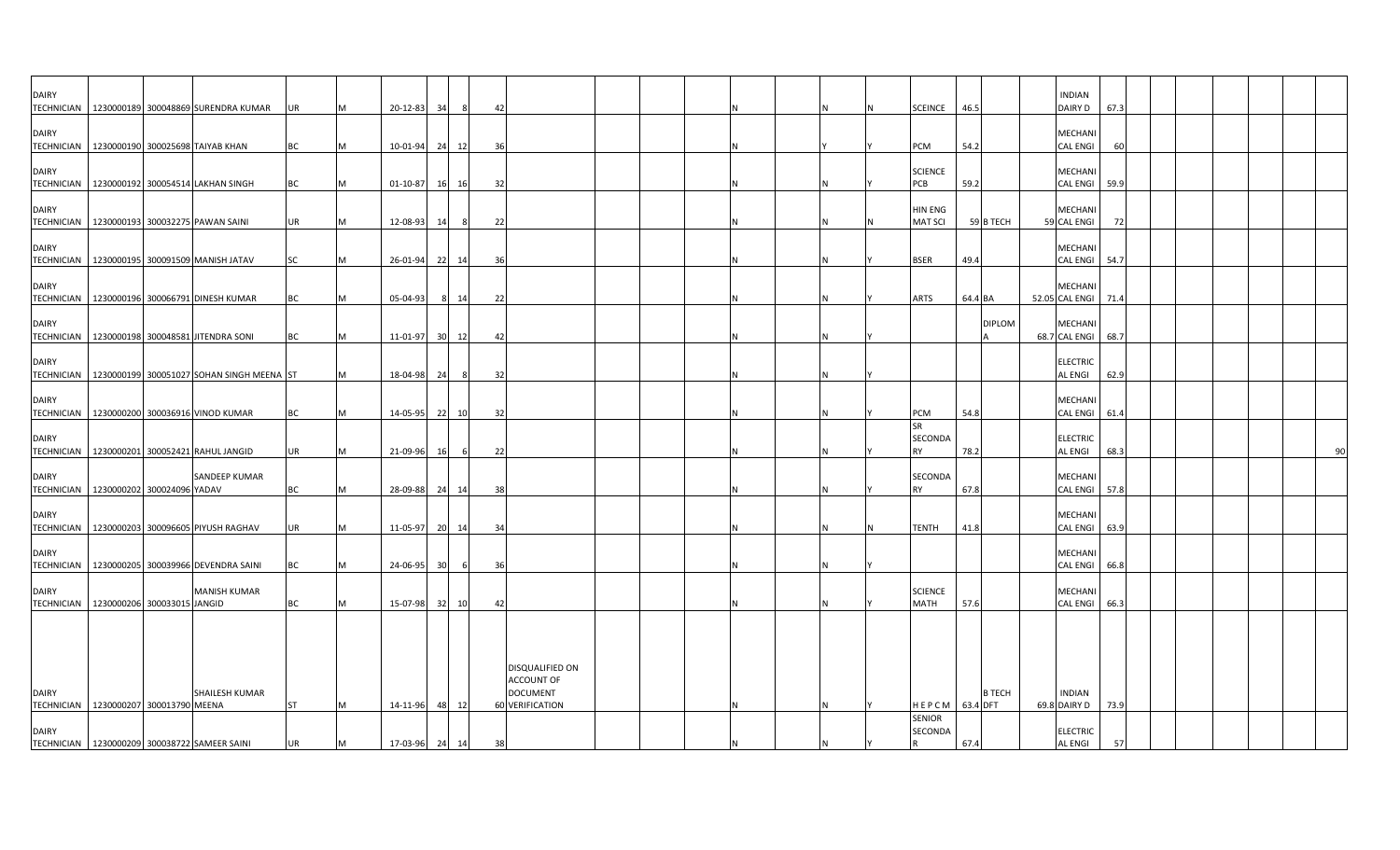| <b>DAIRY</b>                                          |  |                                                  |           |   |                |    |         |     |                                      |  |  |  |                          |                | <b>INDIAN</b>                     |      |  |  |    |
|-------------------------------------------------------|--|--------------------------------------------------|-----------|---|----------------|----|---------|-----|--------------------------------------|--|--|--|--------------------------|----------------|-----------------------------------|------|--|--|----|
|                                                       |  | TECHNICIAN   1230000189 300048869 SURENDRA KUMAR | UR        | M | 20-12-83       | 34 |         | 42  |                                      |  |  |  | <b>SCEINCE</b>           | 46.5           | DAIRY D                           | 67.3 |  |  |    |
| <b>DAIRY</b>                                          |  |                                                  |           |   |                |    |         |     |                                      |  |  |  |                          |                | <b>MECHANI</b>                    |      |  |  |    |
| TECHNICIAN 1230000190 300025698 TAIYAB KHAN           |  |                                                  | ВC        | M | 10-01-94 24 12 |    |         | 36  |                                      |  |  |  | PCM                      | 54.2           | <b>CAL ENGI</b>                   | 60   |  |  |    |
|                                                       |  |                                                  |           |   |                |    |         |     |                                      |  |  |  |                          |                |                                   |      |  |  |    |
| <b>DAIRY</b>                                          |  | TECHNICIAN   1230000192 300054514 LAKHAN SINGH   | ВC        | M | 01-10-87       |    | 16 16   | 32  |                                      |  |  |  | <b>SCIENCE</b><br>PCB    | 59.2           | <b>MECHANI</b><br><b>CAL ENGI</b> | 59.9 |  |  |    |
|                                                       |  |                                                  |           |   |                |    |         |     |                                      |  |  |  |                          |                |                                   |      |  |  |    |
| <b>DAIRY</b>                                          |  |                                                  |           |   |                |    |         |     |                                      |  |  |  | HIN ENG                  |                | <b>MECHANI</b>                    |      |  |  |    |
|                                                       |  | TECHNICIAN 1230000193 300032275 PAWAN SAINI      | UR        | M | 12-08-93       | 14 | 8       | 22  |                                      |  |  |  | <b>MAT SCI</b>           | 59 B TECH      | 59 CAL ENGI                       | 72   |  |  |    |
| <b>DAIRY</b>                                          |  |                                                  |           |   |                |    |         |     |                                      |  |  |  |                          |                | <b>MECHANI</b>                    |      |  |  |    |
|                                                       |  | TECHNICIAN   1230000195 300091509 MANISH JATAV   | <b>SC</b> | M | 26-01-94 22 14 |    |         | 36  |                                      |  |  |  | BSER                     | 49.4           | CAL ENGI 54.7                     |      |  |  |    |
| <b>DAIRY</b>                                          |  |                                                  |           |   |                |    |         |     |                                      |  |  |  |                          |                | <b>MECHANI</b>                    |      |  |  |    |
|                                                       |  | TECHNICIAN   1230000196 300066791 DINESH KUMAR   | ВC        | M | 05-04-93       |    | 14<br>8 | 22  |                                      |  |  |  | ARTS                     | 64.4 BA        | 52.05 CAL ENGI 71.4               |      |  |  |    |
|                                                       |  |                                                  |           |   |                |    |         |     |                                      |  |  |  |                          |                |                                   |      |  |  |    |
| DAIRY<br><b>TECHNICIAN</b>                            |  | 1230000198 300048581 JITENDRA SONI               | ВC        | M | 11-01-97 30    |    | 12      | 42  |                                      |  |  |  |                          | <b>DIPLOM</b>  | <b>MECHANI</b><br>68.7 CAL ENGI   | 68.7 |  |  |    |
|                                                       |  |                                                  |           |   |                |    |         |     |                                      |  |  |  |                          |                |                                   |      |  |  |    |
| <b>DAIRY</b>                                          |  |                                                  |           |   |                |    |         |     |                                      |  |  |  |                          |                | <b>ELECTRIC</b>                   |      |  |  |    |
| <b>TECHNICIAN</b>                                     |  | 1230000199 300051027 SOHAN SINGH MEENA ST        |           | M | 18-04-98       | 24 | - 8     | -32 |                                      |  |  |  |                          |                | AL ENGI                           | 62.9 |  |  |    |
| <b>DAIRY</b>                                          |  |                                                  |           |   |                |    |         |     |                                      |  |  |  |                          |                | <b>MECHAN</b>                     |      |  |  |    |
|                                                       |  | TECHNICIAN 1230000200 300036916 VINOD KUMAR      | ВC        | M | 14-05-95       | 22 | 10      | -32 |                                      |  |  |  | PCM                      | 54.8           | <b>CAL ENGI</b>                   | 61.4 |  |  |    |
| <b>DAIRY</b>                                          |  |                                                  |           |   |                |    |         |     |                                      |  |  |  | <b>SR</b><br>SECONDA     |                | <b>ELECTRIC</b>                   |      |  |  |    |
|                                                       |  | TECHNICIAN   1230000201 300052421 RAHUL JANGID   | UR        | M | 21-09-96       | 16 | - 6     | 22  |                                      |  |  |  | <b>RY</b>                | 78.2           | <b>AL ENGI</b>                    | 68.3 |  |  | 90 |
|                                                       |  |                                                  |           |   |                |    |         |     |                                      |  |  |  |                          |                |                                   |      |  |  |    |
| <b>DAIRY</b><br>TECHNICIAN 1230000202 300024096 YADAV |  | SANDEEP KUMAR                                    | ВC        | M | 28-09-88 24    |    | 14      | 38  |                                      |  |  |  | <b>SECONDA</b><br>RY     | 67.8           | <b>MECHANI</b><br><b>CAL ENGI</b> | 57.8 |  |  |    |
|                                                       |  |                                                  |           |   |                |    |         |     |                                      |  |  |  |                          |                |                                   |      |  |  |    |
| <b>DAIRY</b>                                          |  |                                                  |           |   |                |    |         |     |                                      |  |  |  |                          |                | <b>MECHANI</b>                    |      |  |  |    |
|                                                       |  | TECHNICIAN   1230000203 300096605 PIYUSH RAGHAV  | UR        | M | 11-05-97 20 14 |    |         | 34  |                                      |  |  |  | <b>TENTH</b>             | 41.8           | <b>CAL ENGI</b>                   | 63.9 |  |  |    |
| <b>DAIRY</b>                                          |  |                                                  |           |   |                |    |         |     |                                      |  |  |  |                          |                | MECHANI                           |      |  |  |    |
|                                                       |  | TECHNICIAN   1230000205 300039966 DEVENDRA SAINI | BC        | M | 24-06-95 30    |    | 6       | 36  |                                      |  |  |  |                          |                | CAL ENGI                          | 66.8 |  |  |    |
| <b>DAIRY</b>                                          |  | <b>MANISH KUMAR</b>                              |           |   |                |    |         |     |                                      |  |  |  | <b>SCIENCE</b>           |                | <b>MECHANI</b>                    |      |  |  |    |
| TECHNICIAN   1230000206 300033015 JANGID              |  |                                                  | ВC        | M | 15-07-98 32 10 |    |         | 42  |                                      |  |  |  | MATH                     | 57.6           | <b>CAL ENGI</b>                   | 66.3 |  |  |    |
|                                                       |  |                                                  |           |   |                |    |         |     |                                      |  |  |  |                          |                |                                   |      |  |  |    |
|                                                       |  |                                                  |           |   |                |    |         |     |                                      |  |  |  |                          |                |                                   |      |  |  |    |
|                                                       |  |                                                  |           |   |                |    |         |     |                                      |  |  |  |                          |                |                                   |      |  |  |    |
|                                                       |  |                                                  |           |   |                |    |         |     | DISQUALIFIED ON<br><b>ACCOUNT OF</b> |  |  |  |                          |                |                                   |      |  |  |    |
| <b>DAIRY</b>                                          |  | SHAILESH KUMAR                                   |           |   |                |    |         |     | <b>DOCUMENT</b>                      |  |  |  |                          | <b>B TECH</b>  | <b>INDIAN</b>                     |      |  |  |    |
| TECHNICIAN   1230000207 300013790 MEENA               |  |                                                  | <b>ST</b> | M | 14-11-96 48    |    | 12      |     | 60 VERIFICATION                      |  |  |  |                          | HEPCM 63.4 DFT | 69.8 DAIRY D                      | 73.9 |  |  |    |
| <b>DAIRY</b>                                          |  |                                                  |           |   |                |    |         |     |                                      |  |  |  | <b>SENIOR</b><br>SECONDA |                | <b>ELECTRIC</b>                   |      |  |  |    |
|                                                       |  | TECHNICIAN 1230000209 300038722 SAMEER SAINI     | UR        | M | 17-03-96 24 14 |    |         | 38  |                                      |  |  |  |                          | 67.4           | <b>AL ENGI</b>                    | 57   |  |  |    |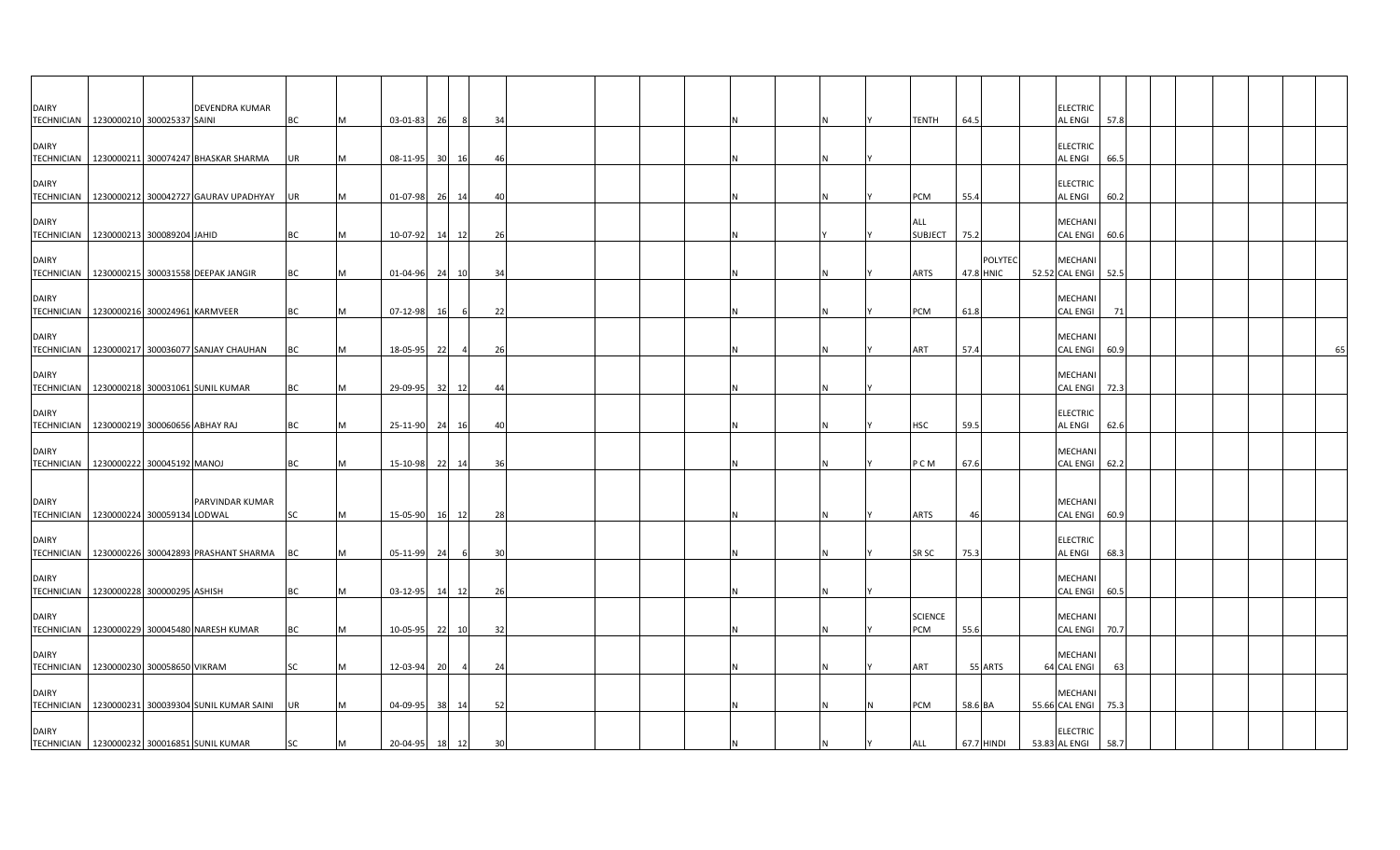| <b>DAIRY</b> | DEVENDRA KUMAR<br>TECHNICIAN   1230000210 300025337 SAINI | ВC        |   | 03-01-83       | 26              |                | -34 |  |  |  |  | TENTH                        | 64.5       |         | <b>ELECTRIC</b><br><b>AL ENGI</b> | 57.8 |  |  |    |
|--------------|-----------------------------------------------------------|-----------|---|----------------|-----------------|----------------|-----|--|--|--|--|------------------------------|------------|---------|-----------------------------------|------|--|--|----|
| <b>DAIRY</b> | TECHNICIAN 1230000211 300074247 BHASKAR SHARMA            | UR        |   | 08-11-95       | 30 <sup>1</sup> | 16             | 46  |  |  |  |  |                              |            |         | <b>ELECTRIC</b><br><b>AL ENGI</b> | 66.5 |  |  |    |
| <b>DAIRY</b> | TECHNICIAN   1230000212 300042727 GAURAV UPADHYAY         | UR        |   | 01-07-98 26 14 |                 |                | 4(  |  |  |  |  | PCM                          | 55.4       |         | <b>ELECTRIC</b><br><b>AL ENGI</b> | 60.2 |  |  |    |
| <b>DAIRY</b> | TECHNICIAN   1230000213 300089204 JAHID                   | BC        |   | 10-07-92       | 14              | 12             | 26  |  |  |  |  | <b>ALL</b><br><b>SUBJECT</b> | 75.2       |         | MECHANI<br><b>CAL ENGI</b>        | 60.6 |  |  |    |
| <b>DAIRY</b> | TECHNICIAN 1230000215 300031558 DEEPAK JANGIR             | BC        |   | 01-04-96 24 10 |                 |                | 34  |  |  |  |  | <b>ARTS</b>                  | 47.8 HNIC  | POLYTEC | MECHANI<br>52.52 CAL ENGI 52.5    |      |  |  |    |
| <b>DAIRY</b> | TECHNICIAN 1230000216 300024961 KARMVEER                  | BC        |   | 07-12-98       | 16              | - 6            | 22  |  |  |  |  | PCM                          | 61.8       |         | MECHANI<br><b>CAL ENGI</b>        | 71   |  |  |    |
| <b>DAIRY</b> | TECHNICIAN 1230000217 300036077 SANJAY CHAUHAN            | BC        |   | 18-05-95 22    |                 | $\overline{4}$ | 26  |  |  |  |  | ART                          | 57.4       |         | MECHANI<br>CAL ENGI 60.9          |      |  |  | 65 |
| <b>DAIRY</b> | TECHNICIAN   1230000218 300031061 SUNIL KUMAR             | BC        |   | 29-09-95 32 12 |                 |                | 44  |  |  |  |  |                              |            |         | <b>MECHANI</b><br>CAL ENGI 72.3   |      |  |  |    |
| <b>DAIRY</b> | TECHNICIAN 1230000219 300060656 ABHAY RAJ                 | <b>BC</b> |   | 25-11-90 24 16 |                 |                | 4(  |  |  |  |  | <b>HSC</b>                   | 59.5       |         | <b>ELECTRIC</b><br><b>AL ENGI</b> | 62.6 |  |  |    |
| <b>DAIRY</b> | TECHNICIAN   1230000222 300045192 MANOJ                   | ВC        |   | 15-10-98 22 14 |                 |                | 36  |  |  |  |  | P C M                        | 67.6       |         | MECHANI<br>CAL ENGI 62.2          |      |  |  |    |
| <b>DAIRY</b> | PARVINDAR KUMAR<br>TECHNICIAN 1230000224 300059134 LODWAL | <b>SC</b> | M | 15-05-90 16 12 |                 |                | 28  |  |  |  |  | <b>ARTS</b>                  | 46         |         | <b>MECHAN</b><br><b>CAL ENGI</b>  | 60.9 |  |  |    |
| <b>DAIRY</b> | TECHNICIAN 1230000226 300042893 PRASHANT SHARMA           | BC        |   | 05-11-99       | 24              | - 6            | 30  |  |  |  |  | SR SC                        | 75.3       |         | <b>ELECTRIC</b><br><b>AL ENGI</b> | 68.3 |  |  |    |
| <b>DAIRY</b> | TECHNICIAN 1230000228 300000295 ASHISH                    | BC        |   | 03-12-95 14    |                 | 12             | -26 |  |  |  |  |                              |            |         | <b>MECHANI</b><br>CAL ENGI 60.5   |      |  |  |    |
| <b>DAIRY</b> | TECHNICIAN   1230000229 300045480 NARESH KUMAR            | BC        |   | 10-05-95 22 10 |                 |                | 32  |  |  |  |  | <b>SCIENCE</b><br>PCM        | 55.6       |         | MECHANI<br><b>CAL ENGI</b>        | 70.7 |  |  |    |
| <b>DAIRY</b> | TECHNICIAN 1230000230 300058650 VIKRAM                    | SC        |   | 12-03-94       | 20              | $\overline{4}$ | 24  |  |  |  |  | ART                          |            | 55 ARTS | <b>MECHANI</b><br>64 CAL ENGI     | 63   |  |  |    |
| <b>DAIRY</b> | TECHNICIAN   1230000231 300039304 SUNIL KUMAR SAINI       | UR        |   | 04-09-95       | 38              | 14             | 52  |  |  |  |  | PCM                          | 58.6 BA    |         | <b>MECHAN</b><br>55.66 CAL ENGI   | 75.3 |  |  |    |
| <b>DAIRY</b> | TECHNICIAN 1230000232 300016851 SUNIL KUMAR               | SC        |   | 20-04-95       | 18              | 12             | 30  |  |  |  |  | <b>ALL</b>                   | 67.7 HINDI |         | <b>ELECTRIC</b><br>53.83 AL ENGI  | 58.7 |  |  |    |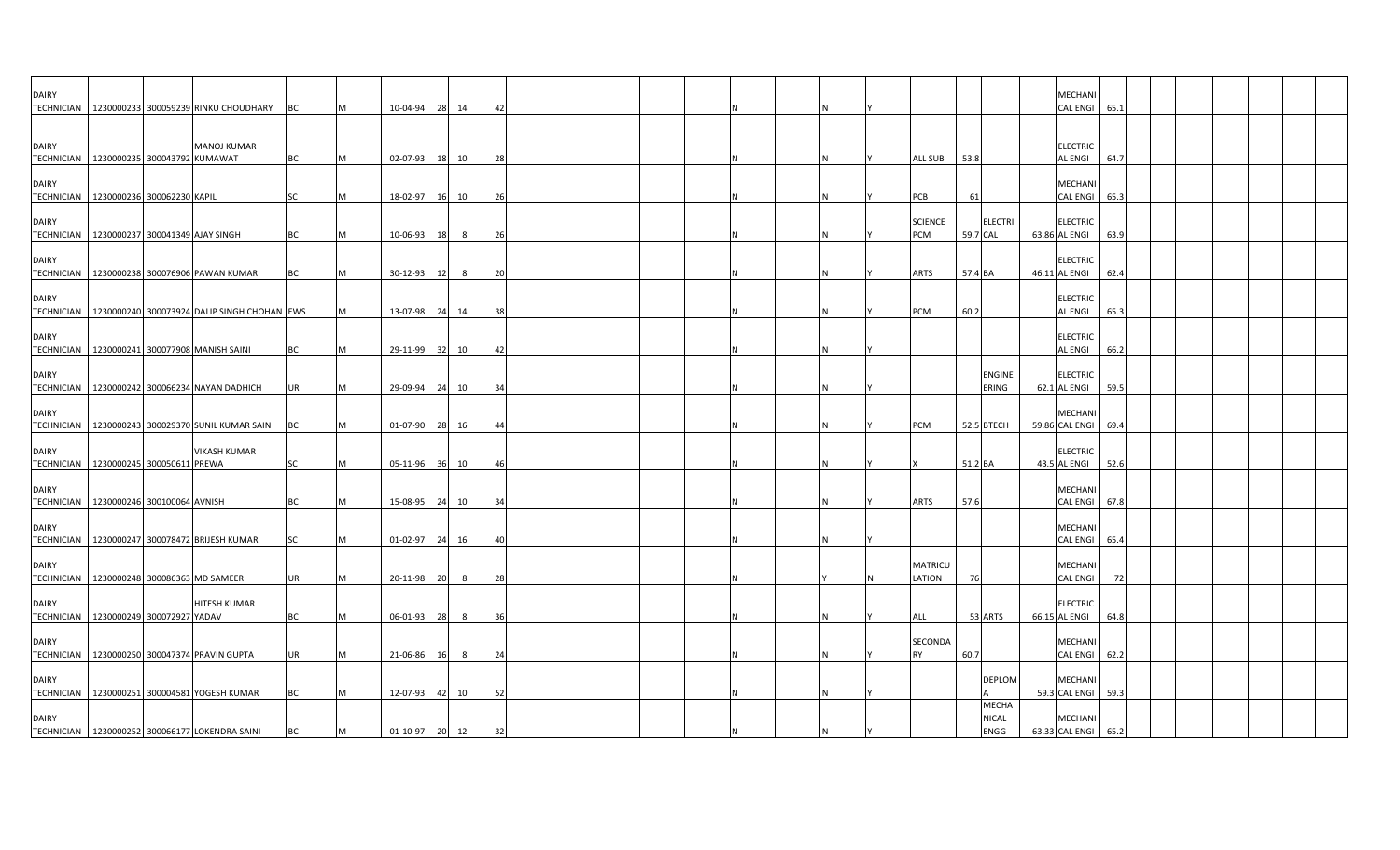| <b>DAIRY</b>                                                |  | TECHNICIAN   1230000233 300059239 RINKU CHOUDHARY      | BC        |          | 10-04-94       | 28    | 14    | 42             |  |  |  |                          |          |                        |               | MECHANI<br><b>CAL ENGI</b>            | 65.1 |  |  |  |
|-------------------------------------------------------------|--|--------------------------------------------------------|-----------|----------|----------------|-------|-------|----------------|--|--|--|--------------------------|----------|------------------------|---------------|---------------------------------------|------|--|--|--|
|                                                             |  |                                                        |           |          |                |       |       |                |  |  |  |                          |          |                        |               |                                       |      |  |  |  |
| <b>DAIRY</b><br>TECHNICIAN   1230000235 300043792 KUMAWAT   |  | <b>MANOJ KUMAR</b>                                     | <b>BC</b> | M        | 02-07-93       |       | 18 10 | 28             |  |  |  | <b>ALL SUB</b>           | 53.8     |                        |               | <b>ELECTRIC</b><br><b>AL ENGI</b>     | 64.7 |  |  |  |
| <b>DAIRY</b><br>TECHNICIAN   1230000236 300062230 KAPIL     |  |                                                        | SC        |          | 18-02-97       | 16    | 10    | 26             |  |  |  | PCB                      | 61       |                        |               | <b>MECHANI</b><br><b>CAL ENGI</b>     | 65.3 |  |  |  |
| <b>DAIRY</b>                                                |  |                                                        |           |          |                |       |       |                |  |  |  | <b>SCIENCE</b>           |          | <b>ELECTRI</b>         |               | <b>ELECTRIC</b>                       |      |  |  |  |
| TECHNICIAN 1230000237 300041349 AJAY SINGH                  |  |                                                        | BC        |          | 10-06-93       | 18    | -8    | -26            |  |  |  | PCM                      | 59.7 CAL |                        | 63.86 AL ENGI |                                       | 63.9 |  |  |  |
| <b>DAIRY</b>                                                |  | TECHNICIAN   1230000238 300076906 PAWAN KUMAR          | <b>BC</b> | IM.      | 30-12-93       | 12    | 8     | 20             |  |  |  | ARTS                     | 57.4 BA  |                        |               | <b>ELECTRIC</b><br>46.11 AL ENGI      | 62.4 |  |  |  |
| <b>DAIRY</b>                                                |  |                                                        |           |          |                |       |       |                |  |  |  |                          |          |                        |               | <b>ELECTRIC</b>                       |      |  |  |  |
|                                                             |  | TECHNICIAN 1230000240 300073924 DALIP SINGH CHOHAN EWS |           |          | 13-07-98       |       | 24 14 | 38             |  |  |  | <b>PCM</b>               | 60.2     |                        |               | <b>AL ENGI</b>                        | 65.3 |  |  |  |
| <b>DAIRY</b>                                                |  | TECHNICIAN   1230000241 300077908 MANISH SAINI         | BC        | M        | 29-11-99       | 32    | 10    | $\overline{a}$ |  |  |  |                          |          |                        |               | <b>ELECTRIC</b><br><b>AL ENGI</b>     | 66.2 |  |  |  |
| <b>DAIRY</b>                                                |  | TECHNICIAN 1230000242 300066234 NAYAN DADHICH          | UR        |          | 29-09-94       |       | 24 10 | 34             |  |  |  |                          |          | <b>ENGINE</b><br>ERING |               | <b>ELECTRIC</b><br>62.1 AL ENGI       | 59.5 |  |  |  |
|                                                             |  |                                                        |           |          |                |       |       |                |  |  |  |                          |          |                        |               |                                       |      |  |  |  |
| <b>DAIRY</b>                                                |  | TECHNICIAN 1230000243 300029370 SUNIL KUMAR SAIN       | BC        |          | 01-07-90       |       | 28 16 | 44             |  |  |  | <b>PCM</b>               |          | 52.5 BTECH             |               | <b>MECHAN</b><br>59.86 CAL ENGI       | 69.4 |  |  |  |
| <b>DAIRY</b>                                                |  | <b>VIKASH KUMAR</b>                                    |           |          |                |       |       |                |  |  |  |                          |          |                        |               | <b>ELECTRIC</b>                       |      |  |  |  |
| TECHNICIAN   1230000245 300050611 PREWA                     |  |                                                        | SC        |          | 05-11-96       | 36 10 |       | -46            |  |  |  |                          | 51.2 BA  |                        | 43.5 AL ENGI  |                                       | 52.6 |  |  |  |
| <b>DAIRY</b><br>TECHNICIAN 1230000246 300100064 AVNISH      |  |                                                        | <b>BC</b> | M        | 15-08-95       | 24    | 10    | 34             |  |  |  | ARTS                     | 57.6     |                        |               | <b>MECHANI</b><br><b>CAL ENGI</b>     | 67.8 |  |  |  |
| <b>DAIRY</b>                                                |  |                                                        |           |          |                |       |       |                |  |  |  |                          |          |                        |               | <b>MECHAN</b>                         |      |  |  |  |
|                                                             |  | TECHNICIAN   1230000247 300078472 BRIJESH KUMAR        | <b>SC</b> | <b>M</b> | $01 - 02 - 97$ |       | 24 16 | -40            |  |  |  |                          |          |                        |               | CAL ENGI 65.4                         |      |  |  |  |
| <b>DAIRY</b><br>TECHNICIAN   1230000248 300086363 MD SAMEER |  |                                                        | UR        |          | 20-11-98       | 20    | - 8   | 28             |  |  |  | <b>MATRICU</b><br>LATION | 76       |                        |               | MECHANI<br><b>CAL ENGI</b>            | 72   |  |  |  |
|                                                             |  |                                                        |           |          |                |       |       |                |  |  |  |                          |          |                        |               |                                       |      |  |  |  |
| <b>DAIRY</b><br>TECHNICIAN   1230000249 300072927 YADAV     |  | HITESH KUMAR                                           | <b>BC</b> |          | 06-01-93       | 28    |       | 36             |  |  |  | ALL                      |          | 53 ARTS                | 66.15 AL ENGI | <b>ELECTRIC</b>                       | 64.8 |  |  |  |
|                                                             |  |                                                        |           |          |                |       |       |                |  |  |  |                          |          |                        |               |                                       |      |  |  |  |
| <b>DAIRY</b>                                                |  | TECHNICIAN 1230000250 300047374 PRAVIN GUPTA           | UR        |          | 21-06-86       | 16    | - 8   | 24             |  |  |  | SECONDA<br><b>RY</b>     | 60.7     |                        |               | <b>MECHANI</b><br>CAL ENGI 62.2       |      |  |  |  |
| <b>DAIRY</b>                                                |  |                                                        |           |          |                |       |       |                |  |  |  |                          |          | <b>DEPLOM</b>          |               | <b>MECHANI</b>                        |      |  |  |  |
|                                                             |  | TECHNICIAN 1230000251 300004581 YOGESH KUMAR           | <b>BC</b> | IM.      | 12-07-93       |       | 42 10 | 52             |  |  |  |                          |          | <b>MECHA</b>           |               | 59.3 CAL ENGI 59.3                    |      |  |  |  |
| <b>DAIRY</b>                                                |  | TECHNICIAN 1230000252 300066177 LOKENDRA SAINI         | <b>BC</b> | M        | 01-10-97 20 12 |       |       | 32             |  |  |  |                          |          | <b>NICAL</b><br>ENGG   |               | <b>MECHANI</b><br>63.33 CAL ENGI 65.2 |      |  |  |  |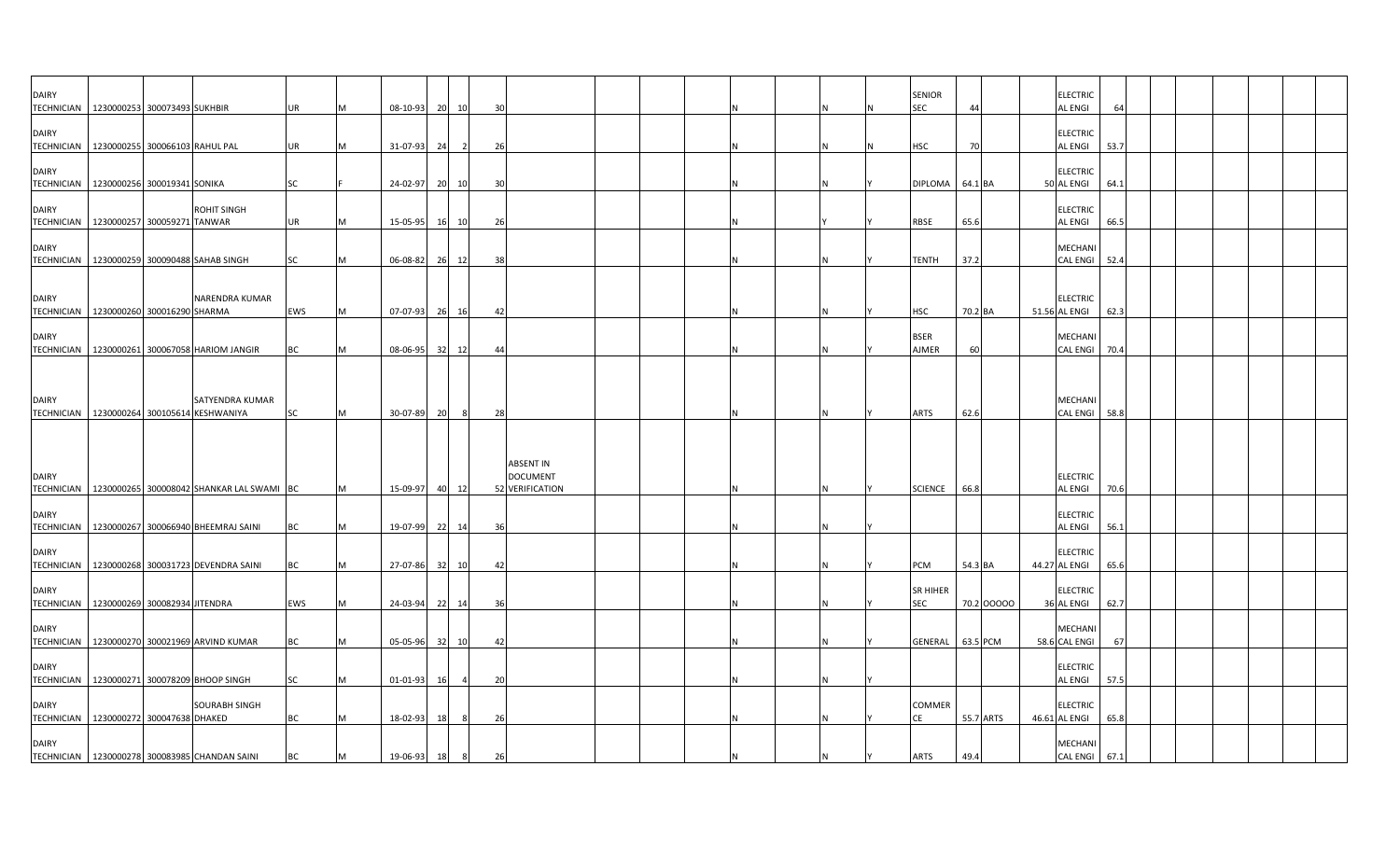| <b>DAIRY</b>                      | TECHNICIAN   1230000253 300073493 SUKHBIR                      | UR        |   | 08-10-93       | 20 | 10    | 30 |                                                 |  |  |  | <b>SENIOR</b><br>SEC        | 44         |  | <b>ELECTRIC</b><br><b>AL ENGI</b> | 64   |  |  |  |
|-----------------------------------|----------------------------------------------------------------|-----------|---|----------------|----|-------|----|-------------------------------------------------|--|--|--|-----------------------------|------------|--|-----------------------------------|------|--|--|--|
| <b>DAIRY</b>                      | TECHNICIAN 1230000255 300066103 RAHUL PAL                      | UR        |   | $31 - 07 - 93$ | 24 |       | 26 |                                                 |  |  |  | <b>HSC</b>                  | 70         |  | <b>ELECTRIC</b><br><b>AL ENGI</b> | 53.7 |  |  |  |
| <b>DAIRY</b>                      | TECHNICIAN 1230000256 300019341 SONIKA                         | SC        |   | 24-02-97       | 20 | 10    | 30 |                                                 |  |  |  | <b>DIPLOMA</b>              | 64.1 BA    |  | <b>ELECTRIC</b><br>50 AL ENGI     | 64.1 |  |  |  |
| <b>DAIRY</b>                      | <b>ROHIT SINGH</b><br>TECHNICIAN 1230000257 300059271 TANWAR   | UR        |   | 15-05-95 16 10 |    |       | 26 |                                                 |  |  |  | RBSE                        | 65.6       |  | <b>ELECTRIC</b><br><b>AL ENGI</b> | 66.5 |  |  |  |
| <b>DAIRY</b>                      | TECHNICIAN 1230000259 300090488 SAHAB SINGH                    | SC        |   | 06-08-82       | 26 | 12    | 38 |                                                 |  |  |  | <b>TENTH</b>                | 37.2       |  | MECHANI<br><b>CAL ENGI</b>        | 52.4 |  |  |  |
|                                   |                                                                |           |   |                |    |       |    |                                                 |  |  |  |                             |            |  |                                   |      |  |  |  |
| <b>DAIRY</b>                      | NARENDRA KUMAR<br>TECHNICIAN 1230000260 300016290 SHARMA       | EWS       |   | 07-07-93       | 26 | 16    | 42 |                                                 |  |  |  | <b>HSC</b>                  | 70.2 BA    |  | <b>ELECTRIC</b><br>51.56 AL ENGI  | 62.3 |  |  |  |
| <b>DAIRY</b>                      | TECHNICIAN 1230000261 300067058 HARIOM JANGIR                  | <b>BC</b> |   | 08-06-95       | 32 | 12    | 44 |                                                 |  |  |  | <b>BSER</b><br><b>AJMER</b> | 60         |  | MECHANI<br><b>CAL ENGI</b>        | 70.4 |  |  |  |
| <b>DAIRY</b>                      | SATYENDRA KUMAR                                                |           |   |                |    |       |    |                                                 |  |  |  |                             |            |  | <b>MECHANI</b>                    |      |  |  |  |
|                                   | TECHNICIAN 1230000264 300105614 KESHWANIYA                     | SC        |   | 30-07-89       | 20 | 8     | 28 |                                                 |  |  |  | <b>ARTS</b>                 | 62.6       |  | <b>CAL ENGI</b>                   | 58.8 |  |  |  |
| <b>DAIRY</b>                      | TECHNICIAN   1230000265 300008042 SHANKAR LAL SWAMI BC         |           | M | 15-09-97       | 40 | 12    |    | ABSENT IN<br><b>DOCUMENT</b><br>52 VERIFICATION |  |  |  | <b>SCIENCE</b>              | 66.8       |  | <b>ELECTRIC</b><br><b>AL ENGI</b> | 70.6 |  |  |  |
| <b>DAIRY</b><br><b>TECHNICIAN</b> | 1230000267 300066940 BHEEMRAJ SAINI                            | BC        | M | 19-07-99 22 14 |    |       | 36 |                                                 |  |  |  |                             |            |  | <b>ELECTRIC</b><br><b>AL ENGI</b> | 56.1 |  |  |  |
| <b>DAIRY</b>                      | TECHNICIAN 1230000268 300031723 DEVENDRA SAINI                 | BC        |   | 27-07-86       |    | 32 10 | 42 |                                                 |  |  |  | PCM                         | 54.3 BA    |  | <b>ELECTRIC</b><br>44.27 AL ENGI  | 65.6 |  |  |  |
| <b>DAIRY</b>                      | TECHNICIAN 1230000269 300082934 JITENDRA                       | EWS       |   | 24-03-94       |    | 22 14 | 36 |                                                 |  |  |  | <b>SR HIHER</b><br>SEC      | 70.2 00000 |  | <b>ELECTRIC</b><br>36 AL ENGI     | 62.7 |  |  |  |
| <b>DAIRY</b>                      | TECHNICIAN   1230000270 300021969 ARVIND KUMAR                 | BC        |   | 05-05-96 32 10 |    |       | 42 |                                                 |  |  |  | <b>GENERAL</b>              | 63.5 PCM   |  | <b>MECHAN</b><br>58.6 CAL ENGI    | 67   |  |  |  |
| <b>DAIRY</b>                      | TECHNICIAN   1230000271 300078209 BHOOP SINGH                  | SC        |   | 01-01-93       | 16 |       | 20 |                                                 |  |  |  |                             |            |  | <b>ELECTRIC</b><br><b>AL ENGI</b> | 57.5 |  |  |  |
| <b>DAIRY</b>                      | <b>SOURABH SINGH</b><br>TECHNICIAN 1230000272 300047638 DHAKED | <b>BC</b> |   | 18-02-93       | 18 |       | 26 |                                                 |  |  |  | COMMER<br>CE                | 55.7 ARTS  |  | <b>ELECTRIC</b><br>46.61 AL ENGI  | 65.8 |  |  |  |
| <b>DAIRY</b>                      | TECHNICIAN   1230000278 300083985 CHANDAN SAINI                | <b>BC</b> | M | 19-06-93       | 18 | 8     | 26 |                                                 |  |  |  | <b>ARTS</b>                 | 49.4       |  | MECHANI<br>CAL ENGI 67.1          |      |  |  |  |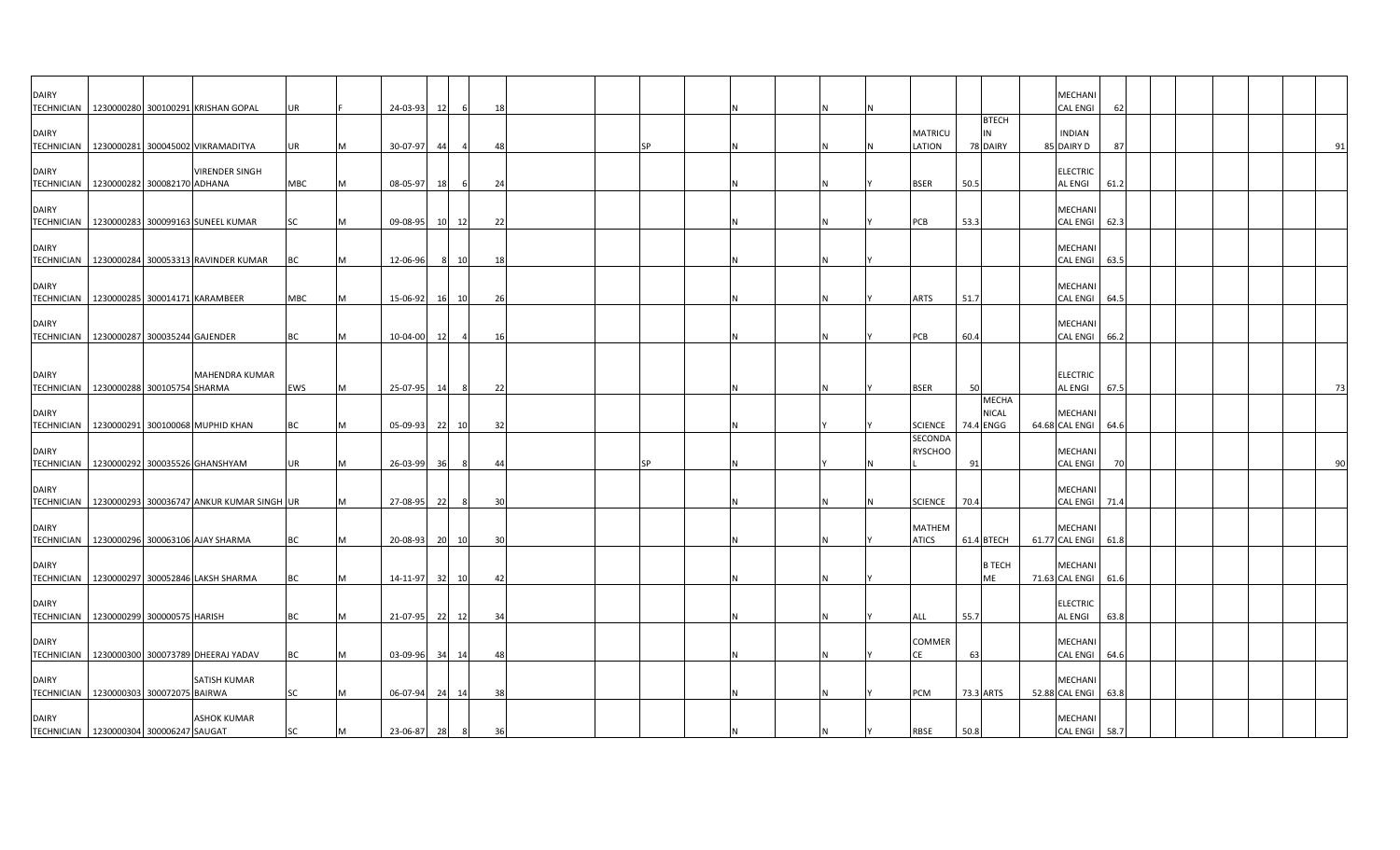| <b>DAIRY</b>                                                |  | TECHNICIAN   1230000280 300100291 KRISHAN GOPAL        | UR         |          | 24-03-93       | 12  | 6              | 18             |  |    |  |    |                               |      |                           | MECHANI<br><b>CAL ENGI</b>        | 62   |  |    |
|-------------------------------------------------------------|--|--------------------------------------------------------|------------|----------|----------------|-----|----------------|----------------|--|----|--|----|-------------------------------|------|---------------------------|-----------------------------------|------|--|----|
| <b>DAIRY</b>                                                |  |                                                        |            |          |                |     |                |                |  |    |  |    | <b>MATRICU</b>                |      | <b>BTECH</b><br>IN        | <b>INDIAN</b>                     |      |  |    |
|                                                             |  | TECHNICIAN 1230000281 300045002 VIKRAMADITYA           | UR         |          | 30-07-97       | -44 | $\overline{4}$ | 48             |  |    |  |    | LATION                        |      | 78 DAIRY                  | 85 DAIRY D                        | 87   |  | 91 |
| <b>DAIRY</b><br>TECHNICIAN 1230000282 300082170 ADHANA      |  | <b>VIRENDER SINGH</b>                                  | <b>MBC</b> | M        | 08-05-97       | 18  | 6              | 24             |  |    |  |    | <b>BSER</b>                   | 50.5 |                           | <b>ELECTRIC</b><br><b>AL ENGI</b> | 61.2 |  |    |
| <b>DAIRY</b>                                                |  | TECHNICIAN   1230000283 300099163 SUNEEL KUMAR         | SC         | M        | 09-08-95 10 12 |     |                | 22             |  |    |  |    | PCB                           | 53.3 |                           | MECHANI<br><b>CAL ENGI</b>        | 62.3 |  |    |
| <b>DAIRY</b>                                                |  |                                                        |            |          |                |     |                |                |  |    |  |    |                               |      |                           | MECHANI                           |      |  |    |
|                                                             |  | TECHNICIAN   1230000284 300053313 RAVINDER KUMAR       | BC         |          | 12-06-96       |     | 10<br>8        | 18             |  |    |  |    |                               |      |                           | CAL ENGI 63.5                     |      |  |    |
| <b>DAIRY</b><br>TECHNICIAN   1230000285 300014171 KARAMBEER |  |                                                        | MBC        | M        | 15-06-92       |     | 16 10          | 26             |  |    |  |    | <b>ARTS</b>                   | 51.7 |                           | MECHANI<br><b>CAL ENGI</b>        | 64.5 |  |    |
| <b>DAIRY</b><br>TECHNICIAN 1230000287 300035244 GAJENDER    |  |                                                        | <b>BC</b>  | M        | 10-04-00       | 12  | $\overline{4}$ | 16             |  |    |  |    | PCB                           | 60.4 |                           | MECHANI<br>CAL ENGI 66.2          |      |  |    |
|                                                             |  |                                                        |            |          |                |     |                |                |  |    |  |    |                               |      |                           |                                   |      |  |    |
| <b>DAIRY</b><br>TECHNICIAN 1230000288 300105754 SHARMA      |  | MAHENDRA KUMAR                                         | EWS        | IM.      | 25-07-95       | 14  | 8              | 22             |  |    |  |    | <b>BSER</b>                   | 50   |                           | <b>ELECTRIC</b><br>AL ENGI        | 67.5 |  | 73 |
|                                                             |  |                                                        |            |          |                |     |                |                |  |    |  |    |                               |      | <b>MECHA</b>              |                                   |      |  |    |
| <b>DAIRY</b>                                                |  | TECHNICIAN   1230000291 300100068 MUPHID KHAN          | ВC         |          | 05-09-93       | 22  | 10             | 32             |  |    |  |    | <b>SCIENCE</b>                |      | <b>NICAL</b><br>74.4 ENGG | <b>MECHANI</b><br>64.68 CAL ENGI  | 64.6 |  |    |
| <b>DAIRY</b>                                                |  |                                                        |            |          |                |     |                |                |  |    |  |    | SECONDA<br><b>RYSCHOO</b>     |      |                           | MECHANI                           |      |  |    |
| TECHNICIAN 1230000292 300035526 GHANSHYAM                   |  |                                                        | UR         |          | 26-03-99       | 36  | -8             | 44             |  | SΡ |  |    |                               | 91   |                           | <b>CAL ENGI</b>                   |      |  | 90 |
| <b>DAIRY</b>                                                |  | TECHNICIAN   1230000293 300036747 ANKUR KUMAR SINGH UR |            |          | 27-08-95       | 22  | - 8            | 3 <sup>0</sup> |  |    |  |    | <b>SCIENCE</b>                | 70.4 |                           | <b>MECHANI</b><br><b>CAL ENGI</b> | 71.4 |  |    |
| <b>DAIRY</b>                                                |  | TECHNICIAN 1230000296 300063106 AJAY SHARMA            | <b>BC</b>  | M        | 20-08-93 20 10 |     |                | 30             |  |    |  |    | <b>MATHEM</b><br><b>ATICS</b> |      | 61.4 BTECH                | MECHANI<br>61.77 CAL ENGI 61.8    |      |  |    |
|                                                             |  |                                                        |            |          |                |     |                |                |  |    |  |    |                               |      |                           |                                   |      |  |    |
| <b>DAIRY</b>                                                |  | TECHNICIAN   1230000297 300052846 LAKSH SHARMA         | <b>BC</b>  |          | 14-11-97 32 10 |     |                | 42             |  |    |  |    |                               |      | <b>B TECH</b><br>ME       | <b>MECHAN</b><br>71.63 CAL ENGI   | 61.6 |  |    |
| <b>DAIRY</b>                                                |  |                                                        |            |          |                |     |                |                |  |    |  |    |                               |      |                           | <b>ELECTRIC</b>                   |      |  |    |
| TECHNICIAN   1230000299 300000575 HARISH                    |  |                                                        | <b>BC</b>  | M        | 21-07-95       | 22  | 12             | 34             |  |    |  |    | ALL                           | 55.7 |                           | AL ENGI                           | 63.8 |  |    |
| <b>DAIRY</b>                                                |  | TECHNICIAN   1230000300 300073789 DHEERAJ YADAV        | BC         | M        | 03-09-96 34 14 |     |                | 48             |  |    |  |    | COMMER<br>СE                  | 63   |                           | MECHANI<br>CAL ENGI 64.6          |      |  |    |
| <b>DAIRY</b><br>TECHNICIAN   1230000303 300072075 BAIRWA    |  | SATISH KUMAR                                           | SC         | <b>M</b> | 06-07-94       | 24  | 14             | 38             |  |    |  | ΙN | <b>PCM</b>                    |      | 73.3 ARTS                 | MECHAN<br>52.88 CAL ENGI          | 63.8 |  |    |
| <b>DAIRY</b><br>TECHNICIAN 1230000304 300006247 SAUGAT      |  | <b>ASHOK KUMAR</b>                                     | SC         | M        | 23-06-87 28    |     | 8              | 36             |  |    |  |    | RBSE                          | 50.8 |                           | MECHANI<br>CAL ENGI 58.7          |      |  |    |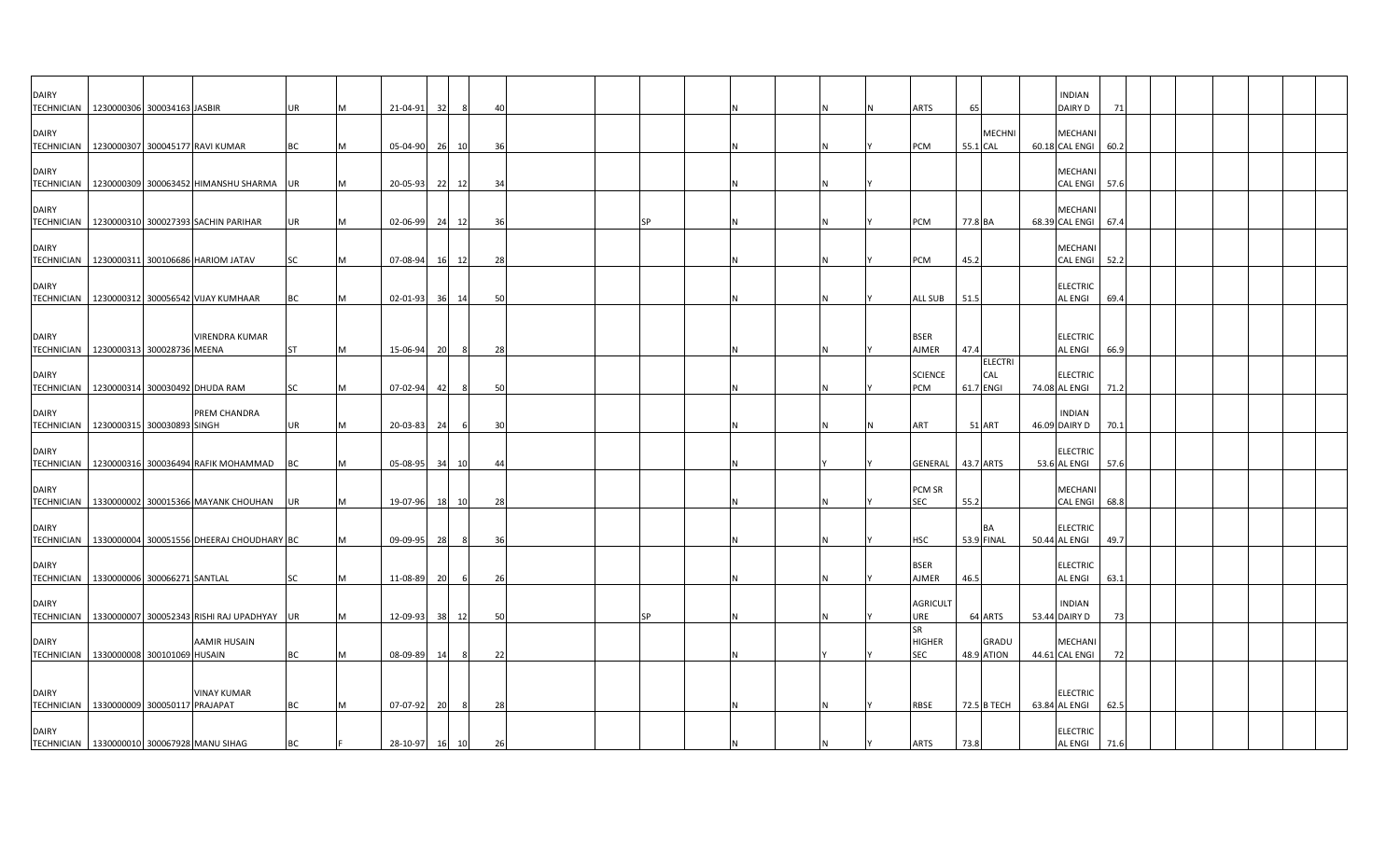| <b>DAIRY</b><br>TECHNICIAN   1230000306 300034163 JASBIR     |  |                                                         | <b>UR</b> |     | 21-04-91 | 32 |       | 40 |  |    |  |   | ARTS                                     | 65       |                                    | <b>INDIAN</b><br>DAIRY D         | 71   |  |  |  |
|--------------------------------------------------------------|--|---------------------------------------------------------|-----------|-----|----------|----|-------|----|--|----|--|---|------------------------------------------|----------|------------------------------------|----------------------------------|------|--|--|--|
| <b>DAIRY</b><br>TECHNICIAN   1230000307 300045177 RAVI KUMAR |  |                                                         | BC        |     | 05-04-90 |    | 26 10 | 36 |  |    |  |   | PCM                                      | 55.1 CAL | <b>MECHNI</b>                      | MECHANI<br>60.18 CAL ENGI        | 60.2 |  |  |  |
| <b>DAIRY</b><br><b>TECHNICIAN</b>                            |  | 1230000309 300063452 HIMANSHU SHARMA UR                 |           |     | 20-05-93 | 22 | 12    | 34 |  |    |  |   |                                          |          |                                    | MECHANI<br><b>CAL ENGI</b>       | 57.6 |  |  |  |
| <b>DAIRY</b>                                                 |  | TECHNICIAN   1230000310 300027393 SACHIN PARIHAR        | UR        |     | 02-06-99 |    | 24 12 | 36 |  | SP |  | N | <b>PCM</b>                               | 77.8 BA  |                                    | MECHANI<br>68.39 CAL ENGI        | 67.4 |  |  |  |
| <b>DAIRY</b>                                                 |  | TECHNICIAN 1230000311 300106686 HARIOM JATAV            | <b>SC</b> | M   | 07-08-94 |    | 16 12 | 28 |  |    |  | Ν | PCM                                      | 45.2     |                                    | MECHANI<br><b>CAL ENGI</b>       | 52.2 |  |  |  |
| <b>DAIRY</b>                                                 |  | TECHNICIAN   1230000312 300056542 VIJAY KUMHAAR         | <b>BC</b> | IM. | 02-01-93 |    | 36 14 | 50 |  |    |  |   | ALL SUB                                  | 51.5     |                                    | ELECTRIC<br><b>AL ENGI</b>       | 69.4 |  |  |  |
| <b>DAIRY</b><br>TECHNICIAN   1230000313 300028736 MEENA      |  | VIRENDRA KUMAR                                          | <b>ST</b> | M   | 15-06-94 | 20 | 8     | 28 |  |    |  |   | <b>BSER</b><br>AJMER                     | 47.4     |                                    | <b>ELECTRIC</b><br>AL ENGI       | 66.9 |  |  |  |
| <b>DAIRY</b><br>TECHNICIAN   1230000314 300030492 DHUDA RAM  |  |                                                         | SC        | ΙM  | 07-02-94 | 42 | -8    | 50 |  |    |  |   | <b>SCIENCE</b><br>PCM                    |          | <b>ELECTRI</b><br>CAL<br>61.7 ENGI | <b>ELECTRIC</b><br>74.08 AL ENGI | 71.2 |  |  |  |
| <b>DAIRY</b><br>TECHNICIAN   1230000315 300030893 SINGH      |  | PREM CHANDRA                                            | UR        | M   | 20-03-83 | 24 | - 6   | 30 |  |    |  |   | ART                                      |          | <b>51 ART</b>                      | <b>INDIAN</b><br>46.09 DAIRY D   | 70.1 |  |  |  |
| <b>DAIRY</b><br><b>TECHNICIAN</b>                            |  | 1230000316 300036494 RAFIK MOHAMMAD BC                  |           | M   | 05-08-95 | 34 | 10    | 44 |  |    |  |   | GENERAL                                  |          | 43.7 ARTS                          | <b>ELECTRIC</b><br>53.6 AL ENGI  | 57.6 |  |  |  |
| <b>DAIRY</b>                                                 |  | TECHNICIAN   1330000002 300015366 MAYANK CHOUHAN        | UR        |     | 19-07-96 |    | 18 10 | 28 |  |    |  |   | PCM SR<br>SEC                            | 55.2     |                                    | MECHANI<br>CAL ENGI              | 68.8 |  |  |  |
| <b>DAIRY</b>                                                 |  | TECHNICIAN   1330000004 300051556 DHEERAJ CHOUDHARY BC  |           |     | 09-09-95 | 28 | - 8   | 36 |  |    |  |   | <b>HSC</b>                               |          | <b>BA</b><br>53.9 FINAL            | ELECTRIC<br>50.44 AL ENGI        | 49.7 |  |  |  |
| <b>DAIRY</b><br>TECHNICIAN   1330000006 300066271 SANTLAL    |  |                                                         | SC        |     | 11-08-89 | 20 |       | 26 |  |    |  |   | <b>BSER</b><br>AJMER                     | 46.5     |                                    | <b>ELECTRIC</b><br>AL ENGI       | 63.1 |  |  |  |
| <b>DAIRY</b>                                                 |  | TECHNICIAN   1330000007 300052343 RISHI RAJ UPADHYAY UR |           | M   | 12-09-93 | 38 | - 12  | 50 |  |    |  |   | <b>AGRICULT</b><br>URE                   |          | 64 ARTS                            | <b>INDIAN</b><br>53.44 DAIRY D   | -73  |  |  |  |
| <b>DAIRY</b><br>TECHNICIAN   1330000008 300101069 HUSAIN     |  | AAMIR HUSAIN                                            | BC        |     | 08-09-89 | 14 | - 8   | 22 |  |    |  |   | <b>SR</b><br><b>HIGHER</b><br><b>SEC</b> |          | GRADU<br>48.9 ATION                | MECHANI<br>44.61 CAL ENGI        | 72   |  |  |  |
| <b>DAIRY</b><br>TECHNICIAN   1330000009 300050117 PRAJAPAT   |  | <b>VINAY KUMAR</b>                                      | BC        |     | 07-07-92 | 20 |       | 28 |  |    |  |   | RBSE                                     |          | 72.5 B TECH                        | ELECTRIC<br>63.84 AL ENGI        | 62.5 |  |  |  |
| <b>DAIRY</b><br>TECHNICIAN 1330000010 300067928 MANU SIHAG   |  |                                                         | BC        |     | 28-10-97 | 16 | 10    | 26 |  |    |  |   | ARTS                                     | 73.8     |                                    | <b>ELECTRIC</b><br>AL ENGI       | 71.6 |  |  |  |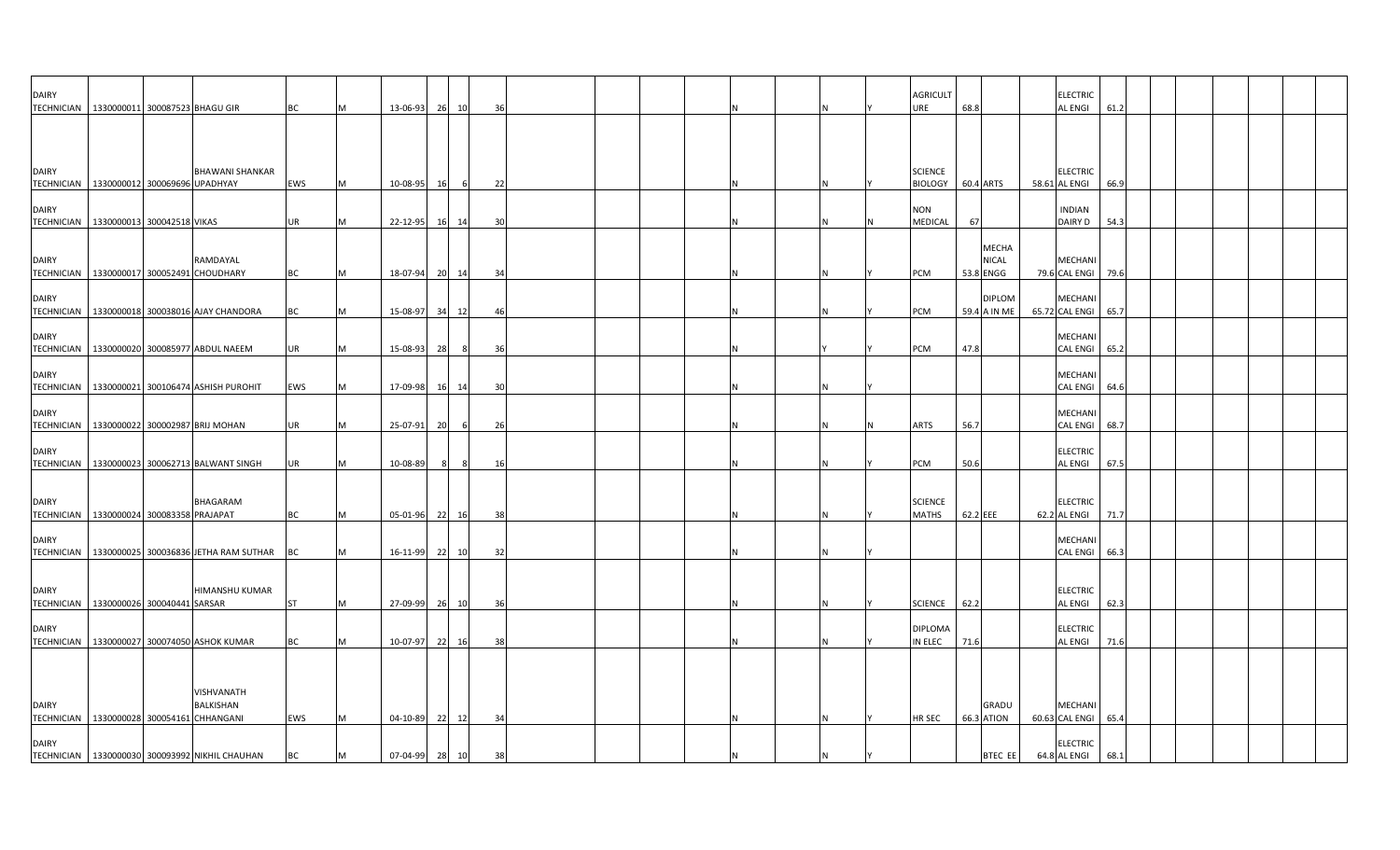| <b>DAIRY</b><br>TECHNICIAN 1330000011 300087523 BHAGU GIR   |                            |                                                    | BC       | M      | 13-06-93                   | 26 | 10       | 36  |  | N |  |  | <b>AGRICULT</b><br>JRE               | 68.8                                      | <b>ELECTRIC</b><br><b>AL ENGI</b>                   | 61.2         |  |  |  |
|-------------------------------------------------------------|----------------------------|----------------------------------------------------|----------|--------|----------------------------|----|----------|-----|--|---|--|--|--------------------------------------|-------------------------------------------|-----------------------------------------------------|--------------|--|--|--|
|                                                             |                            |                                                    |          |        |                            |    |          |     |  |   |  |  |                                      |                                           |                                                     |              |  |  |  |
| <b>DAIRY</b><br>TECHNICIAN   1330000012 300069696 UPADHYAY  |                            | <b>BHAWANI SHANKAR</b>                             | EWS      | M      | 10-08-95                   | 16 |          | 22  |  |   |  |  | <b>SCIENCE</b><br><b>BIOLOGY</b>     | 60.4 ARTS                                 | <b>ELECTRIC</b><br>58.61 AL ENGI                    | 66.9         |  |  |  |
| <b>DAIRY</b><br><b>TECHNICIAN</b>                           | 1330000013 300042518 VIKAS |                                                    | UR       | M      | 22-12-95                   | 16 | 14       | 30  |  |   |  |  | NON<br>MEDICAL                       | 67                                        | <b>INDIAN</b><br>DAIRY D                            | 54.3         |  |  |  |
| <b>DAIRY</b><br>TECHNICIAN   1330000017 300052491 CHOUDHARY |                            | RAMDAYAL                                           | ВC       | M      | 18-07-94 20 14             |    |          | -34 |  |   |  |  | PCM                                  | <b>MECHA</b><br><b>NICAL</b><br>53.8 ENGG | <b>MECHANI</b><br>79.6 CAL ENGI                     | 79.6         |  |  |  |
| <b>DAIRY</b>                                                |                            | TECHNICIAN 1330000018 300038016 AJAY CHANDORA      | ВC       | M      | 15-08-97                   | 34 | 12       | -46 |  | N |  |  | PCM                                  | <b>DIPLOM</b><br>59.4 A IN ME             | <b>MECHAN</b><br>65.72 CAL ENGI                     | 65.7         |  |  |  |
| <b>DAIRY</b>                                                |                            | TECHNICIAN 1330000020 300085977 ABDUL NAEEM        | UR       | M      | 15-08-93                   | 28 |          | 36  |  |   |  |  | PCM                                  | 47.8                                      | MECHANI<br><b>CAL ENGI</b>                          | 65.2         |  |  |  |
| <b>DAIRY</b>                                                |                            | TECHNICIAN 1330000021 300106474 ASHISH PUROHIT     | EWS      | M      | 17-09-98                   | 16 | 14       | 30  |  |   |  |  |                                      |                                           | <b>MECHANI</b><br><b>CAL ENGI</b>                   | 64.6         |  |  |  |
| <b>DAIRY</b>                                                |                            | TECHNICIAN 1330000022 300002987 BRIJ MOHAN         | UR       | M      | 25-07-91                   | 20 | -6       | 26  |  |   |  |  | ARTS                                 | 56.7                                      | <b>MECHANI</b><br><b>CAL ENGI</b>                   | 68.7         |  |  |  |
| <b>DAIRY</b><br><b>TECHNICIAN</b>                           |                            | 1330000023 300062713 BALWANT SINGH                 | UR       | M      | $10 - 08 - 89$             |    | -8       | 16  |  |   |  |  | PCM                                  | 50.6                                      | <b>ELECTRIC</b><br><b>AL ENGI</b>                   | 67.5         |  |  |  |
| <b>DAIRY</b><br>TECHNICIAN   1330000024 300083358 PRAJAPAT  |                            | <b>BHAGARAM</b>                                    | BC       | M      | 05-01-96                   | 22 | 16       | 38  |  |   |  |  | <b>SCIENCE</b><br>MATHS              | 62.2 EEE                                  | <b>ELECTRIC</b><br>62.2 AL ENGI                     | 71.7         |  |  |  |
| <b>DAIRY</b>                                                |                            | TECHNICIAN   1330000025 300036836 JETHA RAM SUTHAR | ВC       | M      | 16-11-99 22                |    | 10       | 32  |  |   |  |  |                                      |                                           | <b>MECHANI</b><br><b>CAL ENGI</b>                   | 66.3         |  |  |  |
| <b>DAIRY</b>                                                |                            | HIMANSHU KUMAR                                     |          |        |                            |    |          |     |  |   |  |  |                                      |                                           | <b>ELECTRIC</b>                                     |              |  |  |  |
| TECHNICIAN 1330000026 300040441 SARSAR<br><b>DAIRY</b>      |                            | TECHNICIAN   1330000027 300074050 ASHOK KUMAR      | ST<br>ВC | M<br>M | 27-09-99 26<br>10-07-97 22 |    | 10<br>16 | -38 |  |   |  |  | SCIENCE<br><b>DIPLOMA</b><br>IN ELEC | 62.2<br>71.6                              | <b>AL ENGI</b><br><b>ELECTRIC</b><br><b>AL ENGI</b> | 62.3<br>71.6 |  |  |  |
|                                                             |                            |                                                    |          |        |                            |    |          |     |  |   |  |  |                                      |                                           |                                                     |              |  |  |  |
| <b>DAIRY</b><br>TECHNICIAN   1330000028 300054161 CHHANGANI |                            | VISHVANATH<br>BALKISHAN                            | EWS      | M      | 04-10-89 22                |    | 12       | 34  |  |   |  |  | HR SEC                               | GRADU<br>66.3 ATION                       | <b>MECHANI</b><br>60.63 CAL ENGI                    | 65.4         |  |  |  |
| <b>DAIRY</b>                                                |                            | TECHNICIAN 1330000030 300093992 NIKHIL CHAUHAN     | ВC       | M      | 07-04-99 28                |    | 10       | 38  |  |   |  |  |                                      | BTEC EE                                   | <b>ELECTRIC</b><br>64.8 AL ENGI                     | 68.1         |  |  |  |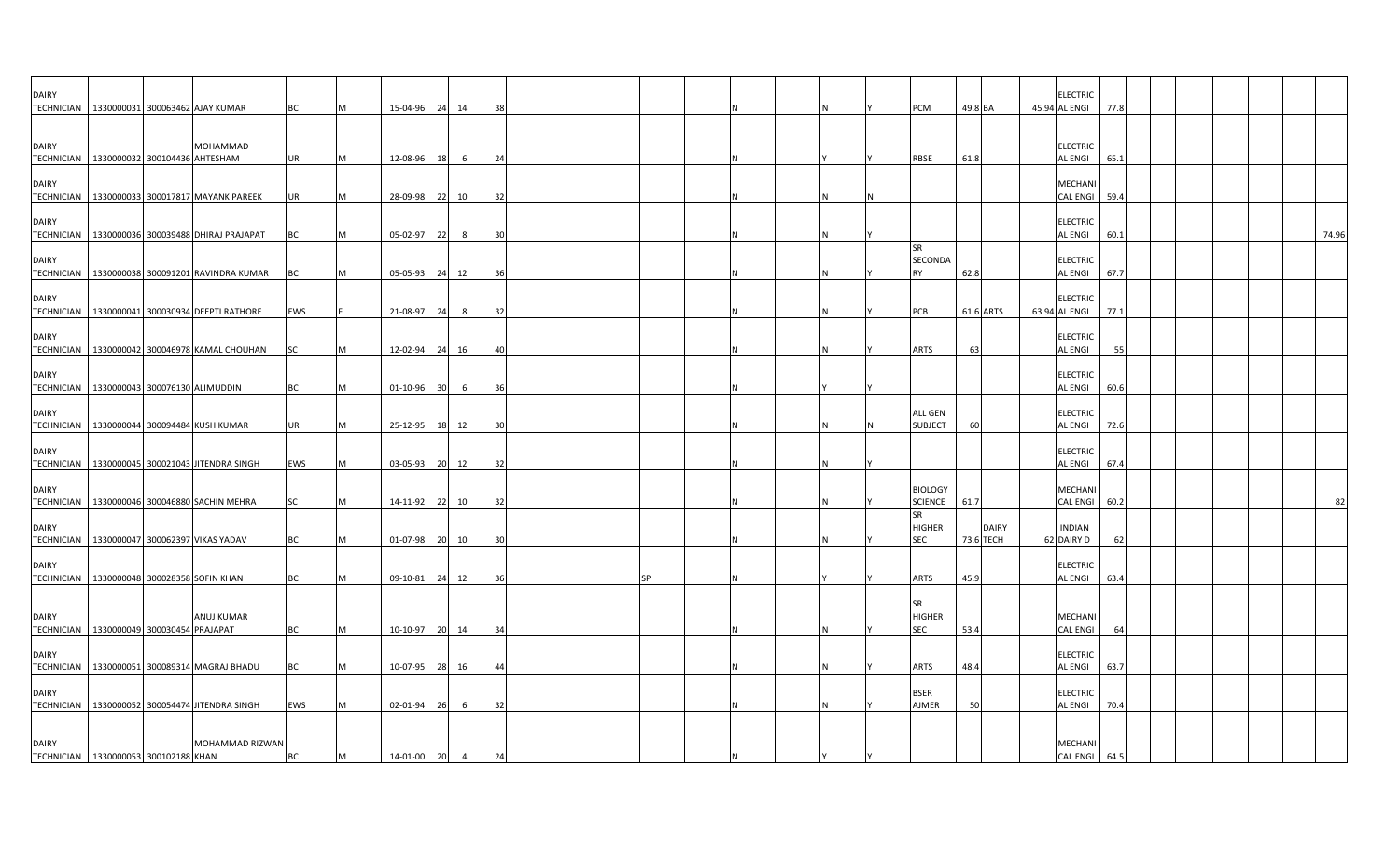| <b>DAIRY</b>                                               |  | TECHNICIAN 1330000031 300063462 AJAY KUMAR        | BC        | м | 15-04-96       | 24<br>14       | 38 |  |           |  | IN.      | <b>PCM</b>                                    | 49.8 BA                   | <b>ELECTRIC</b><br>45.94 AL ENGI  | 77.8 |  |       |
|------------------------------------------------------------|--|---------------------------------------------------|-----------|---|----------------|----------------|----|--|-----------|--|----------|-----------------------------------------------|---------------------------|-----------------------------------|------|--|-------|
| <b>DAIRY</b><br>TECHNICIAN 1330000032 300104436 AHTESHAM   |  | MOHAMMAD                                          | <b>UR</b> | M | 12-08-96 18    | - 6            | 24 |  |           |  |          | <b>RBSE</b>                                   | 61.8                      | <b>ELECTRIC</b><br>AL ENGI        | 65.1 |  |       |
| <b>DAIRY</b><br><b>TECHNICIAN</b>                          |  | 1330000033 300017817 MAYANK PAREEK                | UR        | M | 28-09-98       | 22<br>10       | 32 |  |           |  | IN.      |                                               |                           | MECHANI<br><b>CAL ENGI</b>        | 59.4 |  |       |
| <b>DAIRY</b>                                               |  | TECHNICIAN   1330000036 300039488 DHIRAJ PRAJAPAT | BC        |   | 05-02-97       | 22<br>8        | 30 |  |           |  | N        |                                               |                           | <b>ELECTRIC</b><br>AL ENGI        | 60.1 |  | 74.96 |
| <b>DAIRY</b>                                               |  | TECHNICIAN 1330000038 300091201 RAVINDRA KUMAR    | BC        |   | 05-05-93       | 24<br>12       | 36 |  |           |  | IN.      | <b>SR</b><br>SECONDA<br><b>RY</b>             | 62.8                      | <b>ELECTRIC</b><br><b>AL ENGI</b> | 67.7 |  |       |
| <b>DAIRY</b>                                               |  | TECHNICIAN   1330000041 300030934 DEEPTI RATHORE  | EWS       |   | 21-08-97       | 24<br>8        | 32 |  |           |  | IN.      | PCB                                           | 61.6 ARTS                 | <b>ELECTRIC</b><br>63.94 AL ENGI  | 77.1 |  |       |
| <b>DAIRY</b>                                               |  | TECHNICIAN   1330000042 300046978 KAMAL CHOUHAN   | SC        |   | 12-02-94       | 24<br>16       | 40 |  |           |  |          | <b>ARTS</b>                                   | 63                        | <b>ELECTRIC</b><br><b>AL ENGI</b> | 55   |  |       |
| <b>DAIRY</b><br>TECHNICIAN 1330000043 300076130 ALIMUDDIN  |  |                                                   | BC        |   | 01-10-96       | 30<br>6        | 36 |  |           |  |          |                                               |                           | <b>ELECTRIC</b><br>AL ENGI        | 60.6 |  |       |
| <b>DAIRY</b>                                               |  | TECHNICIAN 1330000044 300094484 KUSH KUMAR        | UR        |   | 25-12-95       | 18<br>12       | 30 |  |           |  | IN.      | <b>ALL GEN</b><br><b>SUBJECT</b>              | 60                        | <b>ELECTRIC</b><br>AL ENGI        | 72.6 |  |       |
| <b>DAIRY</b>                                               |  | TECHNICIAN 1330000045 300021043 JITENDRA SINGH    | EWS       |   | $03 - 05 - 93$ | 20 12          | 32 |  |           |  | IN.      |                                               |                           | <b>ELECTRIC</b><br>AL ENGI        | 67.4 |  |       |
| <b>DAIRY</b>                                               |  | TECHNICIAN   1330000046 300046880 SACHIN MEHRA    | SC        | м | 14-11-92       | 22<br>10       | 32 |  |           |  |          | <b>BIOLOGY</b><br><b>SCIENCE</b><br><b>SR</b> | 61.7                      | MECHANI<br>CAL ENGI 60.2          |      |  | 82    |
| <b>DAIRY</b>                                               |  | TECHNICIAN 1330000047 300062397 VIKAS YADAV       | <b>BC</b> | M | 01-07-98 20 10 |                | 30 |  |           |  | <b>N</b> | <b>HIGHER</b><br><b>SEC</b>                   | <b>DAIRY</b><br>73.6 TECH | <b>INDIAN</b><br>62 DAIRY D       | 62   |  |       |
| <b>DAIRY</b><br>TECHNICIAN 1330000048 300028358 SOFIN KHAN |  |                                                   | BC        |   | 09-10-81       | 24<br>12       | 36 |  | <b>SP</b> |  |          | <b>ARTS</b>                                   | 45.9                      | <b>ELECTRIC</b><br><b>AL ENGI</b> | 63.4 |  |       |
| <b>DAIRY</b><br>TECHNICIAN 1330000049 300030454 PRAJAPAT   |  | <b>ANUJ KUMAR</b>                                 | BC        | M | 10-10-97       | 20 14          | 34 |  |           |  | IN.      | <b>SR</b><br><b>HIGHER</b><br><b>SEC</b>      | 53.4                      | MECHANI<br><b>CAL ENGI</b>        | 64   |  |       |
| <b>DAIRY</b>                                               |  | TECHNICIAN   1330000051 300089314 MAGRAJ BHADU    | BC        |   | 10-07-95       | 28<br>16       | 44 |  |           |  | IN.      | <b>ARTS</b>                                   | 48.4                      | <b>ELECTRIC</b><br><b>AL ENGI</b> | 63.7 |  |       |
| <b>DAIRY</b>                                               |  | TECHNICIAN 1330000052 300054474 JITENDRA SINGH    | EWS       |   | 02-01-94       | 26<br>6        | 32 |  |           |  | IN.      | <b>BSER</b><br>AJMER                          | 50                        | <b>ELECTRIC</b><br>AL ENGI        | 70.4 |  |       |
| <b>DAIRY</b><br>TECHNICIAN 1330000053 300102188 KHAN       |  | MOHAMMAD RIZWAN                                   | BC        | M | 14-01-00 20    | $\overline{4}$ | 24 |  |           |  |          |                                               |                           | MECHANI<br>CAL ENGI 64.5          |      |  |       |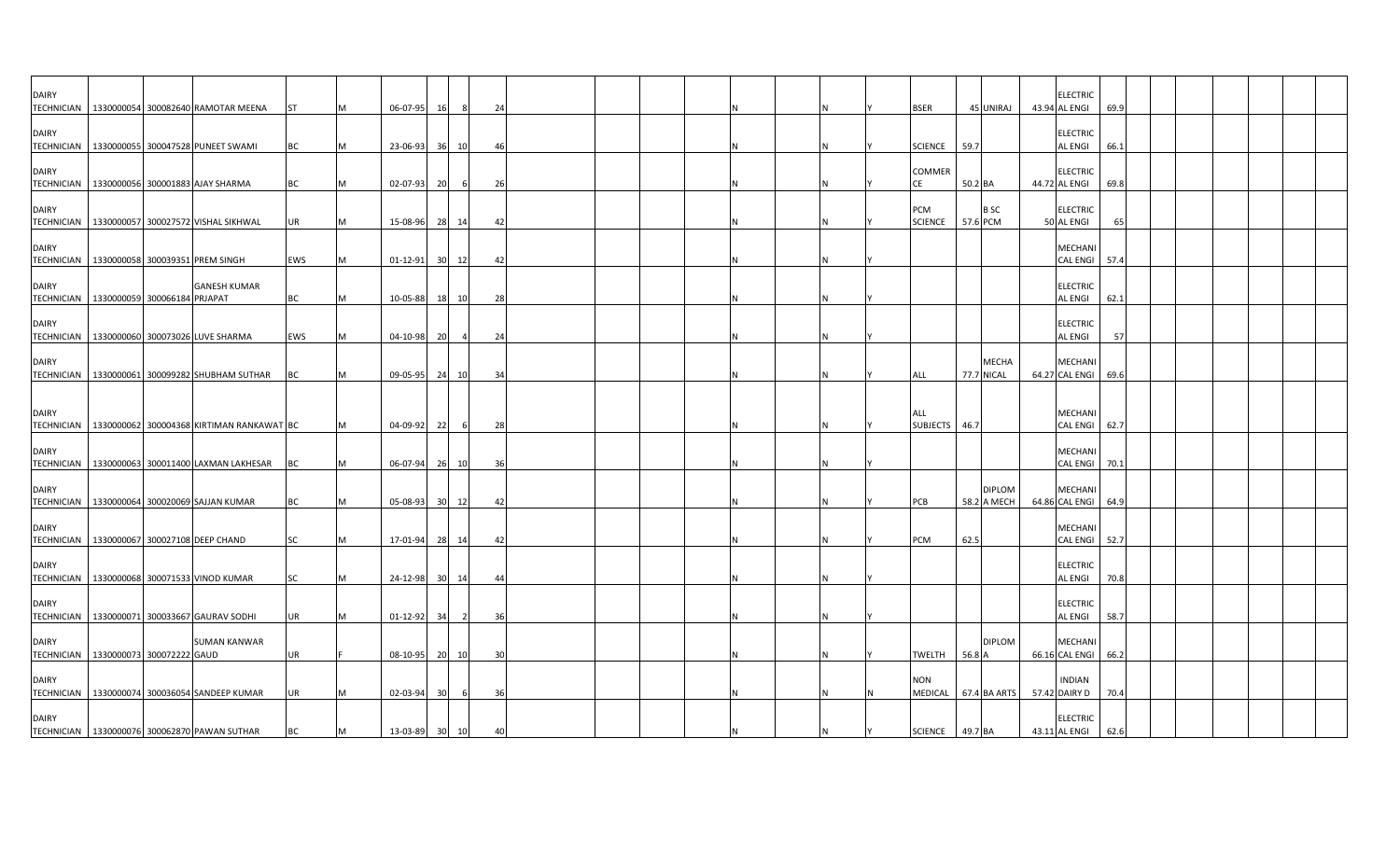| <b>DAIRY</b>                                 |  |                                                      |           |          |                |                 |                |                |  |   |  |                       |         |                        | <b>ELECTRIC</b>               |      |  |  |  |
|----------------------------------------------|--|------------------------------------------------------|-----------|----------|----------------|-----------------|----------------|----------------|--|---|--|-----------------------|---------|------------------------|-------------------------------|------|--|--|--|
|                                              |  | TECHNICIAN   1330000054 300082640 RAMOTAR MEENA      | <b>ST</b> |          | 06-07-95       | 16              |                | 24             |  |   |  | <b>BSER</b>           |         | 45 UNIRAJ              | 43.94 AL ENGI                 | 69.9 |  |  |  |
|                                              |  |                                                      |           |          |                |                 |                |                |  |   |  |                       |         |                        |                               |      |  |  |  |
| <b>DAIRY</b>                                 |  |                                                      |           |          |                |                 |                |                |  |   |  |                       |         |                        | <b>ELECTRIC</b>               |      |  |  |  |
|                                              |  | TECHNICIAN 1330000055 300047528 PUNEET SWAMI         | <b>BC</b> | IM.      | 23-06-93       | 36              | 10             | -46            |  |   |  | <b>SCIENCE</b>        | 59.7    |                        | <b>AL ENGI</b>                | 66.1 |  |  |  |
|                                              |  |                                                      |           |          |                |                 |                |                |  |   |  |                       |         |                        |                               |      |  |  |  |
| <b>DAIRY</b>                                 |  |                                                      |           |          |                |                 |                |                |  |   |  | <b>COMMER</b>         |         |                        | <b>ELECTRIC</b>               |      |  |  |  |
|                                              |  | TECHNICIAN   1330000056 300001883 AJAY SHARMA        | <b>BC</b> | M        | 02-07-93       | 20              | 6              | 26             |  |   |  | CE                    | 50.2 BA |                        | 44.72 AL ENGI                 | 69.8 |  |  |  |
|                                              |  |                                                      |           |          |                |                 |                |                |  |   |  |                       |         |                        |                               |      |  |  |  |
| <b>DAIRY</b>                                 |  | TECHNICIAN   1330000057 300027572 VISHAL SIKHWAL     | <b>UR</b> | M        | 15-08-96       |                 | 28 14          | 42             |  |   |  | PCM<br><b>SCIENCE</b> |         | <b>BSC</b><br>57.6 PCM | <b>ELECTRIC</b><br>50 AL ENGI | 65   |  |  |  |
|                                              |  |                                                      |           |          |                |                 |                |                |  |   |  |                       |         |                        |                               |      |  |  |  |
| <b>DAIRY</b>                                 |  |                                                      |           |          |                |                 |                |                |  |   |  |                       |         |                        | <b>MECHANI</b>                |      |  |  |  |
| TECHNICIAN   1330000058 300039351 PREM SINGH |  |                                                      | EWS       | IM.      | 01-12-91       | 30              | 12             | $\overline{a}$ |  |   |  |                       |         |                        | CAL ENGI                      | 57.4 |  |  |  |
|                                              |  |                                                      |           |          |                |                 |                |                |  |   |  |                       |         |                        |                               |      |  |  |  |
| <b>DAIRY</b>                                 |  | <b>GANESH KUMAR</b>                                  |           |          |                |                 |                |                |  |   |  |                       |         |                        | <b>ELECTRIC</b>               |      |  |  |  |
| TECHNICIAN 1330000059 300066184 PRJAPAT      |  |                                                      | <b>BC</b> | IM.      | 10-05-88       |                 | 18 10          | 28             |  |   |  |                       |         |                        | <b>AL ENGI</b>                | 62.1 |  |  |  |
|                                              |  |                                                      |           |          |                |                 |                |                |  |   |  |                       |         |                        |                               |      |  |  |  |
| <b>DAIRY</b>                                 |  |                                                      |           |          |                |                 |                |                |  |   |  |                       |         |                        | <b>ELECTRIC</b>               |      |  |  |  |
|                                              |  | TECHNICIAN   1330000060 300073026 LUVE SHARMA        | EWS       | <b>M</b> | 04-10-98       | 20              |                | 24             |  |   |  |                       |         |                        | <b>AL ENGI</b>                | 57   |  |  |  |
|                                              |  |                                                      |           |          |                |                 |                |                |  |   |  |                       |         |                        |                               |      |  |  |  |
| <b>DAIRY</b>                                 |  |                                                      |           |          |                |                 |                |                |  |   |  |                       |         | <b>MECHA</b>           | <b>MECHANI</b>                |      |  |  |  |
|                                              |  | TECHNICIAN   1330000061 300099282 SHUBHAM SUTHAR     | <b>BC</b> |          | 09-05-95       |                 | 24 10          | 34             |  |   |  | ALL                   |         | 77.7 NICAL             | 64.27 CAL ENGI                | 69.6 |  |  |  |
|                                              |  |                                                      |           |          |                |                 |                |                |  |   |  |                       |         |                        |                               |      |  |  |  |
| <b>DAIRY</b>                                 |  |                                                      |           |          |                |                 |                |                |  |   |  | ALL                   |         |                        | <b>MECHANI</b>                |      |  |  |  |
|                                              |  | TECHNICIAN 1330000062 300004368 KIRTIMAN RANKAWAT BC |           |          | 04-09-92       | 22              |                | 28             |  |   |  | <b>SUBJECTS</b>       | 46.7    |                        | <b>CAL ENGI</b>               | 62.7 |  |  |  |
|                                              |  |                                                      |           |          |                |                 |                |                |  |   |  |                       |         |                        |                               |      |  |  |  |
| <b>DAIRY</b>                                 |  |                                                      |           |          |                |                 |                |                |  |   |  |                       |         |                        | <b>MECHANI</b>                |      |  |  |  |
|                                              |  | TECHNICIAN   1330000063 300011400 LAXMAN LAKHESAR    | BC        |          | 06-07-94       |                 | 26 10          | 36             |  |   |  |                       |         |                        | <b>CAL ENGI</b>               | 70.1 |  |  |  |
|                                              |  |                                                      |           |          |                |                 |                |                |  |   |  |                       |         |                        |                               |      |  |  |  |
| <b>DAIRY</b>                                 |  |                                                      |           |          |                |                 |                |                |  |   |  |                       |         | <b>DIPLOM</b>          | <b>MECHANI</b>                |      |  |  |  |
|                                              |  | TECHNICIAN 1330000064 300020069 SAJJAN KUMAR         | <b>BC</b> | IM.      | 05-08-93       |                 | 30 12          | 42             |  |   |  | PCB                   |         | 58.2 A MECH            | 64.86 CAL ENGI                | 64.9 |  |  |  |
|                                              |  |                                                      |           |          |                |                 |                |                |  |   |  |                       |         |                        |                               |      |  |  |  |
| <b>DAIRY</b>                                 |  |                                                      |           |          |                |                 |                |                |  |   |  |                       |         |                        | <b>MECHANI</b>                |      |  |  |  |
| TECHNICIAN 1330000067 300027108 DEEP CHAND   |  |                                                      | <b>SC</b> | <b>M</b> | 17-01-94       |                 | 28 14          | -42            |  |   |  | PCM                   | 62.5    |                        | CAL ENGI 52.7                 |      |  |  |  |
| <b>DAIRY</b>                                 |  |                                                      |           |          |                |                 |                |                |  |   |  |                       |         |                        | <b>ELECTRIC</b>               |      |  |  |  |
|                                              |  | TECHNICIAN   1330000068 300071533 VINOD KUMAR        | SC        | M        | 24-12-98       | 30 <sup>1</sup> | 14             | 44             |  |   |  |                       |         |                        | <b>AL ENGI</b>                | 70.8 |  |  |  |
|                                              |  |                                                      |           |          |                |                 |                |                |  |   |  |                       |         |                        |                               |      |  |  |  |
| <b>DAIRY</b>                                 |  |                                                      |           |          |                |                 |                |                |  |   |  |                       |         |                        | <b>ELECTRIC</b>               |      |  |  |  |
|                                              |  | TECHNICIAN 1330000071 300033667 GAURAV SODHI         | UR        | M        | $01 - 12 - 92$ | 34              | $\overline{2}$ | 36             |  |   |  |                       |         |                        | <b>AL ENGI</b>                | 58.7 |  |  |  |
|                                              |  |                                                      |           |          |                |                 |                |                |  |   |  |                       |         |                        |                               |      |  |  |  |
| <b>DAIRY</b>                                 |  | <b>SUMAN KANWAR</b>                                  |           |          |                |                 |                |                |  |   |  |                       |         | <b>DIPLOM</b>          | <b>MECHANI</b>                |      |  |  |  |
| TECHNICIAN   1330000073 300072222 GAUD       |  |                                                      | UR        |          | 08-10-95       |                 | 20 10          | 30             |  | N |  | TWELTH                | 56.8 A  |                        | 66.16 CAL ENGI 66.2           |      |  |  |  |
|                                              |  |                                                      |           |          |                |                 |                |                |  |   |  |                       |         |                        |                               |      |  |  |  |
| <b>DAIRY</b>                                 |  |                                                      |           |          |                |                 |                |                |  |   |  | <b>NON</b>            |         |                        | <b>INDIAN</b>                 |      |  |  |  |
|                                              |  | TECHNICIAN 1330000074 300036054 SANDEEP KUMAR        | <b>UR</b> | <b>M</b> | 02-03-94       | 30              | - 6            | 36             |  | N |  | MEDICAL 67.4 BA ARTS  |         |                        | 57.42 DAIRY D                 | 70.4 |  |  |  |
|                                              |  |                                                      |           |          |                |                 |                |                |  |   |  |                       |         |                        |                               |      |  |  |  |
| <b>DAIRY</b>                                 |  |                                                      |           |          |                |                 |                |                |  |   |  |                       |         |                        | <b>ELECTRIC</b>               |      |  |  |  |
|                                              |  | TECHNICIAN   1330000076 300062870 PAWAN SUTHAR       | BC        | M        | 13-03-89 30 10 |                 |                | 40             |  |   |  | SCIENCE               | 49.7 BA |                        | 43.11 AL ENGI                 | 62.6 |  |  |  |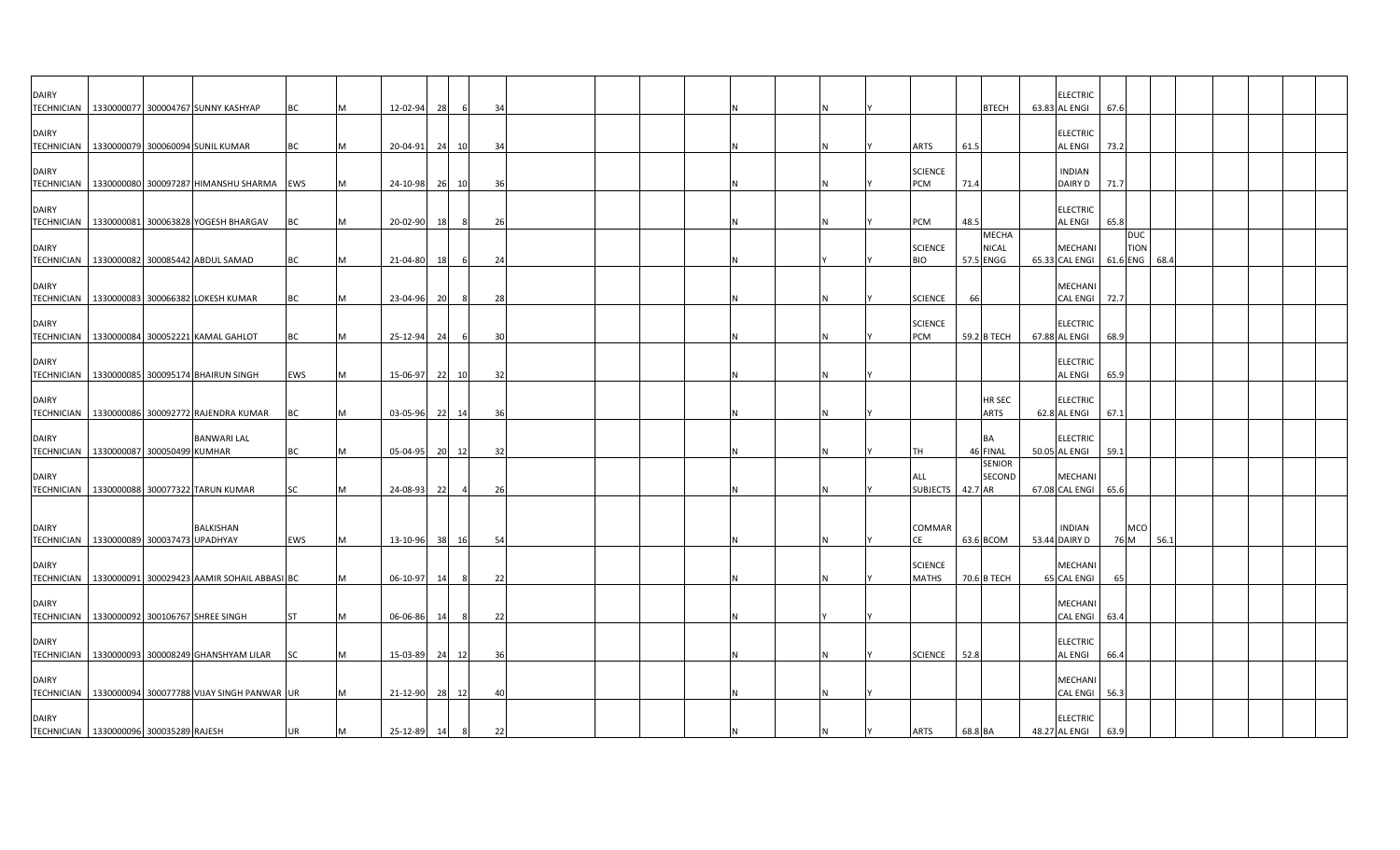| <b>DAIRY</b>                      | TECHNICIAN 1330000077 300004767 SUNNY KASHYAP                | BC        |     | 12-02-94       | 28    |     | 34  |  |  |  |  |                         | <b>BTECH</b>                       | <b>ELECTRIC</b><br>63.83 AL ENGI        | 67.6 |                           |      |  |  |
|-----------------------------------|--------------------------------------------------------------|-----------|-----|----------------|-------|-----|-----|--|--|--|--|-------------------------|------------------------------------|-----------------------------------------|------|---------------------------|------|--|--|
| <b>DAIRY</b>                      | TECHNICIAN 1330000079 300060094 SUNIL KUMAR                  | <b>BC</b> |     | 20-04-91       | 24    | 10  | -34 |  |  |  |  | <b>ARTS</b>             | 61.5                               | <b>ELECTRIC</b><br><b>AL ENGI</b>       | 73.2 |                           |      |  |  |
| <b>DAIRY</b>                      | TECHNICIAN 1330000080 300097287 HIMANSHU SHARMA EWS          |           |     | 24-10-98 26 10 |       |     | 36  |  |  |  |  | <b>SCIENCE</b><br>PCM   | 71.4                               | <b>INDIAN</b><br>DAIRY D                | 71.7 |                           |      |  |  |
| <b>DAIRY</b>                      | TECHNICIAN 1330000081 300063828 YOGESH BHARGAV               | <b>BC</b> | M   | 20-02-90       | 18    | 8   | 26  |  |  |  |  | PCM                     | 48.5                               | <b>ELECTRIC</b><br><b>AL ENGI</b>       | 65.8 |                           |      |  |  |
| <b>DAIRY</b>                      | TECHNICIAN   1330000082 300085442 ABDUL SAMAD                | BC        |     | 21-04-80       | 18    |     | 24  |  |  |  |  | <b>SCIENCE</b><br>BIO   | <b>MECHA</b><br>NICAL<br>57.5 ENGG | MECHANI<br>65.33 CAL ENGI 61.6 ENG 68.4 |      | <b>DUC</b><br><b>TION</b> |      |  |  |
| <b>DAIRY</b><br><b>TECHNICIAN</b> | 1330000083 300066382 LOKESH KUMAR                            | BC        | IM. | 23-04-96       | 20    | 8   | 28  |  |  |  |  | <b>SCIENCE</b>          | 66                                 | MECHANI<br><b>CAL ENGI</b>              | 72.7 |                           |      |  |  |
| <b>DAIRY</b>                      | TECHNICIAN   1330000084 300052221 KAMAL GAHLOT               | BC        |     | 25-12-94       | 24    |     | -30 |  |  |  |  | <b>SCIENCE</b><br>PCM   | 59.2 B TECH                        | <b>ELECTRIC</b><br>67.88 AL ENGI        | 68.9 |                           |      |  |  |
| <b>DAIRY</b>                      | TECHNICIAN 1330000085 300095174 BHAIRUN SINGH                | EWS       |     | 15-06-97       | 22 10 |     | 32  |  |  |  |  |                         |                                    | <b>ELECTRIC</b><br><b>AL ENGI</b>       | 65.9 |                           |      |  |  |
| <b>DAIRY</b>                      | TECHNICIAN   1330000086 300092772 RAJENDRA KUMAR             | <b>BC</b> |     | 03-05-96 22 14 |       |     | 36  |  |  |  |  |                         | HR SEC<br><b>ARTS</b>              | <b>ELECTRIC</b><br>62.8 AL ENGI         | 67.1 |                           |      |  |  |
| <b>DAIRY</b>                      | <b>BANWARI LAL</b><br>TECHNICIAN 1330000087 300050499 KUMHAR | <b>BC</b> | M   | 05-04-95 20 12 |       |     | 32  |  |  |  |  | ГH                      | <b>BA</b><br>46 FINAL              | <b>ELECTRIC</b><br>50.05 AL ENGI 59.1   |      |                           |      |  |  |
| <b>DAIRY</b>                      | TECHNICIAN 1330000088 300077322 TARUN KUMAR                  | <b>SC</b> |     | 24-08-93       | 22    |     | 26  |  |  |  |  | ALL<br>SUBJECTS         | <b>SENIOR</b><br>SECOND<br>42.7 AR | <b>MECHANI</b><br>67.08 CAL ENGI        | 65.6 |                           |      |  |  |
| <b>DAIRY</b>                      | BALKISHAN<br>TECHNICIAN 1330000089 300037473 UPADHYAY        | EWS       | M   | 13-10-96 38 16 |       |     | 54  |  |  |  |  | COMMAR<br>СE            | 63.6 BCOM                          | <b>INDIAN</b><br>53.44 DAIRY D          |      | <b>MCO</b><br>76 M        | 56.1 |  |  |
| <b>DAIRY</b>                      | TECHNICIAN   1330000091 300029423 AAMIR SOHAIL ABBASI BC     |           |     | 06-10-97       | 14    | - 8 | 22  |  |  |  |  | <b>SCIENCE</b><br>MATHS | 70.6 B TECH                        | <b>MECHANI</b><br>65 CAL ENGI           | 65   |                           |      |  |  |
| <b>DAIRY</b>                      | TECHNICIAN   1330000092 300106767 SHREE SINGH                | <b>ST</b> |     | 06-06-86       | 14    | - 8 | 22  |  |  |  |  |                         |                                    | <b>MECHANI</b><br><b>CAL ENGI</b>       | 63.4 |                           |      |  |  |
| <b>DAIRY</b>                      | TECHNICIAN 1330000093 300008249 GHANSHYAM LILAR              | <b>SC</b> |     | 15-03-89 24 12 |       |     | 36  |  |  |  |  | <b>SCIENCE</b>          | 52.8                               | <b>ELECTRIC</b><br><b>AL ENGI</b>       | 66.4 |                           |      |  |  |
| <b>DAIRY</b>                      | TECHNICIAN   1330000094 300077788 VIJAY SINGH PANWAR UR      |           |     | 21-12-90 28 12 |       |     | 40  |  |  |  |  |                         |                                    | MECHANI<br><b>CAL ENGI</b>              | 56.3 |                           |      |  |  |
| <b>DAIRY</b>                      | TECHNICIAN   1330000096 300035289 RAJESH                     | <b>UR</b> | M   | 25-12-89 14    |       | 8   | 22  |  |  |  |  | <b>ARTS</b>             | 68.8 BA                            | <b>ELECTRIC</b><br>48.27 AL ENGI        | 63.9 |                           |      |  |  |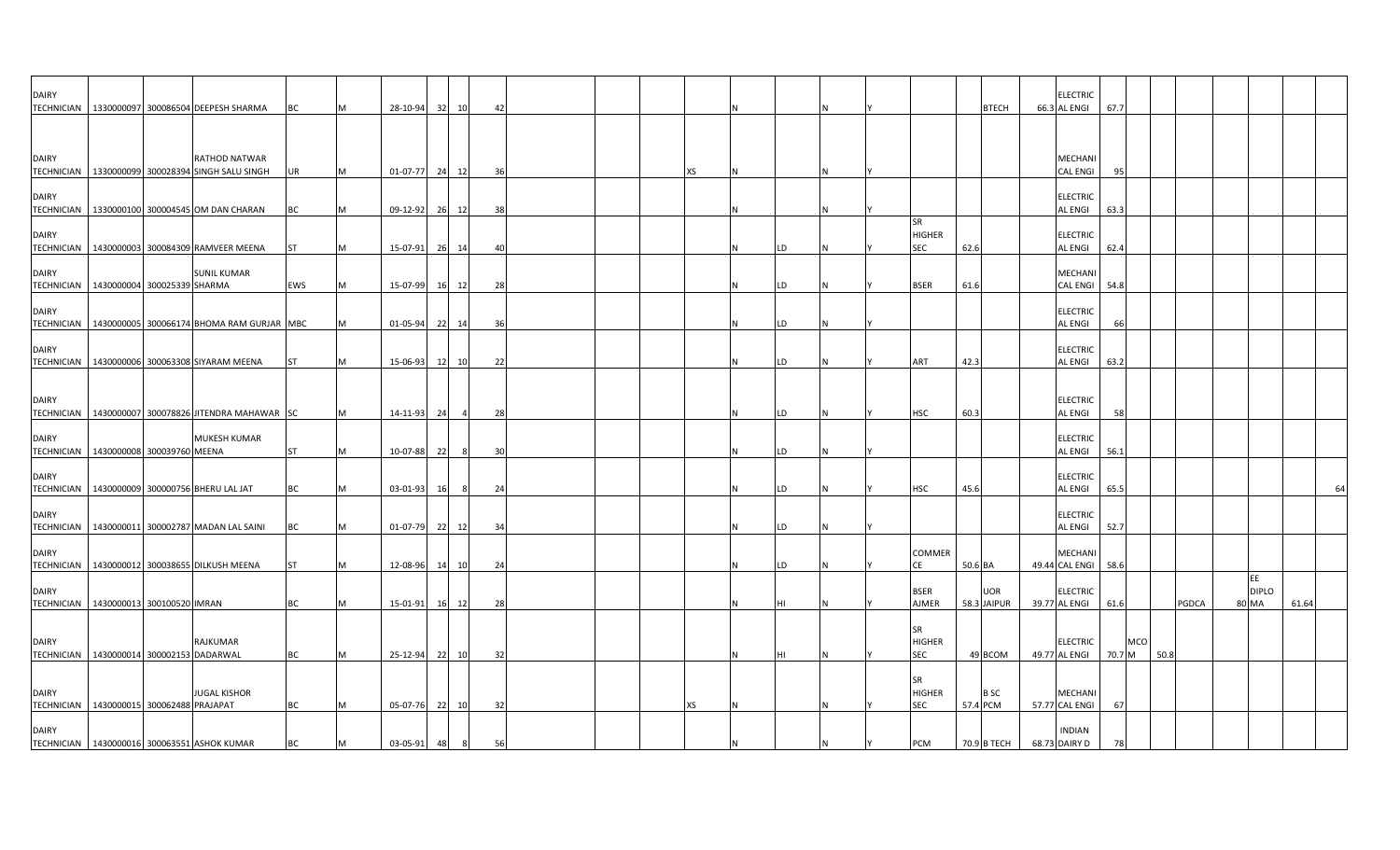| <b>DAIRY</b>                                             |                 | TECHNICIAN   1330000097 300086504 DEEPESH SHARMA       | BC        | M | 28-10-94 |    | 32 10 | 42   |  |    | N |    |  |                                   |          | <b>BTECH</b>              | <b>ELECTRIC</b><br>66.3 AL ENGI   | 67.7          |       |                             |       |
|----------------------------------------------------------|-----------------|--------------------------------------------------------|-----------|---|----------|----|-------|------|--|----|---|----|--|-----------------------------------|----------|---------------------------|-----------------------------------|---------------|-------|-----------------------------|-------|
| <b>DAIRY</b>                                             |                 | RATHOD NATWAR                                          |           |   |          |    |       |      |  |    |   |    |  |                                   |          |                           | MECHANI                           |               |       |                             |       |
| TECHNICIAN 1330000099                                    |                 | 300028394 SINGH SALU SINGH                             | UR        | M | 01-07-77 |    | 24 12 | - 36 |  | хs |   |    |  |                                   |          |                           | <b>CAL ENGI</b>                   | 95            |       |                             |       |
| <b>DAIRY</b>                                             |                 |                                                        |           |   |          |    |       |      |  |    |   |    |  |                                   |          |                           | <b>ELECTRIC</b>                   |               |       |                             |       |
|                                                          |                 | TECHNICIAN 1330000100 300004545 OM DAN CHARAN          | BC        | M | 09-12-92 |    | 26 12 | -38  |  |    |   |    |  |                                   |          |                           | AL ENGI                           | 63.3          |       |                             |       |
| <b>DAIRY</b>                                             |                 | TECHNICIAN   1430000003 300084309 RAMVEER MEENA        | <b>ST</b> | M | 15-07-91 |    | 26 14 | 40   |  |    |   | LD |  | SR<br><b>HIGHER</b><br>SEC        | 62.6     |                           | <b>ELECTRIC</b><br>AL ENGI        | 62.4          |       |                             |       |
| <b>DAIRY</b><br>TECHNICIAN   1430000004 300025339 SHARMA |                 | <b>SUNIL KUMAR</b>                                     | EWS       | M | 15-07-99 | 16 | 12    | - 28 |  |    |   | LD |  | <b>BSER</b>                       | 61.6     |                           | MECHANI<br>CAL ENGI               | 54.8          |       |                             |       |
| <b>DAIRY</b>                                             |                 | TECHNICIAN   1430000005 300066174 BHOMA RAM GURJAR MBC |           | M | 01-05-94 |    | 22 14 | - 36 |  |    |   | LD |  |                                   |          |                           | <b>ELECTRIC</b><br>AL ENGI        | 66            |       |                             |       |
| <b>DAIRY</b>                                             |                 | TECHNICIAN   1430000006 300063308 SIYARAM MEENA        | ST        | M | 15-06-93 |    | 12 10 | 22   |  |    |   | LD |  | ART                               | 42.3     |                           | <b>ELECTRIC</b><br>AL ENGI        | 63.2          |       |                             |       |
| <b>DAIRY</b>                                             |                 | TECHNICIAN 1430000007 300078826 JITENDRA MAHAWAR SC    |           | M | 14-11-93 | 24 |       | 28   |  |    |   | LD |  | <b>HSC</b>                        | 60.3     |                           | <b>ELECTRIC</b><br>AL ENGI        | 58            |       |                             |       |
| <b>DAIRY</b><br>TECHNICIAN   1430000008 300039760 MEENA  |                 | <b>MUKESH KUMAR</b>                                    | <b>ST</b> | M | 10-07-88 | 22 | 8     | 30   |  |    |   | LD |  |                                   |          |                           | <b>ELECTRIC</b><br>AL ENGI        | 56.1          |       |                             |       |
| <b>DAIRY</b>                                             |                 | TECHNICIAN   1430000009 300000756 BHERU LAL JAT        | BC        | M | 03-01-93 | 16 | - 8   | 24   |  |    |   | LD |  | <b>HSC</b>                        | 45.6     |                           | <b>ELECTRIC</b><br>AL ENGI        | 65.5          |       |                             | 64    |
| <b>DAIRY</b>                                             |                 | TECHNICIAN   1430000011 300002787 MADAN LAL SAINI      | ВC        | M | 01-07-79 |    | 22 12 | - 34 |  |    |   | LD |  |                                   |          |                           | <b>ELECTRIC</b><br><b>AL ENGI</b> | 52.7          |       |                             |       |
| <b>DAIRY</b>                                             |                 | TECHNICIAN 1430000012 300038655 DILKUSH MEENA          | <b>ST</b> | M | 12-08-96 | 14 | 10    | 24   |  |    | N | LD |  | COMMER<br>CE                      | 50.6 BA  |                           | <b>MECHANI</b><br>49.44 CAL ENGI  | 58.6          |       |                             |       |
| <b>DAIRY</b><br>TECHNICIAN 1430000013                    | 300100520 IMRAN |                                                        | <b>BC</b> | M | 15-01-91 |    | 16 12 | 28   |  |    |   | HI |  | <b>BSER</b><br>AJMER              |          | <b>UOR</b><br>58.3 JAIPUR | <b>ELECTRIC</b><br>39.77 AL ENGI  | 61.6          | PGDCA | EE<br><b>DIPLO</b><br>80 MA | 61.64 |
| DAIRY<br>TECHNICIAN 1430000014 300002153 DADARWAL        |                 | <b>RAJKUMAR</b>                                        | <b>BC</b> | M | 25-12-94 | 22 | 10    | - 32 |  |    |   |    |  | <b>SR</b><br>HIGHER<br>SEC        |          | 49 BCOM                   | <b>ELECTRIC</b><br>49.77 AL ENGI  | MCO<br>70.7 M | 50.8  |                             |       |
| <b>DAIRY</b><br>TECHNICIAN 1430000015 300062488 PRAJAPAT |                 | <b>JUGAL KISHOR</b>                                    | BC        | M | 05-07-76 |    | 22 10 | 32   |  | хs |   |    |  | <b>SR</b><br><b>HIGHER</b><br>SEC | 57.4 PCM | <b>BSC</b>                | MECHANI<br>57.77 CAL ENGI         | 67            |       |                             |       |
| <b>DAIRY</b>                                             |                 | TECHNICIAN   1430000016 300063551 ASHOK KUMAR          | BC        | M | 03-05-91 | 48 | -8    | 56   |  |    |   |    |  | PCM                               |          | 70.9 B TECH               | <b>INDIAN</b><br>68.73 DAIRY D    |               |       |                             |       |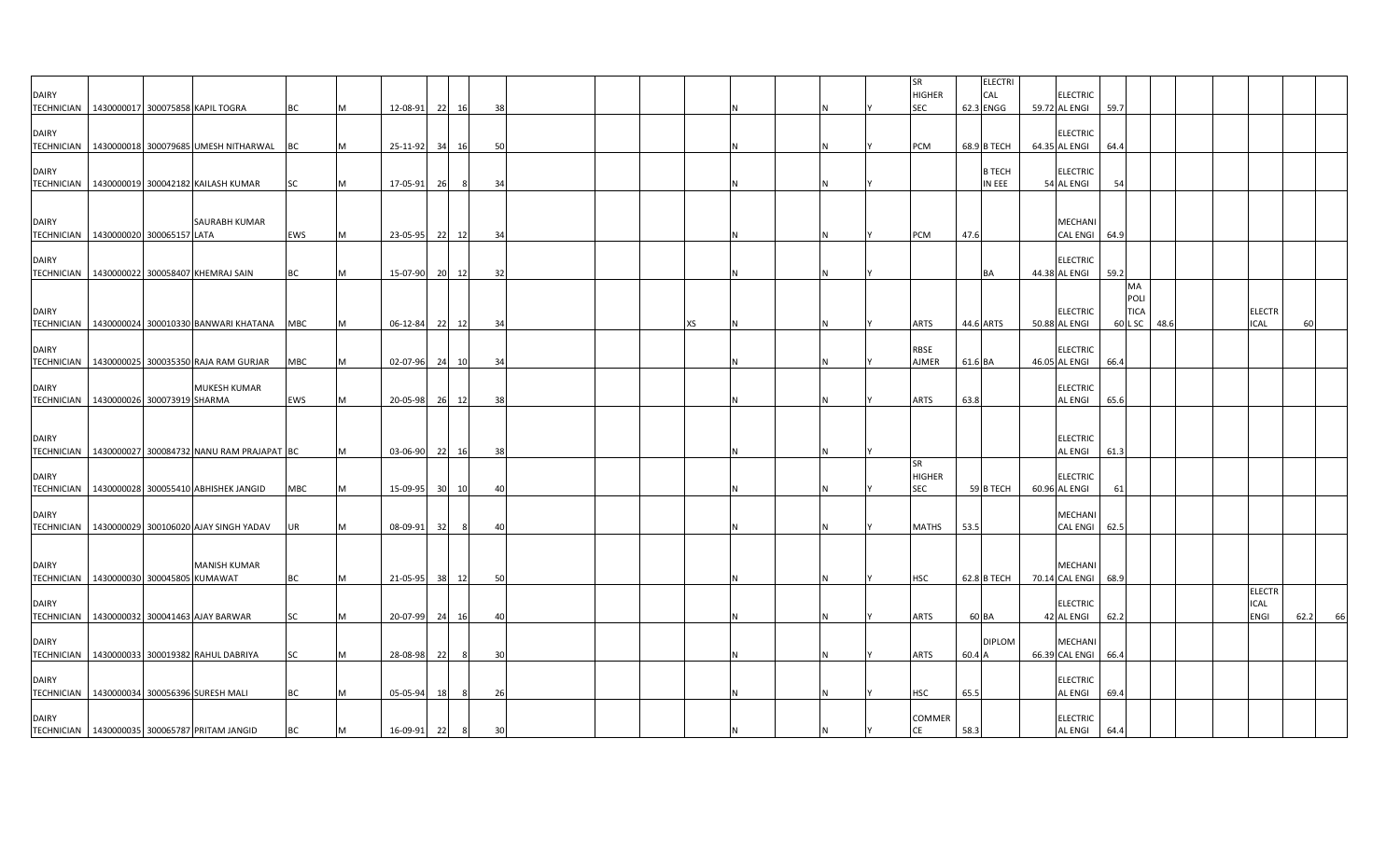| <b>DAIRY</b>                      |                                                        |                     |            |   |                |                 |      |    |  |    |  |     | SR<br><b>HIGHER</b>               |         | <b>ELECTRI</b><br>CAL | <b>ELECTRIC</b>                       |      |                           |      |  |                                             |      |    |
|-----------------------------------|--------------------------------------------------------|---------------------|------------|---|----------------|-----------------|------|----|--|----|--|-----|-----------------------------------|---------|-----------------------|---------------------------------------|------|---------------------------|------|--|---------------------------------------------|------|----|
|                                   | TECHNICIAN   1430000017 300075858 KAPIL TOGRA          |                     | BC         |   | 12-08-91       | 221             | 16   | 38 |  |    |  |     | <b>SEC</b>                        |         | 62.3 ENGG             | 59.72 AL ENGI                         | 59.7 |                           |      |  |                                             |      |    |
| <b>DAIRY</b><br><b>TECHNICIAN</b> | 1430000018 300079685 UMESH NITHARWAL BC                |                     |            |   | 25-11-92       | 34              | 16   | 50 |  |    |  |     | PCM                               |         | 68.9 B TECH           | <b>ELECTRIC</b><br>64.35 AL ENGI      | 64.4 |                           |      |  |                                             |      |    |
| <b>DAIRY</b>                      |                                                        |                     |            |   |                |                 |      |    |  |    |  |     |                                   |         | <b>B TECH</b>         | <b>ELECTRIC</b>                       |      |                           |      |  |                                             |      |    |
|                                   | TECHNICIAN 1430000019 300042182 KAILASH KUMAR          |                     | SC         |   | 17-05-91       | 26              | 8    | 34 |  |    |  |     |                                   |         | IN EEE                | 54 AL ENGI                            | 54   |                           |      |  |                                             |      |    |
| <b>DAIRY</b>                      |                                                        | SAURABH KUMAR       |            |   |                |                 |      |    |  |    |  |     |                                   |         |                       | MECHANI                               |      |                           |      |  |                                             |      |    |
|                                   | TECHNICIAN   1430000020 300065157 LATA                 |                     | EWS        | M | 23-05-95 22    |                 | 12   | 34 |  |    |  |     | PCM                               | 47.6    |                       | CAL ENGI 64.9                         |      |                           |      |  |                                             |      |    |
| <b>DAIRY</b>                      | TECHNICIAN 1430000022 300058407 KHEMRAJ SAIN           |                     | BC         |   | 15-07-90 20 12 |                 |      | 32 |  |    |  | N   |                                   |         | BA                    | <b>ELECTRIC</b><br>44.38 AL ENGI      | 59.2 |                           |      |  |                                             |      |    |
| <b>DAIRY</b>                      |                                                        |                     |            |   |                |                 |      |    |  |    |  |     |                                   |         |                       | <b>ELECTRIC</b>                       |      | MA<br>POLI<br><b>TICA</b> |      |  | <b>ELECTR</b>                               |      |    |
| <b>TECHNICIAN</b>                 | 1430000024 300010330 BANWARI KHATANA MBC               |                     |            |   | $06 - 12 - 84$ | - 22            | 12   | 34 |  | хs |  |     | <b>ARTS</b>                       |         | 44.6 ARTS             | 50.88 AL ENGI                         |      | 60 L SC                   | 48.6 |  | <b>ICAL</b>                                 |      |    |
| <b>DAIRY</b>                      | TECHNICIAN   1430000025 300035350 RAJA RAM GURJAR      |                     | <b>MBC</b> | M | 02-07-96 24    |                 | 10   | 34 |  |    |  | N   | <b>RBSE</b><br><b>AJMER</b>       | 61.6 BA |                       | <b>ELECTRIC</b><br>46.05 AL ENGI      | 66.4 |                           |      |  |                                             |      |    |
| <b>DAIRY</b>                      | TECHNICIAN   1430000026 300073919 SHARMA               | <b>MUKESH KUMAR</b> | EWS        |   | 20-05-98 26 12 |                 |      | 38 |  |    |  |     | <b>ARTS</b>                       | 63.8    |                       | <b>ELECTRIC</b><br><b>AL ENGI</b>     | 65.6 |                           |      |  |                                             |      |    |
| <b>DAIRY</b>                      |                                                        |                     |            |   |                |                 |      |    |  |    |  |     |                                   |         |                       | <b>ELECTRIC</b>                       |      |                           |      |  |                                             |      |    |
|                                   | TECHNICIAN   1430000027 300084732 NANU RAM PRAJAPAT BC |                     |            | M | 03-06-90 22    |                 | 16   | 38 |  |    |  | N   |                                   |         |                       | <b>AL ENGI</b>                        | 61.3 |                           |      |  |                                             |      |    |
| <b>DAIRY</b>                      | TECHNICIAN   1430000028 300055410 ABHISHEK JANGID      |                     | MBC        |   | 15-09-95       | 30 <sup>1</sup> | 10   | 40 |  |    |  |     | <b>SR</b><br><b>HIGHER</b><br>SEC |         | 59 B TECH             | <b>ELECTRIC</b><br>60.96 AL ENGI      | 61   |                           |      |  |                                             |      |    |
| <b>DAIRY</b><br><b>TECHNICIAN</b> | 1430000029 300106020 AJAY SINGH YADAV                  |                     | UR         |   | 08-09-91       | - 321           | - 81 | 40 |  |    |  | Ν   | <b>MATHS</b>                      | 53.5    |                       | MECHANI<br><b>CAL ENGI</b>            | 62.5 |                           |      |  |                                             |      |    |
|                                   |                                                        |                     |            |   |                |                 |      |    |  |    |  |     |                                   |         |                       |                                       |      |                           |      |  |                                             |      |    |
| <b>DAIRY</b>                      | TECHNICIAN   1430000030 300045805 KUMAWAT              | <b>MANISH KUMAR</b> | ВC         |   | 21-05-95 38    |                 | 12   | 50 |  |    |  |     | HSC                               |         | 62.8 B TECH           | <b>MECHANI</b><br>70.14 CAL ENGI 68.9 |      |                           |      |  |                                             |      |    |
| <b>DAIRY</b><br><b>TECHNICIAN</b> | 1430000032 300041463 AJAY BARWAR                       |                     | SC         | м | 20-07-99       | 24              | 16   | 40 |  |    |  | Ν   | <b>ARTS</b>                       | 60 BA   |                       | <b>ELECTRIC</b><br>42 AL ENGI         | 62.2 |                           |      |  | <b>ELECTR</b><br><b>ICAL</b><br><b>ENGI</b> | 62.2 | 66 |
|                                   |                                                        |                     |            |   |                |                 |      |    |  |    |  |     |                                   |         |                       |                                       |      |                           |      |  |                                             |      |    |
| <b>DAIRY</b>                      | TECHNICIAN   1430000033 300019382 RAHUL DABRIYA        |                     | SC         |   | 28-08-98       | 22              |      | 30 |  |    |  | N   | ARTS                              | 60.4 A  | <b>DIPLOM</b>         | MECHANI<br>66.39 CAL ENGI 66.4        |      |                           |      |  |                                             |      |    |
| <b>DAIRY</b>                      | TECHNICIAN 1430000034 300056396 SURESH MALI            |                     | <b>BC</b>  |   | 05-05-94       | 18              | -8   | 26 |  |    |  |     | HSC                               | 65.5    |                       | <b>ELECTRIC</b><br><b>AL ENGI</b>     | 69.4 |                           |      |  |                                             |      |    |
| <b>DAIRY</b>                      | TECHNICIAN 1430000035 300065787 PRITAM JANGID          |                     | <b>BC</b>  | M | 16-09-91       | 22              | 8    | 30 |  |    |  | IN. | COMMER<br><b>CE</b>               | 58.3    |                       | <b>ELECTRIC</b><br><b>AL ENGI</b>     | 64.4 |                           |      |  |                                             |      |    |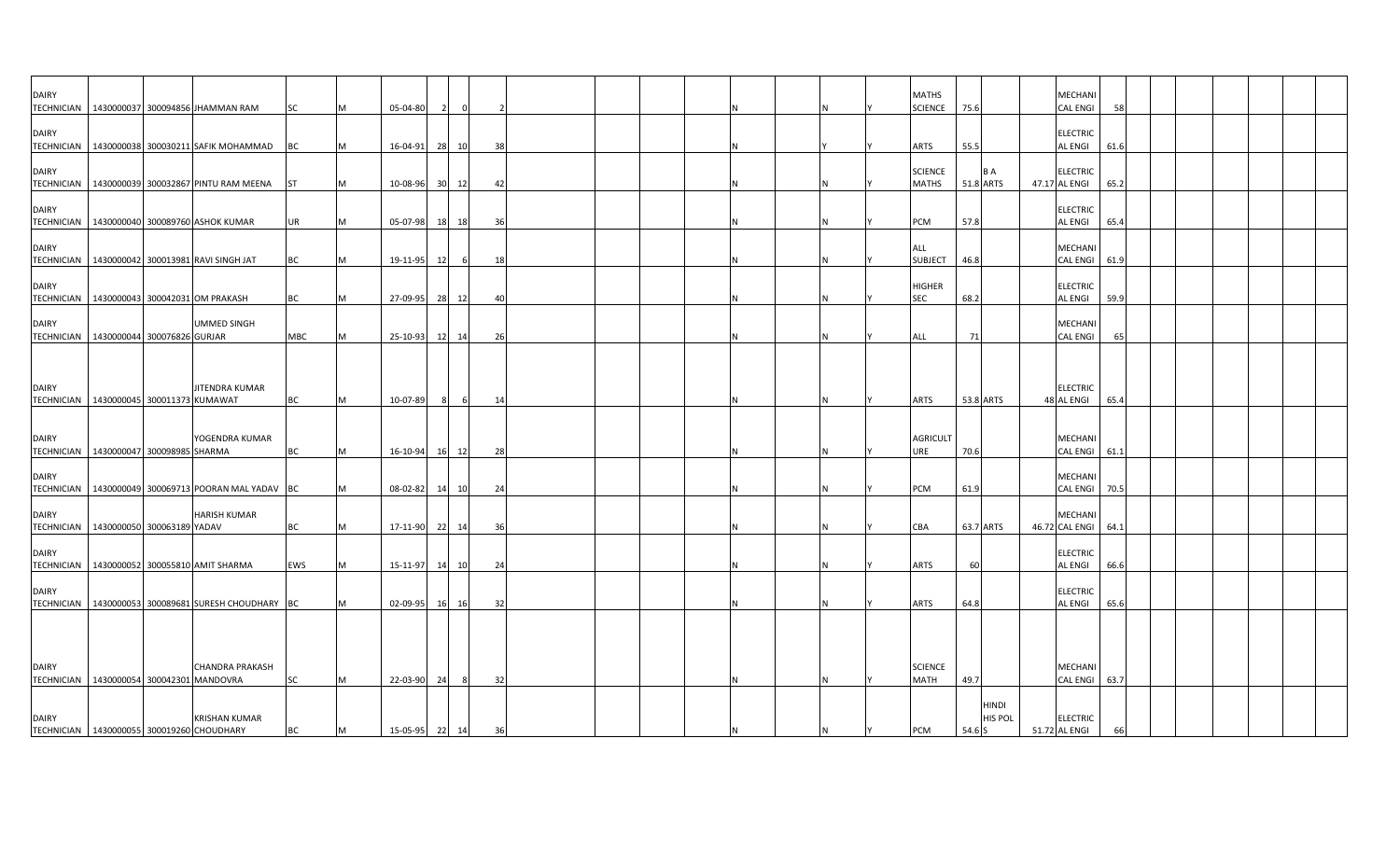| <b>DAIRY</b> |                                                                    |            |   |                |       |     |    |  |  |   |          |     | <b>MATHS</b>           |           |                  | MECHANI                           |      |  |  |  |
|--------------|--------------------------------------------------------------------|------------|---|----------------|-------|-----|----|--|--|---|----------|-----|------------------------|-----------|------------------|-----------------------------------|------|--|--|--|
|              | TECHNICIAN   1430000037 300094856 JHAMMAN RAM                      | <b>SC</b>  |   | 05-04-80       |       |     |    |  |  |   |          |     | <b>SCIENCE</b>         | 75.6      |                  | <b>CAL ENGI</b>                   | 58   |  |  |  |
| <b>DAIRY</b> | TECHNICIAN   1430000038 300030211 SAFIK MOHAMMAD                   | BC         |   | 16-04-91       | 28    | 10  | 38 |  |  |   |          |     | <b>ARTS</b>            | 55.5      |                  | <b>ELECTRIC</b><br><b>AL ENGI</b> | 61.6 |  |  |  |
| <b>DAIRY</b> |                                                                    |            |   |                |       |     |    |  |  |   |          |     | <b>SCIENCE</b>         |           | <b>BA</b>        | <b>ELECTRIC</b>                   |      |  |  |  |
|              | TECHNICIAN 1430000039 300032867 PINTU RAM MEENA ST                 |            | M | 10-08-96 30 12 |       |     | 42 |  |  |   |          |     | <b>MATHS</b>           | 51.8 ARTS |                  | 47.17 AL ENGI                     | 65.2 |  |  |  |
| <b>DAIRY</b> | TECHNICIAN   1430000040 300089760 ASHOK KUMAR                      | UR         | M | 05-07-98 18 18 |       |     | 36 |  |  |   |          |     | PCM                    | 57.8      |                  | <b>ELECTRIC</b><br><b>AL ENGI</b> | 65.4 |  |  |  |
| <b>DAIRY</b> |                                                                    |            |   |                |       |     |    |  |  |   |          |     | ALL                    |           |                  | <b>MECHANI</b>                    |      |  |  |  |
|              | TECHNICIAN   1430000042 300013981 RAVI SINGH JAT                   | <b>BC</b>  | M | 19-11-95       | 12    | - 6 | 18 |  |  |   |          |     | <b>SUBJECT</b>         | 46.8      |                  | CAL ENGI 61.9                     |      |  |  |  |
| <b>DAIRY</b> | TECHNICIAN 1430000043 300042031 OM PRAKASH                         | <b>BC</b>  | M | 27-09-95 28 12 |       |     | 4( |  |  |   |          |     | <b>HIGHER</b><br>SEC   | 68.2      |                  | <b>ELECTRIC</b><br><b>AL ENGI</b> | 59.9 |  |  |  |
| <b>DAIRY</b> | <b>UMMED SINGH</b><br>TECHNICIAN   1430000044 300076826 GURJAR     | <b>MBC</b> |   | 25-10-93       | 12    | 14  | 26 |  |  |   |          |     | ALL                    | 71        |                  | <b>MECHANI</b><br><b>CAL ENGI</b> | 65   |  |  |  |
|              |                                                                    |            |   |                |       |     |    |  |  |   |          |     |                        |           |                  |                                   |      |  |  |  |
| <b>DAIRY</b> | JITENDRA KUMAR                                                     |            |   |                |       |     |    |  |  |   |          |     |                        |           |                  | <b>ELECTRIC</b>                   |      |  |  |  |
|              | TECHNICIAN   1430000045 300011373 KUMAWAT                          | <b>BC</b>  |   | 10-07-89       |       | 6   | 14 |  |  |   |          |     | ARTS                   | 53.8 ARTS |                  | 48 AL ENGI                        | 65.4 |  |  |  |
| <b>DAIRY</b> | YOGENDRA KUMAR                                                     |            |   |                |       |     |    |  |  |   |          |     | <b>AGRICULT</b>        |           |                  | <b>MECHANI</b>                    |      |  |  |  |
|              | TECHNICIAN   1430000047 300098985 SHARMA                           | <b>BC</b>  | M | 16-10-94       | 16 12 |     | 28 |  |  |   |          |     | URE                    | 70.6      |                  | CAL ENGI 61.1                     |      |  |  |  |
| <b>DAIRY</b> | TECHNICIAN   1430000049 300069713 POORAN MAL YADAV BC              |            |   | 08-02-82       | 14    | 10  | 24 |  |  |   |          |     | PCM                    | 61.9      |                  | <b>MECHANI</b><br>CAL ENGI 70.5   |      |  |  |  |
| <b>DAIRY</b> | <b>HARISH KUMAR</b><br>TECHNICIAN 1430000050 300063189 YADAV       | <b>BC</b>  | M | 17-11-90 22 14 |       |     | 36 |  |  |   |          |     | CBA                    | 63.7 ARTS |                  | <b>MECHANI</b><br>46.72 CAL ENGI  | 64.1 |  |  |  |
| <b>DAIRY</b> | TECHNICIAN 1430000052 300055810 AMIT SHARMA                        | EWS        | M | 15-11-97       | 14    | 10  | 24 |  |  |   |          |     | <b>ARTS</b>            | 60        |                  | <b>ELECTRIC</b><br><b>AL ENGI</b> | 66.6 |  |  |  |
|              |                                                                    |            |   |                |       |     |    |  |  |   |          |     |                        |           |                  |                                   |      |  |  |  |
| <b>DAIRY</b> | TECHNICIAN 1430000053 300089681 SURESH CHOUDHARY BC                |            |   | 02-09-95       | 16 16 |     | 32 |  |  |   |          |     | <b>ARTS</b>            | 64.8      |                  | <b>ELECTRIC</b><br><b>AL ENGI</b> | 65.6 |  |  |  |
| <b>DAIRY</b> | <b>CHANDRA PRAKASH</b><br>TECHNICIAN 1430000054 300042301 MANDOVRA | <b>SC</b>  | M | 22-03-90 24    |       | 8   | 32 |  |  |   | Ν        |     | <b>SCIENCE</b><br>MATH | 49.7      |                  | <b>MECHANI</b><br>CAL ENGI 63.7   |      |  |  |  |
| <b>DAIRY</b> | <b>KRISHAN KUMAR</b><br>TECHNICIAN 1430000055 300019260 CHOUDHARY  | <b>BC</b>  | M | 15-05-95 22 14 |       |     | 36 |  |  | N | <b>N</b> | IY. | <b>PCM</b>             | 54.6 S    | HINDI<br>HIS POL | <b>ELECTRIC</b><br>51.72 AL ENGI  | 66   |  |  |  |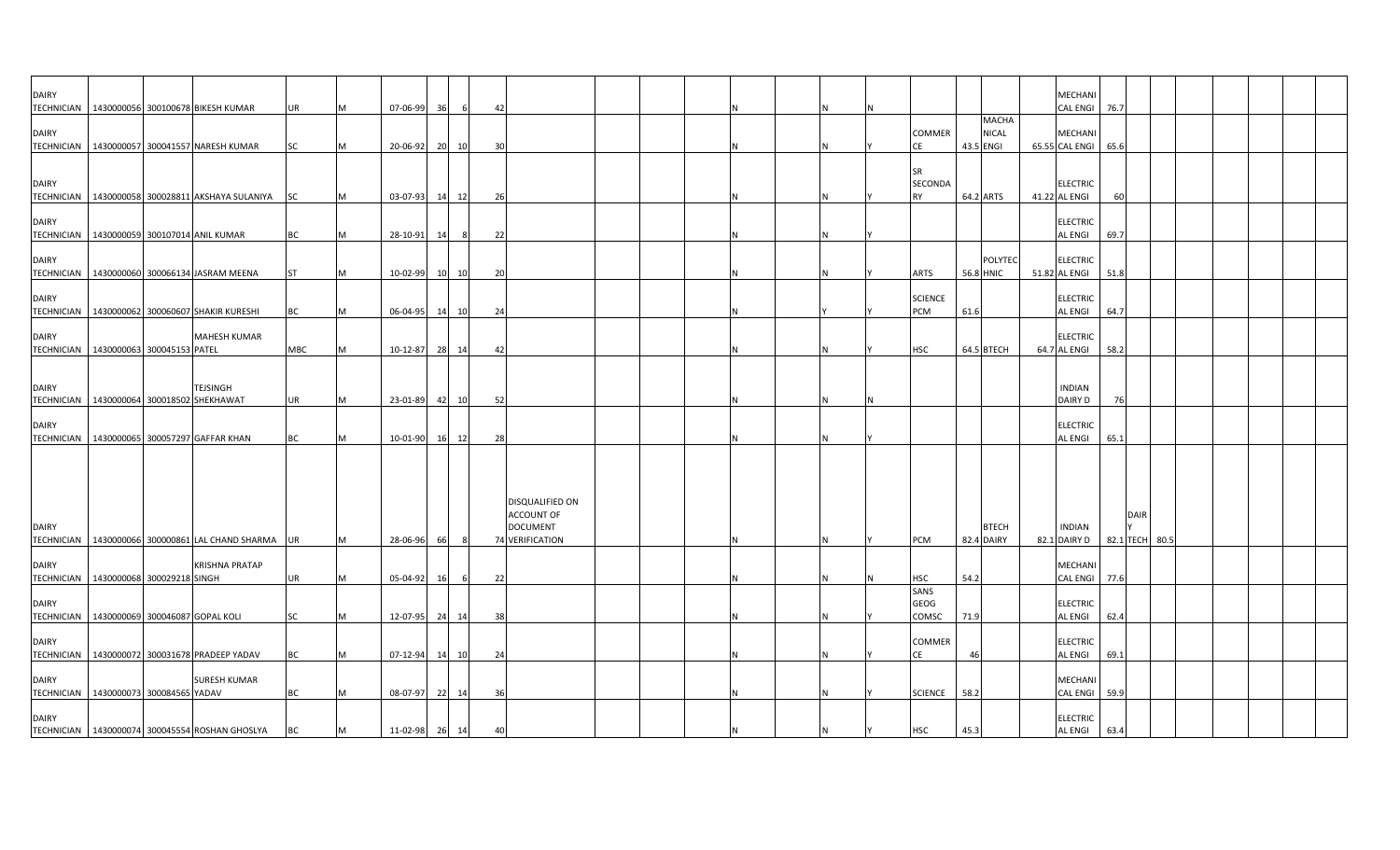| <b>DAIRY</b> |                                                                       |           |     |                |          |           |                                                  |  |   |   |                       |                           | <b>MECHAN</b>                     |      |             |  |  |  |
|--------------|-----------------------------------------------------------------------|-----------|-----|----------------|----------|-----------|--------------------------------------------------|--|---|---|-----------------------|---------------------------|-----------------------------------|------|-------------|--|--|--|
|              | TECHNICIAN   1430000056 300100678 BIKESH KUMAR                        | UR        |     | 07-06-99       | 36       | 42        |                                                  |  |   |   |                       | <b>MACHA</b>              | <b>CAL ENGI</b>                   | 76.7 |             |  |  |  |
| <b>DAIRY</b> | TECHNICIAN 1430000057 300041557 NARESH KUMAR                          | <b>SC</b> |     | 20-06-92       | 20<br>10 | 30        |                                                  |  |   |   | COMMER<br>CE          | <b>NICAL</b><br>43.5 ENGI | MECHANI<br>65.55 CAL ENGI         | 65.6 |             |  |  |  |
| <b>DAIRY</b> |                                                                       |           |     |                |          |           |                                                  |  |   |   | SR<br>SECONDA         |                           | <b>ELECTRIC</b>                   |      |             |  |  |  |
|              | TECHNICIAN 1430000058 300028811 AKSHAYA SULANIYA SC                   |           | M   | 03-07-93       | 14 12    | 26        |                                                  |  |   |   | <b>RY</b>             | 64.2 ARTS                 | 41.22 AL ENGI                     | 60   |             |  |  |  |
| <b>DAIRY</b> | TECHNICIAN   1430000059 300107014 ANIL KUMAR                          | ВC        |     | 28-10-91       | 14       | 22<br>- 8 |                                                  |  |   |   |                       |                           | <b>ELECTRIC</b><br><b>AL ENGI</b> | 69.7 |             |  |  |  |
| <b>DAIRY</b> | TECHNICIAN   1430000060 300066134 JASRAM MEENA                        | <b>ST</b> |     | 10-02-99 10 10 |          | 20        |                                                  |  |   |   | <b>ARTS</b>           | POLYTEC<br>56.8 HNIC      | <b>ELECTRIC</b><br>51.82 AL ENGI  | 51.8 |             |  |  |  |
| <b>DAIRY</b> |                                                                       |           |     |                |          |           |                                                  |  |   |   | <b>SCIENCE</b>        |                           | <b>ELECTRIC</b>                   |      |             |  |  |  |
| <b>DAIRY</b> | TECHNICIAN 1430000062 300060607 SHAKIR KURESHI<br><b>MAHESH KUMAR</b> | <b>BC</b> | M   | 06-04-95 14 10 |          | 24        |                                                  |  |   |   | PCM                   | 61.6                      | <b>AL ENGI</b><br><b>ELECTRIC</b> | 64.7 |             |  |  |  |
|              | TECHNICIAN   1430000063 300045153 PATEL                               | MBC       | M   | 10-12-87       | 28 14    | 42        |                                                  |  |   |   | <b>HSC</b>            | 64.5 BTECH                | 64.7 AL ENGI                      | 58.2 |             |  |  |  |
| <b>DAIRY</b> | TEJSINGH<br>TECHNICIAN 1430000064 300018502 SHEKHAWAT                 | <b>UR</b> | IM. | 23-01-89 42 10 |          | 52        |                                                  |  |   |   |                       |                           | <b>INDIAN</b><br><b>DAIRY D</b>   | 76   |             |  |  |  |
| <b>DAIRY</b> |                                                                       |           |     |                |          |           |                                                  |  |   |   |                       |                           | <b>ELECTRIC</b>                   |      |             |  |  |  |
|              | TECHNICIAN   1430000065 300057297 GAFFAR KHAN                         | BC        |     | 10-01-90       | 16<br>12 | 28        |                                                  |  |   |   |                       |                           | <b>AL ENGI</b>                    | 65.1 |             |  |  |  |
|              |                                                                       |           |     |                |          |           |                                                  |  |   |   |                       |                           |                                   |      |             |  |  |  |
| <b>DAIRY</b> |                                                                       |           |     |                |          |           | DISQUALIFIED ON<br>ACCOUNT OF<br><b>DOCUMENT</b> |  |   |   |                       | <b>BTECH</b>              | <b>INDIAN</b>                     |      | <b>DAIR</b> |  |  |  |
|              | TECHNICIAN 1430000066 300000861 LAL CHAND SHARMA UR                   |           | IM. | 28-06-96       | - 66     |           | 74 VERIFICATION                                  |  | N | N | <b>PCM</b>            | 82.4 DAIRY                | 82.1 DAIRY D   82.1 TECH 80.5     |      |             |  |  |  |
| <b>DAIRY</b> | <b>KRISHNA PRATAP</b><br>TECHNICIAN   1430000068 300029218 SINGH      | UR        |     | 05-04-92       | 16       | 22<br>6   |                                                  |  |   |   | <b>HSC</b>            | 54.2                      | <b>MECHANI</b><br><b>CAL ENGI</b> | 77.6 |             |  |  |  |
| <b>DAIRY</b> | TECHNICIAN   1430000069 300046087 GOPAL KOLI                          | <b>SC</b> | M   | 12-07-95 24    | 14       | 38        |                                                  |  |   |   | SANS<br>GEOG<br>COMSC | 71.9                      | <b>ELECTRIC</b><br><b>AL ENGI</b> | 62.4 |             |  |  |  |
| <b>DAIRY</b> |                                                                       |           |     |                |          |           |                                                  |  |   |   | COMMER                |                           | <b>ELECTRIC</b>                   |      |             |  |  |  |
| <b>DAIRY</b> | TECHNICIAN 1430000072 300031678 PRADEEP YADAV<br><b>SURESH KUMAR</b>  | ВC        |     | 07-12-94       | 14 10    | 24        |                                                  |  |   |   | CE                    | 46                        | <b>AL ENGI</b><br><b>MECHANI</b>  | 69.1 |             |  |  |  |
|              | TECHNICIAN 1430000073 300084565 YADAV                                 | <b>BC</b> | M   | 08-07-97 22 14 |          | 36        |                                                  |  | N |   | <b>SCIENCE</b>        | 58.2                      | CAL ENGI                          | 59.9 |             |  |  |  |
| <b>DAIRY</b> | TECHNICIAN   1430000074 300045554 ROSHAN GHOSLYA                      | BC        | M   | 11-02-98 26 14 |          | 40        |                                                  |  |   |   | <b>HSC</b>            | 45.3                      | <b>ELECTRIC</b><br><b>AL ENGI</b> | 63.4 |             |  |  |  |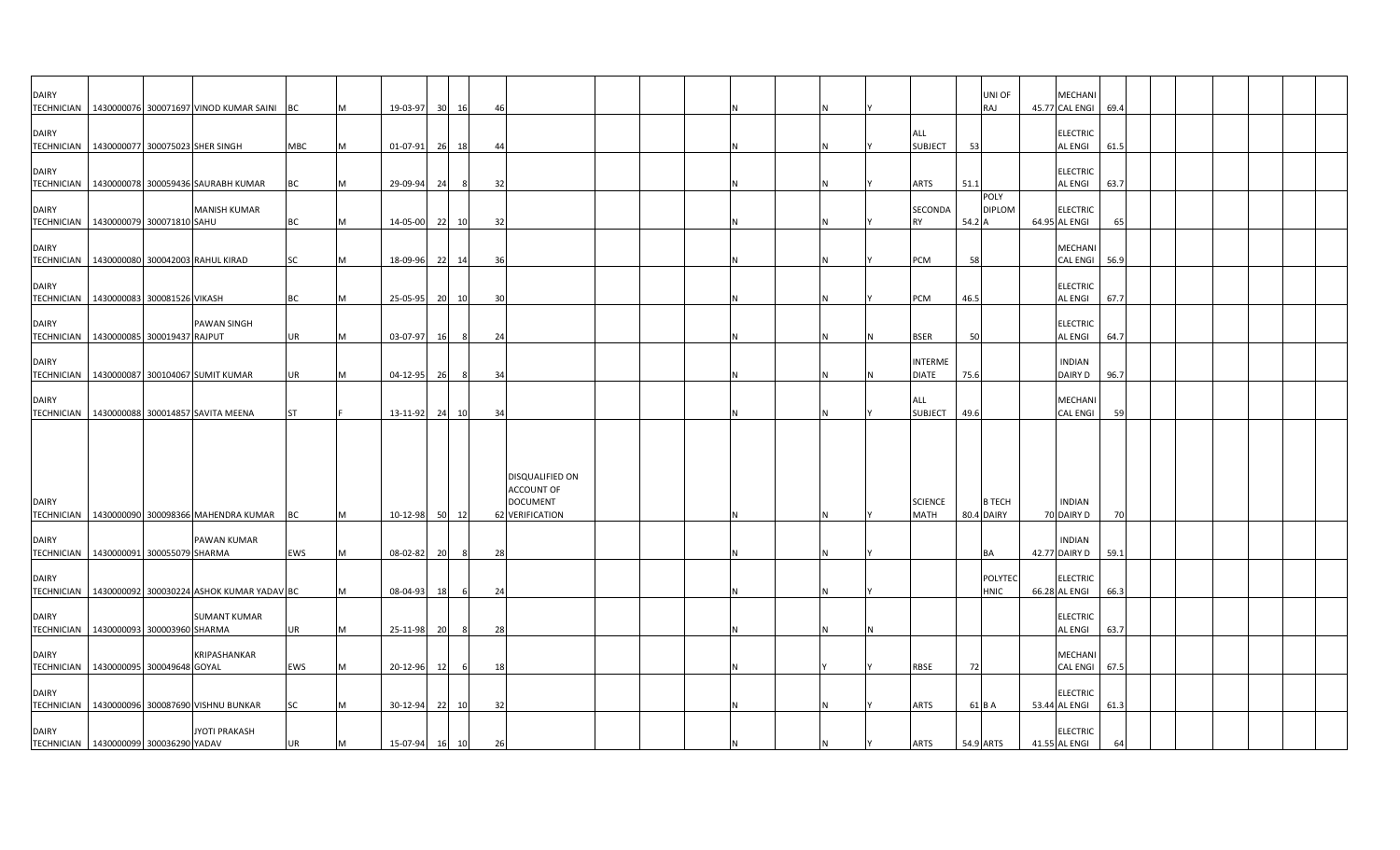| <b>DAIRY</b>                                                 |                             | TECHNICIAN   1430000076 300071697 VINOD KUMAR SAINI BC |           | M        | 19-03-97 | 30 | 16    | -46 |                                                                            |  |  |   |                                |        | UNI OF<br>RAJ               | MECHAN<br>45.77 CAL ENGI         | 69.4 |  |  |  |
|--------------------------------------------------------------|-----------------------------|--------------------------------------------------------|-----------|----------|----------|----|-------|-----|----------------------------------------------------------------------------|--|--|---|--------------------------------|--------|-----------------------------|----------------------------------|------|--|--|--|
| <b>DAIRY</b><br>TECHNICIAN   1430000077 300075023 SHER SINGH |                             |                                                        | MBC       | M        | 01-07-91 |    | 26 18 | 44  |                                                                            |  |  |   | ALL<br><b>SUBJECT</b>          | 53     |                             | <b>ELECTRIC</b><br>AL ENGI       | 61.5 |  |  |  |
| <b>DAIRY</b><br><b>TECHNICIAN</b>                            |                             | 1430000078 300059436 SAURABH KUMAR                     | <b>BC</b> | M        | 29-09-94 | 24 | - 8   | 32  |                                                                            |  |  | Ν | ARTS                           | 51.1   |                             | <b>ELECTRIC</b><br>AL ENGI       | 63.7 |  |  |  |
| <b>DAIRY</b><br>TECHNICIAN 1430000079 300071810 SAHU         |                             | <b>MANISH KUMAR</b>                                    | <b>BC</b> | M        | 14-05-00 |    | 22 10 | 32  |                                                                            |  |  | N | SECONDA<br><b>RY</b>           | 54.2 A | POLY<br><b>DIPLOM</b>       | <b>ELECTRIC</b><br>64.95 AL ENGI | 65   |  |  |  |
| <b>DAIRY</b><br>TECHNICIAN 1430000080 300042003 RAHUL KIRAD  |                             |                                                        | <b>SC</b> | M        | 18-09-96 |    | 22 14 | 36  |                                                                            |  |  | N | PCM                            | 58     |                             | MECHANI<br><b>CAL ENGI</b>       | 56.9 |  |  |  |
| <b>DAIRY</b><br>TECHNICIAN   1430000083 300081526 VIKASH     |                             |                                                        | <b>BC</b> | IM.      | 25-05-95 |    | 20 10 | 30  |                                                                            |  |  | Ν | <b>PCM</b>                     | 46.5   |                             | ELECTRIC<br>AL ENGI              | 67.7 |  |  |  |
| <b>DAIRY</b><br>TECHNICIAN   1430000085 300019437 RAJPUT     |                             | <b>PAWAN SINGH</b>                                     | UR        | M        | 03-07-97 | 16 | - 8   | 24  |                                                                            |  |  | N | <b>BSER</b>                    | 50     |                             | ELECTRIC<br>AL ENGI              | 64.7 |  |  |  |
| <b>DAIRY</b><br><b>TECHNICIAN</b>                            |                             | 1430000087 300104067 SUMIT KUMAR                       | UR        | M        | 04-12-95 | 26 | - 8   | 34  |                                                                            |  |  |   | <b>INTERME</b><br><b>DIATE</b> | 75.6   |                             | <b>INDIAN</b><br>DAIRY D         | 96.7 |  |  |  |
| <b>DAIRY</b>                                                 |                             | TECHNICIAN 1430000088 300014857 SAVITA MEENA           | <b>ST</b> |          | 13-11-92 |    | 24 10 | 34  |                                                                            |  |  | N | ALL<br><b>SUBJECT</b>          | 49.6   |                             | MECHANI<br>CAL ENGI              | 59   |  |  |  |
| <b>DAIRY</b>                                                 |                             | TECHNICIAN   1430000090 300098366 MAHENDRA KUMAR       | <b>BC</b> | M        | 10-12-98 |    | 50 12 |     | DISQUALIFIED ON<br><b>ACCOUNT OF</b><br><b>DOCUMENT</b><br>62 VERIFICATION |  |  |   | <b>SCIENCE</b><br><b>MATH</b>  |        | <b>B TECH</b><br>80.4 DAIRY | <b>INDIAN</b><br>70 DAIRY D      | 70   |  |  |  |
| <b>DAIRY</b><br>TECHNICIAN   1430000091 300055079 SHARMA     |                             | PAWAN KUMAR                                            | EWS       | <b>M</b> | 08-02-82 | 20 | - 8   | 28  |                                                                            |  |  |   |                                |        | <b>BA</b>                   | <b>INDIAN</b><br>42.77 DAIRY D   | 59.1 |  |  |  |
| <b>DAIRY</b>                                                 |                             | TECHNICIAN   1430000092 300030224 ASHOK KUMAR YADAV BC |           | M        | 08-04-93 | 18 |       | 24  |                                                                            |  |  |   |                                |        | POLYTEC<br><b>HNIC</b>      | ELECTRIC<br>66.28 AL ENGI        | 66.3 |  |  |  |
| <b>DAIRY</b><br><b>TECHNICIAN</b>                            | 1430000093 300003960 SHARMA | <b>SUMANT KUMAR</b>                                    | <b>UR</b> | M        | 25-11-98 | 20 | 8     | 28  |                                                                            |  |  |   |                                |        |                             | <b>ELECTRIC</b><br>AL ENGI       | 63.7 |  |  |  |
| <b>DAIRY</b><br>TECHNICIAN 1430000095 300049648 GOYAL        |                             | KRIPASHANKAR                                           | EWS       | M        | 20-12-96 | 12 | - 6   | 18  |                                                                            |  |  |   | RBSE                           | 72     |                             | MECHAN<br><b>CAL ENGI</b>        | 67.5 |  |  |  |
| <b>DAIRY</b>                                                 |                             | TECHNICIAN   1430000096 300087690 VISHNU BUNKAR        | <b>SC</b> |          | 30-12-94 |    | 22 10 | 32  |                                                                            |  |  |   | <b>ARTS</b>                    |        | 61 B A                      | ELECTRIC<br>53.44 AL ENGI        | 61.3 |  |  |  |
| <b>DAIRY</b><br>TECHNICIAN 1430000099 300036290 YADAV        |                             | <b>JYOTI PRAKASH</b>                                   | <b>UR</b> | M        | 15-07-94 | 16 | 10    | 26  |                                                                            |  |  |   | <b>ARTS</b>                    |        | 54.9 ARTS                   | <b>ELECTRIC</b><br>41.55 AL ENGI | 64   |  |  |  |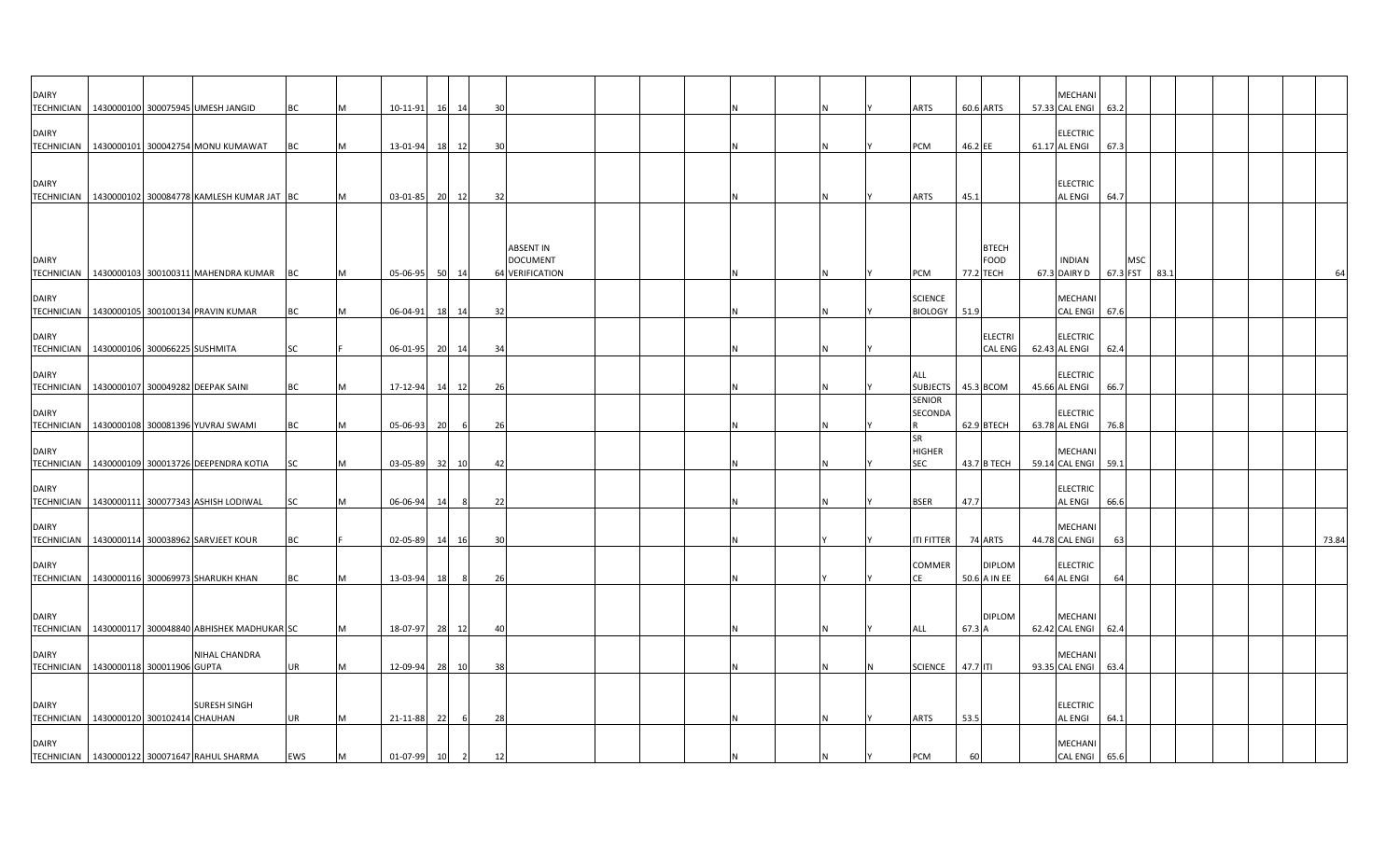| <b>DAIRY</b>                      | TECHNICIAN 1430000100 300075945 UMESH JANGID             | BC         |   | 10-11-91    |    | 16 14          | 30 |                                                               |  |  |  | ARTS                                     |          | 60.6 ARTS                         | MECHANI<br>57.33 CAL ENGI        | 63.2            |      |  |  |       |
|-----------------------------------|----------------------------------------------------------|------------|---|-------------|----|----------------|----|---------------------------------------------------------------|--|--|--|------------------------------------------|----------|-----------------------------------|----------------------------------|-----------------|------|--|--|-------|
| <b>DAIRY</b>                      | TECHNICIAN 1430000101 300042754 MONU KUMAWAT             | BC         |   | 13-01-94    | 18 | 12             | 30 |                                                               |  |  |  | PCM                                      | 46.2 EE  |                                   | <b>ELECTRIC</b><br>61.17 AL ENGI | 67.3            |      |  |  |       |
| <b>DAIRY</b>                      |                                                          |            |   |             |    |                |    |                                                               |  |  |  |                                          |          |                                   | <b>ELECTRIC</b>                  |                 |      |  |  |       |
| <b>TECHNICIAN</b>                 | 1430000102 300084778 KAMLESH KUMAR JAT BC                |            |   | 03-01-85    |    | 20 12          | 32 |                                                               |  |  |  | ARTS                                     | 45.1     |                                   | AL ENGI                          | 64.7            |      |  |  |       |
| <b>DAIRY</b>                      | TECHNICIAN   1430000103 300100311 MAHENDRA KUMAR BC      |            |   | 05-06-95    | 50 | 14             |    | <b>ABSENT IN</b><br><b>DOCUMENT</b><br><b>64 VERIFICATION</b> |  |  |  | <b>PCM</b>                               |          | <b>BTECH</b><br>FOOD<br>77.2 TECH | <b>INDIAN</b><br>67.3 DAIRY D    | MSC<br>67.3 FST | 83.1 |  |  |       |
| <b>DAIRY</b>                      |                                                          |            |   |             |    |                |    |                                                               |  |  |  | <b>SCIENCE</b>                           |          |                                   | MECHANI                          |                 |      |  |  |       |
|                                   | TECHNICIAN   1430000105 300100134 PRAVIN KUMAR           | ВC         |   | 06-04-91    | 18 | 14             | 32 |                                                               |  |  |  | <b>BIOLOGY</b>                           | 51.9     |                                   | <b>CAL ENGI</b>                  | 67.6            |      |  |  |       |
| <b>DAIRY</b>                      | TECHNICIAN 1430000106 300066225 SUSHMITA                 | <b>SC</b>  |   | 06-01-95    | 20 | 14             | 34 |                                                               |  |  |  |                                          |          | <b>ELECTRI</b><br><b>CAL ENG</b>  | <b>ELECTRIC</b><br>62.43 AL ENGI | 62.4            |      |  |  |       |
| <b>DAIRY</b>                      | TECHNICIAN 1430000107 300049282 DEEPAK SAINI             | BC         |   | 17-12-94    | 14 | 12             | 26 |                                                               |  |  |  | ALL<br>SUBJECTS   45.3 BCOM              |          |                                   | <b>ELECTRIC</b><br>45.66 AL ENGI | 66.7            |      |  |  |       |
| <b>DAIRY</b>                      |                                                          |            |   |             |    |                |    |                                                               |  |  |  | <b>SENIOR</b><br>SECONDA                 |          |                                   | <b>ELECTRIC</b>                  |                 |      |  |  |       |
|                                   | TECHNICIAN   1430000108 300081396 YUVRAJ SWAMI           | BC         |   | 05-06-93    | 20 | 6              | 26 |                                                               |  |  |  |                                          |          | 62.9 BTECH                        | 63.78 AL ENGI                    | 76.8            |      |  |  |       |
| <b>DAIRY</b><br><b>TECHNICIAN</b> | 1430000109 300013726 DEEPENDRA KOTIA                     | <b>SC</b>  |   | 03-05-89    | 32 | 10             | 42 |                                                               |  |  |  | <b>SR</b><br><b>HIGHER</b><br><b>SEC</b> |          | 43.7 B TECH                       | <b>MECHAN</b><br>59.14 CAL ENGI  | 59.1            |      |  |  |       |
| <b>DAIRY</b><br><b>TECHNICIAN</b> | 1430000111 300077343 ASHISH LODIWAL                      | SC         |   | 06-06-94    | 14 | 8              | 22 |                                                               |  |  |  | <b>BSER</b>                              | 47.7     |                                   | <b>ELECTRIC</b><br>AL ENGI       | 66.6            |      |  |  |       |
| <b>DAIRY</b>                      |                                                          |            |   |             |    |                |    |                                                               |  |  |  |                                          |          |                                   | <b>MECHAN</b>                    |                 |      |  |  |       |
|                                   | TECHNICIAN   1430000114 300038962 SARVJEET KOUR          | BC         |   | 02-05-89    | 14 | 16             | 30 |                                                               |  |  |  | ITI FITTER                               |          | 74 ARTS                           | 44.78 CAL ENGI                   | 63              |      |  |  | 73.84 |
| <b>DAIRY</b>                      | TECHNICIAN   1430000116 300069973 SHARUKH KHAN           | ВC         |   | 13-03-94    | 18 |                | 26 |                                                               |  |  |  | COMMER<br>СE                             |          | <b>DIPLOM</b><br>50.6 A IN EE     | <b>ELECTRIC</b><br>64 AL ENGI    | 64              |      |  |  |       |
| <b>DAIRY</b><br><b>TECHNICIAN</b> | 1430000117 300048840 ABHISHEK MADHUKAR SC                |            |   | 18-07-97    | 28 | 12             | 40 |                                                               |  |  |  | ALL                                      | 67.3 A   | <b>DIPLOM</b>                     | <b>MECHAN</b><br>62.42 CAL ENGI  | 62.4            |      |  |  |       |
|                                   |                                                          |            |   |             |    |                |    |                                                               |  |  |  |                                          |          |                                   |                                  |                 |      |  |  |       |
| <b>DAIRY</b>                      | NIHAL CHANDRA<br>TECHNICIAN   1430000118 300011906 GUPTA | UR         |   | 12-09-94    |    | 28 10          | 38 |                                                               |  |  |  | <b>SCIENCE</b>                           | 47.7 ITI |                                   | <b>MECHAN</b><br>93.35 CAL ENGI  | 63.4            |      |  |  |       |
| <b>DAIRY</b>                      | <b>SURESH SINGH</b>                                      |            |   |             |    |                |    |                                                               |  |  |  |                                          |          |                                   | <b>ELECTRIC</b>                  |                 |      |  |  |       |
| <b>DAIRY</b>                      | TECHNICIAN 1430000120 300102414 CHAUHAN                  | <b>UR</b>  | м | 21-11-88    | 22 | -6             | 28 |                                                               |  |  |  | ARTS                                     | 53.5     |                                   | AL ENGI<br>MECHANI               | 64.1            |      |  |  |       |
|                                   | TECHNICIAN 1430000122 300071647 RAHUL SHARMA             | <b>EWS</b> | M | 01-07-99 10 |    | $\overline{2}$ | 12 |                                                               |  |  |  | <b>PCM</b>                               | 60       |                                   | <b>CAL ENGI</b>                  | 65.6            |      |  |  |       |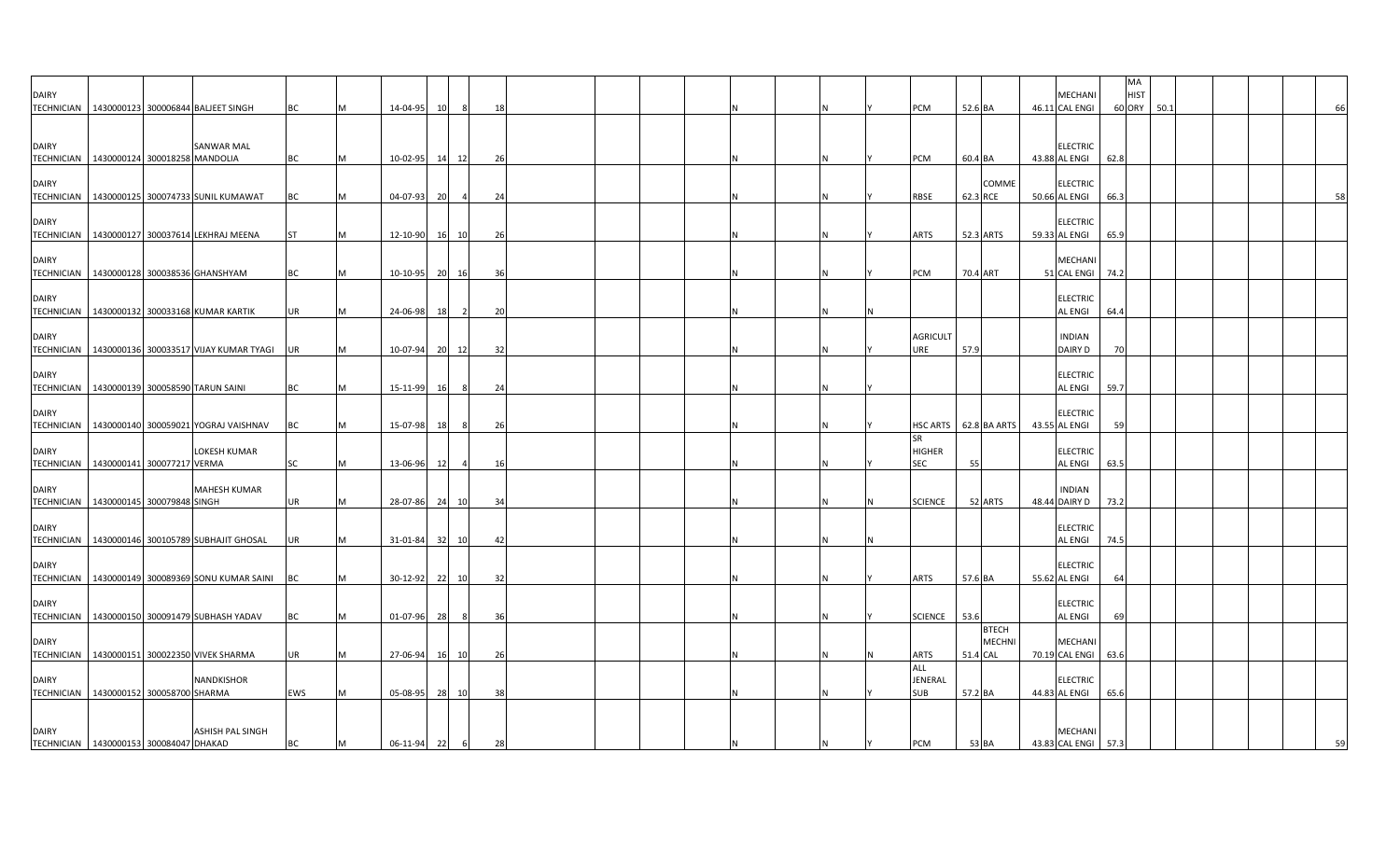| <b>DAIRY</b>                                            |                               |                                                      |           |   |                  |                 |    |  |  |          |                                          |           |                               | MECHANI                               | MA<br><b>HIST</b> |      |  |    |
|---------------------------------------------------------|-------------------------------|------------------------------------------------------|-----------|---|------------------|-----------------|----|--|--|----------|------------------------------------------|-----------|-------------------------------|---------------------------------------|-------------------|------|--|----|
|                                                         |                               | TECHNICIAN   1430000123 300006844 BALJEET SINGH      | ВC        |   | 14-04-95<br>10   | 8               | 18 |  |  |          | <b>PCM</b>                               | 52.6 BA   |                               | 46.11 CAL ENGI                        | 60 ORY            | 50.1 |  | 66 |
| <b>DAIRY</b><br><b>TECHNICIAN</b>                       | 1430000124 300018258 MANDOLIA | SANWAR MAL                                           | BC        |   | 10-02-95<br>14   | 12              | 26 |  |  |          | PCM                                      | 60.4 BA   |                               | <b>ELECTRIC</b><br>43.88 AL ENGI      | 62.8              |      |  |    |
| <b>DAIRY</b>                                            |                               | TECHNICIAN   1430000125 300074733 SUNIL KUMAWAT      | ВC        |   | 04-07-93<br>- 20 |                 | 24 |  |  |          | RBSE                                     | 62.3 RCE  | COMME                         | <b>ELECTRIC</b><br>50.66 AL ENGI      | 66.3              |      |  | 58 |
| <b>DAIRY</b>                                            |                               | TECHNICIAN 1430000127 300037614 LEKHRAJ MEENA        | <b>ST</b> |   | 12-10-90         | <b>16</b><br>10 | 26 |  |  |          | <b>ARTS</b>                              | 52.3 ARTS |                               | <b>ELECTRIC</b><br>59.33 AL ENGI      | 65.9              |      |  |    |
| <b>DAIRY</b>                                            |                               | TECHNICIAN   1430000128 300038536 GHANSHYAM          | BC        |   | 10-10-95         | 20<br>16        | 36 |  |  |          | PCM                                      | 70.4 ART  |                               | <b>MECHANI</b><br>51 CAL ENGI         | 74.2              |      |  |    |
| <b>DAIRY</b>                                            |                               | TECHNICIAN   1430000132 300033168 KUMAR KARTIK       | UR        |   | 24-06-98<br>18   | $\overline{2}$  | 20 |  |  | IN.      |                                          |           |                               | <b>ELECTRIC</b><br>AL ENGI            | 64.4              |      |  |    |
| <b>DAIRY</b>                                            |                               | TECHNICIAN 1430000136 300033517 VIJAY KUMAR TYAGI UR |           |   | 10-07-94         | 20<br>12        | 32 |  |  |          | <b>AGRICULT</b><br>URE                   | 57.9      |                               | <b>INDIAN</b><br>DAIRY D              | 70                |      |  |    |
| <b>DAIRY</b>                                            |                               | TECHNICIAN 1430000139 300058590 TARUN SAINI          | BC        | м | 15-11-99<br>16   | 8               | 24 |  |  | IN.      |                                          |           |                               | <b>ELECTRIC</b><br>AL ENGI            | 59.7              |      |  |    |
| <b>DAIRY</b>                                            |                               | TECHNICIAN   1430000140 300059021 YOGRAJ VAISHNAV    | BC        | м | 15-07-98<br>18   |                 | 26 |  |  |          | HSC ARTS   62.8 BA ARTS                  |           |                               | <b>ELECTRIC</b><br>43.55 AL ENGI      | 59                |      |  |    |
| <b>DAIRY</b><br>TECHNICIAN   1430000141 300077217 VERMA |                               | LOKESH KUMAR                                         | SC        |   | 13-06-96<br>12   |                 | 16 |  |  | ΙN       | <b>SR</b><br><b>HIGHER</b><br><b>SEC</b> | 55        |                               | <b>ELECTRIC</b><br>AL ENGI            | 63.5              |      |  |    |
| <b>DAIRY</b><br><b>TECHNICIAN</b>                       | 1430000145 300079848 SINGH    | <b>MAHESH KUMAR</b>                                  | <b>UR</b> |   | 28-07-86<br>24   | 10              | 34 |  |  |          | <b>SCIENCE</b>                           | 52 ARTS   |                               | <b>INDIAN</b><br>48.44 DAIRY D        | 73.2              |      |  |    |
| <b>DAIRY</b>                                            |                               | TECHNICIAN   1430000146 300105789 SUBHAJIT GHOSAL    | UR        |   | 31-01-84<br>32   | 10              | 42 |  |  | IN.      |                                          |           |                               | <b>ELECTRIC</b><br><b>AL ENGI</b>     | 74.5              |      |  |    |
| <b>DAIRY</b>                                            |                               | TECHNICIAN   1430000149 300089369 SONU KUMAR SAINI   | BC        |   | 30-12-92<br>- 22 | 10              | 32 |  |  |          | <b>ARTS</b>                              | 57.6 BA   |                               | <b>ELECTRIC</b><br>55.62 AL ENGI      | 64                |      |  |    |
| <b>DAIRY</b>                                            |                               | TECHNICIAN   1430000150 300091479 SUBHASH YADAV      | BC        |   | 01-07-96<br>28   | -8              | 36 |  |  |          | <b>SCIENCE</b>                           | 53.6      |                               | <b>ELECTRIC</b><br><b>AL ENGI</b>     | 69                |      |  |    |
| <b>DAIRY</b>                                            |                               | TECHNICIAN   1430000151 300022350 VIVEK SHARMA       | UR        |   | 27-06-94         | 10<br>16        | 26 |  |  | <b>N</b> | ARTS                                     | 51.4 CAL  | <b>BTECH</b><br><b>MECHNI</b> | MECHANI<br>70.19 CAL ENGI             | 63.6              |      |  |    |
| <b>DAIRY</b><br>TECHNICIAN 1430000152 300058700 SHARMA  |                               | NANDKISHOR                                           | EWS       |   | 05-08-95         | 28<br>10        | 38 |  |  | IN.      | ALL<br>JENERAL<br><b>SUB</b>             | 57.2 BA   |                               | <b>ELECTRIC</b><br>44.83 AL ENGI      | 65.6              |      |  |    |
| <b>DAIRY</b><br>TECHNICIAN 1430000153 300084047 DHAKAD  |                               | <b>ASHISH PAL SINGH</b>                              | ВC        |   | 06-11-94<br>22   | -6              | 28 |  |  | IN.      | <b>PCM</b>                               | 53 BA     |                               | <b>MECHANI</b><br>43.83 CAL ENGI 57.3 |                   |      |  |    |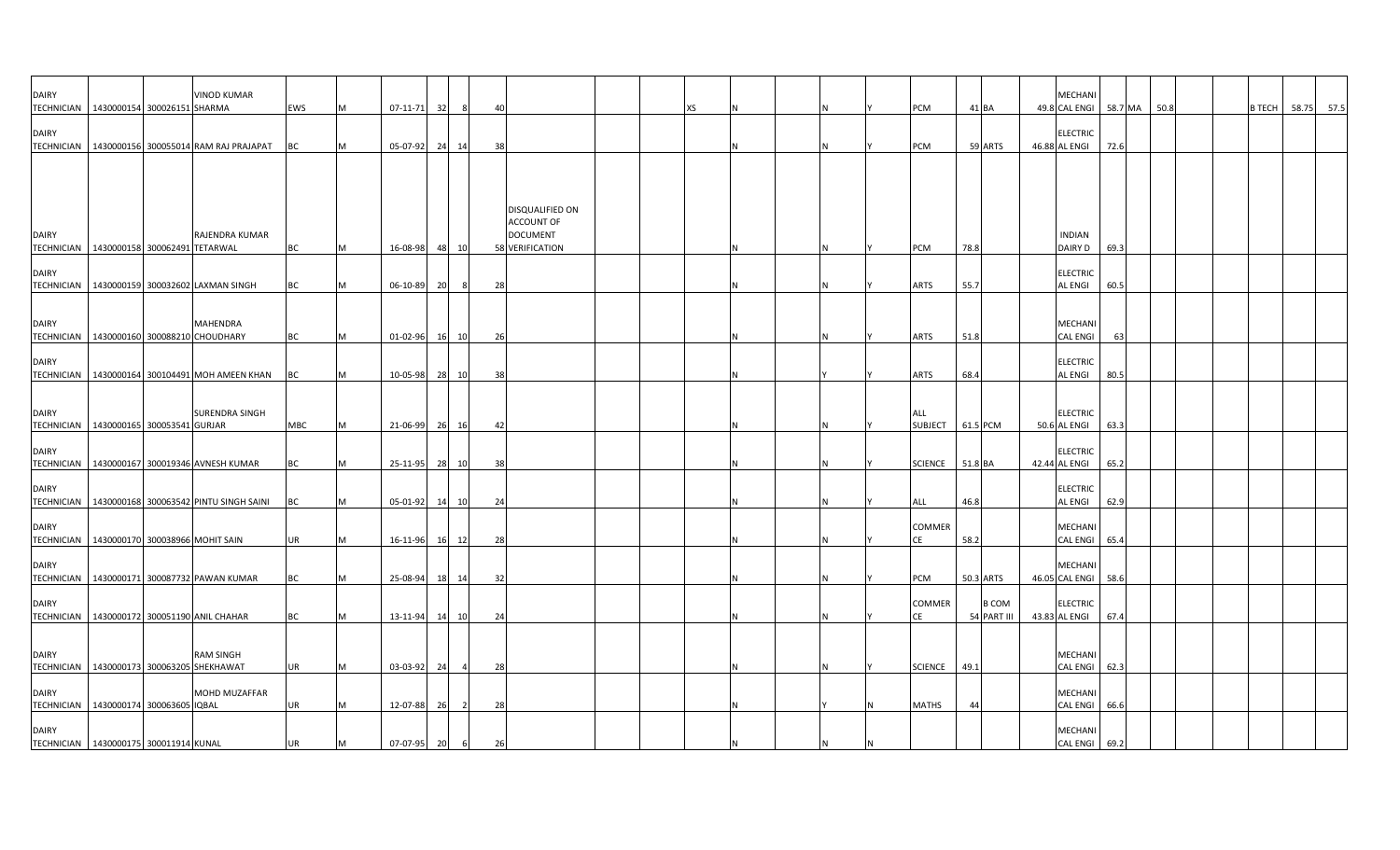| <b>DAIRY</b><br>TECHNICIAN   1430000154 300026151 SHARMA      |  | <b>VINOD KUMAR</b>                                  | EWS       | IM. | 07-11-71       | 32 |                | 40 |                                                  |  | XS |  |   | PCM                     | 41 BA   |                             | MECHANI<br>49.8 CAL ENGI         | 58.7 MA | 50.8 |  | <b>B TECH</b> | 58.75 | 57.5 |
|---------------------------------------------------------------|--|-----------------------------------------------------|-----------|-----|----------------|----|----------------|----|--------------------------------------------------|--|----|--|---|-------------------------|---------|-----------------------------|----------------------------------|---------|------|--|---------------|-------|------|
| <b>DAIRY</b>                                                  |  | TECHNICIAN   1430000156 300055014 RAM RAJ PRAJAPAT  | ВC        |     | 05-07-92       | 24 | 14             | 38 |                                                  |  |    |  |   | PCM                     |         | 59 ARTS                     | <b>ELECTRIC</b><br>46.88 AL ENGI | 72.6    |      |  |               |       |      |
|                                                               |  |                                                     |           |     |                |    |                |    |                                                  |  |    |  |   |                         |         |                             |                                  |         |      |  |               |       |      |
| <b>DAIRY</b>                                                  |  | RAJENDRA KUMAR                                      |           |     |                |    |                |    | DISQUALIFIED ON<br>ACCOUNT OF<br><b>DOCUMENT</b> |  |    |  |   |                         |         |                             | <b>INDIAN</b>                    |         |      |  |               |       |      |
| TECHNICIAN   1430000158 300062491 TETARWAL                    |  |                                                     | <b>BC</b> | M   | 16-08-98       |    | 48 10          |    | 58 VERIFICATION                                  |  |    |  | N | PCM                     | 78.8    |                             | DAIRY D                          | 69.3    |      |  |               |       |      |
| <b>DAIRY</b><br><b>TECHNICIAN</b>                             |  | 1430000159 300032602 LAXMAN SINGH                   | ВC        | M   | 06-10-89       | 20 | 8              | 28 |                                                  |  |    |  |   | <b>ARTS</b>             | 55.7    |                             | <b>ELECTRIC</b><br>AL ENGI       | 60.5    |      |  |               |       |      |
| <b>DAIRY</b>                                                  |  | MAHENDRA                                            |           |     |                |    |                |    |                                                  |  |    |  |   |                         |         |                             | MECHANI                          |         |      |  |               |       |      |
| TECHNICIAN   1430000160 300088210 CHOUDHARY                   |  |                                                     | <b>BC</b> | M   | 01-02-96 16 10 |    |                | 26 |                                                  |  |    |  |   | ARTS                    | 51.8    |                             | <b>CAL ENGI</b>                  | 63      |      |  |               |       |      |
| <b>DAIRY</b><br><b>TECHNICIAN</b>                             |  | 1430000164 300104491 MOH AMEEN KHAN                 | ВC        | M   | 10-05-98       | 28 | 10             | 38 |                                                  |  |    |  |   | <b>ARTS</b>             | 68.4    |                             | ELECTRIC<br>AL ENGI              | 80.5    |      |  |               |       |      |
| <b>DAIRY</b><br>TECHNICIAN   1430000165 300053541 GURJAR      |  | SURENDRA SINGH                                      | MBC       | M   | 21-06-99 26 16 |    |                | 42 |                                                  |  |    |  |   | ALL<br>SUBJECT 61.5 PCM |         |                             | <b>ELECTRIC</b><br>50.6 AL ENGI  | 63.3    |      |  |               |       |      |
| <b>DAIRY</b><br><b>TECHNICIAN</b>                             |  | 1430000167 300019346 AVNESH KUMAR                   | ВC        | M   | 25-11-95 28    |    | 10             | 38 |                                                  |  |    |  |   | <b>SCIENCE</b>          | 51.8 BA |                             | ELECTRIC<br>42.44 AL ENGI        | 65.2    |      |  |               |       |      |
| <b>DAIRY</b>                                                  |  | TECHNICIAN   1430000168 300063542 PINTU SINGH SAINI | BC        |     | 05-01-92       | 14 | 10             | 24 |                                                  |  |    |  |   | ALL                     | 46.8    |                             | ELECTRIC<br>AL ENGI              | 62.9    |      |  |               |       |      |
| <b>DAIRY</b><br>TECHNICIAN 1430000170 300038966 MOHIT SAIN    |  |                                                     | UR        |     | 16-11-96       |    | 16 12          | 28 |                                                  |  |    |  |   | COMMER                  | 58.2    |                             | MECHANI<br><b>CAL ENGI</b>       | 65.4    |      |  |               |       |      |
| <b>DAIRY</b>                                                  |  | TECHNICIAN   1430000171 300087732 PAWAN KUMAR       | ВC        |     | 25-08-94       | 18 | 14             | 32 |                                                  |  |    |  |   | PCM                     |         | 50.3 ARTS                   | MECHANI<br>46.05 CAL ENGI        | 58.6    |      |  |               |       |      |
| <b>DAIRY</b><br>TECHNICIAN   1430000172 300051190 ANIL CHAHAR |  |                                                     | ВC        |     | 13-11-94       | 14 | 10             | 24 |                                                  |  |    |  |   | COMMER<br>СE            |         | <b>B COM</b><br>54 PART III | ELECTRIC<br>43.83 AL ENGI        | 67.4    |      |  |               |       |      |
| <b>DAIRY</b><br>TECHNICIAN 1430000173 300063205 SHEKHAWAT     |  | <b>RAM SINGH</b>                                    | UR        | M   | 03-03-92       | 24 | $\overline{a}$ | 28 |                                                  |  |    |  |   | <b>SCIENCE</b>          | 49.1    |                             | MECHANI<br>CAL ENGI              | 62.3    |      |  |               |       |      |
| <b>DAIRY</b><br>TECHNICIAN 1430000174 300063605 IQBAL         |  | MOHD MUZAFFAR                                       | UR        |     | 12-07-88       | 26 | -2             | 28 |                                                  |  |    |  |   | <b>MATHS</b>            | 44      |                             | MECHANI<br><b>CAL ENGI</b>       | 66.6    |      |  |               |       |      |
| <b>DAIRY</b><br>TECHNICIAN 1430000175 300011914 KUNAL         |  |                                                     | UR        |     | 07-07-95 20    |    | 6              | 26 |                                                  |  |    |  |   |                         |         |                             | MECHANI<br>CAL ENGI 69.2         |         |      |  |               |       |      |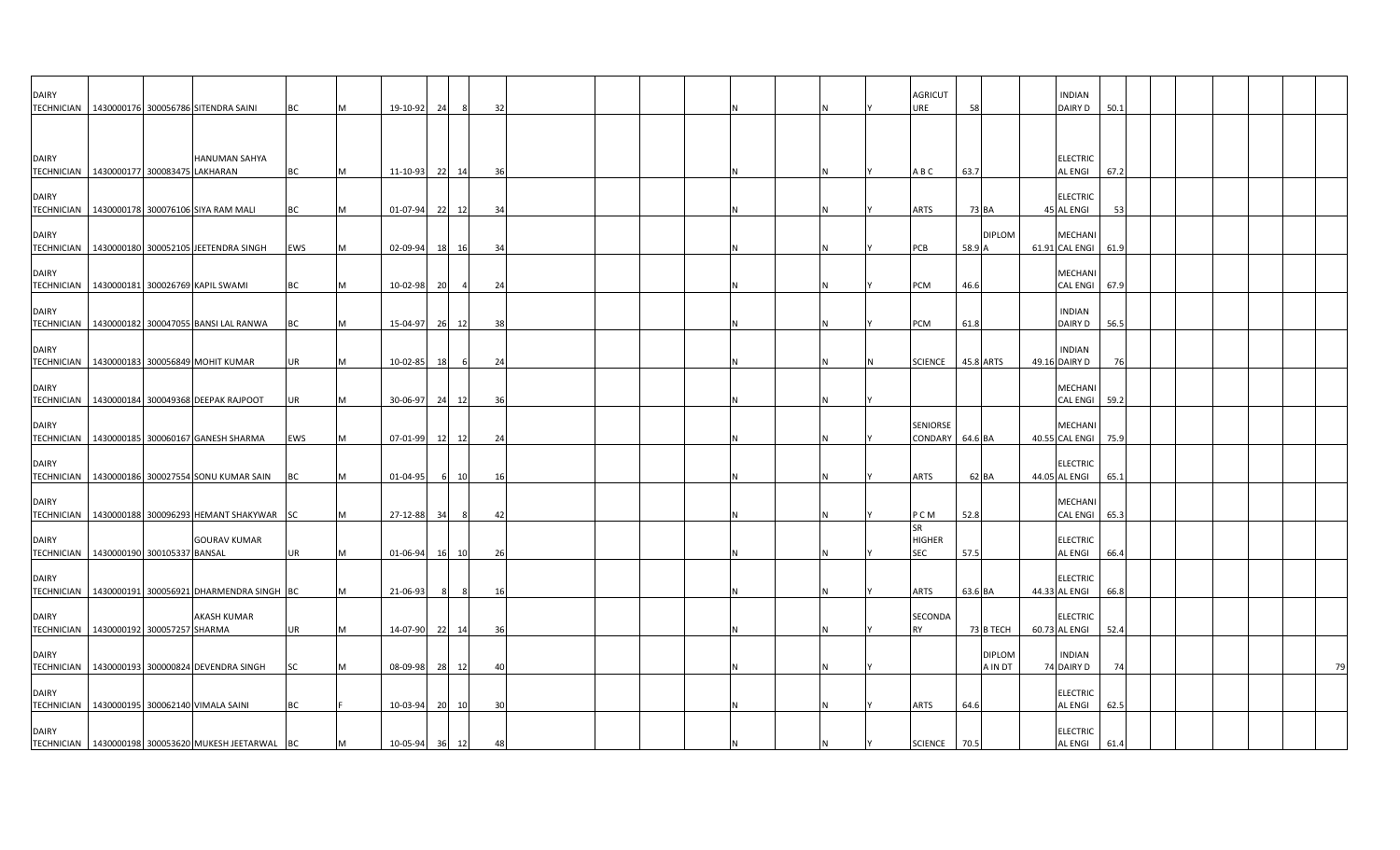| <b>DAIRY</b>                                               |                             | TECHNICIAN 1430000176 300056786 SITENDRA SAINI        | ВC  | M   | 19-10-92       | 24 |       | 32  |  |  |  |  | AGRICUT<br>URE              | 58                       | <b>INDIAN</b><br>DAIRY D          | 50.1 |  |  |    |
|------------------------------------------------------------|-----------------------------|-------------------------------------------------------|-----|-----|----------------|----|-------|-----|--|--|--|--|-----------------------------|--------------------------|-----------------------------------|------|--|--|----|
|                                                            |                             |                                                       |     |     |                |    |       |     |  |  |  |  |                             |                          |                                   |      |  |  |    |
| <b>DAIRY</b><br>TECHNICIAN   1430000177 300083475 LAKHARAN |                             | <b>HANUMAN SAHYA</b>                                  | ВC  | M   | 11-10-93 22 14 |    |       | 36  |  |  |  |  | A B C                       | 63.7                     | <b>ELECTRIC</b><br><b>AL ENGI</b> | 67.2 |  |  |    |
| <b>DAIRY</b>                                               |                             | TECHNICIAN   1430000178 300076106 SIYA RAM MALI       | ВC  | M   | 01-07-94 22 12 |    |       | 34  |  |  |  |  | ARTS                        | 73 BA                    | <b>ELECTRIC</b><br>45 AL ENGI     | 53   |  |  |    |
| <b>DAIRY</b><br>TECHNICIAN                                 |                             | 1430000180 300052105 JEETENDRA SINGH                  | EWS | M   | 02-09-94       | 18 | 16    | -34 |  |  |  |  | PCB                         | <b>DIPLOM</b><br>58.9    | <b>MECHANI</b><br>61.91 CAL ENGI  | 61.9 |  |  |    |
| <b>DAIRY</b><br>TECHNICIAN                                 |                             | 1430000181 300026769 KAPIL SWAMI                      | ВC  | M   | 10-02-98       | 20 |       | -24 |  |  |  |  | PCM                         | 46.6                     | MECHANI<br><b>CAL ENGI</b>        | 67.9 |  |  |    |
| <b>DAIRY</b>                                               |                             | TECHNICIAN   1430000182 300047055 BANSI LAL RANWA     | ВC  | M   | 15-04-97 26    |    | 12    |     |  |  |  |  | PCM                         | 61.8                     | <b>INDIAN</b><br>DAIRY D          | 56.5 |  |  |    |
| <b>DAIRY</b>                                               |                             | TECHNICIAN 1430000183 300056849 MOHIT KUMAR           | UR  |     | 10-02-85       | 18 |       | 24  |  |  |  |  | SCIENCE                     | 45.8 ARTS                | <b>INDIAN</b><br>49.16 DAIRY D    | 76   |  |  |    |
| <b>DAIRY</b>                                               |                             | TECHNICIAN   1430000184 300049368 DEEPAK RAJPOOT      | UR  | M   | 30-06-97 24    |    | 12    | 36  |  |  |  |  |                             |                          | MECHANI<br><b>CAL ENGI</b>        | 59.2 |  |  |    |
| <b>DAIRY</b>                                               |                             | TECHNICIAN 1430000185 300060167 GANESH SHARMA         | EWS | IM. | 07-01-99 12    |    | 12    | 24  |  |  |  |  | SENIORSE<br>CONDARY 64.6 BA |                          | <b>MECHANI</b><br>40.55 CAL ENGI  | 75.9 |  |  |    |
| <b>DAIRY</b>                                               |                             | TECHNICIAN   1430000186 300027554 SONU KUMAR SAIN     | ВC  | M   | 01-04-95       |    | 6 10  | 16  |  |  |  |  | ARTS                        | 62 BA                    | <b>ELECTRIC</b><br>44.05 AL ENGI  | 65.1 |  |  |    |
| <b>DAIRY</b>                                               |                             | TECHNICIAN 1430000188 300096293 HEMANT SHAKYWAR SC    |     | M   | 27-12-88 34    |    | - 8   | 42  |  |  |  |  | P C M                       | 52.8                     | <b>MECHANI</b><br><b>CAL ENGI</b> | 65.3 |  |  |    |
| <b>DAIRY</b><br>TECHNICIAN   1430000190 300105337 BANSAL   |                             | <b>GOURAV KUMAR</b>                                   | UR  | M   | 01-06-94       |    | 16 10 | 26  |  |  |  |  | SR<br><b>HIGHER</b><br>SEC  | 57.5                     | <b>ELECTRIC</b><br><b>AL ENGI</b> | 66.4 |  |  |    |
| <b>DAIRY</b><br><b>TECHNICIAN</b>                          |                             | 1430000191 300056921 DHARMENDRA SINGH BC              |     | M   | 21-06-93       |    |       | 16  |  |  |  |  | ARTS                        | 63.6 BA                  | <b>ELECTRIC</b><br>44.33 AL ENGI  | 66.8 |  |  |    |
| <b>DAIRY</b><br><b>TECHNICIAN</b>                          | 1430000192 300057257 SHARMA | <b>AKASH KUMAR</b>                                    | UR  | M   | 14-07-90 22 14 |    |       | -36 |  |  |  |  | SECONDA<br><b>RY</b>        | 73 B TECH                | <b>ELECTRIC</b><br>60.73 AL ENGI  | 52.4 |  |  |    |
| DAIRY                                                      |                             | TECHNICIAN   1430000193 300000824 DEVENDRA SINGH      | SC  |     | 08-09-98 28 12 |    |       |     |  |  |  |  |                             | <b>DIPLOM</b><br>A IN DT | <b>INDIAN</b><br>74 DAIRY D       | 74   |  |  | 79 |
| <b>DAIRY</b>                                               |                             | TECHNICIAN 1430000195 300062140 VIMALA SAINI          | BС  |     | 10-03-94 20 10 |    |       | 30  |  |  |  |  | ARTS                        | 64.6                     | <b>ELECTRIC</b><br><b>AL ENGI</b> | 62.5 |  |  |    |
| <b>DAIRY</b>                                               |                             | TECHNICIAN   1430000198 300053620 MUKESH JEETARWAL BC |     | M   | 10-05-94       | 36 | 12    |     |  |  |  |  | <b>SCIENCE</b>              | 70.5                     | <b>ELECTRIC</b><br><b>AL ENGI</b> | 61.4 |  |  |    |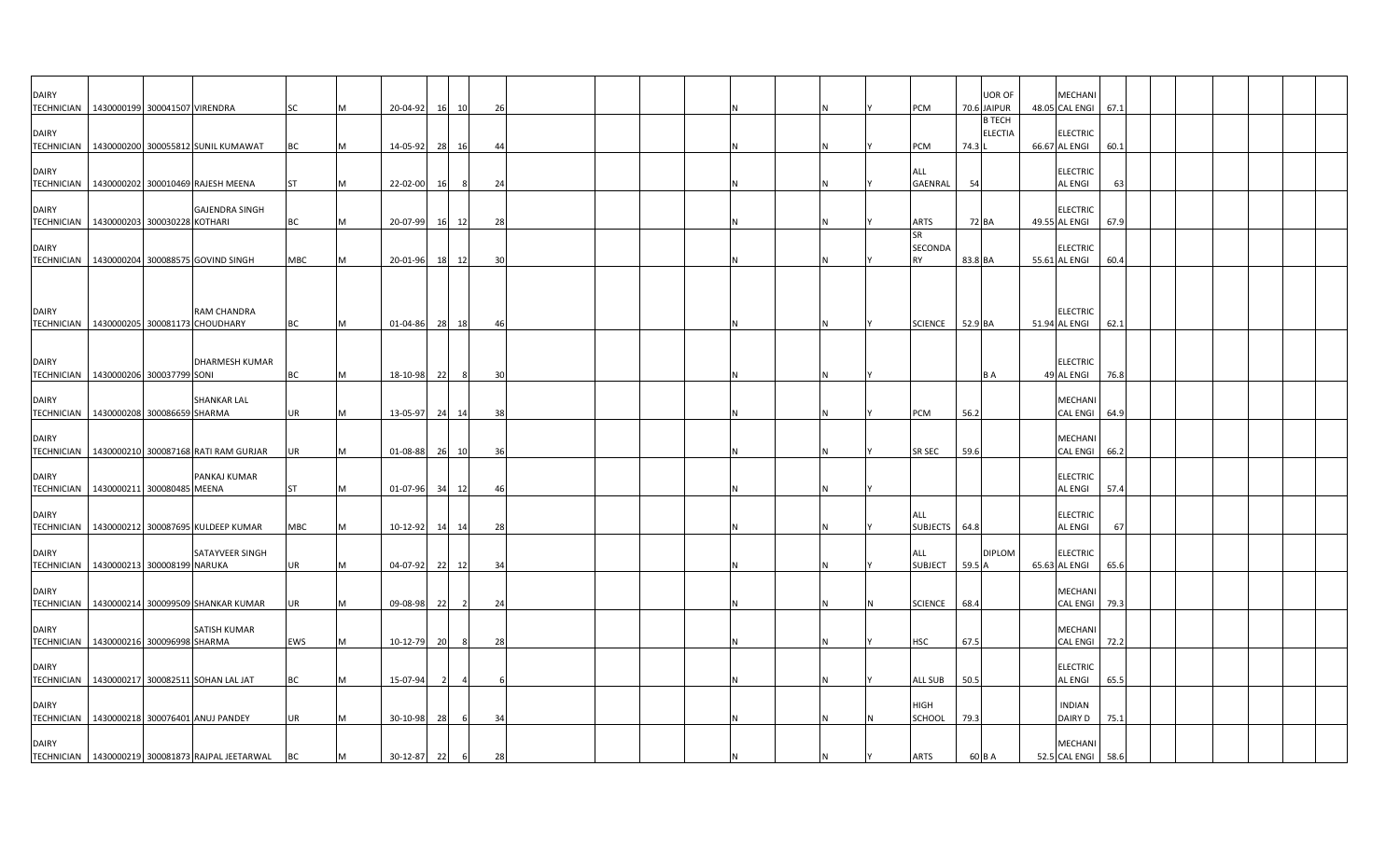| <b>DAIRY</b><br>TECHNICIAN   1430000199 300041507 VIRENDRA  |  |                                                     | SC        | M         | 20-04-92 16 10 |    |                | 26 |  |  |  |  | PCM                        |         | <b>UOR OF</b><br>70.6 JAIPUR    | <b>MECHANI</b><br>48.05 CAL ENGI 67.1 |      |  |  |
|-------------------------------------------------------------|--|-----------------------------------------------------|-----------|-----------|----------------|----|----------------|----|--|--|--|--|----------------------------|---------|---------------------------------|---------------------------------------|------|--|--|
| <b>DAIRY</b>                                                |  | TECHNICIAN   1430000200 300055812 SUNIL KUMAWAT     | BC        |           | 14-05-92       | 28 | 16             | 44 |  |  |  |  | <b>PCM</b>                 | 74.3    | <b>B TECH</b><br><b>ELECTIA</b> | <b>ELECTRIC</b><br>66.67 AL ENGI      | 60.1 |  |  |
| <b>DAIRY</b>                                                |  | TECHNICIAN   1430000202 300010469 RAJESH MEENA      | <b>ST</b> |           | 22-02-00       | 16 | - 8            | 24 |  |  |  |  | <b>ALL</b><br>GAENRAL      | 54      |                                 | <b>ELECTRIC</b><br>AL ENGI            | 63   |  |  |
| <b>DAIRY</b><br>TECHNICIAN   1430000203 300030228 KOTHARI   |  | <b>GAJENDRA SINGH</b>                               | ВC        |           | 20-07-99 16 12 |    |                | 28 |  |  |  |  | ARTS                       | 72 BA   |                                 | <b>ELECTRIC</b><br>49.55 AL ENGI      | 67.9 |  |  |
| <b>DAIRY</b>                                                |  | TECHNICIAN 1430000204 300088575 GOVIND SINGH        | MBC       |           | 20-01-96       |    | 18 12          | 30 |  |  |  |  | SR<br>SECONDA<br><b>RY</b> | 83.8 BA |                                 | <b>ELECTRIC</b><br>55.61 AL ENGI      | 60.4 |  |  |
|                                                             |  |                                                     |           |           |                |    |                |    |  |  |  |  |                            |         |                                 |                                       |      |  |  |
| <b>DAIRY</b><br>TECHNICIAN   1430000205 300081173 CHOUDHARY |  | RAM CHANDRA                                         | BC        | M         | 01-04-86 28    |    | 18             | 46 |  |  |  |  | SCIENCE 52.9 BA            |         |                                 | <b>ELECTRIC</b><br>51.94 AL ENGI      | 62.1 |  |  |
| <b>DAIRY</b><br>TECHNICIAN   1430000206 300037799 SONI      |  | <b>DHARMESH KUMAR</b>                               | BC        | M         | 18-10-98 22    |    | 8              | 30 |  |  |  |  |                            |         | <b>BA</b>                       | <b>ELECTRIC</b><br>49 AL ENGI         | 76.8 |  |  |
| <b>DAIRY</b><br>TECHNICIAN   1430000208 300086659 SHARMA    |  | <b>SHANKAR LAL</b>                                  | UR        | IM.       | 13-05-97       | 24 | 14             | 38 |  |  |  |  | PCM                        | 56.2    |                                 | MECHAN<br><b>CAL ENGI</b>             | 64.9 |  |  |
| <b>DAIRY</b>                                                |  | TECHNICIAN   1430000210 300087168 RATI RAM GURJAR   | UR        |           | 01-08-88       |    | 26 10          | 36 |  |  |  |  | SR SEC                     | 59.6    |                                 | MECHANI<br>CAL ENGI                   | 66.2 |  |  |
| <b>DAIRY</b><br>TECHNICIAN   1430000211 300080485 MEENA     |  | PANKAJ KUMAR                                        | <b>ST</b> | M         | 01-07-96 34 12 |    |                | 46 |  |  |  |  |                            |         |                                 | <b>ELECTRIC</b><br>AL ENGI            | 57.4 |  |  |
| <b>DAIRY</b>                                                |  | TECHNICIAN   1430000212 300087695 KULDEEP KUMAR     | MBC       | M         | 10-12-92       | 14 | 14             | 28 |  |  |  |  | ALL<br>SUBJECTS            | 64.8    |                                 | <b>ELECTRIC</b><br>AL ENGI            | 67   |  |  |
| <b>DAIRY</b><br>TECHNICIAN   1430000213 300008199 NARUKA    |  | SATAYVEER SINGH                                     | UR        | M         | 04-07-92 22 12 |    |                | 34 |  |  |  |  | ALL<br><b>SUBJECT</b>      | 59.5 A  | <b>DIPLOM</b>                   | <b>ELECTRIC</b><br>65.63 AL ENGI      | 65.6 |  |  |
| <b>DAIRY</b>                                                |  | TECHNICIAN   1430000214 300099509 SHANKAR KUMAR     | UR        |           | 09-08-98       | 22 | $\overline{2}$ | 24 |  |  |  |  | <b>SCIENCE</b>             | 68.4    |                                 | MECHANI<br>CAL ENGI 79.3              |      |  |  |
| <b>DAIRY</b><br>TECHNICIAN 1430000216 300096998 SHARMA      |  | <b>SATISH KUMAR</b>                                 | EWS       | IM.       | 10-12-79 20    |    | 8              | 28 |  |  |  |  | HSC                        | 67.5    |                                 | <b>MECHANI</b><br><b>CAL ENGI</b>     | 72.2 |  |  |
| <b>DAIRY</b>                                                |  | TECHNICIAN 1430000217 300082511 SOHAN LAL JAT       | <b>BC</b> | <b>IM</b> | 15-07-94       |    |                |    |  |  |  |  | <b>ALL SUB</b>             | 50.5    |                                 | <b>ELECTRIC</b><br>AL ENGI            | 65.5 |  |  |
| <b>DAIRY</b><br>TECHNICIAN 1430000218 300076401 ANUJ PANDEY |  |                                                     | UR        |           | 30-10-98       | 28 | - 6            | 34 |  |  |  |  | HIGH<br>SCHOOL             | 79.3    |                                 | <b>INDIAN</b><br>DAIRY D              | 75.1 |  |  |
| <b>DAIRY</b>                                                |  | TECHNICIAN 1430000219 300081873 RAJPAL JEETARWAL BC |           | M         | 30-12-87 22    |    | 6              | 28 |  |  |  |  | <b>ARTS</b>                | 60 B A  |                                 | <b>MECHANI</b><br>52.5 CAL ENGI 58.6  |      |  |  |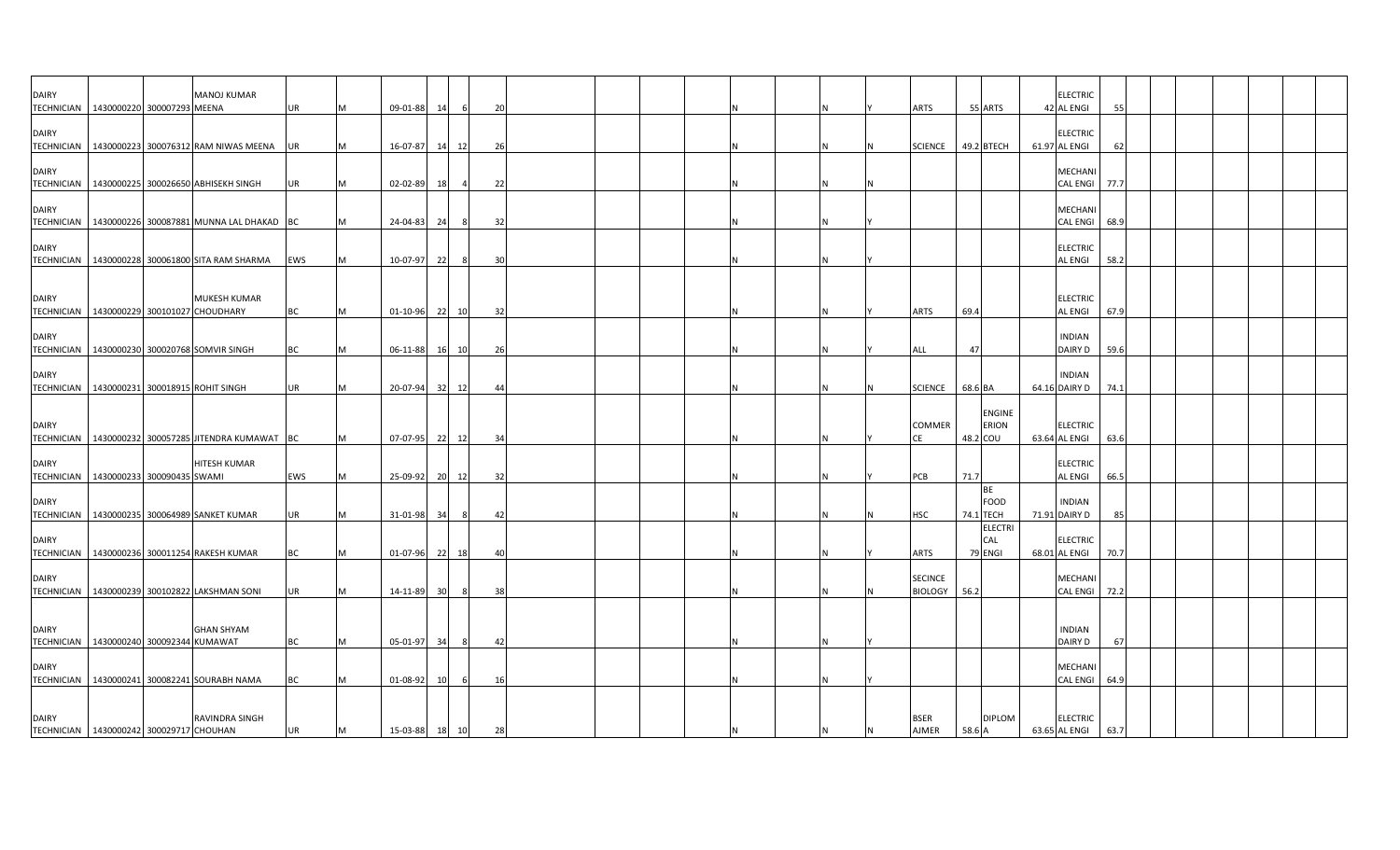| <b>DAIRY</b>                                            |                            | <b>MANOJ KUMAR</b>                                      |            |   |                |                 |                |      |  |  |          |                |         |                       | <b>ELECTRIC</b>                   |      |  |  |  |
|---------------------------------------------------------|----------------------------|---------------------------------------------------------|------------|---|----------------|-----------------|----------------|------|--|--|----------|----------------|---------|-----------------------|-----------------------------------|------|--|--|--|
| <b>TECHNICIAN</b>                                       | 1430000220 300007293 MEENA |                                                         | UR         | M | 09-01-88       | 14              | 6              | 20   |  |  |          | ARTS           |         | 55 ARTS               | 42 AL ENGI                        | 55   |  |  |  |
| <b>DAIRY</b>                                            |                            |                                                         |            |   |                |                 |                |      |  |  |          |                |         |                       | <b>ELECTRIC</b>                   |      |  |  |  |
|                                                         |                            | TECHNICIAN 1430000223 300076312 RAM NIWAS MEENA UR      |            | M | 16-07-87       |                 | 14 12          | -26  |  |  |          | <b>SCIENCE</b> |         | 49.2 BTECH            | 61.97 AL ENGI                     | 62   |  |  |  |
|                                                         |                            |                                                         |            |   |                |                 |                |      |  |  |          |                |         |                       |                                   |      |  |  |  |
| <b>DAIRY</b>                                            |                            |                                                         |            |   |                |                 |                |      |  |  |          |                |         |                       | MECHANI                           |      |  |  |  |
| <b>TECHNICIAN</b>                                       |                            | 1430000225 300026650 ABHISEKH SINGH                     | UR         | M | 02-02-89       | 18              | $\overline{a}$ | 22   |  |  | <b>N</b> |                |         |                       | CAL ENGI 77.7                     |      |  |  |  |
| <b>DAIRY</b>                                            |                            |                                                         |            |   |                |                 |                |      |  |  |          |                |         |                       | MECHANI                           |      |  |  |  |
|                                                         |                            | TECHNICIAN   1430000226 300087881 MUNNA LAL DHAKAD   BC |            | M | 24-04-83 24    |                 | 8              | 32   |  |  |          |                |         |                       | CAL ENGI 68.9                     |      |  |  |  |
|                                                         |                            |                                                         |            |   |                |                 |                |      |  |  |          |                |         |                       |                                   |      |  |  |  |
| <b>DAIRY</b>                                            |                            | TECHNICIAN   1430000228 300061800 SITA RAM SHARMA       | <b>EWS</b> | M | 10-07-97       | 22              |                | 30   |  |  |          |                |         |                       | <b>ELECTRIC</b><br><b>AL ENGI</b> | 58.2 |  |  |  |
|                                                         |                            |                                                         |            |   |                |                 |                |      |  |  |          |                |         |                       |                                   |      |  |  |  |
|                                                         |                            |                                                         |            |   |                |                 |                |      |  |  |          |                |         |                       |                                   |      |  |  |  |
| <b>DAIRY</b>                                            |                            | <b>MUKESH KUMAR</b>                                     |            |   |                |                 |                |      |  |  |          |                |         |                       | <b>ELECTRIC</b>                   |      |  |  |  |
| TECHNICIAN   1430000229 300101027 CHOUDHARY             |                            |                                                         | <b>BC</b>  | M | 01-10-96 22 10 |                 |                | 32   |  |  |          | ARTS           | 69.4    |                       | <b>AL ENGI</b>                    | 67.9 |  |  |  |
| <b>DAIRY</b>                                            |                            |                                                         |            |   |                |                 |                |      |  |  |          |                |         |                       | <b>INDIAN</b>                     |      |  |  |  |
|                                                         |                            | TECHNICIAN 1430000230 300020768 SOMVIR SINGH            | <b>BC</b>  | M | $06 - 11 - 88$ |                 | 16 10          | 26   |  |  |          | ALL            | 47      |                       | DAIRY D                           | 59.6 |  |  |  |
|                                                         |                            |                                                         |            |   |                |                 |                |      |  |  |          |                |         |                       |                                   |      |  |  |  |
| <b>DAIRY</b>                                            |                            |                                                         |            |   |                |                 |                |      |  |  |          |                |         |                       | <b>INDIAN</b>                     |      |  |  |  |
| TECHNICIAN 1430000231 300018915 ROHIT SINGH             |                            |                                                         | UR         | M | 20-07-94 32 12 |                 |                | 44   |  |  | <b>N</b> | <b>SCIENCE</b> | 68.6 BA |                       | 64.16 DAIRY D                     | 74.1 |  |  |  |
|                                                         |                            |                                                         |            |   |                |                 |                |      |  |  |          |                |         | <b>ENGINE</b>         |                                   |      |  |  |  |
| <b>DAIRY</b>                                            |                            |                                                         |            |   |                |                 |                |      |  |  |          | COMMER         |         | <b>ERION</b>          | <b>ELECTRIC</b>                   |      |  |  |  |
|                                                         |                            | TECHNICIAN   1430000232 300057285 JITENDRA KUMAWAT   BC |            | M | 07-07-95 22 12 |                 |                | - 34 |  |  |          | <b>CE</b>      |         | 48.2 COU              | 63.64 AL ENGI                     | 63.6 |  |  |  |
|                                                         |                            |                                                         |            |   |                |                 |                |      |  |  |          |                |         |                       |                                   |      |  |  |  |
| <b>DAIRY</b><br>TECHNICIAN   1430000233 300090435 SWAMI |                            | HITESH KUMAR                                            | EWS        | M | 25-09-92 20 12 |                 |                | 32   |  |  |          | PCB            | 71.7    |                       | <b>ELECTRIC</b><br>AL ENGI        | 66.5 |  |  |  |
|                                                         |                            |                                                         |            |   |                |                 |                |      |  |  |          |                |         | <b>BE</b>             |                                   |      |  |  |  |
| <b>DAIRY</b>                                            |                            |                                                         |            |   |                |                 |                |      |  |  |          |                |         | <b>FOOD</b>           | <b>INDIAN</b>                     |      |  |  |  |
|                                                         |                            | TECHNICIAN   1430000235 300064989 SANKET KUMAR          | <b>UR</b>  | M | 31-01-98       | 34              |                | 42   |  |  |          | <b>HSC</b>     |         | 74.1 TECH             | 71.91 DAIRY D                     | 85   |  |  |  |
| <b>DAIRY</b>                                            |                            |                                                         |            |   |                |                 |                |      |  |  |          |                |         | <b>ELECTRI</b><br>CAL | <b>ELECTRIC</b>                   |      |  |  |  |
|                                                         |                            | TECHNICIAN   1430000236 300011254 RAKESH KUMAR          | <b>BC</b>  | M | 01-07-96 22 18 |                 |                | 40   |  |  |          | ARTS           |         | 79 ENGI               | 68.01 AL ENGI                     | 70.7 |  |  |  |
|                                                         |                            |                                                         |            |   |                |                 |                |      |  |  |          |                |         |                       |                                   |      |  |  |  |
| <b>DAIRY</b>                                            |                            |                                                         |            |   |                |                 |                |      |  |  |          | <b>SECINCE</b> |         |                       | <b>MECHANI</b>                    |      |  |  |  |
|                                                         |                            | TECHNICIAN 1430000239 300102822 LAKSHMAN SONI           | UR         | M | 14-11-89       | 30 <sup>1</sup> | 8              | 38   |  |  |          | <b>BIOLOGY</b> | 56.2    |                       | CAL ENGI 72.2                     |      |  |  |  |
|                                                         |                            |                                                         |            |   |                |                 |                |      |  |  |          |                |         |                       |                                   |      |  |  |  |
| DAIRY                                                   |                            | <b>GHAN SHYAM</b>                                       |            |   |                |                 |                |      |  |  |          |                |         |                       | <b>INDIAN</b>                     |      |  |  |  |
| TECHNICIAN 1430000240 300092344 KUMAWAT                 |                            |                                                         | <b>BC</b>  | M | 05-01-97       | 34              | 8              | 42   |  |  | ΙN       |                |         |                       | DAIRY D                           | 67   |  |  |  |
|                                                         |                            |                                                         |            |   |                |                 |                |      |  |  |          |                |         |                       |                                   |      |  |  |  |
| <b>DAIRY</b>                                            |                            |                                                         |            |   |                |                 |                |      |  |  |          |                |         |                       | MECHANI                           |      |  |  |  |
|                                                         |                            | TECHNICIAN   1430000241 300082241 SOURABH NAMA          | BC         | M | 01-08-92       | 10              | 6              | 16   |  |  |          |                |         |                       | CAL ENGI 64.9                     |      |  |  |  |
|                                                         |                            |                                                         |            |   |                |                 |                |      |  |  |          |                |         |                       |                                   |      |  |  |  |
| <b>DAIRY</b>                                            |                            | RAVINDRA SINGH                                          |            |   |                |                 |                |      |  |  |          | <b>BSER</b>    |         | <b>DIPLOM</b>         | <b>ELECTRIC</b>                   |      |  |  |  |
| TECHNICIAN 1430000242 300029717 CHOUHAN                 |                            |                                                         | <b>UR</b>  | M | 15-03-88 18 10 |                 |                | 28   |  |  |          | <b>AJMER</b>   | 58.6 A  |                       | 63.65 AL ENGI                     | 63.7 |  |  |  |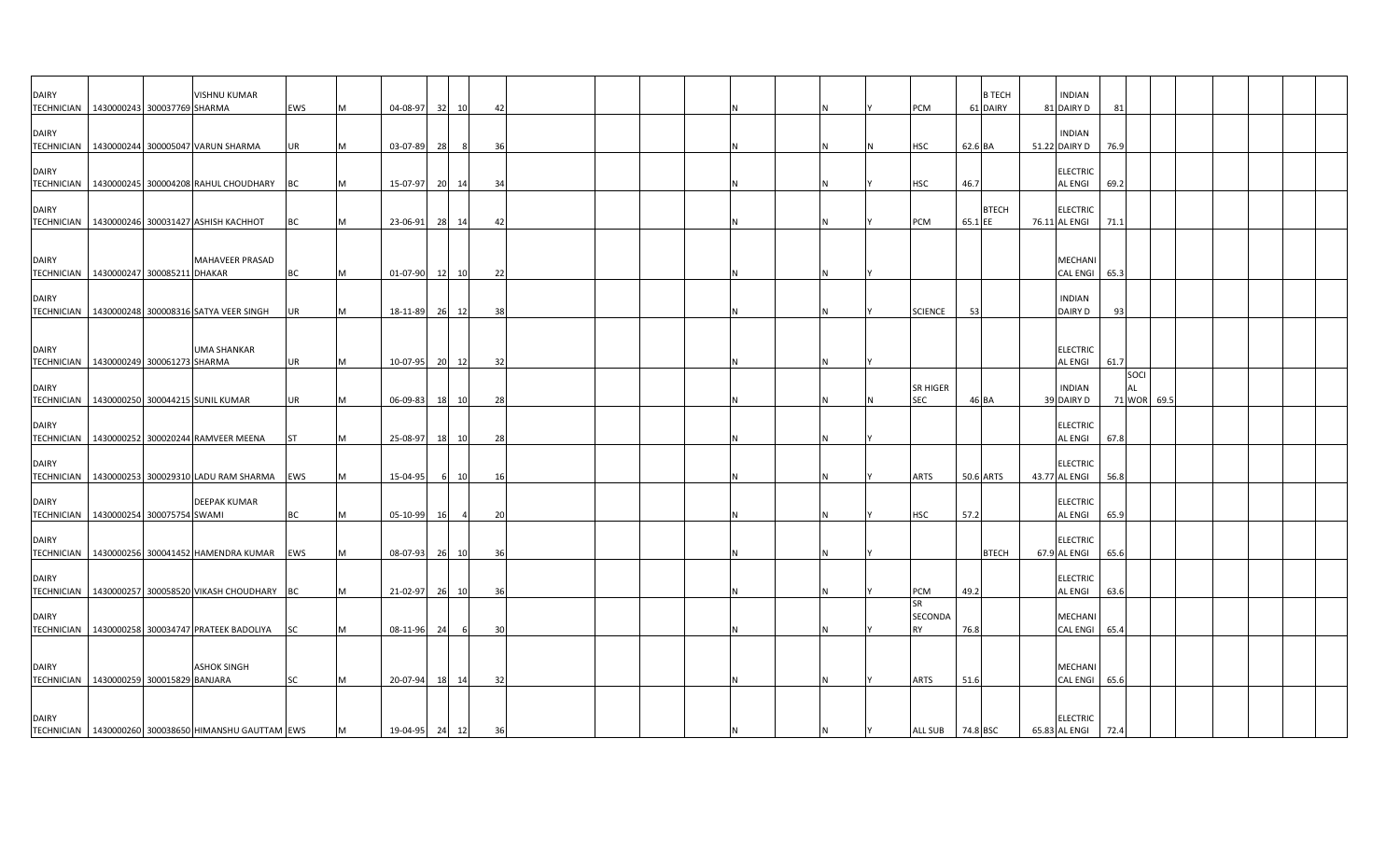| <b>DAIRY</b>                                          |                             | VISHNU KUMAR                                            |           |   |                |     |       |    |  |     |   |     |                  |           | <b>B TECH</b> | <b>INDIAN</b>                     |               |      |  |  |  |
|-------------------------------------------------------|-----------------------------|---------------------------------------------------------|-----------|---|----------------|-----|-------|----|--|-----|---|-----|------------------|-----------|---------------|-----------------------------------|---------------|------|--|--|--|
| <b>TECHNICIAN</b>                                     | 1430000243 300037769 SHARMA |                                                         | EWS       | M | 04-08-97       | 32  | 10    | 42 |  |     |   |     | PCM              |           | 61 DAIRY      | 81 DAIRY D                        | 81            |      |  |  |  |
| <b>DAIRY</b>                                          |                             |                                                         |           |   |                |     |       |    |  |     |   |     |                  |           |               | <b>INDIAN</b>                     |               |      |  |  |  |
|                                                       |                             | TECHNICIAN   1430000244 300005047 VARUN SHARMA          | UR        | M | 03-07-89       | 28  |       | 36 |  |     |   |     | <b>HSC</b>       | 62.6 BA   |               | 51.22 DAIRY D                     | 76.9          |      |  |  |  |
|                                                       |                             |                                                         |           |   |                |     |       |    |  |     |   |     |                  |           |               |                                   |               |      |  |  |  |
| <b>DAIRY</b>                                          |                             |                                                         |           |   |                |     |       |    |  |     |   |     |                  |           |               | <b>ELECTRIC</b>                   |               |      |  |  |  |
| <b>TECHNICIAN</b>                                     |                             | 1430000245 300004208 RAHUL CHOUDHARY BC                 |           | M | 15-07-97       |     | 20 14 | 34 |  |     | N |     | HSC              | 46.7      |               | <b>AL ENGI</b>                    | 69.2          |      |  |  |  |
|                                                       |                             |                                                         |           |   |                |     |       |    |  |     |   |     |                  |           |               |                                   |               |      |  |  |  |
| <b>DAIRY</b>                                          |                             |                                                         |           |   |                |     |       |    |  |     |   |     |                  |           | <b>BTECH</b>  | <b>ELECTRIC</b>                   |               |      |  |  |  |
|                                                       |                             | TECHNICIAN   1430000246 300031427 ASHISH KACHHOT        | BC        | M | 23-06-91       | 28  | 14    | 42 |  |     | N |     | PCM              | 65.1 EE   |               | 76.11 AL ENGI                     | 71.1          |      |  |  |  |
|                                                       |                             |                                                         |           |   |                |     |       |    |  |     |   |     |                  |           |               |                                   |               |      |  |  |  |
| <b>DAIRY</b>                                          |                             | <b>MAHAVEER PRASAD</b>                                  |           |   |                |     |       |    |  |     |   |     |                  |           |               | MECHANI                           |               |      |  |  |  |
| TECHNICIAN 1430000247 300085211 DHAKAR                |                             |                                                         | <b>BC</b> | M | 01-07-90       |     | 12 10 | 22 |  |     | N |     |                  |           |               | CAL ENGI 65.3                     |               |      |  |  |  |
|                                                       |                             |                                                         |           |   |                |     |       |    |  |     |   |     |                  |           |               |                                   |               |      |  |  |  |
| <b>DAIRY</b>                                          |                             |                                                         |           |   |                |     |       |    |  |     |   |     |                  |           |               | <b>INDIAN</b>                     |               |      |  |  |  |
|                                                       |                             | TECHNICIAN   1430000248 300008316 SATYA VEER SINGH      | <b>UR</b> | M | 18-11-89       | 26  | 12    | 38 |  |     |   |     | <b>SCIENCE</b>   | 53        |               | DAIRY D                           | 93            |      |  |  |  |
|                                                       |                             |                                                         |           |   |                |     |       |    |  |     |   |     |                  |           |               |                                   |               |      |  |  |  |
|                                                       |                             |                                                         |           |   |                |     |       |    |  |     |   |     |                  |           |               |                                   |               |      |  |  |  |
| <b>DAIRY</b>                                          |                             | <b>UMA SHANKAR</b>                                      |           |   |                |     |       |    |  |     |   |     |                  |           |               | <b>ELECTRIC</b>                   |               |      |  |  |  |
| TECHNICIAN 1430000249 300061273 SHARMA                |                             |                                                         | <b>UR</b> | M | 10-07-95       |     | 20 12 | 32 |  |     |   |     |                  |           |               | <b>AL ENGI</b>                    | 61.7<br>SOCI  |      |  |  |  |
| <b>DAIRY</b>                                          |                             |                                                         |           |   |                |     |       |    |  |     |   |     | <b>SR HIGER</b>  |           |               | <b>INDIAN</b>                     | AL            |      |  |  |  |
|                                                       |                             | TECHNICIAN 1430000250 300044215 SUNIL KUMAR             | <b>UR</b> | M | 06-09-83       | 18  | 10    | 28 |  |     |   |     | <b>SEC</b>       | 46 BA     |               | 39 DAIRY D                        | <b>71 WOR</b> | 69.5 |  |  |  |
|                                                       |                             |                                                         |           |   |                |     |       |    |  |     |   |     |                  |           |               |                                   |               |      |  |  |  |
| <b>DAIRY</b>                                          |                             |                                                         |           |   |                |     |       |    |  |     |   |     |                  |           |               | <b>ELECTRIC</b>                   |               |      |  |  |  |
| TECHNICIAN                                            |                             | 1430000252 300020244 RAMVEER MEENA                      | <b>ST</b> | M | 25-08-97       | 18  | 10    | 28 |  |     |   |     |                  |           |               | <b>AL ENGI</b>                    | 67.8          |      |  |  |  |
|                                                       |                             |                                                         |           |   |                |     |       |    |  |     |   |     |                  |           |               |                                   |               |      |  |  |  |
| <b>DAIRY</b>                                          |                             |                                                         |           |   |                |     |       |    |  |     |   |     |                  |           |               | <b>ELECTRIC</b>                   |               |      |  |  |  |
|                                                       |                             | TECHNICIAN 1430000253 300029310 LADU RAM SHARMA EWS     |           | M | 15-04-95       | -61 | 10    | 16 |  |     |   |     | <b>ARTS</b>      | 50.6 ARTS |               | 43.77 AL ENGI                     | 56.8          |      |  |  |  |
|                                                       |                             |                                                         |           |   |                |     |       |    |  |     |   |     |                  |           |               |                                   |               |      |  |  |  |
| <b>DAIRY</b><br>TECHNICIAN 1430000254 300075754 SWAMI |                             | <b>DEEPAK KUMAR</b>                                     | <b>BC</b> | M | $05 - 10 - 99$ | 16  |       | 20 |  |     |   |     | <b>HSC</b>       | 57.2      |               | <b>ELECTRIC</b><br><b>AL ENGI</b> | 65.9          |      |  |  |  |
|                                                       |                             |                                                         |           |   |                |     |       |    |  |     |   |     |                  |           |               |                                   |               |      |  |  |  |
| <b>DAIRY</b>                                          |                             |                                                         |           |   |                |     |       |    |  |     |   |     |                  |           |               | <b>ELECTRIC</b>                   |               |      |  |  |  |
| TECHNICIAN                                            |                             | 1430000256 300041452 HAMENDRA KUMAR EWS                 |           | M | 08-07-93       | 26  | 10    | 36 |  |     |   |     |                  |           | <b>BTECH</b>  | 67.9 AL ENGI                      | 65.6          |      |  |  |  |
|                                                       |                             |                                                         |           |   |                |     |       |    |  |     |   |     |                  |           |               |                                   |               |      |  |  |  |
| <b>DAIRY</b>                                          |                             |                                                         |           |   |                |     |       |    |  |     |   |     |                  |           |               | <b>ELECTRIC</b>                   |               |      |  |  |  |
|                                                       |                             | TECHNICIAN   1430000257 300058520 VIKASH CHOUDHARY   BC |           | M | 21-02-97       |     | 26 10 | 36 |  |     |   |     | PCM              | 49.2      |               | <b>AL ENGI</b>                    | 63.6          |      |  |  |  |
|                                                       |                             |                                                         |           |   |                |     |       |    |  |     |   |     | <b>SR</b>        |           |               |                                   |               |      |  |  |  |
| <b>DAIRY</b>                                          |                             |                                                         |           |   |                |     |       |    |  |     |   |     | <b>SECONDA</b>   |           |               | MECHANI                           |               |      |  |  |  |
| <b>TECHNICIAN</b>                                     |                             | 1430000258 300034747 PRATEEK BADOLIYA                   | <b>SC</b> | M | 08-11-96       | 24  |       | 30 |  |     |   |     | RY               | 76.8      |               | <b>CAL ENGI</b>                   | 65.4          |      |  |  |  |
|                                                       |                             |                                                         |           |   |                |     |       |    |  |     |   |     |                  |           |               |                                   |               |      |  |  |  |
| <b>DAIRY</b>                                          |                             | ASHOK SINGH                                             |           |   |                |     |       |    |  |     |   |     |                  |           |               | <b>MECHANI</b>                    |               |      |  |  |  |
| TECHNICIAN   1430000259 300015829 BANJARA             |                             |                                                         | <b>SC</b> | M | 20-07-94       |     | 18 14 | 32 |  |     |   |     | <b>ARTS</b>      | 51.6      |               | CAL ENGI 65.6                     |               |      |  |  |  |
|                                                       |                             |                                                         |           |   |                |     |       |    |  |     |   |     |                  |           |               |                                   |               |      |  |  |  |
|                                                       |                             |                                                         |           |   |                |     |       |    |  |     |   |     |                  |           |               |                                   |               |      |  |  |  |
| <b>DAIRY</b>                                          |                             |                                                         |           |   |                |     |       |    |  |     |   |     |                  |           |               | <b>ELECTRIC</b>                   |               |      |  |  |  |
|                                                       |                             | TECHNICIAN   1430000260 300038650 HIMANSHU GAUTTAM EWS  |           | M | 19-04-95 24 12 |     |       | 36 |  | IN. | N | IY. | ALL SUB 74.8 BSC |           |               | 65.83 AL ENGI                     | 72.4          |      |  |  |  |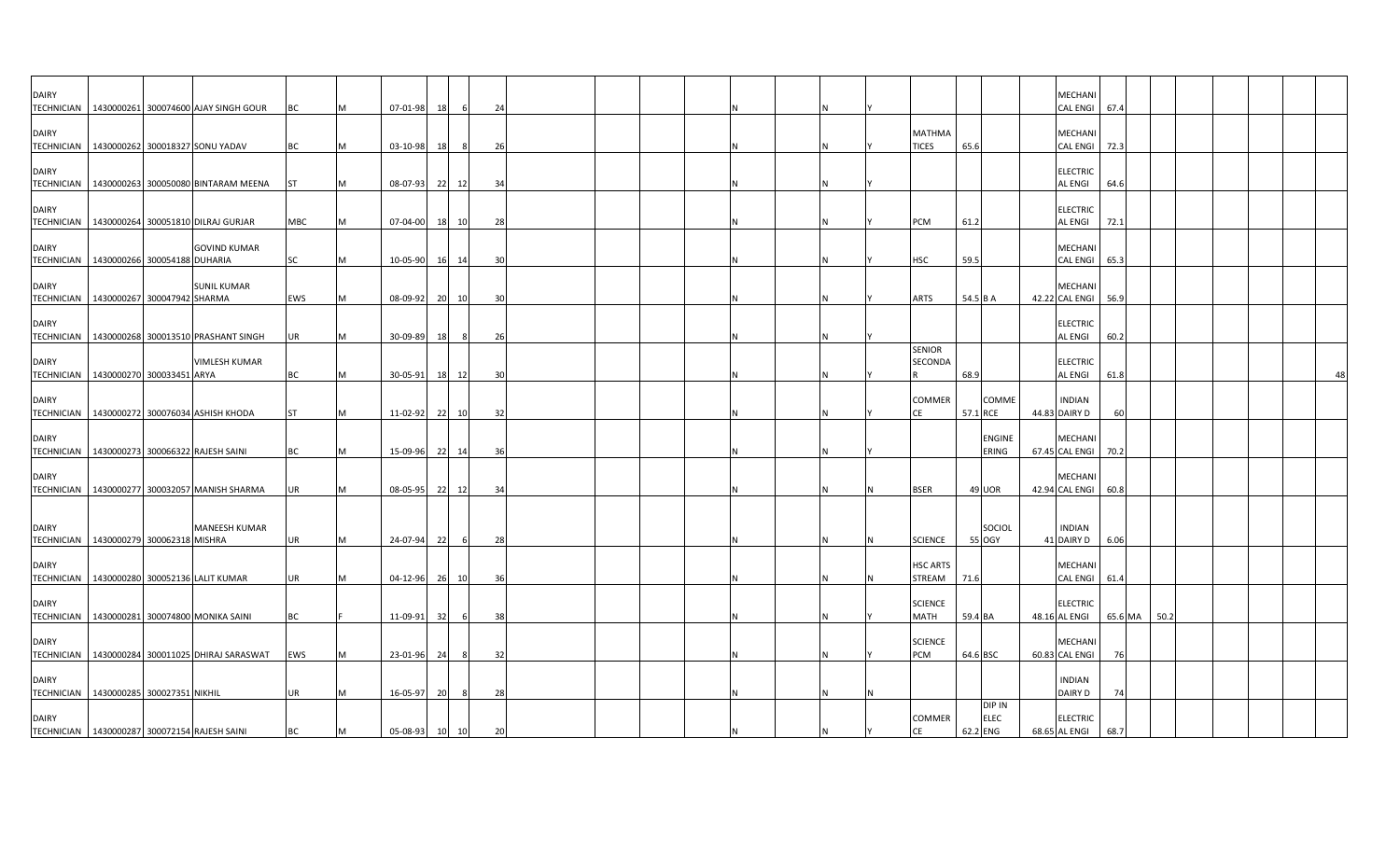| <b>DAIRY</b>                                         |  |                                                  |           |           |                |    |       |                |  |   |  |                       |          |               | <b>MECHAN</b>                     |         |      |  |    |
|------------------------------------------------------|--|--------------------------------------------------|-----------|-----------|----------------|----|-------|----------------|--|---|--|-----------------------|----------|---------------|-----------------------------------|---------|------|--|----|
|                                                      |  | TECHNICIAN 1430000261 300074600 AJAY SINGH GOUR  | BC        |           | 07-01-98       | 18 |       | 24             |  |   |  |                       |          |               | <b>CAL ENGI</b>                   | 67.4    |      |  |    |
|                                                      |  |                                                  |           |           |                |    |       |                |  |   |  |                       |          |               |                                   |         |      |  |    |
| <b>DAIRY</b>                                         |  |                                                  |           |           |                |    |       |                |  |   |  | <b>MATHMA</b>         |          |               | <b>MECHANI</b>                    |         |      |  |    |
| TECHNICIAN 1430000262 300018327 SONU YADAV           |  |                                                  | <b>BC</b> | <b>M</b>  | 03-10-98       | 18 | - 8   | 26             |  | N |  | <b>TICES</b>          | 65.6     |               | <b>CAL ENGI</b>                   | 72.3    |      |  |    |
|                                                      |  |                                                  |           |           |                |    |       |                |  |   |  |                       |          |               |                                   |         |      |  |    |
| <b>DAIRY</b>                                         |  | TECHNICIAN 1430000263 300050080 BINTARAM MEENA   | <b>ST</b> | M         | 08-07-93       |    | 22 12 | 34             |  |   |  |                       |          |               | <b>ELECTRIC</b><br><b>AL ENGI</b> | 64.6    |      |  |    |
|                                                      |  |                                                  |           |           |                |    |       |                |  |   |  |                       |          |               |                                   |         |      |  |    |
| <b>DAIRY</b>                                         |  |                                                  |           |           |                |    |       |                |  |   |  |                       |          |               | <b>ELECTRIC</b>                   |         |      |  |    |
|                                                      |  | TECHNICIAN 1430000264 300051810 DILRAJ GURJAR    | MBC       | M         | 07-04-00       |    | 18 10 | 28             |  |   |  | <b>PCM</b>            | 61.2     |               | <b>AL ENGI</b>                    | 72.1    |      |  |    |
|                                                      |  |                                                  |           |           |                |    |       |                |  |   |  |                       |          |               |                                   |         |      |  |    |
| <b>DAIRY</b>                                         |  | <b>GOVIND KUMAR</b>                              |           |           |                |    |       |                |  |   |  |                       |          |               | <b>MECHANI</b>                    |         |      |  |    |
| TECHNICIAN   1430000266 300054188 DUHARIA            |  |                                                  | SC        | M         | 10-05-90       |    | 16 14 | 3 <sup>c</sup> |  |   |  | HSC                   | 59.5     |               | <b>CAL ENGI</b>                   | 65.3    |      |  |    |
| <b>DAIRY</b>                                         |  | <b>SUNIL KUMAR</b>                               |           |           |                |    |       |                |  |   |  |                       |          |               | <b>MECHANI</b>                    |         |      |  |    |
| TECHNICIAN   1430000267 300047942 SHARMA             |  |                                                  | EWS       | IM.       | 08-09-92       |    | 20 10 | 30             |  |   |  | <b>ARTS</b>           | 54.5 B A |               | 42.22 CAL ENGI                    | 56.9    |      |  |    |
|                                                      |  |                                                  |           |           |                |    |       |                |  |   |  |                       |          |               |                                   |         |      |  |    |
| <b>DAIRY</b>                                         |  |                                                  |           |           |                |    |       |                |  |   |  |                       |          |               | <b>ELECTRIC</b>                   |         |      |  |    |
|                                                      |  | TECHNICIAN   1430000268 300013510 PRASHANT SINGH | UR        | <b>M</b>  | 30-09-89       | 18 | - 8   | - 26           |  |   |  |                       |          |               | <b>AL ENGI</b>                    | 60.2    |      |  |    |
|                                                      |  | VIMLESH KUMAR                                    |           |           |                |    |       |                |  |   |  | <b>SENIOR</b>         |          |               |                                   |         |      |  |    |
| <b>DAIRY</b><br>TECHNICIAN 1430000270 300033451 ARYA |  |                                                  | <b>BC</b> | M         | 30-05-91       |    | 18 12 | 30             |  |   |  | SECONDA               | 68.9     |               | <b>ELECTRIC</b><br><b>AL ENGI</b> | 61.8    |      |  | 48 |
|                                                      |  |                                                  |           |           |                |    |       |                |  |   |  |                       |          |               |                                   |         |      |  |    |
| <b>DAIRY</b>                                         |  |                                                  |           |           |                |    |       |                |  |   |  | COMMER                |          | COMME         | <b>INDIAN</b>                     |         |      |  |    |
|                                                      |  | TECHNICIAN 1430000272 300076034 ASHISH KHODA     | <b>ST</b> | M         | 11-02-92       | 22 | 10    | 32             |  |   |  | CE                    | 57.1 RCE |               | 44.83 DAIRY D                     | 60      |      |  |    |
|                                                      |  |                                                  |           |           |                |    |       |                |  |   |  |                       |          |               |                                   |         |      |  |    |
| <b>DAIRY</b>                                         |  |                                                  |           |           |                |    |       |                |  |   |  |                       |          | <b>ENGINE</b> | <b>MECHANI</b>                    |         |      |  |    |
| TECHNICIAN 1430000273 300066322 RAJESH SAINI         |  |                                                  | <b>BC</b> | M         | 15-09-96       |    | 22 14 | 36             |  |   |  |                       |          | ERING         | 67.45 CAL ENGI 70.2               |         |      |  |    |
| <b>DAIRY</b>                                         |  |                                                  |           |           |                |    |       |                |  |   |  |                       |          |               | <b>MECHAN</b>                     |         |      |  |    |
|                                                      |  | TECHNICIAN 1430000277 300032057 MANISH SHARMA    | <b>UR</b> | <b>IM</b> | 08-05-95       |    | 22 12 | 34             |  |   |  | <b>BSER</b>           |          | 49 UOR        | 42.94 CAL ENGI                    | 60.8    |      |  |    |
|                                                      |  |                                                  |           |           |                |    |       |                |  |   |  |                       |          |               |                                   |         |      |  |    |
|                                                      |  |                                                  |           |           |                |    |       |                |  |   |  |                       |          |               |                                   |         |      |  |    |
| <b>DAIRY</b>                                         |  | MANEESH KUMAR                                    |           |           |                |    |       |                |  |   |  |                       |          | SOCIOL        | <b>INDIAN</b>                     |         |      |  |    |
| TECHNICIAN   1430000279 300062318 MISHRA             |  |                                                  | <b>UR</b> | M         | 24-07-94       | 22 | 6     | 28             |  |   |  | <b>SCIENCE</b>        |          | 55 OGY        | 41 DAIRY D                        | 6.06    |      |  |    |
| <b>DAIRY</b>                                         |  |                                                  |           |           |                |    |       |                |  |   |  | <b>HSC ARTS</b>       |          |               | <b>MECHANI</b>                    |         |      |  |    |
| TECHNICIAN   1430000280 300052136 LALIT KUMAR        |  |                                                  | <b>UR</b> | <b>IM</b> | 04-12-96       |    | 26 10 | 36             |  |   |  | STREAM                | 71.6     |               | <b>CAL ENGI</b>                   | 61.4    |      |  |    |
|                                                      |  |                                                  |           |           |                |    |       |                |  |   |  |                       |          |               |                                   |         |      |  |    |
| <b>DAIRY</b>                                         |  |                                                  |           |           |                |    |       |                |  |   |  | <b>SCIENCE</b>        |          |               | <b>ELECTRIC</b>                   |         |      |  |    |
|                                                      |  | TECHNICIAN   1430000281 300074800 MONIKA SAINI   | BC        |           | 11-09-91       | 32 |       | 38             |  |   |  | MATH                  | 59.4 BA  |               | 48.16 AL ENGI                     | 65.6 MA | 50.2 |  |    |
|                                                      |  |                                                  |           |           |                |    |       |                |  |   |  |                       |          |               |                                   |         |      |  |    |
| <b>DAIRY</b>                                         |  | TECHNICIAN 1430000284 300011025 DHIRAJ SARASWAT  | EWS       | M         | 23-01-96       | 24 | - 8   | 32             |  |   |  | <b>SCIENCE</b><br>PCM | 64.6 BSC |               | <b>MECHANI</b><br>60.83 CAL ENGI  | 76      |      |  |    |
|                                                      |  |                                                  |           |           |                |    |       |                |  |   |  |                       |          |               |                                   |         |      |  |    |
| <b>DAIRY</b>                                         |  |                                                  |           |           |                |    |       |                |  |   |  |                       |          |               | <b>INDIAN</b>                     |         |      |  |    |
| TECHNICIAN   1430000285 300027351 NIKHIL             |  |                                                  | <b>UR</b> | IM.       | 16-05-97       | 20 | - 8   | 28             |  |   |  |                       |          |               | DAIRY D                           | 74      |      |  |    |
|                                                      |  |                                                  |           |           |                |    |       |                |  |   |  |                       |          | DIP IN        |                                   |         |      |  |    |
| <b>DAIRY</b>                                         |  |                                                  |           |           |                |    |       |                |  |   |  | COMMER<br><b>CE</b>   |          | <b>ELEC</b>   | <b>ELECTRIC</b>                   |         |      |  |    |
| TECHNICIAN 1430000287 300072154 RAJESH SAINI         |  |                                                  | <b>BC</b> | M         | 05-08-93 10 10 |    |       | 20             |  |   |  |                       | 62.2 ENG |               | 68.65 AL ENGI                     | 68.7    |      |  |    |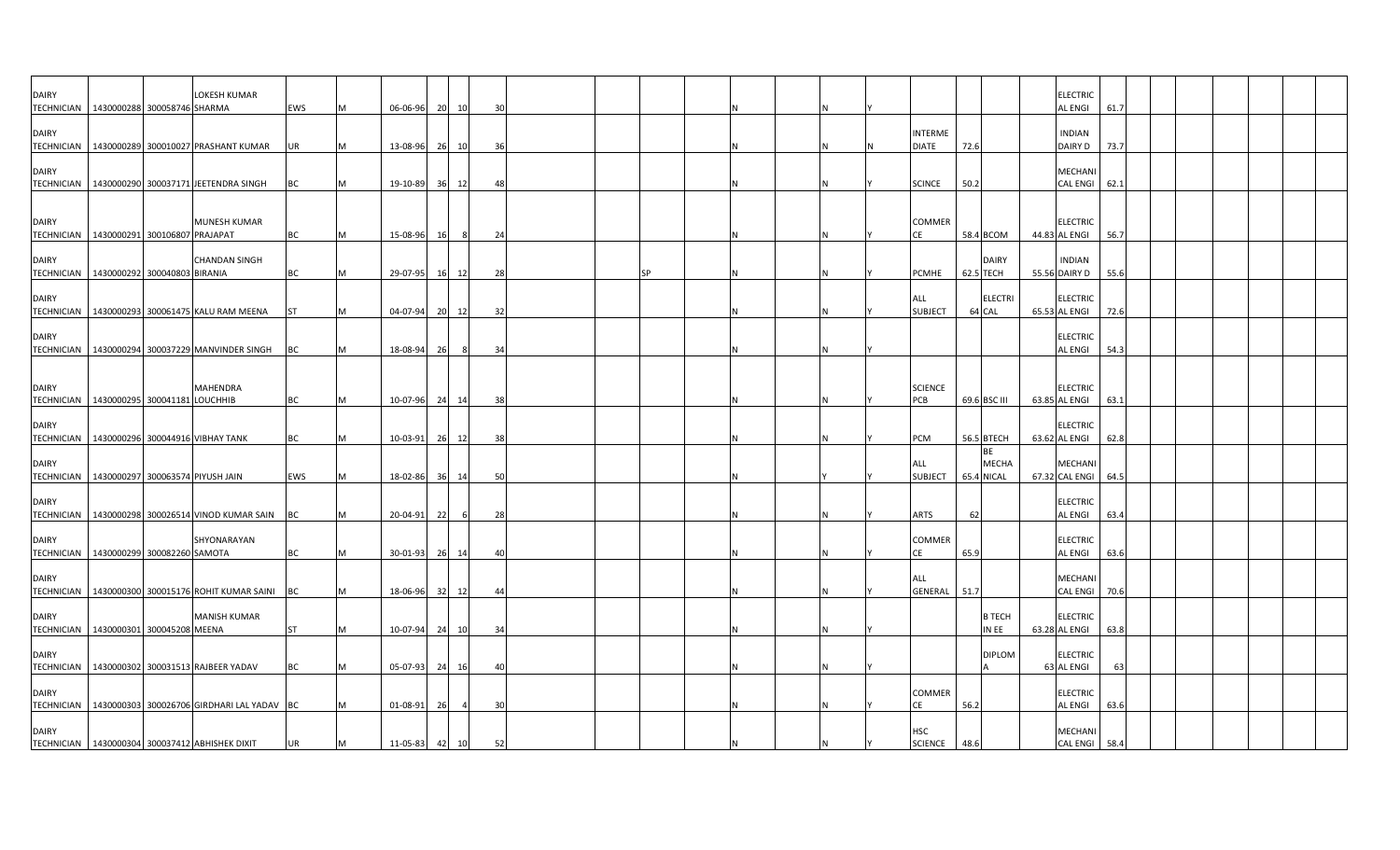| <b>DAIRY</b>                      | TECHNICIAN   1430000288 300058746 SHARMA    | LOKESH KUMAR                                          | EWS        | M | 06-06-96       |    | 20 10          | 30 |  |           |  |   |                                |      |                                         | <b>ELECTRIC</b><br><b>AL ENGI</b> | 61.7 |  |  |  |
|-----------------------------------|---------------------------------------------|-------------------------------------------------------|------------|---|----------------|----|----------------|----|--|-----------|--|---|--------------------------------|------|-----------------------------------------|-----------------------------------|------|--|--|--|
| <b>DAIRY</b>                      |                                             | TECHNICIAN 1430000289 300010027 PRASHANT KUMAR        | <b>UR</b>  | M | 13-08-96       |    | 26 10          | 36 |  |           |  |   | <b>INTERME</b><br><b>DIATE</b> | 72.6 |                                         | <b>INDIAN</b><br>DAIRY D          | 73.7 |  |  |  |
| <b>DAIRY</b>                      |                                             | TECHNICIAN   1430000290 300037171 JEETENDRA SINGH     | <b>BC</b>  | M | 19-10-89 36 12 |    |                | 48 |  |           |  | Ν | <b>SCINCE</b>                  | 50.2 |                                         | <b>MECHANI</b><br><b>CAL ENGI</b> | 62.1 |  |  |  |
| <b>DAIRY</b>                      |                                             | <b>MUNESH KUMAR</b>                                   |            |   |                |    |                |    |  |           |  |   | <b>COMMER</b>                  |      |                                         | <b>ELECTRIC</b>                   |      |  |  |  |
|                                   | TECHNICIAN   1430000291 300106807 PRAJAPAT  |                                                       | BC         | M | 15-08-96       | 16 |                | 24 |  |           |  |   | CE                             |      | 58.4 BCOM                               | 44.83 AL ENGI                     | 56.7 |  |  |  |
| <b>DAIRY</b>                      | TECHNICIAN 1430000292 300040803 BIRANIA     | <b>CHANDAN SINGH</b>                                  | <b>BC</b>  | M | 29-07-95       |    | 16 12          | 28 |  | <b>SP</b> |  |   | PCMHE                          |      | <b>DAIRY</b><br>62.5 TECH               | <b>INDIAN</b><br>55.56 DAIRY D    | 55.6 |  |  |  |
| <b>DAIRY</b><br>TECHNICIAN        |                                             | 1430000293 300061475 KALU RAM MEENA                   | <b>ST</b>  | M | 04-07-94 20 12 |    |                | 32 |  |           |  | N | ALL<br><b>SUBJECT</b>          |      | <b>ELECTRI</b><br>64 CAL                | <b>ELECTRIC</b><br>65.53 AL ENGI  | 72.6 |  |  |  |
| <b>DAIRY</b>                      |                                             | TECHNICIAN   1430000294 300037229 MANVINDER SINGH BC  |            | M | 18-08-94       | 26 | 8 <sup>1</sup> | 34 |  |           |  | Ν |                                |      |                                         | <b>ELECTRIC</b><br><b>AL ENGI</b> | 54.3 |  |  |  |
| <b>DAIRY</b>                      | TECHNICIAN 1430000295 300041181 LOUCHHIB    | <b>MAHENDRA</b>                                       | <b>BC</b>  | M | 10-07-96 24 14 |    |                | 38 |  |           |  | N | <b>SCIENCE</b><br>PCB          |      | 69.6 BSC III                            | <b>ELECTRIC</b><br>63.85 AL ENGI  | 63.1 |  |  |  |
| <b>DAIRY</b><br><b>TECHNICIAN</b> |                                             | 1430000296 300044916 VIBHAY TANK                      | BC         | M | $10-03-91$     |    | 26 12          | 38 |  |           |  |   | PCM                            |      | 56.5 BTECH                              | <b>ELECTRIC</b><br>63.62 AL ENGI  | 62.8 |  |  |  |
| <b>DAIRY</b>                      | TECHNICIAN 1430000297 300063574 PIYUSH JAIN |                                                       | <b>EWS</b> | M | 18-02-86 36 14 |    |                | 50 |  |           |  |   | ALL<br>SUBJECT                 |      | <b>BE</b><br><b>MECHA</b><br>65.4 NICAL | <b>MECHANI</b><br>67.32 CAL ENGI  | 64.5 |  |  |  |
| <b>DAIRY</b>                      |                                             | TECHNICIAN 1430000298 300026514 VINOD KUMAR SAIN BC   |            | M | 20-04-91 22    |    | 6              | 28 |  |           |  |   | <b>ARTS</b>                    | 62   |                                         | <b>ELECTRIC</b><br><b>AL ENGI</b> | 63.4 |  |  |  |
| <b>DAIRY</b>                      | TECHNICIAN   1430000299 300082260 SAMOTA    | SHYONARAYAN                                           | <b>BC</b>  | M | $30 - 01 - 93$ |    | 26 14          | 40 |  |           |  |   | COMMER<br>CE                   | 65.9 |                                         | <b>ELECTRIC</b><br><b>AL ENGI</b> | 63.6 |  |  |  |
| <b>DAIRY</b><br>TECHNICIAN        |                                             | 1430000300 300015176 ROHIT KUMAR SAINI BC             |            | M | 18-06-96       |    | 32 12          | 44 |  |           |  | Ν | ALL<br>GENERAL                 | 51.7 |                                         | <b>MECHANI</b><br><b>CAL ENGI</b> | 70.6 |  |  |  |
| <b>DAIRY</b><br><b>TECHNICIAN</b> | 1430000301 300045208 MEENA                  | <b>MANISH KUMAR</b>                                   | <b>ST</b>  | M | 10-07-94 24 10 |    |                | 34 |  |           |  | N |                                |      | <b>B TECH</b><br>IN EE                  | <b>ELECTRIC</b><br>63.28 AL ENGI  | 63.8 |  |  |  |
| <b>DAIRY</b>                      |                                             | TECHNICIAN 1430000302 300031513 RAJBEER YADAV         | <b>BC</b>  | M | 05-07-93 24 16 |    |                | 40 |  |           |  | N |                                |      | <b>DIPLOM</b>                           | <b>ELECTRIC</b><br>63 AL ENGI     | 63   |  |  |  |
| <b>DAIRY</b>                      |                                             | TECHNICIAN 1430000303 300026706 GIRDHARI LAL YADAV BC |            |   | 01-08-91       | 26 |                | 30 |  |           |  |   | COMMER<br><b>CE</b>            | 56.2 |                                         | <b>ELECTRIC</b><br><b>AL ENGI</b> | 63.6 |  |  |  |
| <b>DAIRY</b>                      |                                             | TECHNICIAN   1430000304 300037412 ABHISHEK DIXIT      | UR         | M | 11-05-83 42 10 |    |                | 52 |  |           |  |   | <b>HSC</b><br><b>SCIENCE</b>   | 48.6 |                                         | <b>MECHANI</b><br><b>CAL ENGI</b> | 58.4 |  |  |  |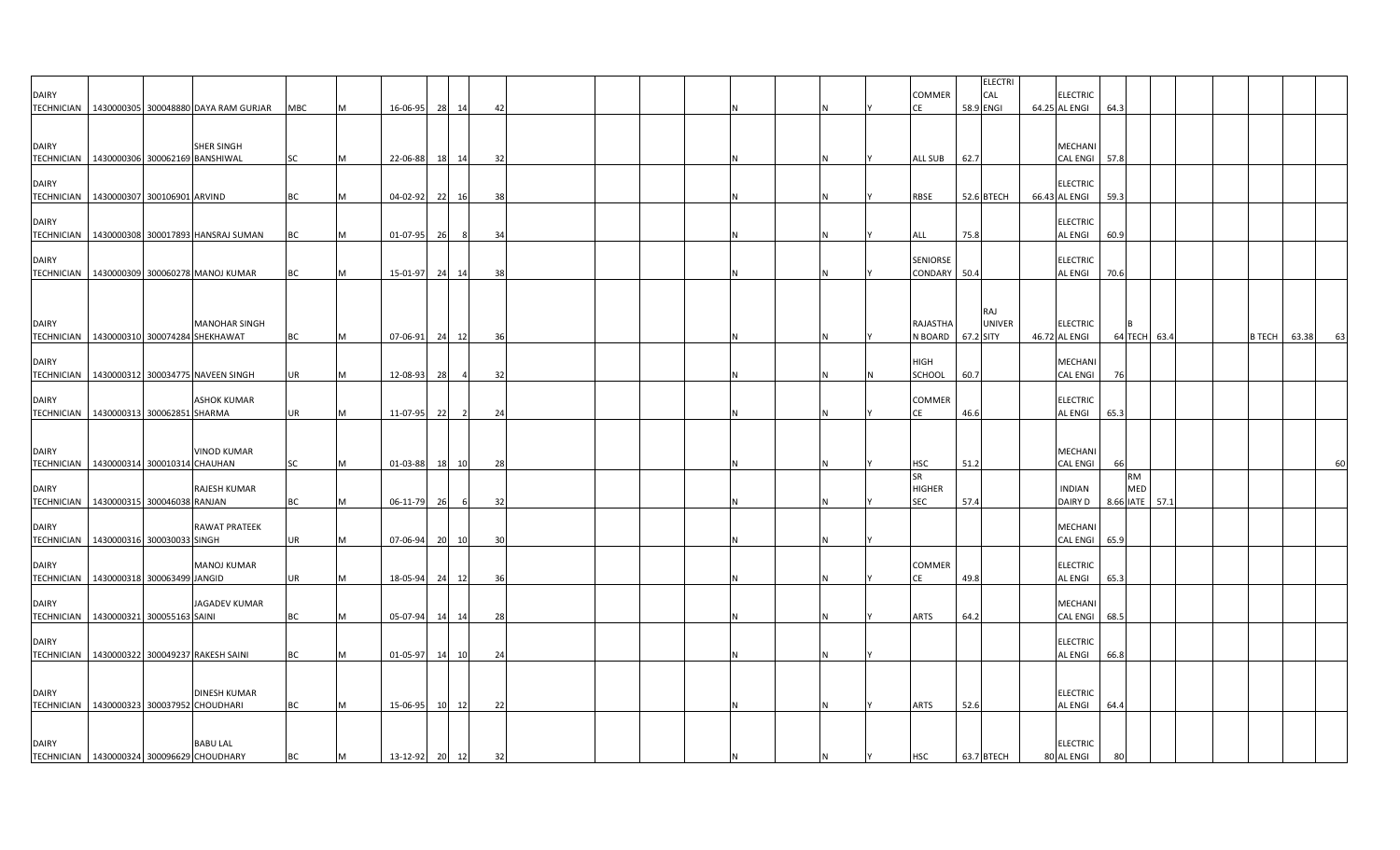| <b>DAIRY</b>                                                 |                             | TECHNICIAN 1430000305 300048880 DAYA RAM GURJAR | MBC       | IM.       | 16-06-95       | 28 14                | 42 |  |  |          | <b>COMMER</b>                            | <b>ELECTRI</b><br>CAL<br>58.9 ENGI | <b>ELECTRIC</b><br>64.25 AL ENGI | 64.3 |                                    |  |               |       |    |
|--------------------------------------------------------------|-----------------------------|-------------------------------------------------|-----------|-----------|----------------|----------------------|----|--|--|----------|------------------------------------------|------------------------------------|----------------------------------|------|------------------------------------|--|---------------|-------|----|
| <b>DAIRY</b><br>TECHNICIAN   1430000306 300062169 BANSHIWAL  |                             | <b>SHER SINGH</b>                               | SC        | M         | 22-06-88 18 14 |                      | 32 |  |  |          | <b>ALL SUB</b>                           | 62.7                               | MECHANI<br><b>CAL ENGI</b>       | 57.8 |                                    |  |               |       |    |
| <b>DAIRY</b><br>TECHNICIAN   1430000307 300106901 ARVIND     |                             |                                                 | <b>BC</b> | M         | 04-02-92       | 22<br>16             | 38 |  |  |          | RBSE                                     | 52.6 BTECH                         | <b>ELECTRIC</b><br>66.43 AL ENGI | 59.3 |                                    |  |               |       |    |
| <b>DAIRY</b>                                                 |                             | TECHNICIAN   1430000308 300017893 HANSRAJ SUMAN | BC        | M         | 01-07-95       | 26<br>- 8            | 34 |  |  |          | ALL                                      | 75.8                               | <b>ELECTRIC</b><br>AL ENGI       | 60.9 |                                    |  |               |       |    |
| <b>DAIRY</b>                                                 |                             | TECHNICIAN   1430000309 300060278 MANOJ KUMAR   | <b>BC</b> | M         | 15-01-97       | 24 14                | 38 |  |  |          | SENIORSE<br>CONDARY 50.4                 |                                    | <b>ELECTRIC</b><br>AL ENGI       | 70.6 |                                    |  |               |       |    |
| <b>DAIRY</b><br>TECHNICIAN 1430000310 300074284 SHEKHAWAT    |                             | <b>MANOHAR SINGH</b>                            | <b>BC</b> | M         | 07-06-91       | 24 12                | 36 |  |  |          | RAJASTHA<br>N BOARD                      | RAJ<br><b>UNIVER</b><br>67.2 SITY  | <b>ELECTRIC</b><br>46.72 AL ENGI |      | 64 TECH 63.4                       |  | <b>B TECH</b> | 63.38 | 63 |
| <b>DAIRY</b>                                                 |                             | TECHNICIAN 1430000312 300034775 NAVEEN SINGH    | <b>UR</b> | M         | 12-08-93       | 28<br>$\overline{4}$ | 32 |  |  |          | <b>HIGH</b><br>SCHOOL                    | 60.7                               | MECHANI<br>CAL ENGI              | 76   |                                    |  |               |       |    |
| <b>DAIRY</b><br>TECHNICIAN   1430000313 300062851 SHARMA     |                             | <b>ASHOK KUMAR</b>                              | UR        | M         | 11-07-95       | 22<br>$\overline{2}$ | 24 |  |  |          | <b>COMMER</b><br>СE                      | 46.6                               | <b>ELECTRIC</b><br>AL ENGI       | 65.3 |                                    |  |               |       |    |
| <b>DAIRY</b><br>TECHNICIAN   1430000314 300010314 CHAUHAN    |                             | <b>VINOD KUMAR</b>                              | SC        | M         | 01-03-88       | 18<br>10             | 28 |  |  |          | HSC                                      | 51.2                               | MECHANI<br>CAL ENGI              | 66   |                                    |  |               |       | 60 |
| <b>DAIRY</b><br><b>TECHNICIAN</b>                            | 1430000315 300046038 RANJAN | RAJESH KUMAR                                    | <b>BC</b> | M         | 06-11-79       | 26<br>6              | 32 |  |  |          | <b>SR</b><br><b>HIGHER</b><br><b>SEC</b> | 57.4                               | <b>INDIAN</b><br>DAIRY D         |      | <b>RM</b><br>MED<br>8.66 IATE 57.1 |  |               |       |    |
| <b>DAIRY</b><br>TECHNICIAN   1430000316 300030033 SINGH      |                             | <b>RAWAT PRATEEK</b>                            | <b>UR</b> | M         | 07-06-94       | 20 10                | 30 |  |  |          |                                          |                                    | MECHANI<br>CAL ENGI              | 65.9 |                                    |  |               |       |    |
| <b>DAIRY</b><br>TECHNICIAN 1430000318 300063499 JANGID       |                             | <b>MANOJ KUMAR</b>                              | <b>UR</b> | M         | 18-05-94       | 24 12                | 36 |  |  |          | <b>COMMER</b><br>СE                      | 49.8                               | <b>ELECTRIC</b><br>AL ENGI       | 65.3 |                                    |  |               |       |    |
| <b>DAIRY</b><br>TECHNICIAN 1430000321 300055163 SAINI        |                             | <b>JAGADEV KUMAR</b>                            | BC        | <b>M</b>  | 05-07-94       | 14<br>14             | 28 |  |  |          | ARTS                                     | 64.2                               | MECHANI<br><b>CAL ENGI</b>       | 68.5 |                                    |  |               |       |    |
| <b>DAIRY</b><br>TECHNICIAN 1430000322 300049237 RAKESH SAINI |                             |                                                 | <b>BC</b> | <b>IM</b> | 01-05-97       | 14 10                | 24 |  |  |          |                                          |                                    | <b>ELECTRIC</b><br>AL ENGI       | 66.8 |                                    |  |               |       |    |
| <b>DAIRY</b><br>TECHNICIAN   1430000323 300037952 CHOUDHARI  |                             | <b>DINESH KUMAR</b>                             | <b>BC</b> | M         | 15-06-95       | 10 12                | 22 |  |  | <b>N</b> | ARTS                                     | 52.6                               | <b>ELECTRIC</b><br>AL ENGI       | 64.4 |                                    |  |               |       |    |
| <b>DAIRY</b><br>TECHNICIAN 1430000324 300096629 CHOUDHARY    |                             | <b>BABU LAL</b>                                 | <b>BC</b> | M         | 13-12-92 20 12 |                      | 32 |  |  |          | <b>HSC</b>                               | 63.7 BTECH                         | ELECTRIC<br>80 AL ENGI           |      |                                    |  |               |       |    |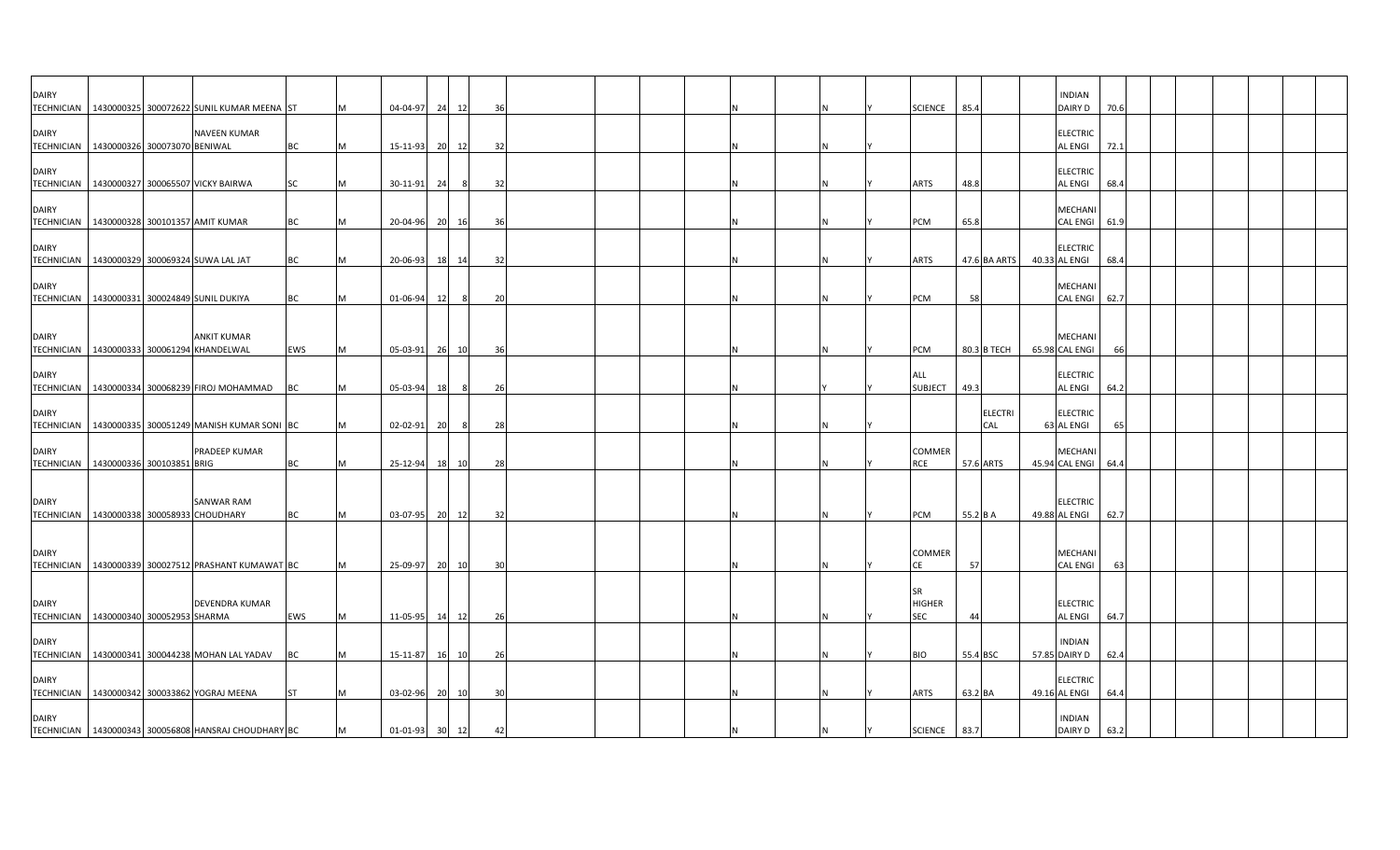| <b>DAIRY</b>                                              |  |                                                                    |           |           |                |    |            |     |  |   |  |                                   |           |                | <b>INDIAN</b>                     |      |  |  |  |
|-----------------------------------------------------------|--|--------------------------------------------------------------------|-----------|-----------|----------------|----|------------|-----|--|---|--|-----------------------------------|-----------|----------------|-----------------------------------|------|--|--|--|
|                                                           |  | TECHNICIAN   1430000325 300072622 SUNIL KUMAR MEENA ST             |           |           | 04-04-97       | 24 | 12         | 36  |  |   |  | <b>SCIENCE</b>                    | 85.4      |                | DAIRY D                           | 70.6 |  |  |  |
| <b>DAIRY</b><br>TECHNICIAN 1430000326 300073070 BENIWAL   |  | NAVEEN KUMAR                                                       | <b>BC</b> | <b>IM</b> | 15-11-93       | 20 | 12         | 32  |  |   |  |                                   |           |                | <b>ELECTRIC</b><br><b>AL ENGI</b> | 72.1 |  |  |  |
| <b>DAIRY</b>                                              |  | TECHNICIAN   1430000327 300065507 VICKY BAIRWA                     | SC        | M         |                |    | 8          | 32  |  |   |  | ARTS                              | 48.8      |                | <b>ELECTRIC</b><br><b>AL ENGI</b> | 68.4 |  |  |  |
| <b>DAIRY</b>                                              |  |                                                                    |           |           | 30-11-91       | 24 |            |     |  |   |  |                                   |           |                | <b>MECHAN</b>                     |      |  |  |  |
| TECHNICIAN   1430000328 300101357 AMIT KUMAR              |  |                                                                    | <b>BC</b> | IM.       | 20-04-96       | 20 | 16         | 36  |  |   |  | <b>PCM</b>                        | 65.8      |                | <b>CAL ENGI</b>                   | 61.9 |  |  |  |
| <b>DAIRY</b>                                              |  | TECHNICIAN 1430000329 300069324 SUWA LAL JAT                       | BC        |           | 20-06-93       | 18 | 14         | 32  |  |   |  | ARTS                              |           | 47.6 BA ARTS   | <b>ELECTRIC</b><br>40.33 AL ENGI  | 68.4 |  |  |  |
| <b>DAIRY</b>                                              |  |                                                                    |           |           |                |    |            |     |  |   |  |                                   |           |                | MECHANI                           |      |  |  |  |
|                                                           |  | TECHNICIAN 1430000331 300024849 SUNIL DUKIYA                       | <b>BC</b> | IM.       | 01-06-94       | 12 | $_{\rm 8}$ | 20  |  |   |  | <b>PCM</b>                        | 58        |                | <b>CAL ENGI</b>                   | 62.7 |  |  |  |
| <b>DAIRY</b>                                              |  | <b>ANKIT KUMAR</b><br>TECHNICIAN   1430000333 300061294 KHANDELWAL | EWS       | M         | 05-03-91       |    | 26 10      | 36  |  |   |  | PCM                               |           | 80.3 B TECH    | <b>MECHANI</b><br>65.98 CAL ENGI  | 66   |  |  |  |
|                                                           |  |                                                                    |           |           |                |    |            |     |  |   |  |                                   |           |                |                                   |      |  |  |  |
| <b>DAIRY</b>                                              |  | TECHNICIAN   1430000334 300068239 FIROJ MOHAMMAD                   | BC        | <b>M</b>  | 05-03-94       | 18 | 8          | 26  |  |   |  | ALL<br><b>SUBJECT</b>             | 49.3      |                | <b>ELECTRIC</b><br><b>AL ENGI</b> | 64.2 |  |  |  |
| <b>DAIRY</b>                                              |  |                                                                    |           |           |                |    |            |     |  |   |  |                                   |           | <b>ELECTRI</b> | <b>ELECTRIC</b>                   |      |  |  |  |
|                                                           |  | TECHNICIAN   1430000335 300051249 MANISH KUMAR SONI BC             |           | IM.       | 02-02-91       | 20 | -8         | 28  |  | N |  |                                   |           | CAL            | 63 AL ENGI                        | 65   |  |  |  |
| <b>DAIRY</b>                                              |  | PRADEEP KUMAR                                                      |           |           |                |    |            |     |  |   |  | COMMER                            |           |                | <b>MECHANI</b>                    |      |  |  |  |
| TECHNICIAN   1430000336 300103851 BRIG                    |  |                                                                    | <b>BC</b> | M         | 25-12-94       | 18 | 10         | 28  |  |   |  | RCE                               | 57.6 ARTS |                | 45.94 CAL ENGI                    | 64.4 |  |  |  |
| <b>DAIRY</b><br>TECHNICIAN 1430000338 300058933 CHOUDHARY |  | SANWAR RAM                                                         | BC        |           | 03-07-95       | 20 | 12         | 32  |  |   |  | <b>PCM</b>                        | 55.2 B A  |                | <b>ELECTRIC</b><br>49.88 AL ENGI  | 62.7 |  |  |  |
| <b>DAIRY</b>                                              |  |                                                                    |           |           |                |    |            |     |  |   |  | COMMER                            |           |                | <b>MECHANI</b>                    |      |  |  |  |
|                                                           |  | TECHNICIAN   1430000339 300027512 PRASHANT KUMAWAT BC              |           | M         | 25-09-97       |    | 20 10      | 30  |  |   |  | CE                                | 57        |                | <b>CAL ENGI</b>                   | 63   |  |  |  |
| <b>DAIRY</b><br>TECHNICIAN   1430000340 300052953 SHARMA  |  | DEVENDRA KUMAR                                                     | EWS       | M         | 11-05-95       |    | 14 12      | 26  |  |   |  | <b>SR</b><br><b>HIGHER</b><br>SEC | 44        |                | <b>ELECTRIC</b><br><b>AL ENGI</b> | 64.7 |  |  |  |
|                                                           |  |                                                                    |           |           |                |    |            |     |  |   |  |                                   |           |                |                                   |      |  |  |  |
| <b>DAIRY</b>                                              |  | TECHNICIAN   1430000341 300044238 MOHAN LAL YADAV                  | BC        | M         | 15-11-87       |    | 16 10      | -26 |  |   |  | <b>BIO</b>                        | 55.4 BSC  |                | <b>INDIAN</b><br>57.85 DAIRY D    | 62.4 |  |  |  |
| <b>DAIRY</b>                                              |  | TECHNICIAN 1430000342 300033862 YOGRAJ MEENA                       | <b>ST</b> | <b>M</b>  | 03-02-96       |    | 20 10      | 30  |  | N |  | <b>ARTS</b>                       | 63.2 BA   |                | <b>ELECTRIC</b><br>49.16 AL ENGI  | 64.4 |  |  |  |
| <b>DAIRY</b>                                              |  | TECHNICIAN 1430000343 300056808 HANSRAJ CHOUDHARY BC               |           | M         | 01-01-93 30 12 |    |            | 42  |  |   |  | <b>SCIENCE</b>                    | 83.7      |                | <b>INDIAN</b><br><b>DAIRY D</b>   | 63.2 |  |  |  |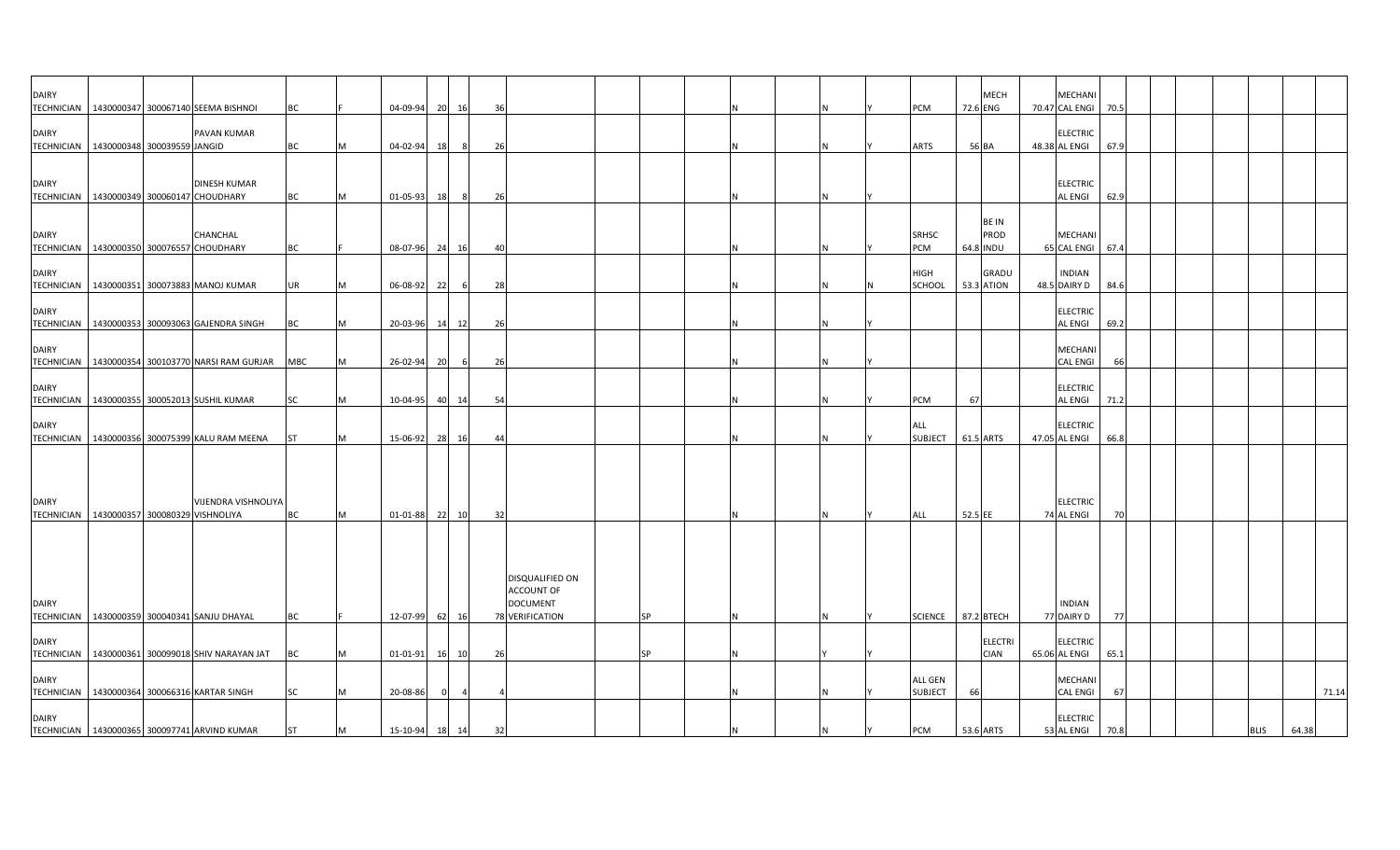| <b>DAIRY</b>                      |                                              |                                                  |            |   |                |    |           |    |                                      |           |  |    |                           |           | <b>MECH</b>                   | MECHANI                           |      |  |             |       |
|-----------------------------------|----------------------------------------------|--------------------------------------------------|------------|---|----------------|----|-----------|----|--------------------------------------|-----------|--|----|---------------------------|-----------|-------------------------------|-----------------------------------|------|--|-------------|-------|
|                                   |                                              | TECHNICIAN   1430000347 300067140 SEEMA BISHNOI  | ВC         |   | 04-09-94       | 20 | 16        | 36 |                                      |           |  |    | <b>PCM</b>                |           | 72.6 ENG                      | 70.47 CAL ENGI                    | 70.5 |  |             |       |
| <b>DAIRY</b>                      | TECHNICIAN   1430000348 300039559 JANGID     | PAVAN KUMAR                                      | <b>BC</b>  | M | 04-02-94       | 18 | - 8       | 26 |                                      |           |  |    | <b>ARTS</b>               |           | 56 BA                         | <b>ELECTRIC</b><br>48.38 AL ENGI  | 67.9 |  |             |       |
|                                   |                                              |                                                  |            |   |                |    |           |    |                                      |           |  |    |                           |           |                               |                                   |      |  |             |       |
| <b>DAIRY</b>                      | TECHNICIAN 1430000349 300060147 CHOUDHARY    | <b>DINESH KUMAR</b>                              | <b>BC</b>  | M | 01-05-93       | 18 | 8         | 26 |                                      |           |  |    |                           |           |                               | <b>ELECTRIC</b><br><b>AL ENGI</b> | 62.9 |  |             |       |
| <b>DAIRY</b>                      |                                              | CHANCHAL                                         |            |   |                |    |           |    |                                      |           |  |    | <b>SRHSC</b>              |           | <b>BEIN</b><br>PROD           | <b>MECHANI</b>                    |      |  |             |       |
| <b>DAIRY</b>                      | TECHNICIAN 1430000350 300076557 CHOUDHARY    |                                                  | BC         |   | 08-07-96 24    |    | 16        | 40 |                                      |           |  |    | <b>PCM</b><br>HIGH        |           | 64.8 INDU<br>GRADU            | 65 CAL ENGI 67.4<br><b>INDIAN</b> |      |  |             |       |
|                                   |                                              | TECHNICIAN 1430000351 300073883 MANOJ KUMAR      | UR         |   | 06-08-92       | 22 | 6         | 28 |                                      |           |  |    | SCHOOL                    |           | 53.3 ATION                    | 48.5 DAIRY D                      | 84.6 |  |             |       |
| <b>DAIRY</b>                      |                                              | TECHNICIAN   1430000353 300093063 GAJENDRA SINGH | BC         | M | 20-03-96 14    |    | 12        | 26 |                                      |           |  |    |                           |           |                               | <b>ELECTRIC</b><br><b>AL ENGI</b> | 69.2 |  |             |       |
| <b>DAIRY</b>                      |                                              | TECHNICIAN 1430000354 300103770 NARSI RAM GURJAR | <b>MBC</b> | M | 26-02-94       | 20 | 6         | 26 |                                      |           |  |    |                           |           |                               | <b>MECHANI</b><br><b>CAL ENGI</b> | 66   |  |             |       |
| <b>DAIRY</b>                      |                                              | TECHNICIAN 1430000355 300052013 SUSHIL KUMAR     | SC         | M | 10-04-95 40 14 |    |           | 54 |                                      |           |  | ΙN | <b>PCM</b>                | 67        |                               | <b>ELECTRIC</b><br><b>AL ENGI</b> | 71.2 |  |             |       |
| <b>DAIRY</b>                      |                                              |                                                  |            |   |                |    |           |    |                                      |           |  |    | ALL                       |           |                               | <b>ELECTRIC</b>                   |      |  |             |       |
|                                   |                                              | TECHNICIAN   1430000356 300075399 KALU RAM MEENA | <b>ST</b>  | M | 15-06-92       | 28 | <b>16</b> | 44 |                                      |           |  | N  | <b>SUBJECT</b>            |           | 61.5 ARTS                     | 47.05 AL ENGI                     | 66.8 |  |             |       |
| <b>DAIRY</b>                      | TECHNICIAN   1430000357 300080329 VISHNOLIYA | VIJENDRA VISHNOLIYA                              | <b>BC</b>  | M | 01-01-88       | 22 | 10        | 32 |                                      |           |  |    | <b>ALL</b>                | 52.5 EE   |                               | <b>ELECTRIC</b><br>74 AL ENGI     | 70   |  |             |       |
|                                   |                                              |                                                  |            |   |                |    |           |    | DISQUALIFIED ON<br><b>ACCOUNT OF</b> |           |  |    |                           |           |                               |                                   |      |  |             |       |
| <b>DAIRY</b><br><b>TECHNICIAN</b> |                                              | 1430000359 300040341 SANJU DHAYAL                | BC         |   | 12-07-99       | 62 | 16        |    | <b>DOCUMENT</b><br>78 VERIFICATION   | <b>SP</b> |  |    | <b>SCIENCE</b>            |           | 87.2 BTECH                    | <b>INDIAN</b><br>77 DAIRY D       | 77   |  |             |       |
| <b>DAIRY</b>                      |                                              | TECHNICIAN 1430000361 300099018 SHIV NARAYAN JAT | ВC         |   | 01-01-91       |    | 16 10     | 26 |                                      | SP        |  |    |                           |           | <b>ELECTRI</b><br><b>CIAN</b> | <b>ELECTRIC</b><br>65.06 AL ENGI  | 65.1 |  |             |       |
| <b>DAIRY</b>                      |                                              | TECHNICIAN   1430000364 300066316 KARTAR SINGH   | SC         | M | 20-08-86       |    |           |    |                                      |           |  |    | ALL GEN<br><b>SUBJECT</b> | 66        |                               | MECHANI<br><b>CAL ENGI</b>        | 67   |  |             | 71.14 |
| <b>DAIRY</b>                      |                                              | TECHNICIAN 1430000365 300097741 ARVIND KUMAR     | <b>ST</b>  | M | 15-10-94 18 14 |    |           | 32 |                                      |           |  |    | <b>PCM</b>                | 53.6 ARTS |                               | <b>ELECTRIC</b><br>53 AL ENGI     | 70.8 |  | <b>BLIS</b> | 64.38 |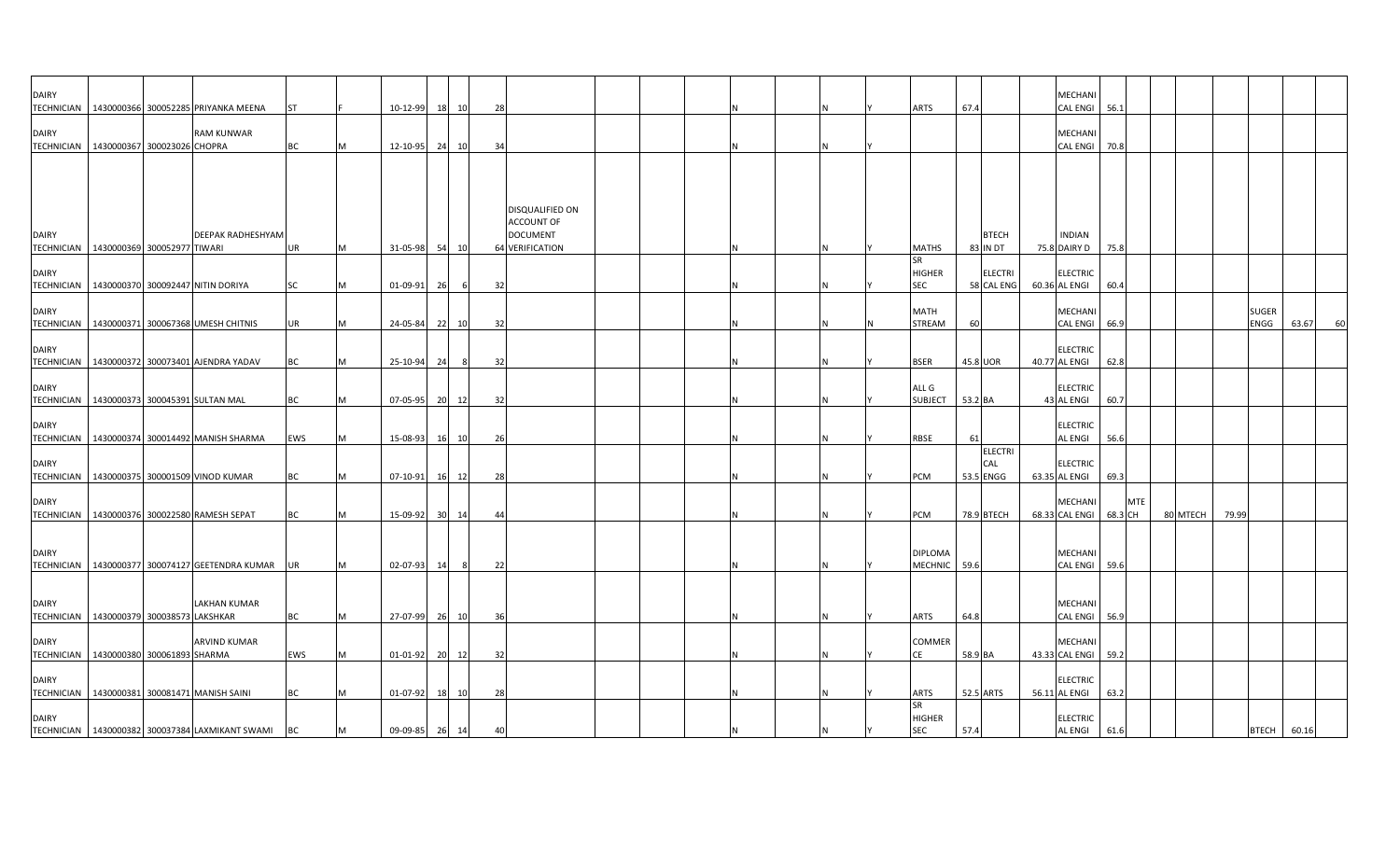| <b>DAIRY</b> |                                              | TECHNICIAN 1430000366 300052285 PRIYANKA MEENA    | <b>ST</b> |          | 10-12-99       |                 | 18 10 | 28 |                                      |   |  | <b>ARTS</b>                              | 67.4      |                                    | <b>MECHANI</b><br><b>CAL ENGI</b> | 56.1    |            |          |       |                      |       |    |
|--------------|----------------------------------------------|---------------------------------------------------|-----------|----------|----------------|-----------------|-------|----|--------------------------------------|---|--|------------------------------------------|-----------|------------------------------------|-----------------------------------|---------|------------|----------|-------|----------------------|-------|----|
| <b>DAIRY</b> |                                              | <b>RAM KUNWAR</b>                                 |           |          |                |                 |       |    |                                      |   |  |                                          |           |                                    | MECHANI                           |         |            |          |       |                      |       |    |
|              | TECHNICIAN   1430000367 300023026 CHOPRA     |                                                   | <b>BC</b> |          | 12-10-95       | 24              | 10    | 34 |                                      |   |  |                                          |           |                                    | <b>CAL ENGI</b>                   | 70.8    |            |          |       |                      |       |    |
|              |                                              |                                                   |           |          |                |                 |       |    | DISQUALIFIED ON                      |   |  |                                          |           |                                    |                                   |         |            |          |       |                      |       |    |
| <b>DAIRY</b> |                                              | DEEPAK RADHESHYAM                                 |           |          |                |                 |       |    | <b>ACCOUNT OF</b><br><b>DOCUMENT</b> |   |  |                                          |           | <b>BTECH</b>                       | <b>INDIAN</b>                     |         |            |          |       |                      |       |    |
|              | TECHNICIAN 1430000369 300052977 TIWARI       |                                                   | UR        | <b>M</b> | 31-05-98       | 54              | 10    |    | <b>64 VERIFICATION</b>               | N |  | <b>MATHS</b>                             |           | <b>83 IN DT</b>                    | 75.8 DAIRY D                      | 75.8    |            |          |       |                      |       |    |
| <b>DAIRY</b> |                                              |                                                   |           |          |                |                 |       |    |                                      |   |  | <b>SR</b><br><b>HIGHER</b>               |           | <b>ELECTRI</b>                     | <b>ELECTRIC</b>                   |         |            |          |       |                      |       |    |
|              |                                              | TECHNICIAN 1430000370 300092447 NITIN DORIYA      | SC        |          | 01-09-91       | 26              | - 6   | 32 |                                      |   |  | SEC                                      |           | 58 CAL ENG                         | 60.36 AL ENGI                     | 60.4    |            |          |       |                      |       |    |
| <b>DAIRY</b> |                                              | TECHNICIAN 1430000371 300067368 UMESH CHITNIS     | UR        |          | 24-05-84       |                 | 22 10 | 32 |                                      |   |  | <b>MATH</b><br>STREAM                    | 60        |                                    | <b>MECHANI</b><br><b>CAL ENGI</b> | 66.9    |            |          |       | <b>SUGER</b><br>ENGG | 63.67 | 60 |
|              |                                              |                                                   |           |          |                |                 |       |    |                                      |   |  |                                          |           |                                    |                                   |         |            |          |       |                      |       |    |
| <b>DAIRY</b> |                                              | TECHNICIAN   1430000372 300073401 AJENDRA YADAV   | <b>BC</b> | M        | 25-10-94       | 24              | 8     | 32 |                                      |   |  | <b>BSER</b>                              | 45.8 UOR  |                                    | <b>ELECTRIC</b><br>40.77 AL ENGI  | 62.8    |            |          |       |                      |       |    |
| <b>DAIRY</b> | TECHNICIAN   1430000373 300045391 SULTAN MAL |                                                   | <b>BC</b> | <b>M</b> | 07-05-95       |                 | 20 12 | 32 |                                      |   |  | ALL G<br><b>SUBJECT</b>                  | 53.2 BA   |                                    | <b>ELECTRIC</b><br>43 AL ENGI     | 60.7    |            |          |       |                      |       |    |
| <b>DAIRY</b> |                                              |                                                   |           |          |                |                 |       |    |                                      |   |  |                                          |           |                                    | <b>ELECTRIC</b>                   |         |            |          |       |                      |       |    |
|              |                                              | TECHNICIAN 1430000374 300014492 MANISH SHARMA     | EWS       | M        | 15-08-93       |                 | 16 10 | 26 |                                      |   |  | <b>RBSE</b>                              | 61        |                                    | <b>AL ENGI</b>                    | 56.6    |            |          |       |                      |       |    |
| <b>DAIRY</b> |                                              | TECHNICIAN 1430000375 300001509 VINOD KUMAR       | BC        | M        | 07-10-91       |                 | 16 12 | 28 |                                      | N |  | <b>PCM</b>                               |           | <b>ELECTRI</b><br>CAL<br>53.5 ENGG | <b>ELECTRIC</b><br>63.35 AL ENGI  | 69.3    |            |          |       |                      |       |    |
| <b>DAIRY</b> |                                              | TECHNICIAN 1430000376 300022580 RAMESH SEPAT      | <b>BC</b> | IM.      | 15-09-92       | 30 <sup>1</sup> | 14    | 44 |                                      |   |  | <b>PCM</b>                               |           | 78.9 BTECH                         | <b>MECHANI</b><br>68.33 CAL ENGI  | 68.3 CH | <b>MTE</b> | 80 MTECH | 79.99 |                      |       |    |
|              |                                              |                                                   |           |          |                |                 |       |    |                                      |   |  |                                          |           |                                    |                                   |         |            |          |       |                      |       |    |
| <b>DAIRY</b> |                                              | TECHNICIAN   1430000377 300074127 GEETENDRA KUMAR | UR        |          | 02-07-93       | 14              | 8     | 22 |                                      |   |  | <b>DIPLOMA</b><br>MECHNIC 59.6           |           |                                    | <b>MECHANI</b><br><b>CAL ENGI</b> | 59.6    |            |          |       |                      |       |    |
| <b>DAIRY</b> |                                              | <b>LAKHAN KUMAR</b>                               |           |          |                |                 |       |    |                                      |   |  |                                          |           |                                    | <b>MECHANI</b>                    |         |            |          |       |                      |       |    |
|              | TECHNICIAN 1430000379 300038573 LAKSHKAR     |                                                   | <b>BC</b> | M        | 27-07-99       |                 | 26 10 | 36 |                                      |   |  | ARTS                                     | 64.8      |                                    | <b>CAL ENGI</b>                   | 56.9    |            |          |       |                      |       |    |
| <b>DAIRY</b> | TECHNICIAN 1430000380 300061893 SHARMA       | <b>ARVIND KUMAR</b>                               | EWS       | <b>M</b> | 01-01-92       |                 | 20 12 | 32 |                                      | N |  | <b>COMMER</b><br><b>CE</b>               | 58.9 BA   |                                    | <b>MECHANI</b><br>43.33 CAL ENGI  | 59.2    |            |          |       |                      |       |    |
| <b>DAIRY</b> |                                              |                                                   |           |          |                |                 |       |    |                                      |   |  |                                          |           |                                    | <b>ELECTRIC</b>                   |         |            |          |       |                      |       |    |
|              |                                              | TECHNICIAN   1430000381 300081471 MANISH SAINI    | <b>BC</b> | M        | $01-07-92$     |                 | 18 10 | 28 |                                      | N |  | <b>ARTS</b>                              | 52.5 ARTS |                                    | 56.11 AL ENGI                     | 63.2    |            |          |       |                      |       |    |
| <b>DAIRY</b> |                                              | TECHNICIAN 1430000382 300037384 LAXMIKANT SWAMI   | <b>BC</b> | M        | 09-09-85 26 14 |                 |       | 40 |                                      |   |  | <b>SR</b><br><b>HIGHER</b><br><b>SEC</b> | 57.4      |                                    | <b>ELECTRIC</b><br><b>AL ENGI</b> | 61.6    |            |          |       | <b>BTECH</b>         | 60.16 |    |
|              |                                              |                                                   |           |          |                |                 |       |    |                                      |   |  |                                          |           |                                    |                                   |         |            |          |       |                      |       |    |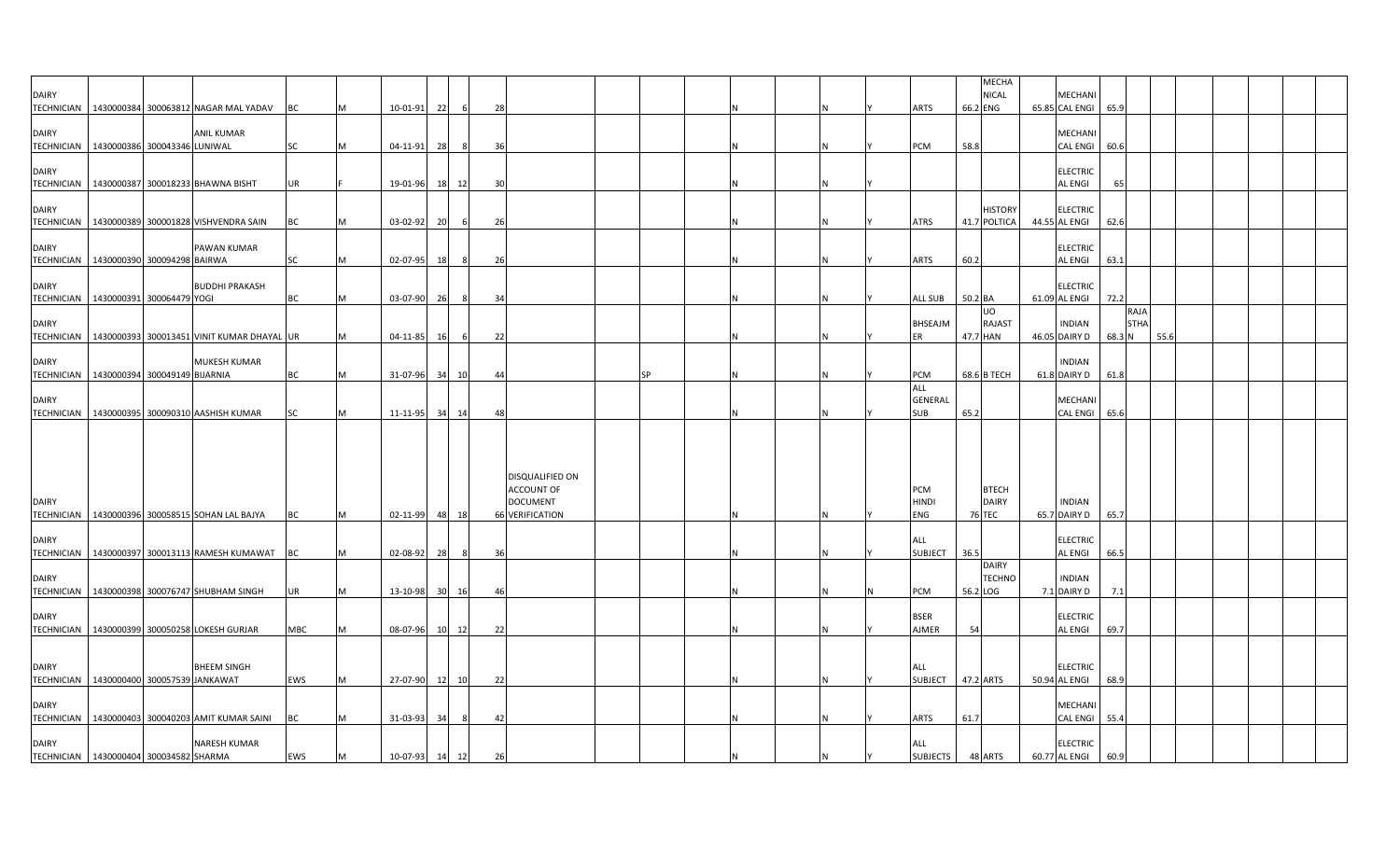| <b>DAIRY</b>                                               |                           | TECHNICIAN   1430000384 300063812 NAGAR MAL YADAV       | ВC        | M        | 10-01-91       | 22 | 6   | 28 |                                                  |           |  |     | ARTS                                | 66.2 ENG      | <b>MECHA</b><br><b>NICAL</b>   | MECHANI<br>65.85 CAL ENGI 65.9   |                               |      |  |  |
|------------------------------------------------------------|---------------------------|---------------------------------------------------------|-----------|----------|----------------|----|-----|----|--------------------------------------------------|-----------|--|-----|-------------------------------------|---------------|--------------------------------|----------------------------------|-------------------------------|------|--|--|
| <b>DAIRY</b><br>TECHNICIAN 1430000386 300043346 LUNIWAL    |                           | <b>ANIL KUMAR</b>                                       | <b>SC</b> | M        | 04-11-91       | 28 | -8  | 36 |                                                  |           |  |     | <b>PCM</b>                          | 58.8          |                                | MECHAN<br>CAL ENGI               | 60.6                          |      |  |  |
| <b>DAIRY</b>                                               |                           | TECHNICIAN 1430000387 300018233 BHAWNA BISHT            | UR        |          | 19-01-96       | 18 | 12  | 30 |                                                  |           |  |     |                                     |               |                                | <b>ELECTRIC</b><br>AL ENGI       | 65                            |      |  |  |
| <b>DAIRY</b>                                               |                           | TECHNICIAN   1430000389 300001828 VISHVENDRA SAIN       | ВC        |          | 03-02-92       | 20 | 6   | 26 |                                                  |           |  |     | ATRS                                |               | <b>HISTORY</b><br>41.7 POLTICA | <b>ELECTRIC</b><br>44.55 AL ENGI | 62.6                          |      |  |  |
| <b>DAIRY</b><br>TECHNICIAN   1430000390 300094298 BAIRWA   |                           | PAWAN KUMAR                                             | <b>SC</b> | M        | 02-07-95       | 18 | - 8 | 26 |                                                  |           |  | N   | <b>ARTS</b>                         | 60.2          |                                | <b>ELECTRIC</b><br>AL ENGI       | 63.1                          |      |  |  |
| <b>DAIRY</b><br><b>TECHNICIAN</b>                          | 1430000391 300064479 YOGI | <b>BUDDHI PRAKASH</b>                                   | BC        | M        | 03-07-90 26    |    | 8   | 34 |                                                  |           |  | ΙN  | ALL SUB                             | 50.2 BA       |                                | <b>ELECTRIC</b><br>61.09 AL ENGI | 72.2                          |      |  |  |
| <b>DAIRY</b>                                               |                           | TECHNICIAN   1430000393 300013451 VINIT KUMAR DHAYAL UR |           |          | 04-11-85       | 16 | 6   | 22 |                                                  |           |  |     | BHSEAJM<br>ER                       | 47.7 HAN      | UO<br><b>RAJAST</b>            | <b>INDIAN</b><br>46.05 DAIRY D   | RAJA<br><b>STHA</b><br>68.3 N | 55.6 |  |  |
| <b>DAIRY</b><br>TECHNICIAN   1430000394 300049149 BIJARNIA |                           | MUKESH KUMAR                                            | BC        | M        | 31-07-96 34    |    | 10  | 44 |                                                  | <b>SP</b> |  |     | <b>PCM</b>                          |               | 68.6 B TECH                    | <b>INDIAN</b><br>61.8 DAIRY D    | 61.8                          |      |  |  |
| <b>DAIRY</b>                                               |                           | TECHNICIAN   1430000395 300090310 AASHISH KUMAR         | <b>SC</b> | M        | 11-11-95 34    |    | 14  | 48 |                                                  |           |  |     | ALL<br><b>GENERAL</b><br><b>SUB</b> | 65.2          |                                | MECHAN<br><b>CAL ENGI</b>        | 65.6                          |      |  |  |
|                                                            |                           |                                                         |           |          |                |    |     |    | DISQUALIFIED ON                                  |           |  |     |                                     |               |                                |                                  |                               |      |  |  |
| <b>DAIRY</b>                                               |                           | TECHNICIAN 1430000396 300058515 SOHAN LAL BAJYA         | <b>BC</b> | IM.      | 02-11-99       | 48 | 18  |    | ACCOUNT OF<br><b>DOCUMENT</b><br>66 VERIFICATION |           |  |     | <b>PCM</b><br><b>HINDI</b><br>ENG   | <b>76 TEC</b> | <b>BTECH</b><br><b>DAIRY</b>   | <b>INDIAN</b><br>65.7 DAIRY D    | 65.7                          |      |  |  |
| <b>DAIRY</b>                                               |                           | TECHNICIAN 1430000397 300013113 RAMESH KUMAWAT          | ВC        |          | 02-08-92       | 28 | 8   | 36 |                                                  |           |  |     | <b>ALL</b><br><b>SUBJECT</b>        | 36.5          |                                | <b>ELECTRIC</b><br>AL ENGI       | 66.5                          |      |  |  |
| <b>DAIRY</b>                                               |                           | TECHNICIAN 1430000398 300076747 SHUBHAM SINGH           | UR        | M        | 13-10-98 30    |    | 16  | 46 |                                                  |           |  |     | PCM                                 | 56.2 LOG      | <b>DAIRY</b><br><b>TECHNO</b>  | <b>INDIAN</b><br>7.1 DAIRY D     | 7.1                           |      |  |  |
| <b>DAIRY</b><br><b>TECHNICIAN</b>                          |                           | 1430000399 300050258 LOKESH GURJAR                      | MBC       | <b>M</b> | 08-07-96 10 12 |    |     | 22 |                                                  |           |  | IN. | <b>BSER</b><br><b>AJMER</b>         | 54            |                                | <b>ELECTRIC</b><br>AL ENGI       | 69.7                          |      |  |  |
| <b>DAIRY</b><br>TECHNICIAN 1430000400 300057539 JANKAWAT   |                           | <b>BHEEM SINGH</b>                                      | EWS       | IM.      | 27-07-90       | 12 | 10  | 22 |                                                  |           |  |     | ALL<br>SUBJECT 47.2 ARTS            |               |                                | <b>ELECTRIC</b><br>50.94 AL ENGI | 68.9                          |      |  |  |
| <b>DAIRY</b>                                               |                           | TECHNICIAN 1430000403 300040203 AMIT KUMAR SAINI        | <b>BC</b> | M        | 31-03-93       | 34 | - 8 | 42 |                                                  |           |  |     | <b>ARTS</b>                         | 61.7          |                                | MECHANI<br><b>CAL ENGI</b>       | 55.4                          |      |  |  |
| <b>DAIRY</b><br>TECHNICIAN 1430000404 300034582 SHARMA     |                           | NARESH KUMAR                                            | EWS       | M        | 10-07-93 14 12 |    |     | 26 |                                                  |           |  |     | ALL<br>SUBJECTS                     |               | 48 ARTS                        | <b>ELECTRIC</b><br>60.77 AL ENGI | 60.9                          |      |  |  |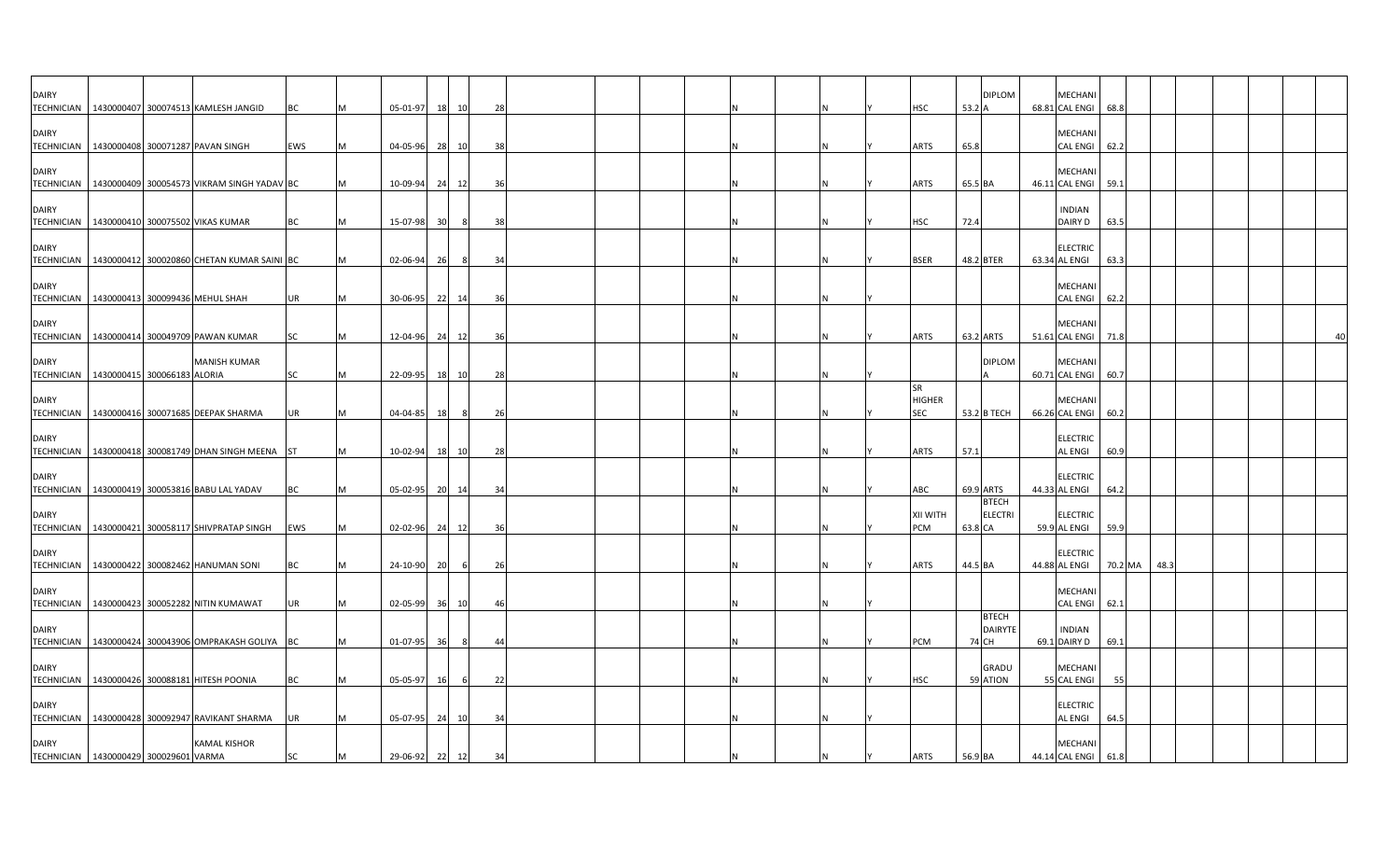| <b>DAIRY</b>                      | TECHNICIAN   1430000407 300074513 KAMLESH JANGID                | BC        |   | 05-01-97       | 18 10 |     | 28             |  |  |  |  | HSC                               | 53.2 A      | <b>DIPLOM</b>                  | <b>MECHAN</b><br>68.81 CAL ENGI 68.8 |         |      |  |  |
|-----------------------------------|-----------------------------------------------------------------|-----------|---|----------------|-------|-----|----------------|--|--|--|--|-----------------------------------|-------------|--------------------------------|--------------------------------------|---------|------|--|--|
| <b>DAIRY</b>                      | TECHNICIAN 1430000408 300071287 PAVAN SINGH                     | EWS       |   | 04-05-96       | 28    | 10  | 38             |  |  |  |  | <b>ARTS</b>                       | 65.8        |                                | <b>MECHAN</b><br><b>CAL ENGI</b>     | 62.2    |      |  |  |
| <b>DAIRY</b>                      | TECHNICIAN   1430000409 300054573 VIKRAM SINGH YADAV BC         |           |   | 10-09-94       | 24    | 12  | 36             |  |  |  |  | <b>ARTS</b>                       | 65.5 BA     |                                | <b>MECHANI</b><br>46.11 CAL ENGI     | 59.1    |      |  |  |
| <b>DAIRY</b>                      | TECHNICIAN   1430000410 300075502 VIKAS KUMAR                   | ВC        |   | 15-07-98       | 30    | -8  | 38             |  |  |  |  | HSC                               | 72.4        |                                | <b>INDIAN</b><br>DAIRY D             | 63.5    |      |  |  |
| <b>DAIRY</b>                      | TECHNICIAN   1430000412 300020860 CHETAN KUMAR SAINI BC         |           |   | 02-06-94       | 26    | - 8 | 34             |  |  |  |  | <b>BSER</b>                       | 48.2 BTER   |                                | <b>ELECTRIC</b><br>63.34 AL ENGI     | 63.3    |      |  |  |
| <b>DAIRY</b>                      | TECHNICIAN 1430000413 300099436 MEHUL SHAH                      | UR        |   | 30-06-95       | 22 14 |     | 36             |  |  |  |  |                                   |             |                                | <b>MECHANI</b><br><b>CAL ENGI</b>    | 62.2    |      |  |  |
| <b>DAIRY</b>                      | TECHNICIAN   1430000414 300049709 PAWAN KUMAR                   | SC        |   | 12-04-96 24 12 |       |     | 36             |  |  |  |  | <b>ARTS</b>                       | 63.2 ARTS   |                                | <b>MECHAN</b><br>51.61 CAL ENGI      | 71.8    |      |  |  |
| <b>DAIRY</b>                      | <b>MANISH KUMAR</b><br>TECHNICIAN   1430000415 300066183 ALORIA | <b>SC</b> | M | 22-09-95 18 10 |       |     | 28             |  |  |  |  |                                   |             | <b>DIPLOM</b>                  | <b>MECHAN</b><br>60.71 CAL ENGI 60.7 |         |      |  |  |
| <b>DAIRY</b>                      | TECHNICIAN   1430000416 300071685 DEEPAK SHARMA                 | UR        |   | 04-04-85       | 18    | -8  | 26             |  |  |  |  | <b>SR</b><br><b>HIGHER</b><br>SEC | 53.2 B TECH |                                | <b>MECHAN</b><br>66.26 CAL ENGI      | 60.2    |      |  |  |
| <b>DAIRY</b>                      | TECHNICIAN   1430000418 300081749 DHAN SINGH MEENA ST           |           |   | 10-02-94       | 18    | 10  | 28             |  |  |  |  | ARTS                              | 57.1        |                                | <b>ELECTRIC</b><br><b>AL ENGI</b>    | 60.9    |      |  |  |
| <b>DAIRY</b>                      | TECHNICIAN   1430000419 300053816 BABU LAL YADAV                | ВC        |   | 05-02-95 20 14 |       |     | 3 <sup>i</sup> |  |  |  |  | ABC                               | 69.9 ARTS   |                                | <b>ELECTRIC</b><br>44.33 AL ENGI     | 64.2    |      |  |  |
| <b>DAIRY</b><br><b>TECHNICIAN</b> | 1430000421 300058117 SHIVPRATAP SINGH                           | EWS       |   | 02-02-96       | 24    | 12  | 36             |  |  |  |  | HTIW IIX<br>PCM                   | 63.8 CA     | <b>BTECH</b><br><b>ELECTRI</b> | <b>ELECTRIC</b><br>59.9 AL ENGI      | 59.9    |      |  |  |
| <b>DAIRY</b><br><b>TECHNICIAN</b> | 1430000422 300082462 HANUMAN SONI                               | BC        |   | 24-10-90       | 20    | - 6 | 26             |  |  |  |  | <b>ARTS</b>                       | 44.5 BA     |                                | <b>ELECTRIC</b><br>44.88 AL ENGI     | 70.2 MA | 48.3 |  |  |
| <b>DAIRY</b>                      | TECHNICIAN 1430000423 300052282 NITIN KUMAWAT                   | UR        |   | 02-05-99       | 36 10 |     | $\Delta$       |  |  |  |  |                                   |             |                                | <b>MECHAN</b><br>CAL ENGI 62.1       |         |      |  |  |
| <b>DAIRY</b>                      | TECHNICIAN   1430000424 300043906 OMPRAKASH GOLIYA   BC         |           |   | $01-07-95$     | 36    |     | 44             |  |  |  |  | <b>PCM</b>                        | 74 CH       | <b>BTECH</b><br><b>DAIRYTE</b> | <b>INDIAN</b><br>69.1 DAIRY D        | 69.1    |      |  |  |
| <b>DAIRY</b>                      | TECHNICIAN   1430000426 300088181 HITESH POONIA                 | BC        |   | 05-05-97       | 16    |     | 22             |  |  |  |  | <b>HSC</b>                        | 59 ATION    | GRADU                          | <b>MECHANI</b><br>55 CAL ENGI        | 55      |      |  |  |
| <b>DAIRY</b>                      | TECHNICIAN   1430000428 300092947 RAVIKANT SHARMA               | UR        |   | 05-07-95 24 10 |       |     | 34             |  |  |  |  |                                   |             |                                | <b>ELECTRIC</b><br><b>AL ENGI</b>    | 64.5    |      |  |  |
| <b>DAIRY</b>                      | <b>KAMAL KISHOR</b><br>TECHNICIAN 1430000429 300029601 VARMA    | SC        |   | 29-06-92 22 12 |       |     | 34             |  |  |  |  | <b>ARTS</b>                       | 56.9 BA     |                                | MECHANI<br>44.14 CAL ENGI 61.8       |         |      |  |  |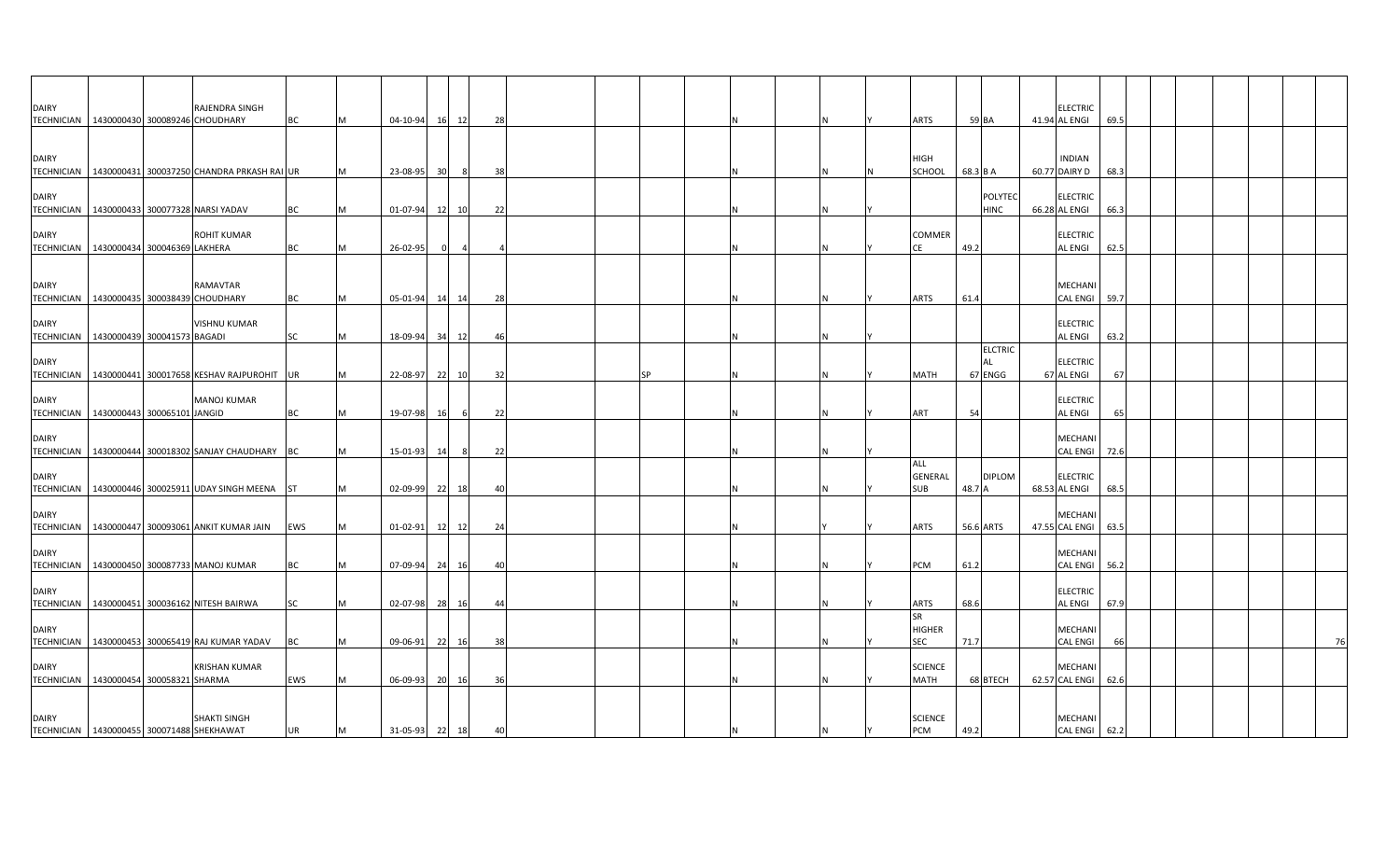| <b>DAIRY</b>                                              |  | RAJENDRA SINGH                                          |           |           |                |    |                |     |  |    |  |     |                              |          |                                        | <b>ELECTRIC</b>                  |      |  |  |    |
|-----------------------------------------------------------|--|---------------------------------------------------------|-----------|-----------|----------------|----|----------------|-----|--|----|--|-----|------------------------------|----------|----------------------------------------|----------------------------------|------|--|--|----|
| TECHNICIAN   1430000430 300089246 CHOUDHARY               |  |                                                         | <b>BC</b> | M         | 04-10-94       |    | 16 12          | 28  |  |    |  | N   | <b>ARTS</b>                  | 59 BA    |                                        | 41.94 AL ENGI                    | 69.5 |  |  |    |
| <b>DAIRY</b>                                              |  | TECHNICIAN   1430000431 300037250 CHANDRA PRKASH RAI UR |           | M         | 23-08-95       | 30 | 8 <sup>1</sup> | 38  |  |    |  | N   | HIGH<br>SCHOOL               | 68.3 B A |                                        | <b>INDIAN</b><br>60.77 DAIRY D   | 68.3 |  |  |    |
| <b>DAIRY</b>                                              |  | TECHNICIAN   1430000433 300077328 NARSI YADAV           | <b>BC</b> | M         | 01-07-94       | 12 | 10             | 22  |  |    |  |     |                              |          | <b>POLYTEC</b><br><b>HINC</b>          | <b>ELECTRIC</b><br>66.28 AL ENGI | 66.3 |  |  |    |
| <b>DAIRY</b><br>TECHNICIAN   1430000434 300046369 LAKHERA |  | <b>ROHIT KUMAR</b>                                      | BC        | M         | 26-02-95       |    |                |     |  |    |  | N   | <b>COMMER</b><br>СE          | 49.2     |                                        | <b>ELECTRIC</b><br>AL ENGI       | 62.5 |  |  |    |
| <b>DAIRY</b><br>TECHNICIAN 1430000435 300038439 CHOUDHARY |  | RAMAVTAR                                                | <b>BC</b> |           | 05-01-94       |    | 14 14          | -28 |  |    |  |     | <b>ARTS</b>                  | 61.4     |                                        | MECHANI<br><b>CAL ENGI</b>       | 59.7 |  |  |    |
| <b>DAIRY</b><br>TECHNICIAN   1430000439 300041573 BAGADI  |  | <b>VISHNU KUMAR</b>                                     | <b>SC</b> | <b>M</b>  | 18-09-94       |    | 34 12          | -46 |  |    |  | N   |                              |          |                                        | <b>ELECTRIC</b><br>AL ENGI       | 63.2 |  |  |    |
| <b>DAIRY</b>                                              |  | TECHNICIAN   1430000441 300017658 KESHAV RAJPUROHIT UR  |           | M         | 22-08-97       |    | 22 10          | 32  |  | ςp |  |     | <b>MATH</b>                  |          | <b>ELCTRIC</b><br><b>AL</b><br>67 ENGG | <b>ELECTRIC</b><br>67 AL ENGI    | 67   |  |  |    |
| <b>DAIRY</b><br>TECHNICIAN   1430000443 300065101 JANGID  |  | <b>MANOJ KUMAR</b>                                      | <b>BC</b> | M         | 19-07-98       | 16 | - 6            | 22  |  |    |  | N   | ART                          | 54       |                                        | <b>ELECTRIC</b><br>AL ENGI       | 65   |  |  |    |
| <b>DAIRY</b>                                              |  | TECHNICIAN 1430000444 300018302 SANJAY CHAUDHARY BC     |           | M         | 15-01-93       | 14 | 8              | 22  |  |    |  | N   |                              |          |                                        | MECHANI<br><b>CAL ENGI</b>       | 72.6 |  |  |    |
| <b>DAIRY</b>                                              |  | TECHNICIAN   1430000446 300025911 UDAY SINGH MEENA ST   |           | <b>IM</b> | 02-09-99       |    | 22 18          | 40  |  |    |  |     | ALL<br>GENERAL<br><b>SUB</b> | 48.7 A   | <b>DIPLOM</b>                          | <b>ELECTRIC</b><br>68.53 AL ENGI | 68.5 |  |  |    |
| <b>DAIRY</b>                                              |  | TECHNICIAN   1430000447 300093061 ANKIT KUMAR JAIN      | EWS       | M         | 01-02-91       |    | 12 12          | 24  |  |    |  |     | <b>ARTS</b>                  |          | 56.6 ARTS                              | MECHANI<br>47.55 CAL ENGI        | 63.5 |  |  |    |
| <b>DAIRY</b>                                              |  | TECHNICIAN 1430000450 300087733 MANOJ KUMAR             | <b>BC</b> | M         | 07-09-94       |    | 24 16          | 40  |  |    |  | N   | PCM                          | 61.2     |                                        | MECHANI<br><b>CAL ENGI</b>       | 56.2 |  |  |    |
| <b>DAIRY</b>                                              |  | TECHNICIAN   1430000451 300036162 NITESH BAIRWA         | <b>SC</b> | IM.       | 02-07-98       |    | 28 16          | -44 |  |    |  | N   | ARTS                         | 68.6     |                                        | <b>ELECTRIC</b><br>AL ENGI       | 67.9 |  |  |    |
| <b>DAIRY</b>                                              |  | TECHNICIAN   1430000453 300065419 RAJ KUMAR YADAV       | <b>BC</b> | M         | 09-06-91       |    | 22 16          | 38  |  |    |  |     | SR<br><b>HIGHER</b><br>SEC   | 71.7     |                                        | MECHANI<br><b>CAL ENGI</b>       | 66   |  |  | 76 |
| <b>DAIRY</b><br>TECHNICIAN 1430000454 300058321 SHARMA    |  | <b>KRISHAN KUMAR</b>                                    | EWS       | M         | 06-09-93       |    | 20 16          | 36  |  |    |  | Ν   | <b>SCIENCE</b><br>MATH       |          | 68 BTECH                               | MECHANI<br>62.57 CAL ENGI 62.6   |      |  |  |    |
| <b>DAIRY</b><br>TECHNICIAN 1430000455 300071488 SHEKHAWAT |  | <b>SHAKTI SINGH</b>                                     | <b>UR</b> | M         | 31-05-93 22 18 |    |                | 40  |  |    |  | IN. | <b>SCIENCE</b><br><b>PCM</b> | 49.2     |                                        | MECHANI<br>CAL ENGI 62.2         |      |  |  |    |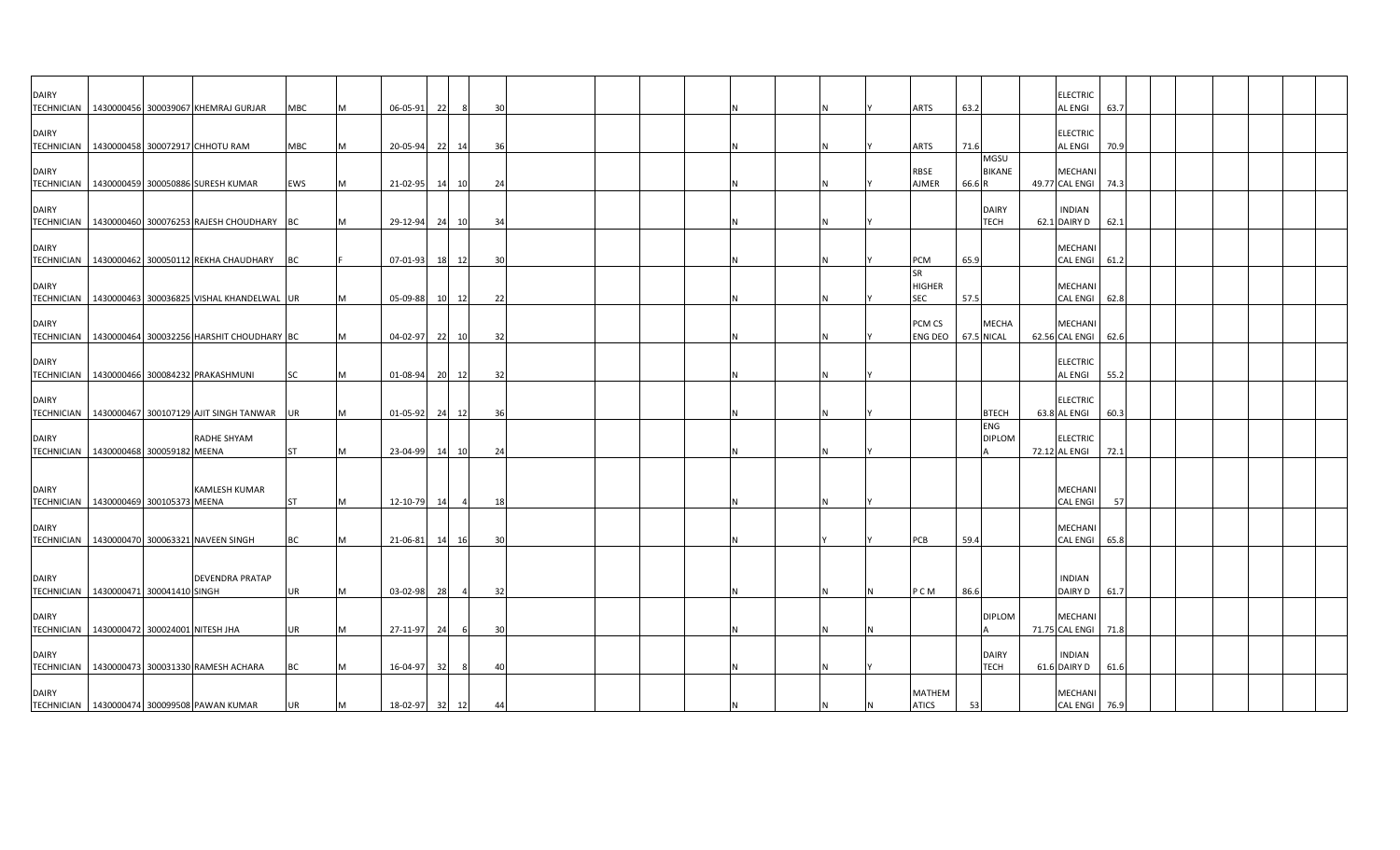| <b>DAIRY</b>                                                 |  | TECHNICIAN   1430000456 300039067 KHEMRAJ GURJAR       | MBC       | IM.       | 06-05-91       | 22 | - 8            | 30   |  |   |          | <b>ARTS</b>                       | 63.2   |                                      | <b>ELECTRIC</b><br><b>AL ENGI</b> | 63.7 |  |  |  |
|--------------------------------------------------------------|--|--------------------------------------------------------|-----------|-----------|----------------|----|----------------|------|--|---|----------|-----------------------------------|--------|--------------------------------------|-----------------------------------|------|--|--|--|
| <b>DAIRY</b>                                                 |  |                                                        |           |           |                |    |                |      |  |   |          |                                   |        |                                      | <b>ELECTRIC</b>                   |      |  |  |  |
|                                                              |  | TECHNICIAN 1430000458 300072917 CHHOTU RAM             | MBC       | M         | 20-05-94       |    | 22 14          | 36   |  |   |          | <b>ARTS</b>                       | 71.6   | MGSU                                 | <b>AL ENGI</b>                    | 70.9 |  |  |  |
| <b>DAIRY</b>                                                 |  | TECHNICIAN   1430000459 300050886 SURESH KUMAR         | EWS       | M         | 21-02-95 14 10 |    |                | 24   |  |   |          | RBSE<br>AJMER                     | 66.6 R | <b>BIKANE</b>                        | MECHANI<br>49.77 CAL ENGI 74.3    |      |  |  |  |
| <b>DAIRY</b>                                                 |  | TECHNICIAN 1430000460 300076253 RAJESH CHOUDHARY BC    |           | <b>IM</b> | 29-12-94       |    | 24 10          | 34   |  |   |          |                                   |        | <b>DAIRY</b><br><b>TECH</b>          | <b>INDIAN</b><br>62.1 DAIRY D     | 62.1 |  |  |  |
| <b>DAIRY</b>                                                 |  |                                                        |           |           |                |    |                |      |  |   |          |                                   |        |                                      | MECHANI                           |      |  |  |  |
| <b>DAIRY</b>                                                 |  | TECHNICIAN   1430000462 300050112 REKHA CHAUDHARY   BC |           |           | 07-01-93       |    | 18 12          | 30   |  |   |          | PCM<br><b>SR</b><br><b>HIGHER</b> | 65.9   |                                      | CAL ENGI<br>MECHANI               | 61.2 |  |  |  |
|                                                              |  | TECHNICIAN 1430000463 300036825 VISHAL KHANDELWAL UR   |           | M         | 05-09-88       |    | 10 12          | 22   |  |   |          | <b>SEC</b>                        | 57.5   |                                      | <b>CAL ENGI</b>                   | 62.8 |  |  |  |
| <b>DAIRY</b>                                                 |  | TECHNICIAN 1430000464 300032256 HARSHIT CHOUDHARY BC   |           | <b>M</b>  | 04-02-97       |    | 22 10          | 32   |  |   |          | PCM CS<br>ENG DEO 67.5 NICAL      |        | <b>MECHA</b>                         | MECHANI<br>62.56 CAL ENGI         | 62.6 |  |  |  |
| <b>DAIRY</b>                                                 |  | TECHNICIAN   1430000466 300084232 PRAKASHMUNI          | <b>SC</b> | IM.       | 01-08-94       |    | 20 12          | -32  |  |   |          |                                   |        |                                      | <b>ELECTRIC</b><br><b>AL ENGI</b> | 55.2 |  |  |  |
| <b>DAIRY</b>                                                 |  |                                                        |           |           |                |    |                |      |  |   |          |                                   |        |                                      | <b>ELECTRIC</b>                   |      |  |  |  |
|                                                              |  | TECHNICIAN   1430000467 300107129 AJIT SINGH TANWAR UR |           | <b>M</b>  | 01-05-92       |    | 24 12          | - 36 |  | N |          |                                   |        | <b>BTECH</b><br>ENG<br><b>DIPLOM</b> | 63.8 AL ENGI                      | 60.3 |  |  |  |
| <b>DAIRY</b><br>TECHNICIAN 1430000468 300059182 MEENA        |  | RADHE SHYAM                                            | <b>ST</b> | <b>M</b>  | 23-04-99       |    | 14 10          | 24   |  |   |          |                                   |        |                                      | <b>ELECTRIC</b><br>72.12 AL ENGI  | 72.1 |  |  |  |
| <b>DAIRY</b><br>TECHNICIAN 1430000469 300105373 MEENA        |  | <b>KAMLESH KUMAR</b>                                   | <b>ST</b> | <b>IM</b> | 12-10-79       | 14 | $\overline{4}$ | 18   |  |   |          |                                   |        |                                      | MECHANI<br><b>CAL ENGI</b>        | 57   |  |  |  |
| <b>DAIRY</b>                                                 |  | TECHNICIAN 1430000470 300063321 NAVEEN SINGH           | <b>BC</b> | <b>M</b>  | 21-06-81       |    | 14 16          | 30   |  |   |          | PCB                               | 59.4   |                                      | <b>MECHANI</b><br><b>CAL ENGI</b> | 65.8 |  |  |  |
| <b>DAIRY</b>                                                 |  | <b>DEVENDRA PRATAP</b>                                 |           |           |                |    |                |      |  |   |          |                                   |        |                                      | <b>INDIAN</b>                     |      |  |  |  |
| TECHNICIAN 1430000471 300041410 SINGH                        |  |                                                        | <b>UR</b> | <b>M</b>  | 03-02-98       | 28 | $\overline{4}$ | 32   |  |   |          | P C M                             | 86.6   |                                      | DAIRY D                           | 61.7 |  |  |  |
| <b>DAIRY</b><br>TECHNICIAN   1430000472 300024001 NITESH JHA |  |                                                        | UR        | IM.       | 27-11-97       | 24 | - 6            | 30   |  |   |          |                                   |        | <b>DIPLOM</b>                        | MECHANI<br>71.75 CAL ENGI         | 71.8 |  |  |  |
| <b>DAIRY</b>                                                 |  | TECHNICIAN   1430000473 300031330 RAMESH ACHARA        | <b>BC</b> |           | 16-04-97       | 32 |                | 40   |  |   |          |                                   |        | <b>DAIRY</b><br><b>TECH</b>          | <b>INDIAN</b><br>61.6 DAIRY D     | 61.6 |  |  |  |
| <b>DAIRY</b>                                                 |  | TECHNICIAN 1430000474 300099508 PAWAN KUMAR            | UR        | M         | 18-02-97 32 12 |    |                | 44   |  |   | <b>N</b> | MATHEM<br><b>ATICS</b>            | 53     |                                      | <b>MECHANI</b><br>CAL ENGI 76.9   |      |  |  |  |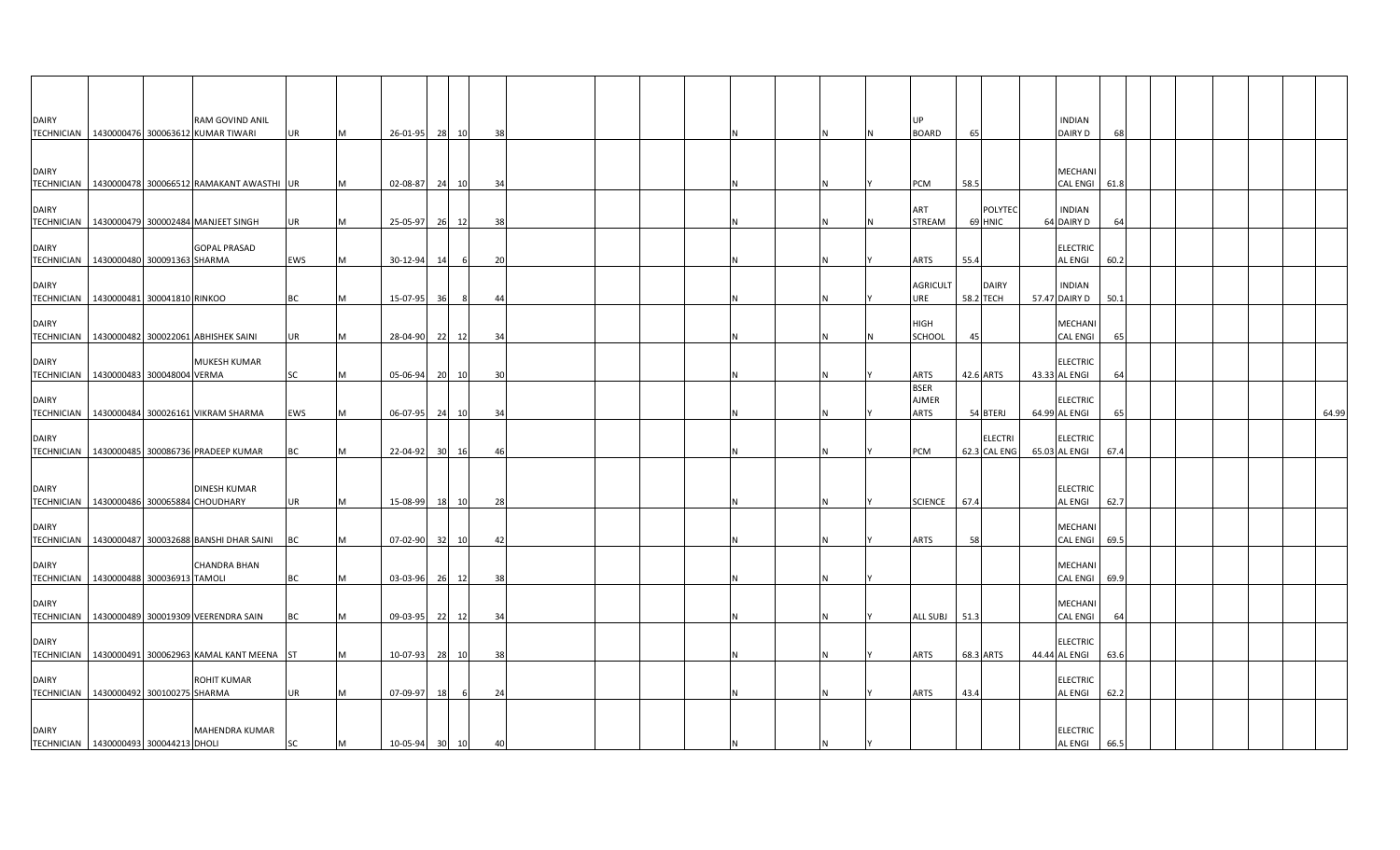| <b>DAIRY</b> | RAM GOVIND ANIL<br>TECHNICIAN 1430000476 300063612 KUMAR TIWARI    | UR        | 26-01-95 28 10 |                       |    | 38 |  |  |  | UP<br><b>BOARD</b>                         | 65        |                                | <b>INDIAN</b><br><b>DAIRY D</b>   |      |  |  |       |
|--------------|--------------------------------------------------------------------|-----------|----------------|-----------------------|----|----|--|--|--|--------------------------------------------|-----------|--------------------------------|-----------------------------------|------|--|--|-------|
| <b>DAIRY</b> | TECHNICIAN   1430000478 300066512 RAMAKANT AWASTHI UR              |           | 02-08-87       | 24                    | 10 | 34 |  |  |  | PCM                                        | 58.5      |                                | MECHANI<br>CAL ENGI 61.8          |      |  |  |       |
| <b>DAIRY</b> | TECHNICIAN   1430000479 300002484 MANJEET SINGH                    | UR        | 25-05-97       | 26 12                 |    | 38 |  |  |  | ART<br><b>STREAM</b>                       | 69 HNIC   | <b>POLYTED</b>                 | <b>INDIAN</b><br>64 DAIRY D       | 64   |  |  |       |
| <b>DAIRY</b> | <b>GOPAL PRASAD</b><br>TECHNICIAN   1430000480 300091363 SHARMA    | EWS       | 30-12-94       | 14                    | 6  | 20 |  |  |  | <b>ARTS</b>                                | 55.4      |                                | <b>ELECTRIC</b><br><b>AL ENGI</b> | 60.2 |  |  |       |
| <b>DAIRY</b> | TECHNICIAN 1430000481 300041810 RINKOO                             | <b>BC</b> | 15-07-95       | 36                    | 8  | 44 |  |  |  | <b>AGRICULT</b><br>URE                     | 58.2 TECH | <b>DAIRY</b>                   | <b>INDIAN</b><br>57.47 DAIRY D    | 50.1 |  |  |       |
| <b>DAIRY</b> | TECHNICIAN   1430000482 300022061 ABHISHEK SAINI                   | UR        | 28-04-90 22    | 12                    |    | 34 |  |  |  | <b>HIGH</b><br>SCHOOL                      | 45        |                                | <b>MECHANI</b><br><b>CAL ENGI</b> | 65   |  |  |       |
| <b>DAIRY</b> | MUKESH KUMAR<br>TECHNICIAN 1430000483 300048004 VERMA              | SC        | 05-06-94       | 20<br>10              |    | 30 |  |  |  | <b>ARTS</b>                                | 42.6 ARTS |                                | <b>ELECTRIC</b><br>43.33 AL ENGI  | 64   |  |  |       |
| <b>DAIRY</b> | TECHNICIAN 1430000484 300026161 VIKRAM SHARMA                      | EWS       | 06-07-95 24 10 |                       |    | 34 |  |  |  | <b>BSER</b><br><b>AJMER</b><br><b>ARTS</b> |           | 54 BTERJ                       | <b>ELECTRIC</b><br>64.99 AL ENGI  |      |  |  | 64.99 |
| <b>DAIRY</b> | TECHNICIAN   1430000485 300086736 PRADEEP KUMAR                    | BC        | 22-04-92 30 16 |                       |    | 46 |  |  |  | PCM                                        |           | <b>ELECTRI</b><br>62.3 CAL ENG | <b>ELECTRIC</b><br>65.03 AL ENGI  | 67.4 |  |  |       |
| <b>DAIRY</b> | <b>DINESH KUMAR</b><br>TECHNICIAN   1430000486 300065884 CHOUDHARY | UR        | 15-08-99       | 18                    | 10 | 28 |  |  |  | <b>SCIENCE</b>                             | 67.4      |                                | <b>ELECTRIC</b><br><b>AL ENGI</b> | 62.7 |  |  |       |
| <b>DAIRY</b> | TECHNICIAN   1430000487 300032688 BANSHI DHAR SAINI                | <b>BC</b> | 07-02-90 32 10 |                       |    | 42 |  |  |  | <b>ARTS</b>                                | 58        |                                | MECHANI<br><b>CAL ENGI</b>        | 69.5 |  |  |       |
| <b>DAIRY</b> | <b>CHANDRA BHAN</b><br>TECHNICIAN   1430000488 300036913 TAMOLI    | <b>BC</b> | 03-03-96 26 12 |                       |    | 38 |  |  |  |                                            |           |                                | <b>MECHANI</b><br><b>CAL ENGI</b> | 69.9 |  |  |       |
| <b>DAIRY</b> | TECHNICIAN   1430000489 300019309 VEERENDRA SAIN                   | BC        | 09-03-95 22 12 |                       |    | 34 |  |  |  | ALL SUBJ                                   | 51.3      |                                | MECHANI<br><b>CAL ENGI</b>        | 64   |  |  |       |
| <b>DAIRY</b> | TECHNICIAN   1430000491 300062963 KAMAL KANT MEENA ST              |           | 10-07-93       | 28<br>10              |    | 38 |  |  |  | <b>ARTS</b>                                | 68.3 ARTS |                                | <b>ELECTRIC</b><br>44.44 AL ENGI  | 63.6 |  |  |       |
| <b>DAIRY</b> | <b>ROHIT KUMAR</b><br>TECHNICIAN 1430000492 300100275 SHARMA       | <b>UR</b> | 07-09-97 18    |                       | 6  | 24 |  |  |  | <b>ARTS</b>                                | 43.4      |                                | <b>ELECTRIC</b><br><b>AL ENGI</b> | 62.2 |  |  |       |
| <b>DAIRY</b> | <b>MAHENDRA KUMAR</b><br>TECHNICIAN 1430000493 300044213 DHOLI     | SC        | 10-05-94       | 30 <sup>1</sup><br>10 |    |    |  |  |  |                                            |           |                                | <b>ELECTRIC</b><br><b>AL ENGI</b> | 66.5 |  |  |       |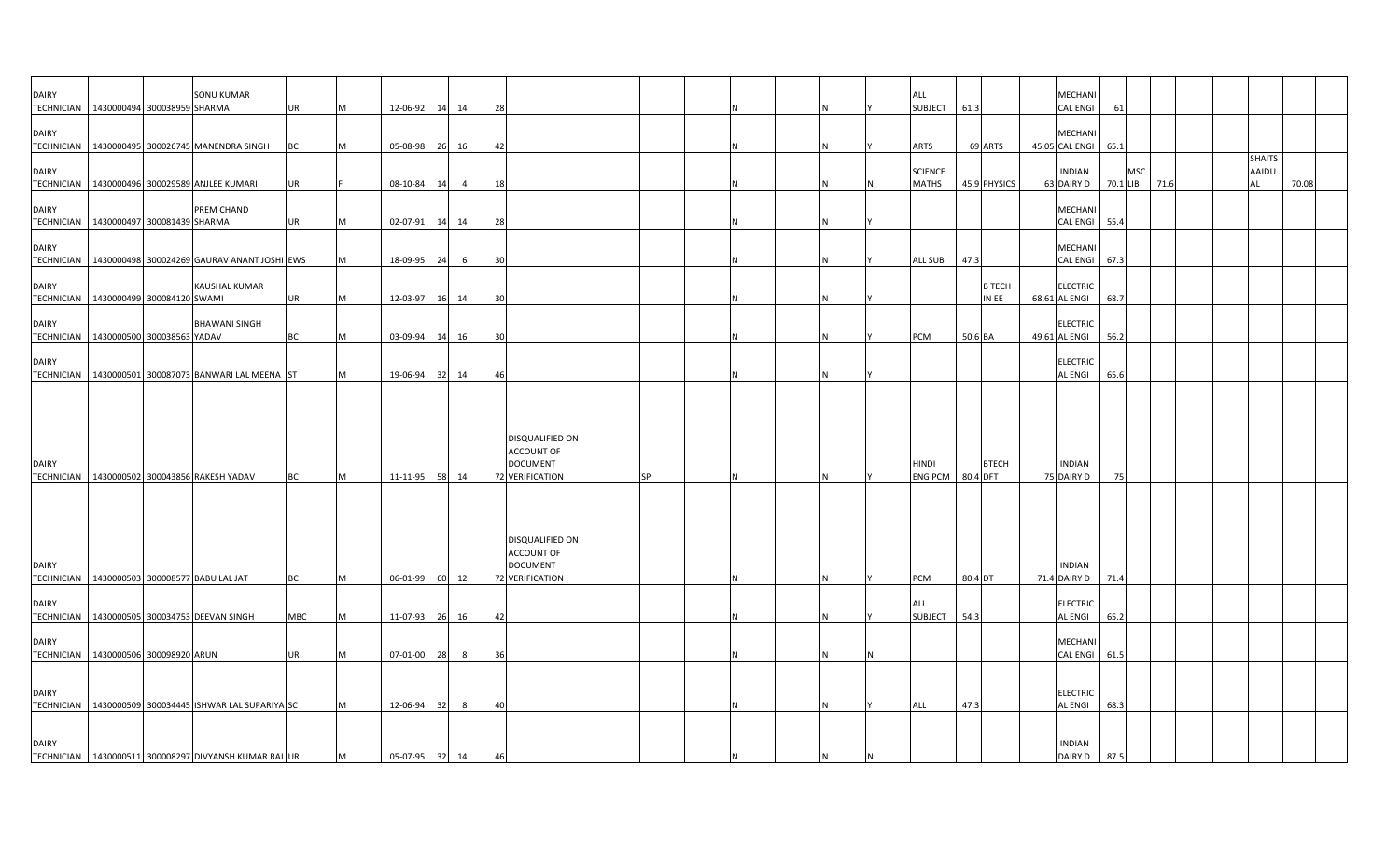| <b>DAIRY</b>                      | <b>SONU KUMAR</b><br>TECHNICIAN   1430000494 300038959 SHARMA | <b>UR</b>  | м | 12-06-92   | 14 | 14    | 28 |                                                                            |           |          |    | ALL<br><b>SUBJECT</b>              | 61.3    |                        | MECHANI<br>CAL ENGI              | -61      |     |      |  |                                     |       |  |
|-----------------------------------|---------------------------------------------------------------|------------|---|------------|----|-------|----|----------------------------------------------------------------------------|-----------|----------|----|------------------------------------|---------|------------------------|----------------------------------|----------|-----|------|--|-------------------------------------|-------|--|
| <b>DAIRY</b>                      | TECHNICIAN 1430000495 300026745 MANENDRA SINGH                | <b>BC</b>  |   | 05-08-98   | 26 | 16    | 42 |                                                                            |           |          |    | ARTS                               |         | 69 ARTS                | MECHANI<br>45.05 CAL ENGI        | 65.1     |     |      |  |                                     |       |  |
| <b>DAIRY</b>                      | TECHNICIAN   1430000496 300029589 ANJLEE KUMARI               | UR         |   | 08-10-84   | 14 |       | 18 |                                                                            |           |          |    | <b>SCIENCE</b><br><b>MATHS</b>     |         | 45.9 PHYSICS           | <b>INDIAN</b><br>63 DAIRY D      | 70.1 LIB | MSC | 71.6 |  | <b>SHAITS</b><br><b>AAIDU</b><br>AL | 70.08 |  |
| <b>DAIRY</b>                      | PREM CHAND<br>TECHNICIAN   1430000497 300081439 SHARMA        | UR         |   | 02-07-91   | 14 | 14    | 28 |                                                                            |           |          |    |                                    |         |                        | MECHANI<br>CAL ENGI              | 55.4     |     |      |  |                                     |       |  |
| <b>DAIRY</b>                      | TECHNICIAN   1430000498 300024269 GAURAV ANANT JOSHI EWS      |            |   | 18-09-95   | 24 | -6    | 30 |                                                                            |           | N        |    | <b>ALL SUB</b>                     | 47.3    |                        | MECHANI<br><b>CAL ENGI</b>       | 67.3     |     |      |  |                                     |       |  |
| <b>DAIRY</b><br><b>TECHNICIAN</b> | <b>KAUSHAL KUMAR</b><br>1430000499 300084120 SWAMI            | <b>UR</b>  | м | 12-03-97   | 16 | 14    | 30 |                                                                            |           | N        |    |                                    |         | <b>B TECH</b><br>IN EE | <b>ELECTRIC</b><br>68.61 AL ENGI | 68.7     |     |      |  |                                     |       |  |
| <b>DAIRY</b><br><b>TECHNICIAN</b> | <b>BHAWANI SINGH</b><br>1430000500 300038563 YADAV            | BC         |   | 03-09-94   | 14 | 16    | 30 |                                                                            |           |          |    | PCM                                | 50.6 BA |                        | <b>ELECTRIC</b><br>49.61 AL ENGI | 56.2     |     |      |  |                                     |       |  |
| <b>DAIRY</b>                      | TECHNICIAN   1430000501 300087073 BANWARI LAL MEENA ST        |            |   | 19-06-94   |    | 32 14 | 46 |                                                                            |           | <b>N</b> |    |                                    |         |                        | ELECTRIC<br>AL ENGI              | 65.6     |     |      |  |                                     |       |  |
| <b>DAIRY</b>                      | TECHNICIAN 1430000502 300043856 RAKESH YADAV                  | <b>BC</b>  | M | 11-11-95   | 58 | 14    |    | DISQUALIFIED ON<br><b>ACCOUNT OF</b><br><b>DOCUMENT</b><br>72 VERIFICATION | <b>SP</b> | N        |    | <b>HINDI</b><br>ENG PCM   80.4 DFT |         | <b>BTECH</b>           | <b>INDIAN</b><br>75 DAIRY D      | 75       |     |      |  |                                     |       |  |
| <b>DAIRY</b><br><b>TECHNICIAN</b> | 1430000503 300008577 BABU LAL JAT                             | BC         | M | 06-01-99   |    | 60 12 |    | DISQUALIFIED ON<br><b>ACCOUNT OF</b><br><b>DOCUMENT</b><br>72 VERIFICATION |           | N        |    | <b>PCM</b>                         | 80.4 DT |                        | <b>INDIAN</b><br>71.4 DAIRY D    | 71.4     |     |      |  |                                     |       |  |
| <b>DAIRY</b><br><b>TECHNICIAN</b> | 1430000505 300034753 DEEVAN SINGH                             | <b>MBC</b> | M | 11-07-93   | 26 | 16    | 42 |                                                                            |           |          |    | ALL<br><b>SUBJECT</b>              | 54.3    |                        | <b>ELECTRIC</b><br>AL ENGI       | 65.2     |     |      |  |                                     |       |  |
| <b>DAIRY</b>                      | TECHNICIAN   1430000506 300098920 ARUN                        | <b>UR</b>  | м | 07-01-00   | 28 | 8     | 36 |                                                                            |           |          |    |                                    |         |                        | MECHANI<br>CAL ENGI              | 61.5     |     |      |  |                                     |       |  |
| <b>DAIRY</b>                      | TECHNICIAN 1430000509 300034445 ISHWAR LAL SUPARIYA SC        |            |   | 12-06-94   | 32 | 8     | 40 |                                                                            |           | N        |    | ALL                                | 47.3    |                        | <b>ELECTRIC</b><br>AL ENGI       | 68.3     |     |      |  |                                     |       |  |
| <b>DAIRY</b>                      | TECHNICIAN   1430000511 300008297 DIVYANSH KUMAR RAI UR       |            | M | $05-07-95$ | 32 | 14    | 46 |                                                                            |           | N        | ΙN |                                    |         |                        | <b>INDIAN</b><br>DAIRY D         | 87.5     |     |      |  |                                     |       |  |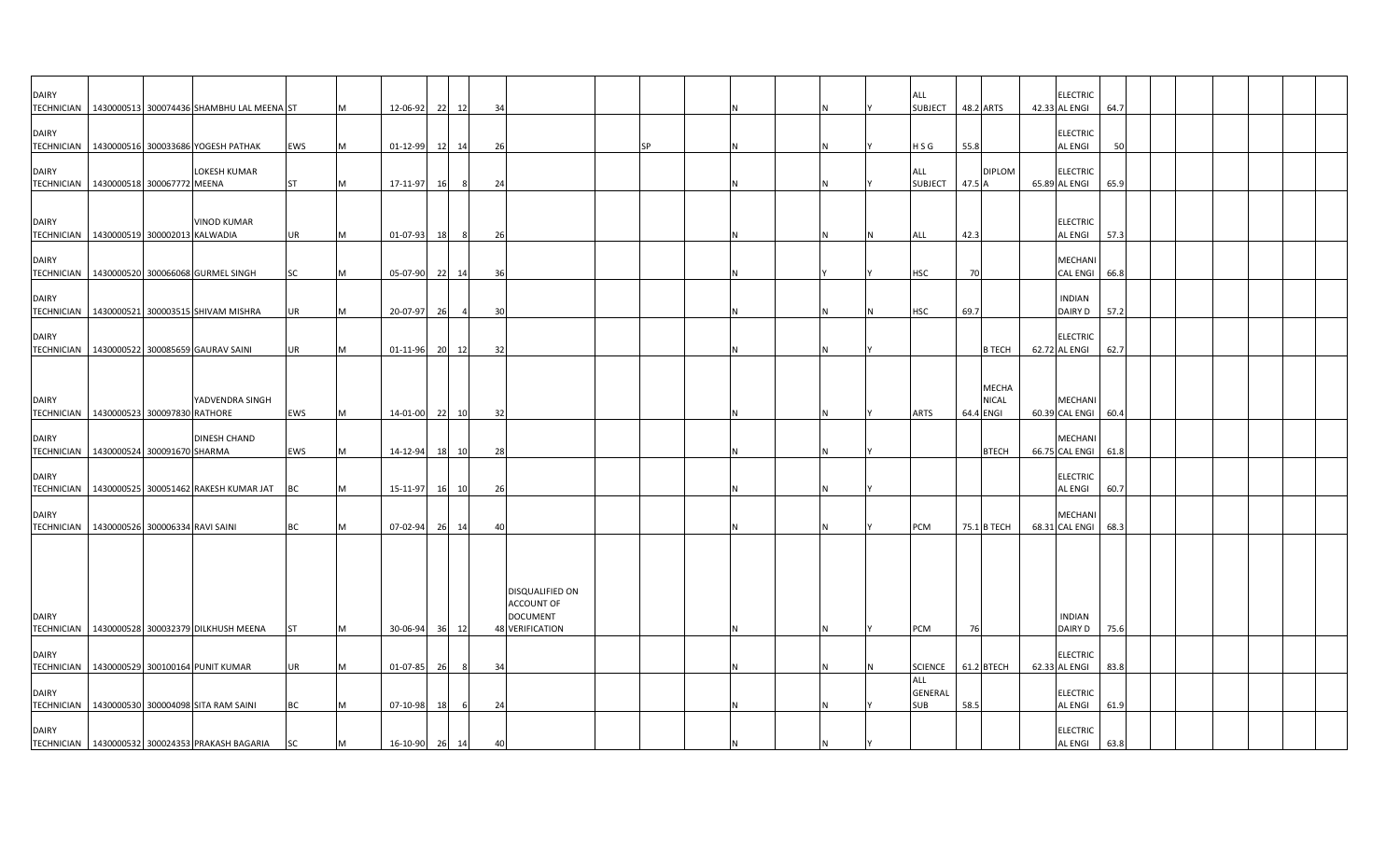| <b>DAIRY</b>                      | TECHNICIAN   1430000513 300074436 SHAMBHU LAL MEENA ST        |           |     | 12-06-92       | 22<br>12             | 34  |                                                                            |    |  |  | ALL<br><b>SUBJECT</b>                      | 48.2 ARTS   |                              | <b>ELECTRIC</b><br>42.33 AL ENGI  | 64.7 |  |  |  |
|-----------------------------------|---------------------------------------------------------------|-----------|-----|----------------|----------------------|-----|----------------------------------------------------------------------------|----|--|--|--------------------------------------------|-------------|------------------------------|-----------------------------------|------|--|--|--|
| <b>DAIRY</b>                      | TECHNICIAN   1430000516 300033686 YOGESH PATHAK               | EWS       | M   | 01-12-99       | 12 14                | 26  |                                                                            | ςp |  |  | H S G                                      | 55.8        |                              | <b>ELECTRIC</b><br><b>AL ENGI</b> | 50   |  |  |  |
| <b>DAIRY</b>                      | LOKESH KUMAR<br>TECHNICIAN   1430000518 300067772 MEENA       | <b>ST</b> | M   | 17-11-97       | 8<br>16              | 24  |                                                                            |    |  |  | ALL<br><b>SUBJECT</b>                      | 47.5 A      | <b>DIPLOM</b>                | <b>ELECTRIC</b><br>65.89 AL ENGI  | 65.9 |  |  |  |
| <b>DAIRY</b>                      | <b>VINOD KUMAR</b>                                            |           |     |                |                      |     |                                                                            |    |  |  |                                            |             |                              | <b>ELECTRIC</b>                   |      |  |  |  |
|                                   | TECHNICIAN 1430000519 300002013 KALWADIA                      | UR        |     | 01-07-93       | 18<br>-8             | 26  |                                                                            |    |  |  | ALL                                        | 42.3        |                              | <b>AL ENGI</b>                    | 57.3 |  |  |  |
| <b>DAIRY</b>                      | TECHNICIAN   1430000520 300066068 GURMEL SINGH                | SC        |     | 05-07-90 22 14 |                      | -36 |                                                                            |    |  |  | HSC                                        | 70          |                              | MECHANI<br><b>CAL ENGI</b>        | 66.8 |  |  |  |
| <b>DAIRY</b><br><b>TECHNICIAN</b> | 1430000521 300003515 SHIVAM MISHRA                            | UR        | M   | 20-07-97       | 26<br>$\overline{a}$ | 30  |                                                                            |    |  |  | <b>HSC</b>                                 | 69.7        |                              | <b>INDIAN</b><br>DAIRY D          | 57.2 |  |  |  |
| <b>DAIRY</b>                      | TECHNICIAN 1430000522 300085659 GAURAV SAINI                  | UR        |     | 01-11-96 20 12 |                      | 32  |                                                                            |    |  |  |                                            |             | <b>B TECH</b>                | <b>ELECTRIC</b><br>62.72 AL ENGI  | 62.7 |  |  |  |
|                                   |                                                               |           |     |                |                      |     |                                                                            |    |  |  |                                            |             |                              |                                   |      |  |  |  |
| <b>DAIRY</b>                      | YADVENDRA SINGH<br>TECHNICIAN 1430000523 300097830 RATHORE    | EWS       |     | 14-01-00 22 10 |                      | 32  |                                                                            |    |  |  | <b>ARTS</b>                                | 64.4 ENGI   | <b>MECHA</b><br><b>NICAL</b> | MECHANI<br>60.39 CAL ENGI 60.4    |      |  |  |  |
|                                   |                                                               |           |     |                |                      |     |                                                                            |    |  |  |                                            |             |                              |                                   |      |  |  |  |
| <b>DAIRY</b>                      | <b>DINESH CHAND</b><br>TECHNICIAN 1430000524 300091670 SHARMA | EWS       | IM. | 14-12-94       | 18<br>10             | 28  |                                                                            |    |  |  |                                            |             | <b>BTECH</b>                 | <b>MECHAN</b><br>66.75 CAL ENGI   | 61.8 |  |  |  |
|                                   |                                                               |           |     |                |                      |     |                                                                            |    |  |  |                                            |             |                              |                                   |      |  |  |  |
| <b>DAIRY</b>                      | TECHNICIAN   1430000525 300051462 RAKESH KUMAR JAT            | <b>BC</b> |     | 15-11-97       | 16 10                | 26  |                                                                            |    |  |  |                                            |             |                              | <b>ELECTRIC</b><br><b>AL ENGI</b> | 60.7 |  |  |  |
|                                   |                                                               |           |     |                |                      |     |                                                                            |    |  |  |                                            |             |                              |                                   |      |  |  |  |
| <b>DAIRY</b>                      | TECHNICIAN   1430000526 300006334 RAVI SAINI                  | <b>BC</b> |     | 07-02-94       | 26<br>14             | 4(  |                                                                            |    |  |  | PCM                                        | 75.1 B TECH |                              | <b>MECHANI</b><br>68.31 CAL ENGI  | 68.3 |  |  |  |
| <b>DAIRY</b>                      | TECHNICIAN 1430000528 300032379 DILKHUSH MEENA                | <b>ST</b> | M   | 30-06-94       | 36 12                |     | DISQUALIFIED ON<br>ACCOUNT OF<br><b>DOCUMENT</b><br><b>48 VERIFICATION</b> |    |  |  | PCM                                        | 76          |                              | <b>INDIAN</b><br>DAIRY D          | 75.6 |  |  |  |
|                                   |                                                               |           |     |                |                      |     |                                                                            |    |  |  |                                            |             |                              |                                   |      |  |  |  |
| <b>DAIRY</b>                      | TECHNICIAN 1430000529 300100164 PUNIT KUMAR                   | UR        |     | 01-07-85       | 26<br>- 8            | 34  |                                                                            |    |  |  | <b>SCIENCE</b>                             | 61.2 BTECH  |                              | <b>ELECTRIC</b><br>62.33 AL ENGI  | 83.8 |  |  |  |
| <b>DAIRY</b>                      | TECHNICIAN   1430000530 300004098 SITA RAM SAINI              | BC        |     | 07-10-98       | 18<br>6              | 24  |                                                                            |    |  |  | <b>ALL</b><br><b>GENERAL</b><br><b>SUB</b> | 58.5        |                              | <b>ELECTRIC</b><br><b>AL ENGI</b> | 61.9 |  |  |  |
| <b>DAIRY</b>                      | TECHNICIAN   1430000532 300024353 PRAKASH BAGARIA             | <b>SC</b> | M   | 16-10-90 26 14 |                      | 40  |                                                                            |    |  |  |                                            |             |                              | <b>ELECTRIC</b><br><b>AL ENGI</b> | 63.8 |  |  |  |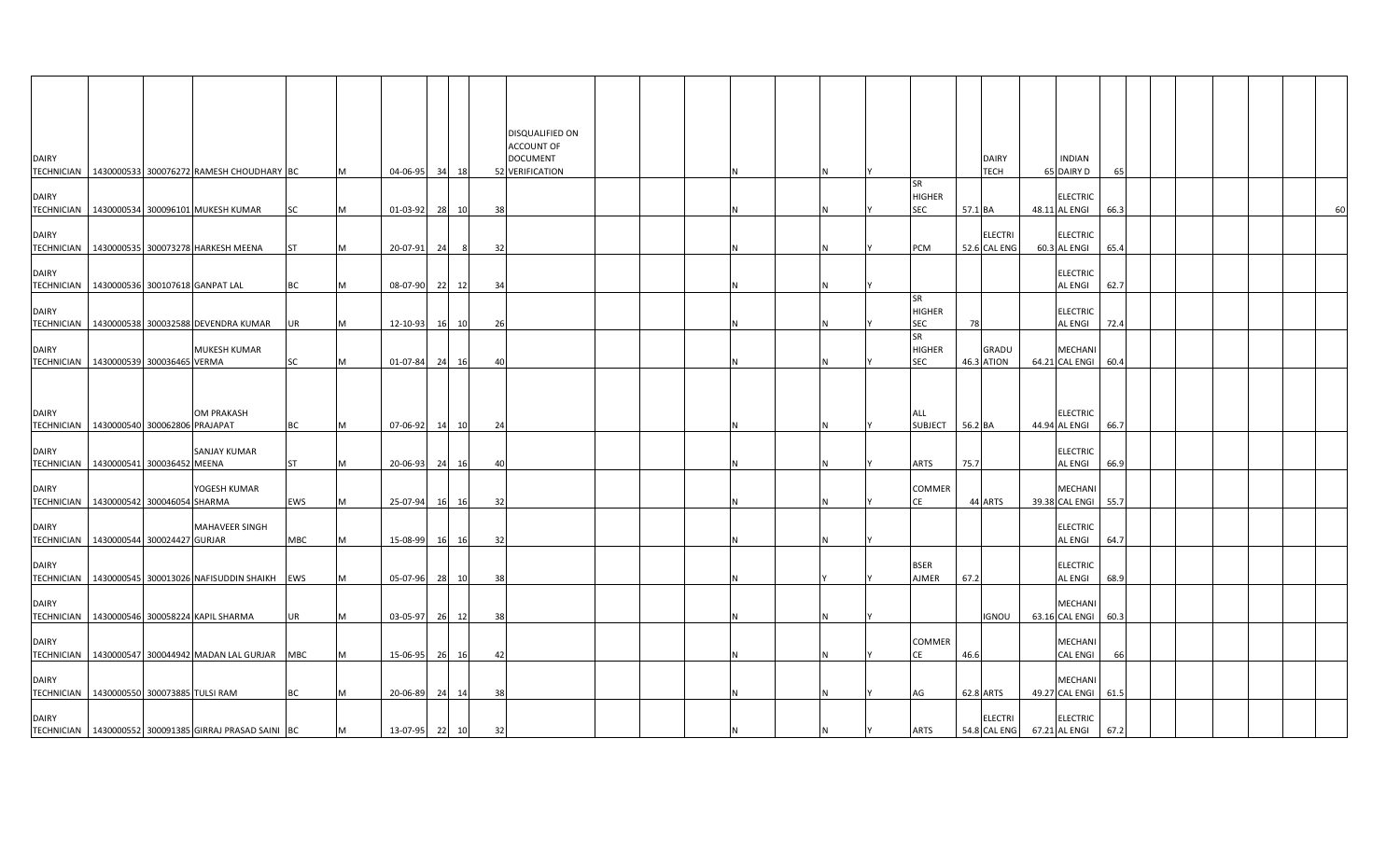| <b>DAIRY</b> | TECHNICIAN   1430000533 300076272 RAMESH CHOUDHARY BC                                 |                       |                 | M        | 04-06-95             |    | 34 18       |          | DISQUALIFIED ON<br><b>ACCOUNT OF</b><br><b>DOCUMENT</b><br>52 VERIFICATION |  |  |     |                                   |         | <b>DAIRY</b><br>TECH           | <b>INDIAN</b><br>65 DAIRY D                                 | 65 |  |    |
|--------------|---------------------------------------------------------------------------------------|-----------------------|-----------------|----------|----------------------|----|-------------|----------|----------------------------------------------------------------------------|--|--|-----|-----------------------------------|---------|--------------------------------|-------------------------------------------------------------|----|--|----|
| <b>DAIRY</b> | TECHNICIAN   1430000534 300096101 MUKESH KUMAR                                        |                       | SC              | M        | 01-03-92             |    | 28 10       | 38       |                                                                            |  |  | Ν   | <b>SR</b><br><b>HIGHER</b><br>SEC | 57.1 BA |                                | <b>ELECTRIC</b><br>48.11 AL ENGI<br>66.3                    |    |  | 60 |
| <b>DAIRY</b> | TECHNICIAN   1430000535 300073278 HARKESH MEENA                                       |                       | <b>ST</b>       | M        | 20-07-91             | 24 | - 8         | 32       |                                                                            |  |  | N   | PCM                               |         | <b>ELECTRI</b><br>52.6 CAL ENG | <b>ELECTRIC</b><br>60.3 AL ENGI<br>65.4                     |    |  |    |
| <b>DAIRY</b> | TECHNICIAN   1430000536 300107618 GANPAT LAL                                          |                       | BC              | IM.      | 08-07-90             |    | 22 12       | 34       |                                                                            |  |  |     | SR                                |         |                                | <b>ELECTRIC</b><br>62.7<br>AL ENGI                          |    |  |    |
| <b>DAIRY</b> | TECHNICIAN   1430000538 300032588 DEVENDRA KUMAR                                      |                       | UR              | M        | 12-10-93             | 16 | 10          | 26       |                                                                            |  |  |     | HIGHER<br>SEC<br><b>SR</b>        | 78      |                                | <b>ELECTRIC</b><br><b>AL ENGI</b><br>72.4                   |    |  |    |
| <b>DAIRY</b> | TECHNICIAN   1430000539 300036465 VERMA                                               | MUKESH KUMAR          | <b>SC</b>       | M        | 01-07-84             |    | 24 16       | -40      |                                                                            |  |  |     | <b>HIGHER</b><br><b>SEC</b>       |         | GRADU<br>46.3 ATION            | <b>MECHANI</b><br>64.21 CAL ENGI 60.4                       |    |  |    |
| <b>DAIRY</b> |                                                                                       | <b>OM PRAKASH</b>     |                 |          |                      |    |             |          |                                                                            |  |  |     | ALL                               |         |                                | <b>ELECTRIC</b>                                             |    |  |    |
| <b>DAIRY</b> | TECHNICIAN   1430000540 300062806 PRAJAPAT<br>TECHNICIAN   1430000541 300036452 MEENA | <b>SANJAY KUMAR</b>   | BC<br><b>ST</b> | IM.<br>M | 07-06-92<br>20-06-93 | 14 | 10<br>24 16 | 24<br>40 |                                                                            |  |  |     | SUBJECT 56.2 BA<br>ARTS           | 75.7    |                                | 44.94 AL ENGI<br>66.7<br><b>ELECTRIC</b><br>AL ENGI<br>66.9 |    |  |    |
| <b>DAIRY</b> | TECHNICIAN   1430000542 300046054 SHARMA                                              | YOGESH KUMAR          | EWS             | IM.      | 25-07-94             | 16 | 16          | 32       |                                                                            |  |  | Ν   | COMMER<br>CE                      |         | 44 ARTS                        | MECHANI<br>39.38 CAL ENGI<br>55.7                           |    |  |    |
| <b>DAIRY</b> | TECHNICIAN   1430000544 300024427 GURJAR                                              | <b>MAHAVEER SINGH</b> | MBC             | IM.      | 15-08-99             | 16 | 16          | 32       |                                                                            |  |  | N   |                                   |         |                                | <b>ELECTRIC</b><br><b>AL ENGI</b><br>64.7                   |    |  |    |
| <b>DAIRY</b> | TECHNICIAN   1430000545 300013026 NAFISUDDIN SHAIKH   EWS                             |                       |                 | M        | 05-07-96             |    | 28 10       | 38       |                                                                            |  |  |     | BSER<br>AJMER                     | 67.2    |                                | <b>ELECTRIC</b><br>68.9<br>AL ENGI                          |    |  |    |
| <b>DAIRY</b> | TECHNICIAN   1430000546 300058224 KAPIL SHARMA                                        |                       | UR              | M        | 03-05-97             |    | 26 12       | 38       |                                                                            |  |  | N   |                                   |         | <b>IGNOU</b>                   | MECHANI<br>63.16 CAL ENGI<br>60.3                           |    |  |    |
| <b>DAIRY</b> | TECHNICIAN 1430000547 300044942 MADAN LAL GURJAR MBC                                  |                       |                 | IM.      | 15-06-95             | 26 | 16          | 42       |                                                                            |  |  | N   | COMMER<br>СE                      | 46.6    |                                | MECHANI<br><b>CAL ENGI</b>                                  | 66 |  |    |
| <b>DAIRY</b> | TECHNICIAN 1430000550 300073885 TULSI RAM                                             |                       | BC              | IM.      | 20-06-89             |    | 24 14       | 38       |                                                                            |  |  | IN. | AG                                |         | 62.8 ARTS                      | MECHANI<br>49.27 CAL ENGI<br>61.5                           |    |  |    |
| <b>DAIRY</b> | TECHNICIAN 1430000552 300091385 GIRRAJ PRASAD SAINI BC                                |                       |                 | M        | 13-07-95 22 10       |    |             | 32       |                                                                            |  |  | N   | <b>ARTS</b>                       |         | <b>ELECTRI</b><br>54.8 CAL ENG | <b>ELECTRIC</b><br>67.21 AL ENGI<br>67.2                    |    |  |    |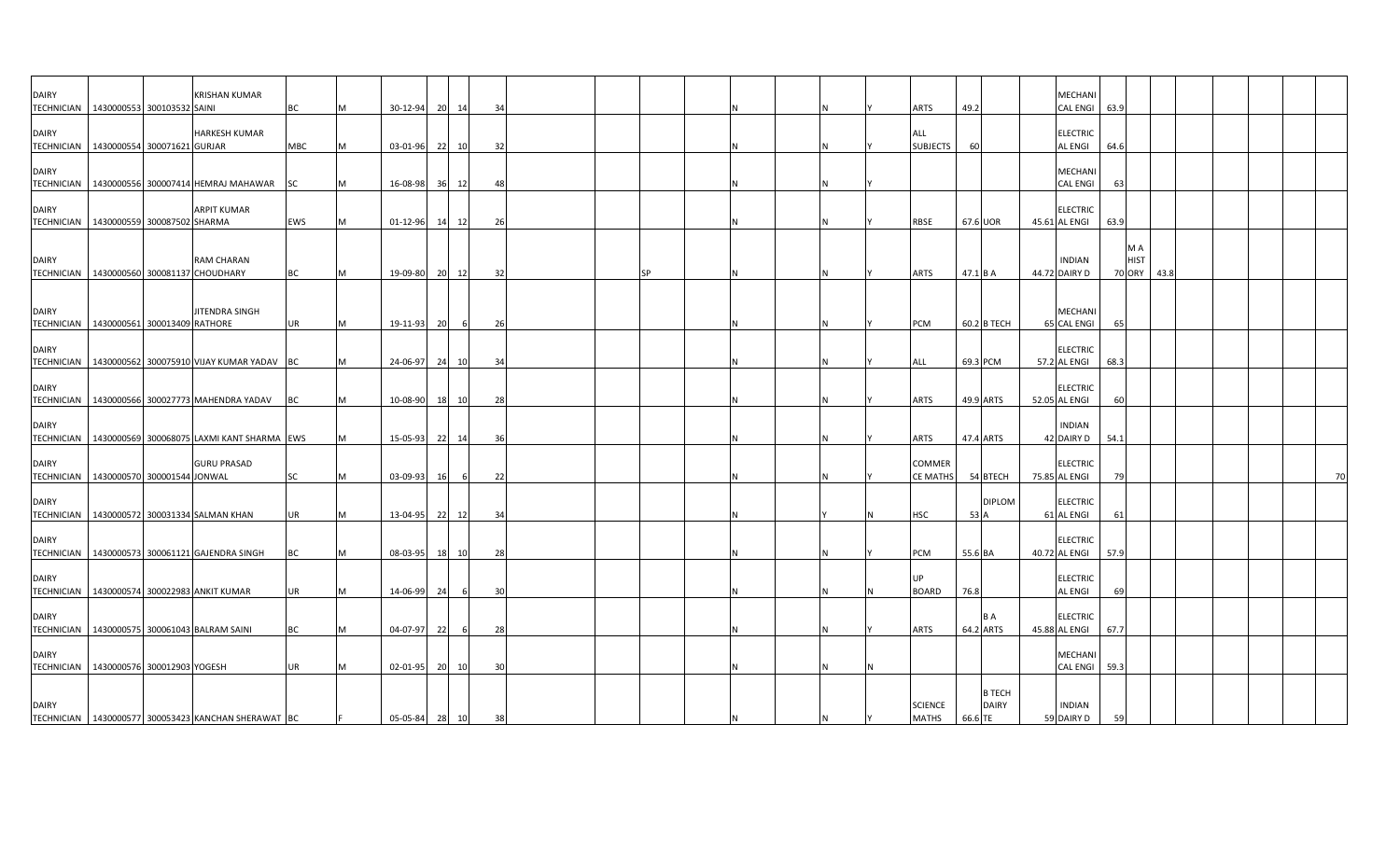| DAIRY                                                     |  | <b>KRISHAN KUMAR</b>                                    |            |   |                |    |       |     |  |           |  |     |                           |          |                  | MECHANI                           |      |                                     |      |  |  |    |
|-----------------------------------------------------------|--|---------------------------------------------------------|------------|---|----------------|----|-------|-----|--|-----------|--|-----|---------------------------|----------|------------------|-----------------------------------|------|-------------------------------------|------|--|--|----|
| TECHNICIAN   1430000553 300103532 SAINI                   |  |                                                         | <b>BC</b>  | M | 30-12-94       |    | 20 14 | 34  |  |           |  |     | <b>ARTS</b>               | 49.2     |                  | CAL ENGI 63.9                     |      |                                     |      |  |  |    |
| <b>DAIRY</b>                                              |  | <b>HARKESH KUMAR</b>                                    |            |   |                |    |       |     |  |           |  |     | ALL                       |          |                  | <b>ELECTRIC</b>                   |      |                                     |      |  |  |    |
| TECHNICIAN 1430000554 300071621 GURJAR                    |  |                                                         | MBC        | M | 03-01-96       |    | 22 10 | 32  |  |           |  |     | <b>SUBJECTS</b>           | 60       |                  | <b>AL ENGI</b>                    | 64.  |                                     |      |  |  |    |
| <b>DAIRY</b>                                              |  | TECHNICIAN   1430000556 300007414 HEMRAJ MAHAWAR        | <b>SC</b>  | M | 16-08-98       |    | 36 12 | 48  |  |           |  |     |                           |          |                  | <b>MECHANI</b><br><b>CAL ENGI</b> | 63   |                                     |      |  |  |    |
|                                                           |  |                                                         |            |   |                |    |       |     |  |           |  |     |                           |          |                  |                                   |      |                                     |      |  |  |    |
| <b>DAIRY</b>                                              |  | <b>ARPIT KUMAR</b>                                      | <b>EWS</b> |   |                |    |       |     |  |           |  |     | RBSE                      |          | 67.6 UOR         | <b>ELECTRIC</b>                   |      |                                     |      |  |  |    |
| TECHNICIAN   1430000559 300087502 SHARMA                  |  |                                                         |            | M | 01-12-96 14 12 |    |       | 26  |  |           |  | IN. |                           |          |                  | 45.61 AL ENGI                     | 63.9 |                                     |      |  |  |    |
| <b>DAIRY</b><br>TECHNICIAN 1430000560 300081137 CHOUDHARY |  | <b>RAM CHARAN</b>                                       | <b>BC</b>  | M | 19-09-80       |    | 20 12 | 32  |  | <b>SP</b> |  |     | ARTS                      | 47.1 B A |                  | <b>INDIAN</b><br>44.72 DAIRY D    |      | M A<br><b>HIST</b><br><b>70 ORY</b> | 43.8 |  |  |    |
|                                                           |  |                                                         |            |   |                |    |       |     |  |           |  |     |                           |          |                  |                                   |      |                                     |      |  |  |    |
| <b>DAIRY</b><br>TECHNICIAN 1430000561 300013409 RATHORE   |  | JITENDRA SINGH                                          | <b>UR</b>  | M | 19-11-93       | 20 | 6     | 26  |  |           |  | N   | PCM                       |          | 60.2 B TECH      | <b>MECHANI</b><br>65 CAL ENGI     | 65   |                                     |      |  |  |    |
|                                                           |  |                                                         |            |   |                |    |       |     |  |           |  |     |                           |          |                  |                                   |      |                                     |      |  |  |    |
| <b>DAIRY</b>                                              |  | TECHNICIAN   1430000562 300075910 VIJAY KUMAR YADAV BC  |            | M | 24-06-97       | 24 | 10    | -34 |  |           |  |     | ALL                       |          | 69.3 PCM         | <b>ELECTRIC</b><br>57.2 AL ENGI   | 68.3 |                                     |      |  |  |    |
|                                                           |  |                                                         |            |   |                |    |       |     |  |           |  |     |                           |          |                  |                                   |      |                                     |      |  |  |    |
| <b>DAIRY</b>                                              |  | TECHNICIAN 1430000566 300027773 MAHENDRA YADAV BC       |            | M | 10-08-90       |    | 18 10 | 28  |  |           |  | N   | ARTS                      |          | 49.9 ARTS        | <b>ELECTRIC</b><br>52.05 AL ENGI  | 60   |                                     |      |  |  |    |
|                                                           |  |                                                         |            |   |                |    |       |     |  |           |  |     |                           |          |                  |                                   |      |                                     |      |  |  |    |
| <b>DAIRY</b>                                              |  | TECHNICIAN   1430000569 300068075 LAXMI KANT SHARMA EWS |            | M | 15-05-93       | 22 | 14    | 36  |  |           |  |     | <b>ARTS</b>               |          | 47.4 ARTS        | <b>INDIAN</b><br>42 DAIRY D       | 54.1 |                                     |      |  |  |    |
|                                                           |  |                                                         |            |   |                |    |       |     |  |           |  |     |                           |          |                  |                                   |      |                                     |      |  |  |    |
| <b>DAIRY</b><br>TECHNICIAN 1430000570 300001544 JONWAL    |  | <b>GURU PRASAD</b>                                      | SC         | M | 03-09-93       | 16 | 6     | 22  |  |           |  | N   | COMMER<br><b>CE MATHS</b> |          | 54 BTECH         | <b>ELECTRIC</b><br>75.85 AL ENGI  | 79   |                                     |      |  |  | 70 |
|                                                           |  |                                                         |            |   |                |    |       |     |  |           |  |     |                           |          |                  |                                   |      |                                     |      |  |  |    |
| <b>DAIRY</b>                                              |  |                                                         |            |   |                |    |       |     |  |           |  |     |                           |          | <b>DIPLOM</b>    | <b>ELECTRIC</b>                   |      |                                     |      |  |  |    |
|                                                           |  | TECHNICIAN   1430000572 300031334 SALMAN KHAN           | <b>UR</b>  | M | 13-04-95       |    | 22 12 | 34  |  |           |  |     | <b>HSC</b>                | 53 A     |                  | 61 AL ENGI                        | 61   |                                     |      |  |  |    |
| <b>DAIRY</b>                                              |  |                                                         |            |   |                |    |       |     |  |           |  |     |                           |          |                  | <b>ELECTRIC</b>                   |      |                                     |      |  |  |    |
|                                                           |  | TECHNICIAN   1430000573 300061121 GAJENDRA SINGH        | BC         | M | 08-03-95       | 18 | 10    | 28  |  |           |  |     | PCM                       | 55.6 BA  |                  | 40.72 AL ENGI                     | 57.9 |                                     |      |  |  |    |
| <b>DAIRY</b>                                              |  |                                                         |            |   |                |    |       |     |  |           |  |     | <b>UP</b>                 |          |                  | <b>ELECTRIC</b>                   |      |                                     |      |  |  |    |
|                                                           |  | TECHNICIAN 1430000574 300022983 ANKIT KUMAR             | <b>UR</b>  | M | 14-06-99       | 24 | 6     | 30  |  |           |  | N   | <b>BOARD</b>              | 76.8     |                  | <b>AL ENGI</b>                    | 69   |                                     |      |  |  |    |
|                                                           |  |                                                         |            |   |                |    |       |     |  |           |  |     |                           |          |                  |                                   |      |                                     |      |  |  |    |
| <b>DAIRY</b>                                              |  | TECHNICIAN   1430000575 300061043 BALRAM SAINI          | BC         | M | 04-07-97       | 22 | 6     | 28  |  |           |  |     | ARTS                      |          | B A<br>64.2 ARTS | <b>ELECTRIC</b><br>45.88 AL ENGI  | 67.7 |                                     |      |  |  |    |
|                                                           |  |                                                         |            |   |                |    |       |     |  |           |  |     |                           |          |                  |                                   |      |                                     |      |  |  |    |
| <b>DAIRY</b>                                              |  |                                                         |            |   |                |    |       |     |  |           |  |     |                           |          |                  | MECHANI                           |      |                                     |      |  |  |    |
| TECHNICIAN 1430000576 300012903 YOGESH                    |  |                                                         | <b>UR</b>  | M | 02-01-95       |    | 20 10 | 30  |  |           |  | IN. |                           |          |                  | CAL ENGI 59.3                     |      |                                     |      |  |  |    |
|                                                           |  |                                                         |            |   |                |    |       |     |  |           |  |     |                           |          | <b>B TECH</b>    |                                   |      |                                     |      |  |  |    |
| <b>DAIRY</b>                                              |  |                                                         |            |   |                |    |       |     |  |           |  |     | <b>SCIENCE</b>            |          | <b>DAIRY</b>     | <b>INDIAN</b>                     |      |                                     |      |  |  |    |
|                                                           |  | TECHNICIAN 1430000577 300053423 KANCHAN SHERAWAT BC     |            |   | 05-05-84 28 10 |    |       | 38  |  |           |  |     | MATHS 66.6 TE             |          |                  | 59 DAIRY D                        | 59   |                                     |      |  |  |    |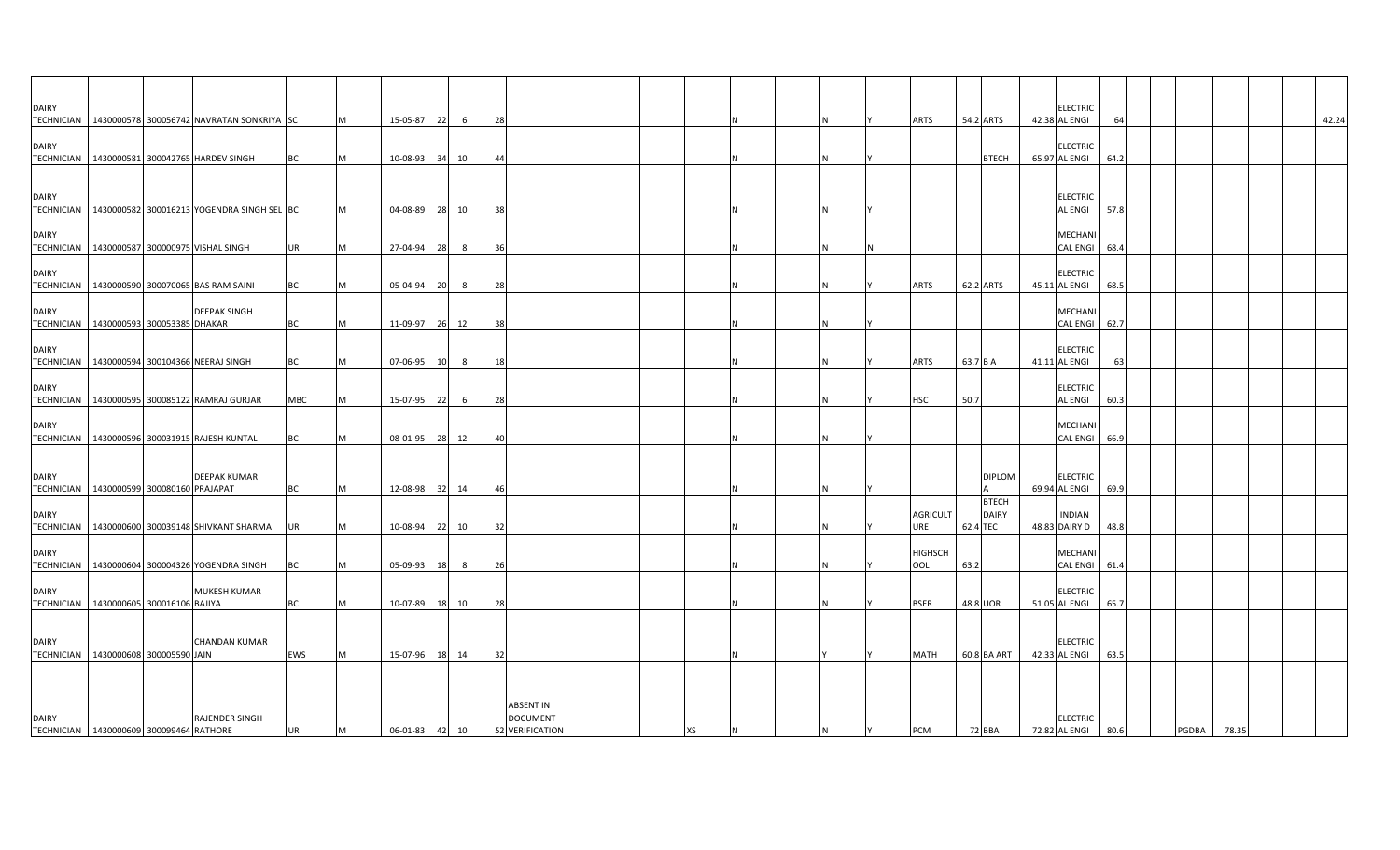| <b>DAIRY</b>                                               |  |                                                  |            |           |          |    |       |    |                                                        |  |    |  |          |                        |                                          |               | ELECTRIC                         |      |              |       |  |       |
|------------------------------------------------------------|--|--------------------------------------------------|------------|-----------|----------|----|-------|----|--------------------------------------------------------|--|----|--|----------|------------------------|------------------------------------------|---------------|----------------------------------|------|--------------|-------|--|-------|
| <b>TECHNICIAN</b>                                          |  | 1430000578 300056742 NAVRATAN SONKRIYA SC        |            | M         | 15-05-87 | 22 | - 6   | 28 |                                                        |  |    |  |          | <b>ARTS</b>            | 54.2 ARTS                                |               | 42.38 AL ENGI                    | 64   |              |       |  | 42.24 |
| <b>DAIRY</b>                                               |  | TECHNICIAN   1430000581 300042765 HARDEV SINGH   | BС         | M         | 10-08-93 | 34 | 10    | 44 |                                                        |  |    |  | N        |                        |                                          | <b>BTECH</b>  | <b>ELECTRIC</b><br>65.97 AL ENGI | 64.2 |              |       |  |       |
| <b>DAIRY</b><br><b>TECHNICIAN</b>                          |  | 1430000582 300016213 YOGENDRA SINGH SEL BC       |            | M         | 04-08-89 | 28 | 10    | 38 |                                                        |  |    |  | IN.      |                        |                                          |               | <b>ELECTRIC</b><br>AL ENGI       | 57.8 |              |       |  |       |
| <b>DAIRY</b>                                               |  | TECHNICIAN   1430000587 300000975 VISHAL SINGH   | <b>UR</b>  | M         | 27-04-94 | 28 | 8     | 36 |                                                        |  |    |  | N        |                        |                                          |               | MECHANI<br>CAL ENGI              | 68.4 |              |       |  |       |
| <b>DAIRY</b>                                               |  | TECHNICIAN 1430000590 300070065 BAS RAM SAINI    | BC         | M         | 05-04-94 | 20 | - 8   | 28 |                                                        |  |    |  |          | <b>ARTS</b>            | 62.2 ARTS                                |               | <b>ELECTRIC</b><br>45.11 AL ENGI | 68.5 |              |       |  |       |
| <b>DAIRY</b><br>TECHNICIAN   1430000593 300053385 DHAKAR   |  | <b>DEEPAK SINGH</b>                              | <b>BC</b>  | M         | 11-09-97 | 26 | 12    | 38 |                                                        |  |    |  | N        |                        |                                          |               | MECHANI<br><b>CAL ENGI</b>       | 62.7 |              |       |  |       |
| <b>DAIRY</b>                                               |  | TECHNICIAN 1430000594 300104366 NEERAJ SINGH     | BC         | M         | 07-06-95 | 10 | 8     | 18 |                                                        |  |    |  | N        | ARTS                   | 63.7 B A                                 |               | <b>ELECTRIC</b><br>41.11 AL ENGI | 63   |              |       |  |       |
| <b>DAIRY</b>                                               |  | TECHNICIAN 1430000595 300085122 RAMRAJ GURJAR    | <b>MBC</b> | M         | 15-07-95 | 22 | - 6   | 28 |                                                        |  |    |  | <b>N</b> | <b>HSC</b>             | 50.7                                     |               | <b>ELECTRIC</b><br>AL ENGI       | 60.3 |              |       |  |       |
| <b>DAIRY</b><br><b>TECHNICIAN</b>                          |  | 1430000596 300031915 RAJESH KUNTAL               | BC         | <b>IM</b> | 08-01-95 | 28 | 12    | 40 |                                                        |  |    |  | <b>N</b> |                        |                                          |               | MECHANI<br><b>CAL ENGI</b>       | 66.9 |              |       |  |       |
| <b>DAIRY</b><br>TECHNICIAN   1430000599 300080160 PRAJAPAT |  | <b>DEEPAK KUMAR</b>                              | BC         | M         | 12-08-98 |    | 32 14 | 46 |                                                        |  |    |  | IN.      |                        |                                          | <b>DIPLOM</b> | <b>ELECTRIC</b><br>69.94 AL ENGI | 69.9 |              |       |  |       |
| <b>DAIRY</b><br><b>TECHNICIAN</b>                          |  | 1430000600 300039148 SHIVKANT SHARMA             | UR         | <b>IM</b> | 10-08-94 | 22 | 10    | 32 |                                                        |  |    |  | <b>N</b> | <b>AGRICULT</b><br>URE | <b>BTECH</b><br><b>DAIRY</b><br>62.4 TEC |               | <b>INDIAN</b><br>48.83 DAIRY D   | 48.8 |              |       |  |       |
| <b>DAIRY</b>                                               |  | TECHNICIAN   1430000604 300004326 YOGENDRA SINGH | ВC         | M         | 05-09-93 | 18 | - 8   | 26 |                                                        |  |    |  | N        | <b>HIGHSCH</b><br>OOL  | 63.2                                     |               | MECHANI<br>CAL ENGI              | 61.4 |              |       |  |       |
| <b>DAIRY</b><br>TECHNICIAN 1430000605 300016106 BAJIYA     |  | <b>MUKESH KUMAR</b>                              | BC         | M         | 10-07-89 |    | 18 10 | 28 |                                                        |  |    |  | N        | <b>BSER</b>            | 48.8 UOR                                 |               | <b>ELECTRIC</b><br>51.05 AL ENGI | 65.7 |              |       |  |       |
| <b>DAIRY</b><br>TECHNICIAN 1430000608 300005590 JAIN       |  | <b>CHANDAN KUMAR</b>                             | <b>EWS</b> | M         | 15-07-96 |    | 18 14 | 32 |                                                        |  |    |  |          | <b>MATH</b>            | 60.8 BA ART                              |               | <b>ELECTRIC</b><br>42.33 AL ENGI | 63.5 |              |       |  |       |
| <b>DAIRY</b><br>TECHNICIAN   1430000609 300099464 RATHORE  |  | <b>RAJENDER SINGH</b>                            | <b>UR</b>  | M         | 06-01-83 |    | 42 10 |    | <b>ABSENT IN</b><br><b>DOCUMENT</b><br>52 VERIFICATION |  | XS |  | <b>N</b> | <b>PCM</b>             | 72 BBA                                   |               | <b>ELECTRIC</b><br>72.82 AL ENGI | 80.6 | <b>PGDBA</b> | 78.35 |  |       |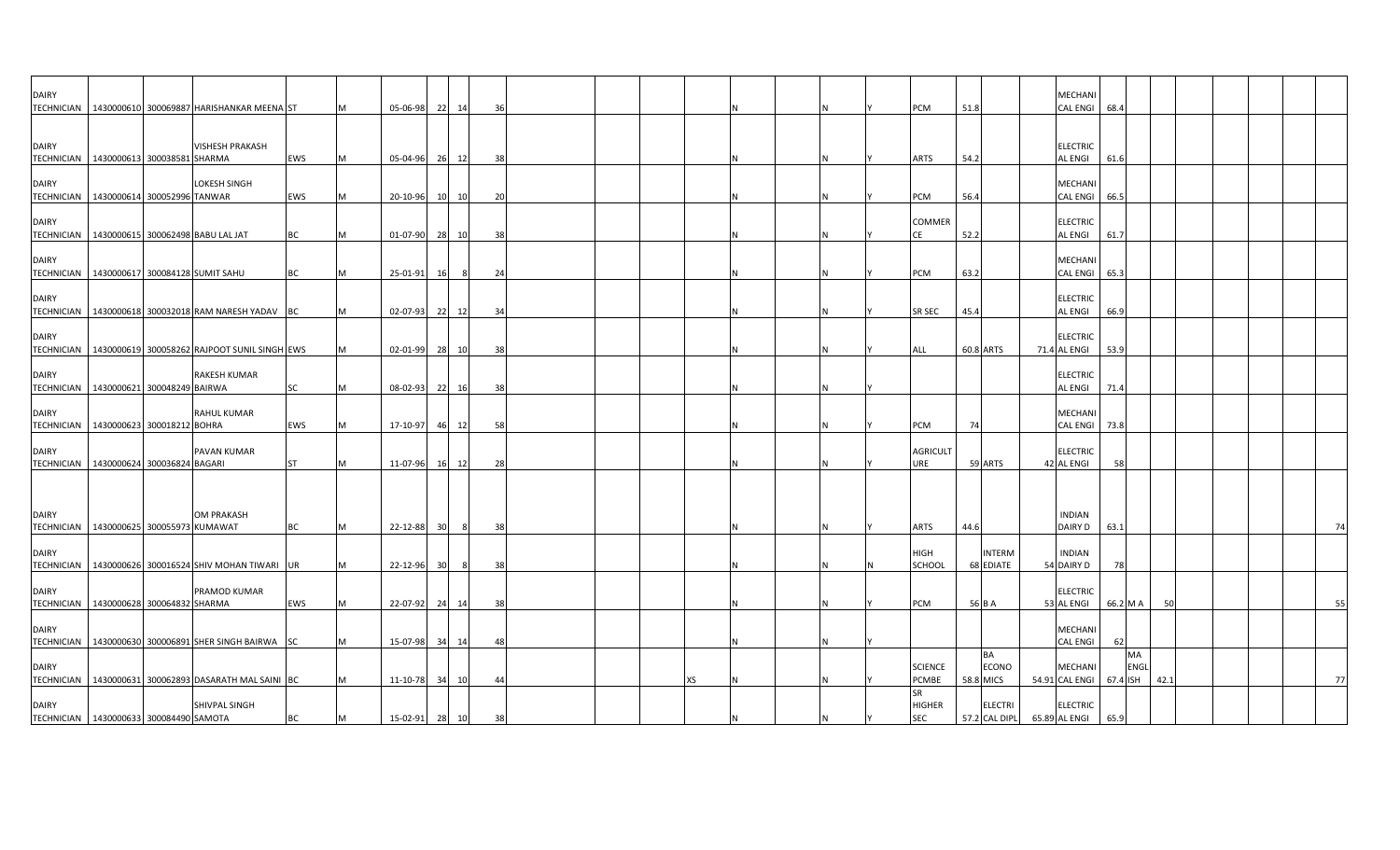| <b>DAIRY</b>      |                                                         |           |   |                |                 |      |     |  |    |  |  |                        |                            | MECHANI                         |          |            |      |  |    |
|-------------------|---------------------------------------------------------|-----------|---|----------------|-----------------|------|-----|--|----|--|--|------------------------|----------------------------|---------------------------------|----------|------------|------|--|----|
|                   | TECHNICIAN 1430000610 300069887 HARISHANKAR MEENA ST    |           |   | 05-06-98       | 22 14           |      | 36  |  |    |  |  | PCM                    | 51.8                       | <b>CAL ENGI</b>                 | 68.4     |            |      |  |    |
|                   |                                                         |           |   |                |                 |      |     |  |    |  |  |                        |                            |                                 |          |            |      |  |    |
|                   |                                                         |           |   |                |                 |      |     |  |    |  |  |                        |                            |                                 |          |            |      |  |    |
| <b>DAIRY</b>      | <b>VISHESH PRAKASH</b>                                  |           |   |                |                 |      |     |  |    |  |  |                        |                            | <b>ELECTRIC</b>                 |          |            |      |  |    |
|                   | TECHNICIAN   1430000613 300038581 SHARMA                | EWS       |   | 05-04-96       | 26 12           |      | 38  |  |    |  |  | <b>ARTS</b>            | 54.2                       | <b>AL ENGI</b>                  | 61.6     |            |      |  |    |
| <b>DAIRY</b>      | LOKESH SINGH                                            |           |   |                |                 |      |     |  |    |  |  |                        |                            | <b>MECHANI</b>                  |          |            |      |  |    |
|                   | TECHNICIAN   1430000614 300052996 TANWAR                | EWS       |   | 20-10-96       | 10              | 10   | -20 |  |    |  |  | PCM                    | 56.4                       | <b>CAL ENGI</b>                 | 66.5     |            |      |  |    |
|                   |                                                         |           |   |                |                 |      |     |  |    |  |  |                        |                            |                                 |          |            |      |  |    |
| <b>DAIRY</b>      |                                                         |           |   |                |                 |      |     |  |    |  |  | <b>COMMER</b>          |                            | <b>ELECTRIC</b>                 |          |            |      |  |    |
|                   | TECHNICIAN 1430000615 300062498 BABU LAL JAT            | BC        |   | 01-07-90 28 10 |                 |      | 38  |  |    |  |  | CE                     | 52.2                       | <b>AL ENGI</b>                  | 61.7     |            |      |  |    |
|                   |                                                         |           |   |                |                 |      |     |  |    |  |  |                        |                            |                                 |          |            |      |  |    |
| <b>DAIRY</b>      | TECHNICIAN   1430000617 300084128 SUMIT SAHU            | BC        |   | 25-01-91       |                 | 8    | 24  |  |    |  |  | PCM                    | 63.2                       | <b>MECHANI</b><br>CAL ENGI 65.3 |          |            |      |  |    |
|                   |                                                         |           |   |                | 16              |      |     |  |    |  |  |                        |                            |                                 |          |            |      |  |    |
| <b>DAIRY</b>      |                                                         |           |   |                |                 |      |     |  |    |  |  |                        |                            | <b>ELECTRIC</b>                 |          |            |      |  |    |
| <b>TECHNICIAN</b> | 1430000618 300032018 RAM NARESH YADAV BC                |           |   | 02-07-93       | 22 12           |      | 34  |  |    |  |  | SR SEC                 | 45.4                       | <b>AL ENGI</b>                  | 66.9     |            |      |  |    |
|                   |                                                         |           |   |                |                 |      |     |  |    |  |  |                        |                            |                                 |          |            |      |  |    |
| <b>DAIRY</b>      |                                                         |           |   |                |                 |      |     |  |    |  |  |                        |                            | <b>ELECTRIC</b>                 |          |            |      |  |    |
|                   | TECHNICIAN 1430000619 300058262 RAJPOOT SUNIL SINGH EWS |           |   | 02-01-99       | 28 10           |      | 38  |  |    |  |  | ALL                    | 60.8 ARTS                  | 71.4 AL ENGI                    | 53.9     |            |      |  |    |
| <b>DAIRY</b>      | <b>RAKESH KUMAR</b>                                     |           |   |                |                 |      |     |  |    |  |  |                        |                            | <b>ELECTRIC</b>                 |          |            |      |  |    |
|                   | TECHNICIAN 1430000621 300048249 BAIRWA                  | SC        | M | 08-02-93       | 22              | - 16 | 38  |  |    |  |  |                        |                            | <b>AL ENGI</b>                  | 71.4     |            |      |  |    |
|                   |                                                         |           |   |                |                 |      |     |  |    |  |  |                        |                            |                                 |          |            |      |  |    |
| <b>DAIRY</b>      | <b>RAHUL KUMAR</b>                                      |           |   |                |                 |      |     |  |    |  |  |                        |                            | <b>MECHANI</b>                  |          |            |      |  |    |
|                   | TECHNICIAN 1430000623 300018212 BOHRA                   | EWS       |   | 17-10-97 46 12 |                 |      | 58  |  |    |  |  | PCM                    | 74                         | CAL ENGI 73.8                   |          |            |      |  |    |
|                   |                                                         |           |   |                |                 |      |     |  |    |  |  |                        |                            |                                 |          |            |      |  |    |
| <b>DAIRY</b>      | PAVAN KUMAR                                             | <b>ST</b> |   |                |                 |      |     |  |    |  |  | <b>AGRICULT</b><br>URE | 59 ARTS                    | <b>ELECTRIC</b>                 | 58       |            |      |  |    |
|                   | TECHNICIAN 1430000624 300036824 BAGARI                  |           |   | 11-07-96 16 12 |                 |      | 28  |  |    |  |  |                        |                            | 42 AL ENGI                      |          |            |      |  |    |
|                   |                                                         |           |   |                |                 |      |     |  |    |  |  |                        |                            |                                 |          |            |      |  |    |
|                   |                                                         |           |   |                |                 |      |     |  |    |  |  |                        |                            |                                 |          |            |      |  |    |
| <b>DAIRY</b>      | <b>OM PRAKASH</b>                                       |           |   |                |                 |      |     |  |    |  |  |                        |                            | <b>INDIAN</b>                   |          |            |      |  |    |
|                   | TECHNICIAN   1430000625 300055973 KUMAWAT               | <b>BC</b> | M | 22-12-88       | 30 <sup>1</sup> | - 8  | 38  |  |    |  |  | <b>ARTS</b>            | 44.6                       | DAIRY D                         | 63.1     |            |      |  | 74 |
|                   |                                                         |           |   |                |                 |      |     |  |    |  |  |                        |                            |                                 |          |            |      |  |    |
| <b>DAIRY</b>      | TECHNICIAN   1430000626 300016524 SHIV MOHAN TIWARI UR  |           |   | 22-12-96       | 30 <sup>1</sup> | 8    | 38  |  |    |  |  | <b>HIGH</b><br>SCHOOL  | <b>INTERM</b><br>68 EDIATE | <b>INDIAN</b><br>54 DAIRY D     | 78       |            |      |  |    |
|                   |                                                         |           |   |                |                 |      |     |  |    |  |  |                        |                            |                                 |          |            |      |  |    |
| <b>DAIRY</b>      | PRAMOD KUMAR                                            |           |   |                |                 |      |     |  |    |  |  |                        |                            | <b>ELECTRIC</b>                 |          |            |      |  |    |
|                   | TECHNICIAN 1430000628 300064832 SHARMA                  | EWS       | M | 22-07-92 24 14 |                 |      | 38  |  |    |  |  | PCM                    | 56 B A                     | 53 AL ENGI                      | 66.2 M A |            | 50   |  | 55 |
|                   |                                                         |           |   |                |                 |      |     |  |    |  |  |                        |                            |                                 |          |            |      |  |    |
| <b>DAIRY</b>      |                                                         |           |   |                |                 |      |     |  |    |  |  |                        |                            | MECHANI                         |          |            |      |  |    |
|                   | TECHNICIAN 1430000630 300006891 SHER SINGH BAIRWA SC    |           |   | 15-07-98 34 14 |                 |      | 48  |  |    |  |  |                        |                            | <b>CAL ENGI</b>                 | 62       |            |      |  |    |
| <b>DAIRY</b>      |                                                         |           |   |                |                 |      |     |  |    |  |  | <b>SCIENCE</b>         | BA<br>ECONO                | <b>MECHANI</b>                  |          | MA<br>ENGL |      |  |    |
|                   | TECHNICIAN   1430000631 300062893 DASARATH MAL SAINI BC |           |   | 11-10-78 34 10 |                 |      | -44 |  | XS |  |  | <b>PCMBE</b>           | 58.8 MICS                  | 54.91 CAL ENGI                  | 67.4 ISH |            | 42.1 |  | 77 |
|                   |                                                         |           |   |                |                 |      |     |  |    |  |  | SR                     |                            |                                 |          |            |      |  |    |
| <b>DAIRY</b>      | SHIVPAL SINGH                                           |           |   |                |                 |      |     |  |    |  |  | <b>HIGHER</b>          | <b>ELECTRI</b>             | <b>ELECTRIC</b>                 |          |            |      |  |    |
|                   | TECHNICIAN   1430000633 300084490 SAMOTA                | <b>BC</b> | M | 15-02-91 28 10 |                 |      | 38  |  |    |  |  | <b>SEC</b>             | 57.2 CAL DIPL              | 65.89 AL ENGI                   | 65.9     |            |      |  |    |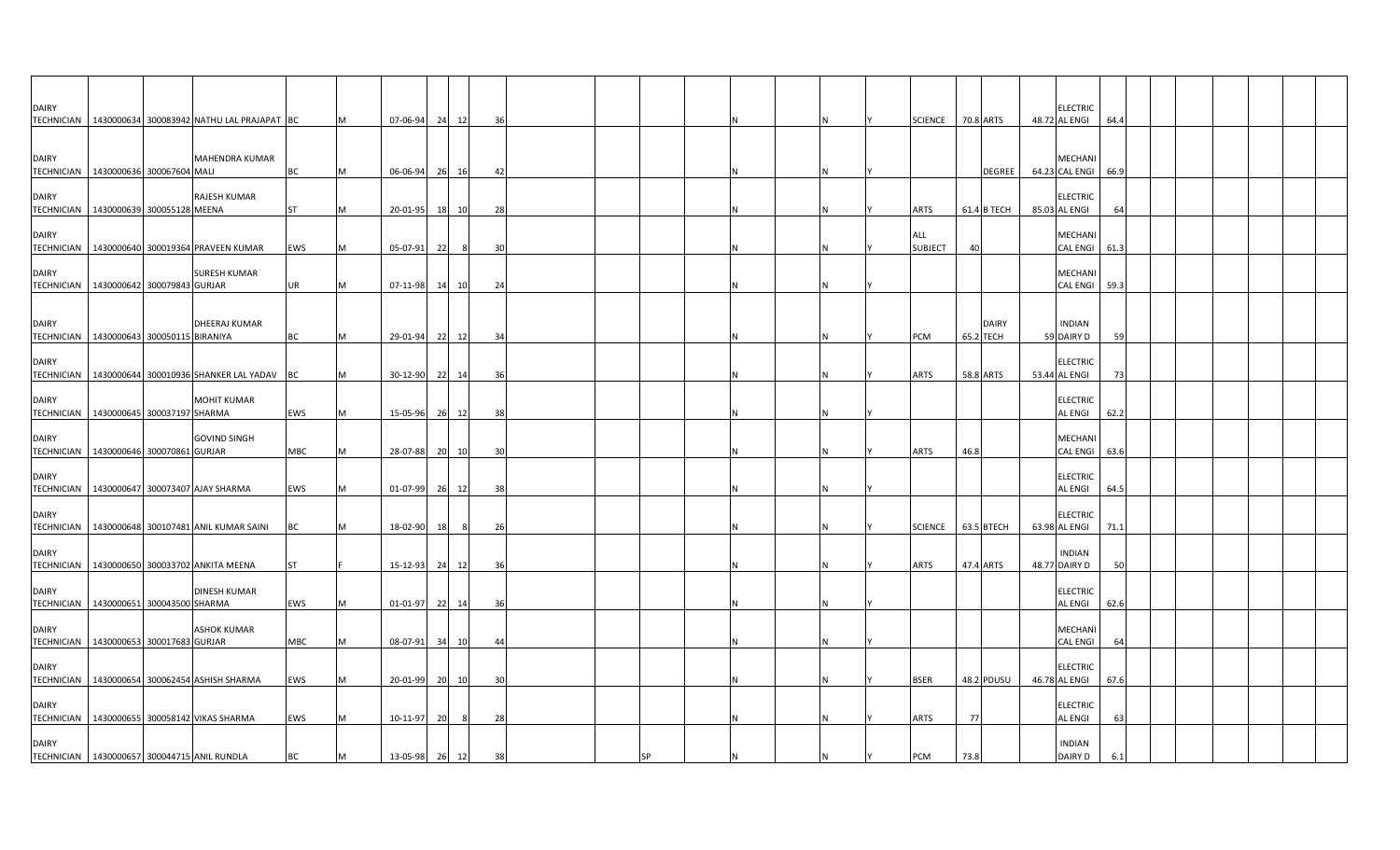| <b>DAIRY</b>                                                  |  |                                                         |           |   |                |    |       |     |    |  |     |                       |             |               | ELECTRIC                         |      |  |  |  |
|---------------------------------------------------------------|--|---------------------------------------------------------|-----------|---|----------------|----|-------|-----|----|--|-----|-----------------------|-------------|---------------|----------------------------------|------|--|--|--|
|                                                               |  | TECHNICIAN   1430000634 300083942 NATHU LAL PRAJAPAT BC |           | M | 07-06-94       | 24 | 12    | 36  |    |  |     | SCIENCE 70.8 ARTS     |             |               | 48.72 AL ENGI                    | 64.4 |  |  |  |
| <b>DAIRY</b><br>TECHNICIAN 1430000636 300067604 MALI          |  | MAHENDRA KUMAR                                          | ВC        | M | 06-06-94       |    | 26 16 | -42 |    |  | IN. |                       |             | <b>DEGREE</b> | MECHANI<br>64.23 CAL ENGI        | 66.9 |  |  |  |
| <b>DAIRY</b><br>TECHNICIAN   1430000639 300055128 MEENA       |  | RAJESH KUMAR                                            | <b>ST</b> | M | 20-01-95       | 18 | 10    | 28  |    |  |     | <b>ARTS</b>           | 61.4 B TECH |               | ELECTRIC<br>85.03 AL ENGI        | 64   |  |  |  |
| <b>DAIRY</b>                                                  |  | TECHNICIAN   1430000640 300019364 PRAVEEN KUMAR         | EWS       | M | 05-07-91       | 22 | - 8   | 30  |    |  |     | ALL<br><b>SUBJECT</b> | 40          |               | MECHANI<br>CAL ENGI              | 61.3 |  |  |  |
| <b>DAIRY</b><br>TECHNICIAN   1430000642 300079843 GURJAR      |  | <b>SURESH KUMAR</b>                                     | UR        | M | 07-11-98       | 14 | 10    | 24  |    |  |     |                       |             |               | MECHANI<br>CAL ENGI              | 59.3 |  |  |  |
| <b>DAIRY</b><br>TECHNICIAN   1430000643 300050115 BIRANIYA    |  | DHEERAJ KUMAR                                           | <b>BC</b> | M | 29-01-94 22 12 |    |       | 34  |    |  | ΙN  | PCM                   | 65.2 TECH   | <b>DAIRY</b>  | <b>INDIAN</b><br>59 DAIRY D      | 59   |  |  |  |
| <b>DAIRY</b>                                                  |  | TECHNICIAN   1430000644 300010936 SHANKER LAL YADAV BC  |           | M | 30-12-90 22 14 |    |       | 36  |    |  |     | ARTS                  | 58.8 ARTS   |               | <b>ELECTRIC</b><br>53.44 AL ENGI | 73   |  |  |  |
| <b>DAIRY</b><br>TECHNICIAN   1430000645 300037197 SHARMA      |  | <b>MOHIT KUMAR</b>                                      | EWS       | M | 15-05-96       |    | 26 12 | -38 |    |  |     |                       |             |               | <b>ELECTRIC</b><br>AL ENGI       | 62.2 |  |  |  |
| <b>DAIRY</b><br>TECHNICIAN 1430000646 300070861 GURJAR        |  | <b>GOVIND SINGH</b>                                     | MBC       | M | 28-07-88       | 20 | 10    | 30  |    |  |     | <b>ARTS</b>           | 46.8        |               | MECHANI<br>CAL ENGI              | 63.6 |  |  |  |
| <b>DAIRY</b>                                                  |  | TECHNICIAN 1430000647 300073407 AJAY SHARMA             | EWS       | M | 01-07-99       |    | 26 12 | 38  |    |  |     |                       |             |               | ELECTRIC<br>AL ENGI              | 64.5 |  |  |  |
| <b>DAIRY</b>                                                  |  | TECHNICIAN   1430000648 300107481 ANIL KUMAR SAINI      | BC        | M | 18-02-90       | 18 | - 8   | 26  |    |  |     | SCIENCE   63.5 BTECH  |             |               | ELECTRIC<br>63.98 AL ENGI        | 71.1 |  |  |  |
| <b>DAIRY</b>                                                  |  | TECHNICIAN 1430000650 300033702 ANKITA MEENA            | ST        |   | 15-12-93       |    | 24 12 | 36  |    |  |     | <b>ARTS</b>           | 47.4 ARTS   |               | <b>INDIAN</b><br>48.77 DAIRY D   | 50   |  |  |  |
| <b>DAIRY</b><br>TECHNICIAN 1430000651 300043500 SHARMA        |  | <b>DINESH KUMAR</b>                                     | EWS       | M | 01-01-97 22 14 |    |       | 36  |    |  |     |                       |             |               | <b>ELECTRIC</b><br>AL ENGI       | 62.6 |  |  |  |
| <b>DAIRY</b><br>TECHNICIAN   1430000653 300017683 GURJAR      |  | <b>ASHOK KUMAR</b>                                      | MBC       | M | 08-07-91       | 34 | 10    | -44 |    |  |     |                       |             |               | MECHANI<br>CAL ENGI              | 64   |  |  |  |
| <b>DAIRY</b>                                                  |  | TECHNICIAN   1430000654 300062454 ASHISH SHARMA         | EWS       | M | 20-01-99       | 20 | 10    | 30  |    |  |     | <b>BSER</b>           | 48.2 PDUSU  |               | ELECTRIC<br>46.78 AL ENGI        | 67.6 |  |  |  |
| <b>DAIRY</b>                                                  |  | TECHNICIAN 1430000655 300058142 VIKAS SHARMA            | EWS       | M | 10-11-97       | 20 | - 8   | 28  |    |  |     | ARTS                  | 77          |               | ELECTRIC<br>AL ENGI              | 63   |  |  |  |
| <b>DAIRY</b><br>TECHNICIAN   1430000657 300044715 ANIL RUNDLA |  |                                                         | ВC        | M | 13-05-98       | 26 | 12    | 38  | SP |  |     | PCM                   | 73.8        |               | <b>INDIAN</b><br>DAIRY D         | 6.1  |  |  |  |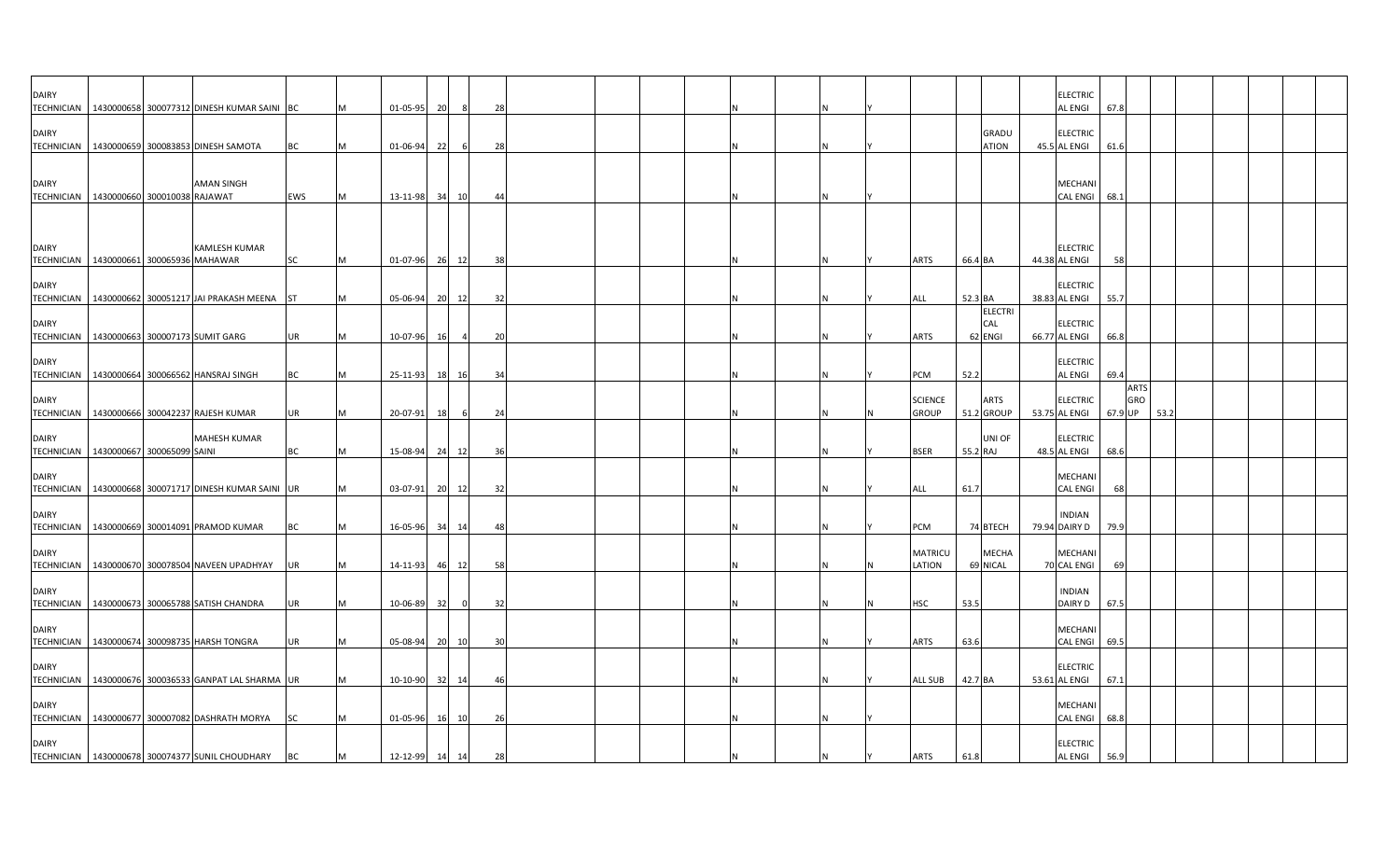| <b>DAIRY</b>                                               |  | TECHNICIAN   1430000658 300077312 DINESH KUMAR SAINI BC |           | <b>M</b> | 01-05-95 | 20 | 8                        | 28             |  |  |  |   |                                |          |                              | ELECTRIC<br>AL ENGI              | 67.8    |                    |      |  |  |  |
|------------------------------------------------------------|--|---------------------------------------------------------|-----------|----------|----------|----|--------------------------|----------------|--|--|--|---|--------------------------------|----------|------------------------------|----------------------------------|---------|--------------------|------|--|--|--|
| <b>DAIRY</b>                                               |  | TECHNICIAN 1430000659 300083853 DINESH SAMOTA           | <b>BC</b> | M        | 01-06-94 | 22 |                          | 28             |  |  |  |   |                                |          | <b>GRADU</b><br><b>ATION</b> | <b>ELECTRIC</b><br>45.5 AL ENGI  | 61.6    |                    |      |  |  |  |
| <b>DAIRY</b>                                               |  | <b>AMAN SINGH</b>                                       |           |          |          |    |                          |                |  |  |  |   |                                |          |                              | MECHANI                          |         |                    |      |  |  |  |
| TECHNICIAN 1430000660 300010038 RAJAWAT                    |  |                                                         | EWS       | IM.      | 13-11-98 |    | 34 10                    | 44             |  |  |  |   |                                |          |                              | <b>CAL ENGI</b>                  | 68.1    |                    |      |  |  |  |
| <b>DAIRY</b><br>TECHNICIAN   1430000661 300065936 MAHAWAR  |  | <b>KAMLESH KUMAR</b>                                    | <b>SC</b> | <b>M</b> | 01-07-96 |    | 26 12                    | 38             |  |  |  |   | ARTS                           | 66.4 BA  |                              | <b>ELECTRIC</b><br>44.38 AL ENGI | -58     |                    |      |  |  |  |
| <b>DAIRY</b>                                               |  | TECHNICIAN 1430000662 300051217 JAI PRAKASH MEENA ST    |           |          | 05-06-94 |    | 20 12                    | 32             |  |  |  |   | ALL                            | 52.3 BA  |                              | <b>ELECTRIC</b><br>38.83 AL ENGI | 55.7    |                    |      |  |  |  |
| <b>DAIRY</b><br>TECHNICIAN 1430000663 300007173 SUMIT GARG |  |                                                         | <b>UR</b> | M        | 10-07-96 | 16 | $\overline{\phantom{a}}$ | 20             |  |  |  | и | ARTS                           |          | ELECTRI<br>CAL<br>62 ENGI    | <b>ELECTRIC</b><br>66.77 AL ENGI | 66.8    |                    |      |  |  |  |
| <b>DAIRY</b>                                               |  | TECHNICIAN   1430000664 300066562 HANSRAJ SINGH         | BC        | M        | 25-11-93 |    | 18 16                    | 34             |  |  |  | N | PCM                            | 52.2     |                              | <b>ELECTRIC</b><br>AL ENGI       | 69.4    |                    |      |  |  |  |
| <b>DAIRY</b>                                               |  | TECHNICIAN 1430000666 300042237 RAJESH KUMAR            | <b>UR</b> | M        | 20-07-91 | 18 | - 6                      | 24             |  |  |  |   | <b>SCIENCE</b><br><b>GROUP</b> |          | <b>ARTS</b><br>51.2 GROUP    | <b>ELECTRIC</b><br>53.75 AL ENGI | 67.9 UP | <b>ARTS</b><br>GRO | 53.2 |  |  |  |
| <b>DAIRY</b><br>TECHNICIAN   1430000667 300065099 SAINI    |  | <b>MAHESH KUMAR</b>                                     | BC        | M        | 15-08-94 |    | 24 12                    | 36             |  |  |  |   | <b>BSER</b>                    | 55.2 RAJ | UNI OF                       | <b>ELECTRIC</b><br>48.5 AL ENGI  | 68.6    |                    |      |  |  |  |
| <b>DAIRY</b>                                               |  | TECHNICIAN   1430000668 300071717 DINESH KUMAR SAINI UR |           | M        | 03-07-91 | 20 | 12                       | 32             |  |  |  |   | ALL                            | 61.7     |                              | MECHANI<br><b>CAL ENGI</b>       | 68      |                    |      |  |  |  |
| <b>DAIRY</b>                                               |  | TECHNICIAN   1430000669 300014091 PRAMOD KUMAR          | BC        | M        | 16-05-96 |    | 34 14                    | 48             |  |  |  | N | PCM                            |          | 74 BTECH                     | <b>INDIAN</b><br>79.94 DAIRY D   | 79.9    |                    |      |  |  |  |
| <b>DAIRY</b>                                               |  | TECHNICIAN   1430000670 300078504 NAVEEN UPADHYAY       | UR        |          | 14-11-93 |    | 46 12                    | 58             |  |  |  |   | <b>MATRICU</b><br>LATION       |          | <b>MECHA</b><br>69 NICAL     | MECHANI<br>70 CAL ENGI           | 69      |                    |      |  |  |  |
| <b>DAIRY</b>                                               |  | TECHNICIAN   1430000673 300065788 SATISH CHANDRA        | <b>UR</b> | M        | 10-06-89 | 32 | $\overline{\mathbf{0}}$  | 32             |  |  |  |   | HSC                            | 53.5     |                              | <b>INDIAN</b><br>DAIRY D         | 67.5    |                    |      |  |  |  |
| <b>DAIRY</b>                                               |  | TECHNICIAN   1430000674 300098735 HARSH TONGRA          | <b>UR</b> |          | 05-08-94 | 20 | 10                       | 3 <sup>c</sup> |  |  |  | N | ARTS                           | 63.6     |                              | MECHAN<br><b>CAL ENGI</b>        | 69.5    |                    |      |  |  |  |
| <b>DAIRY</b>                                               |  | TECHNICIAN   1430000676 300036533 GANPAT LAL SHARMA UR  |           | ΙM       | 10-10-90 | 32 | 14                       | 46             |  |  |  |   | <b>ALL SUB</b>                 | 42.7 BA  |                              | <b>ELECTRIC</b><br>53.61 AL ENGI | 67.1    |                    |      |  |  |  |
| <b>DAIRY</b>                                               |  | TECHNICIAN 1430000677 300007082 DASHRATH MORYA          | <b>SC</b> |          | 01-05-96 |    | 16 10                    | 26             |  |  |  |   |                                |          |                              | MECHANI<br><b>CAL ENGI</b>       | 68.8    |                    |      |  |  |  |
| <b>DAIRY</b>                                               |  | TECHNICIAN   1430000678 300074377 SUNIL CHOUDHARY       | <b>BC</b> | M        | 12-12-99 |    | 14 14                    | 28             |  |  |  |   | ARTS                           | 61.8     |                              | <b>ELECTRIC</b><br>AL ENGI       | 56.9    |                    |      |  |  |  |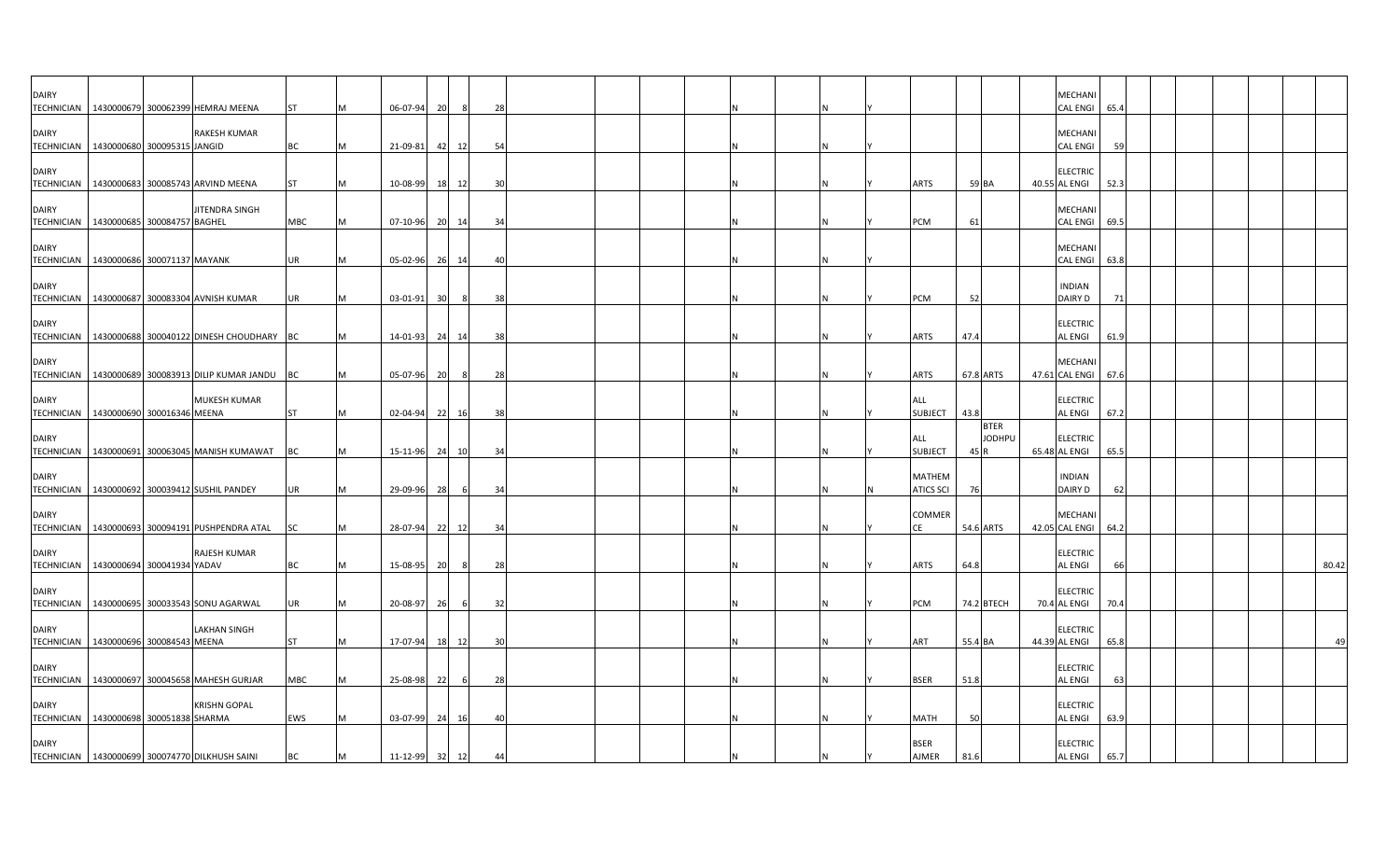| <b>DAIRY</b><br><b>TECHNICIAN</b> | 1430000679 300062399 HEMRAJ MEENA                      |                     | ST        | 06-07-94       | 20 | -8       | 28 |  |  |   |                             |           |                              | MECHANI<br>CAL ENGI 65.4          |      |  |  |       |
|-----------------------------------|--------------------------------------------------------|---------------------|-----------|----------------|----|----------|----|--|--|---|-----------------------------|-----------|------------------------------|-----------------------------------|------|--|--|-------|
| <b>DAIRY</b>                      | TECHNICIAN   1430000680 300095315 JANGID               | RAKESH KUMAR        | BC        | 21-09-81       |    | 12<br>42 | 54 |  |  |   |                             |           |                              | MECHANI<br><b>CAL ENGI</b>        | 59   |  |  |       |
| <b>DAIRY</b>                      | TECHNICIAN   1430000683 300085743 ARVIND MEENA         |                     | <b>ST</b> | 10-08-99       |    | 18<br>12 | 30 |  |  |   | <b>ARTS</b>                 | 59 BA     |                              | <b>ELECTRIC</b><br>40.55 AL ENGI  | 52.3 |  |  |       |
| <b>DAIRY</b>                      | TECHNICIAN 1430000685 300084757 BAGHEL                 | JITENDRA SINGH      | MBC       | 07-10-96 20 14 |    |          | 34 |  |  | N | PCM                         | 61        |                              | MECHANI<br>CAL ENGI 69.5          |      |  |  |       |
| <b>DAIRY</b><br><b>TECHNICIAN</b> | 1430000686 300071137 MAYANK                            |                     | <b>UR</b> | 05-02-96       |    | 26<br>14 | 40 |  |  |   |                             |           |                              | <b>MECHANI</b><br><b>CAL ENGI</b> | 63.8 |  |  |       |
| <b>DAIRY</b><br><b>TECHNICIAN</b> | 1430000687 300083304 AVNISH KUMAR                      |                     | <b>UR</b> | $03 - 01 - 91$ |    | 8<br>30  | 38 |  |  | N | PCM                         | 52        |                              | <b>INDIAN</b><br>DAIRY D          | 71   |  |  |       |
| <b>DAIRY</b>                      | TECHNICIAN 1430000688 300040122 DINESH CHOUDHARY BC    |                     |           | 14-01-93       | 24 | 14       | 38 |  |  | N | <b>ARTS</b>                 | 47.4      |                              | <b>ELECTRIC</b><br><b>AL ENGI</b> | 61.9 |  |  |       |
| <b>DAIRY</b>                      | TECHNICIAN   1430000689 300083913 DILIP KUMAR JANDU BC |                     |           | 05-07-96       | 20 | 8        | 28 |  |  |   | <b>ARTS</b>                 | 67.8 ARTS |                              | MECHANI<br>47.61 CAL ENGI 67.6    |      |  |  |       |
| <b>DAIRY</b>                      | TECHNICIAN 1430000690 300016346 MEENA                  | <b>MUKESH KUMAR</b> | <b>ST</b> | 02-04-94       | 22 | 16       | 38 |  |  |   | ALL<br><b>SUBJECT</b>       | 43.8      |                              | <b>ELECTRIC</b><br><b>AL ENGI</b> | 67.2 |  |  |       |
| <b>DAIRY</b>                      | TECHNICIAN   1430000691 300063045 MANISH KUMAWAT   BC  |                     |           | 15-11-96       | 24 | 10       | 34 |  |  |   | ALL<br><b>SUBJECT</b>       | 45 R      | <b>BTER</b><br><b>JODHPU</b> | <b>ELECTRIC</b><br>65.48 AL ENGI  | 65.5 |  |  |       |
| <b>DAIRY</b>                      | TECHNICIAN   1430000692 300039412 SUSHIL PANDEY        |                     | UR        | 29-09-96       | 28 | 6        | 34 |  |  |   | MATHEM<br><b>ATICS SCI</b>  | 76        |                              | <b>INDIAN</b><br>DAIRY D          | 62   |  |  |       |
| <b>DAIRY</b><br><b>TECHNICIAN</b> | 1430000693 300094191 PUSHPENDRA ATAL                   |                     | <b>SC</b> | 28-07-94       |    | 22<br>12 | 34 |  |  |   | <b>COMMER</b><br>CE         | 54.6 ARTS |                              | <b>MECHANI</b><br>42.05 CAL ENGI  | 64.2 |  |  |       |
| <b>DAIRY</b><br><b>TECHNICIAN</b> | 1430000694 300041934 YADAV                             | RAJESH KUMAR        | BC        | 15-08-95       |    | 20<br>8  | 28 |  |  |   | <b>ARTS</b>                 | 64.8      |                              | <b>ELECTRIC</b><br><b>AL ENGI</b> | 66   |  |  | 80.42 |
| <b>DAIRY</b>                      | TECHNICIAN 1430000695 300033543 SONU AGARWAL           |                     | UR        | 20-08-97       |    | 26<br>6  | 32 |  |  | N | PCM                         |           | 74.2 BTECH                   | <b>ELECTRIC</b><br>70.4 AL ENGI   | 70.4 |  |  |       |
| <b>DAIRY</b>                      | TECHNICIAN 1430000696 300084543 MEENA                  | <b>LAKHAN SINGH</b> | <b>ST</b> | 17-07-94       |    | 18<br>12 | 30 |  |  |   | ART                         | 55.4 BA   |                              | <b>ELECTRIC</b><br>44.39 AL ENGI  | 65.8 |  |  | 49    |
| <b>DAIRY</b><br><b>TECHNICIAN</b> | 1430000697 300045658 MAHESH GURJAR                     |                     | MBC       | 25-08-98       | 22 | -6       | 28 |  |  |   | <b>BSER</b>                 | 51.8      |                              | <b>ELECTRIC</b><br><b>AL ENGI</b> | 63   |  |  |       |
| <b>DAIRY</b>                      | TECHNICIAN 1430000698 300051838 SHARMA                 | <b>KRISHN GOPAL</b> | EWS       | 03-07-99       | 24 | 16       | 40 |  |  |   | <b>MATH</b>                 | 50        |                              | <b>ELECTRIC</b><br><b>AL ENGI</b> | 63.9 |  |  |       |
| <b>DAIRY</b>                      | TECHNICIAN 1430000699 300074770 DILKHUSH SAINI         |                     | ВC        | 11-12-99 32    |    | 12       | 44 |  |  |   | <b>BSER</b><br><b>AJMER</b> | 81.6      |                              | <b>ELECTRIC</b><br><b>AL ENGI</b> | 65.7 |  |  |       |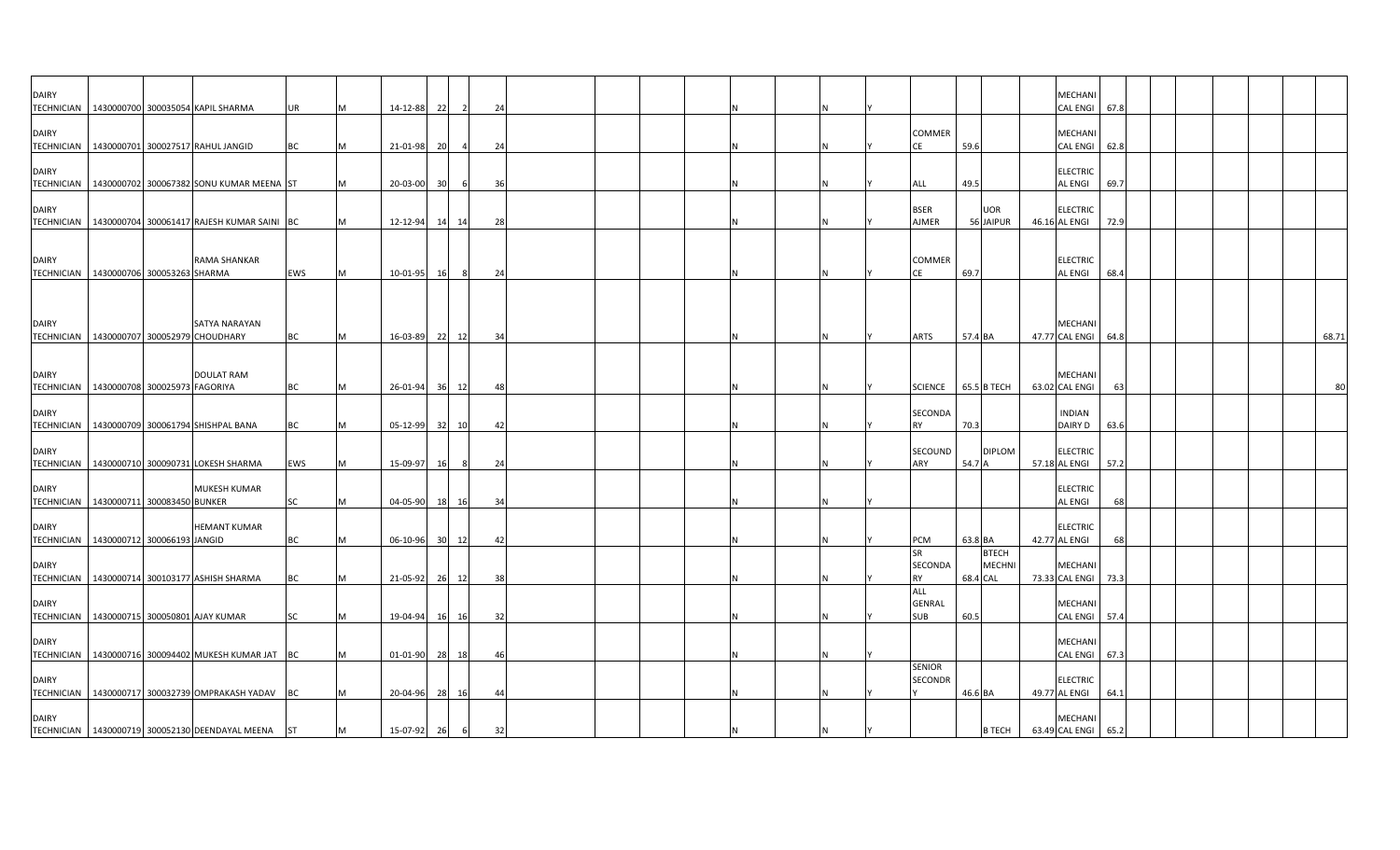| <b>DAIRY</b>                      | TECHNICIAN   1430000700 300035054 KAPIL SHARMA          |                     | UR        | M        | 14-12-88 | 22              | $\overline{2}$ | 24  |  |  |    |                                    |          |                               | MECHANI<br><b>CAL ENGI</b><br>67.8        |  |       |
|-----------------------------------|---------------------------------------------------------|---------------------|-----------|----------|----------|-----------------|----------------|-----|--|--|----|------------------------------------|----------|-------------------------------|-------------------------------------------|--|-------|
| <b>DAIRY</b>                      | TECHNICIAN 1430000701 300027517 RAHUL JANGID            |                     | BС        | M        | 21-01-98 | -201            |                | 24  |  |  |    | COMMER<br>СE                       | 59.6     |                               | MECHANI<br><b>CAL ENGI</b><br>62.8        |  |       |
| <b>DAIRY</b><br><b>TECHNICIAN</b> | 1430000702 300067382 SONU KUMAR MEENA ST                |                     |           | M        | 20-03-00 | 30 <sup>1</sup> | 6              | 36  |  |  | N  | ALL                                | 49.5     |                               | <b>ELECTRIC</b><br><b>AL ENGI</b><br>69.7 |  |       |
| <b>DAIRY</b>                      | TECHNICIAN   1430000704 300061417 RAJESH KUMAR SAINI BC |                     |           | M        | 12-12-94 |                 | 14 14          | 28  |  |  | N  | <b>BSER</b><br>AJMER               |          | <b>UOR</b><br>56 JAIPUR       | <b>ELECTRIC</b><br>46.16 AL ENGI<br>72.9  |  |       |
| <b>DAIRY</b>                      | TECHNICIAN 1430000706 300053263 SHARMA                  | RAMA SHANKAR        | EWS       | M        | 10-01-95 | 16              | 8              | 24  |  |  | N  | COMMER<br>СE                       | 69.7     |                               | <b>ELECTRIC</b><br>AL ENGI<br>68.4        |  |       |
| <b>DAIRY</b>                      | TECHNICIAN 1430000707 300052979 CHOUDHARY               | SATYA NARAYAN       | <b>BC</b> | M        | 16-03-89 |                 | 22 12          | 34  |  |  | N. | ARTS                               | 57.4 BA  |                               | MECHANI<br>47.77 CAL ENGI<br>64.8         |  | 68.71 |
| <b>DAIRY</b>                      | TECHNICIAN   1430000708 300025973 FAGORIYA              | <b>DOULAT RAM</b>   | <b>BC</b> | <b>M</b> | 26-01-94 | 36 l            | 12             | -48 |  |  | N  | <b>SCIENCE</b>                     |          | 65.5 B TECH                   | MECHANI<br>63.02 CAL ENGI<br>63           |  | 80    |
| <b>DAIRY</b>                      | TECHNICIAN   1430000709 300061794 SHISHPAL BANA         |                     | BC        | M        | 05-12-99 | 32              | 10             | -42 |  |  |    | SECONDA<br>RY                      | 70.3     |                               | <b>INDIAN</b><br>DAIRY D<br>63.6          |  |       |
| <b>DAIRY</b>                      | TECHNICIAN   1430000710 300090731 LOKESH SHARMA         |                     | EWS       | M        | 15-09-97 | 16              | -8             | 24  |  |  | N  | SECOUND<br>ARY                     | 54.7 A   | <b>DIPLOM</b>                 | <b>ELECTRIC</b><br>57.18 AL ENGI<br>57.2  |  |       |
| <b>DAIRY</b><br><b>TECHNICIAN</b> | 1430000711 300083450 BUNKER                             | <b>MUKESH KUMAR</b> | <b>SC</b> | M        | 04-05-90 | 18              | 16             | 34  |  |  | N  |                                    |          |                               | <b>ELECTRIC</b><br>AL ENGI<br>68          |  |       |
| <b>DAIRY</b>                      | TECHNICIAN   1430000712 300066193 JANGID                | <b>HEMANT KUMAR</b> | <b>BC</b> | M        | 06-10-96 | 30 <sup>1</sup> | 12             | 42  |  |  | N  | PCM                                | 63.8 BA  |                               | <b>ELECTRIC</b><br>42.77 AL ENGI<br>68    |  |       |
| <b>DAIRY</b>                      | TECHNICIAN   1430000714 300103177 ASHISH SHARMA         |                     | BC        | M        | 21-05-92 | 26              | 12             | 38  |  |  |    | SR<br>SECONDA<br><b>RY</b>         | 68.4 CAL | <b>BTECH</b><br><b>MECHNI</b> | MECHANI<br>73.33 CAL ENGI<br>73.3         |  |       |
| <b>DAIRY</b><br><b>TECHNICIAN</b> | 1430000715 300050801 AJAY KUMAR                         |                     | SC        | M        | 19-04-94 | 16 I            | 16             | 32  |  |  | Ν  | ALL<br><b>GENRAL</b><br><b>SUB</b> | 60.5     |                               | MECHANI<br><b>CAL ENGI</b><br>57.4        |  |       |
| <b>DAIRY</b>                      | TECHNICIAN   1430000716 300094402 MUKESH KUMAR JAT BC   |                     |           | M        | 01-01-90 | 28              | 18             | -46 |  |  | N  |                                    |          |                               | MECHANI<br>CAL ENGI<br>67.3               |  |       |
| <b>DAIRY</b>                      | TECHNICIAN   1430000717 300032739 OMPRAKASH YADAV       |                     | BC        | M        | 20-04-96 | 28              | 16             | 44  |  |  |    | <b>SENIOR</b><br>SECONDR           | 46.6 BA  |                               | <b>ELECTRIC</b><br>49.77 AL ENGI<br>64.1  |  |       |
| <b>DAIRY</b>                      | TECHNICIAN   1430000719 300052130 DEENDAYAL MEENA       |                     | <b>ST</b> | M        | 15-07-92 | 26              | 6              | 32  |  |  | N  |                                    |          | <b>B TECH</b>                 | <b>MECHANI</b><br>63.49 CAL ENGI<br>65.2  |  |       |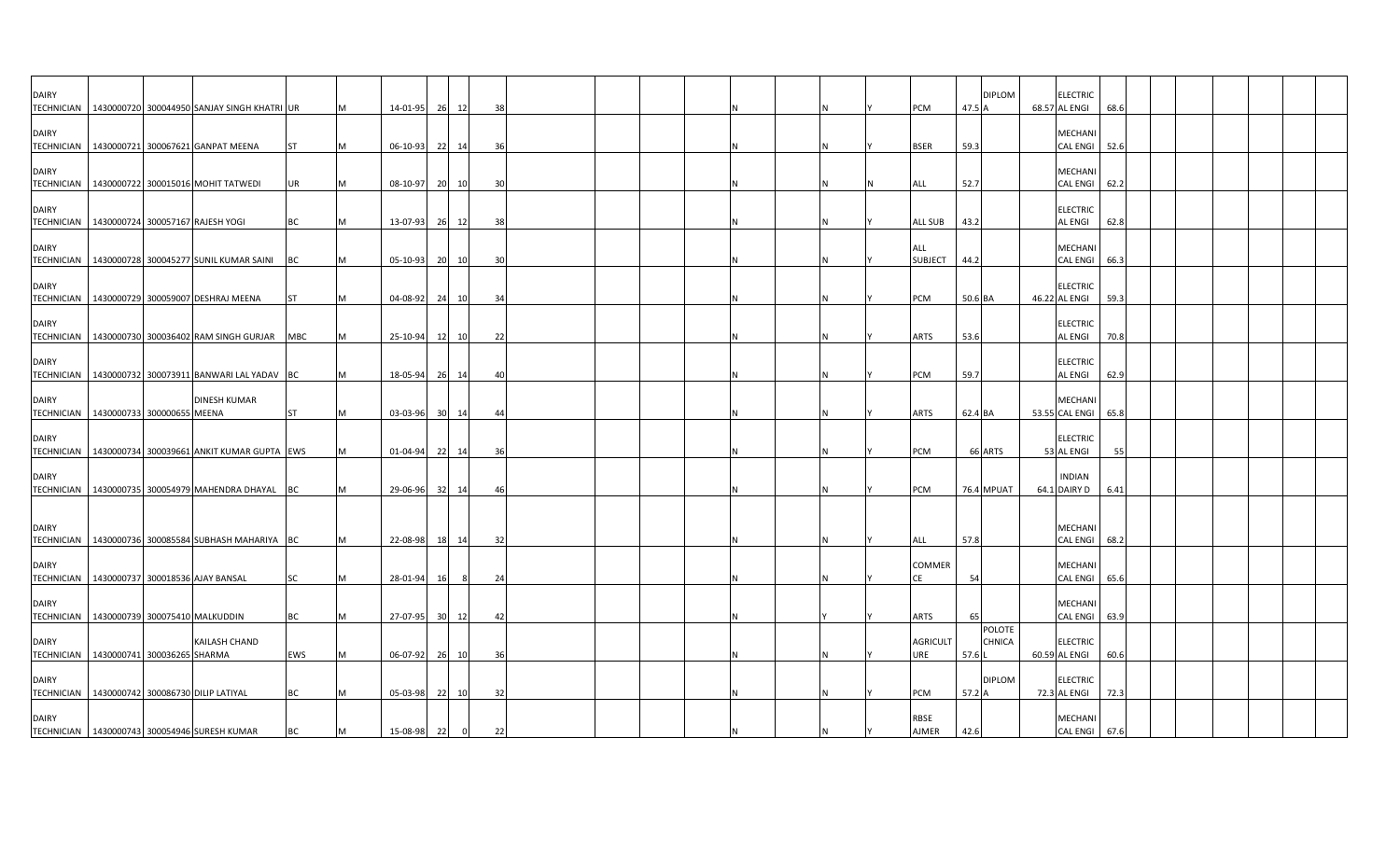| <b>DAIRY</b>                      | TECHNICIAN 1430000720 300044950 SANJAY SINGH KHATRI UR                                          |                 |     | 14-01-95                      | 26 12    | 38                   |    |  |  |  | PCM                            | <b>DIPLOM</b><br>47.5 $\rho$  | <b>ELECTRIC</b><br>68.57 AL ENGI                | 68.6 |  |  |  |
|-----------------------------------|-------------------------------------------------------------------------------------------------|-----------------|-----|-------------------------------|----------|----------------------|----|--|--|--|--------------------------------|-------------------------------|-------------------------------------------------|------|--|--|--|
| <b>DAIRY</b>                      | TECHNICIAN 1430000721 300067621 GANPAT MEENA                                                    | <b>ST</b>       |     | 06-10-93                      | 22 14    | -36                  |    |  |  |  | <b>BSER</b>                    | 59.3                          | <b>MECHANI</b><br>CAL ENGI 52.6                 |      |  |  |  |
| <b>DAIRY</b><br><b>TECHNICIAN</b> | 1430000722 300015016 MOHIT TATWEDI                                                              | UR              | M   | 08-10-97 20 10                |          | 30                   |    |  |  |  | ALL                            | 52.7                          | MECHANI<br>CAL ENGI 62.2                        |      |  |  |  |
| <b>DAIRY</b>                      | TECHNICIAN 1430000724 300057167 RAJESH YOGI                                                     | <b>BC</b>       | M   | 13-07-93 26 12                |          | 38                   |    |  |  |  | <b>ALL SUB</b>                 | 43.2                          | <b>ELECTRIC</b><br><b>AL ENGI</b>               | 62.8 |  |  |  |
| <b>DAIRY</b>                      | TECHNICIAN   1430000728 300045277 SUNIL KUMAR SAINI                                             | BC              |     | 05-10-93                      | 20<br>10 | $\overline{3}$       |    |  |  |  | ALL<br><b>SUBJECT</b>          | 44.2                          | <b>MECHANI</b><br>CAL ENGI                      | 66.3 |  |  |  |
| <b>DAIRY</b><br><b>TECHNICIAN</b> | 1430000729 300059007 DESHRAJ MEENA                                                              | <b>ST</b>       | M   | 04-08-92                      | 24 10    | 34                   |    |  |  |  | PCM                            | 50.6 BA                       | <b>ELECTRIC</b><br>46.22 AL ENGI                | 59.3 |  |  |  |
| <b>DAIRY</b>                      | TECHNICIAN   1430000730 300036402 RAM SINGH GURJAR                                              | <b>MBC</b>      | IM. | 25-10-94                      | 12 10    | 22                   |    |  |  |  | <b>ARTS</b>                    | 53.6                          | <b>ELECTRIC</b><br><b>AL ENGI</b>               | 70.8 |  |  |  |
| <b>DAIRY</b>                      | TECHNICIAN   1430000732 300073911 BANWARI LAL YADAV BC                                          |                 |     | 18-05-94 26 14                |          | 40                   |    |  |  |  | PCM                            | 59.7                          | <b>ELECTRIC</b><br><b>AL ENGI</b>               | 62.9 |  |  |  |
| <b>DAIRY</b>                      | <b>DINESH KUMAR</b><br>TECHNICIAN   1430000733 300000655 MEENA                                  | <b>ST</b>       | M   | 03-03-96 30 14                |          | -44                  |    |  |  |  | <b>ARTS</b>                    | 62.4 BA                       | MECHANI<br>53.55 CAL ENGI                       | 65.8 |  |  |  |
| <b>DAIRY</b>                      | TECHNICIAN   1430000734 300039661 ANKIT KUMAR GUPTA EWS                                         |                 |     | 01-04-94 22 14                |          | 36                   |    |  |  |  | PCM                            | 66 ARTS                       | <b>ELECTRIC</b><br>53 AL ENGI                   | 55   |  |  |  |
| <b>DAIRY</b>                      | TECHNICIAN   1430000735 300054979 MAHENDRA DHAYAL BC                                            |                 |     | 29-06-96 32 14                |          | 46                   |    |  |  |  | PCM                            | 76.4 MPUAT                    | <b>INDIAN</b><br>64.1 DAIRY D                   | 6.41 |  |  |  |
| <b>DAIRY</b>                      |                                                                                                 |                 |     |                               |          |                      |    |  |  |  |                                |                               | <b>MECHAN</b>                                   |      |  |  |  |
| <b>DAIRY</b>                      | TECHNICIAN 1430000736 300085584 SUBHASH MAHARIYA BC                                             |                 | M   | 22-08-98 18 14                |          | 32                   |    |  |  |  | <b>ALL</b><br>COMMER           | 57.8                          | CAL ENGI 68.2<br>MECHANI                        |      |  |  |  |
| <b>DAIRY</b>                      | TECHNICIAN   1430000737 300018536 AJAY BANSAL                                                   | SC              |     | 28-01-94                      | 16       | 24<br>- 8            |    |  |  |  | CE                             | 54                            | <b>CAL ENGI</b><br><b>MECHANI</b>               | 65.6 |  |  |  |
| <b>DAIRY</b>                      | TECHNICIAN   1430000739 300075410 MALKUDDIN<br>KAILASH CHAND                                    | <b>BC</b>       | M   | 27-07-95 30                   | 12       | 42                   |    |  |  |  | <b>ARTS</b><br><b>AGRICULT</b> | 65<br><b>POLOTE</b><br>CHNICA | <b>CAL ENGI</b><br><b>ELECTRIC</b>              | 63.9 |  |  |  |
| <b>DAIRY</b>                      | TECHNICIAN 1430000741 300036265 SHARMA                                                          | EWS             |     | 06-07-92 26 10                |          | 36                   |    |  |  |  | JRE                            | 57.6<br><b>DIPLOM</b>         | 60.59 AL ENGI<br><b>ELECTRIC</b>                | 60.6 |  |  |  |
| <b>DAIRY</b>                      | TECHNICIAN   1430000742 300086730 DILIP LATIYAL<br>TECHNICIAN 1430000743 300054946 SURESH KUMAR | <b>BC</b><br>BC |     | 05-03-98 22 10<br>15-08-98 22 |          | 32<br>$\overline{0}$ | 22 |  |  |  | PCM<br>RBSE<br>AJMER           | 57.2 A<br>42.6                | 72.3 AL ENGI<br><b>MECHANI</b><br>CAL ENGI 67.6 | 72.3 |  |  |  |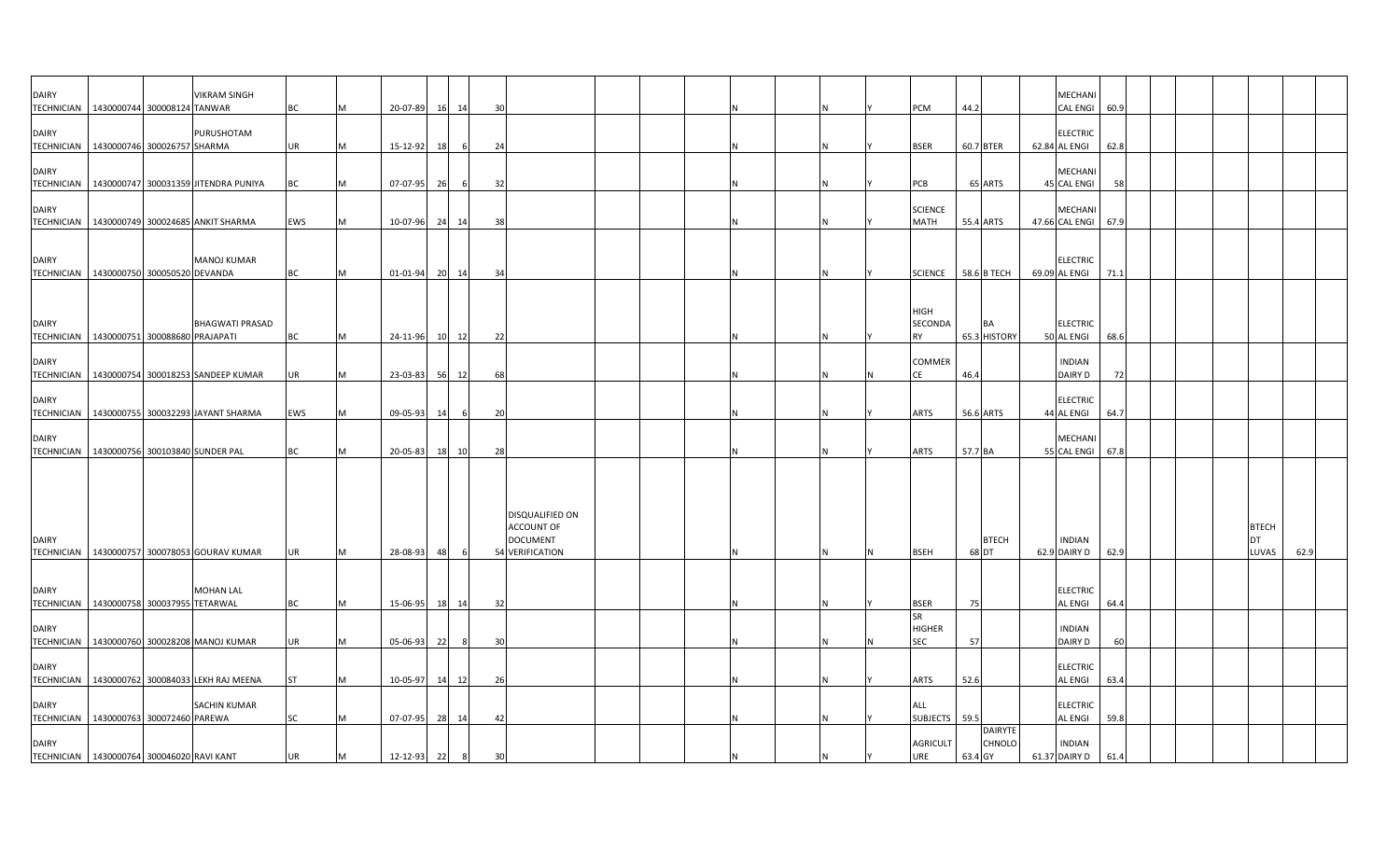| DAIRY<br>TECHNICIAN 1430000744 300008124 TANWAR              |  | VIKRAM SINGH                                      | BC        | M | 20-07-89       | 16 | 14    | 30 |                                                                            |  |  |  | PCM                                        | 44.2                                       | MECHANI<br>CAL ENGI 60.9          |      |  |                             |      |
|--------------------------------------------------------------|--|---------------------------------------------------|-----------|---|----------------|----|-------|----|----------------------------------------------------------------------------|--|--|--|--------------------------------------------|--------------------------------------------|-----------------------------------|------|--|-----------------------------|------|
| <b>DAIRY</b><br>TECHNICIAN 1430000746 300026757 SHARMA       |  | PURUSHOTAM                                        | <b>UR</b> |   | 15-12-92       | 18 |       | 24 |                                                                            |  |  |  | <b>BSER</b>                                | 60.7 BTER                                  | <b>ELECTRIC</b><br>62.84 AL ENGI  | 62.8 |  |                             |      |
| <b>DAIRY</b>                                                 |  | TECHNICIAN   1430000747 300031359 JITENDRA PUNIYA | BC        | M | 07-07-95       | 26 |       | 32 |                                                                            |  |  |  | PCB                                        | 65 ARTS                                    | MECHANI<br>45 CAL ENGI            | 58   |  |                             |      |
| <b>DAIRY</b>                                                 |  | TECHNICIAN   1430000749 300024685 ANKIT SHARMA    | EWS       | M | 10-07-96 24 14 |    |       | 38 |                                                                            |  |  |  | <b>SCIENCE</b><br><b>MATH</b>              | 55.4 ARTS                                  | MECHANI<br>47.66 CAL ENGI         | 67.9 |  |                             |      |
| <b>DAIRY</b><br>TECHNICIAN 1430000750 300050520 DEVANDA      |  | <b>MANOJ KUMAR</b>                                | <b>BC</b> | M | 01-01-94 20 14 |    |       | 34 |                                                                            |  |  |  |                                            | SCIENCE 58.6 B TECH                        | <b>ELECTRIC</b><br>69.09 AL ENGI  | 71.1 |  |                             |      |
| <b>DAIRY</b><br>TECHNICIAN 1430000751 300088680 PRAJAPATI    |  | <b>BHAGWATI PRASAD</b>                            | <b>BC</b> | M | 24-11-96       |    | 10 12 | 22 |                                                                            |  |  |  | <b>HIGH</b><br><b>SECONDA</b><br><b>RY</b> | <b>BA</b><br>65.3 HISTORY                  | <b>ELECTRIC</b><br>50 AL ENGI     | 68.6 |  |                             |      |
| <b>DAIRY</b>                                                 |  | TECHNICIAN   1430000754 300018253 SANDEEP KUMAR   | UR        | M | 23-03-83 56 12 |    |       | 68 |                                                                            |  |  |  | <b>COMMER</b><br>CE                        | 46.4                                       | <b>INDIAN</b><br>DAIRY D          | 72   |  |                             |      |
| <b>DAIRY</b>                                                 |  | TECHNICIAN 1430000755 300032293 JAYANT SHARMA     | EWS       | M | $09 - 05 - 93$ | 14 |       | 20 |                                                                            |  |  |  | <b>ARTS</b>                                | 56.6 ARTS                                  | <b>ELECTRIC</b><br>44 AL ENGI     | 64.7 |  |                             |      |
| <b>DAIRY</b><br>TECHNICIAN   1430000756 300103840 SUNDER PAL |  |                                                   | <b>BC</b> | M | 20-05-83       | 18 | 10    | 28 |                                                                            |  |  |  | <b>ARTS</b>                                | 57.7 BA                                    | MECHANI<br>55 CAL ENGI 67.8       |      |  |                             |      |
| <b>DAIRY</b>                                                 |  | TECHNICIAN   1430000757 300078053 GOURAV KUMAR    | UR        | M | 28-08-93       | 48 |       |    | <b>DISQUALIFIED ON</b><br>ACCOUNT OF<br><b>DOCUMENT</b><br>54 VERIFICATION |  |  |  | <b>BSEH</b>                                | <b>BTECH</b><br>68 DT                      | <b>INDIAN</b><br>62.9 DAIRY D     | 62.9 |  | <b>BTECH</b><br>DT<br>LUVAS | 62.9 |
| <b>DAIRY</b><br>TECHNICIAN 1430000758 300037955 TETARWAL     |  | <b>MOHAN LAL</b>                                  | <b>BC</b> | M | 15-06-95       |    | 18 14 | 32 |                                                                            |  |  |  | <b>BSER</b>                                | 75                                         | <b>ELECTRIC</b><br>AL ENGI        | 64.4 |  |                             |      |
| <b>DAIRY</b>                                                 |  | TECHNICIAN   1430000760 300028208 MANOJ KUMAR     | UR        | M | 05-06-93       | 22 |       | 30 |                                                                            |  |  |  | <b>SR</b><br><b>HIGHER</b><br><b>SEC</b>   | 57                                         | <b>INDIAN</b><br>DAIRY D          | 60   |  |                             |      |
| <b>DAIRY</b>                                                 |  | TECHNICIAN   1430000762 300084033 LEKH RAJ MEENA  | <b>ST</b> | M | 10-05-97       | 14 | 12    | 26 |                                                                            |  |  |  | <b>ARTS</b>                                | 52.6                                       | <b>ELECTRIC</b><br><b>AL ENGI</b> | 63.4 |  |                             |      |
| <b>DAIRY</b><br>TECHNICIAN 1430000763 300072460 PAREWA       |  | SACHIN KUMAR                                      | SC        | M | 07-07-95       | 28 | 14    | 42 |                                                                            |  |  |  | ALL<br>SUBJECTS 59.5                       |                                            | <b>ELECTRIC</b><br><b>AL ENGI</b> | 59.8 |  |                             |      |
| <b>DAIRY</b><br>TECHNICIAN 1430000764 300046020 RAVI KANT    |  |                                                   | <b>UR</b> | M | 12-12-93       | 22 | 8     | 30 |                                                                            |  |  |  | <b>AGRICULT</b><br>URE                     | <b>DAIRYTE</b><br><b>CHNOLO</b><br>63.4 GY | <b>INDIAN</b><br>61.37 DAIRY D    | 61.4 |  |                             |      |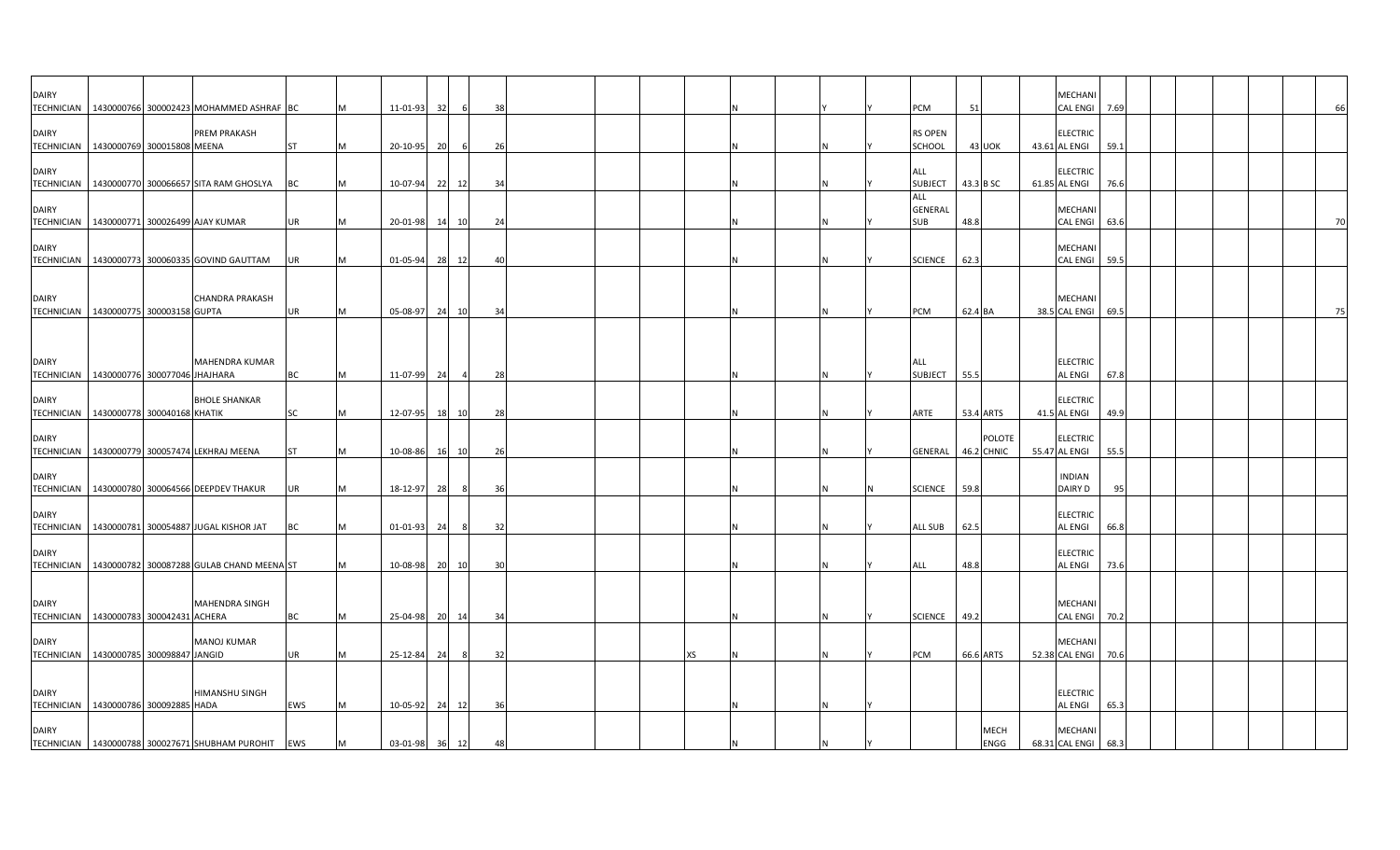| <b>DAIRY</b>                      | TECHNICIAN 1430000766 300002423 MOHAMMED ASHRAF BC                  |           |     | 11-01-93       | 32    |                | 38             |  |     |  |  | PCM                                 | 51           |               | <b>MECHANI</b><br><b>CAL ENGI</b> | 7.69 |  |  | 66 |
|-----------------------------------|---------------------------------------------------------------------|-----------|-----|----------------|-------|----------------|----------------|--|-----|--|--|-------------------------------------|--------------|---------------|-----------------------------------|------|--|--|----|
| <b>DAIRY</b>                      | <b>PREM PRAKASH</b><br>TECHNICIAN   1430000769 300015808 MEENA      | <b>ST</b> |     | 20-10-95       | 20    |                | 26             |  |     |  |  | <b>RS OPEN</b><br>SCHOOL            | 43 UOK       |               | <b>ELECTRIC</b><br>43.61 AL ENGI  | 59.1 |  |  |    |
| <b>DAIRY</b>                      | TECHNICIAN   1430000770 300066657 SITA RAM GHOSLYA                  | BC        |     | 10-07-94       | 22    | 12             | 34             |  |     |  |  | ALL<br><b>SUBJECT</b>               | 43.3 B SC    |               | <b>ELECTRIC</b><br>61.85 AL ENGI  | 76.6 |  |  |    |
| <b>DAIRY</b><br><b>TECHNICIAN</b> | 1430000771 300026499 AJAY KUMAR                                     | <b>UR</b> | M   | 20-01-98 14 10 |       |                | 24             |  |     |  |  | <b>ALL</b><br>GENERAL<br><b>SUB</b> | 48.8         |               | MECHANI<br>CAL ENGI 63.6          |      |  |  | 70 |
| <b>DAIRY</b>                      | TECHNICIAN 1430000773 300060335 GOVIND GAUTTAM                      | UR        |     | 01-05-94 28 12 |       |                | $\overline{4}$ |  |     |  |  | <b>SCIENCE</b>                      | 62.3         |               | <b>MECHANI</b><br>CAL ENGI 59.5   |      |  |  |    |
| <b>DAIRY</b>                      | <b>CHANDRA PRAKASH</b><br>TECHNICIAN 1430000775 300003158 GUPTA     | <b>UR</b> | IM. | 05-08-97       | 24 10 |                | 34             |  |     |  |  | PCM                                 | 62.4 BA      |               | <b>MECHANI</b><br>38.5 CAL ENGI   | 69.5 |  |  | 75 |
|                                   |                                                                     |           |     |                |       |                |                |  |     |  |  |                                     |              |               |                                   |      |  |  |    |
| <b>DAIRY</b>                      | <b>MAHENDRA KUMAR</b><br>TECHNICIAN   1430000776 300077046 JHAJHARA | <b>BC</b> | M   | 11-07-99       | 24    | $\overline{4}$ | 28             |  |     |  |  | ALL<br><b>SUBJECT</b>               | 55.5         |               | <b>ELECTRIC</b><br><b>AL ENGI</b> | 67.8 |  |  |    |
| <b>DAIRY</b>                      | <b>BHOLE SHANKAR</b><br>TECHNICIAN 1430000778 300040168 KHATIK      | SC        |     | 12-07-95       | 18 10 |                | 28             |  |     |  |  | ARTE                                | 53.4 ARTS    |               | <b>ELECTRIC</b><br>41.5 AL ENGI   | 49.9 |  |  |    |
| <b>DAIRY</b>                      | TECHNICIAN 1430000779 300057474 LEKHRAJ MEENA                       | <b>ST</b> |     | 10-08-86       | 16    | 10             | 26             |  |     |  |  | GENERAL                             | 46.2 CHNIC   | <b>POLOTE</b> | <b>ELECTRIC</b><br>55.47 AL ENGI  | 55.5 |  |  |    |
| <b>DAIRY</b>                      | TECHNICIAN   1430000780 300064566 DEEPDEV THAKUR                    | <b>UR</b> |     | 18-12-97       | 28    | - 8            | 36             |  |     |  |  | <b>SCIENCE</b>                      | 59.8         |               | <b>INDIAN</b><br><b>DAIRY D</b>   | 95   |  |  |    |
| <b>DAIRY</b>                      | TECHNICIAN 1430000781 300054887 JUGAL KISHOR JAT                    | BC        | M   | 01-01-93       | 24    | - 8            | 32             |  |     |  |  | <b>ALL SUB</b>                      | 62.5         |               | <b>ELECTRIC</b><br><b>AL ENGI</b> | 66.8 |  |  |    |
| <b>DAIRY</b>                      | TECHNICIAN 1430000782 300087288 GULAB CHAND MEENA ST                |           |     | 10-08-98 20 10 |       |                | 30             |  |     |  |  | ALL                                 | 48.8         |               | <b>ELECTRIC</b><br><b>AL ENGI</b> | 73.6 |  |  |    |
| <b>DAIRY</b>                      | <b>MAHENDRA SINGH</b><br>TECHNICIAN 1430000783 300042431 ACHERA     | <b>BC</b> |     | 25-04-98 20 14 |       |                | 34             |  |     |  |  | <b>SCIENCE</b>                      | 49.2         |               | MECHANI<br>CAL ENGI               | 70.2 |  |  |    |
| <b>DAIRY</b>                      | <b>MANOJ KUMAR</b><br>TECHNICIAN 1430000785 300098847 JANGID        | UR        |     | 25-12-84       | 24    | - 8            | 32             |  | XS. |  |  | PCM                                 | 66.6 ARTS    |               | <b>MECHANI</b><br>52.38 CAL ENGI  | 70.6 |  |  |    |
| <b>DAIRY</b>                      | HIMANSHU SINGH<br>TECHNICIAN   1430000786 300092885 HADA            | EWS       |     | 10-05-92 24    |       | 12             | 36             |  |     |  |  |                                     |              |               | <b>ELECTRIC</b><br><b>AL ENGI</b> | 65.3 |  |  |    |
| <b>DAIRY</b>                      | TECHNICIAN 1430000788 300027671 SHUBHAM PUROHIT EWS                 |           |     | 03-01-98 36 12 |       |                | 48             |  |     |  |  |                                     | MECH<br>ENGG |               | MECHANI<br>68.31 CAL ENGI 68.3    |      |  |  |    |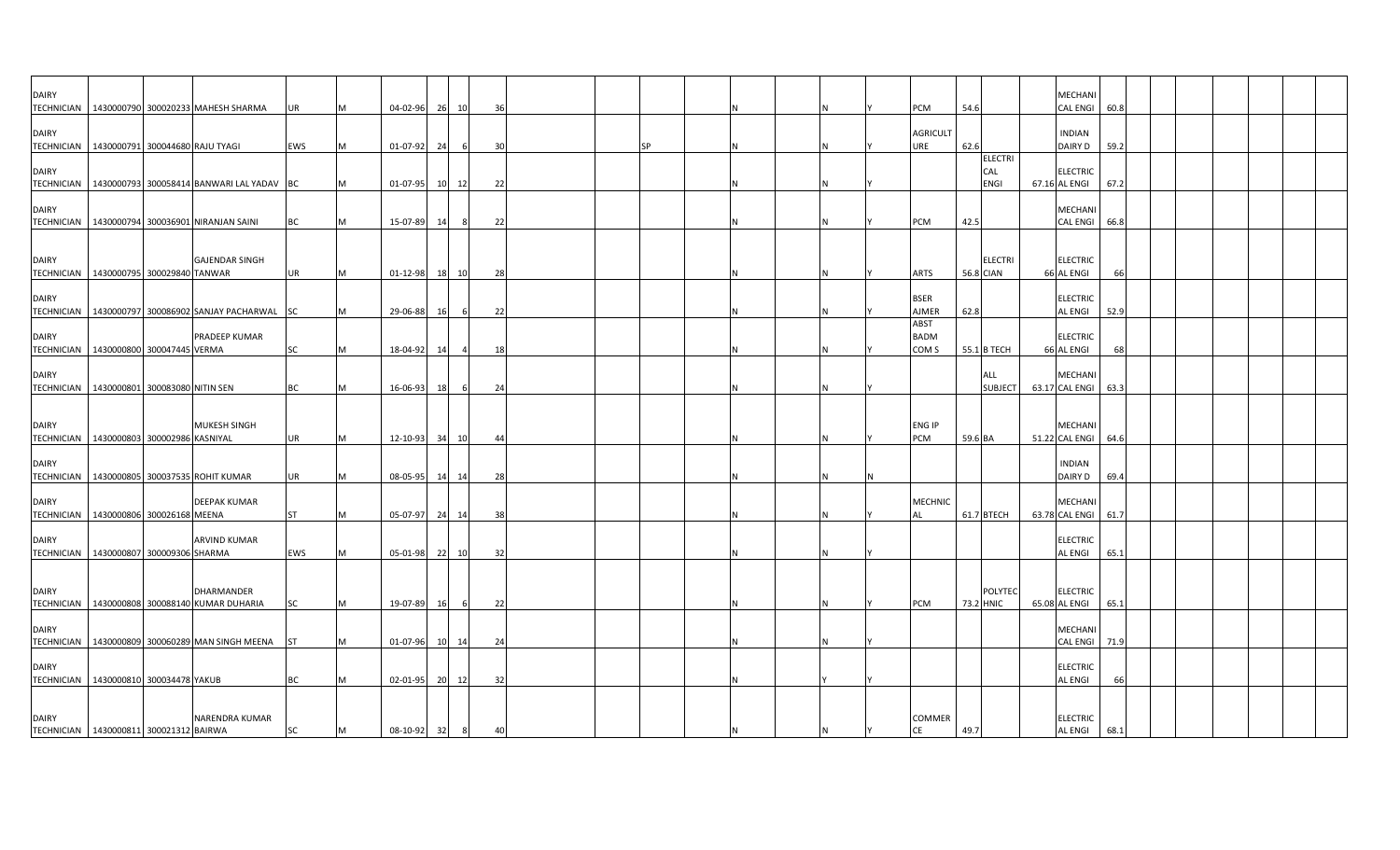| <b>DAIRY</b>                                             |  |                                                          |           |           |                |    |       |    |    |     |  |                     |         |                                    | <b>MECHAN</b>                     |      |  |  |  |
|----------------------------------------------------------|--|----------------------------------------------------------|-----------|-----------|----------------|----|-------|----|----|-----|--|---------------------|---------|------------------------------------|-----------------------------------|------|--|--|--|
|                                                          |  | TECHNICIAN   1430000790 300020233 MAHESH SHARMA          | UR        |           | 04-02-96       | 26 | 10    | 36 |    |     |  | <b>PCM</b>          | 54.6    |                                    | <b>CAL ENGI</b>                   | 60.8 |  |  |  |
| <b>DAIRY</b>                                             |  |                                                          |           |           |                |    |       |    |    |     |  | <b>AGRICULT</b>     |         |                                    | <b>INDIAN</b>                     |      |  |  |  |
| TECHNICIAN 1430000791 300044680 RAJU TYAGI               |  |                                                          | EWS       | <b>IM</b> | 01-07-92       | 24 | - 6   | 30 | ςp | N   |  | <b>JRE</b>          | 62.6    |                                    | <b>DAIRY D</b>                    | 59.2 |  |  |  |
|                                                          |  |                                                          |           |           |                |    |       |    |    |     |  |                     |         | <b>ELECTRI</b>                     |                                   |      |  |  |  |
| <b>DAIRY</b>                                             |  |                                                          |           |           |                |    |       |    |    |     |  |                     |         | CAL                                | <b>ELECTRIC</b>                   |      |  |  |  |
|                                                          |  | TECHNICIAN   1430000793 300058414 BANWARI LAL YADAV   BC |           | M         | 01-07-95       |    | 10 12 | 22 |    |     |  |                     |         | <b>ENGI</b>                        | 67.16 AL ENGI                     | 67.2 |  |  |  |
| <b>DAIRY</b>                                             |  |                                                          |           |           |                |    |       |    |    |     |  |                     |         |                                    | <b>MECHANI</b>                    |      |  |  |  |
|                                                          |  | TECHNICIAN 1430000794 300036901 NIRANJAN SAINI           | <b>BC</b> | M         | 15-07-89       | 14 | 8     | 22 |    |     |  | PCM                 | 42.5    |                                    | <b>CAL ENGI</b>                   | 66.8 |  |  |  |
|                                                          |  |                                                          |           |           |                |    |       |    |    |     |  |                     |         |                                    |                                   |      |  |  |  |
|                                                          |  |                                                          |           |           |                |    |       |    |    |     |  |                     |         |                                    |                                   |      |  |  |  |
| <b>DAIRY</b><br>TECHNICIAN 1430000795 300029840 TANWAR   |  | <b>GAJENDAR SINGH</b>                                    | <b>UR</b> |           |                |    |       |    |    |     |  | <b>ARTS</b>         |         | <b>ELECTRI</b><br><b>56.8 CIAN</b> | <b>ELECTRIC</b>                   | 66   |  |  |  |
|                                                          |  |                                                          |           | M         | $01 - 12 - 98$ |    | 18 10 | 28 |    |     |  |                     |         |                                    | 66 AL ENGI                        |      |  |  |  |
| <b>DAIRY</b>                                             |  |                                                          |           |           |                |    |       |    |    |     |  | <b>BSER</b>         |         |                                    | <b>ELECTRIC</b>                   |      |  |  |  |
|                                                          |  | TECHNICIAN 1430000797 300086902 SANJAY PACHARWAL SC      |           | M         | 29-06-88       | 16 |       | 22 |    |     |  | AJMER               | 62.8    |                                    | <b>AL ENGI</b>                    | 52.9 |  |  |  |
|                                                          |  |                                                          |           |           |                |    |       |    |    |     |  | <b>ABST</b>         |         |                                    |                                   |      |  |  |  |
| <b>DAIRY</b>                                             |  | PRADEEP KUMAR                                            |           |           |                |    |       |    |    |     |  | <b>BADM</b>         |         |                                    | <b>ELECTRIC</b>                   |      |  |  |  |
| TECHNICIAN   1430000800 300047445 VERMA                  |  |                                                          | SC        | M         | 18-04-92       | 14 |       | 18 |    |     |  | COM <sub>S</sub>    |         | 55.1 B TECH                        | 66 AL ENGI                        |      |  |  |  |
| <b>DAIRY</b>                                             |  |                                                          |           |           |                |    |       |    |    |     |  |                     |         | ALL                                | <b>MECHANI</b>                    |      |  |  |  |
| TECHNICIAN   1430000801 300083080 NITIN SEN              |  |                                                          | <b>BC</b> | <b>M</b>  | 16-06-93       | 18 | - 6   | 24 |    |     |  |                     |         | <b>SUBJECT</b>                     | 63.17 CAL ENGI 63.3               |      |  |  |  |
|                                                          |  |                                                          |           |           |                |    |       |    |    |     |  |                     |         |                                    |                                   |      |  |  |  |
|                                                          |  | MUKESH SINGH                                             |           |           |                |    |       |    |    |     |  | <b>ENG IP</b>       |         |                                    | <b>MECHANI</b>                    |      |  |  |  |
| <b>DAIRY</b><br>TECHNICIAN 1430000803 300002986 KASNIYAL |  |                                                          | <b>UR</b> | M         | 12-10-93       | 34 | 10    | 44 |    |     |  | PCM                 | 59.6 BA |                                    | 51.22 CAL ENGI                    | 64.6 |  |  |  |
|                                                          |  |                                                          |           |           |                |    |       |    |    |     |  |                     |         |                                    |                                   |      |  |  |  |
| <b>DAIRY</b>                                             |  |                                                          |           |           |                |    |       |    |    |     |  |                     |         |                                    | <b>INDIAN</b>                     |      |  |  |  |
| TECHNICIAN 1430000805 300037535 ROHIT KUMAR              |  |                                                          | UR        | M         | 08-05-95       |    | 14 14 | 28 |    |     |  |                     |         |                                    | DAIRY D                           | 69.4 |  |  |  |
| <b>DAIRY</b>                                             |  | <b>DEEPAK KUMAR</b>                                      |           |           |                |    |       |    |    |     |  | <b>MECHNIC</b>      |         |                                    | <b>MECHAN</b>                     |      |  |  |  |
| TECHNICIAN   1430000806 300026168 MEENA                  |  |                                                          | <b>ST</b> | <b>IM</b> | 05-07-97       | 24 | 14    | 38 |    |     |  | AL                  |         | 61.7 BTECH                         | 63.78 CAL ENGI                    | 61.7 |  |  |  |
|                                                          |  |                                                          |           |           |                |    |       |    |    |     |  |                     |         |                                    |                                   |      |  |  |  |
| <b>DAIRY</b>                                             |  | <b>ARVIND KUMAR</b>                                      |           |           |                |    |       |    |    |     |  |                     |         |                                    | <b>ELECTRIC</b>                   |      |  |  |  |
| TECHNICIAN   1430000807 300009306 SHARMA                 |  |                                                          | EWS       | M         | 05-01-98       | 22 | 10    | 32 |    |     |  |                     |         |                                    | <b>AL ENGI</b>                    | 65.1 |  |  |  |
|                                                          |  |                                                          |           |           |                |    |       |    |    |     |  |                     |         |                                    |                                   |      |  |  |  |
| <b>DAIRY</b>                                             |  | DHARMANDER                                               |           |           |                |    |       |    |    |     |  |                     |         | <b>POLYTEC</b>                     | <b>ELECTRIC</b>                   |      |  |  |  |
|                                                          |  | TECHNICIAN 1430000808 300088140 KUMAR DUHARIA            | <b>SC</b> | IM.       | 19-07-89       | 16 |       | 22 |    | IN. |  | <b>PCM</b>          |         | 73.2 HNIC                          | 65.08 AL ENGI                     | 65.1 |  |  |  |
|                                                          |  |                                                          |           |           |                |    |       |    |    |     |  |                     |         |                                    |                                   |      |  |  |  |
| <b>DAIRY</b>                                             |  |                                                          |           |           |                |    |       |    |    |     |  |                     |         |                                    | <b>MECHANI</b>                    |      |  |  |  |
|                                                          |  | TECHNICIAN   1430000809 300060289 MAN SINGH MEENA        | <b>ST</b> | M         | 01-07-96       | 10 | 14    | 24 |    | N   |  |                     |         |                                    | <b>CAL ENGI</b>                   | 71.9 |  |  |  |
| <b>DAIRY</b>                                             |  |                                                          |           |           |                |    |       |    |    |     |  |                     |         |                                    | <b>ELECTRIC</b>                   |      |  |  |  |
| TECHNICIAN   1430000810 300034478 YAKUB                  |  |                                                          | <b>BC</b> | <b>IM</b> | $02 - 01 - 95$ |    | 20 12 | 32 |    |     |  |                     |         |                                    | <b>AL ENGI</b>                    | 66   |  |  |  |
|                                                          |  |                                                          |           |           |                |    |       |    |    |     |  |                     |         |                                    |                                   |      |  |  |  |
|                                                          |  |                                                          |           |           |                |    |       |    |    |     |  |                     |         |                                    |                                   |      |  |  |  |
| <b>DAIRY</b><br>TECHNICIAN 1430000811 300021312 BAIRWA   |  | NARENDRA KUMAR                                           | <b>SC</b> | M         | 08-10-92 32    |    | 8     | 40 |    |     |  | COMMER<br><b>CE</b> | 49.7    |                                    | <b>ELECTRIC</b><br><b>AL ENGI</b> | 68.1 |  |  |  |
|                                                          |  |                                                          |           |           |                |    |       |    |    |     |  |                     |         |                                    |                                   |      |  |  |  |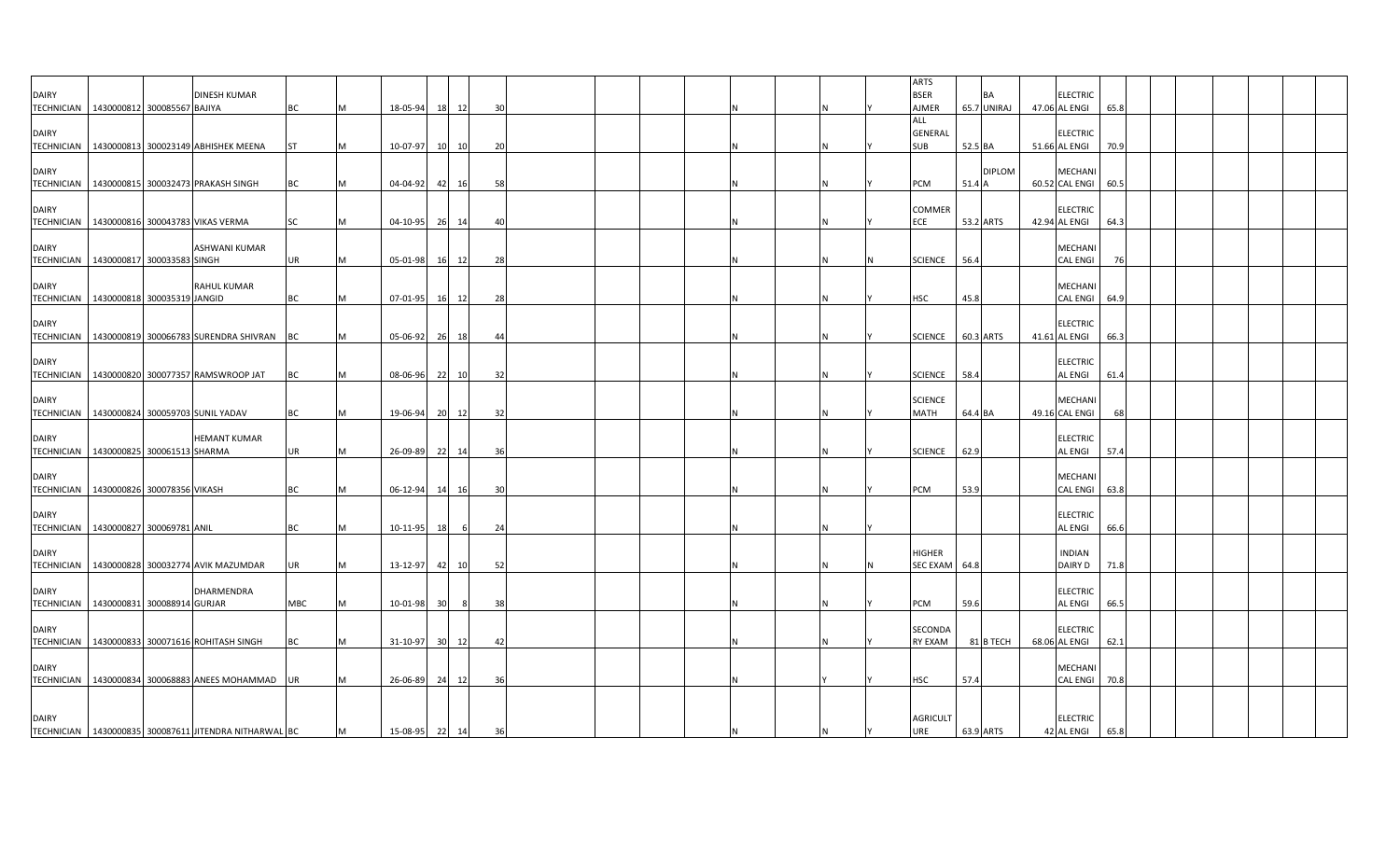| <b>DAIRY</b>                      |                                                         | DINESH KUMAR         |           |   |                |                 |       |     |  |  |   | <b>ARTS</b><br><b>BSER</b>          |           | <b>BA</b>     | <b>ELECTRIC</b>                   |      |  |  |  |
|-----------------------------------|---------------------------------------------------------|----------------------|-----------|---|----------------|-----------------|-------|-----|--|--|---|-------------------------------------|-----------|---------------|-----------------------------------|------|--|--|--|
| <b>TECHNICIAN</b>                 | 1430000812 300085567 BAJIYA                             |                      | BC        |   | 18-05-94       | <b>18</b>       | 12    | 30  |  |  |   | AJMER                               |           | 65.7 UNIRAJ   | 47.06 AL ENGI                     | 65.8 |  |  |  |
| <b>DAIRY</b>                      | TECHNICIAN 1430000813 300023149 ABHISHEK MEENA          |                      | <b>ST</b> |   | 10-07-97       | 10              | 10    | -20 |  |  | N | ALL<br><b>GENERAL</b><br><b>SUB</b> | 52.5 BA   |               | <b>ELECTRIC</b><br>51.66 AL ENGI  | 70.9 |  |  |  |
| <b>DAIRY</b>                      |                                                         |                      |           |   |                |                 |       |     |  |  |   |                                     |           | <b>DIPLOM</b> | <b>MECHANI</b>                    |      |  |  |  |
|                                   | TECHNICIAN   1430000815 300032473 PRAKASH SINGH         |                      | <b>BC</b> |   | 04-04-92       | 42              | 16    | 58  |  |  | N | PCM                                 | 51.4 A    |               | 60.52 CAL ENGI 60.5               |      |  |  |  |
| <b>DAIRY</b>                      | TECHNICIAN   1430000816 300043783 VIKAS VERMA           |                      | SC        | м | 04-10-95       | 26              | 14    | 40  |  |  | N | COMMER<br>ECE                       | 53.2 ARTS |               | <b>ELECTRIC</b><br>42.94 AL ENGI  | 64.3 |  |  |  |
| <b>DAIRY</b>                      |                                                         | <b>ASHWANI KUMAR</b> |           |   |                |                 |       | 28  |  |  |   | <b>SCIENCE</b>                      | 56.4      |               | <b>MECHANI</b><br><b>CAL ENGI</b> |      |  |  |  |
|                                   | TECHNICIAN   1430000817 300033583 SINGH                 |                      | UR        |   | 05-01-98       | <b>16</b>       | 12    |     |  |  |   |                                     |           |               |                                   |      |  |  |  |
| <b>DAIRY</b><br><b>TECHNICIAN</b> | 1430000818 300035319 JANGID                             | <b>RAHUL KUMAR</b>   | BC        |   | 07-01-95       |                 | 16 12 | 28  |  |  | N | <b>HSC</b>                          | 45.8      |               | <b>MECHANI</b><br>CAL ENGI 64.9   |      |  |  |  |
| <b>DAIRY</b>                      | TECHNICIAN 1430000819 300066783 SURENDRA SHIVRAN BC     |                      |           |   | 05-06-92       | 26              | 18    | 44  |  |  | N | <b>SCIENCE</b>                      | 60.3 ARTS |               | <b>ELECTRIC</b><br>41.61 AL ENGI  | 66.3 |  |  |  |
| <b>DAIRY</b>                      |                                                         |                      |           |   |                |                 |       |     |  |  |   |                                     |           |               | <b>ELECTRIC</b>                   |      |  |  |  |
|                                   | TECHNICIAN   1430000820 300077357 RAMSWROOP JAT         |                      | BC        |   | 08-06-96       | 22              | 10    | 32  |  |  |   | <b>SCIENCE</b>                      | 58.4      |               | <b>AL ENGI</b>                    | 61.4 |  |  |  |
| <b>DAIRY</b><br><b>TECHNICIAN</b> | 1430000824 300059703 SUNIL YADAV                        |                      | <b>BC</b> |   | 19-06-94       | 20              | 12    | 32  |  |  |   | <b>SCIENCE</b><br>MATH              | 64.4 BA   |               | <b>MECHANI</b><br>49.16 CAL ENGI  | 68   |  |  |  |
| <b>DAIRY</b>                      | TECHNICIAN 1430000825 300061513 SHARMA                  | <b>HEMANT KUMAR</b>  | <b>UR</b> | M | 26-09-89 22    |                 | 14    | 36  |  |  | N | <b>SCIENCE</b>                      | 62.9      |               | <b>ELECTRIC</b><br><b>AL ENGI</b> | 57.4 |  |  |  |
| <b>DAIRY</b>                      |                                                         |                      |           |   |                |                 |       |     |  |  |   |                                     |           |               | MECHANI                           |      |  |  |  |
|                                   | TECHNICIAN   1430000826 300078356 VIKASH                |                      | <b>BC</b> | м | $06 - 12 - 94$ | 14              | 16    | 30  |  |  | N | PCM                                 | 53.9      |               | CAL ENGI 63.8                     |      |  |  |  |
| <b>DAIRY</b>                      | TECHNICIAN   1430000827 300069781 ANIL                  |                      | BC        |   | $10-11-95$     | <b>18</b>       | -6    | 24  |  |  |   |                                     |           |               | <b>ELECTRIC</b><br><b>AL ENGI</b> | 66.6 |  |  |  |
| <b>DAIRY</b>                      | TECHNICIAN 1430000828 300032774 AVIK MAZUMDAR           |                      | UR        |   | 13-12-97       | 42              | 10    | 52  |  |  | N | <b>HIGHER</b><br><b>SEC EXAM</b>    | 64.8      |               | <b>INDIAN</b><br><b>DAIRY D</b>   | 71.8 |  |  |  |
| <b>DAIRY</b>                      | TECHNICIAN   1430000831 300088914 GURJAR                | DHARMENDRA           | MBC       |   | 10-01-98       | 30              |       | 38  |  |  |   | PCM                                 | 59.6      |               | <b>ELECTRIC</b><br><b>AL ENGI</b> | 66.5 |  |  |  |
| <b>DAIRY</b>                      |                                                         |                      |           |   |                |                 |       |     |  |  |   | SECONDA                             |           |               | <b>ELECTRIC</b>                   |      |  |  |  |
|                                   | TECHNICIAN   1430000833 300071616 ROHITASH SINGH        |                      | BC        |   | 31-10-97       | 30 <sup>1</sup> | 12    | 42  |  |  | N | <b>RY EXAM</b>                      |           | 81 B TECH     | 68.06 AL ENGI                     | 62.1 |  |  |  |
| <b>DAIRY</b>                      | TECHNICIAN   1430000834 300068883 ANEES MOHAMMAD   UR   |                      |           |   | 26-06-89       | 24              | 12    | 36  |  |  |   | HSC                                 | 57.4      |               | MECHANI<br>CAL ENGI               | 70.8 |  |  |  |
| <b>DAIRY</b>                      |                                                         |                      |           |   |                |                 |       |     |  |  |   | <b>AGRICULT</b>                     |           |               | <b>ELECTRIC</b>                   |      |  |  |  |
|                                   | TECHNICIAN   1430000835 300087611 JITENDRA NITHARWAL BC |                      |           | M | 15-08-95 22    |                 | 14    | 36  |  |  |   | URE                                 |           | 63.9 ARTS     | 42 AL ENGI                        | 65.8 |  |  |  |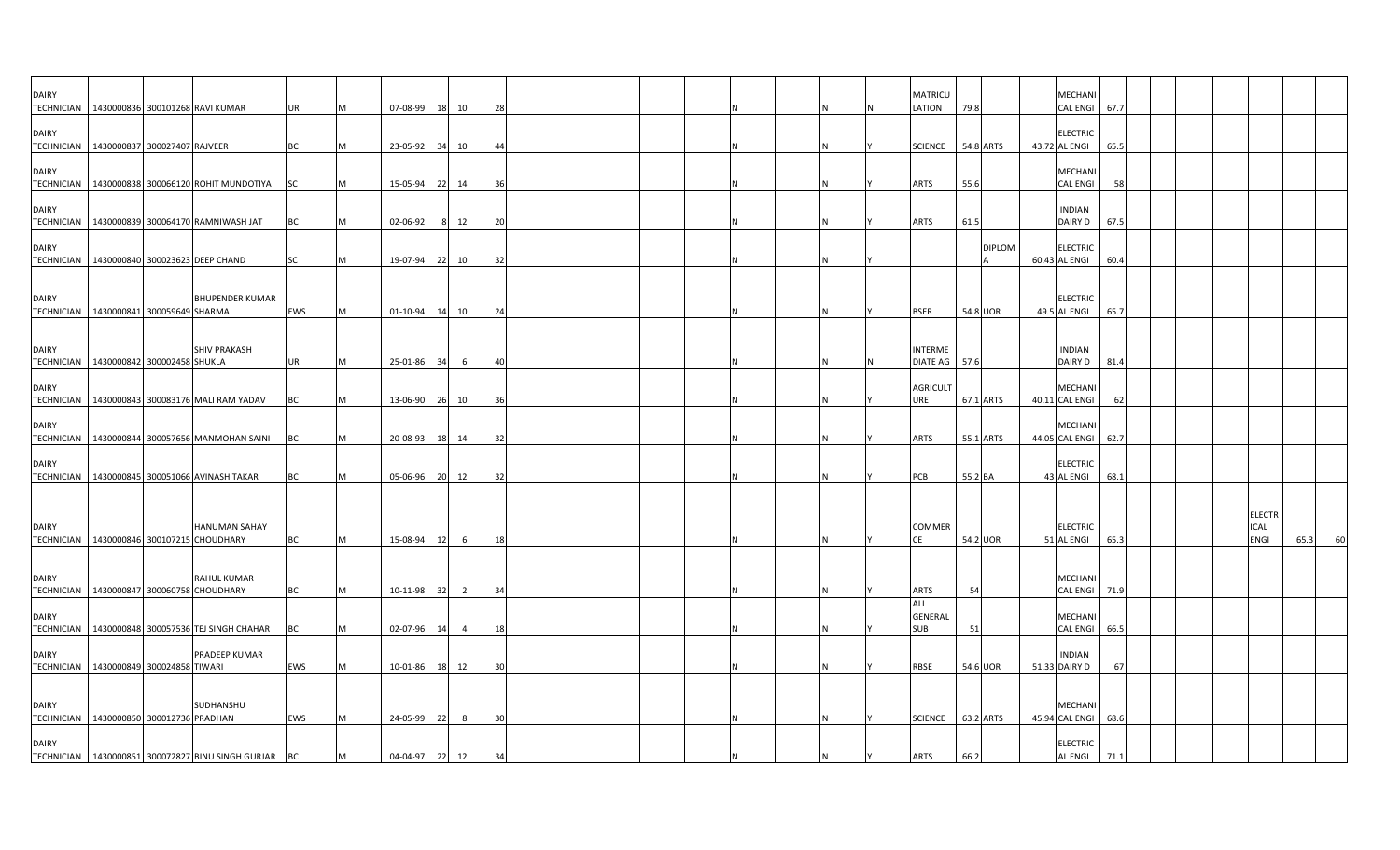| <b>DAIRY</b><br>TECHNICIAN   1430000836 300101268 RAVI KUMAR |                             |                                                          | <b>UR</b>  | M  | 07-08-99       | 18 | 10             | 28  |  |  |     | <b>MATRICU</b><br>LATION     | 79.8      |               | MECHANI<br><b>CAL ENGI</b>        | 67.7 |  |                     |      |    |
|--------------------------------------------------------------|-----------------------------|----------------------------------------------------------|------------|----|----------------|----|----------------|-----|--|--|-----|------------------------------|-----------|---------------|-----------------------------------|------|--|---------------------|------|----|
| <b>DAIRY</b>                                                 |                             |                                                          |            |    |                |    |                |     |  |  |     |                              |           |               | <b>ELECTRIC</b>                   |      |  |                     |      |    |
| TECHNICIAN   1430000837 300027407 RAJVEER                    |                             |                                                          | <b>BC</b>  | M  | 23-05-92       | 34 | 10             | 44  |  |  |     | <b>SCIENCE</b>               | 54.8 ARTS |               | 43.72 AL ENGI                     | 65.5 |  |                     |      |    |
| <b>DAIRY</b>                                                 |                             |                                                          |            |    |                |    |                |     |  |  |     |                              |           |               | MECHANI                           |      |  |                     |      |    |
|                                                              |                             | TECHNICIAN 1430000838 300066120 ROHIT MUNDOTIYA SC       |            | M  | 15-05-94       |    | 22 14          | 36  |  |  |     | <b>ARTS</b>                  | 55.6      |               | <b>CAL ENGI</b>                   | 58   |  |                     |      |    |
| <b>DAIRY</b>                                                 |                             |                                                          |            |    |                |    |                |     |  |  |     |                              |           |               | <b>INDIAN</b>                     |      |  |                     |      |    |
|                                                              |                             | TECHNICIAN   1430000839 300064170 RAMNIWASH JAT          | BC         | M  | $02 - 06 - 92$ |    | 8 12           | 20  |  |  | IN. | ARTS                         | 61.5      |               | DAIRY D                           | 67.5 |  |                     |      |    |
| <b>DAIRY</b>                                                 |                             |                                                          |            |    |                |    |                |     |  |  |     |                              |           | <b>DIPLOM</b> | <b>ELECTRIC</b>                   |      |  |                     |      |    |
| TECHNICIAN 1430000840 300023623 DEEP CHAND                   |                             |                                                          | SC         | M  | 19-07-94       |    | 22 10          | 32  |  |  |     |                              |           |               | 60.43 AL ENGI                     | 60.4 |  |                     |      |    |
|                                                              |                             |                                                          |            |    |                |    |                |     |  |  |     |                              |           |               |                                   |      |  |                     |      |    |
| <b>DAIRY</b><br>TECHNICIAN   1430000841 300059649 SHARMA     |                             | <b>BHUPENDER KUMAR</b>                                   | <b>EWS</b> | M  | 01-10-94       |    | 14 10          | 24  |  |  |     | <b>BSER</b>                  | 54.8 UOR  |               | <b>ELECTRIC</b><br>49.5 AL ENGI   | 65.7 |  |                     |      |    |
|                                                              |                             |                                                          |            |    |                |    |                |     |  |  |     |                              |           |               |                                   |      |  |                     |      |    |
| <b>DAIRY</b>                                                 |                             | <b>SHIV PRAKASH</b>                                      |            |    |                |    |                |     |  |  |     | <b>INTERME</b>               |           |               | <b>INDIAN</b>                     |      |  |                     |      |    |
| <b>TECHNICIAN</b>                                            | 1430000842 300002458 SHUKLA |                                                          | <b>UR</b>  | M  | 25-01-86       | 34 | -6             | 40  |  |  |     | <b>DIATE AG</b>              | 57.6      |               | DAIRY D                           | 81.4 |  |                     |      |    |
| <b>DAIRY</b><br>TECHNICIAN                                   |                             | 1430000843 300083176 MALI RAM YADAV                      | BC         | M  | 13-06-90       |    | 26 10          | 36  |  |  | IN. | <b>AGRICULT</b><br>URE       | 67.1 ARTS |               | <b>MECHAN</b><br>40.11 CAL ENGI   | 62   |  |                     |      |    |
|                                                              |                             |                                                          |            |    |                |    |                |     |  |  |     |                              |           |               |                                   |      |  |                     |      |    |
| <b>DAIRY</b>                                                 |                             | TECHNICIAN   1430000844 300057656 MANMOHAN SAINI         | BC         | M  | 20-08-93       |    | 18 14          | 32  |  |  | N   | ARTS                         | 55.1 ARTS |               | MECHANI<br>44.05 CAL ENGI         | 62.7 |  |                     |      |    |
| <b>DAIRY</b>                                                 |                             |                                                          |            |    |                |    |                |     |  |  |     |                              |           |               | <b>ELECTRIC</b>                   |      |  |                     |      |    |
|                                                              |                             | TECHNICIAN   1430000845 300051066 AVINASH TAKAR          | BC         | ΙM | 05-06-96       |    | 20 12          | 32  |  |  |     | PCB                          | 55.2 BA   |               | 43 AL ENGI                        | 68.1 |  |                     |      |    |
|                                                              |                             |                                                          |            |    |                |    |                |     |  |  |     |                              |           |               |                                   |      |  |                     |      |    |
|                                                              |                             |                                                          |            |    |                |    |                |     |  |  |     |                              |           |               |                                   |      |  | <b>ELECTR</b>       |      |    |
| <b>DAIRY</b><br>TECHNICIAN 1430000846 300107215 CHOUDHARY    |                             | <b>HANUMAN SAHAY</b>                                     | <b>BC</b>  | M  | 15-08-94       | 12 | 6              | 18  |  |  | IN. | <b>COMMER</b><br>CF          | 54.2 UOR  |               | <b>ELECTRIC</b><br>51 AL ENGI     | 65.3 |  | <b>ICAL</b><br>ENGI | 65.3 | 60 |
|                                                              |                             |                                                          |            |    |                |    |                |     |  |  |     |                              |           |               |                                   |      |  |                     |      |    |
| <b>DAIRY</b>                                                 |                             | <b>RAHUL KUMAR</b>                                       |            |    |                |    |                |     |  |  |     |                              |           |               | MECHANI                           |      |  |                     |      |    |
| TECHNICIAN   1430000847 300060758 CHOUDHARY                  |                             |                                                          | <b>BC</b>  | M  | 10-11-98       | 32 | 2              | -34 |  |  | N   | ARTS<br>ALL                  | 54        |               | <b>CAL ENGI</b>                   | 71.9 |  |                     |      |    |
| <b>DAIRY</b><br><b>TECHNICIAN</b>                            |                             | 1430000848 300057536 TEJ SINGH CHAHAR                    | BC         | M  | 02-07-96       | 14 | $\overline{a}$ | 18  |  |  |     | <b>GENERAL</b><br><b>SUB</b> | 51        |               | <b>MECHANI</b><br><b>CAL ENGI</b> | 66.5 |  |                     |      |    |
|                                                              |                             |                                                          |            |    |                |    |                |     |  |  |     |                              |           |               |                                   |      |  |                     |      |    |
| <b>DAIRY</b><br><b>TECHNICIAN</b>                            | 1430000849 300024858 TIWARI | PRADEEP KUMAR                                            | EWS        | M  | 10-01-86       |    | 18 12          | 30  |  |  | IN. | RBSE                         | 54.6 UOR  |               | <b>INDIAN</b><br>51.33 DAIRY D    | 67   |  |                     |      |    |
|                                                              |                             |                                                          |            |    |                |    |                |     |  |  |     |                              |           |               |                                   |      |  |                     |      |    |
| <b>DAIRY</b>                                                 |                             | SUDHANSHU                                                |            |    |                |    |                |     |  |  |     |                              |           |               | MECHANI                           |      |  |                     |      |    |
| TECHNICIAN 1430000850 300012736 PRADHAN                      |                             |                                                          | EWS        | M  | 24-05-99       | 22 | -8             | 30  |  |  | IN. | SCIENCE 63.2 ARTS            |           |               | 45.94 CAL ENGI                    | 68.6 |  |                     |      |    |
| <b>DAIRY</b>                                                 |                             |                                                          |            |    |                |    |                |     |  |  |     |                              |           |               | <b>ELECTRIC</b>                   |      |  |                     |      |    |
|                                                              |                             | TECHNICIAN   1430000851 300072827 BINU SINGH GURJAR   BC |            | M  | 04-04-97 22 12 |    |                | 34  |  |  | N   | <b>ARTS</b>                  | 66.2      |               | <b>AL ENGI</b>                    | 71.1 |  |                     |      |    |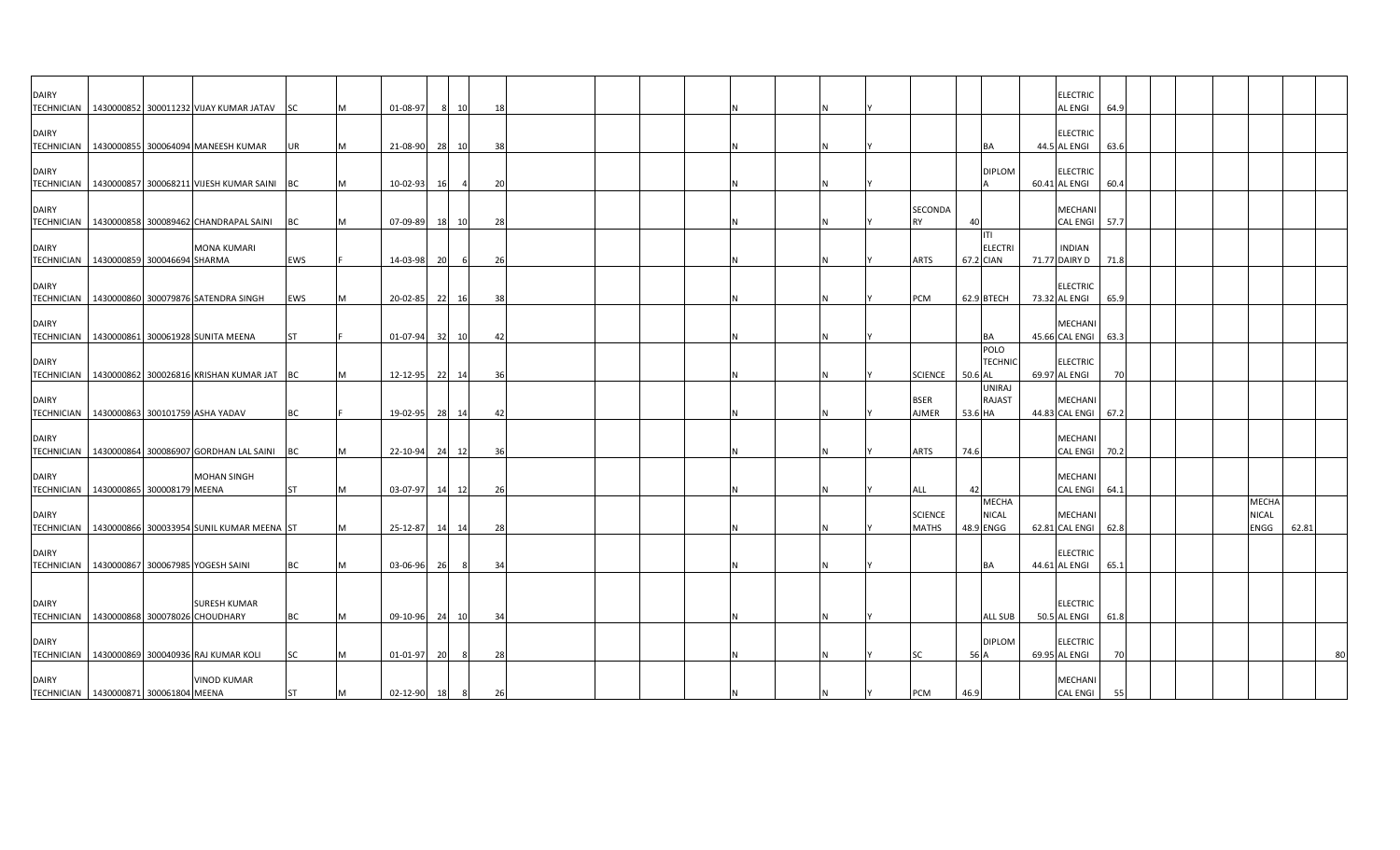| <b>DAIRY</b>                                |  |                                                        |            |   |                  |    |                |    |  |  |  |  |                                |         |                           | <b>ELECTRIC</b>                       |      |  |                      |       |
|---------------------------------------------|--|--------------------------------------------------------|------------|---|------------------|----|----------------|----|--|--|--|--|--------------------------------|---------|---------------------------|---------------------------------------|------|--|----------------------|-------|
|                                             |  | TECHNICIAN   1430000852 300011232 VIJAY KUMAR JATAV    | <b>SC</b>  |   | 01-08-97         | -8 | 10             | 18 |  |  |  |  |                                |         |                           | AL ENGI                               | 64.9 |  |                      |       |
| <b>DAIRY</b>                                |  |                                                        |            |   |                  |    |                |    |  |  |  |  |                                |         |                           | <b>ELECTRIC</b>                       |      |  |                      |       |
|                                             |  | TECHNICIAN 1430000855 300064094 MANEESH KUMAR          | UR         |   | 21-08-90 28 10   |    |                | 38 |  |  |  |  |                                |         | BA                        | 44.5 AL ENGI                          | 63.6 |  |                      |       |
| <b>DAIRY</b>                                |  |                                                        |            |   |                  |    |                |    |  |  |  |  |                                |         | <b>DIPLOM</b>             | <b>ELECTRIC</b>                       |      |  |                      |       |
| <b>TECHNICIAN</b>                           |  | 1430000857 300068211 VIJESH KUMAR SAINI                | BC         | M | 10-02-93         | 16 | $\overline{a}$ | 20 |  |  |  |  |                                |         |                           | 60.41 AL ENGI                         | 60.4 |  |                      |       |
|                                             |  |                                                        |            |   |                  |    |                |    |  |  |  |  |                                |         |                           |                                       |      |  |                      |       |
| <b>DAIRY</b>                                |  |                                                        |            | M |                  |    |                |    |  |  |  |  | SECONDA                        |         |                           | MECHANI<br><b>CAL ENGI</b>            |      |  |                      |       |
|                                             |  | TECHNICIAN   1430000858 300089462 CHANDRAPAL SAINI     | BC         |   | 07-09-89         | 18 | 10             | 28 |  |  |  |  | <b>RY</b>                      | 40      | ITI                       |                                       | 57.7 |  |                      |       |
| <b>DAIRY</b>                                |  | <b>MONA KUMARI</b>                                     |            |   |                  |    |                |    |  |  |  |  |                                |         | <b>ELECTRI</b>            | <b>INDIAN</b>                         |      |  |                      |       |
| TECHNICIAN   1430000859 300046694 SHARMA    |  |                                                        | EWS        |   | 14-03-98         | 20 | 6              | 26 |  |  |  |  | ARTS                           |         | 67.2 CIAN                 | 71.77 DAIRY D                         | 71.8 |  |                      |       |
|                                             |  |                                                        |            |   |                  |    |                |    |  |  |  |  |                                |         |                           |                                       |      |  |                      |       |
| <b>DAIRY</b>                                |  | TECHNICIAN 1430000860 300079876 SATENDRA SINGH         | <b>EWS</b> | M | 20-02-85 22 16   |    |                | 38 |  |  |  |  | <b>PCM</b>                     |         | 62.9 BTECH                | <b>ELECTRIC</b><br>73.32 AL ENGI      | 65.9 |  |                      |       |
|                                             |  |                                                        |            |   |                  |    |                |    |  |  |  |  |                                |         |                           |                                       |      |  |                      |       |
| <b>DAIRY</b>                                |  |                                                        |            |   |                  |    |                |    |  |  |  |  |                                |         |                           | MECHANI                               |      |  |                      |       |
| <b>TECHNICIAN</b>                           |  | 1430000861 300061928 SUNITA MEENA                      | ST         |   | $01-07-94$ 32 10 |    |                | 42 |  |  |  |  |                                |         | BA                        | 45.66 CAL ENGI 63.3                   |      |  |                      |       |
|                                             |  |                                                        |            |   |                  |    |                |    |  |  |  |  |                                |         | POLO                      |                                       |      |  |                      |       |
| <b>DAIRY</b>                                |  |                                                        |            |   |                  |    |                |    |  |  |  |  |                                | 50.6 AL | <b>TECHNIC</b>            | <b>ELECTRIC</b>                       |      |  |                      |       |
|                                             |  | TECHNICIAN   1430000862 300026816 KRISHAN KUMAR JAT BC |            |   | 12-12-95 22      |    | 14             | 36 |  |  |  |  | <b>SCIENCE</b>                 |         | <b>UNIRAJ</b>             | 69.97 AL ENGI                         | 70   |  |                      |       |
| <b>DAIRY</b>                                |  |                                                        |            |   |                  |    |                |    |  |  |  |  | <b>BSER</b>                    |         | <b>RAJAST</b>             | <b>MECHANI</b>                        |      |  |                      |       |
|                                             |  | TECHNICIAN   1430000863 300101759 ASHA YADAV           | BC         |   | 19-02-95 28 14   |    |                | 42 |  |  |  |  | AJMER                          | 53.6 HA |                           | 44.83 CAL ENGI 67.2                   |      |  |                      |       |
|                                             |  |                                                        |            |   |                  |    |                |    |  |  |  |  |                                |         |                           |                                       |      |  |                      |       |
| <b>DAIRY</b><br><b>TECHNICIAN</b>           |  |                                                        |            |   |                  |    |                |    |  |  |  |  |                                |         |                           | MECHANI                               |      |  |                      |       |
|                                             |  | 1430000864 300086907 GORDHAN LAL SAINI                 | <b>BC</b>  |   | 22-10-94         | 24 | 12             | 36 |  |  |  |  | ARTS                           | 74.6    |                           | <b>CAL ENGI</b>                       | 70.2 |  |                      |       |
| <b>DAIRY</b>                                |  | <b>MOHAN SINGH</b>                                     |            |   |                  |    |                |    |  |  |  |  |                                |         |                           | <b>MECHANI</b>                        |      |  |                      |       |
| TECHNICIAN   1430000865 300008179 MEENA     |  |                                                        | <b>ST</b>  |   | 03-07-97         | 14 | 12             | 26 |  |  |  |  | ALL                            | 42      |                           | <b>CAL ENGI</b>                       | 64.1 |  |                      |       |
|                                             |  |                                                        |            |   |                  |    |                |    |  |  |  |  |                                |         | <b>MECHA</b>              |                                       |      |  | <b>MECHA</b>         |       |
| <b>DAIRY</b>                                |  | TECHNICIAN   1430000866 300033954 SUNIL KUMAR MEENA ST |            |   | 25-12-87 14 14   |    |                | 28 |  |  |  |  | <b>SCIENCE</b><br><b>MATHS</b> |         | <b>NICAL</b><br>48.9 ENGG | <b>MECHANI</b><br>62.81 CAL ENGI 62.8 |      |  | <b>NICAL</b><br>ENGG | 62.81 |
|                                             |  |                                                        |            |   |                  |    |                |    |  |  |  |  |                                |         |                           |                                       |      |  |                      |       |
| <b>DAIRY</b>                                |  |                                                        |            |   |                  |    |                |    |  |  |  |  |                                |         |                           | <b>ELECTRIC</b>                       |      |  |                      |       |
|                                             |  | TECHNICIAN   1430000867 300067985 YOGESH SAINI         | ВC         |   | 03-06-96         | 26 | - 8            | 34 |  |  |  |  |                                |         | BA                        | 44.61 AL ENGI                         | 65.1 |  |                      |       |
|                                             |  |                                                        |            |   |                  |    |                |    |  |  |  |  |                                |         |                           |                                       |      |  |                      |       |
| <b>DAIRY</b>                                |  | <b>SURESH KUMAR</b>                                    |            |   |                  |    |                |    |  |  |  |  |                                |         |                           | <b>ELECTRIC</b>                       |      |  |                      |       |
| TECHNICIAN   1430000868 300078026 CHOUDHARY |  |                                                        | <b>BC</b>  | M | 09-10-96 24      |    | 10             | 34 |  |  |  |  |                                |         | <b>ALL SUB</b>            | 50.5 AL ENGI                          | 61.8 |  |                      |       |
|                                             |  |                                                        |            |   |                  |    |                |    |  |  |  |  |                                |         |                           |                                       |      |  |                      |       |
| <b>DAIRY</b>                                |  |                                                        |            |   |                  |    |                |    |  |  |  |  |                                |         | <b>DIPLOM</b>             | <b>ELECTRIC</b>                       |      |  |                      |       |
|                                             |  | TECHNICIAN   1430000869 300040936 RAJ KUMAR KOLI       | SC         |   | 01-01-97         | 20 | - 8            | 28 |  |  |  |  | SC                             | 56 A    |                           | 69.95 AL ENGI                         | 70   |  |                      | 80    |
| <b>DAIRY</b>                                |  | <b>VINOD KUMAR</b>                                     |            |   |                  |    |                |    |  |  |  |  |                                |         |                           | <b>MECHANI</b>                        |      |  |                      |       |
| TECHNICIAN 1430000871 300061804 MEENA       |  |                                                        | <b>ST</b>  | M | 02-12-90 18      |    | 8              | 26 |  |  |  |  | <b>PCM</b>                     | 46.9    |                           | <b>CAL ENGI</b>                       | 55   |  |                      |       |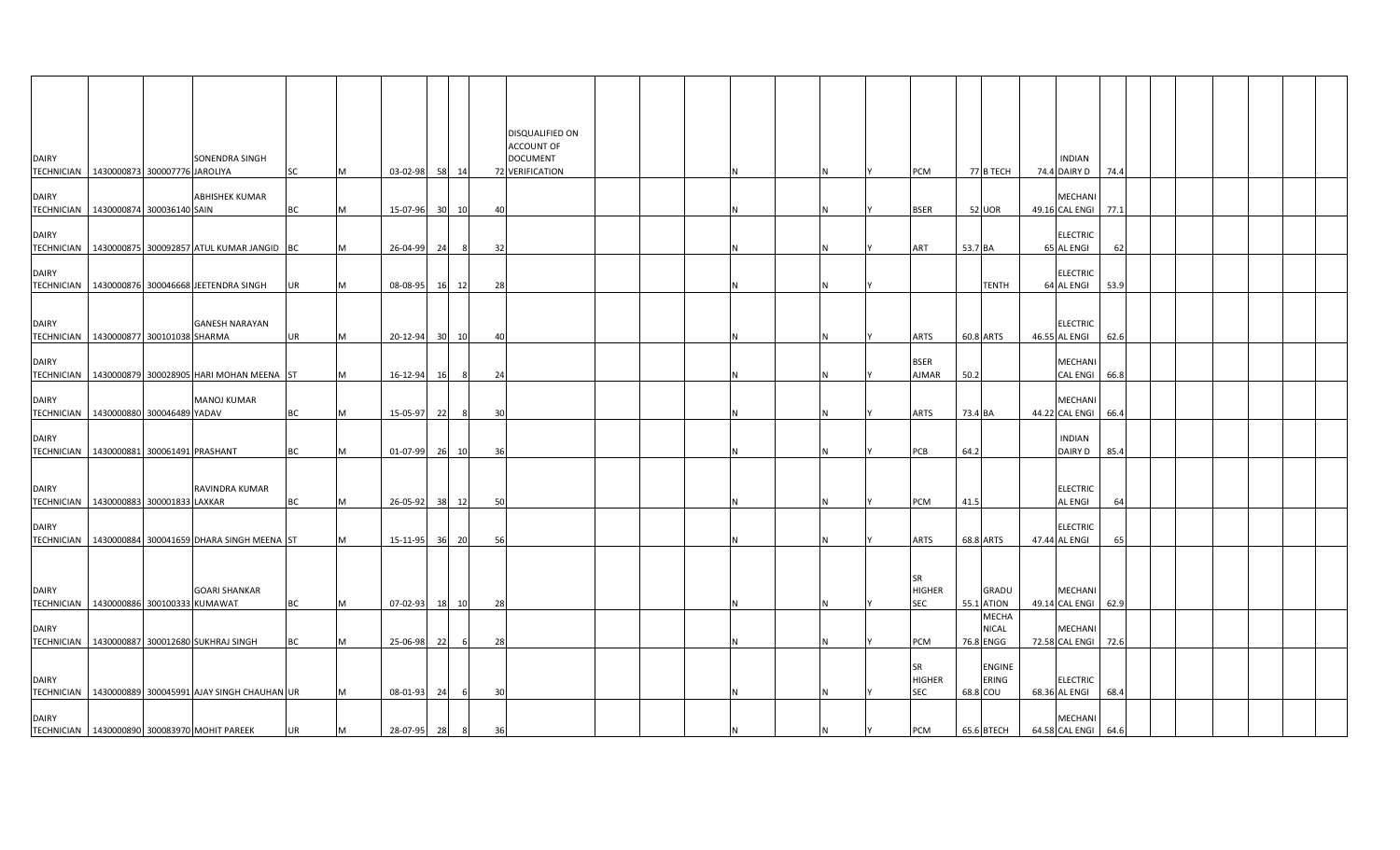| <b>DAIRY</b>                                             |  | SONENDRA SINGH                                          |    |   |                |    |       |    | DISQUALIFIED ON<br>ACCOUNT OF<br><b>DOCUMENT</b> |  |   |  |                            |                   |                       | <b>INDIAN</b>                     |      |  |  |  |
|----------------------------------------------------------|--|---------------------------------------------------------|----|---|----------------|----|-------|----|--------------------------------------------------|--|---|--|----------------------------|-------------------|-----------------------|-----------------------------------|------|--|--|--|
| TECHNICIAN   1430000873 300007776 JAROLIYA               |  |                                                         | SC | M | 03-02-98 58    |    | 14    |    | 72 VERIFICATION                                  |  |   |  | PCM                        |                   | 77 B TECH             | 74.4 DAIRY D                      | 74.4 |  |  |  |
| <b>DAIRY</b><br>TECHNICIAN 1430000874 300036140 SAIN     |  | <b>ABHISHEK KUMAR</b>                                   | ВC | M | 15-07-96       |    | 30 10 | 40 |                                                  |  |   |  | <b>BSER</b>                | 52 UOR            |                       | MECHANI<br>49.16 CAL ENGI 77.1    |      |  |  |  |
| <b>DAIRY</b>                                             |  | TECHNICIAN 1430000875 300092857 ATUL KUMAR JANGID BC    |    | M | 26-04-99 24    |    | 8     | 32 |                                                  |  | N |  | ART                        | 53.7 BA           |                       | <b>ELECTRIC</b><br>65 AL ENGI     | 62   |  |  |  |
| <b>DAIRY</b>                                             |  |                                                         |    |   |                |    |       |    |                                                  |  |   |  |                            |                   |                       | <b>ELECTRIC</b>                   |      |  |  |  |
|                                                          |  | TECHNICIAN   1430000876 300046668 JEETENDRA SINGH       | UR | M | 08-08-95       |    | 16 12 | 28 |                                                  |  |   |  |                            |                   | <b>TENTH</b>          | 64 AL ENGI                        | 53.9 |  |  |  |
| <b>DAIRY</b><br>TECHNICIAN   1430000877 300101038 SHARMA |  | <b>GANESH NARAYAN</b>                                   | UR | M | 20-12-94       |    | 30 10 | 40 |                                                  |  |   |  | ARTS                       | 60.8 ARTS         |                       | <b>ELECTRIC</b><br>46.55 AL ENGI  | 62.6 |  |  |  |
| <b>DAIRY</b>                                             |  | TECHNICIAN 1430000879 300028905 HARI MOHAN MEENA ST     |    | M | 16-12-94       | 16 | -8    | 24 |                                                  |  |   |  | <b>BSER</b><br>AJMAR       | 50.2              |                       | MECHANI<br>CAL ENGI 66.8          |      |  |  |  |
| <b>DAIRY</b><br>TECHNICIAN 1430000880 300046489 YADAV    |  | <b>MANOJ KUMAR</b>                                      | ВC | M | 15-05-97       | 22 | -8    | 30 |                                                  |  |   |  | <b>ARTS</b>                | 73.4 BA           |                       | MECHANI<br>44.22 CAL ENGI 66.4    |      |  |  |  |
| <b>DAIRY</b>                                             |  |                                                         |    |   |                |    |       |    |                                                  |  |   |  |                            |                   |                       | <b>INDIAN</b>                     |      |  |  |  |
| TECHNICIAN 1430000881 300061491 PRASHANT                 |  |                                                         | ВC | M | 01-07-99 26 10 |    |       | 36 |                                                  |  |   |  | PCB                        | 64.2              |                       | DAIRY D                           | 85.4 |  |  |  |
| <b>DAIRY</b><br>TECHNICIAN 1430000883 300001833 LAXKAR   |  | RAVINDRA KUMAR                                          | ВC | M | 26-05-92       |    | 38 12 | 50 |                                                  |  |   |  | PCM                        | 41.5              |                       | <b>ELECTRIC</b><br><b>AL ENGI</b> | 64   |  |  |  |
| <b>DAIRY</b>                                             |  | TECHNICIAN   1430000884 300041659 DHARA SINGH MEENA ST  |    | M | 15-11-95       |    | 36 20 | 56 |                                                  |  |   |  | <b>ARTS</b>                | 68.8 ARTS         |                       | <b>ELECTRIC</b><br>47.44 AL ENGI  |      |  |  |  |
|                                                          |  |                                                         |    |   |                |    |       |    |                                                  |  |   |  |                            |                   |                       |                                   |      |  |  |  |
| <b>DAIRY</b><br>TECHNICIAN 1430000886 300100333 KUMAWAT  |  | <b>GOARI SHANKAR</b>                                    | ВC | M | 07-02-93       | 18 | 10    | 28 |                                                  |  |   |  | SR<br>HIGHER<br><b>SEC</b> | <b>55.1 ATION</b> | GRADU                 | MECHANI<br>49.14 CAL ENGI 62.9    |      |  |  |  |
| <b>DAIRY</b>                                             |  | TECHNICIAN 1430000887 300012680 SUKHRAJ SINGH           | BС | M | 25-06-98       | 22 | 6     | 28 |                                                  |  | N |  | PCM                        | 76.8 ENGG         | <b>MECHA</b><br>NICAL | MECHANI<br>72.58 CAL ENGI 72.6    |      |  |  |  |
| <b>DAIRY</b>                                             |  |                                                         |    |   |                |    |       |    |                                                  |  |   |  | SR<br><b>HIGHER</b>        |                   | ENGINE<br>ERING       | <b>ELECTRIC</b>                   |      |  |  |  |
|                                                          |  | TECHNICIAN   1430000889 300045991 AJAY SINGH CHAUHAN UR |    | M | 08-01-93       | 24 |       | 30 |                                                  |  |   |  | <b>SEC</b>                 | 68.8 COU          |                       | 68.36 AL ENGI                     | 68.4 |  |  |  |
| <b>DAIRY</b>                                             |  | TECHNICIAN   1430000890 300083970 MOHIT PAREEK          | UR | M | 28-07-95       | 28 |       |    |                                                  |  |   |  | PCM                        | $65.6$ BTECH      |                       | MECHANI<br>64.58 CAL ENGI 64.6    |      |  |  |  |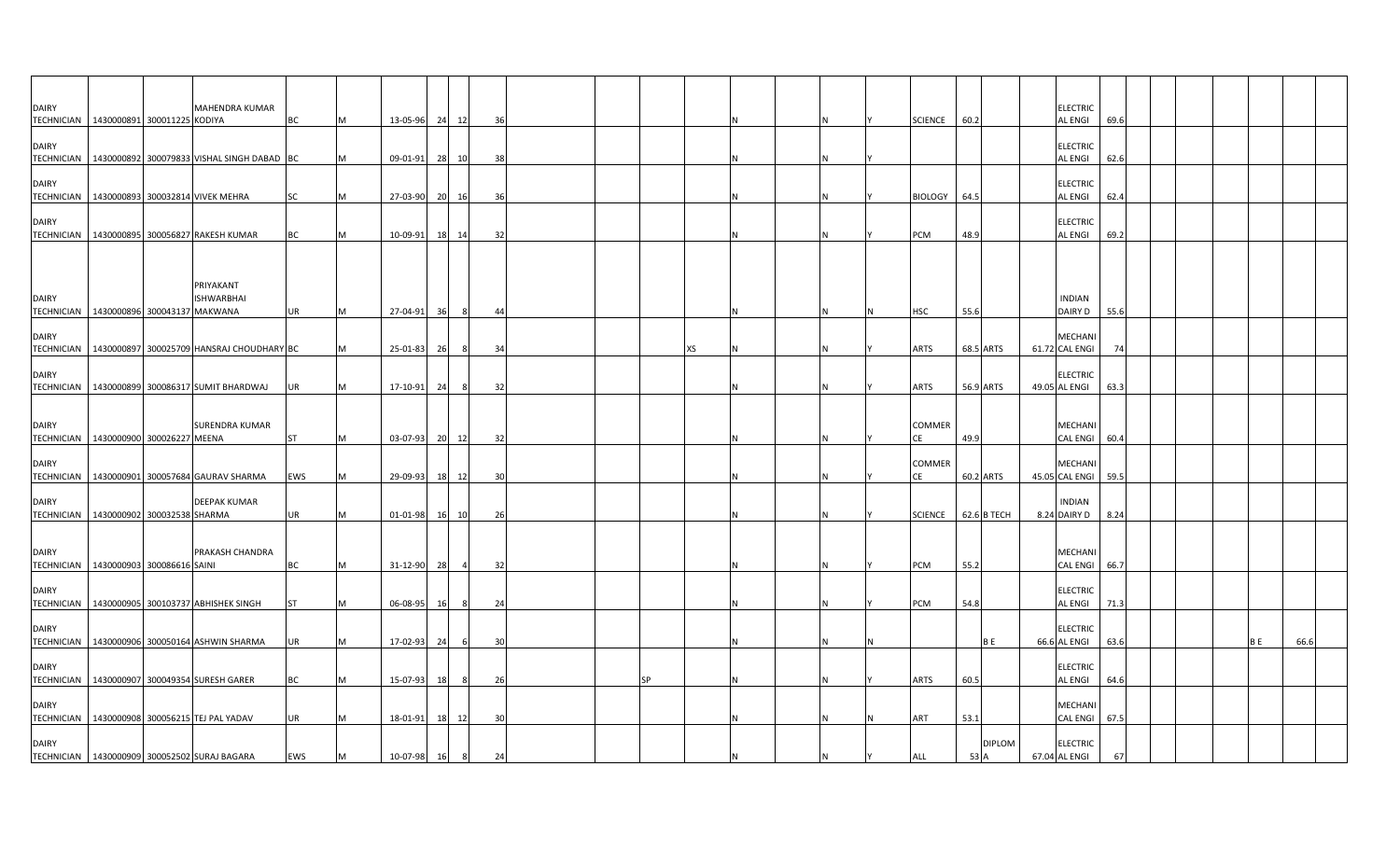| <b>DAIRY</b>                                           |  | MAHENDRA KUMAR                                         |           |   |                |           |                |    |  |           |  |          |                     |                       | <b>ELECTRIC</b>                  |      |  |     |      |  |
|--------------------------------------------------------|--|--------------------------------------------------------|-----------|---|----------------|-----------|----------------|----|--|-----------|--|----------|---------------------|-----------------------|----------------------------------|------|--|-----|------|--|
| TECHNICIAN 1430000891 300011225 KODIYA                 |  |                                                        | BC        |   | 13-05-96 24    |           | 12             | 36 |  |           |  |          | <b>SCIENCE</b>      | 60.2                  | <b>AL ENGI</b>                   | 69.6 |  |     |      |  |
| <b>DAIRY</b><br><b>TECHNICIAN</b>                      |  | 1430000892 300079833 VISHAL SINGH DABAD BC             |           | M | 09-01-91       |           | 28 10          | 38 |  |           |  |          |                     |                       | <b>ELECTRIC</b><br>AL ENGI       | 62.6 |  |     |      |  |
|                                                        |  |                                                        |           |   |                |           |                |    |  |           |  |          |                     |                       |                                  |      |  |     |      |  |
| <b>DAIRY</b><br><b>TECHNICIAN</b>                      |  | 1430000893 300032814 VIVEK MEHRA                       | SC        | M | 27-03-90 20 16 |           |                | 36 |  |           |  | IN.      | <b>BIOLOGY</b>      | 64.5                  | <b>ELECTRIC</b><br>AL ENGI       | 62.4 |  |     |      |  |
| <b>DAIRY</b>                                           |  |                                                        |           |   |                |           |                |    |  |           |  |          |                     |                       | <b>ELECTRIC</b>                  |      |  |     |      |  |
|                                                        |  | TECHNICIAN 1430000895 300056827 RAKESH KUMAR           | BC        |   | 10-09-91       | 18        | 14             | 32 |  |           |  | IN.      | PCM                 | 48.9                  | AL ENGI                          | 69.2 |  |     |      |  |
|                                                        |  |                                                        |           |   |                |           |                |    |  |           |  |          |                     |                       |                                  |      |  |     |      |  |
|                                                        |  |                                                        |           |   |                |           |                |    |  |           |  |          |                     |                       |                                  |      |  |     |      |  |
| <b>DAIRY</b>                                           |  | PRIYAKANT<br><b>ISHWARBHAI</b>                         |           |   |                |           |                |    |  |           |  |          |                     |                       | <b>INDIAN</b>                    |      |  |     |      |  |
| TECHNICIAN 1430000896 300043137 MAKWANA                |  |                                                        | UR        |   | 27-04-91       | 36        | -8             | 44 |  |           |  | <b>N</b> | HSC                 | 55.6                  | DAIRY D                          | 55.6 |  |     |      |  |
| <b>DAIRY</b>                                           |  |                                                        |           |   |                |           |                |    |  |           |  |          |                     |                       | MECHANI                          |      |  |     |      |  |
|                                                        |  | TECHNICIAN   1430000897 300025709 HANSRAJ CHOUDHARY BC |           |   | 25-01-83       | 26        |                | 34 |  | XS        |  |          | <b>ARTS</b>         | 68.5 ARTS             | 61.72 CAL ENGI                   | 74   |  |     |      |  |
| <b>DAIRY</b>                                           |  |                                                        |           |   |                |           |                |    |  |           |  |          |                     |                       | <b>ELECTRIC</b>                  |      |  |     |      |  |
|                                                        |  | TECHNICIAN 1430000899 300086317 SUMIT BHARDWAJ         | <b>UR</b> |   | 17-10-91       | 24        | -8             | 32 |  |           |  |          | <b>ARTS</b>         | 56.9 ARTS             | 49.05 AL ENGI                    | 63.3 |  |     |      |  |
|                                                        |  |                                                        |           |   |                |           |                |    |  |           |  |          |                     |                       |                                  |      |  |     |      |  |
| <b>DAIRY</b><br>TECHNICIAN 1430000900 300026227 MEENA  |  | <b>SURENDRA KUMAR</b>                                  | <b>ST</b> |   | 03-07-93       |           | 20 12          | 32 |  |           |  | N        | <b>COMMER</b>       | 49.9                  | MECHANI<br>CAL ENGI              | 60.4 |  |     |      |  |
|                                                        |  |                                                        |           |   |                |           |                |    |  |           |  |          |                     |                       |                                  |      |  |     |      |  |
| <b>DAIRY</b>                                           |  | TECHNICIAN 1430000901 300057684 GAURAV SHARMA          | EWS       |   | 29-09-93       | 18        | 12             | 30 |  |           |  | N        | <b>COMMER</b><br>СE | 60.2 ARTS             | MECHANI<br>45.05 CAL ENGI        | 59.5 |  |     |      |  |
|                                                        |  |                                                        |           |   |                |           |                |    |  |           |  |          |                     |                       |                                  |      |  |     |      |  |
| <b>DAIRY</b><br>TECHNICIAN 1430000902 300032538 SHARMA |  | <b>DEEPAK KUMAR</b>                                    | UR        |   | 01-01-98       | <b>16</b> | 10             | 26 |  |           |  |          | <b>SCIENCE</b>      | 62.6 B TECH           | <b>INDIAN</b><br>8.24 DAIRY D    | 8.24 |  |     |      |  |
|                                                        |  |                                                        |           |   |                |           |                |    |  |           |  |          |                     |                       |                                  |      |  |     |      |  |
| <b>DAIRY</b>                                           |  | PRAKASH CHANDRA                                        |           |   |                |           |                |    |  |           |  |          |                     |                       | <b>MECHANI</b>                   |      |  |     |      |  |
| TECHNICIAN 1430000903 300086616 SAINI                  |  |                                                        | <b>BC</b> |   | 31-12-90       | 28        | $\overline{a}$ | 32 |  |           |  |          | PCM                 | 55.2                  | CAL ENGI                         | 66.7 |  |     |      |  |
| <b>DAIRY</b>                                           |  |                                                        |           |   |                |           |                |    |  |           |  |          |                     |                       | <b>ELECTRIC</b>                  |      |  |     |      |  |
|                                                        |  | TECHNICIAN 1430000905 300103737 ABHISHEK SINGH         | <b>ST</b> |   | 06-08-95       | <b>16</b> | -8             | 24 |  |           |  | IN.      | PCM                 | 54.8                  | AL ENGI                          | 71.3 |  |     |      |  |
| <b>DAIRY</b>                                           |  |                                                        |           |   |                |           |                |    |  |           |  |          |                     |                       | <b>ELECTRIC</b>                  |      |  |     |      |  |
|                                                        |  | TECHNICIAN   1430000906 300050164 ASHWIN SHARMA        | UR        |   | 17-02-93       | 24        | -6             | 30 |  |           |  | <b>N</b> |                     | B E                   | 66.6 AL ENGI                     | 63.6 |  | B E | 66.6 |  |
| <b>DAIRY</b>                                           |  |                                                        |           |   |                |           |                |    |  |           |  |          |                     |                       | <b>ELECTRIC</b>                  |      |  |     |      |  |
|                                                        |  | TECHNICIAN 1430000907 300049354 SURESH GARER           | BC        |   | 15-07-93       | 18        |                | 26 |  | <b>SP</b> |  |          | <b>ARTS</b>         | 60.5                  | AL ENGI                          | 64.6 |  |     |      |  |
| <b>DAIRY</b>                                           |  |                                                        |           |   |                |           |                |    |  |           |  |          |                     |                       | MECHANI                          |      |  |     |      |  |
|                                                        |  | TECHNICIAN 1430000908 300056215 TEJ PAL YADAV          | UR        |   | 18-01-91       | 18        | 12             | 30 |  |           |  |          | ART                 | 53.1                  | <b>CAL ENGI</b>                  | 67.5 |  |     |      |  |
| <b>DAIRY</b>                                           |  | TECHNICIAN 1430000909 300052502 SURAJ BAGARA           | EWS       | M | 10-07-98 16    |           | 8              | 24 |  |           |  | ΙN       | ALL                 | <b>DIPLOM</b><br>53 A | <b>ELECTRIC</b><br>67.04 AL ENGI |      |  |     |      |  |
|                                                        |  |                                                        |           |   |                |           |                |    |  |           |  |          |                     |                       |                                  |      |  |     |      |  |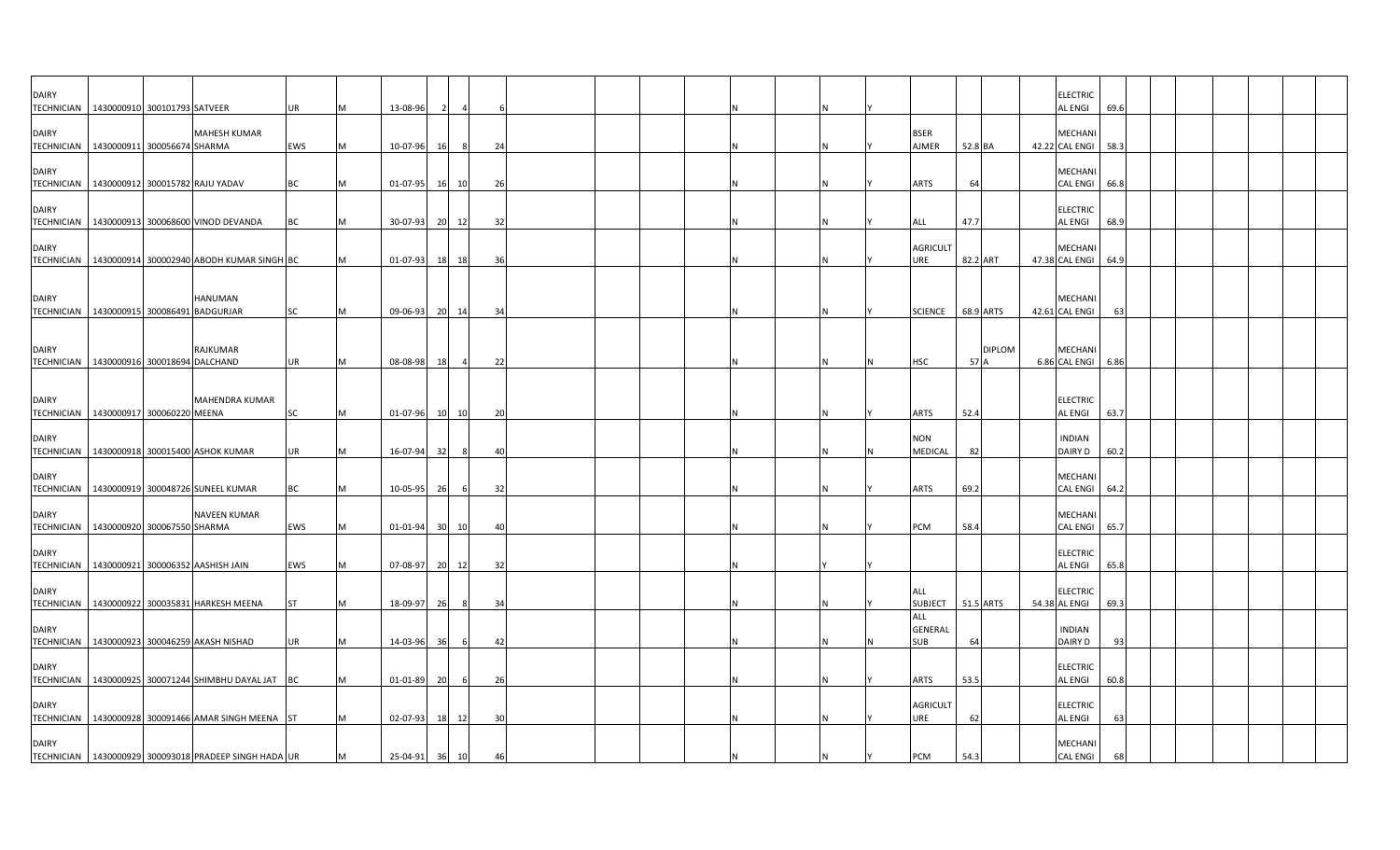| <b>DAIRY</b><br><b>TECHNICIAN</b> | 1430000910 300101793 SATVEER                          |                       | UR        |   | 13-08-96       |           |                |    |  |  |    |                              |           |               | <b>ELECTRIC</b><br><b>AL ENGI</b> | 69.6 |  |  |  |
|-----------------------------------|-------------------------------------------------------|-----------------------|-----------|---|----------------|-----------|----------------|----|--|--|----|------------------------------|-----------|---------------|-----------------------------------|------|--|--|--|
| <b>DAIRY</b>                      | TECHNICIAN 1430000911 300056674 SHARMA                | <b>MAHESH KUMAR</b>   | EWS       |   | 10-07-96       | <b>16</b> |                | 24 |  |  |    | <b>BSER</b><br>AJMER         | 52.8 BA   |               | <b>MECHANI</b><br>42.22 CAL ENGI  | 58.3 |  |  |  |
| <b>DAIRY</b>                      | TECHNICIAN   1430000912 300015782 RAJU YADAV          |                       | BC        |   | 01-07-95       | 16        | 10             | 26 |  |  |    | <b>ARTS</b>                  | 64        |               | <b>MECHANI</b><br>CAL ENGI 66.8   |      |  |  |  |
| <b>DAIRY</b>                      | TECHNICIAN   1430000913 300068600 VINOD DEVANDA       |                       | BC        |   | 30-07-93 20 12 |           |                | 32 |  |  | N  | ALL                          | 47.7      |               | <b>ELECTRIC</b><br><b>AL ENGI</b> | 68.9 |  |  |  |
| <b>DAIRY</b><br><b>TECHNICIAN</b> | 1430000914 300002940 ABODH KUMAR SINGH BC             |                       |           |   | 01-07-93       | 18        | 18             | 36 |  |  |    | <b>AGRICULT</b><br>URE       | 82.2 ART  |               | <b>MECHANI</b><br>47.38 CAL ENGI  | 64.9 |  |  |  |
| <b>DAIRY</b>                      | TECHNICIAN 1430000915 300086491 BADGURJAR             | HANUMAN               | SC        |   | 09-06-93       | 20        | 14             | 34 |  |  |    | <b>SCIENCE</b>               | 68.9 ARTS |               | MECHANI<br>42.61 CAL ENGI         | 63   |  |  |  |
| <b>DAIRY</b>                      |                                                       | RAJKUMAR              |           |   |                |           |                |    |  |  |    |                              |           | <b>DIPLOM</b> | MECHANI                           |      |  |  |  |
| <b>TECHNICIAN</b>                 | 1430000916 300018694 DALCHAND                         |                       | <b>UR</b> |   | 08-08-98       | 18        | $\overline{a}$ | 22 |  |  |    | <b>HSC</b>                   | 57 A      |               | 6.86 CAL ENGI 6.86                |      |  |  |  |
| <b>DAIRY</b>                      | TECHNICIAN   1430000917 300060220 MEENA               | <b>MAHENDRA KUMAR</b> | SC        |   | 01-07-96       | 10        | 10             | 20 |  |  |    | <b>ARTS</b>                  | 52.4      |               | <b>ELECTRIC</b><br><b>AL ENGI</b> | 63.7 |  |  |  |
| <b>DAIRY</b>                      | TECHNICIAN 1430000918 300015400 ASHOK KUMAR           |                       | <b>UR</b> |   | 16-07-94       | 32        |                | 40 |  |  |    | <b>NON</b><br>MEDICAL        | 82        |               | <b>INDIAN</b><br>DAIRY D          | 60.2 |  |  |  |
| <b>DAIRY</b>                      | TECHNICIAN   1430000919 300048726 SUNEEL KUMAR        |                       | ВC        |   | 10-05-95       | 26        | 6              | 32 |  |  |    | <b>ARTS</b>                  | 69.2      |               | MECHANI<br>CAL ENGI 64.2          |      |  |  |  |
| <b>DAIRY</b><br><b>TECHNICIAN</b> | 1430000920 300067550 SHARMA                           | <b>NAVEEN KUMAR</b>   | EWS       | M | 01-01-94       |           | 30 10          | 40 |  |  | N  | PCM                          | 58.4      |               | <b>MECHANI</b><br><b>CAL ENGI</b> | 65.7 |  |  |  |
| <b>DAIRY</b><br><b>TECHNICIAN</b> | 1430000921 300006352 AASHISH JAIN                     |                       | EWS       |   | 07-08-97       | 20        | 12             | 32 |  |  |    |                              |           |               | <b>ELECTRIC</b><br>AL ENGI        | 65.8 |  |  |  |
| <b>DAIRY</b>                      | TECHNICIAN   1430000922 300035831 HARKESH MEENA       |                       | <b>ST</b> |   | 18-09-97       | 26        | 8              | 34 |  |  | N. | ALL<br><b>SUBJECT</b><br>ALL | 51.5 ARTS |               | <b>ELECTRIC</b><br>54.38 AL ENGI  | 69.3 |  |  |  |
| <b>DAIRY</b>                      | TECHNICIAN 1430000923 300046259 AKASH NISHAD          |                       | <b>UR</b> |   | 14-03-96       | 36        | - 6            | 42 |  |  |    | GENERAL<br><b>SUB</b>        | 64        |               | <b>INDIAN</b><br>DAIRY D          | 93   |  |  |  |
| <b>DAIRY</b>                      | TECHNICIAN 1430000925 300071244 SHIMBHU DAYAL JAT BC  |                       |           |   | 01-01-89       | 20        | -6             | 26 |  |  |    | <b>ARTS</b>                  | 53.5      |               | <b>ELECTRIC</b><br><b>AL ENGI</b> | 60.8 |  |  |  |
| <b>DAIRY</b>                      | TECHNICIAN 1430000928 300091466 AMAR SINGH MEENA ST   |                       |           |   | $02 - 07 - 93$ |           | 18<br>12       | 30 |  |  |    | <b>AGRICULT</b><br>URE       | 62        |               | <b>ELECTRIC</b><br><b>AL ENGI</b> | 63   |  |  |  |
| <b>DAIRY</b>                      | TECHNICIAN 1430000929 300093018 PRADEEP SINGH HADA UR |                       |           |   | 25-04-91       |           | 36 10          | 46 |  |  |    | PCM                          | 54.3      |               | MECHANI<br><b>CAL ENGI</b>        | 68   |  |  |  |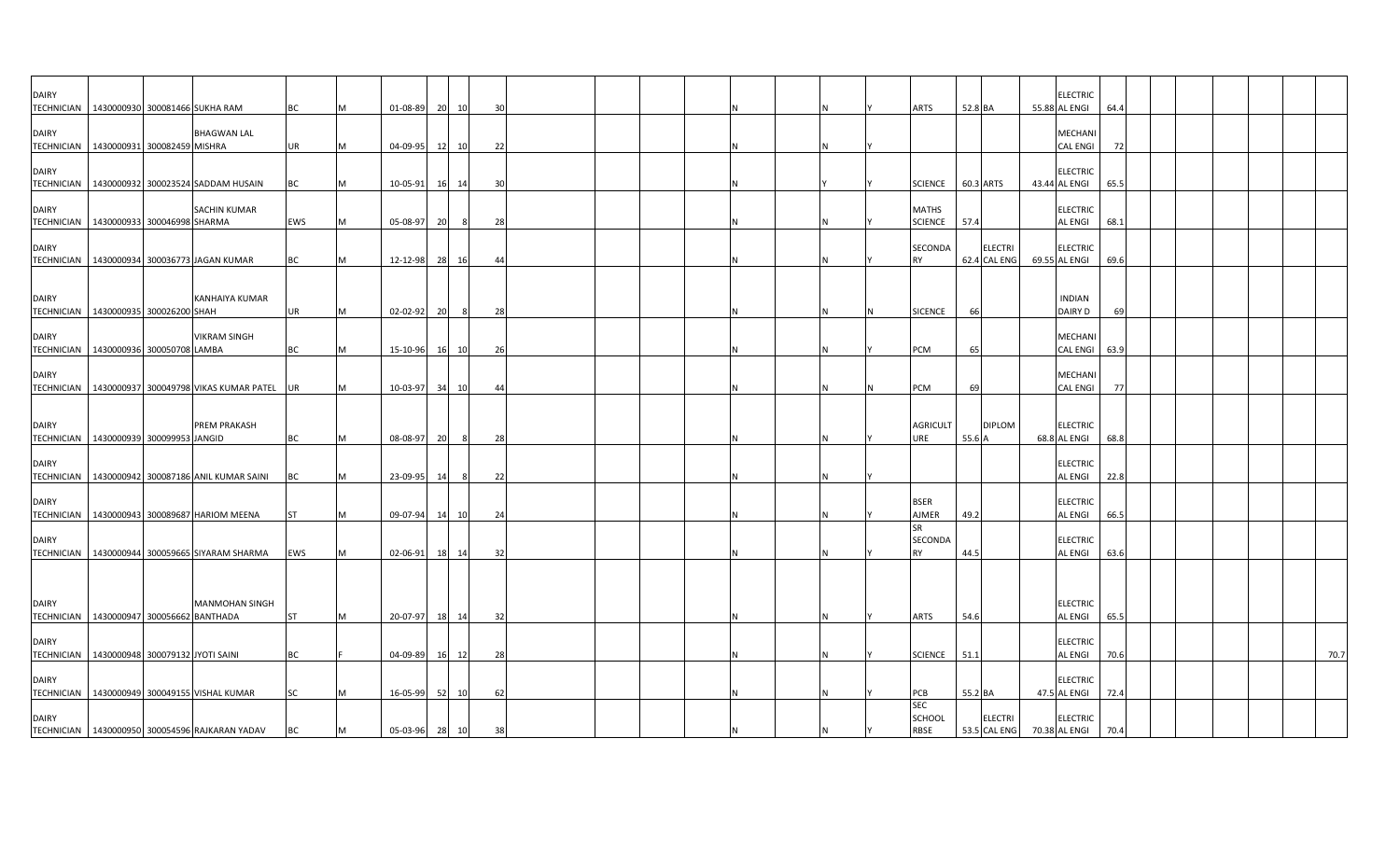| <b>DAIRY</b> |                                               |                                                   |           |           |                |          |                |    |  |          |                   |         |                | <b>ELECTRIC</b>                  |      |  |  |      |
|--------------|-----------------------------------------------|---------------------------------------------------|-----------|-----------|----------------|----------|----------------|----|--|----------|-------------------|---------|----------------|----------------------------------|------|--|--|------|
|              | TECHNICIAN   1430000930 300081466 SUKHA RAM   |                                                   | ВC        |           | 01-08-89       | 20<br>10 | 30             |    |  |          | ARTS              | 52.8 BA |                | 55.88 AL ENGI                    | 64.4 |  |  |      |
| <b>DAIRY</b> |                                               | <b>BHAGWAN LAL</b>                                |           |           |                |          |                |    |  |          |                   |         |                | MECHANI                          |      |  |  |      |
|              | TECHNICIAN 1430000931 300082459 MISHRA        |                                                   | UR        | M         | 04-09-95 12    | 10       |                | 22 |  | N        |                   |         |                | <b>CAL ENGI</b>                  | 72   |  |  |      |
|              |                                               |                                                   |           |           |                |          |                |    |  |          |                   |         |                |                                  |      |  |  |      |
| <b>DAIRY</b> |                                               | TECHNICIAN   1430000932 300023524 SADDAM HUSAIN   | BC        | M         | 10-05-91       | 16 14    | 30             |    |  |          | <b>SCIENCE</b>    |         | 60.3 ARTS      | <b>ELECTRIC</b><br>43.44 AL ENGI | 65.5 |  |  |      |
|              |                                               |                                                   |           |           |                |          |                |    |  |          |                   |         |                |                                  |      |  |  |      |
| <b>DAIRY</b> |                                               | SACHIN KUMAR                                      |           |           |                |          |                |    |  |          | MATHS             |         |                | <b>ELECTRIC</b>                  |      |  |  |      |
|              | TECHNICIAN   1430000933 300046998 SHARMA      |                                                   | EWS       | M         | 05-08-97       | 20       | 8              | 28 |  |          | <b>SCIENCE</b>    | 57.4    |                | AL ENGI                          | 68.1 |  |  |      |
| <b>DAIRY</b> |                                               |                                                   |           |           |                |          |                |    |  |          | SECONDA           |         | <b>ELECTRI</b> | <b>ELECTRIC</b>                  |      |  |  |      |
|              |                                               | TECHNICIAN 1430000934 300036773 JAGAN KUMAR       | ВC        | M         | 12-12-98 28    | - 16     | $\overline{4}$ |    |  |          | <b>RY</b>         |         | 62.4 CAL ENG   | 69.55 AL ENGI                    | 69.6 |  |  |      |
|              |                                               |                                                   |           |           |                |          |                |    |  |          |                   |         |                |                                  |      |  |  |      |
| <b>DAIRY</b> |                                               | KANHAIYA KUMAR                                    |           |           |                |          |                |    |  |          |                   |         |                | <b>INDIAN</b>                    |      |  |  |      |
|              | TECHNICIAN 1430000935 300026200 SHAH          |                                                   | UR        | <b>IM</b> | 02-02-92 20    |          | 8<br>28        |    |  | <b>N</b> | <b>SICENCE</b>    | 66      |                | DAIRY D                          | 69   |  |  |      |
|              |                                               |                                                   |           |           |                |          |                |    |  |          |                   |         |                |                                  |      |  |  |      |
| <b>DAIRY</b> |                                               | <b>VIKRAM SINGH</b>                               |           |           |                |          |                |    |  |          |                   |         |                | MECHANI                          |      |  |  |      |
|              | TECHNICIAN   1430000936 300050708 LAMBA       |                                                   | BC        | M         | 15-10-96 16 10 |          |                | 26 |  | N        | PCM               | 65      |                | <b>CAL ENGI</b>                  | 63.9 |  |  |      |
| <b>DAIRY</b> |                                               |                                                   |           |           |                |          |                |    |  |          |                   |         |                | MECHANI                          |      |  |  |      |
|              |                                               | TECHNICIAN 1430000937 300049798 VIKAS KUMAR PATEL | UR        | M         | 10-03-97 34 10 |          | 44             |    |  | N        | PCM               | 69      |                | <b>CAL ENGI</b>                  | 77   |  |  |      |
|              |                                               |                                                   |           |           |                |          |                |    |  |          |                   |         |                |                                  |      |  |  |      |
| <b>DAIRY</b> |                                               | PREM PRAKASH                                      |           |           |                |          |                |    |  |          | <b>AGRICULT</b>   |         | <b>DIPLOM</b>  | <b>ELECTRIC</b>                  |      |  |  |      |
|              | TECHNICIAN   1430000939 300099953 JANGID      |                                                   | <b>BC</b> | IM.       | 08-08-97       | 20       | - 8            | 28 |  | N        | URE               | 55.6 A  |                | 68.8 AL ENGI                     | 68.8 |  |  |      |
|              |                                               |                                                   |           |           |                |          |                |    |  |          |                   |         |                |                                  |      |  |  |      |
| <b>DAIRY</b> |                                               | TECHNICIAN 1430000942 300087186 ANIL KUMAR SAINI  | ВC        | M         | 23-09-95       | 14       | 8              | 22 |  |          |                   |         |                | <b>ELECTRIC</b><br>AL ENGI       | 22.8 |  |  |      |
|              |                                               |                                                   |           |           |                |          |                |    |  |          |                   |         |                |                                  |      |  |  |      |
| <b>DAIRY</b> |                                               |                                                   |           |           |                |          |                |    |  |          | <b>BSER</b>       |         |                | <b>ELECTRIC</b>                  |      |  |  |      |
|              |                                               | TECHNICIAN   1430000943 300089687 HARIOM MEENA    | ST        |           | 09-07-94       | 14<br>10 |                | 24 |  |          | AJMER<br>SR       | 49.2    |                | AL ENGI                          | 66.5 |  |  |      |
| <b>DAIRY</b> |                                               |                                                   |           |           |                |          |                |    |  |          | SECONDA           |         |                | <b>ELECTRIC</b>                  |      |  |  |      |
|              |                                               | TECHNICIAN 1430000944 300059665 SIYARAM SHARMA    | EWS       |           | 02-06-91       | 18 14    | 32             |    |  |          | RY                | 44.5    |                | AL ENGI                          | 63.6 |  |  |      |
|              |                                               |                                                   |           |           |                |          |                |    |  |          |                   |         |                |                                  |      |  |  |      |
|              |                                               |                                                   |           |           |                |          |                |    |  |          |                   |         |                |                                  |      |  |  |      |
| <b>DAIRY</b> |                                               | MANMOHAN SINGH                                    |           |           |                |          |                |    |  |          |                   |         |                | <b>ELECTRIC</b>                  |      |  |  |      |
|              | TECHNICIAN   1430000947 300056662 BANTHADA    |                                                   | <b>ST</b> | M         | 20-07-97       | 18 14    |                | 32 |  |          | ARTS              | 54.6    |                | AL ENGI                          | 65.5 |  |  |      |
| <b>DAIRY</b> |                                               |                                                   |           |           |                |          |                |    |  |          |                   |         |                | <b>ELECTRIC</b>                  |      |  |  |      |
|              | TECHNICIAN   1430000948 300079132 JYOTI SAINI |                                                   | ВC        |           | 04-09-89       | 16 12    |                | 28 |  | IN.      | <b>SCIENCE</b>    | 51.1    |                | AL ENGI                          | 70.6 |  |  | 70.7 |
|              |                                               |                                                   |           |           |                |          |                |    |  |          |                   |         |                |                                  |      |  |  |      |
| <b>DAIRY</b> |                                               |                                                   |           |           |                |          |                |    |  |          |                   |         |                | <b>ELECTRIC</b>                  |      |  |  |      |
|              |                                               | TECHNICIAN 1430000949 300049155 VISHAL KUMAR      | <b>SC</b> | M         | 16-05-99 52 10 |          |                | 62 |  | IN.      | PCB<br><b>SEC</b> | 55.2 BA |                | 47.5 AL ENGI                     | 72.4 |  |  |      |
| <b>DAIRY</b> |                                               |                                                   |           |           |                |          |                |    |  |          | SCHOOL            |         | <b>ELECTRI</b> | <b>ELECTRIC</b>                  |      |  |  |      |
|              |                                               | TECHNICIAN 1430000950 300054596 RAJKARAN YADAV    | <b>BC</b> | M         | 05-03-96 28 10 |          |                | 38 |  |          | RBSE              |         |                | 53.5 CAL ENG 70.38 AL ENGI       | 70.4 |  |  |      |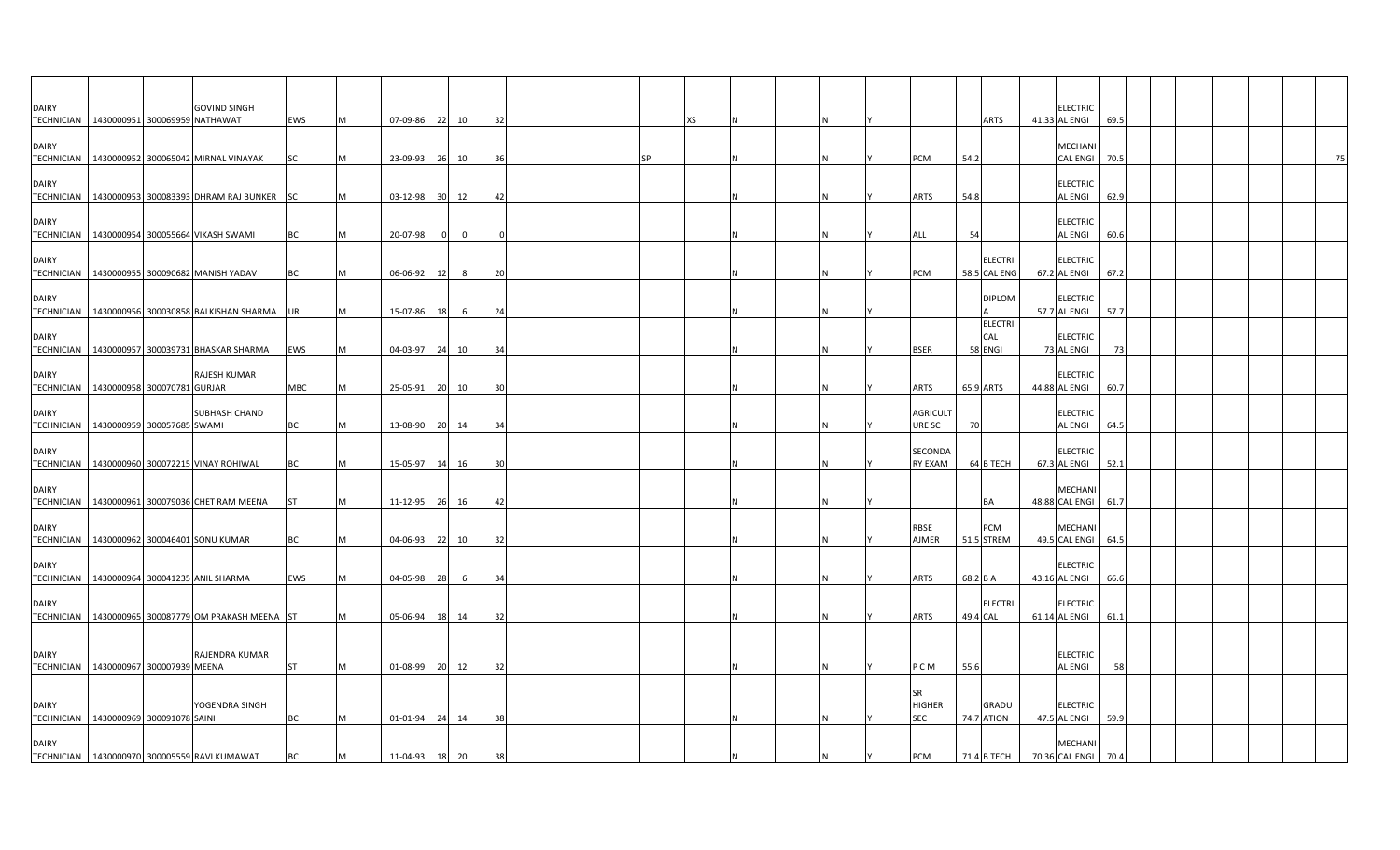| <b>DAIRY</b><br>TECHNICIAN   1430000951 300069959 NATHAWAT |                            | <b>GOVIND SINGH</b>                                   | <b>EWS</b> | M | 07-09-86       |    | 22 10    | 32  |  |    | XS. |  |          |                                          | <b>ARTS</b>                     | <b>ELECTRIC</b><br>41.33 AL ENGI     | 69.5 |  |    |
|------------------------------------------------------------|----------------------------|-------------------------------------------------------|------------|---|----------------|----|----------|-----|--|----|-----|--|----------|------------------------------------------|---------------------------------|--------------------------------------|------|--|----|
| <b>DAIRY</b><br><b>TECHNICIAN</b>                          |                            | 1430000952 300065042 MIRNAL VINAYAK                   | <b>SC</b>  | M | 23-09-93       |    | 26 10    | 36  |  | SP |     |  | IN.      | PCM                                      | 54.2                            | MECHANI<br>CAL ENGI 70.5             |      |  | 75 |
| <b>DAIRY</b><br><b>TECHNICIAN</b>                          |                            | 1430000953 300083393 DHRAM RAJ BUNKER SC              |            | M | $03 - 12 - 98$ |    | 30 12    | 42  |  |    |     |  |          | <b>ARTS</b>                              | 54.8                            | <b>ELECTRIC</b><br><b>AL ENGI</b>    | 62.9 |  |    |
| <b>DAIRY</b>                                               |                            | TECHNICIAN   1430000954 300055664 VIKASH SWAMI        | <b>BC</b>  | M | 20-07-98       |    | $\Omega$ |     |  |    |     |  |          | ALL                                      | 54                              | <b>ELECTRIC</b><br><b>AL ENGI</b>    | 60.6 |  |    |
| <b>DAIRY</b>                                               |                            | TECHNICIAN   1430000955 300090682 MANISH YADAV        | ВC         | M | 06-06-92       | 12 | 8        | 20  |  |    |     |  |          | PCM                                      | <b>ELECTRI</b><br>58.5 CAL ENG  | <b>ELECTRIC</b><br>67.2 AL ENGI      | 67.2 |  |    |
| <b>DAIRY</b>                                               |                            | TECHNICIAN   1430000956 300030858 BALKISHAN SHARMA    | <b>UR</b>  | M | 15-07-86       | 18 |          | 24  |  |    |     |  |          |                                          | <b>DIPLOM</b><br><b>ELECTRI</b> | <b>ELECTRIC</b><br>57.7 AL ENGI      | 57.7 |  |    |
| <b>DAIRY</b>                                               |                            | TECHNICIAN 1430000957 300039731 BHASKAR SHARMA        | EWS        | M | 04-03-97       |    | 24 10    | 34  |  |    |     |  |          | <b>BSER</b>                              | CAL<br>58 ENGI                  | <b>ELECTRIC</b><br>73 AL ENGI        | 73   |  |    |
| <b>DAIRY</b><br>TECHNICIAN   1430000958 300070781 GURJAR   |                            | RAJESH KUMAR                                          | MBC        | M | 25-05-91       |    | 20 10    | 30  |  |    |     |  |          | ARTS                                     | 65.9 ARTS                       | <b>ELECTRIC</b><br>44.88 AL ENGI     | 60.7 |  |    |
| <b>DAIRY</b><br><b>TECHNICIAN</b>                          | 1430000959 300057685 SWAMI | SUBHASH CHAND                                         | <b>BC</b>  | M | 13-08-90       |    | 20 14    | -34 |  |    |     |  |          | <b>AGRICULT</b><br>URE SC                | 70                              | <b>ELECTRIC</b><br>AL ENGI           | 64.5 |  |    |
| <b>DAIRY</b><br><b>TECHNICIAN</b>                          |                            | 1430000960 300072215 VINAY ROHIWAL                    | BC         | M | 15-05-97       |    | 14 16    | 30  |  |    |     |  |          | SECONDA<br><b>RY EXAM</b>                | 64 B TECH                       | <b>ELECTRIC</b><br>67.3 AL ENGI      | 52.1 |  |    |
| <b>DAIRY</b>                                               |                            | TECHNICIAN 1430000961 300079036 CHET RAM MEENA        | <b>ST</b>  | M | $11 - 12 - 95$ |    | 26 16    | 42  |  |    |     |  |          |                                          | BA                              | MECHANI<br>48.88 CAL ENGI 61.7       |      |  |    |
| <b>DAIRY</b>                                               |                            | TECHNICIAN 1430000962 300046401 SONU KUMAR            | BC         | M | $04 - 06 - 93$ |    | 22 10    | 32  |  |    |     |  |          | <b>RBSE</b><br>AJMER                     | PCM<br>51.5 STREM               | <b>MECHANI</b><br>49.5 CAL ENGI 64.5 |      |  |    |
| <b>DAIRY</b>                                               |                            | TECHNICIAN 1430000964 300041235 ANIL SHARMA           | EWS        | M | 04-05-98       | 28 | - 6      | 34  |  |    |     |  |          | ARTS                                     | 68.2 B A                        | <b>ELECTRIC</b><br>43.16 AL ENGI     | 66.6 |  |    |
| <b>DAIRY</b>                                               |                            | TECHNICIAN   1430000965 300087779 OM PRAKASH MEENA ST |            | M | 05-06-94       |    | 18 14    | 32  |  |    |     |  |          | ARTS                                     | <b>ELECTRI</b><br>49.4 CAL      | <b>ELECTRIC</b><br>61.14 AL ENGI     | 61.1 |  |    |
| <b>DAIRY</b><br>TECHNICIAN   1430000967 300007939 MEENA    |                            | RAJENDRA KUMAR                                        | <b>ST</b>  | M | 01-08-99       |    | 20 12    | 32  |  |    |     |  | <b>N</b> | P C M                                    | 55.6                            | <b>ELECTRIC</b><br><b>AL ENGI</b>    | 58   |  |    |
| <b>DAIRY</b><br>TECHNICIAN   1430000969 300091078 SAINI    |                            | YOGENDRA SINGH                                        | <b>BC</b>  | M | $01 - 01 - 94$ |    | 24 14    | 38  |  |    |     |  |          | <b>SR</b><br><b>HIGHER</b><br><b>SEC</b> | GRADU<br><b>74.7 ATION</b>      | <b>ELECTRIC</b><br>47.5 AL ENGI      | 59.9 |  |    |
| <b>DAIRY</b>                                               |                            | TECHNICIAN   1430000970 300005559 RAVI KUMAWAT        | BC         | M | 11-04-93 18 20 |    |          | 38  |  |    |     |  |          | PCM                                      | 71.4 B TECH                     | MECHANI<br>70.36 CAL ENGI 70.4       |      |  |    |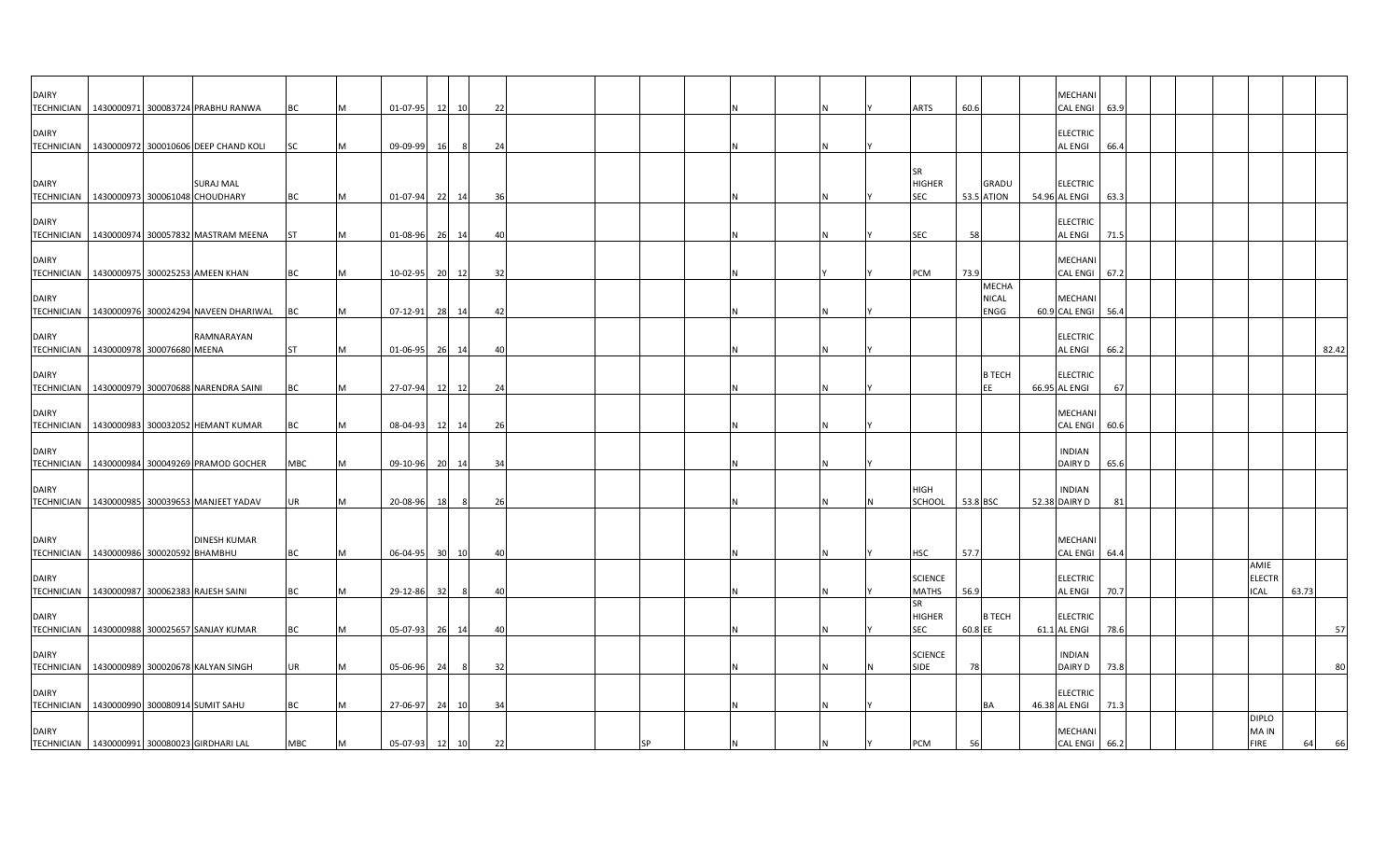| <b>DAIRY</b>                                 |  |                                                   |           |     |                |          |          |    |    |  |          |                     |          |                   | MECHANI         |      |  |               |       |       |
|----------------------------------------------|--|---------------------------------------------------|-----------|-----|----------------|----------|----------|----|----|--|----------|---------------------|----------|-------------------|-----------------|------|--|---------------|-------|-------|
| <b>TECHNICIAN</b>                            |  | 1430000971 300083724 PRABHU RANWA                 | ВC        | M   | 01-07-95 12 10 |          |          | 22 |    |  |          | ARTS                | 60.6     |                   | <b>CAL ENGI</b> | 63.9 |  |               |       |       |
| <b>DAIRY</b>                                 |  |                                                   |           |     |                |          |          |    |    |  |          |                     |          |                   | <b>ELECTRIC</b> |      |  |               |       |       |
|                                              |  | TECHNICIAN   1430000972 300010606 DEEP CHAND KOLI | <b>SC</b> | IM. | 09-09-99       | 16       | 24<br>-8 |    |    |  |          |                     |          |                   | AL ENGI         | 66.4 |  |               |       |       |
|                                              |  |                                                   |           |     |                |          |          |    |    |  |          |                     |          |                   |                 |      |  |               |       |       |
|                                              |  |                                                   |           |     |                |          |          |    |    |  |          | <b>SR</b>           |          |                   |                 |      |  |               |       |       |
| <b>DAIRY</b>                                 |  | SURAJ MAL                                         |           |     |                |          |          |    |    |  |          | <b>HIGHER</b>       |          | <b>GRADU</b>      | <b>ELECTRIC</b> |      |  |               |       |       |
| TECHNICIAN 1430000973 300061048 CHOUDHARY    |  |                                                   | ВC        |     | 01-07-94 22 14 |          | 36       |    |    |  |          | SEC                 |          | <b>53.5 ATION</b> | 54.96 AL ENGI   | 63.3 |  |               |       |       |
| <b>DAIRY</b>                                 |  |                                                   |           |     |                |          |          |    |    |  |          |                     |          |                   | <b>ELECTRIC</b> |      |  |               |       |       |
|                                              |  | TECHNICIAN   1430000974 300057832 MASTRAM MEENA   | <b>ST</b> | IM. | 01-08-96       | 26<br>14 | 40       |    |    |  |          | SEC                 | 58       |                   | AL ENGI         | 71.5 |  |               |       |       |
|                                              |  |                                                   |           |     |                |          |          |    |    |  |          |                     |          |                   |                 |      |  |               |       |       |
| <b>DAIRY</b>                                 |  |                                                   |           |     |                |          |          |    |    |  |          |                     |          |                   | MECHANI         |      |  |               |       |       |
|                                              |  | TECHNICIAN 1430000975 300025253 AMEEN KHAN        | ВC        |     | 10-02-95 20 12 |          |          | 32 |    |  |          | PCM                 | 73.9     | MECHA             | <b>CAL ENGI</b> | 67.2 |  |               |       |       |
| <b>DAIRY</b>                                 |  |                                                   |           |     |                |          |          |    |    |  |          |                     |          | <b>NICAL</b>      | MECHANI         |      |  |               |       |       |
| <b>TECHNICIAN</b>                            |  | 1430000976 300024294 NAVEEN DHARIWAL              | BC        | M   | 07-12-91       | 28 14    | 42       |    |    |  |          |                     |          | ENGG              | 60.9 CAL ENGI   | 56.4 |  |               |       |       |
|                                              |  |                                                   |           |     |                |          |          |    |    |  |          |                     |          |                   |                 |      |  |               |       |       |
| <b>DAIRY</b>                                 |  | RAMNARAYAN                                        |           |     |                |          |          |    |    |  |          |                     |          |                   | <b>ELECTRIC</b> |      |  |               |       |       |
| TECHNICIAN 1430000978 300076680 MEENA        |  |                                                   | <b>ST</b> | M   | 01-06-95 26 14 |          | 40       |    |    |  |          |                     |          |                   | AL ENGI         | 66.2 |  |               |       | 82.42 |
| <b>DAIRY</b>                                 |  |                                                   |           |     |                |          |          |    |    |  |          |                     |          | <b>B TECH</b>     | <b>ELECTRIC</b> |      |  |               |       |       |
|                                              |  | TECHNICIAN 1430000979 300070688 NARENDRA SAINI    | BC        | M   | 27-07-94 12 12 |          | 24       |    |    |  | N        |                     |          | EE                | 66.95 AL ENGI   | 67   |  |               |       |       |
|                                              |  |                                                   |           |     |                |          |          |    |    |  |          |                     |          |                   |                 |      |  |               |       |       |
| <b>DAIRY</b>                                 |  |                                                   |           |     |                |          |          |    |    |  |          |                     |          |                   | MECHANI         |      |  |               |       |       |
|                                              |  | TECHNICIAN   1430000983 300032052 HEMANT KUMAR    | BC        | M   | 08-04-93       | 12 14    | 26       |    |    |  |          |                     |          |                   | <b>CAL ENGI</b> | 60.6 |  |               |       |       |
| <b>DAIRY</b>                                 |  |                                                   |           |     |                |          |          |    |    |  |          |                     |          |                   | <b>INDIAN</b>   |      |  |               |       |       |
|                                              |  | TECHNICIAN   1430000984 300049269 PRAMOD GOCHER   | MBC       | M   | 09-10-96 20 14 |          | 34       |    |    |  |          |                     |          |                   | DAIRY D         | 65.6 |  |               |       |       |
|                                              |  |                                                   |           |     |                |          |          |    |    |  |          |                     |          |                   |                 |      |  |               |       |       |
| <b>DAIRY</b>                                 |  |                                                   |           |     |                |          |          |    |    |  |          | HIGH                |          |                   | <b>INDIAN</b>   |      |  |               |       |       |
|                                              |  | TECHNICIAN   1430000985 300039653 MANJEET YADAV   | JR        | IM  | 20-08-96       | 18       | 8        | 26 |    |  | <b>N</b> | SCHOOL              | 53.8 BSC |                   | 52.38 DAIRY D   | 81   |  |               |       |       |
|                                              |  |                                                   |           |     |                |          |          |    |    |  |          |                     |          |                   |                 |      |  |               |       |       |
| <b>DAIRY</b>                                 |  | <b>DINESH KUMAR</b>                               |           |     |                |          |          |    |    |  |          |                     |          |                   | MECHANI         |      |  |               |       |       |
| TECHNICIAN   1430000986 300020592 BHAMBHU    |  |                                                   | <b>BC</b> |     | 06-04-95 30 10 |          | 40       |    |    |  |          | HSC                 | 57.7     |                   | <b>CAL ENGI</b> | 64.4 |  |               |       |       |
|                                              |  |                                                   |           |     |                |          |          |    |    |  |          |                     |          |                   |                 |      |  | AMIE          |       |       |
| <b>DAIRY</b>                                 |  |                                                   |           |     |                |          |          |    |    |  |          | <b>SCIENCE</b>      |          |                   | <b>ELECTRIC</b> |      |  | <b>ELECTR</b> |       |       |
|                                              |  | TECHNICIAN 1430000987 300062383 RAJESH SAINI      | ВC        | M   | 29-12-86       | 32       | 40<br>-8 |    |    |  | N        | <b>MATHS</b>        | 56.9     |                   | AL ENGI         | 70.7 |  | ICAL          | 63.73 |       |
| <b>DAIRY</b>                                 |  |                                                   |           |     |                |          |          |    |    |  |          | SR<br><b>HIGHER</b> |          | <b>B TECH</b>     | <b>ELECTRIC</b> |      |  |               |       |       |
|                                              |  | TECHNICIAN   1430000988 300025657 SANJAY KUMAR    | ВC        | M   | 05-07-93 26 14 |          | 40       |    |    |  |          | <b>SEC</b>          | 60.8 EE  |                   | 61.1 AL ENGI    | 78.6 |  |               |       | 57    |
|                                              |  |                                                   |           |     |                |          |          |    |    |  |          |                     |          |                   |                 |      |  |               |       |       |
| <b>DAIRY</b>                                 |  |                                                   |           |     |                |          |          |    |    |  |          | <b>SCIENCE</b>      |          |                   | <b>INDIAN</b>   |      |  |               |       |       |
|                                              |  | TECHNICIAN 1430000989 300020678 KALYAN SINGH      | UR        | M   | 05-06-96       | 24       | - 8      | 32 |    |  | IN.      | <b>SIDE</b>         | 78       |                   | DAIRY D         | 73.8 |  |               |       | 80    |
| <b>DAIRY</b>                                 |  |                                                   |           |     |                |          |          |    |    |  |          |                     |          |                   | <b>ELECTRIC</b> |      |  |               |       |       |
| TECHNICIAN 1430000990 300080914 SUMIT SAHU   |  |                                                   | ВC        |     | 27-06-97       | 24<br>10 | 34       |    |    |  |          |                     |          | BA                | 46.38 AL ENGI   | 71.3 |  |               |       |       |
|                                              |  |                                                   |           |     |                |          |          |    |    |  |          |                     |          |                   |                 |      |  | <b>DIPLO</b>  |       |       |
| <b>DAIRY</b>                                 |  |                                                   |           |     |                |          |          |    |    |  |          |                     |          |                   | MECHANI         |      |  | MA IN         |       |       |
| TECHNICIAN 1430000991 300080023 GIRDHARI LAL |  |                                                   | MBC       | M   | 05-07-93       | 12 10    |          | 22 | SP |  |          | PCM                 | 56       |                   | <b>CAL ENGI</b> | 66.2 |  | FIRE          | 64    | 66    |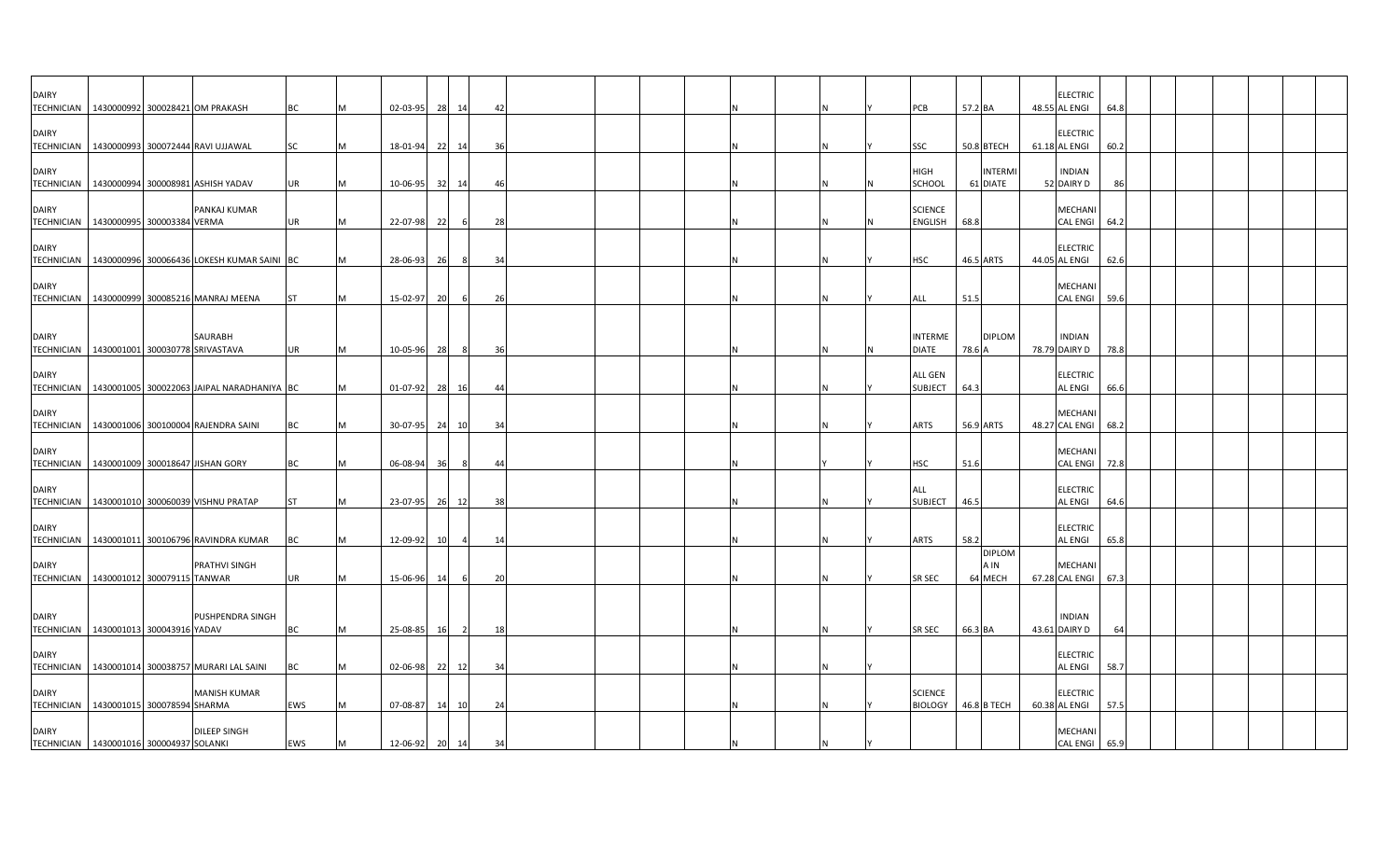| <b>DAIRY</b>                                               |  | TECHNICIAN 1430000992 300028421 OM PRAKASH              | <b>BC</b> |           | 02-03-95 | 28        | 14             | 42  |  |  |  | PCB                              | 57.2 BA |                                  | <b>ELECTRIC</b><br>48.55 AL ENGI  | 64.8 |  |  |  |
|------------------------------------------------------------|--|---------------------------------------------------------|-----------|-----------|----------|-----------|----------------|-----|--|--|--|----------------------------------|---------|----------------------------------|-----------------------------------|------|--|--|--|
| <b>DAIRY</b>                                               |  | TECHNICIAN   1430000993 300072444 RAVI UJJAWAL          | SC        |           | 18-01-94 | 22        | 14             | 36  |  |  |  | SSC                              |         | 50.8 BTECH                       | <b>ELECTRIC</b><br>61.18 AL ENGI  | 60.2 |  |  |  |
| <b>DAIRY</b><br><b>TECHNICIAN</b>                          |  | 1430000994 300008981 ASHISH YADAV                       | UR        |           | 10-06-95 | 32        | 14             | -46 |  |  |  | <b>HIGH</b><br>SCHOOL            |         | <b>INTERM</b><br>61 DIATE        | <b>INDIAN</b><br>52 DAIRY D       | 86   |  |  |  |
| <b>DAIRY</b><br>TECHNICIAN 1430000995 300003384 VERMA      |  | PANKAJ KUMAR                                            | <b>UR</b> | M         | 22-07-98 | 22        | - 6            | 28  |  |  |  | <b>SCIENCE</b><br><b>ENGLISH</b> | 68.8    |                                  | <b>MECHANI</b><br><b>CAL ENGI</b> | 64.2 |  |  |  |
| <b>DAIRY</b>                                               |  | TECHNICIAN   1430000996 300066436 LOKESH KUMAR SAINI BC |           | M         | 28-06-93 | 26        | 8              | 34  |  |  |  | <b>HSC</b>                       |         | 46.5 ARTS                        | <b>ELECTRIC</b><br>44.05 AL ENGI  | 62.6 |  |  |  |
| <b>DAIRY</b>                                               |  | TECHNICIAN   1430000999 300085216 MANRAJ MEENA          | <b>ST</b> | <b>M</b>  | 15-02-97 | 20        | - 6            | 26  |  |  |  | ALL                              | 51.5    |                                  | <b>MECHANI</b><br><b>CAL ENGI</b> | 59.6 |  |  |  |
| <b>DAIRY</b><br>TECHNICIAN 1430001001 300030778 SRIVASTAVA |  | SAURABH                                                 | <b>UR</b> | M         | 10-05-96 | 28        | - 8            | 36  |  |  |  | <b>INTERME</b><br><b>DIATE</b>   | 78.6 A  | <b>DIPLOM</b>                    | <b>INDIAN</b><br>78.79 DAIRY D    | 78.8 |  |  |  |
| <b>DAIRY</b>                                               |  | TECHNICIAN   1430001005 300022063 JAIPAL NARADHANIYA BC |           | IM.       | 01-07-92 | 28        | - 16           | 44  |  |  |  | <b>ALL GEN</b><br><b>SUBJECT</b> | 64.3    |                                  | <b>ELECTRIC</b><br><b>AL ENGI</b> | 66.6 |  |  |  |
| <b>DAIRY</b>                                               |  | TECHNICIAN   1430001006 300100004 RAJENDRA SAINI        | BC        | <b>IM</b> | 30-07-95 |           | 24 10          | 34  |  |  |  | <b>ARTS</b>                      |         | 56.9 ARTS                        | <b>MECHAN</b><br>48.27 CAL ENGI   | 68.2 |  |  |  |
| <b>DAIRY</b>                                               |  | TECHNICIAN 1430001009 300018647 JISHAN GORY             | <b>BC</b> | M         | 06-08-94 | 36        | - 8            | -44 |  |  |  | <b>HSC</b>                       | 51.6    |                                  | <b>MECHANI</b><br><b>CAL ENGI</b> | 72.8 |  |  |  |
| <b>DAIRY</b>                                               |  | TECHNICIAN 1430001010 300060039 VISHNU PRATAP           | <b>ST</b> |           | 23-07-95 |           | 26 12          | 38  |  |  |  | ALL<br><b>SUBJECT</b>            | 46.5    |                                  | <b>ELECTRIC</b><br><b>AL ENGI</b> | 64.6 |  |  |  |
| <b>DAIRY</b>                                               |  | TECHNICIAN   1430001011 300106796 RAVINDRA KUMAR        | BC        |           | 12-09-92 | <b>10</b> |                | 14  |  |  |  | ARTS                             | 58.2    |                                  | <b>ELECTRIC</b><br><b>AL ENGI</b> | 65.8 |  |  |  |
| <b>DAIRY</b><br>TECHNICIAN   1430001012 300079115 TANWAR   |  | PRATHVI SINGH                                           | UR        | M         | 15-06-96 | 14        |                | 20  |  |  |  | SR SEC                           |         | <b>DIPLOM</b><br>A IN<br>64 MECH | <b>MECHAN</b><br>67.28 CAL ENGI   | 67.3 |  |  |  |
| <b>DAIRY</b><br>TECHNICIAN 1430001013 300043916 YADAV      |  | PUSHPENDRA SINGH                                        | BC        | IM.       | 25-08-85 | 16        | $\overline{2}$ | 18  |  |  |  | SR SEC                           | 66.3 BA |                                  | <b>INDIAN</b><br>43.61 DAIRY D    | 64   |  |  |  |
| <b>DAIRY</b>                                               |  | TECHNICIAN   1430001014 300038757 MURARI LAL SAINI      | <b>BC</b> |           | 02-06-98 |           | 22 12          | 34  |  |  |  |                                  |         |                                  | <b>ELECTRIC</b><br><b>AL ENGI</b> | 58.7 |  |  |  |
| <b>DAIRY</b><br>TECHNICIAN 1430001015 300078594 SHARMA     |  | <b>MANISH KUMAR</b>                                     | EWS       |           | 07-08-87 | 14        | 10             | 24  |  |  |  | <b>SCIENCE</b><br><b>BIOLOGY</b> |         | 46.8 B TECH                      | <b>ELECTRIC</b><br>60.38 AL ENGI  | 57.5 |  |  |  |
| <b>DAIRY</b><br>TECHNICIAN 1430001016 300004937 SOLANKI    |  | <b>DILEEP SINGH</b>                                     | EWS       | M         | 12-06-92 | 20        | 14             | 34  |  |  |  |                                  |         |                                  | MECHANI<br>CAL ENGI               | 65.9 |  |  |  |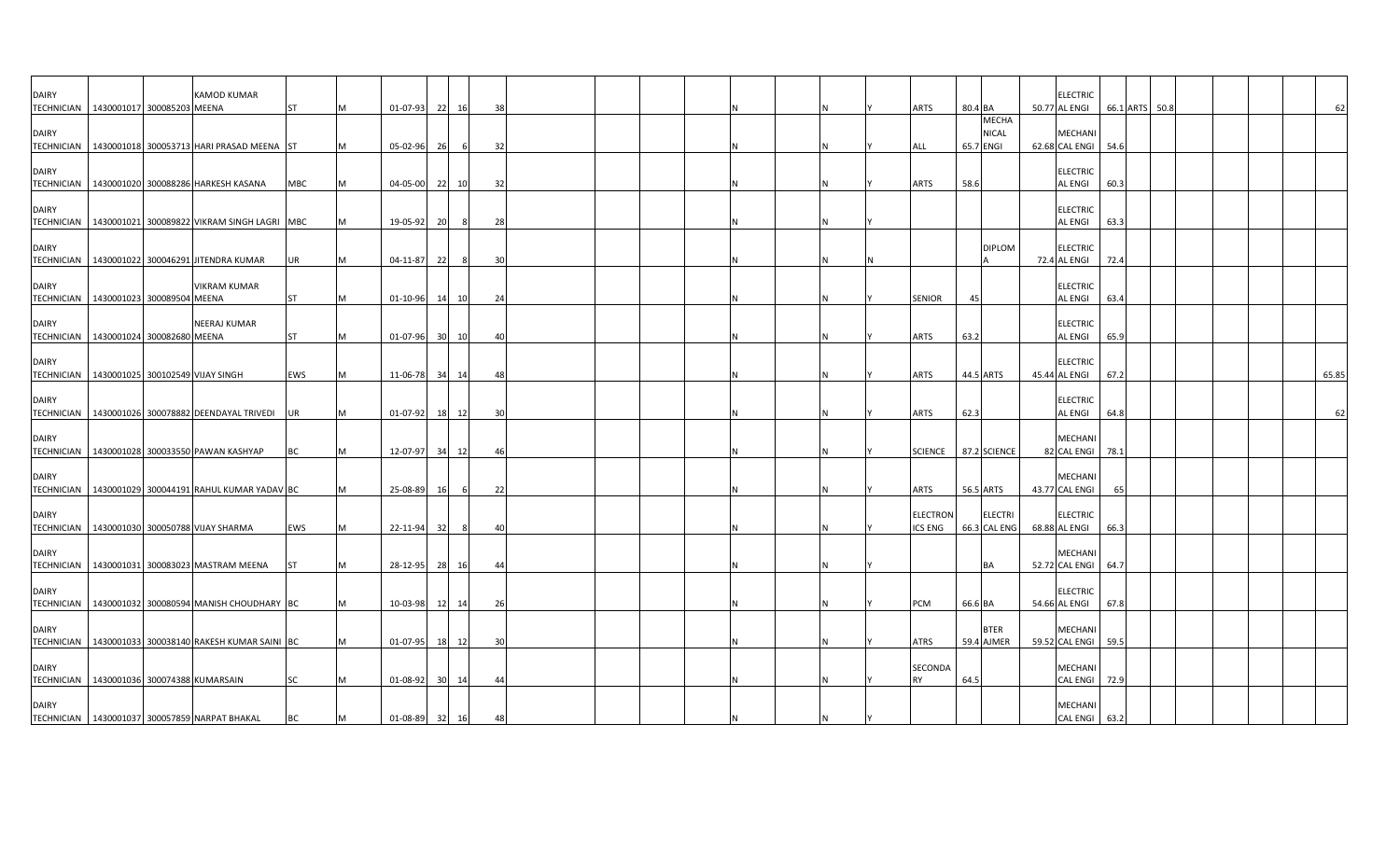| <b>DAIRY</b><br><b>TECHNICIAN</b> | 1430001017 300085203 MEENA                               | <b>KAMOD KUMAR</b>  | <b>ST</b>  |   | 01-07-93    | - 221 | 16    | 38 |  |  |   | <b>ARTS</b>          | 80.4 BA |                              | <b>ELECTRIC</b><br>50.77 AL ENGI      |      | 66.1 ARTS | 50.8 |  |  | 62    |
|-----------------------------------|----------------------------------------------------------|---------------------|------------|---|-------------|-------|-------|----|--|--|---|----------------------|---------|------------------------------|---------------------------------------|------|-----------|------|--|--|-------|
| <b>DAIRY</b>                      |                                                          |                     |            |   |             |       |       |    |  |  |   |                      |         | <b>MECHA</b><br><b>NICAL</b> | MECHANI                               |      |           |      |  |  |       |
|                                   | TECHNICIAN   1430001018 300053713 HARI PRASAD MEENA ST   |                     |            |   | 05-02-96    | - 26  | - 61  | 32 |  |  |   | ALL                  |         | 65.7 ENGI                    | 62.68 CAL ENGI                        | 54.6 |           |      |  |  |       |
| <b>DAIRY</b>                      | TECHNICIAN   1430001020 300088286 HARKESH KASANA         |                     | <b>MBC</b> | M | 04-05-00 22 |       | 10    | 32 |  |  | N | <b>ARTS</b>          | 58.6    |                              | <b>ELECTRIC</b><br><b>AL ENGI</b>     | 60.3 |           |      |  |  |       |
| <b>DAIRY</b>                      | TECHNICIAN   1430001021 300089822 VIKRAM SINGH LAGRI MBC |                     |            |   | 19-05-92    | 20    |       | 28 |  |  |   |                      |         |                              | <b>ELECTRIC</b><br><b>AL ENGI</b>     | 63.3 |           |      |  |  |       |
| DAIRY                             |                                                          |                     |            |   |             |       |       |    |  |  |   |                      |         | <b>DIPLOM</b>                | <b>ELECTRIC</b>                       |      |           |      |  |  |       |
| <b>TECHNICIAN</b>                 | 1430001022 300046291 JITENDRA KUMAR                      |                     | UR         |   | 04-11-87    | 22    | 8     | 30 |  |  |   |                      |         |                              | 72.4 AL ENGI                          | 72.4 |           |      |  |  |       |
| <b>DAIRY</b>                      | TECHNICIAN   1430001023 300089504 MEENA                  | <b>VIKRAM KUMAR</b> | <b>ST</b>  |   | 01-10-96    | - 141 | 10    | 24 |  |  |   | <b>SENIOR</b>        | 45      |                              | <b>ELECTRIC</b><br><b>AL ENGI</b>     | 63.4 |           |      |  |  |       |
| <b>DAIRY</b><br><b>TECHNICIAN</b> | 1430001024 300082680 MEENA                               | NEERAJ KUMAR        | <b>ST</b>  |   | 01-07-96 30 |       | 10    | 40 |  |  |   | ARTS                 | 63.2    |                              | <b>ELECTRIC</b><br><b>AL ENGI</b>     | 65.9 |           |      |  |  |       |
|                                   |                                                          |                     |            |   |             |       |       |    |  |  |   |                      |         |                              |                                       |      |           |      |  |  |       |
| DAIRY                             | TECHNICIAN   1430001025 300102549 VIJAY SINGH            |                     | EWS        | M | 11-06-78 34 |       | 14    | 48 |  |  | N | <b>ARTS</b>          |         | 44.5 ARTS                    | <b>ELECTRIC</b><br>45.44 AL ENGI      | 67.2 |           |      |  |  | 65.85 |
| <b>DAIRY</b>                      | TECHNICIAN   1430001026 300078882 DEENDAYAL TRIVEDI      |                     | UR         |   | 01-07-92    | 18    | 12    | 30 |  |  |   | <b>ARTS</b>          | 62.3    |                              | <b>ELECTRIC</b><br><b>AL ENGI</b>     | 64.8 |           |      |  |  | 62    |
| <b>DAIRY</b>                      |                                                          |                     |            |   |             |       |       |    |  |  |   |                      |         |                              | MECHANI<br>82 CAL ENGI 78.1           |      |           |      |  |  |       |
|                                   | TECHNICIAN   1430001028 300033550 PAWAN KASHYAP          |                     | BC         |   | 12-07-97    | 34    | 12    | 46 |  |  |   | <b>SCIENCE</b>       |         | 87.2 SCIENCE                 |                                       |      |           |      |  |  |       |
| <b>DAIRY</b>                      | TECHNICIAN   1430001029 300044191 RAHUL KUMAR YADAV BC   |                     |            |   | 25-08-89    | -161  |       | 22 |  |  |   | <b>ARTS</b>          |         | 56.5 ARTS                    | MECHANI<br>43.77 CAL ENGI             | 65   |           |      |  |  |       |
| <b>DAIRY</b>                      |                                                          |                     |            |   |             |       |       |    |  |  |   | <b>ELECTRON</b>      |         | <b>ELECTRI</b>               | <b>ELECTRIC</b>                       |      |           |      |  |  |       |
|                                   | TECHNICIAN 1430001030 300050788 VIJAY SHARMA             |                     | EWS        |   | 22-11-94    | - 32  | -8    | 4( |  |  |   | ICS ENG              |         | 66.3 CAL ENG                 | 68.88 AL ENGI                         | 66.3 |           |      |  |  |       |
| <b>DAIRY</b>                      | TECHNICIAN 1430001031 300083023 MASTRAM MEENA            |                     | <b>IST</b> |   | 28-12-95 28 |       | 16    | 44 |  |  |   |                      |         | BA                           | <b>MECHANI</b><br>52.72 CAL ENGI 64.7 |      |           |      |  |  |       |
| <b>DAIRY</b>                      | TECHNICIAN   1430001032 300080594 MANISH CHOUDHARY BC    |                     |            |   | 10-03-98    | 12    | 14    | 26 |  |  |   | PCM                  | 66.6 BA |                              | <b>ELECTRIC</b><br>54.66 AL ENGI      | 67.8 |           |      |  |  |       |
| <b>DAIRY</b>                      |                                                          |                     |            |   |             |       |       |    |  |  |   |                      |         | <b>BTER</b>                  | MECHANI                               |      |           |      |  |  |       |
|                                   | TECHNICIAN   1430001033 300038140 RAKESH KUMAR SAINI BC  |                     |            |   | 01-07-95    |       | 18 12 | 30 |  |  |   | <b>ATRS</b>          |         | 59.4 AJMER                   | 59.52 CAL ENGI 59.5                   |      |           |      |  |  |       |
| <b>DAIRY</b>                      | TECHNICIAN 1430001036 300074388 KUMARSAIN                |                     | SC         |   | 01-08-92    | 30    | 14    | 44 |  |  |   | SECONDA<br><b>RY</b> | 64.5    |                              | MECHANI<br>CAL ENGI                   | 72.9 |           |      |  |  |       |
| <b>DAIRY</b>                      | TECHNICIAN 1430001037 300057859 NARPAT BHAKAL            |                     | BC         | M | 01-08-89 32 |       | 16    | 48 |  |  | N |                      |         |                              | <b>MECHANI</b><br>CAL ENGI 63.2       |      |           |      |  |  |       |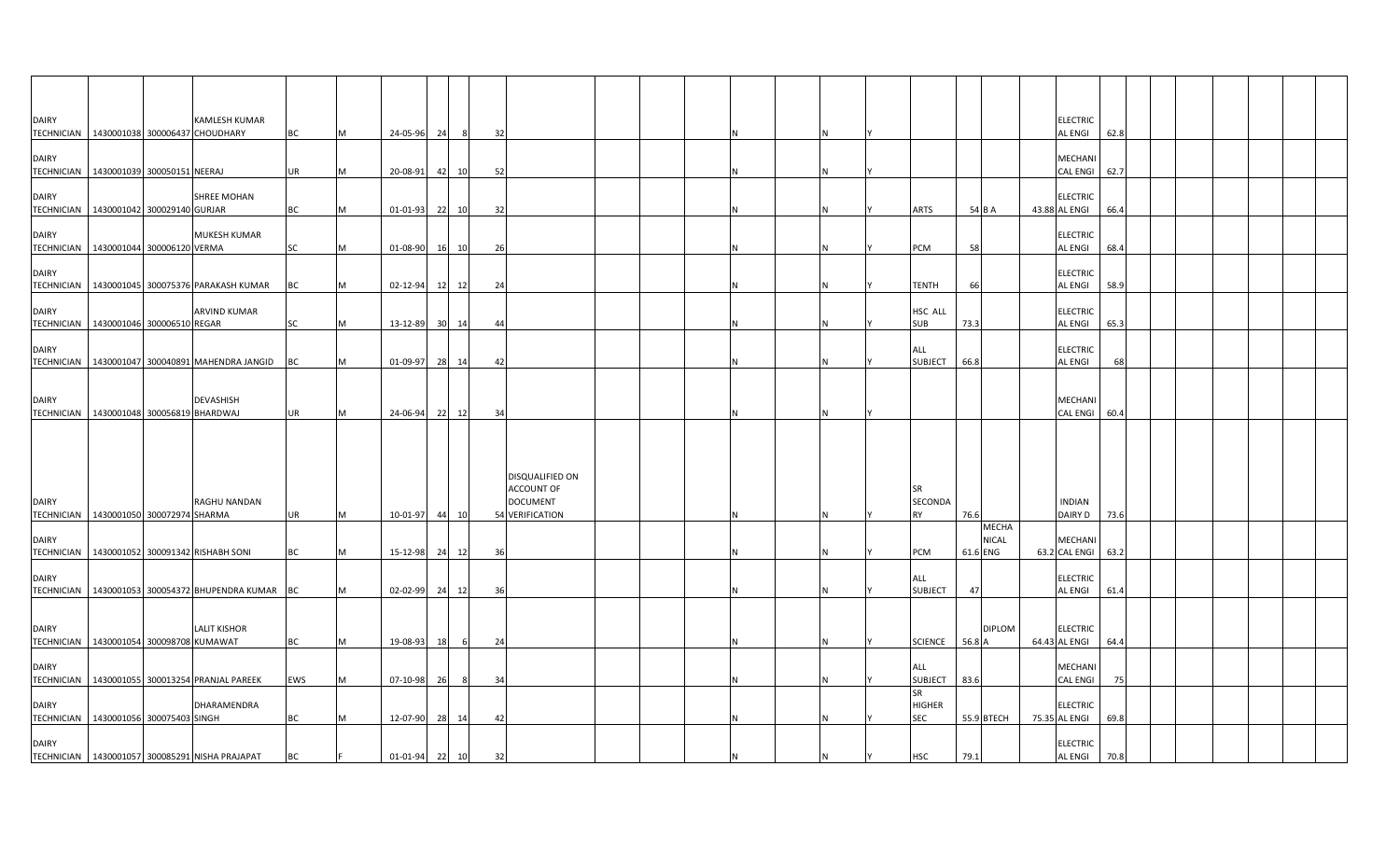| <b>DAIRY</b>                      | KAMLESH KUMAR<br>TECHNICIAN 1430001038 300006437 CHOUDHARY            | <b>BC</b>  |   | 24-05-96       | 24 | 8              | 32                                                                                |  |   |                                          |          |                       | <b>ELECTRIC</b><br>AL ENGI       | 62.8 |  |  |  |
|-----------------------------------|-----------------------------------------------------------------------|------------|---|----------------|----|----------------|-----------------------------------------------------------------------------------|--|---|------------------------------------------|----------|-----------------------|----------------------------------|------|--|--|--|
| <b>DAIRY</b><br><b>TECHNICIAN</b> | 1430001039 300050151 NEERAJ                                           | UR         |   | 20-08-91       |    | 10<br>42       | 52                                                                                |  |   |                                          |          |                       | MECHANI<br>CAL ENGI 62.7         |      |  |  |  |
| <b>DAIRY</b>                      | <b>SHREE MOHAN</b><br>TECHNICIAN 1430001042 300029140 GURJAR          | BC         |   | 01-01-93       |    | 22 10          | 32                                                                                |  |   | ARTS                                     |          | 54 B A                | <b>ELECTRIC</b><br>43.88 AL ENGI | 66.4 |  |  |  |
| <b>DAIRY</b>                      | <b>MUKESH KUMAR</b><br>TECHNICIAN   1430001044 300006120 VERMA        | <b>SC</b>  |   | 01-08-90       |    | 16<br>10       | 26                                                                                |  |   | <b>PCM</b>                               | 58       |                       | <b>ELECTRIC</b><br>AL ENGI       | 68.4 |  |  |  |
| <b>DAIRY</b>                      |                                                                       |            |   |                |    |                |                                                                                   |  |   |                                          |          |                       | <b>ELECTRIC</b>                  |      |  |  |  |
| <b>DAIRY</b>                      | TECHNICIAN 1430001045 300075376 PARAKASH KUMAR<br><b>ARVIND KUMAR</b> | BC         |   | 02-12-94       |    | 12<br>12       | 24                                                                                |  | N | <b>TENTH</b><br>HSC ALL                  | 66       |                       | AL ENGI<br><b>ELECTRIC</b>       | 58.9 |  |  |  |
| <b>DAIRY</b>                      | TECHNICIAN   1430001046 300006510 REGAR                               | SC         |   | 13-12-89       |    | 30<br>14       | 44                                                                                |  |   | <b>SUB</b><br>ALL                        | 73.3     |                       | AL ENGI<br><b>ELECTRIC</b>       | 65.3 |  |  |  |
|                                   | TECHNICIAN   1430001047 300040891 MAHENDRA JANGID                     | BC         |   | 01-09-97       |    | 28<br>14       | 42                                                                                |  | N | <b>SUBJECT</b>                           | 66.8     |                       | AL ENGI                          | 68   |  |  |  |
| <b>DAIRY</b>                      | <b>DEVASHISH</b><br>TECHNICIAN 1430001048 300056819 BHARDWAJ          | <b>UR</b>  | M | 24-06-94       |    | 22 12          | 34                                                                                |  | N |                                          |          |                       | MECHANI<br><b>CAL ENGI</b>       | 60.4 |  |  |  |
| <b>DAIRY</b>                      | RAGHU NANDAN<br>TECHNICIAN 1430001050 300072974 SHARMA                | <b>UR</b>  |   | 10-01-97       |    | 44<br>10       | <b>DISQUALIFIED ON</b><br><b>ACCOUNT OF</b><br><b>DOCUMENT</b><br>54 VERIFICATION |  |   | SR<br>SECONDA<br><b>RY</b>               | 76.6     |                       | <b>INDIAN</b><br>DAIRY D         | 73.6 |  |  |  |
| <b>DAIRY</b>                      | TECHNICIAN   1430001052 300091342 RISHABH SONI                        | ВC         |   | 15-12-98       |    | 24<br>12       | 36                                                                                |  |   | <b>PCM</b>                               | 61.6 ENG | <b>MECHA</b><br>NICAL | MECHANI<br>63.2 CAL ENGI         | 63.2 |  |  |  |
| <b>DAIRY</b>                      | TECHNICIAN   1430001053 300054372 BHUPENDRA KUMAR BC                  |            |   | 02-02-99       |    | 24<br>12       | 36                                                                                |  |   | ALL<br><b>SUBJECT</b>                    | 47       |                       | <b>ELECTRIC</b><br>AL ENGI       | 61.4 |  |  |  |
| <b>DAIRY</b>                      | <b>LALIT KISHOR</b><br>TECHNICIAN 1430001054 300098708 KUMAWAT        | <b>BC</b>  |   | 19-08-93       |    | 6<br><b>18</b> | 24                                                                                |  |   | <b>SCIENCE</b>                           | 56.8 A   | <b>DIPLOM</b>         | <b>ELECTRIC</b><br>64.43 AL ENGI | 64.4 |  |  |  |
| <b>DAIRY</b>                      | TECHNICIAN   1430001055 300013254 PRANJAL PAREEK                      | <b>EWS</b> |   | 07-10-98       | 26 | 8              | 34                                                                                |  |   | ALL<br>SUBJECT   83.6                    |          |                       | MECHANI<br><b>CAL ENGI</b>       | 75   |  |  |  |
| <b>DAIRY</b>                      | DHARAMENDRA<br>TECHNICIAN 1430001056 300075403 SINGH                  | <b>BC</b>  |   | 12-07-90       |    | 28<br>14       | 42                                                                                |  |   | <b>SR</b><br><b>HIGHER</b><br><b>SEC</b> |          | 55.9 BTECH            | <b>ELECTRIC</b><br>75.35 AL ENGI | 69.8 |  |  |  |
| <b>DAIRY</b>                      | TECHNICIAN 1430001057 300085291 NISHA PRAJAPAT                        | ВC         |   | $01 - 01 - 94$ |    | 22 10          | 32                                                                                |  |   | <b>HSC</b>                               | 79.1     |                       | ELECTRIC<br><b>AL ENGI</b>       | 70.8 |  |  |  |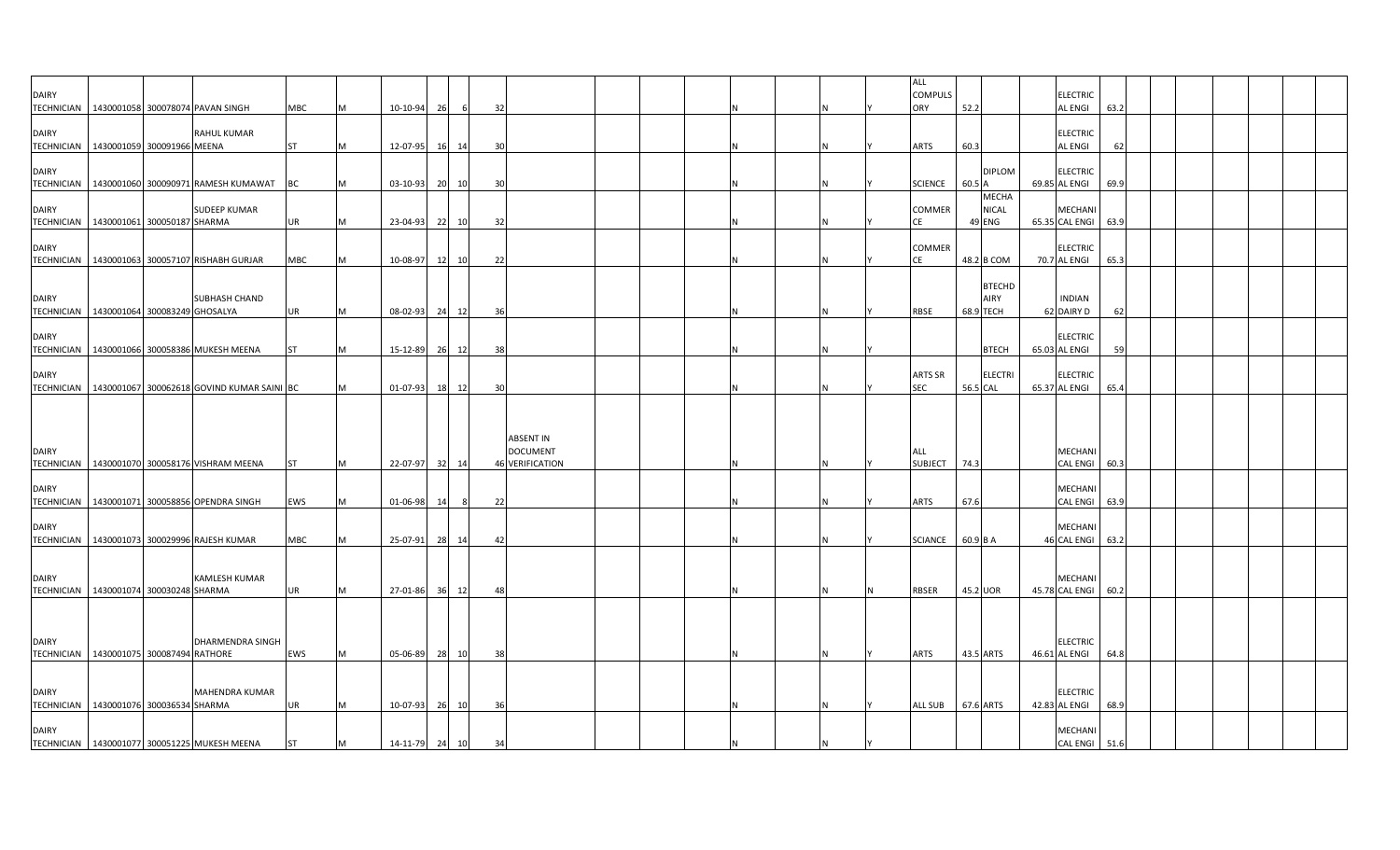| <b>DAIRY</b>                                           |                                          |                                                         |                        |                |                            |       |       |          |                                                               |   |  | <b>ALL</b><br><b>COMPULS</b> |          |                                        | <b>ELECTRIC</b>                                  |      |  |  |  |
|--------------------------------------------------------|------------------------------------------|---------------------------------------------------------|------------------------|----------------|----------------------------|-------|-------|----------|---------------------------------------------------------------|---|--|------------------------------|----------|----------------------------------------|--------------------------------------------------|------|--|--|--|
|                                                        |                                          | TECHNICIAN 1430001058 300078074 PAVAN SINGH             | MBC                    | <b>M</b>       | 10-10-94                   | 26    | 6     | 32       |                                                               |   |  | ORY                          | 52.2     |                                        | <b>AL ENGI</b>                                   | 63.2 |  |  |  |
| <b>DAIRY</b>                                           | TECHNICIAN   1430001059 300091966 MEENA  | RAHUL KUMAR                                             | <b>ST</b>              | M              | 12-07-95                   | 16 14 |       | 30       |                                                               |   |  | <b>ARTS</b>                  | 60.3     |                                        | <b>ELECTRIC</b><br><b>AL ENGI</b>                | 62   |  |  |  |
| <b>DAIRY</b>                                           |                                          | TECHNICIAN 1430001060 300090971 RAMESH KUMAWAT          | <b>BC</b>              | M              | 03-10-93                   | 20    | 10    | 30       |                                                               | N |  | <b>SCIENCE</b>               | 60.5 A   | <b>DIPLOM</b>                          | <b>ELECTRIC</b><br>69.85 AL ENGI                 | 69.9 |  |  |  |
| <b>DAIRY</b><br>TECHNICIAN 1430001061 300050187 SHARMA |                                          | <b>SUDEEP KUMAR</b>                                     | <b>UR</b>              | <b>IM</b>      | 23-04-93                   | 22 10 |       | 32       |                                                               | N |  | COMMER<br><b>CE</b>          |          | <b>MECHA</b><br><b>NICAL</b><br>49 ENG | MECHANI<br>65.35 CAL ENGI 63.9                   |      |  |  |  |
| <b>DAIRY</b>                                           |                                          | TECHNICIAN 1430001063 300057107 RISHABH GURJAR          | MBC                    | M              | 10-08-97                   |       | 12 10 | 22       |                                                               |   |  | <b>COMMER</b><br>CE          |          | 48.2 B COM                             | <b>ELECTRIC</b><br>70.7 AL ENGI                  | 65.3 |  |  |  |
| <b>DAIRY</b>                                           |                                          | SUBHASH CHAND                                           |                        |                |                            |       |       |          |                                                               |   |  |                              |          | <b>BTECHD</b><br>AIRY                  | <b>INDIAN</b>                                    |      |  |  |  |
|                                                        | TECHNICIAN 1430001064 300083249 GHOSALYA |                                                         | UR                     | M              | 08-02-93                   |       | 24 12 | 36       |                                                               |   |  | <b>RBSE</b>                  |          | 68.9 TECH                              | 62 DAIRY D                                       | 62   |  |  |  |
| <b>DAIRY</b>                                           |                                          | TECHNICIAN   1430001066 300058386 MUKESH MEENA          | <b>ST</b>              | M              | 15-12-89                   |       | 26 12 | 38       |                                                               |   |  |                              |          | <b>BTECH</b>                           | <b>ELECTRIC</b><br>65.03 AL ENGI                 | 59   |  |  |  |
| <b>DAIRY</b>                                           |                                          | TECHNICIAN   1430001067 300062618 GOVIND KUMAR SAINI BC |                        | M              | 01-07-93                   | 18 12 |       | 30       |                                                               |   |  | <b>ARTS SR</b><br>SEC        | 56.5 CAL | <b>ELECTRI</b>                         | <b>ELECTRIC</b><br>65.37 AL ENGI                 | 65.4 |  |  |  |
| <b>DAIRY</b><br><b>TECHNICIAN</b>                      |                                          | 1430001070 300058176 VISHRAM MEENA                      | <b>ST</b>              | M              | 22-07-97                   |       | 32 14 |          | <b>ABSENT IN</b><br><b>DOCUMENT</b><br><b>46 VERIFICATION</b> |   |  | ALL<br><b>SUBJECT</b>        | 74.3     |                                        | <b>MECHANI</b><br><b>CAL ENGI</b>                | 60.3 |  |  |  |
| <b>DAIRY</b>                                           |                                          | TECHNICIAN 1430001071 300058856 OPENDRA SINGH           | EWS                    | <b>M</b>       | $01 - 06 - 98$             | 14    | 8     | 22       |                                                               |   |  | <b>ARTS</b>                  | 67.6     |                                        | MECHANI<br><b>CAL ENGI</b>                       | 63.9 |  |  |  |
| <b>DAIRY</b>                                           |                                          | TECHNICIAN   1430001073 300029996 RAJESH KUMAR          | MBC                    | M              | 25-07-91                   |       | 28 14 | -42      |                                                               |   |  | <b>SCIANCE</b>               | 60.9 B A |                                        | <b>MECHAN</b><br>46 CAL ENGI 63.2                |      |  |  |  |
| <b>DAIRY</b>                                           | TECHNICIAN 1430001074 300030248 SHARMA   | <b>KAMLESH KUMAR</b>                                    | <b>UR</b>              | <b>M</b>       | 27-01-86                   | 36 12 |       | 48       |                                                               |   |  | <b>RBSER</b>                 | 45.2 UOR |                                        | <b>MECHANI</b><br>45.78 CAL ENGI                 | 60.2 |  |  |  |
| <b>DAIRY</b>                                           |                                          | DHARMENDRA SINGH                                        |                        |                |                            |       |       |          |                                                               |   |  |                              |          |                                        | <b>ELECTRIC</b>                                  |      |  |  |  |
| TECHNICIAN 1430001075 300087494 RATHORE                |                                          |                                                         | EWS                    | M              | 05-06-89                   |       | 28 10 | 38       |                                                               | N |  | <b>ARTS</b>                  |          | 43.5 ARTS                              | 46.61 AL ENGI                                    | 64.8 |  |  |  |
| <b>DAIRY</b>                                           |                                          | MAHENDRA KUMAR                                          |                        |                |                            |       |       |          |                                                               |   |  |                              |          |                                        | <b>ELECTRIC</b>                                  |      |  |  |  |
| TECHNICIAN 1430001076 300036534 SHARMA<br><b>DAIRY</b> |                                          | TECHNICIAN 1430001077 300051225 MUKESH MEENA            | <b>UR</b><br><b>ST</b> | <b>IM</b><br>M | 10-07-93<br>14-11-79 24 10 |       | 26 10 | 36<br>34 |                                                               | N |  | <b>ALL SUB</b>               |          | 67.6 ARTS                              | 42.83 AL ENGI<br><b>MECHANI</b><br>CAL ENGI 51.6 | 68.9 |  |  |  |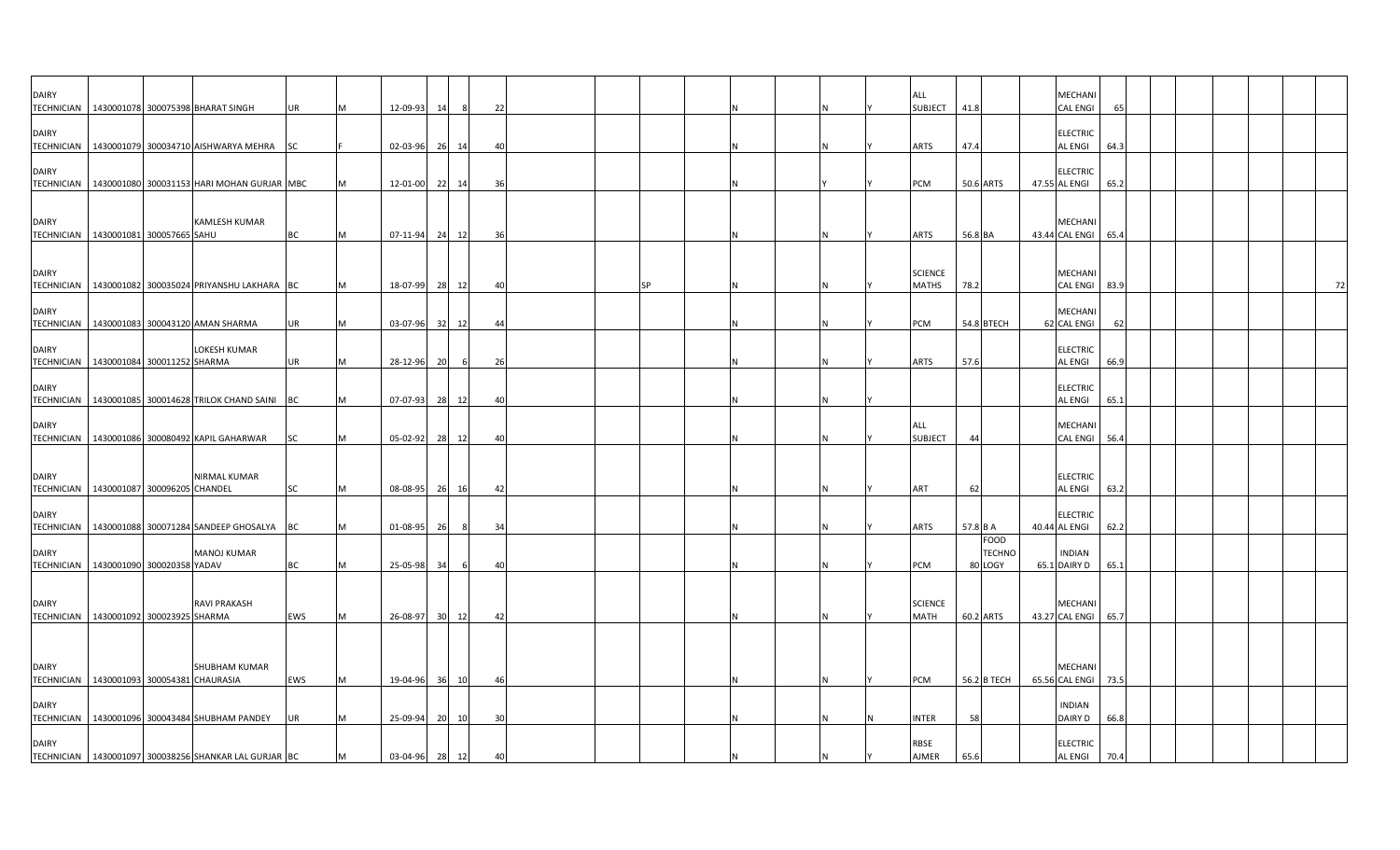| <b>DAIRY</b>                                              |                              | TECHNICIAN   1430001078 300075398 BHARAT SINGH            | <b>UR</b> |   | 12-09-93    | 14   | 8   | 22 |  |           |  |          | <b>ALL</b><br><b>SUBJECT</b>  | 41.8                                    | MECHANI<br><b>CAL ENGI</b>        | 65   |  |    |
|-----------------------------------------------------------|------------------------------|-----------------------------------------------------------|-----------|---|-------------|------|-----|----|--|-----------|--|----------|-------------------------------|-----------------------------------------|-----------------------------------|------|--|----|
|                                                           |                              |                                                           |           |   |             |      |     |    |  |           |  |          |                               |                                         |                                   |      |  |    |
| <b>DAIRY</b>                                              |                              | TECHNICIAN 1430001079 300034710 AISHWARYA MEHRA           | <b>SC</b> |   | 02-03-96    | - 26 | 14  | 40 |  |           |  |          | <b>ARTS</b>                   | 47.4                                    | <b>ELECTRIC</b><br>AL ENGI        | 64.3 |  |    |
| <b>DAIRY</b>                                              |                              | TECHNICIAN   1430001080 300031153 HARI MOHAN GURJAR MBC   |           |   | 12-01-00    | 22   | 14  | 36 |  |           |  |          | PCM                           | 50.6 ARTS                               | <b>ELECTRIC</b><br>47.55 AL ENGI  | 65.2 |  |    |
| <b>DAIRY</b>                                              |                              | <b>KAMLESH KUMAR</b>                                      |           |   |             |      |     |    |  |           |  |          |                               |                                         | MECHANI                           |      |  |    |
| TECHNICIAN   1430001081 300057665 SAHU                    |                              |                                                           | BC        |   | 07-11-94    | 24   | 12  | 36 |  |           |  | IN.      | <b>ARTS</b>                   | 56.8 BA                                 | 43.44 CAL ENGI 65.4               |      |  |    |
| <b>DAIRY</b>                                              |                              | TECHNICIAN   1430001082 300035024 PRIYANSHU LAKHARA BC    |           |   | 18-07-99    | 28   | 12  | 40 |  | <b>SP</b> |  |          | <b>SCIENCE</b><br>MATHS       | 78.2                                    | MECHANI<br>CAL ENGI 83.9          |      |  | 72 |
|                                                           |                              |                                                           |           |   |             |      |     |    |  |           |  |          |                               |                                         |                                   |      |  |    |
| <b>DAIRY</b><br><b>TECHNICIAN</b>                         |                              | 1430001083 300043120 AMAN SHARMA                          | UR        |   | 03-07-96    | 32   | 12  | 44 |  |           |  |          | PCM                           | 54.8 BTECH                              | MECHANI<br>62 CAL ENGI            | 62   |  |    |
| <b>DAIRY</b><br><b>TECHNICIAN</b>                         | 1430001084 300011252 SHARMA  | LOKESH KUMAR                                              | <b>UR</b> |   | 28-12-96    | -201 | -6  | 26 |  |           |  |          | <b>ARTS</b>                   | 57.6                                    | <b>ELECTRIC</b><br>AL ENGI        | 66.9 |  |    |
| <b>DAIRY</b>                                              |                              | TECHNICIAN   1430001085 300014628 TRILOK CHAND SAINI   BC |           |   | 07-07-93    | 28   | 12  | 40 |  |           |  | IN.      |                               |                                         | <b>ELECTRIC</b><br>AL ENGI        | 65.1 |  |    |
| <b>DAIRY</b>                                              |                              |                                                           |           |   |             |      |     |    |  |           |  |          | ALL                           |                                         | MECHANI                           |      |  |    |
|                                                           |                              | TECHNICIAN 1430001086 300080492 KAPIL GAHARWAR            | SC        |   | 05-02-92    | 28   | 12  | 40 |  |           |  | IN.      | <b>SUBJECT</b>                | 44                                      | <b>CAL ENGI</b>                   | 56.4 |  |    |
| <b>DAIRY</b><br><b>TECHNICIAN</b>                         | 1430001087 300096205 CHANDEL | NIRMAL KUMAR                                              | SC        |   | 08-08-95    | 26   | 16  | 42 |  |           |  | IN.      | <b>ART</b>                    | 62                                      | <b>ELECTRIC</b><br>AL ENGI        | 63.2 |  |    |
| <b>DAIRY</b><br><b>TECHNICIAN</b>                         |                              | 1430001088 300071284 SANDEEP GHOSALYA BC                  |           |   | 01-08-95    | - 26 | - 8 | 34 |  |           |  |          | <b>ARTS</b>                   | 57.8 B A                                | <b>ELECTRIC</b><br>40.44 AL ENGI  | 62.2 |  |    |
| <b>DAIRY</b><br>TECHNICIAN 1430001090 300020358 YADAV     |                              | <b>MANOJ KUMAR</b>                                        | BC        |   | 25-05-98    | 34   | 6   | 40 |  |           |  | <b>N</b> | PCM                           | <b>FOOD</b><br><b>TECHNO</b><br>80 LOGY | <b>INDIAN</b><br>65.1 DAIRY D     | 65.1 |  |    |
| <b>DAIRY</b><br>TECHNICIAN 1430001092 300023925 SHARMA    |                              | <b>RAVI PRAKASH</b>                                       | EWS       |   | 26-08-97    | 30   | 12  | 42 |  |           |  |          | <b>SCIENCE</b><br><b>MATH</b> | 60.2 ARTS                               | MECHANI<br>43.27 CAL ENGI 65.7    |      |  |    |
|                                                           |                              |                                                           |           |   |             |      |     |    |  |           |  |          |                               |                                         |                                   |      |  |    |
| <b>DAIRY</b><br>TECHNICIAN 1430001093 300054381 CHAURASIA |                              | <b>SHUBHAM KUMAR</b>                                      | EWS       |   | 19-04-96    | 36   | 10  | 46 |  |           |  | <b>N</b> | <b>PCM</b>                    | 56.2 B TECH                             | MECHANI<br>65.56 CAL ENGI         | 73.5 |  |    |
| <b>DAIRY</b>                                              |                              | TECHNICIAN   1430001096 300043484 SHUBHAM PANDEY          | UR        |   | 25-09-94    | 20   | 10  | 30 |  |           |  |          | <b>INTER</b>                  | 58                                      | <b>INDIAN</b><br>DAIRY D          | 66.8 |  |    |
| <b>DAIRY</b>                                              |                              | TECHNICIAN   1430001097 300038256 SHANKAR LAL GURJAR BC   |           | M | 03-04-96 28 |      | 12  | 40 |  |           |  |          | <b>RBSE</b><br>AJMER          | 65.6                                    | <b>ELECTRIC</b><br><b>AL ENGI</b> | 70.4 |  |    |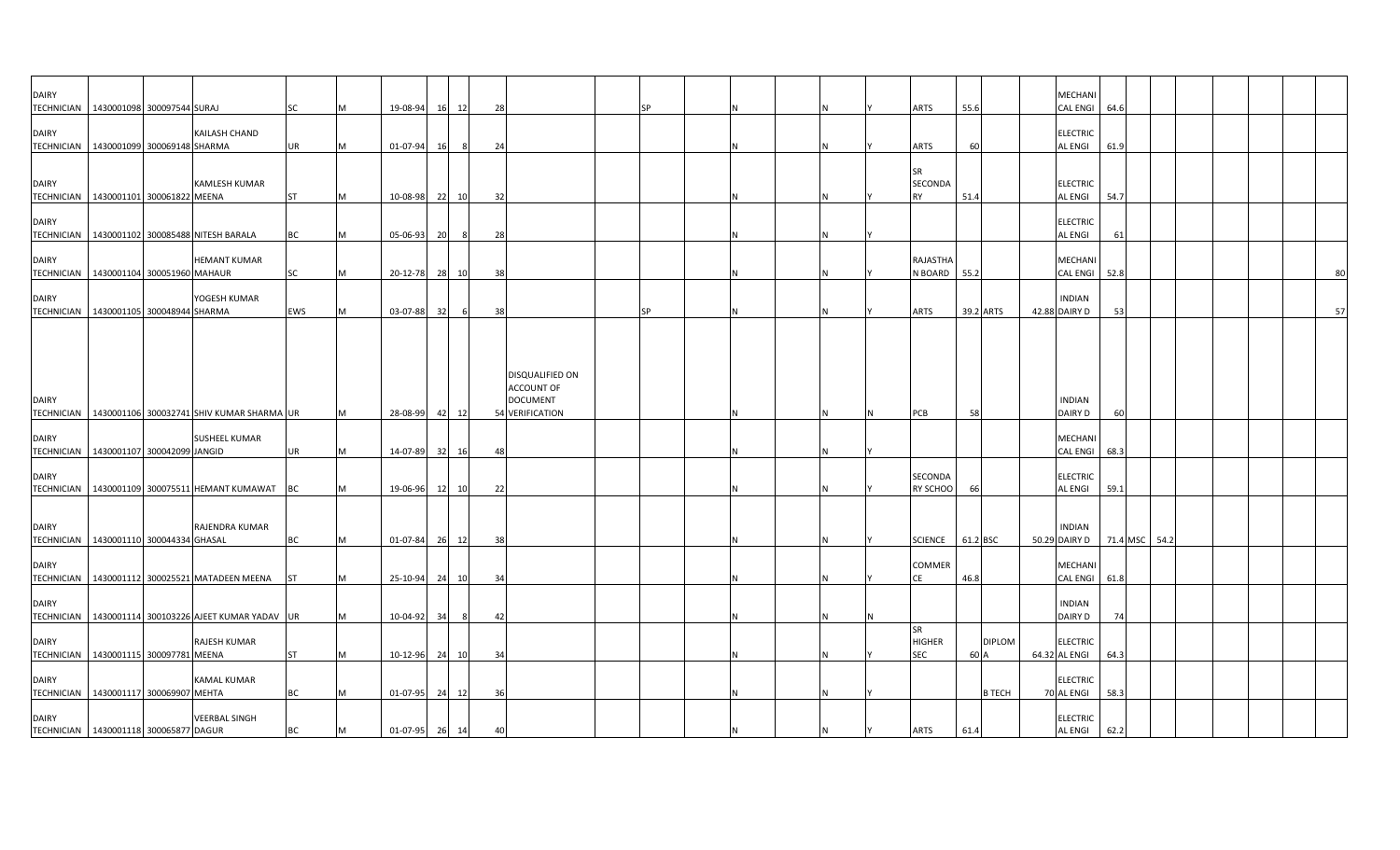| <b>DAIRY</b>                                             |                                        |                                                                      |            |   |                |    |     |    |                                                                            | SΡ        |   |          |                                   |          |               | MECHANI                            |               |  |  |    |
|----------------------------------------------------------|----------------------------------------|----------------------------------------------------------------------|------------|---|----------------|----|-----|----|----------------------------------------------------------------------------|-----------|---|----------|-----------------------------------|----------|---------------|------------------------------------|---------------|--|--|----|
| <b>DAIRY</b>                                             | TECHNICIAN 1430001098 300097544 SURAJ  | KAILASH CHAND                                                        | SC         |   | 19-08-94       | 16 | 12  | 28 |                                                                            |           |   |          | ARTS                              | 55.6     |               | <b>CAL ENGI</b><br><b>ELECTRIC</b> | 64.6          |  |  |    |
|                                                          | TECHNICIAN 1430001099 300069148 SHARMA |                                                                      | <b>UR</b>  |   | 01-07-94       | 16 | - 8 | 24 |                                                                            |           |   |          | ARTS                              | 60       |               | AL ENGI                            | 61.9          |  |  |    |
| <b>DAIRY</b><br>TECHNICIAN 1430001101 300061822 MEENA    |                                        | <b>KAMLESH KUMAR</b>                                                 | <b>ST</b>  |   | 10-08-98       | 22 | 10  | 32 |                                                                            |           |   |          | <b>SR</b><br>SECONDA<br><b>RY</b> | 51.4     |               | <b>ELECTRIC</b><br>AL ENGI         | 54.7          |  |  |    |
| <b>DAIRY</b>                                             |                                        |                                                                      |            |   |                |    |     |    |                                                                            |           |   |          |                                   |          |               | <b>ELECTRIC</b>                    |               |  |  |    |
| <b>DAIRY</b>                                             |                                        | TECHNICIAN 1430001102 300085488 NITESH BARALA<br><b>HEMANT KUMAR</b> | <b>BC</b>  |   | $05 - 06 - 93$ | 20 | - 8 | 28 |                                                                            |           |   |          | RAJASTHA                          |          |               | AL ENGI<br><b>MECHANI</b>          | 61            |  |  |    |
|                                                          | TECHNICIAN 1430001104 300051960 MAHAUR |                                                                      | SC         | м | 20-12-78 28 10 |    |     | 38 |                                                                            |           |   |          | N BOARD 55.2                      |          |               | CAL ENGI 52.8                      |               |  |  | 80 |
| <b>DAIRY</b><br>TECHNICIAN   1430001105 300048944 SHARMA |                                        | YOGESH KUMAR                                                         | <b>EWS</b> | м | 03-07-88       | 32 | 6   | 38 |                                                                            | <b>SP</b> |   |          | ARTS                              |          | 39.2 ARTS     | <b>INDIAN</b><br>42.88 DAIRY D     | 53            |  |  | 57 |
| <b>DAIRY</b><br><b>TECHNICIAN</b>                        |                                        | 1430001106 300032741 SHIV KUMAR SHARMA UR                            |            | M | 28-08-99       | 42 | 12  |    | DISQUALIFIED ON<br><b>ACCOUNT OF</b><br><b>DOCUMENT</b><br>54 VERIFICATION |           |   | ΙN       | PCB                               | 58       |               | <b>INDIAN</b><br><b>DAIRY D</b>    | 60            |  |  |    |
| <b>DAIRY</b><br>TECHNICIAN   1430001107 300042099 JANGID |                                        | <b>SUSHEEL KUMAR</b>                                                 | <b>UR</b>  | M | 14-07-89 32    |    | 16  | 48 |                                                                            |           |   |          |                                   |          |               | MECHANI<br><b>CAL ENGI</b>         | 68.3          |  |  |    |
| <b>DAIRY</b>                                             |                                        | TECHNICIAN   1430001109 300075511 HEMANT KUMAWAT BC                  |            |   | 19-06-96       | 12 | 10  | 22 |                                                                            |           |   |          | SECONDA<br>RY SCHOO               | 66       |               | <b>ELECTRIC</b><br>AL ENGI         | 59.1          |  |  |    |
| <b>DAIRY</b><br>TECHNICIAN   1430001110 300044334 GHASAL |                                        | RAJENDRA KUMAR                                                       | <b>BC</b>  | M | 01-07-84 26 12 |    |     | 38 |                                                                            |           |   |          | <b>SCIENCE</b>                    | 61.2 BSC |               | <b>INDIAN</b><br>50.29 DAIRY D     | 71.4 MSC 54.2 |  |  |    |
| <b>DAIRY</b>                                             |                                        | TECHNICIAN   1430001112 300025521 MATADEEN MEENA   ST                |            |   | 25-10-94       | 24 | 10  | 34 |                                                                            |           |   |          | COMMER<br>ĊË                      | 46.8     |               | MECHANI<br><b>CAL ENGI</b>         | 61.8          |  |  |    |
| <b>DAIRY</b><br><b>TECHNICIAN</b>                        |                                        | 1430001114 300103226 AJEET KUMAR YADAV UR                            |            | м | 10-04-92       | 34 | 8   | 42 |                                                                            |           |   |          |                                   |          |               | <b>INDIAN</b><br>DAIRY D           | 74            |  |  |    |
| <b>DAIRY</b>                                             | TECHNICIAN 1430001115 300097781 MEENA  | <b>RAJESH KUMAR</b>                                                  | <b>ST</b>  | М | 10-12-96       | 24 | 10  | 34 |                                                                            |           |   |          | SR<br><b>HIGHER</b><br><b>SEC</b> | 60 A     | <b>DIPLOM</b> | <b>ELECTRIC</b><br>64.32 AL ENGI   | 64.3          |  |  |    |
| <b>DAIRY</b><br>TECHNICIAN   1430001117 300069907 MEHTA  |                                        | <b>KAMAL KUMAR</b>                                                   | <b>BC</b>  |   | 01-07-95 24    |    | 12  | 36 |                                                                            |           |   |          |                                   |          | <b>B TECH</b> | <b>ELECTRIC</b><br>70 AL ENGI      | 58.3          |  |  |    |
| <b>DAIRY</b><br>TECHNICIAN 1430001118 300065877 DAGUR    |                                        | <b>VEERBAL SINGH</b>                                                 | <b>BC</b>  | M | 01-07-95 26 14 |    |     | 40 |                                                                            |           | N | <b>N</b> | <b>ARTS</b>                       | 61.4     |               | <b>ELECTRIC</b><br><b>AL ENGI</b>  | 62.2          |  |  |    |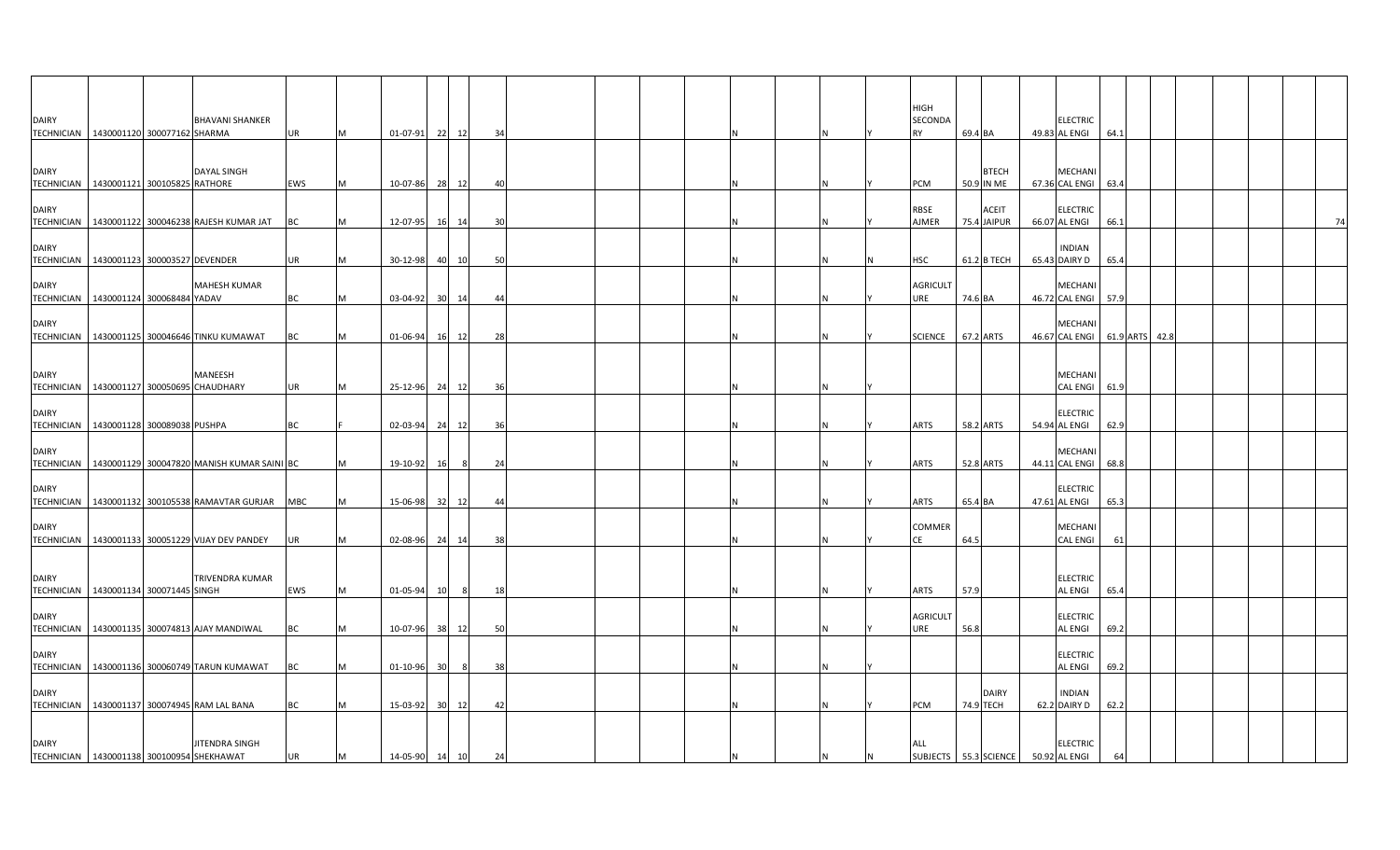|              |                                                         |                        |            |          |          |    |       |     |  |  |     | HIGH                         |         |                            |                                         |      |  |  |    |
|--------------|---------------------------------------------------------|------------------------|------------|----------|----------|----|-------|-----|--|--|-----|------------------------------|---------|----------------------------|-----------------------------------------|------|--|--|----|
| <b>DAIRY</b> | TECHNICIAN   1430001120 300077162 SHARMA                | <b>BHAVANI SHANKER</b> | <b>UR</b>  | M        | 01-07-91 | 22 | 12    | 34  |  |  |     | SECONDA<br>RY                | 69.4 BA |                            | ELECTRIC<br>49.83 AL ENGI               | 64.1 |  |  |    |
| <b>DAIRY</b> | TECHNICIAN 1430001121 300105825 RATHORE                 | <b>DAYAL SINGH</b>     | EWS        | IM.      | 10-07-86 | 28 | 12    | 40  |  |  |     | PCM                          |         | <b>BTECH</b><br>50.9 IN ME | MECHANI<br>67.36 CAL ENGI               | 63.4 |  |  |    |
| <b>DAIRY</b> | TECHNICIAN   1430001122 300046238 RAJESH KUMAR JAT      |                        | ВC         | IM.      | 12-07-95 | 16 | 14    | 30  |  |  |     | RBSE<br>AJMER                |         | ACEIT<br>75.4 JAIPUR       | <b>ELECTRIC</b><br>66.07 AL ENGI        | 66.1 |  |  | 74 |
| <b>DAIRY</b> | TECHNICIAN   1430001123 300003527 DEVENDER              |                        | UR         |          | 30-12-98 | 40 | 10    | 50  |  |  | Ν   | HSC                          |         | 61.2 B TECH                | <b>INDIAN</b><br>65.43 DAIRY D          | 65.4 |  |  |    |
| <b>DAIRY</b> | TECHNICIAN   1430001124 300068484 YADAV                 | <b>MAHESH KUMAR</b>    | <b>BC</b>  | M        | 03-04-92 | 30 | 14    | 44  |  |  |     | <b>AGRICULT</b><br>URE       | 74.6 BA |                            | MECHANI<br>46.72 CAL ENGI               | 57.9 |  |  |    |
| <b>DAIRY</b> | TECHNICIAN   1430001125 300046646 TINKU KUMAWAT         |                        | ВC         | M        | 01-06-94 |    | 16 12 | 28  |  |  | N   | <b>SCIENCE</b>               |         | 67.2 ARTS                  | MECHAN<br>46.67 CAL ENGI 61.9 ARTS 42.8 |      |  |  |    |
| <b>DAIRY</b> | TECHNICIAN 1430001127 300050695 CHAUDHARY               | MANEESH                | UR         | <b>M</b> | 25-12-96 |    | 24 12 | 36  |  |  |     |                              |         |                            | MECHANI<br>CAL ENGI 61.9                |      |  |  |    |
| <b>DAIRY</b> | TECHNICIAN 1430001128 300089038 PUSHPA                  |                        | ВC         |          | 02-03-94 | 24 | 12    | 36  |  |  |     | ARTS                         |         | 58.2 ARTS                  | <b>ELECTRIC</b><br>54.94 AL ENGI        | 62.9 |  |  |    |
| <b>DAIRY</b> | TECHNICIAN   1430001129 300047820 MANISH KUMAR SAINI BC |                        |            |          | 19-10-92 | 16 | 8     | 24  |  |  | N   | ARTS                         |         | <b>52.8 ARTS</b>           | <b>MECHAN</b><br>44.11 CAL ENGI         | 68.8 |  |  |    |
| <b>DAIRY</b> | TECHNICIAN 1430001132 300105538 RAMAVTAR GURJAR         |                        | <b>MBC</b> | M        | 15-06-98 | 32 | 12    | -44 |  |  | Ν   | ARTS                         | 65.4 BA |                            | <b>ELECTRIC</b><br>47.61 AL ENGI        | 65.3 |  |  |    |
| <b>DAIRY</b> | TECHNICIAN   1430001133 300051229 VIJAY DEV PANDEY      |                        | UR         | M        | 02-08-96 |    | 24 14 | 38  |  |  |     | COMMER<br>СE                 | 64.5    |                            | MECHAN<br><b>CAL ENGI</b>               | 61   |  |  |    |
| <b>DAIRY</b> | TECHNICIAN   1430001134 300071445 SINGH                 | TRIVENDRA KUMAR        | EWS        | M        | 01-05-94 | 10 | - 8   | -18 |  |  | N   | ARTS                         | 57.9    |                            | <b>ELECTRIC</b><br>AL ENGI              | 65.4 |  |  |    |
| <b>DAIRY</b> | TECHNICIAN   1430001135 300074813 AJAY MANDIWAL         |                        | BС         | M        | 10-07-96 | 38 | 12    | 50  |  |  |     | <b>AGRICULT</b><br>URE       | 56.8    |                            | <b>ELECTRIC</b><br>AL ENGI              | 69.2 |  |  |    |
| <b>DAIRY</b> | TECHNICIAN 1430001136 300060749 TARUN KUMAWAT           |                        | BC         | M        | 01-10-96 | 30 | 8     | 38  |  |  | N   |                              |         |                            | <b>ELECTRIC</b><br><b>AL ENGI</b>       | 69.2 |  |  |    |
| DAIRY        | TECHNICIAN 1430001137 300074945 RAM LAL BANA            |                        | ВC         | M        | 15-03-92 | 30 | 12    | 42  |  |  | Ν   | PCM                          |         | <b>DAIRY</b><br>74.9 TECH  | <b>INDIAN</b><br>62.2 DAIRY D           | 62.2 |  |  |    |
| <b>DAIRY</b> | TECHNICIAN 1430001138 300100954 SHEKHAWAT               | JITENDRA SINGH         | UR         | M        | 14-05-90 | 14 | 10    | 24  |  |  | IN. | ALL<br>SUBJECTS 55.3 SCIENCE |         |                            | <b>ELECTRIC</b><br>50.92 AL ENGI        | 64   |  |  |    |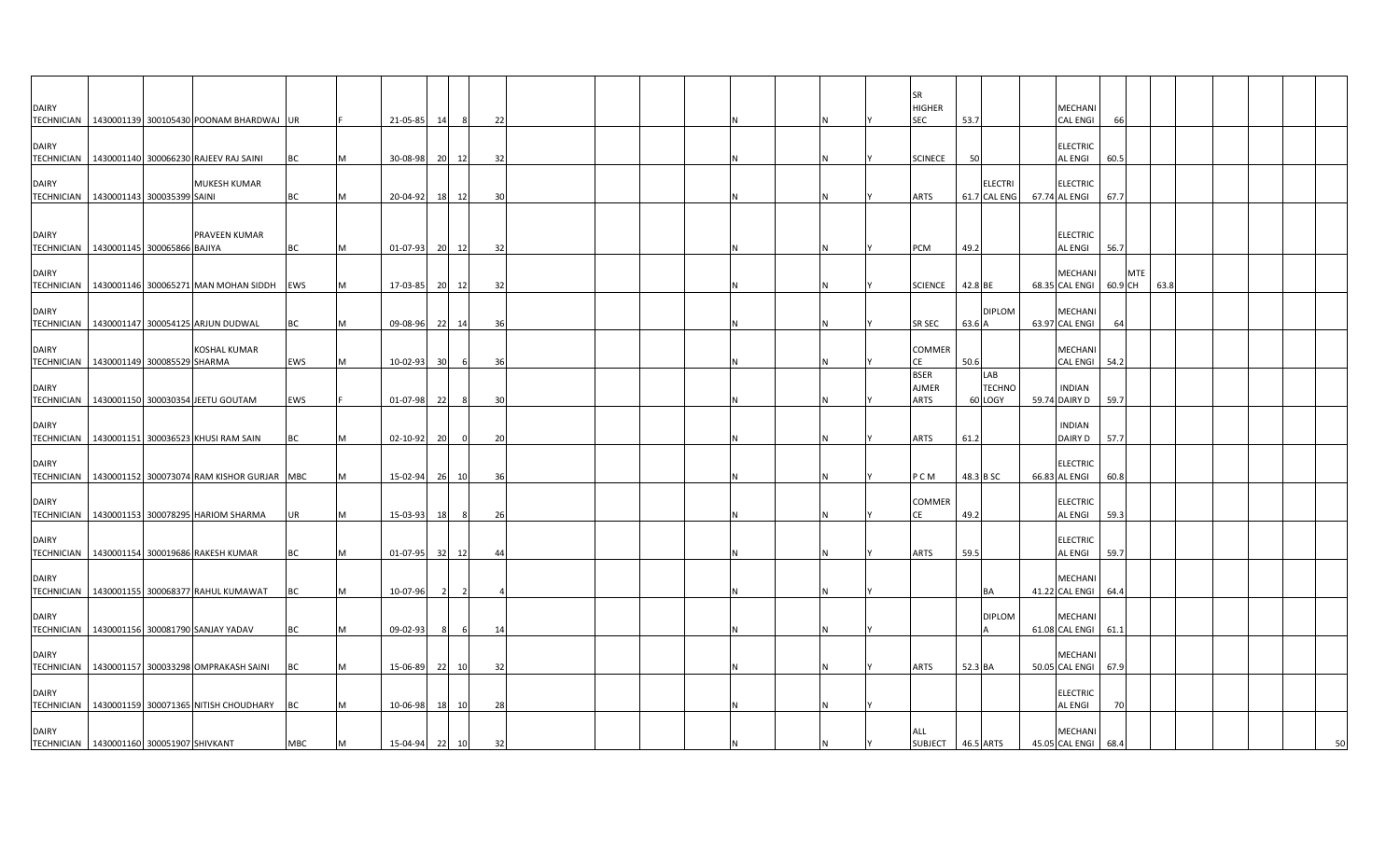|                                                          |                             |                                                         |            |          |                |    |                          |    |  |  |  |  | <b>SR</b>                   |           |                      |                                  |            |      |  |  |
|----------------------------------------------------------|-----------------------------|---------------------------------------------------------|------------|----------|----------------|----|--------------------------|----|--|--|--|--|-----------------------------|-----------|----------------------|----------------------------------|------------|------|--|--|
| <b>DAIRY</b>                                             |                             | TECHNICIAN   1430001139 300105430 POONAM BHARDWAJ UR    |            |          | 21-05-85       | 14 |                          | 22 |  |  |  |  | <b>HIGHER</b><br><b>SEC</b> | 53.7      |                      | MECHANI<br><b>CAL ENGI</b>       |            |      |  |  |
|                                                          |                             |                                                         |            |          |                |    |                          |    |  |  |  |  |                             |           |                      |                                  |            |      |  |  |
| <b>DAIRY</b><br><b>TECHNICIAN</b>                        |                             | 1430001140 300066230 RAJEEV RAJ SAINI                   | BC         |          | 30-08-98       |    | 20 12                    | 32 |  |  |  |  | <b>SCINECE</b>              | 50        |                      | <b>ELECTRIC</b><br>AL ENGI       | 60.5       |      |  |  |
| <b>DAIRY</b>                                             |                             | MUKESH KUMAR                                            |            |          |                |    |                          |    |  |  |  |  |                             |           | <b>ELECTRI</b>       | <b>ELECTRIC</b>                  |            |      |  |  |
| TECHNICIAN   1430001143 300035399 SAINI                  |                             |                                                         | ВC         |          | 20-04-92       |    | 18 12                    | 30 |  |  |  |  | ARTS                        |           | 61.7 CAL ENG         | 67.74 AL ENGI                    | 67.7       |      |  |  |
| <b>DAIRY</b>                                             |                             | PRAVEEN KUMAR                                           |            |          |                |    |                          |    |  |  |  |  |                             |           |                      | <b>ELECTRIC</b>                  |            |      |  |  |
| TECHNICIAN                                               | 1430001145 300065866 BAJIYA |                                                         | BC         |          | 01-07-93 20 12 |    |                          | 32 |  |  |  |  | PCM                         | 49.2      |                      | AL ENGI                          | 56.7       |      |  |  |
| <b>DAIRY</b>                                             |                             |                                                         |            |          |                |    |                          |    |  |  |  |  |                             |           |                      | MECHANI                          | <b>MTE</b> |      |  |  |
|                                                          |                             | TECHNICIAN 1430001146 300065271 MAN MOHAN SIDDH         | <b>EWS</b> | M        | 17-03-85 20 12 |    |                          | 32 |  |  |  |  | <b>SCIENCE</b>              | 42.8 BE   |                      | 68.35 CAL ENGI                   | 60.9 CH    | 63.8 |  |  |
| <b>DAIRY</b>                                             |                             | TECHNICIAN   1430001147 300054125 ARJUN DUDWAL          | ВC         |          | 09-08-96 22 14 |    |                          | 36 |  |  |  |  | SR SEC                      | 63.6 A    | <b>DIPLOM</b>        | MECHANI<br>63.97 CAL ENGI        | 64         |      |  |  |
| <b>DAIRY</b>                                             |                             | <b>KOSHAL KUMAR</b>                                     |            |          |                |    |                          |    |  |  |  |  | <b>COMMER</b>               |           |                      | MECHANI                          |            |      |  |  |
| TECHNICIAN   1430001149 300085529 SHARMA                 |                             |                                                         | EWS        |          | 10-02-93       | 30 | 6                        | 36 |  |  |  |  | CΕ                          | 50.6      |                      | <b>CAL ENGI</b>                  | 54.2       |      |  |  |
| <b>DAIRY</b>                                             |                             |                                                         |            |          |                |    |                          |    |  |  |  |  | <b>BSER</b><br><b>AJMER</b> |           | LAB<br><b>TECHNO</b> | <b>INDIAN</b>                    |            |      |  |  |
|                                                          |                             | TECHNICIAN   1430001150 300030354 JEETU GOUTAM          | EWS        |          | 01-07-98 22    |    | -8                       | 30 |  |  |  |  | ARTS                        |           | 60 LOGY              | 59.74 DAIRY D                    | 59.7       |      |  |  |
| <b>DAIRY</b>                                             |                             | TECHNICIAN   1430001151 300036523 KHUSI RAM SAIN        | ВC         |          | 02-10-92       | 20 | $\overline{0}$           | 20 |  |  |  |  | ARTS                        | 61.2      |                      | <b>INDIAN</b><br>DAIRY D         | 57.7       |      |  |  |
|                                                          |                             |                                                         |            |          |                |    |                          |    |  |  |  |  |                             |           |                      |                                  |            |      |  |  |
| <b>DAIRY</b>                                             |                             | TECHNICIAN   1430001152 300073074 RAM KISHOR GURJAR MBC |            |          | 15-02-94 26 10 |    |                          | 36 |  |  |  |  | P C M                       | 48.3 B SC |                      | <b>ELECTRIC</b><br>66.83 AL ENGI | 60.8       |      |  |  |
| <b>DAIRY</b>                                             |                             |                                                         |            |          |                |    |                          |    |  |  |  |  | COMMER                      |           |                      | <b>ELECTRIC</b>                  |            |      |  |  |
|                                                          |                             | TECHNICIAN   1430001153 300078295 HARIOM SHARMA         | UR         | M        | 15-03-93       | 18 | 8                        | 26 |  |  |  |  | СF                          | 49.2      |                      | <b>AL ENGI</b>                   | 59.3       |      |  |  |
| <b>DAIRY</b>                                             |                             |                                                         |            |          |                |    |                          |    |  |  |  |  |                             |           |                      | <b>ELECTRIC</b>                  |            |      |  |  |
|                                                          |                             | TECHNICIAN   1430001154 300019686 RAKESH KUMAR          | ВC         |          | 01-07-95 32    |    | 12                       | 44 |  |  |  |  | ARTS                        | 59.5      |                      | AL ENGI                          | 59.7       |      |  |  |
| <b>DAIRY</b>                                             |                             | TECHNICIAN   1430001155 300068377 RAHUL KUMAWAT         | ВC         |          | 10-07-96       |    | $\overline{\phantom{a}}$ |    |  |  |  |  |                             |           | BA                   | MECHANI<br>41.22 CAL ENGI        | 64.4       |      |  |  |
| <b>DAIRY</b>                                             |                             |                                                         |            |          |                |    |                          |    |  |  |  |  |                             |           | <b>DIPLOM</b>        | <b>MECHAN</b>                    |            |      |  |  |
|                                                          |                             | TECHNICIAN 1430001156 300081790 SANJAY YADAV            | ВC         |          | 09-02-93       | -8 | 6                        | 14 |  |  |  |  |                             |           |                      | 61.08 CAL ENGI 61.1              |            |      |  |  |
| <b>DAIRY</b>                                             |                             |                                                         |            |          |                |    |                          |    |  |  |  |  |                             |           |                      | MECHANI                          |            |      |  |  |
|                                                          |                             | TECHNICIAN   1430001157 300033298 OMPRAKASH SAINI       | ВC         |          | 15-06-89       | 22 | 10                       | 32 |  |  |  |  | ARTS                        | 52.3 BA   |                      | 50.05 CAL ENGI                   | 67.9       |      |  |  |
| <b>DAIRY</b>                                             |                             |                                                         |            |          |                |    |                          |    |  |  |  |  |                             |           |                      | <b>ELECTRIC</b>                  |            |      |  |  |
|                                                          |                             | TECHNICIAN   1430001159 300071365 NITISH CHOUDHARY      | <b>BC</b>  |          | 10-06-98 18 10 |    |                          | 28 |  |  |  |  |                             |           |                      | <b>AL ENGI</b>                   | 70         |      |  |  |
| <b>DAIRY</b><br>TECHNICIAN 1430001160 300051907 SHIVKANT |                             |                                                         | <b>MBC</b> | <b>M</b> | 15-04-94 22 10 |    |                          | 32 |  |  |  |  | ALL<br>SUBJECT 46.5 ARTS    |           |                      | MECHANI<br>45.05 CAL ENGI        | 68.4       |      |  |  |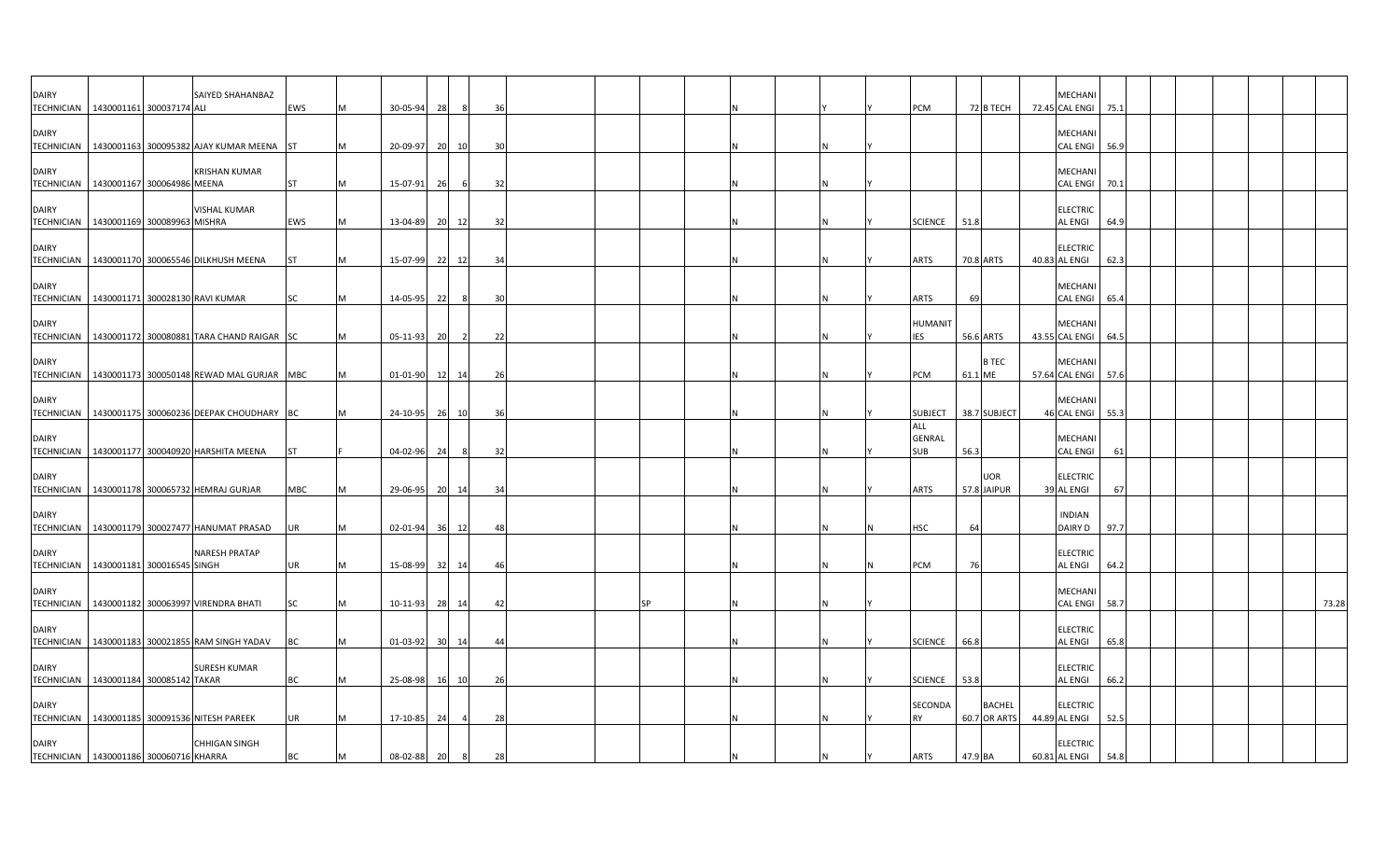| DAIRY                                                      |                            | SAIYED SHAHANBAZ                                       |            |   |                |      |                |     |    |  |     |                              |           |               | <b>MECHAN</b>                        |      |  |  |       |
|------------------------------------------------------------|----------------------------|--------------------------------------------------------|------------|---|----------------|------|----------------|-----|----|--|-----|------------------------------|-----------|---------------|--------------------------------------|------|--|--|-------|
| <b>TECHNICIAN</b>                                          | 1430001161 300037174 ALI   |                                                        | EWS        | M | 30-05-94       | 28   | 8              | 36  |    |  |     | <b>PCM</b>                   |           | 72 B TECH     | 72.45 CAL ENGI                       | 75.1 |  |  |       |
| DAIRY                                                      |                            | TECHNICIAN   1430001163 300095382 AJAY KUMAR MEENA ST  |            | M | 20-09-97       | 20   | 10             | 30  |    |  |     |                              |           |               | MECHAN<br><b>CAL ENGI</b>            | 56.9 |  |  |       |
| <b>DAIRY</b>                                               |                            | <b>KRISHAN KUMAR</b>                                   |            |   |                |      |                |     |    |  |     |                              |           |               | <b>MECHANI</b>                       |      |  |  |       |
| TECHNICIAN   1430001167 300064986 MEENA                    |                            |                                                        | <b>ST</b>  | M | 15-07-91       | - 26 |                | 32  |    |  |     |                              |           |               | <b>CAL ENGI</b>                      | 70.1 |  |  |       |
| <b>DAIRY</b><br>TECHNICIAN   1430001169 300089963 MISHRA   |                            | VISHAL KUMAR                                           | <b>EWS</b> | M | 13-04-89       | 20   | 12             | 32  |    |  |     | <b>SCIENCE</b>               | 51.8      |               | <b>ELECTRIC</b><br>AL ENGI           | 64.9 |  |  |       |
| <b>DAIRY</b>                                               |                            | TECHNICIAN   1430001170 300065546 DILKHUSH MEENA       | <b>ST</b>  | M | 15-07-99       |      | 22 12          | 34  |    |  |     | <b>ARTS</b>                  | 70.8 ARTS |               | <b>ELECTRIC</b><br>40.83 AL ENGI     | 62.3 |  |  |       |
|                                                            |                            |                                                        |            |   |                |      |                |     |    |  |     |                              |           |               |                                      |      |  |  |       |
| <b>DAIRY</b><br>TECHNICIAN 1430001171 300028130 RAVI KUMAR |                            |                                                        | <b>SC</b>  | M | 14-05-95       | 22   | 8              | 30  |    |  |     | <b>ARTS</b>                  | 69        |               | <b>MECHANI</b><br><b>CAL ENGI</b>    | 65.4 |  |  |       |
| <b>DAIRY</b>                                               |                            | TECHNICIAN   1430001172 300080881 TARA CHAND RAIGAR SC |            | M | 05-11-93       | 20   | $\overline{2}$ | 22  |    |  | N   | <b>HUMANIT</b><br><b>IES</b> | 56.6 ARTS |               | <b>MECHAN</b><br>43.55 CAL ENGI 64.5 |      |  |  |       |
|                                                            |                            |                                                        |            |   |                |      |                |     |    |  |     |                              |           |               |                                      |      |  |  |       |
| <b>DAIRY</b>                                               |                            | TECHNICIAN 1430001173 300050148 REWAD MAL GURJAR MBC   |            | M | 01-01-90 12 14 |      |                | -26 |    |  | N   | PCM                          | 61.1 ME   | <b>B TEC</b>  | MECHANI<br>57.64 CAL ENGI            | 57.6 |  |  |       |
|                                                            |                            |                                                        |            |   |                |      |                |     |    |  |     |                              |           |               |                                      |      |  |  |       |
| <b>DAIRY</b>                                               |                            | TECHNICIAN   1430001175 300060236 DEEPAK CHOUDHARY BC  |            | M | 24-10-95       | 26   | 10             | 36  |    |  |     | <b>SUBJECT</b>               |           | 38.7 SUBJECT  | <b>MECHAN</b><br>46 CAL ENGI         | 55.3 |  |  |       |
| <b>DAIRY</b>                                               |                            |                                                        |            |   |                |      |                |     |    |  |     | ALL<br><b>GENRAL</b>         |           |               | <b>MECHANI</b>                       |      |  |  |       |
|                                                            |                            | TECHNICIAN   1430001177 300040920 HARSHITA MEENA       | <b>ST</b>  |   | 04-02-96       | 24   |                | 32  |    |  |     | <b>SUB</b>                   | 56.3      |               | <b>CAL ENGI</b>                      | 61   |  |  |       |
| <b>DAIRY</b>                                               |                            |                                                        |            |   |                |      |                |     |    |  |     |                              |           | <b>UOR</b>    | <b>ELECTRIC</b>                      |      |  |  |       |
| TECHNICIAN                                                 |                            | 1430001178 300065732 HEMRAJ GURJAR                     | <b>MBC</b> | M | 29-06-95       |      | 20 14          | 34  |    |  |     | <b>ARTS</b>                  |           | 57.8 JAIPUR   | 39 AL ENGI                           | 67   |  |  |       |
| <b>DAIRY</b>                                               |                            |                                                        |            |   |                |      |                |     |    |  |     |                              |           |               | <b>INDIAN</b>                        |      |  |  |       |
| TECHNICIAN                                                 |                            | 1430001179 300027477 HANUMAT PRASAD                    | UR         | M | 02-01-94       |      | 36 12          | 48  |    |  |     | <b>HSC</b>                   | 64        |               | DAIRY D                              | 97.7 |  |  |       |
| <b>DAIRY</b><br>TECHNICIAN                                 | 1430001181 300016545 SINGH | NARESH PRATAP                                          | UR         | M | 15-08-99       |      | 32 14          | 46  |    |  |     | <b>PCM</b>                   | 76        |               | <b>ELECTRIC</b><br>AL ENGI           | 64.2 |  |  |       |
|                                                            |                            |                                                        |            |   |                |      |                |     |    |  |     |                              |           |               |                                      |      |  |  |       |
| DAIRY                                                      |                            | TECHNICIAN   1430001182 300063997 VIRENDRA BHATI       | SC         | M | $10-11-93$     |      | 28 14          | 42  | SP |  | IN. |                              |           |               | <b>MECHAN</b><br><b>CAL ENGI</b>     | 58.7 |  |  | 73.28 |
|                                                            |                            |                                                        |            |   |                |      |                |     |    |  |     |                              |           |               |                                      |      |  |  |       |
| <b>DAIRY</b>                                               |                            | TECHNICIAN   1430001183 300021855 RAM SINGH YADAV      | <b>BC</b>  | M | $01-03-92$     |      | 30 14          | 44  |    |  | ΙN  | <b>SCIENCE</b>               | 66.8      |               | <b>ELECTRIC</b><br><b>AL ENGI</b>    | 65.8 |  |  |       |
| <b>DAIRY</b>                                               |                            | <b>SURESH KUMAR</b>                                    |            |   |                |      |                |     |    |  |     |                              |           |               | <b>ELECTRIC</b>                      |      |  |  |       |
| TECHNICIAN   1430001184 300085142 TAKAR                    |                            |                                                        | <b>BC</b>  |   | 25-08-98       |      | 16 10          | 26  |    |  |     | <b>SCIENCE</b>               | 53.8      |               | <b>AL ENGI</b>                       | 66.2 |  |  |       |
| <b>DAIRY</b>                                               |                            |                                                        |            |   |                |      |                |     |    |  |     | <b>SECONDA</b>               |           | <b>BACHEL</b> | <b>ELECTRIC</b>                      |      |  |  |       |
|                                                            |                            | TECHNICIAN   1430001185 300091536 NITESH PAREEK        | <b>UR</b>  | M | 17-10-85       | 24   |                | 28  |    |  |     | <b>RY</b>                    |           | 60.7 OR ARTS  | 44.89 AL ENGI                        | 52.5 |  |  |       |
| <b>DAIRY</b>                                               |                            | <b>CHHIGAN SINGH</b>                                   |            |   |                |      |                |     |    |  |     |                              |           |               | <b>ELECTRIC</b>                      |      |  |  |       |
| TECHNICIAN 1430001186 300060716 KHARRA                     |                            |                                                        | BC         | M | 08-02-88       | 20   | 8              | 28  |    |  | ΙN  | <b>ARTS</b>                  | 47.9 BA   |               | 60.81 AL ENGI                        | 54.8 |  |  |       |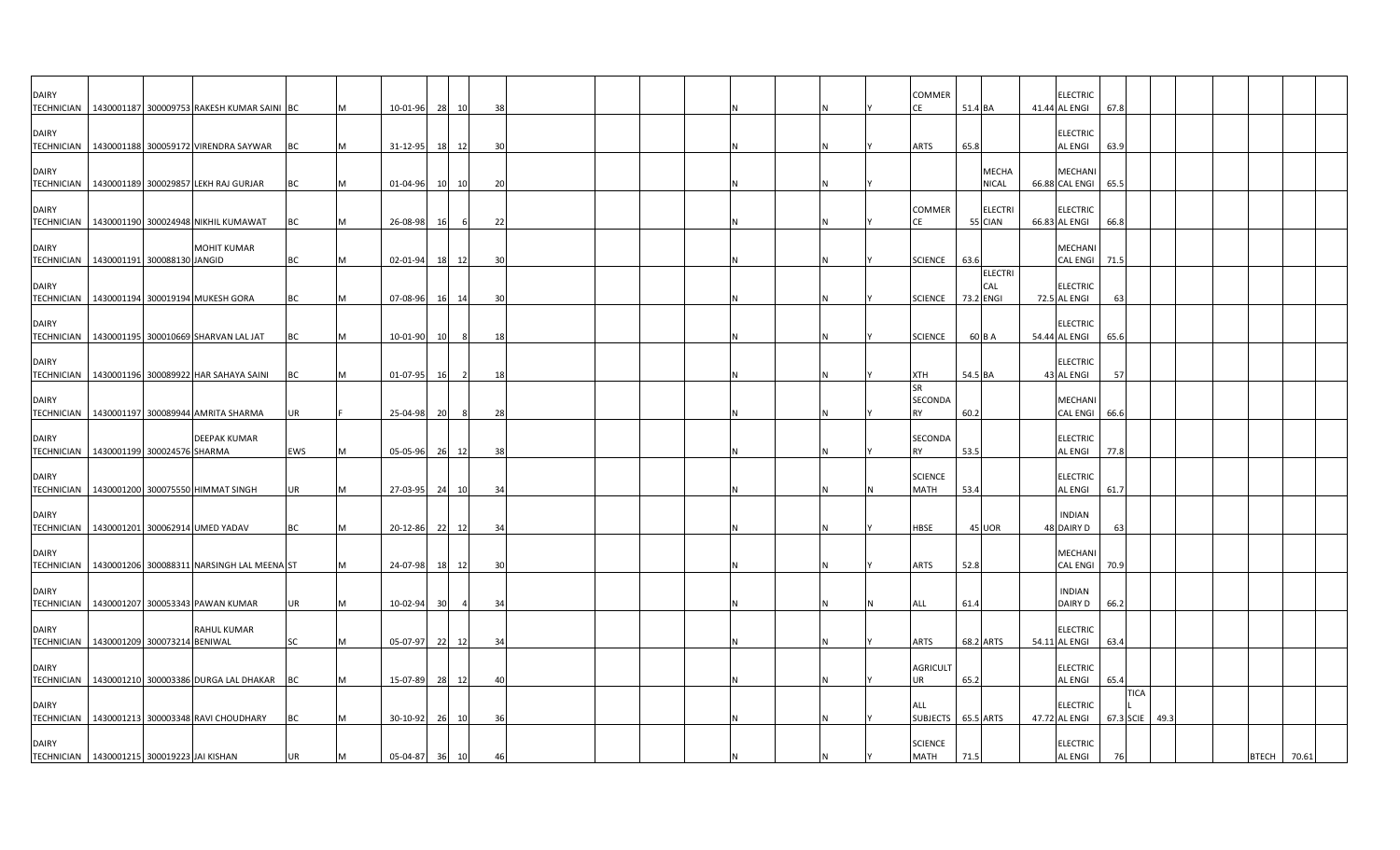| <b>DAIRY</b>                      | TECHNICIAN   1430001187 300009753 RAKESH KUMAR SAINI BC         |           |   | 10-01-96 28 10 |    |                | 38             |  |  |  |  | COMMER<br>CE                      | 51.4 BA                            | <b>ELECTRIC</b><br>41.44 AL ENGI  | 67.8      |             |      |  |              |       |
|-----------------------------------|-----------------------------------------------------------------|-----------|---|----------------|----|----------------|----------------|--|--|--|--|-----------------------------------|------------------------------------|-----------------------------------|-----------|-------------|------|--|--------------|-------|
| <b>DAIRY</b>                      |                                                                 |           |   |                |    |                |                |  |  |  |  |                                   |                                    | <b>ELECTRIC</b>                   |           |             |      |  |              |       |
| <b>DAIRY</b>                      | TECHNICIAN 1430001188 300059172 VIRENDRA SAYWAR                 | <b>BC</b> |   | 31-12-95       | 18 | 12             | 30             |  |  |  |  | <b>ARTS</b>                       | 65.8<br><b>MECHA</b>               | <b>AL ENGI</b><br><b>MECHANI</b>  | 63.9      |             |      |  |              |       |
| <b>DAIRY</b>                      | TECHNICIAN   1430001189 300029857 LEKH RAJ GURJAR               | BC        |   | 01-04-96       | 10 | 10             | 20             |  |  |  |  | COMMER                            | NICAL<br><b>ELECTRI</b>            | 66.88 CAL ENGI<br><b>ELECTRIC</b> | 65.5      |             |      |  |              |       |
|                                   | TECHNICIAN 1430001190 300024948 NIKHIL KUMAWAT                  | BC        |   | 26-08-98       | 16 |                | 22             |  |  |  |  | СE                                | 55 CIAN                            | 66.83 AL ENGI                     | 66.8      |             |      |  |              |       |
| <b>DAIRY</b>                      | MOHIT KUMAR<br>TECHNICIAN   1430001191 300088130 JANGID         | BC        | M | 02-01-94       | 18 | 12             | 3 <sup>0</sup> |  |  |  |  | <b>SCIENCE</b>                    | 63.6                               | <b>MECHANI</b><br><b>CAL ENGI</b> | 71.5      |             |      |  |              |       |
| <b>DAIRY</b><br><b>TECHNICIAN</b> | 1430001194 300019194 MUKESH GORA                                | BC        |   | 07-08-96 16 14 |    |                | 30             |  |  |  |  | <b>SCIENCE</b>                    | <b>ELECTRI</b><br>CAL<br>73.2 ENGI | <b>ELECTRIC</b><br>72.5 AL ENGI   | 63        |             |      |  |              |       |
| <b>DAIRY</b>                      | TECHNICIAN   1430001195 300010669 SHARVAN LAL JAT               | BC        |   | 10-01-90       | 10 | 8              | 18             |  |  |  |  | <b>SCIENCE</b>                    | 60 B A                             | <b>ELECTRIC</b><br>54.44 AL ENGI  | 65.6      |             |      |  |              |       |
| <b>DAIRY</b>                      | TECHNICIAN   1430001196 300089922 HAR SAHAYA SAINI              | BC        |   | 01-07-95       | 16 | $\overline{2}$ | 18             |  |  |  |  | XTH                               | 54.5 BA                            | <b>ELECTRIC</b><br>43 AL ENGI     | 57        |             |      |  |              |       |
| <b>DAIRY</b>                      | TECHNICIAN   1430001197 300089944 AMRITA SHARMA                 | UR        |   | 25-04-98       | 20 | -8             | 28             |  |  |  |  | <b>SR</b><br>SECONDA<br><b>RY</b> | 60.2                               | <b>MECHAN</b><br><b>CAL ENGI</b>  | 66.6      |             |      |  |              |       |
| <b>DAIRY</b>                      | <b>DEEPAK KUMAR</b><br>TECHNICIAN   1430001199 300024576 SHARMA | EWS       |   | 05-05-96       |    | 26 12          | 38             |  |  |  |  | SECONDA<br><b>RY</b>              | 53.5                               | <b>ELECTRIC</b><br><b>AL ENGI</b> | 77.8      |             |      |  |              |       |
| <b>DAIRY</b>                      | TECHNICIAN   1430001200 300075550 HIMMAT SINGH                  | UR        |   | 27-03-95 24    |    | 10             | 3 <sup>i</sup> |  |  |  |  | <b>SCIENCE</b><br><b>MATH</b>     | 53.4                               | <b>ELECTRIC</b><br><b>AL ENGI</b> | 61.7      |             |      |  |              |       |
| <b>DAIRY</b>                      |                                                                 |           |   |                |    |                |                |  |  |  |  |                                   |                                    | <b>INDIAN</b>                     |           |             |      |  |              |       |
| <b>TECHNICIAN</b><br><b>DAIRY</b> | 1430001201 300062914 UMED YADAV                                 | BC        | M | 20-12-86       | 22 | 12             | 34             |  |  |  |  | HBSE                              | 45 UOR                             | 48 DAIRY D<br>MECHANI             | 63        |             |      |  |              |       |
| <b>TECHNICIAN</b><br><b>DAIRY</b> | 1430001206 300088311 NARSINGH LAL MEENA ST                      |           |   | 24-07-98       |    | 18 12          | 30             |  |  |  |  | <b>ARTS</b>                       | 52.8                               | <b>CAL ENGI</b><br><b>INDIAN</b>  | 70.9      |             |      |  |              |       |
|                                   | TECHNICIAN   1430001207 300053343 PAWAN KUMAR                   | UR        |   | 10-02-94       | 30 | $\overline{4}$ | 34             |  |  |  |  | <b>ALL</b>                        | 61.4                               | DAIRY D                           | 66.2      |             |      |  |              |       |
| <b>DAIRY</b>                      | <b>RAHUL KUMAR</b><br>TECHNICIAN 1430001209 300073214 BENIWAL   | <b>SC</b> |   | 05-07-97       | 22 | 12             | -34            |  |  |  |  | <b>ARTS</b>                       | 68.2 ARTS                          | <b>ELECTRIC</b><br>54.11 AL ENGI  | 63.4      |             |      |  |              |       |
| <b>DAIRY</b>                      | TECHNICIAN 1430001210 300003386 DURGA LAL DHAKAR                | <b>BC</b> |   | 15-07-89       | 28 | 12             | 4(             |  |  |  |  | <b>AGRICULT</b><br>UR             | 65.2                               | <b>ELECTRIC</b><br><b>AL ENGI</b> | 65.4      |             |      |  |              |       |
| <b>DAIRY</b>                      | TECHNICIAN   1430001213 300003348 RAVI CHOUDHARY                | BC        |   | 30-10-92       |    | 26 10          | 36             |  |  |  |  | ALL<br>SUBJECTS 65.5 ARTS         |                                    | <b>ELECTRIC</b><br>47.72 AL ENGI  | 67.3 SCIE | <b>TICA</b> | 49.3 |  |              |       |
| <b>DAIRY</b>                      | TECHNICIAN 1430001215 300019223 JAI KISHAN                      | UR        |   | 05-04-87 36 10 |    |                | 46             |  |  |  |  | <b>SCIENCE</b><br><b>MATH</b>     | 71.5                               | <b>ELECTRIC</b><br><b>AL ENGI</b> | 76        |             |      |  | <b>BTECH</b> | 70.61 |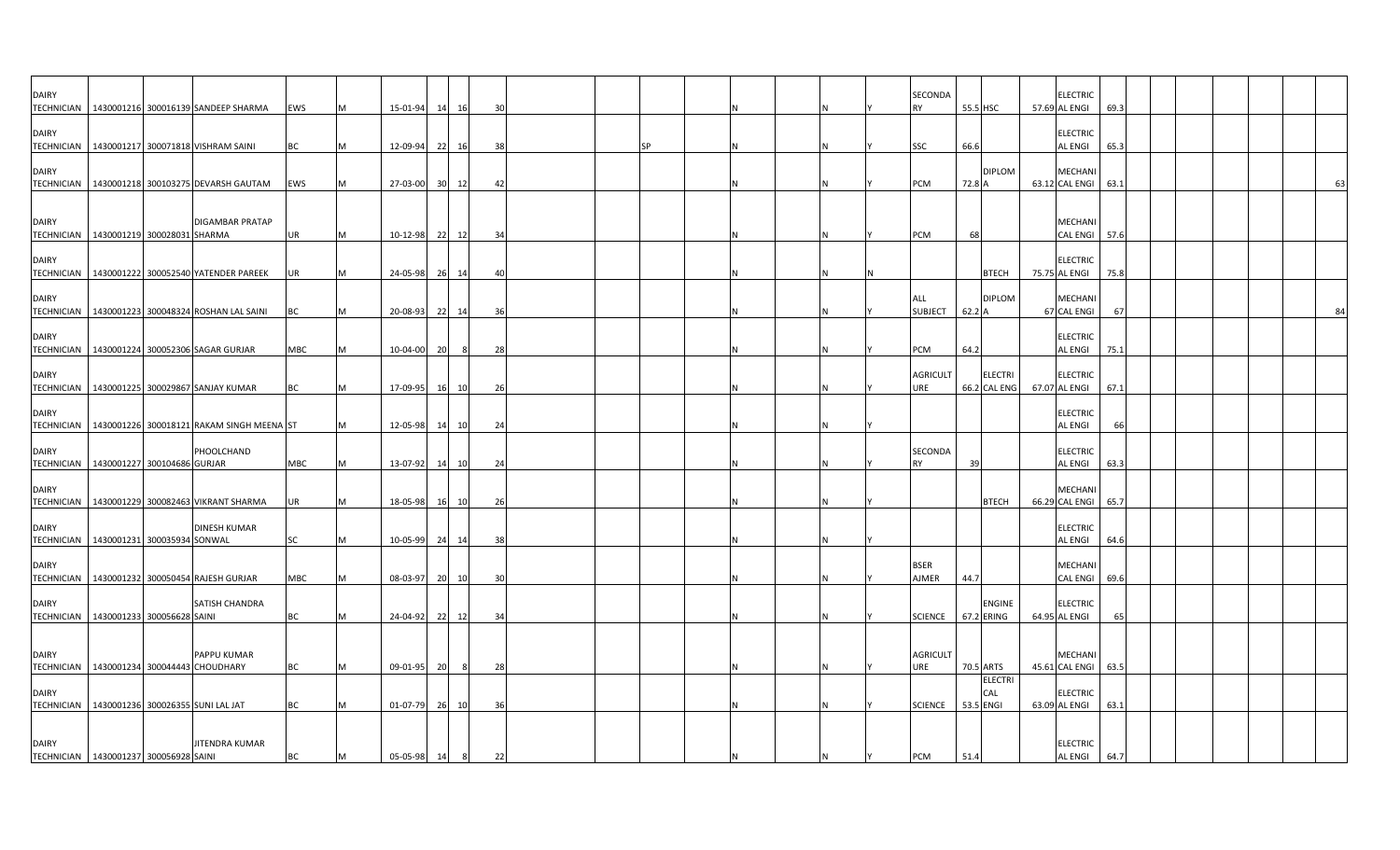| <b>DAIRY</b>                                                   |  | TECHNICIAN   1430001216 300016139 SANDEEP SHARMA                                                      | EWS        |   | 15-01-94             | 14       | 16       | 30       |  |  |  |  | SECONDA<br><b>RY</b>   | 55.5 HSC  |                                | <b>ELECTRIC</b><br>57.69 AL ENGI       | 69.3       |  |  |    |
|----------------------------------------------------------------|--|-------------------------------------------------------------------------------------------------------|------------|---|----------------------|----------|----------|----------|--|--|--|--|------------------------|-----------|--------------------------------|----------------------------------------|------------|--|--|----|
| <b>DAIRY</b>                                                   |  | TECHNICIAN   1430001217 300071818 VISHRAM SAINI                                                       | BC         |   | 12-09-94             | 22       | 16       | 38       |  |  |  |  | SSC                    | 66.6      |                                | <b>ELECTRIC</b><br>AL ENGI             | 65.3       |  |  |    |
| <b>DAIRY</b>                                                   |  | TECHNICIAN   1430001218 300103275 DEVARSH GAUTAM                                                      | EWS        |   | 27-03-00 30 12       |          |          | 42       |  |  |  |  | PCM                    | 72.8 A    | <b>DIPLOM</b>                  | MECHANI<br>63.12 CAL ENGI              | 63.1       |  |  | 63 |
| <b>DAIRY</b>                                                   |  | <b>DIGAMBAR PRATAP</b>                                                                                |            |   |                      |          |          |          |  |  |  |  |                        |           |                                | MECHANI                                |            |  |  |    |
| TECHNICIAN 1430001219 300028031 SHARMA<br><b>DAIRY</b>         |  |                                                                                                       | <b>UR</b>  |   | 10-12-98             | 22       | 12       | 34       |  |  |  |  | PCM                    | 68        |                                | <b>CAL ENGI</b><br><b>ELECTRIC</b>     | 57.6       |  |  |    |
| <b>DAIRY</b>                                                   |  | TECHNICIAN   1430001222 300052540 YATENDER PAREEK<br>TECHNICIAN 1430001223 300048324 ROSHAN LAL SAINI | UR<br>BC   |   | 24-05-98<br>20-08-93 | 26<br>22 | 14<br>14 | 40<br>36 |  |  |  |  | ALL<br><b>SUBJECT</b>  | 62.2 A    | <b>BTECH</b><br><b>DIPLOM</b>  | 75.75 AL ENGI<br>MECHAN<br>67 CAL ENGI | 75.8<br>67 |  |  | 84 |
| <b>DAIRY</b>                                                   |  | TECHNICIAN   1430001224 300052306 SAGAR GURJAR                                                        | <b>MBC</b> |   | 10-04-00             | 20       | -8       | 28       |  |  |  |  | PCM                    | 64.2      |                                | <b>ELECTRIC</b><br>AL ENGI             | 75.1       |  |  |    |
| <b>DAIRY</b>                                                   |  | TECHNICIAN   1430001225 300029867 SANJAY KUMAR                                                        | BC         |   | 17-09-95             | 16       | 10       | 26       |  |  |  |  | <b>AGRICULT</b><br>URE |           | <b>ELECTRI</b><br>66.2 CAL ENG | <b>ELECTRIC</b><br>67.07 AL ENGI       | 67.1       |  |  |    |
| <b>DAIRY</b><br><b>TECHNICIAN</b>                              |  | 1430001226 300018121 RAKAM SINGH MEENA ST                                                             |            |   | 12-05-98             | 14       | 10       | 24       |  |  |  |  |                        |           |                                | <b>ELECTRIC</b><br>AL ENGI             | 66         |  |  |    |
| <b>DAIRY</b><br>TECHNICIAN   1430001227 300104686 GURJAR       |  | PHOOLCHAND                                                                                            | MBC        |   | 13-07-92             | 14       | 10       | 24       |  |  |  |  | SECONDA<br><b>RY</b>   | 39        |                                | <b>ELECTRIC</b><br>AL ENGI             | 63.3       |  |  |    |
| <b>DAIRY</b>                                                   |  | TECHNICIAN   1430001229 300082463 VIKRANT SHARMA                                                      | UR         |   | 18-05-98             | 16       | 10       | 26       |  |  |  |  |                        |           | <b>BTECH</b>                   | <b>MECHAN</b><br>66.29 CAL ENGI        | 65.7       |  |  |    |
| <b>DAIRY</b><br>TECHNICIAN   1430001231 300035934 SONWAL       |  | <b>DINESH KUMAR</b>                                                                                   | SC         | м | 10-05-99 24          |          | 14       | 38       |  |  |  |  |                        |           |                                | <b>ELECTRIC</b><br>AL ENGI             | 64.6       |  |  |    |
| <b>DAIRY</b>                                                   |  | TECHNICIAN   1430001232 300050454 RAJESH GURJAR                                                       | <b>MBC</b> |   | 08-03-97             | 20       | 10       | 30       |  |  |  |  | <b>BSER</b><br>AJMER   | 44.7      |                                | <b>MECHAN</b><br><b>CAL ENGI</b>       | 69.6       |  |  |    |
| <b>DAIRY</b><br>TECHNICIAN   1430001233 300056628 SAINI        |  | SATISH CHANDRA                                                                                        | BC         |   | 24-04-92             | 22       | 12       | 34       |  |  |  |  | <b>SCIENCE</b>         |           | <b>ENGINE</b><br>67.2 ERING    | <b>ELECTRIC</b><br>64.95 AL ENGI       | 65         |  |  |    |
| <b>DAIRY</b><br>TECHNICIAN   1430001234 300044443 CHOUDHARY    |  | PAPPU KUMAR                                                                                           | BC         | M | 09-01-95             | 20       | 8        | 28       |  |  |  |  | <b>AGRICULT</b><br>URE |           | 70.5 ARTS                      | <b>MECHAN</b><br>45.61 CAL ENGI        | 63.5       |  |  |    |
| <b>DAIRY</b><br>TECHNICIAN   1430001236 300026355 SUNI LAL JAT |  |                                                                                                       | ВC         |   | 01-07-79             | 26       | 10       | 36       |  |  |  |  | <b>SCIENCE</b>         | 53.5 ENGI | <b>ELECTRI</b><br>CAL          | <b>ELECTRIC</b><br>63.09 AL ENGI       | 63.1       |  |  |    |
| <b>DAIRY</b>                                                   |  | <b>JITENDRA KUMAR</b>                                                                                 |            |   |                      |          |          |          |  |  |  |  |                        |           |                                | <b>ELECTRIC</b>                        |            |  |  |    |
| TECHNICIAN   1430001237 300056928 SAINI                        |  |                                                                                                       | ВC         |   | 05-05-98             | 14       | 8        | 22       |  |  |  |  | PCM                    | 51.4      |                                | AL ENGI                                | 64.7       |  |  |    |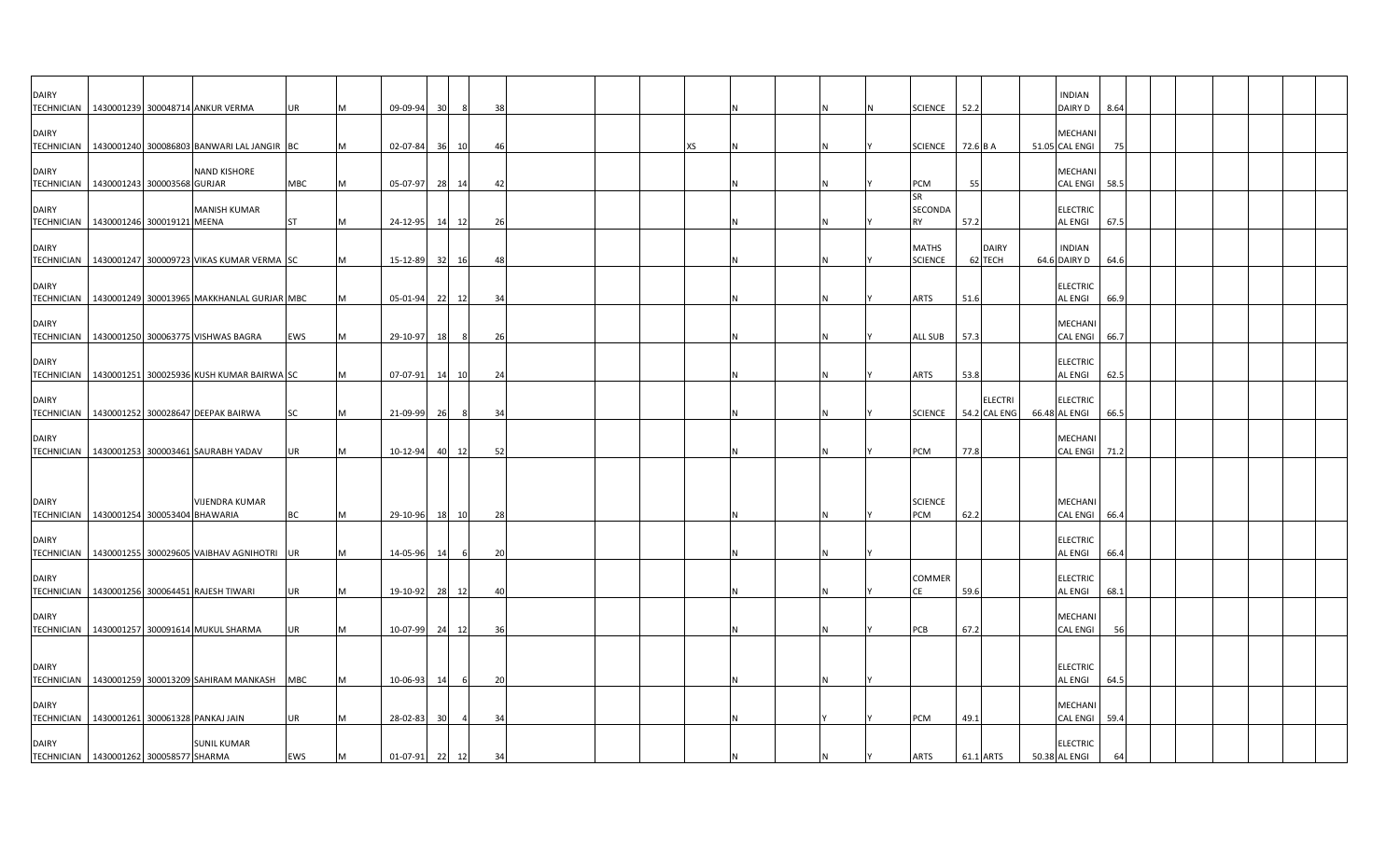| <b>DAIRY</b>                      | TECHNICIAN   1430001239 300048714 ANKUR VERMA                     | UR         |   | 09-09-94       | 30 <sup>1</sup> | - 8 | 38             |  |  |  |  | <b>SCIENCE</b>                 | 52.2                           | <b>INDIAN</b><br>DAIRY D           | 8.64 |  |  |  |
|-----------------------------------|-------------------------------------------------------------------|------------|---|----------------|-----------------|-----|----------------|--|--|--|--|--------------------------------|--------------------------------|------------------------------------|------|--|--|--|
| <b>DAIRY</b>                      | TECHNICIAN   1430001240 300086803 BANWARI LAL JANGIR BC           |            |   | $02 - 07 - 84$ | 36              | 10  | 46             |  |  |  |  | <b>SCIENCE</b>                 | 72.6 B A                       | <b>MECHAN</b><br>51.05 CAL ENGI    | 75   |  |  |  |
| <b>DAIRY</b>                      | <b>NAND KISHORE</b><br>TECHNICIAN   1430001243 300003568 GURJAR   | <b>MBC</b> |   | 05-07-97       | 28 14           |     | 42             |  |  |  |  | PCM                            | 55                             | <b>MECHANI</b><br><b>CAL ENGI</b>  | 58.5 |  |  |  |
| <b>DAIRY</b>                      | <b>MANISH KUMAR</b><br>TECHNICIAN 1430001246 300019121 MEENA      | <b>ST</b>  |   | 24-12-95 14 12 |                 |     | -26            |  |  |  |  | SR<br>SECONDA<br>RY            | 57.2                           | <b>ELECTRIC</b><br><b>AL ENGI</b>  | 67.5 |  |  |  |
| <b>DAIRY</b>                      | TECHNICIAN   1430001247 300009723 VIKAS KUMAR VERMA SC            |            |   | 15-12-89       | 32              | 16  | 48             |  |  |  |  | <b>MATHS</b><br><b>SCIENCE</b> | <b>DAIRY</b><br>62 TECH        | <b>INDIAN</b><br>64.6 DAIRY D      | 64.6 |  |  |  |
| <b>DAIRY</b><br><b>TECHNICIAN</b> | 1430001249 300013965 MAKKHANLAL GURJAR MBC                        |            |   | 05-01-94 22 12 |                 |     | 34             |  |  |  |  | <b>ARTS</b>                    | 51.6                           | <b>ELECTRIC</b><br><b>AL ENGI</b>  | 66.9 |  |  |  |
| <b>DAIRY</b>                      | TECHNICIAN 1430001250 300063775 VISHWAS BAGRA                     | EWS        | м | 29-10-97       | 18              | 8   | 26             |  |  |  |  | <b>ALL SUB</b>                 | 57.3                           | <b>MECHAN</b><br>CAL ENGI 66.7     |      |  |  |  |
| <b>DAIRY</b>                      | TECHNICIAN   1430001251 300025936 KUSH KUMAR BAIRWA SC            |            |   | 07-07-91       | 14              | 10  | 24             |  |  |  |  | <b>ARTS</b>                    | 53.8                           | <b>ELECTRIC</b><br><b>AL ENGI</b>  | 62.5 |  |  |  |
| <b>DAIRY</b>                      | TECHNICIAN   1430001252 300028647 DEEPAK BAIRWA                   | <b>SC</b>  |   | 21-09-99       | 26              | - 8 | 34             |  |  |  |  | <b>SCIENCE</b>                 | <b>ELECTRI</b><br>54.2 CAL ENG | <b>ELECTRIC</b><br>66.48 AL ENGI   | 66.5 |  |  |  |
| <b>DAIRY</b>                      | TECHNICIAN   1430001253 300003461 SAURABH YADAV                   | UR         |   | 10-12-94       | 40 12           |     | 52             |  |  |  |  | PCM                            | 77.8                           | <b>MECHANI</b><br><b>CAL ENGI</b>  | 71.2 |  |  |  |
|                                   |                                                                   |            |   |                |                 |     |                |  |  |  |  |                                |                                |                                    |      |  |  |  |
| <b>DAIRY</b>                      | <b>VIJENDRA KUMAR</b><br>TECHNICIAN 1430001254 300053404 BHAWARIA | <b>BC</b>  |   | 29-10-96       | 18 10           |     | 28             |  |  |  |  | <b>SCIENCE</b><br>PCM          | 62.2                           | MECHANI<br><b>CAL ENGI</b>         | 66.4 |  |  |  |
| <b>DAIRY</b>                      | TECHNICIAN   1430001255 300029605 VAIBHAV AGNIHOTRI UR            |            |   | 14-05-96       | 14              | 6   | 20             |  |  |  |  |                                |                                | <b>ELECTRIC</b><br><b>AL ENGI</b>  | 66.4 |  |  |  |
| <b>DAIRY</b>                      | TECHNICIAN   1430001256 300064451 RAJESH TIWARI                   | UR         |   | 19-10-92 28 12 |                 |     | $\overline{4}$ |  |  |  |  | COMMER<br>CE                   | 59.6                           | <b>ELECTRIC</b><br><b>AL ENGI</b>  | 68.1 |  |  |  |
| <b>DAIRY</b>                      | TECHNICIAN 1430001257 300091614 MUKUL SHARMA                      | UR         |   | 10-07-99 24 12 |                 |     | 36             |  |  |  |  | PCB                            | 67.2                           | <b>MECHANI</b><br><b>CAL ENGI</b>  | 56   |  |  |  |
| <b>DAIRY</b>                      |                                                                   |            |   |                |                 |     |                |  |  |  |  |                                |                                | <b>ELECTRIC</b>                    |      |  |  |  |
| <b>DAIRY</b>                      | TECHNICIAN 1430001259 300013209 SAHIRAM MANKASH                   | <b>MBC</b> |   | 10-06-93       | 14              |     | 20             |  |  |  |  |                                |                                | <b>AL ENGI</b><br><b>MECHANI</b>   | 64.5 |  |  |  |
| <b>DAIRY</b>                      | TECHNICIAN 1430001261 300061328 PANKAJ JAIN<br><b>SUNIL KUMAR</b> | UR         |   | 28-02-83       | 30              |     | 34             |  |  |  |  | PCM                            | 49.1                           | <b>CAL ENGI</b><br><b>ELECTRIC</b> | 59.4 |  |  |  |
|                                   | TECHNICIAN   1430001262 300058577 SHARMA                          | EWS        |   | 01-07-91 22 12 |                 |     | 34             |  |  |  |  | <b>ARTS</b>                    | 61.1 ARTS                      | 50.38 AL ENGI                      |      |  |  |  |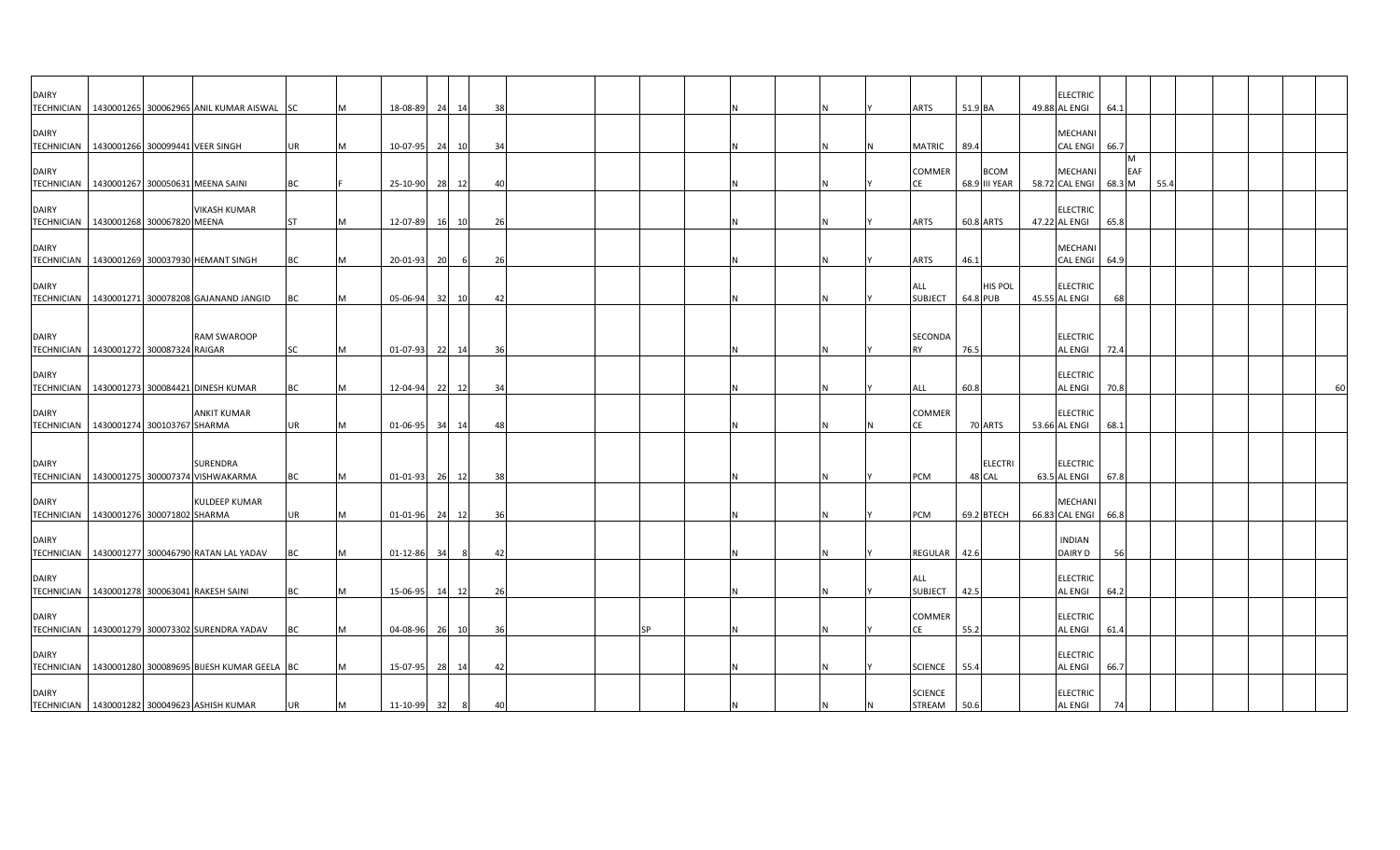| <b>DAIRY</b>                                                 |  | TECHNICIAN   1430001265 300062965 ANIL KUMAR AISWAL SC  |           | M        | 18-08-89 24      |    | 14  | 38  |  |    |          |  |  | ARTS                            | 51.9 BA                      | <b>ELECTRIC</b><br>49.88 AL ENGI  | 64.1               |      |  |    |
|--------------------------------------------------------------|--|---------------------------------------------------------|-----------|----------|------------------|----|-----|-----|--|----|----------|--|--|---------------------------------|------------------------------|-----------------------------------|--------------------|------|--|----|
| <b>DAIRY</b><br>TECHNICIAN   1430001266 300099441 VEER SINGH |  |                                                         | UR        | M        | 10-07-95 24 10   |    |     | 34  |  |    |          |  |  | MATRIC                          | 89.4                         | MECHANI<br><b>CAL ENGI</b>        | 66.7               |      |  |    |
| <b>DAIRY</b>                                                 |  | TECHNICIAN   1430001267 300050631 MEENA SAINI           | ВC        |          | 25-10-90 28      |    | 12  | 4(  |  |    |          |  |  | COMMER<br>CE                    | <b>BCOM</b><br>68.9 III YEAR | MECHANI<br>58.72 CAL ENGI         | M<br>EAF<br>68.3 M | 55.4 |  |    |
| <b>DAIRY</b><br>TECHNICIAN 1430001268 300067820 MEENA        |  | <b>VIKASH KUMAR</b>                                     | <b>ST</b> | M        | 12-07-89 16 10   |    |     | 26  |  |    |          |  |  | ARTS                            | 60.8 ARTS                    | <b>ELECTRIC</b><br>47.22 AL ENGI  | 65.8               |      |  |    |
| <b>DAIRY</b>                                                 |  | TECHNICIAN   1430001269 300037930 HEMANT SINGH          | <b>BC</b> | M        | 20-01-93         | 20 | - 6 | -26 |  |    |          |  |  | ARTS                            | 46.1                         | <b>MECHANI</b><br><b>CAL ENGI</b> | 64.9               |      |  |    |
| <b>DAIRY</b>                                                 |  | TECHNICIAN 1430001271 300078208 GAJANAND JANGID         | ВC        | M        | 05-06-94 32 10   |    |     | 42  |  |    |          |  |  | ALL<br><b>SUBJECT</b>           | HIS POL<br>64.8 PUB          | <b>ELECTRIC</b><br>45.55 AL ENGI  |                    |      |  |    |
| <b>DAIRY</b><br>TECHNICIAN   1430001272 300087324 RAIGAR     |  | <b>RAM SWAROOP</b>                                      | <b>SC</b> | M        | 01-07-93 22 14   |    |     | 36  |  |    |          |  |  | SECONDA<br>RY                   | 76.5                         | <b>ELECTRIC</b><br><b>AL ENGI</b> | 72.4               |      |  |    |
| <b>DAIRY</b>                                                 |  | TECHNICIAN   1430001273 300084421 DINESH KUMAR          | <b>BC</b> | M        | 12-04-94 22 12   |    |     | -34 |  |    |          |  |  | ALL                             | 60.8                         | <b>ELECTRIC</b><br><b>AL ENGI</b> | 70.8               |      |  | 60 |
| DAIRY<br>TECHNICIAN   1430001274 300103767 SHARMA            |  | <b>ANKIT KUMAR</b>                                      | <b>UR</b> | M        | 01-06-95 34      |    | 14  |     |  |    |          |  |  | COMMER<br>CE                    | 70 ARTS                      | <b>ELECTRIC</b><br>53.66 AL ENGI  | 68.1               |      |  |    |
| <b>DAIRY</b>                                                 |  | SURENDRA<br>TECHNICIAN 1430001275 300007374 VISHWAKARMA | ВC        | <b>M</b> | $01-01-93$ 26 12 |    |     | 38  |  |    |          |  |  | <b>PCM</b>                      | <b>ELECTRI</b><br>48 CAL     | <b>ELECTRIC</b><br>63.5 AL ENGI   | 67.8               |      |  |    |
| <b>DAIRY</b><br>TECHNICIAN   1430001276 300071802 SHARMA     |  | <b>KULDEEP KUMAR</b>                                    | <b>UR</b> | M        | 01-01-96 24      |    | 12  | 36  |  |    |          |  |  | PCM                             | 69.2 BTECH                   | <b>MECHAN</b><br>66.83 CAL ENGI   | 66.8               |      |  |    |
| <b>DAIRY</b>                                                 |  | TECHNICIAN 1430001277 300046790 RATAN LAL YADAV         | ВC        | M        | 01-12-86 34      |    | - 8 | 42  |  |    |          |  |  | REGULAR                         | 42.6                         | <b>INDIAN</b><br><b>DAIRY D</b>   | 56                 |      |  |    |
| <b>DAIRY</b>                                                 |  | TECHNICIAN 1430001278 300063041 RAKESH SAINI            | <b>BC</b> | M        | 15-06-95         | 14 | 12  | -26 |  |    |          |  |  | ALL<br><b>SUBJECT</b>           | 42.5                         | <b>ELECTRIC</b><br><b>AL ENGI</b> | 64.2               |      |  |    |
| <b>DAIRY</b><br><b>TECHNICIAN</b>                            |  | 1430001279 300073302 SURENDRA YADAV                     | BС        | M        | 04-08-96 26 10   |    |     | 36  |  | SP | <b>N</b> |  |  | COMMER<br>CE                    | 55.2                         | <b>ELECTRIC</b><br>AL ENGI        | 61.4               |      |  |    |
| <b>DAIRY</b>                                                 |  | TECHNICIAN   1430001280 300089695 BIJESH KUMAR GEELA BC |           | M        | 15-07-95 28      |    | 14  | 42  |  |    |          |  |  | <b>SCIENCE</b>                  | 55.4                         | <b>ELECTRIC</b><br><b>AL ENGI</b> | 66.7               |      |  |    |
| <b>DAIRY</b>                                                 |  | TECHNICIAN 1430001282 300049623 ASHISH KUMAR            | <b>UR</b> | M        | 11-10-99 32      |    | 8   | 40  |  |    | IN.      |  |  | <b>SCIENCE</b><br><b>STREAM</b> | 50.6                         | <b>ELECTRIC</b><br><b>AL ENGI</b> | 74                 |      |  |    |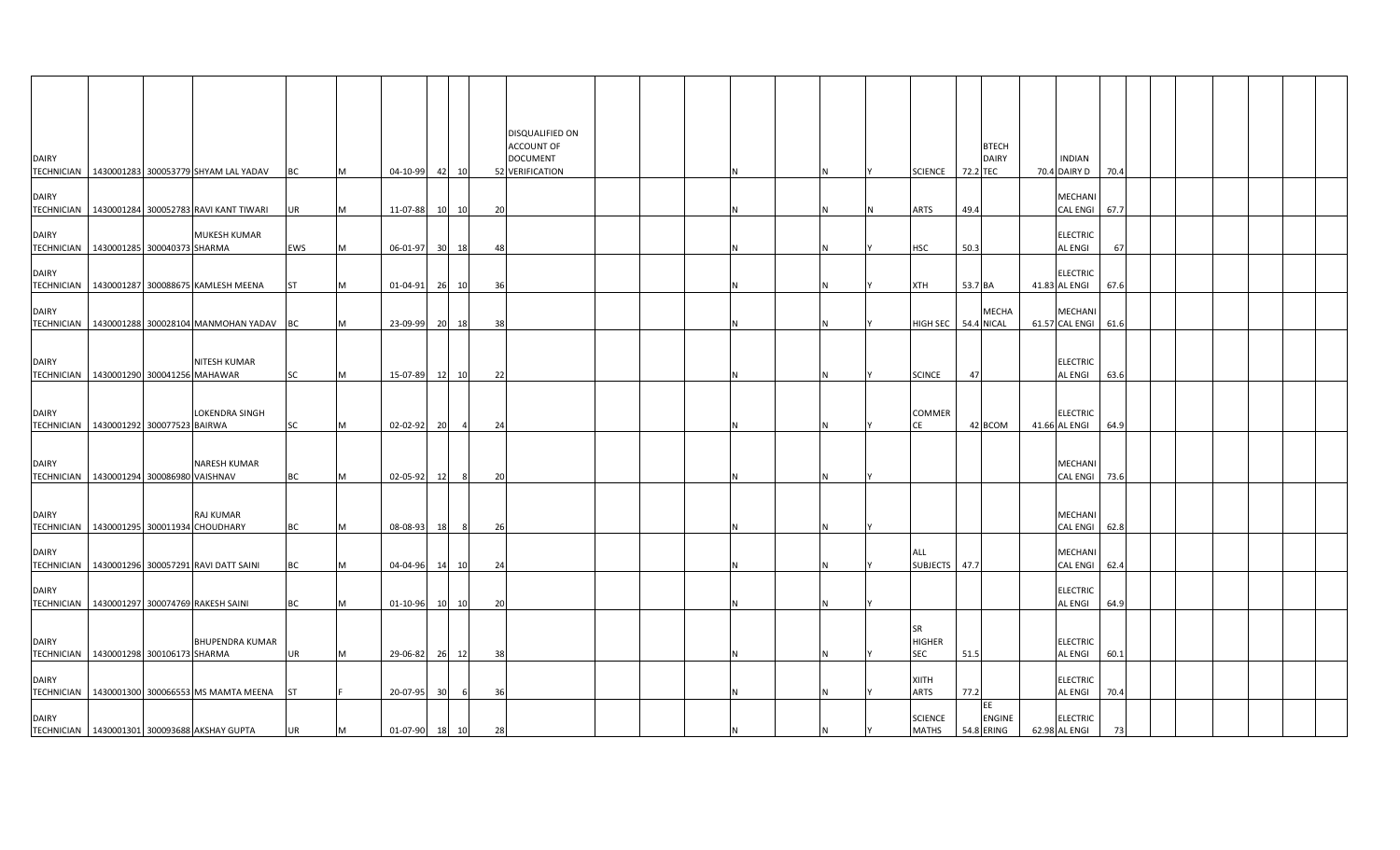| <b>DAIRY</b>                                                |  |                                                    |           |   |                |                 |       |     | DISQUALIFIED ON<br>ACCOUNT OF<br><b>DOCUMENT</b> |  |   |  |                                   |          | <b>BTECH</b><br><b>DAIRY</b>      | <b>INDIAN</b>                    |      |  |  |  |
|-------------------------------------------------------------|--|----------------------------------------------------|-----------|---|----------------|-----------------|-------|-----|--------------------------------------------------|--|---|--|-----------------------------------|----------|-----------------------------------|----------------------------------|------|--|--|--|
|                                                             |  | TECHNICIAN   1430001283 300053779 SHYAM LAL YADAV  | ВC        | M | 04-10-99 42 10 |                 |       |     | 52 VERIFICATION                                  |  |   |  | <b>SCIENCE</b>                    | 72.2 TEC |                                   | 70.4 DAIRY D                     | 70.4 |  |  |  |
| <b>DAIRY</b>                                                |  | TECHNICIAN   1430001284 300052783 RAVI KANT TIWARI | UR        | M | 11-07-88       |                 | 10 10 | 20  |                                                  |  |   |  | ARTS                              | 49.4     |                                   | MECHANI<br><b>CAL ENGI</b>       | 67.7 |  |  |  |
| <b>DAIRY</b><br>TECHNICIAN 1430001285 300040373 SHARMA      |  | MUKESH KUMAR                                       | EWS       | M | 06-01-97 30 18 |                 |       | 48  |                                                  |  | N |  | <b>HSC</b>                        | 50.3     |                                   | <b>ELECTRIC</b><br>AL ENGI       | 67   |  |  |  |
| <b>DAIRY</b>                                                |  | TECHNICIAN 1430001287 300088675 KAMLESH MEENA      | <b>ST</b> | M | 01-04-91       |                 | 26 10 | 36  |                                                  |  |   |  | <b>XTH</b>                        | 53.7 BA  |                                   | <b>ELECTRIC</b><br>41.83 AL ENGI | 67.6 |  |  |  |
| <b>DAIRY</b>                                                |  | TECHNICIAN   1430001288 300028104 MANMOHAN YADAV   | ВC        | M | 23-09-99 20 18 |                 |       | -38 |                                                  |  | N |  | HIGH SEC                          |          | MECHA<br><b>54.4 NICAL</b>        | MECHANI<br>61.57 CAL ENGI        | 61.6 |  |  |  |
| <b>DAIRY</b><br>TECHNICIAN 1430001290 300041256 MAHAWAR     |  | <b>NITESH KUMAR</b>                                | SC        | M | 15-07-89 12 10 |                 |       | 22  |                                                  |  |   |  | <b>SCINCE</b>                     | 47       |                                   | <b>ELECTRIC</b><br>AL ENGI       | 63.6 |  |  |  |
| <b>DAIRY</b><br>TECHNICIAN   1430001292 300077523 BAIRWA    |  | <b>LOKENDRA SINGH</b>                              | SC        | M | 02-02-92 20    |                 |       | 24  |                                                  |  |   |  | COMMER<br>CE                      |          | 42 BCOM                           | <b>ELECTRIC</b><br>41.66 AL ENGI | 64.9 |  |  |  |
| <b>DAIRY</b><br>TECHNICIAN 1430001294 300086980 VAISHNAV    |  | NARESH KUMAR                                       | ВC        | M | 02-05-92       | 12              | 8     | 20  |                                                  |  |   |  |                                   |          |                                   | MECHANI<br><b>CAL ENGI</b>       | 73.6 |  |  |  |
| <b>DAIRY</b><br>TECHNICIAN   1430001295 300011934 CHOUDHARY |  | <b>RAJ KUMAR</b>                                   | ВC        | M | 08-08-93       | 18              | -8    | -26 |                                                  |  | N |  |                                   |          |                                   | MECHANI<br>CAL ENGI              | 62.8 |  |  |  |
| <b>DAIRY</b>                                                |  | TECHNICIAN   1430001296 300057291 RAVI DATT SAINI  | BС        | M | 04-04-96       |                 | 14 10 | 24  |                                                  |  |   |  | ALL<br>SUBJECTS 47.7              |          |                                   | MECHANI<br><b>CAL ENGI</b>       | 62.4 |  |  |  |
| <b>DAIRY</b>                                                |  | TECHNICIAN 1430001297 300074769 RAKESH SAINI       | ВC        | M | 01-10-96       |                 | 10 10 | 20  |                                                  |  |   |  |                                   |          |                                   | <b>ELECTRIC</b><br>AL ENGI       | 64.9 |  |  |  |
| <b>DAIRY</b><br>TECHNICIAN   1430001298 300106173 SHARMA    |  | <b>BHUPENDRA KUMAR</b>                             | UR        | M | 29-06-82       |                 | 26 12 | 38  |                                                  |  |   |  | SR<br><b>HIGHER</b><br><b>SEC</b> | 51.5     |                                   | <b>ELECTRIC</b><br>AL ENGI       | 60.1 |  |  |  |
| <b>DAIRY</b>                                                |  | TECHNICIAN 1430001300 300066553 MS MAMTA MEENA     | ST        |   | 20-07-95       | 30 <sup>1</sup> |       | 36  |                                                  |  |   |  | <b>XIITH</b><br>ARTS              | 77.2     |                                   | <b>ELECTRIC</b><br>AL ENGI       | 70.4 |  |  |  |
| <b>DAIRY</b>                                                |  | TECHNICIAN 1430001301 300093688 AKSHAY GUPTA       | UR        | M | 01-07-90       | 18              | 10    | 28  |                                                  |  |   |  | <b>SCIENCE</b><br><b>MATHS</b>    |          | EE<br><b>ENGINE</b><br>54.8 ERING | <b>ELECTRIC</b><br>62.98 AL ENGI |      |  |  |  |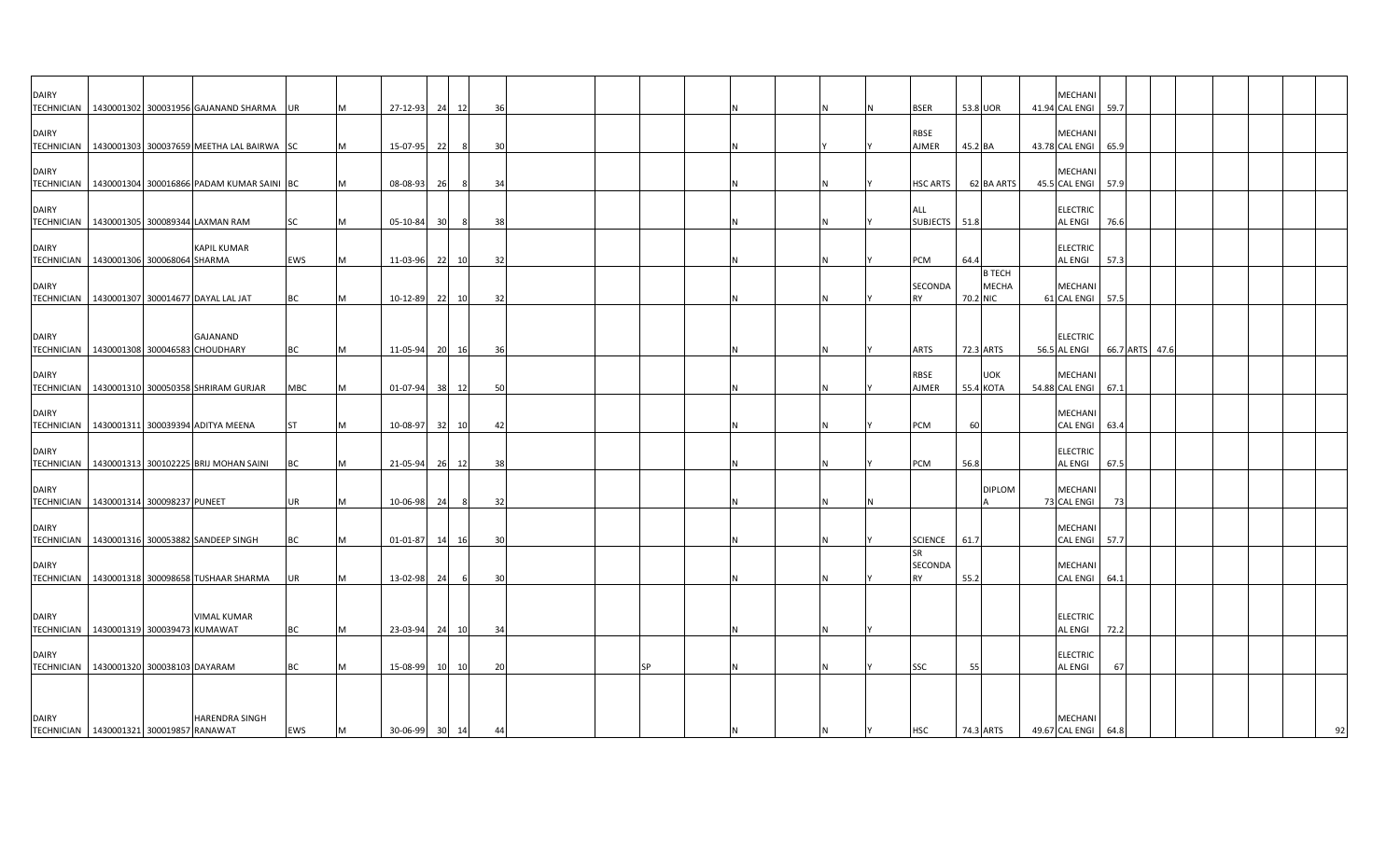| <b>DAIRY</b>                              |  |                                                        |           |           |          |    |       |    |    |   |  |                      |                  |               | <b>MECHAN</b>                         |      |                |  |  |  |
|-------------------------------------------|--|--------------------------------------------------------|-----------|-----------|----------|----|-------|----|----|---|--|----------------------|------------------|---------------|---------------------------------------|------|----------------|--|--|--|
|                                           |  | TECHNICIAN   1430001302 300031956 GAJANAND SHARMA      | UR        | IM.       | 27-12-93 | 24 | 12    | 36 |    |   |  | <b>BSER</b>          | 53.8 UOR         |               | 41.94 CAL ENGI                        | 59.7 |                |  |  |  |
| <b>DAIRY</b>                              |  |                                                        |           |           |          |    |       |    |    |   |  | RBSE                 |                  |               | <b>MECHANI</b>                        |      |                |  |  |  |
|                                           |  | TECHNICIAN   1430001303 300037659 MEETHA LAL BAIRWA SC |           | <b>IM</b> | 15-07-95 | 22 | - 8   | 30 |    | N |  | AJMER                | 45.2 BA          |               | 43.78 CAL ENGI                        | 65.9 |                |  |  |  |
| <b>DAIRY</b>                              |  | TECHNICIAN   1430001304 300016866 PADAM KUMAR SAINI BC |           | <b>M</b>  | 08-08-93 | 26 | 8     | 34 |    | N |  | <b>HSC ARTS</b>      |                  | 62 BA ARTS    | MECHANI<br>45.5 CAL ENGI 57.9         |      |                |  |  |  |
|                                           |  |                                                        |           |           |          |    |       |    |    |   |  |                      |                  |               |                                       |      |                |  |  |  |
| <b>DAIRY</b>                              |  |                                                        |           |           |          |    |       |    |    |   |  | <b>ALL</b>           |                  |               | <b>ELECTRIC</b>                       |      |                |  |  |  |
|                                           |  | TECHNICIAN   1430001305 300089344 LAXMAN RAM           | <b>SC</b> | M         | 05-10-84 | 30 | 8     | 38 |    |   |  | SUBJECTS 51.8        |                  |               | <b>AL ENGI</b>                        | 76.6 |                |  |  |  |
| <b>DAIRY</b>                              |  | <b>KAPIL KUMAR</b>                                     |           |           |          |    |       |    |    |   |  |                      |                  |               | <b>ELECTRIC</b>                       |      |                |  |  |  |
| TECHNICIAN   1430001306 300068064 SHARMA  |  |                                                        | EWS       | M         | 11-03-96 | 22 | 10    | 32 |    |   |  | PCM                  | 64.4             |               | <b>AL ENGI</b>                        | 57.3 |                |  |  |  |
|                                           |  |                                                        |           |           |          |    |       |    |    |   |  |                      |                  | <b>B TECH</b> |                                       |      |                |  |  |  |
| <b>DAIRY</b>                              |  |                                                        |           |           |          |    |       |    |    |   |  | SECONDA              |                  | <b>MECHA</b>  | <b>MECHANI</b>                        |      |                |  |  |  |
|                                           |  | TECHNICIAN   1430001307 300014677 DAYAL LAL JAT        | BC        | IM.       | 10-12-89 |    | 22 10 | 32 |    |   |  | <b>RY</b>            | 70.2 NIC         |               | 61 CAL ENGI 57.5                      |      |                |  |  |  |
|                                           |  |                                                        |           |           |          |    |       |    |    |   |  |                      |                  |               |                                       |      |                |  |  |  |
| <b>DAIRY</b>                              |  | GAJANAND                                               |           |           |          |    |       |    |    |   |  |                      |                  |               | <b>ELECTRIC</b>                       |      |                |  |  |  |
| TECHNICIAN 1430001308 300046583 CHOUDHARY |  |                                                        | <b>BC</b> | M         | 11-05-94 | 20 | - 16  | 36 |    |   |  | <b>ARTS</b>          |                  | 72.3 ARTS     | 56.5 AL ENGI                          |      | 66.7 ARTS 47.6 |  |  |  |
|                                           |  |                                                        |           |           |          |    |       |    |    |   |  |                      |                  |               |                                       |      |                |  |  |  |
| <b>DAIRY</b>                              |  | TECHNICIAN   1430001310 300050358 SHRIRAM GURJAR       | MBC       | <b>M</b>  | 01-07-94 |    | 38 12 | 50 |    | N |  | <b>RBSE</b><br>AJMER | <b>55.4 KOTA</b> | <b>UOK</b>    | <b>MECHANI</b><br>54.88 CAL ENGI 67.1 |      |                |  |  |  |
|                                           |  |                                                        |           |           |          |    |       |    |    |   |  |                      |                  |               |                                       |      |                |  |  |  |
| <b>DAIRY</b>                              |  |                                                        |           |           |          |    |       |    |    |   |  |                      |                  |               | <b>MECHANI</b>                        |      |                |  |  |  |
|                                           |  | TECHNICIAN   1430001311 300039394 ADITYA MEENA         | <b>ST</b> | M         | 10-08-97 | 32 | 10    | 42 |    |   |  | <b>PCM</b>           | 60               |               | <b>CAL ENGI</b>                       | 63.4 |                |  |  |  |
|                                           |  |                                                        |           |           |          |    |       |    |    |   |  |                      |                  |               | <b>ELECTRIC</b>                       |      |                |  |  |  |
| <b>DAIRY</b>                              |  | TECHNICIAN 1430001313 300102225 BRIJ MOHAN SAINI       | ВC        | M         | 21-05-94 |    | 26 12 | 38 |    |   |  | PCM                  | 56.8             |               | <b>AL ENGI</b>                        | 67.5 |                |  |  |  |
|                                           |  |                                                        |           |           |          |    |       |    |    |   |  |                      |                  |               |                                       |      |                |  |  |  |
| <b>DAIRY</b>                              |  |                                                        |           |           |          |    |       |    |    |   |  |                      |                  | <b>DIPLOM</b> | <b>MECHANI</b>                        |      |                |  |  |  |
| TECHNICIAN 1430001314 300098237 PUNEET    |  |                                                        | <b>UR</b> | IM.       | 10-06-98 | 24 | - 8   | 32 |    |   |  |                      |                  |               | 73 CAL ENGI                           | -73  |                |  |  |  |
| <b>DAIRY</b>                              |  |                                                        |           |           |          |    |       |    |    |   |  |                      |                  |               | <b>MECHANI</b>                        |      |                |  |  |  |
|                                           |  | TECHNICIAN   1430001316 300053882 SANDEEP SINGH        | <b>BC</b> | <b>M</b>  | 01-01-87 |    | 14 16 | 30 |    |   |  | <b>SCIENCE</b>       | 61.7             |               | <b>CAL ENGI</b>                       | 57.7 |                |  |  |  |
|                                           |  |                                                        |           |           |          |    |       |    |    |   |  | <b>SR</b>            |                  |               |                                       |      |                |  |  |  |
| <b>DAIRY</b>                              |  |                                                        |           |           |          |    |       |    |    |   |  | SECONDA              |                  |               | <b>MECHANI</b>                        |      |                |  |  |  |
|                                           |  | TECHNICIAN   1430001318 300098658 TUSHAAR SHARMA       | UR        | M         | 13-02-98 | 24 |       | 30 |    |   |  | <b>RY</b>            | 55.2             |               | <b>CAL ENGI</b>                       | 64.1 |                |  |  |  |
|                                           |  |                                                        |           |           |          |    |       |    |    |   |  |                      |                  |               |                                       |      |                |  |  |  |
| <b>DAIRY</b>                              |  | VIMAL KUMAR                                            |           |           |          |    |       |    |    |   |  |                      |                  |               | <b>ELECTRIC</b>                       |      |                |  |  |  |
| TECHNICIAN   1430001319 300039473 KUMAWAT |  |                                                        | <b>BC</b> | M         | 23-03-94 |    | 24 10 | 34 |    |   |  |                      |                  |               | <b>AL ENGI</b>                        | 72.2 |                |  |  |  |
|                                           |  |                                                        |           |           |          |    |       |    |    |   |  |                      |                  |               |                                       |      |                |  |  |  |
| <b>DAIRY</b>                              |  |                                                        |           |           |          |    |       |    | ςp |   |  |                      |                  |               | <b>ELECTRIC</b>                       |      |                |  |  |  |
| TECHNICIAN   1430001320 300038103 DAYARAM |  |                                                        | <b>BC</b> | M         | 15-08-99 | 10 | 10    | 20 |    |   |  | SSC                  | 55               |               | <b>AL ENGI</b>                        | 67   |                |  |  |  |
|                                           |  |                                                        |           |           |          |    |       |    |    |   |  |                      |                  |               |                                       |      |                |  |  |  |
|                                           |  |                                                        |           |           |          |    |       |    |    |   |  |                      |                  |               |                                       |      |                |  |  |  |
| <b>DAIRY</b>                              |  | <b>HARENDRA SINGH</b>                                  |           |           |          |    |       |    |    |   |  |                      |                  |               | <b>MECHANI</b>                        |      |                |  |  |  |
| TECHNICIAN 1430001321 300019857 RANAWAT   |  |                                                        | EWS       | M         | 30-06-99 |    | 30 14 | 44 |    |   |  | <b>HSC</b>           |                  | 74.3 ARTS     | 49.67 CAL ENGI                        | 64.8 |                |  |  |  |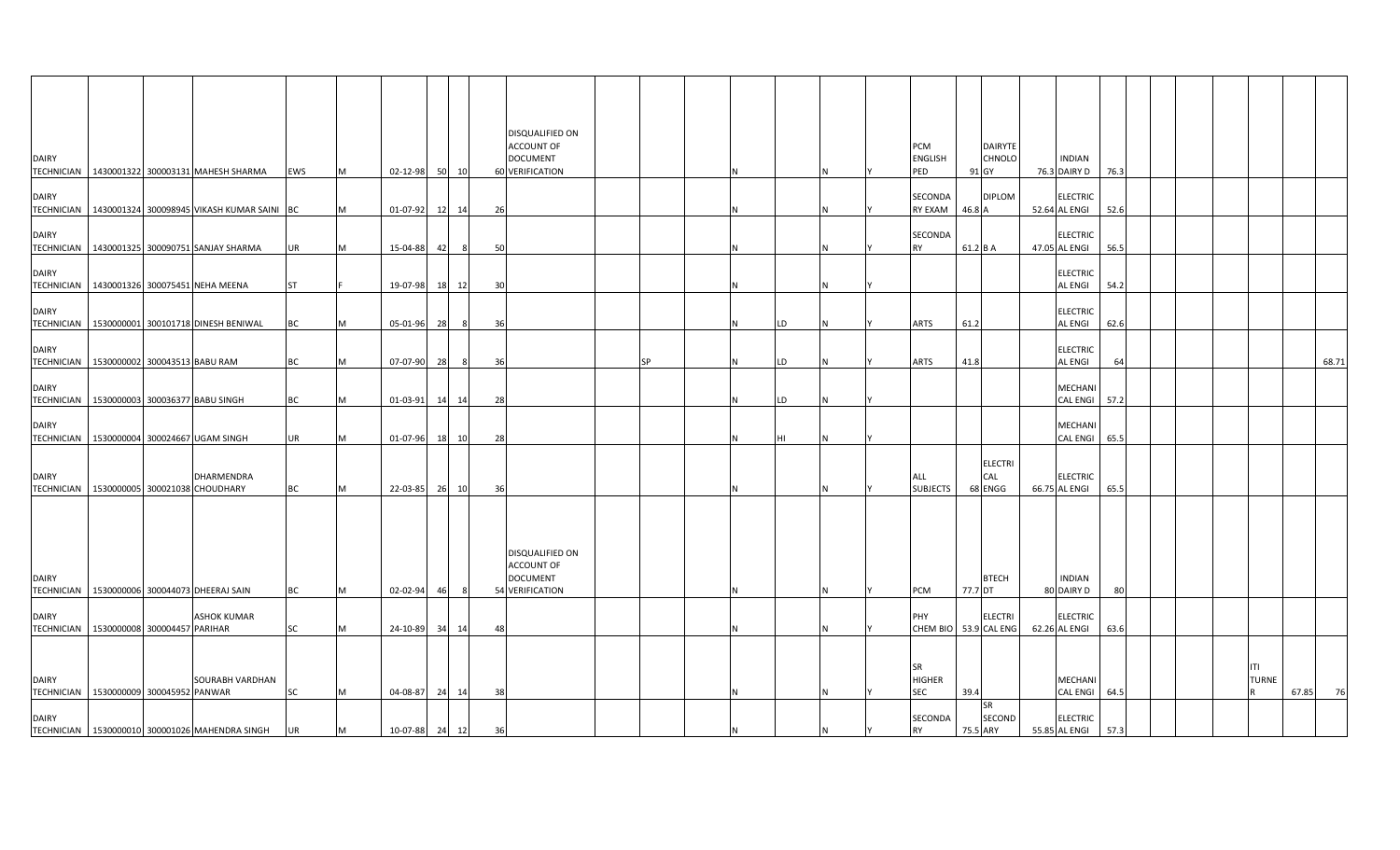| <b>DAIRY</b> |                                            | TECHNICIAN   1430001322 300003131 MAHESH SHARMA         | <b>EWS</b> | M | 02-12-98 50 10 |    |                |    | DISQUALIFIED ON<br><b>ACCOUNT OF</b><br><b>DOCUMENT</b><br>60 VERIFICATION |    |  |    |    | <b>PCM</b><br><b>ENGLISH</b><br>PED |          | <b>DAIRYTE</b><br><b>CHNOLO</b><br>91 GY | INDIAN<br>76.3 DAIRY D            | 76.3 |  |              |          |
|--------------|--------------------------------------------|---------------------------------------------------------|------------|---|----------------|----|----------------|----|----------------------------------------------------------------------------|----|--|----|----|-------------------------------------|----------|------------------------------------------|-----------------------------------|------|--|--------------|----------|
| <b>DAIRY</b> |                                            | TECHNICIAN   1430001324 300098945 VIKASH KUMAR SAINI BC |            | M | 01-07-92 12 14 |    |                | 26 |                                                                            |    |  |    |    | SECONDA<br>RY EXAM                  | 46.8 A   | <b>DIPLOM</b>                            | <b>ELECTRIC</b><br>52.64 AL ENGI  | 52.6 |  |              |          |
| <b>DAIRY</b> |                                            | TECHNICIAN   1430001325 300090751 SANJAY SHARMA         | UR         |   | 15-04-88 42    |    | 8              | 50 |                                                                            |    |  |    |    | SECONDA<br><b>RY</b>                | 61.2 B A |                                          | <b>ELECTRIC</b><br>47.05 AL ENGI  | 56.5 |  |              |          |
| <b>DAIRY</b> |                                            | TECHNICIAN 1430001326 300075451 NEHA MEENA              | <b>ST</b>  |   | 19-07-98 18 12 |    |                | 30 |                                                                            |    |  |    |    |                                     |          |                                          | <b>ELECTRIC</b><br><b>AL ENGI</b> | 54.2 |  |              |          |
| <b>DAIRY</b> |                                            | TECHNICIAN 1530000001 300101718 DINESH BENIWAL          | BC         |   | 05-01-96 28    |    | 8              | 36 |                                                                            |    |  | LD |    | <b>ARTS</b>                         | 61.2     |                                          | <b>ELECTRIC</b><br><b>AL ENGI</b> | 62.6 |  |              |          |
| <b>DAIRY</b> | TECHNICIAN 1530000002 300043513 BABU RAM   |                                                         | <b>BC</b>  | M | 07-07-90 28    |    | 8              | 36 |                                                                            | SP |  | LD |    | <b>ARTS</b>                         | 41.8     |                                          | <b>ELECTRIC</b><br>AL ENGI        | 64   |  |              | 68.71    |
| <b>DAIRY</b> | TECHNICIAN 1530000003 300036377 BABU SINGH |                                                         | BC         |   | 01-03-91 14 14 |    |                | 28 |                                                                            |    |  | LD |    |                                     |          |                                          | MECHANI<br>CAL ENGI 57.2          |      |  |              |          |
| <b>DAIRY</b> |                                            | TECHNICIAN   1530000004 300024667 UGAM SINGH            | UR         | M | 01-07-96 18 10 |    |                | 28 |                                                                            |    |  | HI |    |                                     |          |                                          | MECHANI<br><b>CAL ENGI</b>        | 65.5 |  |              |          |
| <b>DAIRY</b> |                                            | DHARMENDRA<br>TECHNICIAN 1530000005 300021038 CHOUDHARY | BC         |   | 22-03-85 26 10 |    |                | 36 |                                                                            |    |  |    |    | ALL<br><b>SUBJECTS</b>              |          | <b>ELECTRI</b><br>CAL<br>68 ENGG         | <b>ELECTRIC</b><br>66.75 AL ENGI  | 65.5 |  |              |          |
|              |                                            |                                                         |            |   |                |    |                |    |                                                                            |    |  |    |    |                                     |          |                                          |                                   |      |  |              |          |
| <b>DAIRY</b> |                                            | TECHNICIAN 1530000006 300044073 DHEERAJ SAIN            | <b>BC</b>  | M | 02-02-94       | 46 | 8 <sup>2</sup> |    | DISQUALIFIED ON<br><b>ACCOUNT OF</b><br><b>DOCUMENT</b><br>54 VERIFICATION |    |  |    | IN | <b>PCM</b>                          | 77.7 DT  | <b>BTECH</b>                             | <b>INDIAN</b><br>80 DAIRY D       | 80   |  |              |          |
| <b>DAIRY</b> | TECHNICIAN 1530000008 300004457 PARIHAR    | <b>ASHOK KUMAR</b>                                      | SC         |   | 24-10-89 34    |    | 14             | 48 |                                                                            |    |  |    |    | PHY<br>CHEM BIO 53.9 CAL ENG        |          | <b>ELECTRI</b>                           | <b>ELECTRIC</b><br>62.26 AL ENGI  | 63.6 |  |              |          |
|              |                                            |                                                         |            |   |                |    |                |    |                                                                            |    |  |    |    | <b>SR</b>                           |          |                                          |                                   |      |  | ITI          |          |
| <b>DAIRY</b> | TECHNICIAN 1530000009 300045952 PANWAR     | SOURABH VARDHAN                                         | SC         | M | 04-08-87 24 14 |    |                | 38 |                                                                            |    |  |    |    | <b>HIGHER</b><br><b>SEC</b>         | 39.4     |                                          | MECHANI<br>CAL ENGI 64.5          |      |  | <b>TURNE</b> | 67.85 76 |
| <b>DAIRY</b> |                                            | TECHNICIAN 1530000010 300001026 MAHENDRA SINGH          | <b>UR</b>  | M | 10-07-88 24 12 |    |                | 36 |                                                                            |    |  |    |    | SECONDA<br><b>RY</b>                |          | <b>SR</b><br>SECOND<br>75.5 ARY          | <b>ELECTRIC</b><br>55.85 AL ENGI  | 57.3 |  |              |          |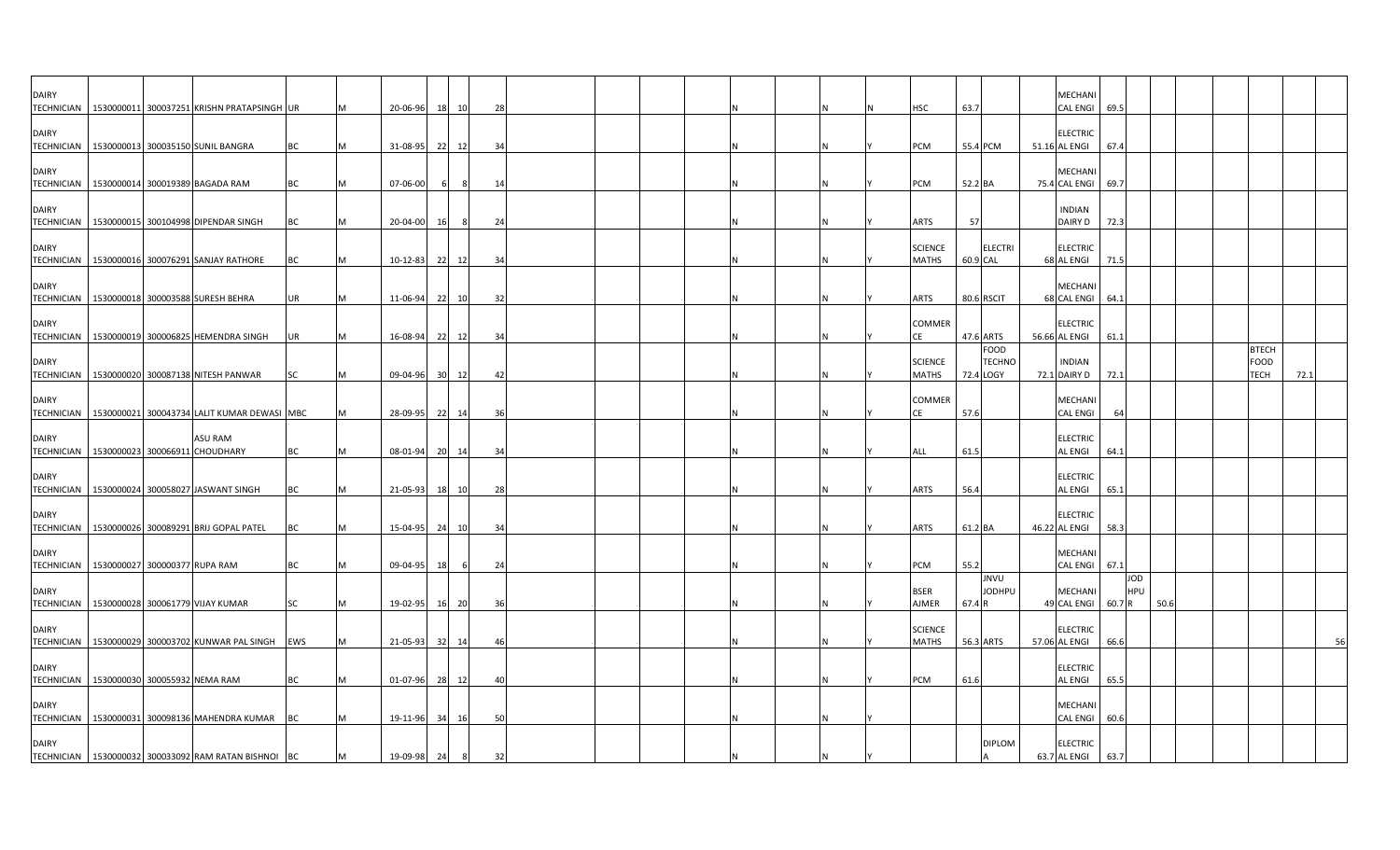| <b>DAIRY</b><br><b>TECHNICIAN</b> | 1530000011 300037251 KRISHN PRATAPSINGH UR               |         |           |   | 20-06-96    | 18        | 10    | 28 |  |  |   | <b>HSC</b>                     | 63.7     |                                    | <b>MECHANI</b><br>CAL ENGI 69.5      |      |                   |      |  |                                     |      |
|-----------------------------------|----------------------------------------------------------|---------|-----------|---|-------------|-----------|-------|----|--|--|---|--------------------------------|----------|------------------------------------|--------------------------------------|------|-------------------|------|--|-------------------------------------|------|
| <b>DAIRY</b><br><b>TECHNICIAN</b> | 1530000013 300035150 SUNIL BANGRA                        |         | BC        |   | 31-08-95    | 22        | 12    | 34 |  |  |   | PCM                            |          | 55.4 PCM                           | <b>ELECTRIC</b><br>51.16 AL ENGI     | 67.4 |                   |      |  |                                     |      |
| <b>DAIRY</b>                      | TECHNICIAN   1530000014 300019389 BAGADA RAM             |         | BC        |   | 07-06-00    |           |       | 14 |  |  |   | PCM                            | 52.2 BA  |                                    | <b>MECHANI</b><br>75.4 CAL ENGI 69.7 |      |                   |      |  |                                     |      |
| <b>DAIRY</b>                      | TECHNICIAN   1530000015 300104998 DIPENDAR SINGH         |         | BC        |   | 20-04-00    | 16        | -8    | 24 |  |  |   | <b>ARTS</b>                    | 57       |                                    | <b>INDIAN</b><br>DAIRY D             | 72.3 |                   |      |  |                                     |      |
| <b>DAIRY</b><br><b>TECHNICIAN</b> | 1530000016 300076291 SANJAY RATHORE                      |         | BC        |   | $10-12-83$  | 22        | 12    | 34 |  |  |   | <b>SCIENCE</b><br><b>MATHS</b> | 60.9 CAL | <b>ELECTRI</b>                     | <b>ELECTRIC</b><br>68 AL ENGI        | 71.5 |                   |      |  |                                     |      |
| <b>DAIRY</b><br><b>TECHNICIAN</b> | 1530000018 300003588 SURESH BEHRA                        |         | <b>UR</b> |   | 11-06-94    | 22        | 10    | 32 |  |  |   | <b>ARTS</b>                    |          | 80.6 RSCIT                         | <b>MECHANI</b><br>68 CAL ENGI 64.1   |      |                   |      |  |                                     |      |
| <b>DAIRY</b><br><b>TECHNICIAN</b> | 1530000019 300006825 HEMENDRA SINGH                      |         | UR        |   | 16-08-94    | 22        | 12    | 34 |  |  |   | <b>COMMER</b><br>СE            |          | 47.6 ARTS                          | <b>ELECTRIC</b><br>56.66 AL ENGI     | 61.1 |                   |      |  |                                     |      |
| <b>DAIRY</b><br><b>TECHNICIAN</b> | 1530000020 300087138 NITESH PANWAR                       |         | <b>SC</b> | M | 09-04-96    | 30        | 12    | 42 |  |  |   | <b>SCIENCE</b><br><b>MATHS</b> |          | FOOD<br><b>TECHNO</b><br>72.4 LOGY | <b>INDIAN</b><br>72.1 DAIRY D        | 72.1 |                   |      |  | <b>BTECH</b><br>FOOD<br><b>TECH</b> | 72.1 |
| <b>DAIRY</b><br><b>TECHNICIAN</b> | 1530000021 300043734 LALIT KUMAR DEWASI MBC              |         |           |   | 28-09-95    | 22        | 14    | 36 |  |  |   | <b>COMMER</b><br>CE            | 57.6     |                                    | <b>MECHANI</b><br><b>CAL ENGI</b>    | 64   |                   |      |  |                                     |      |
| <b>DAIRY</b><br><b>TECHNICIAN</b> | 1530000023 300066911 CHOUDHARY                           | ASU RAM | BC        |   | 08-01-94    |           | 20 14 | 34 |  |  |   | ALL                            | 61.5     |                                    | <b>ELECTRIC</b><br><b>AL ENGI</b>    | 64.1 |                   |      |  |                                     |      |
| <b>DAIRY</b>                      | TECHNICIAN   1530000024 300058027 JASWANT SINGH          |         | BC        |   | 21-05-93    | 18        | 10    | 28 |  |  |   | <b>ARTS</b>                    | 56.4     |                                    | <b>ELECTRIC</b><br><b>AL ENGI</b>    | 65.1 |                   |      |  |                                     |      |
| <b>DAIRY</b><br><b>TECHNICIAN</b> | 1530000026 300089291 BRIJ GOPAL PATEL                    |         | BC        |   | 15-04-95    | 24        | 10    | 34 |  |  |   | <b>ARTS</b>                    | 61.2 BA  |                                    | <b>ELECTRIC</b><br>46.22 AL ENGI     | 58.3 |                   |      |  |                                     |      |
| <b>DAIRY</b><br><b>TECHNICIAN</b> | 1530000027 300000377 RUPA RAM                            |         | BC        |   | 09-04-95    | <b>18</b> | 6     | 24 |  |  |   | PCM                            | 55.2     |                                    | MECHANI<br>CAL ENGI 67.1             |      |                   |      |  |                                     |      |
| <b>DAIRY</b><br><b>TECHNICIAN</b> | 1530000028 300061779 VIJAY KUMAR                         |         | SC        |   | 19-02-95    |           | 16 20 | 36 |  |  | N | <b>BSER</b><br>AJMER           | 67.4 R   | <b>JNVU</b><br>JODHPU              | MECHANI<br>49 CAL ENGI 60.7 R        |      | JOD<br><b>HPU</b> | 50.6 |  |                                     |      |
| <b>DAIRY</b>                      | TECHNICIAN   1530000029 300003702 KUNWAR PAL SINGH   EWS |         |           |   | 21-05-93    | 32        | 14    | 46 |  |  |   | <b>SCIENCE</b><br><b>MATHS</b> |          | 56.3 ARTS                          | <b>ELECTRIC</b><br>57.06 AL ENGI     | 66.6 |                   |      |  |                                     | 56   |
| <b>DAIRY</b><br><b>TECHNICIAN</b> | 1530000030 300055932 NEMA RAM                            |         | BC        |   | 01-07-96    | 28        | 12    | 40 |  |  |   | PCM                            | 61.6     |                                    | <b>ELECTRIC</b><br><b>AL ENGI</b>    | 65.5 |                   |      |  |                                     |      |
| <b>DAIRY</b>                      | TECHNICIAN 1530000031 300098136 MAHENDRA KUMAR           |         | BC        |   | 19-11-96    | 34        | 16    | 50 |  |  |   |                                |          |                                    | MECHANI<br>CAL ENGI                  | 60.6 |                   |      |  |                                     |      |
| <b>DAIRY</b>                      | TECHNICIAN 1530000032 300033092 RAM RATAN BISHNOI BC     |         |           |   | 19-09-98 24 |           | 8     | 32 |  |  |   |                                |          | <b>DIPLOM</b>                      | <b>ELECTRIC</b><br>63.7 AL ENGI      | 63.7 |                   |      |  |                                     |      |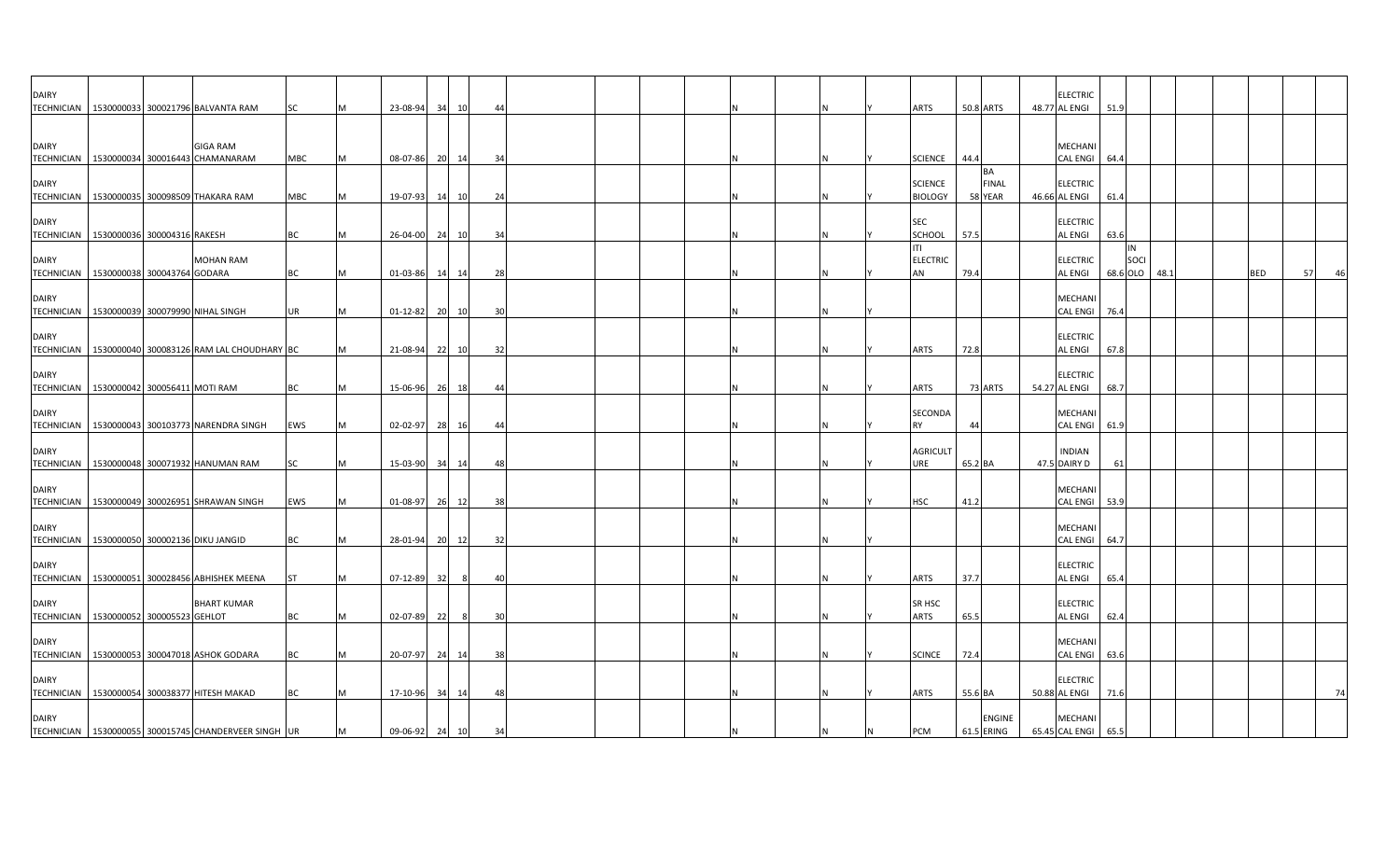| <b>DAIRY</b> |                                              | TECHNICIAN   1530000033 300021796 BALVANTA RAM         | SC         |   | 23-08-94                   | 34<br>10       | 44       |  |  |          | <b>ARTS</b>                      | 50.8 ARTS             |               | <b>ELECTRIC</b><br>48.77 AL ENGI                | 51.9                   |      |     |          |
|--------------|----------------------------------------------|--------------------------------------------------------|------------|---|----------------------------|----------------|----------|--|--|----------|----------------------------------|-----------------------|---------------|-------------------------------------------------|------------------------|------|-----|----------|
| <b>DAIRY</b> |                                              | <b>GIGA RAM</b>                                        |            |   |                            |                |          |  |  |          |                                  |                       |               | MECHANI                                         |                        |      |     |          |
|              | TECHNICIAN   1530000034 300016443 CHAMANARAM |                                                        | MBC        |   | 08-07-86                   | 20 14          | 34       |  |  | ΙN       | <b>SCIENCE</b>                   | 44.4                  |               | CAL ENGI 64.4                                   |                        |      |     |          |
| <b>DAIRY</b> | TECHNICIAN 1530000035 300098509 THAKARA RAM  |                                                        | <b>MBC</b> |   | 19-07-93                   | 14<br>10       | 24       |  |  |          | <b>SCIENCE</b><br><b>BIOLOGY</b> | <b>BA</b><br>58 YEAR  | <b>FINAL</b>  | <b>ELECTRIC</b><br>46.66 AL ENGI                | 61.4                   |      |     |          |
| <b>DAIRY</b> | TECHNICIAN   1530000036 300004316 RAKESH     |                                                        | BC         |   | 26-04-00                   | 24<br>10       | 34       |  |  |          | <b>SEC</b><br>SCHOOL             | 57.5                  |               | <b>ELECTRIC</b><br>AL ENGI                      | 63.6                   |      |     |          |
| <b>DAIRY</b> | TECHNICIAN 1530000038 300043764 GODARA       | <b>MOHAN RAM</b>                                       | BC         |   | 01-03-86                   | 14<br>14       | 28       |  |  | IN.      | ITI<br><b>ELECTRIC</b><br>AN     | 79.4                  |               | <b>ELECTRIC</b><br>AL ENGI                      | IN<br>SOCI<br>68.6 OLO | 48.1 | BED | 57<br>46 |
| <b>DAIRY</b> | TECHNICIAN 1530000039 300079990 NIHAL SINGH  |                                                        | <b>UR</b>  |   | $01 - 12 - 82$             | 20 10          | 30       |  |  |          |                                  |                       |               | MECHANI<br><b>CAL ENGI</b>                      | 76.4                   |      |     |          |
| <b>DAIRY</b> |                                              | TECHNICIAN 1530000040 300083126 RAM LAL CHOUDHARY BC   |            |   | 21-08-94                   | 221<br>10      | 32       |  |  |          | <b>ARTS</b>                      | 72.8                  |               | <b>ELECTRIC</b><br>AL ENGI                      | 67.8                   |      |     |          |
| <b>DAIRY</b> | TECHNICIAN 1530000042 300056411 MOTI RAM     |                                                        | BC         |   | 15-06-96                   | 26<br>18       | 44       |  |  | IN.      | <b>ARTS</b>                      | 73 ARTS               |               | <b>ELECTRIC</b><br>54.27 AL ENGI                | 68.7                   |      |     |          |
|              |                                              |                                                        |            |   |                            |                |          |  |  |          |                                  |                       |               |                                                 |                        |      |     |          |
| <b>DAIRY</b> |                                              | TECHNICIAN   1530000043 300103773 NARENDRA SINGH       | EWS        |   | 02-02-97                   | 28<br>16       | 44       |  |  |          | <b>SECONDA</b><br><b>RY</b>      | 44                    |               | MECHANI<br><b>CAL ENGI</b>                      | 61.9                   |      |     |          |
| <b>DAIRY</b> |                                              | TECHNICIAN 1530000048 300071932 HANUMAN RAM            | SC         |   | 15-03-90                   | 34<br>14       | 48       |  |  |          | <b>AGRICULT</b><br>URE           | 65.2 BA               |               | <b>INDIAN</b><br>47.5 DAIRY D                   | 61                     |      |     |          |
| <b>DAIRY</b> |                                              | TECHNICIAN   1530000049 300026951 SHRAWAN SINGH        | EWS        |   | 01-08-97                   | 26<br>12       | 38       |  |  | IN.      | <b>HSC</b>                       | 41.2                  |               | MECHANI<br>CAL ENGI 53.9                        |                        |      |     |          |
| <b>DAIRY</b> | TECHNICIAN 1530000050 300002136 DIKU JANGID  |                                                        | BC         | M | 28-01-94                   | 20 12          | 32       |  |  | IN.      |                                  |                       |               | <b>MECHANI</b><br>CAL ENGI 64.7                 |                        |      |     |          |
| <b>DAIRY</b> |                                              | TECHNICIAN   1530000051 300028456 ABHISHEK MEENA       | <b>ST</b>  |   | 07-12-89                   | - 321<br>-8    | 40       |  |  |          | ARTS                             | 37.7                  |               | <b>ELECTRIC</b><br>AL ENGI                      | 65.4                   |      |     |          |
| <b>DAIRY</b> |                                              | <b>BHART KUMAR</b>                                     |            |   |                            |                |          |  |  |          | SR HSC                           |                       |               | <b>ELECTRIC</b>                                 |                        |      |     |          |
| <b>DAIRY</b> | TECHNICIAN 1530000052 300005523 GEHLOT       | TECHNICIAN 1530000053 300047018 ASHOK GODARA           | BC<br>BC   |   | 02-07-89                   | 22<br>-8<br>24 | 30<br>38 |  |  | <b>N</b> | ARTS                             | 65.5<br>72.4          |               | AL ENGI<br><b>MECHANI</b><br>CAL ENGI 63.6      | 62.4                   |      |     |          |
| <b>DAIRY</b> |                                              |                                                        |            |   | 20-07-97                   | 14             |          |  |  |          | <b>SCINCE</b>                    |                       |               | <b>ELECTRIC</b>                                 |                        |      |     |          |
| <b>DAIRY</b> | TECHNICIAN 1530000054 300038377 HITESH MAKAD | TECHNICIAN   1530000055 300015745 CHANDERVEER SINGH UR | BC         | M | 17-10-96<br>09-06-92 24 10 | 34<br>14       | 48<br>34 |  |  | IN.<br>N | ARTS<br><b>PCM</b>               | 55.6 BA<br>61.5 ERING | <b>ENGINE</b> | 50.88 AL ENGI<br>MECHANI<br>65.45 CAL ENGI 65.5 | 71.6                   |      |     | 74       |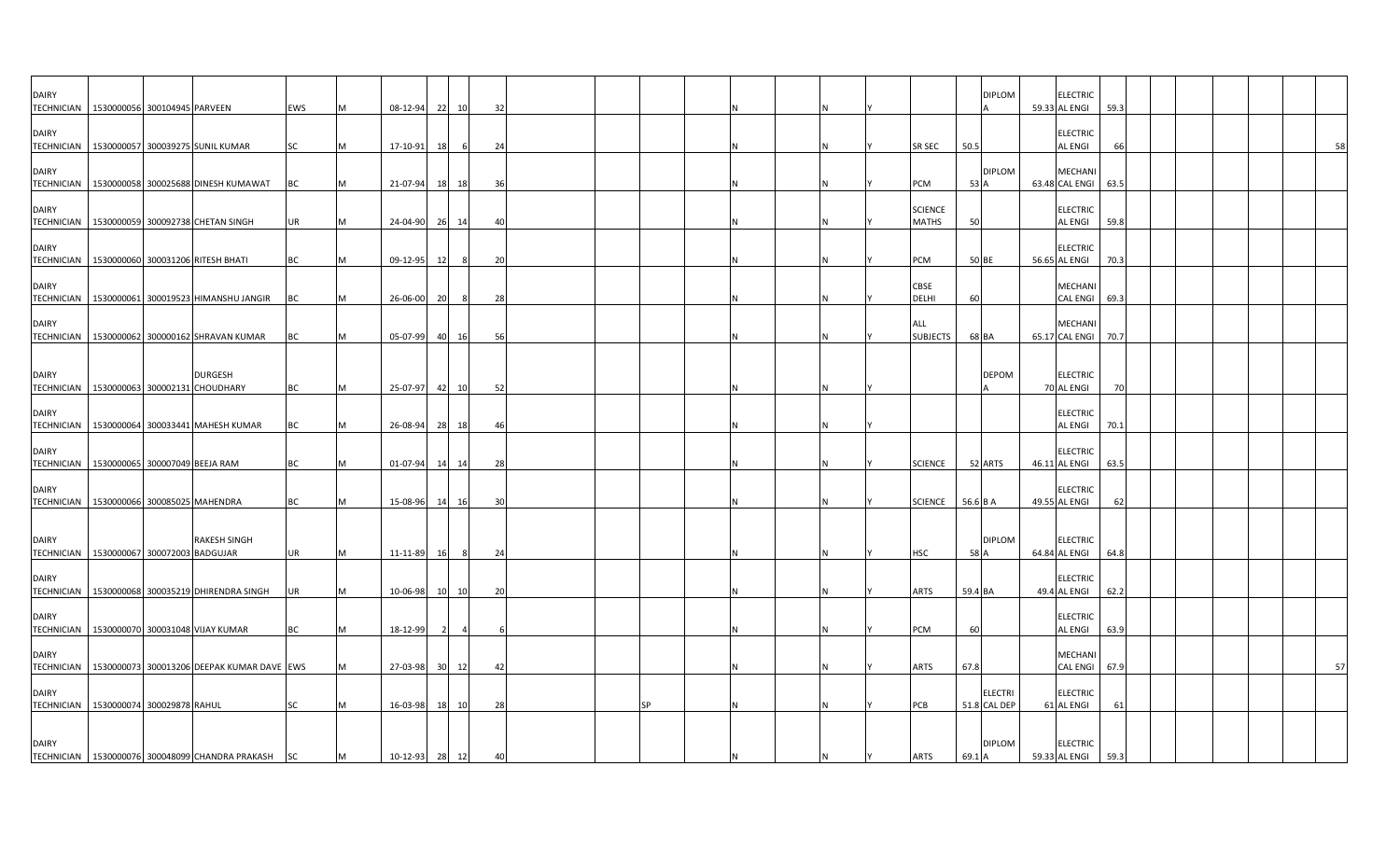| <b>DAIRY</b><br>TECHNICIAN 1530000056 300104945 PARVEEN   |  |                                                                                     | EWS       |   | 08-12-94             | 22 | 10                   | 32 |  |           |  |  |                         |               | <b>DIPLOM</b>                  | <b>ELECTRIC</b><br>59.33 AL ENGI<br>59.3                   |  |  |    |
|-----------------------------------------------------------|--|-------------------------------------------------------------------------------------|-----------|---|----------------------|----|----------------------|----|--|-----------|--|--|-------------------------|---------------|--------------------------------|------------------------------------------------------------|--|--|----|
| <b>DAIRY</b>                                              |  | TECHNICIAN 1530000057 300039275 SUNIL KUMAR                                         | <b>SC</b> |   | 17-10-91             | 18 | 6                    | 24 |  |           |  |  | SR SEC                  | 50.5          |                                | <b>ELECTRIC</b><br><b>AL ENGI</b><br>66                    |  |  | 58 |
| <b>DAIRY</b>                                              |  | TECHNICIAN 1530000058 300025688 DINESH KUMAWAT                                      | <b>BC</b> |   | 21-07-94             | 18 | 18                   | 36 |  |           |  |  | PCM                     | 53 A          | <b>DIPLOM</b>                  | MECHANI<br>63.48 CAL ENGI<br>63.5                          |  |  |    |
| <b>DAIRY</b>                                              |  | TECHNICIAN   1530000059 300092738 CHETAN SINGH                                      | UR        |   | 24-04-90             | 26 | 14                   | 40 |  |           |  |  | <b>SCIENCE</b><br>MATHS | 50            |                                | <b>ELECTRIC</b><br>AL ENGI<br>59.8                         |  |  |    |
| <b>DAIRY</b>                                              |  | TECHNICIAN   1530000060 300031206 RITESH BHATI                                      | BC        |   | 09-12-95             | 12 | -8                   | 20 |  |           |  |  | PCM                     | 50 BE         |                                | <b>ELECTRIC</b><br>56.65 AL ENGI<br>70.3                   |  |  |    |
| <b>DAIRY</b><br><b>TECHNICIAN</b>                         |  | 1530000061 300019523 HIMANSHU JANGIR                                                | BC        |   | 26-06-00             | 20 | 8                    | 28 |  |           |  |  | CBSE<br><b>DELHI</b>    | 60            |                                | <b>MECHAN</b><br><b>CAL ENGI</b><br>69.3                   |  |  |    |
| <b>DAIRY</b><br><b>TECHNICIAN</b>                         |  | 1530000062 300000162 SHRAVAN KUMAR                                                  | ВC        |   | 05-07-99             |    | 40 16                | 56 |  |           |  |  | ALL<br><b>SUBJECTS</b>  | 68 BA         |                                | <b>MECHAN</b><br>65.17 CAL ENGI<br>70.7                    |  |  |    |
| <b>DAIRY</b><br>TECHNICIAN 1530000063 300002131 CHOUDHARY |  | <b>DURGESH</b>                                                                      | <b>BC</b> |   | 25-07-97             | 42 | 10                   | 52 |  |           |  |  |                         |               | <b>DEPOM</b>                   | <b>ELECTRIC</b><br>70 AL ENGI<br>70                        |  |  |    |
| <b>DAIRY</b><br><b>TECHNICIAN</b>                         |  | 1530000064 300033441 MAHESH KUMAR                                                   | BC        |   | 26-08-94             | 28 | 18                   | 46 |  |           |  |  |                         |               |                                | <b>ELECTRIC</b><br>AL ENGI<br>70.1                         |  |  |    |
| <b>DAIRY</b><br>TECHNICIAN 1530000065 300007049 BEEJA RAM |  |                                                                                     | <b>BC</b> |   | 01-07-94             | 14 | 14                   | 28 |  |           |  |  | <b>SCIENCE</b>          |               | 52 ARTS                        | <b>ELECTRIC</b><br>46.11 AL ENGI<br>63.5                   |  |  |    |
| <b>DAIRY</b><br>TECHNICIAN 1530000066 300085025 MAHENDRA  |  |                                                                                     | BC        |   | 15-08-96             | 14 | 16                   | 30 |  |           |  |  | <b>SCIENCE</b>          | 56.6 B A      |                                | <b>ELECTRIC</b><br>49.55 AL ENGI<br>62                     |  |  |    |
| <b>DAIRY</b>                                              |  | <b>RAKESH SINGH</b>                                                                 |           |   |                      |    |                      |    |  |           |  |  |                         |               | <b>DIPLOM</b>                  | <b>ELECTRIC</b>                                            |  |  |    |
| TECHNICIAN 1530000067 300072003 BADGUJAR<br><b>DAIRY</b>  |  |                                                                                     | UR        |   | 11-11-89             | 16 | 8                    | 24 |  |           |  |  | HSC                     | 58 A          |                                | 64.84 AL ENGI<br>64.8<br><b>ELECTRIC</b>                   |  |  |    |
| <b>DAIRY</b><br><b>TECHNICIAN</b>                         |  | TECHNICIAN 1530000068 300035219 DHIRENDRA SINGH<br>1530000070 300031048 VIJAY KUMAR | UR<br>ВC  |   | 10-06-98<br>18-12-99 | 10 | 10<br>$\overline{4}$ | 20 |  |           |  |  | ARTS<br>PCM             | 59.4 BA<br>60 |                                | 49.4 AL ENGI<br>62.2<br><b>ELECTRIC</b><br>AL ENGI<br>63.9 |  |  |    |
| <b>DAIRY</b><br><b>TECHNICIAN</b>                         |  | 1530000073 300013206 DEEPAK KUMAR DAVE EWS                                          |           |   | 27-03-98 30 12       |    |                      | 42 |  |           |  |  | <b>ARTS</b>             | 67.8          |                                | MECHANI<br><b>CAL ENGI</b><br>67.9                         |  |  | 57 |
| <b>DAIRY</b><br>TECHNICIAN 1530000074 300029878 RAHUL     |  |                                                                                     | SC        |   | 16-03-98             | 18 | 10                   | 28 |  | <b>SP</b> |  |  | PCB                     |               | <b>ELECTRI</b><br>51.8 CAL DEP | <b>ELECTRIC</b><br>61 AL ENGI<br>61                        |  |  |    |
| <b>DAIRY</b>                                              |  |                                                                                     |           |   |                      |    |                      |    |  |           |  |  |                         |               | <b>DIPLOM</b>                  | <b>ELECTRIC</b>                                            |  |  |    |
|                                                           |  | TECHNICIAN   1530000076 300048099 CHANDRA PRAKASH SC                                |           | M | 10-12-93 28 12       |    |                      | 40 |  |           |  |  | <b>ARTS</b>             | 69.1 A        |                                | 59.33 AL ENGI<br>59.3                                      |  |  |    |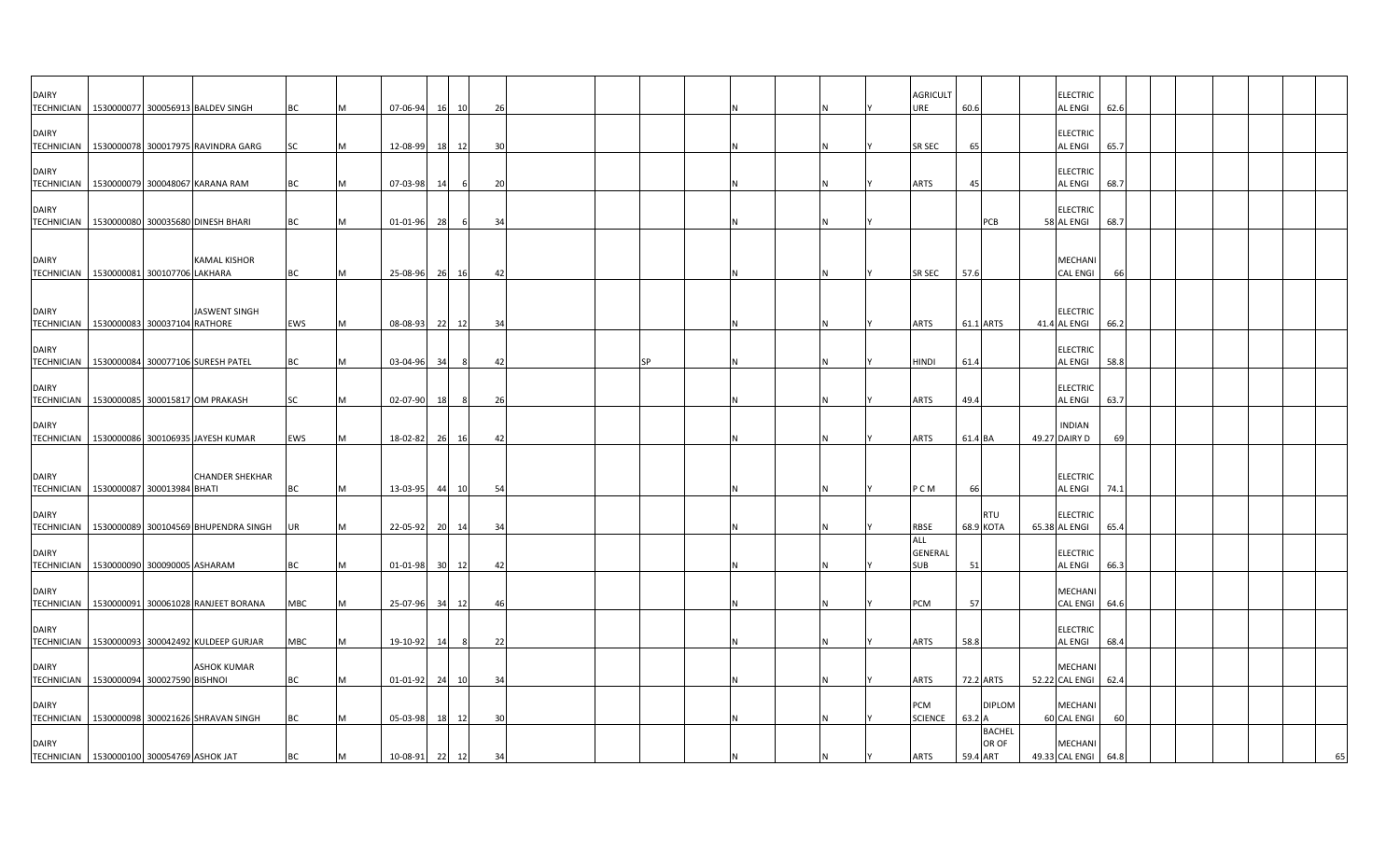| <b>DAIRY</b><br><b>TECHNICIAN</b> | 1530000077 300056913 BALDEV SINGH              |                        | BC         |   | 07-06-94       | 16              | 10    | 26 |           |  |   |  | <b>AGRICULT</b><br>ure       | 60.6             |                         | <b>ELECTRIC</b><br><b>AL ENGI</b>     | 62.6 |  |  |    |
|-----------------------------------|------------------------------------------------|------------------------|------------|---|----------------|-----------------|-------|----|-----------|--|---|--|------------------------------|------------------|-------------------------|---------------------------------------|------|--|--|----|
| <b>DAIRY</b><br><b>TECHNICIAN</b> | 1530000078 300017975 RAVINDRA GARG             |                        | SC         |   | 12-08-99       | 18              | 12    | 30 |           |  |   |  | <b>SR SEC</b>                | 65               |                         | <b>ELECTRIC</b><br><b>AL ENGI</b>     | 65.7 |  |  |    |
| <b>DAIRY</b>                      | TECHNICIAN 1530000079 300048067 KARANA RAM     |                        | ВC         |   | 07-03-98       | -14             | -6    | 20 |           |  |   |  | <b>ARTS</b>                  | 45               |                         | <b>ELECTRIC</b><br><b>AL ENGI</b>     | 68.7 |  |  |    |
| <b>DAIRY</b><br><b>TECHNICIAN</b> | 1530000080 300035680 DINESH BHARI              |                        | BC         |   | 01-01-96 28    |                 | -6    | 34 |           |  |   |  |                              |                  | PCB                     | <b>ELECTRIC</b><br>58 AL ENGI         | 68.7 |  |  |    |
| <b>DAIRY</b>                      | TECHNICIAN 1530000081 300107706 LAKHARA        | <b>KAMAL KISHOR</b>    | <b>BC</b>  |   | 25-08-96 26    |                 | 16    | 42 |           |  | N |  | SR SEC                       | 57.6             |                         | MECHANI<br><b>CAL ENGI</b>            | 66   |  |  |    |
| <b>DAIRY</b><br><b>TECHNICIAN</b> | 1530000083 300037104 RATHORE                   | JASWENT SINGH          | EWS        | M | 08-08-93       | - 221           | 12    | 34 |           |  | N |  | ARTS                         | 61.1 ARTS        |                         | <b>ELECTRIC</b><br>41.4 AL ENGI       | 66.2 |  |  |    |
| <b>DAIRY</b><br><b>TECHNICIAN</b> | 1530000084 300077106 SURESH PATEL              |                        | BC         |   | 03-04-96       | 34              | - 8   | 42 | <b>SP</b> |  |   |  | <b>HINDI</b>                 | 61.4             |                         | <b>ELECTRIC</b><br><b>AL ENGI</b>     | 58.8 |  |  |    |
| <b>DAIRY</b><br><b>TECHNICIAN</b> | 1530000085 300015817 OM PRAKASH                |                        | SC         |   | 02-07-90       | 18              | -8    | 26 |           |  | N |  | ARTS                         | 49.4             |                         | <b>ELECTRIC</b><br><b>AL ENGI</b>     | 63.7 |  |  |    |
| DAIRY                             | TECHNICIAN 1530000086 300106935 JAYESH KUMAR   |                        | EWS        |   | 18-02-82       | 26              | 16    | 42 |           |  | N |  | <b>ARTS</b>                  | 61.4 BA          |                         | <b>INDIAN</b><br>49.27 DAIRY D        | 69   |  |  |    |
| <b>DAIRY</b>                      | TECHNICIAN 1530000087 300013984 BHATI          | <b>CHANDER SHEKHAR</b> | ВC         |   | 13-03-95 44    |                 | 10    | 54 |           |  |   |  | P C M                        | 66               |                         | <b>ELECTRIC</b><br><b>AL ENGI</b>     | 74.1 |  |  |    |
| <b>DAIRY</b><br><b>TECHNICIAN</b> | 1530000089 300104569 BHUPENDRA SINGH           |                        | UR         |   | 22-05-92       |                 | 20 14 | 34 |           |  |   |  | <b>RBSE</b>                  |                  | <b>RTU</b><br>68.9 KOTA | <b>ELECTRIC</b><br>65.38 AL ENGI      | 65.4 |  |  |    |
| <b>DAIRY</b><br><b>TECHNICIAN</b> | 1530000090 300090005 ASHARAM                   |                        | BC         |   | 01-01-98       | 30 <sup>1</sup> | 12    | 42 |           |  |   |  | ALL<br>GENERAL<br><b>SUB</b> | 51               |                         | <b>ELECTRIC</b><br>AL ENGI            | 66.3 |  |  |    |
| <b>DAIRY</b><br>TECHNICIAN        | 1530000091 300061028 RANJEET BORANA            |                        | MBC        |   | 25-07-96       | 34              | 12    | 46 |           |  |   |  | PCM                          | 57               |                         | MECHANI<br>CAL ENGI 64.6              |      |  |  |    |
| DAIRY                             | TECHNICIAN 1530000093 300042492 KULDEEP GURJAR |                        | <b>MBC</b> |   | 19-10-92       | -14             |       | 22 |           |  | N |  | <b>ARTS</b>                  | 58.8             |                         | <b>ELECTRIC</b><br><b>AL ENGI</b>     | 68.4 |  |  |    |
| <b>DAIRY</b><br><b>TECHNICIAN</b> | 1530000094 300027590 BISHNOI                   | <b>ASHOK KUMAR</b>     | BC         |   | $01 - 01 - 92$ | 24              | 10    | 34 |           |  |   |  | <b>ARTS</b>                  | 72.2 ARTS        |                         | MECHANI<br>52.22 CAL ENGI             | 62.4 |  |  |    |
| <b>DAIRY</b>                      | TECHNICIAN 1530000098 300021626 SHRAVAN SINGH  |                        | BC         |   | 05-03-98       | 18              | 12    | 30 |           |  |   |  | PCM<br><b>SCIENCE</b>        | $63.2 \text{ A}$ | <b>DIPLOM</b>           | MECHANI<br>60 CAL ENGI                | 60   |  |  |    |
| <b>DAIRY</b>                      | TECHNICIAN 1530000100 300054769 ASHOK JAT      |                        | ВC         | M | $10 - 08 - 91$ | 22              | 12    | 34 |           |  |   |  | <b>ARTS</b>                  | 59.4 ART         | <b>BACHEL</b><br>OR OF  | <b>MECHANI</b><br>49.33 CAL ENGI 64.8 |      |  |  | 65 |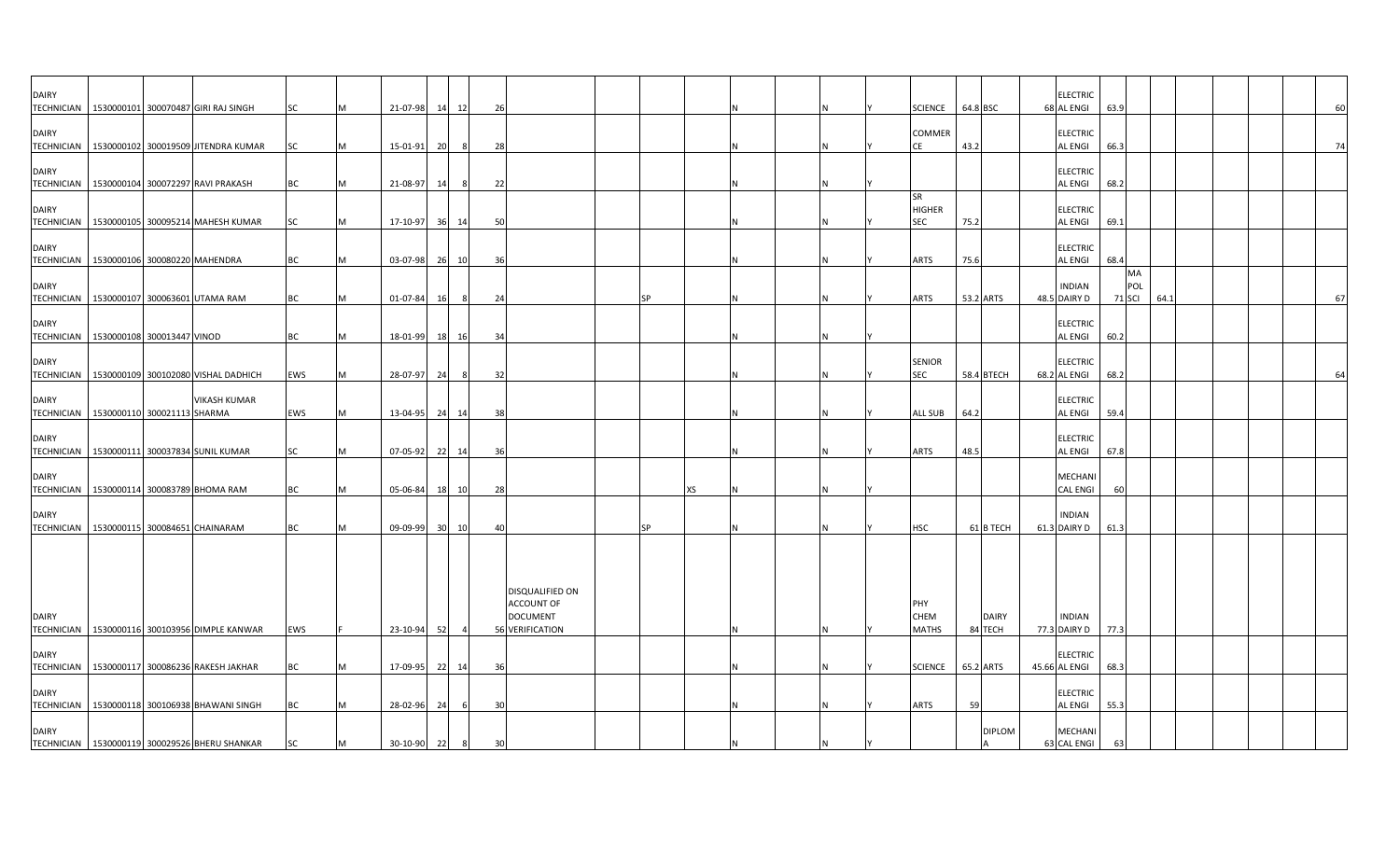| <b>DAIRY</b>                                               |                                             | TECHNICIAN 1530000101 300070487 GIRI RAJ SINGH   | SC        | M   | 21-07-98       | 14 12                 | 26 |                                                                     |           |    |     | <b>SCIENCE</b>                           | 64.8 BSC |                         | <b>ELECTRIC</b><br>68 AL ENGI    | 63.9                       |      |  |  | 60 |
|------------------------------------------------------------|---------------------------------------------|--------------------------------------------------|-----------|-----|----------------|-----------------------|----|---------------------------------------------------------------------|-----------|----|-----|------------------------------------------|----------|-------------------------|----------------------------------|----------------------------|------|--|--|----|
| <b>DAIRY</b>                                               |                                             | TECHNICIAN   1530000102 300019509 JITENDRA KUMAR | SC        | M   | 15-01-91       | 20<br>- 8             | 28 |                                                                     |           |    |     | COMMER<br>CE                             | 43.2     |                         | <b>ELECTRIC</b><br>AL ENGI       | 66.3                       |      |  |  | 74 |
| <b>DAIRY</b>                                               |                                             | TECHNICIAN 1530000104 300072297 RAVI PRAKASH     | <b>BC</b> | M   | 21-08-97       | 14<br>- 8             | 22 |                                                                     |           |    | N   |                                          |          |                         | <b>ELECTRIC</b><br>AL ENGI       | 68.2                       |      |  |  |    |
| <b>DAIRY</b><br><b>TECHNICIAN</b>                          |                                             | 1530000105 300095214 MAHESH KUMAR                | <b>SC</b> | M   | 17-10-97 36 14 |                       | 50 |                                                                     |           |    | N   | <b>SR</b><br><b>HIGHER</b><br><b>SEC</b> | 75.2     |                         | <b>ELECTRIC</b><br>AL ENGI       | 69.1                       |      |  |  |    |
| <b>DAIRY</b><br>TECHNICIAN   1530000106 300080220 MAHENDRA |                                             |                                                  | <b>BC</b> | M   | 03-07-98 26 10 |                       | 36 |                                                                     |           |    | IN. | ARTS                                     | 75.6     |                         | <b>ELECTRIC</b><br>AL ENGI       | 68.4                       |      |  |  |    |
| <b>DAIRY</b>                                               |                                             | TECHNICIAN 1530000107 300063601 UTAMA RAM        | BC        | M   | 01-07-84       | 16<br>- 8             | 24 |                                                                     | <b>SP</b> |    |     | ARTS                                     |          | 53.2 ARTS               | <b>INDIAN</b><br>48.5 DAIRY D    | MA<br>POL<br><b>71 SCI</b> | 64.1 |  |  | 67 |
| <b>DAIRY</b>                                               | TECHNICIAN   1530000108 300013447 VINOD     |                                                  | ВC        | M   | 18-01-99       | 18 16                 | 34 |                                                                     |           |    | N   |                                          |          |                         | <b>ELECTRIC</b><br>AL ENGI       | 60.2                       |      |  |  |    |
| <b>DAIRY</b><br><b>TECHNICIAN</b>                          |                                             | 1530000109 300102080 VISHAL DADHICH              | EWS       | M   | 28-07-97       | 24<br>- 8             | 32 |                                                                     |           |    |     | SENIOR<br><b>SEC</b>                     |          | 58.4 BTECH              | <b>ELECTRIC</b><br>68.2 AL ENGI  | 68.2                       |      |  |  | 64 |
| <b>DAIRY</b>                                               | TECHNICIAN 1530000110 300021113 SHARMA      | <b>VIKASH KUMAR</b>                              | EWS       | M   | 13-04-95 24 14 |                       | 38 |                                                                     |           |    | N   | ALL SUB                                  | 64.2     |                         | <b>ELECTRIC</b><br>AL ENGI       | 59.4                       |      |  |  |    |
| <b>DAIRY</b>                                               |                                             |                                                  | SC        | IM. |                |                       | 36 |                                                                     |           |    |     | ARTS                                     | 48.5     |                         | <b>ELECTRIC</b><br>AL ENGI       |                            |      |  |  |    |
| <b>DAIRY</b>                                               |                                             | TECHNICIAN 1530000111 300037834 SUNIL KUMAR      |           |     | 07-05-92       | 22 14                 |    |                                                                     |           |    |     |                                          |          |                         | MECHANI                          | 67.8                       |      |  |  |    |
| <b>DAIRY</b>                                               |                                             | TECHNICIAN 1530000114 300083789 BHOMA RAM        | BC        | M   | 05-06-84       | 18 10                 | 28 |                                                                     |           | ΧS |     |                                          |          |                         | <b>CAL ENGI</b><br><b>INDIAN</b> | 60                         |      |  |  |    |
|                                                            | TECHNICIAN   1530000115 300084651 CHAINARAM |                                                  | <b>BC</b> | M   | 09-09-99       | 30 <sup>1</sup><br>10 | 40 |                                                                     | SP        |    |     | HSC                                      |          | 61 B TECH               | 61.3 DAIRY D                     | 61.3                       |      |  |  |    |
| <b>DAIRY</b>                                               |                                             | TECHNICIAN   1530000116 300103956 DIMPLE KANWAR  | EWS       |     | 23-10-94       | 52<br>$\overline{a}$  |    | DISQUALIFIED ON<br>ACCOUNT OF<br><b>DOCUMENT</b><br>56 VERIFICATION |           |    |     | PHY<br><b>CHEM</b><br><b>MATHS</b>       |          | <b>DAIRY</b><br>84 TECH | <b>INDIAN</b><br>77.3 DAIRY D    | 77.3                       |      |  |  |    |
| <b>DAIRY</b>                                               |                                             | TECHNICIAN   1530000117 300086236 RAKESH JAKHAR  | ВC        | M   | 17-09-95 22 14 |                       | 36 |                                                                     |           |    | N   | <b>SCIENCE</b>                           |          | 65.2 ARTS               | <b>ELECTRIC</b><br>45.66 AL ENGI | 68.3                       |      |  |  |    |
| <b>DAIRY</b>                                               |                                             | TECHNICIAN 1530000118 300106938 BHAWANI SINGH    | <b>BC</b> |     | 28-02-96       | 24                    | 30 |                                                                     |           |    |     | ARTS                                     | 59       |                         | <b>ELECTRIC</b><br>AL ENGI       | 55.3                       |      |  |  |    |
| <b>DAIRY</b>                                               |                                             | TECHNICIAN 1530000119 300029526 BHERU SHANKAR    | <b>SC</b> | M   | 30-10-90 22    | 8                     | 30 |                                                                     |           |    |     |                                          |          | <b>DIPLOM</b>           | MECHANI<br>63 CAL ENGI           | 63                         |      |  |  |    |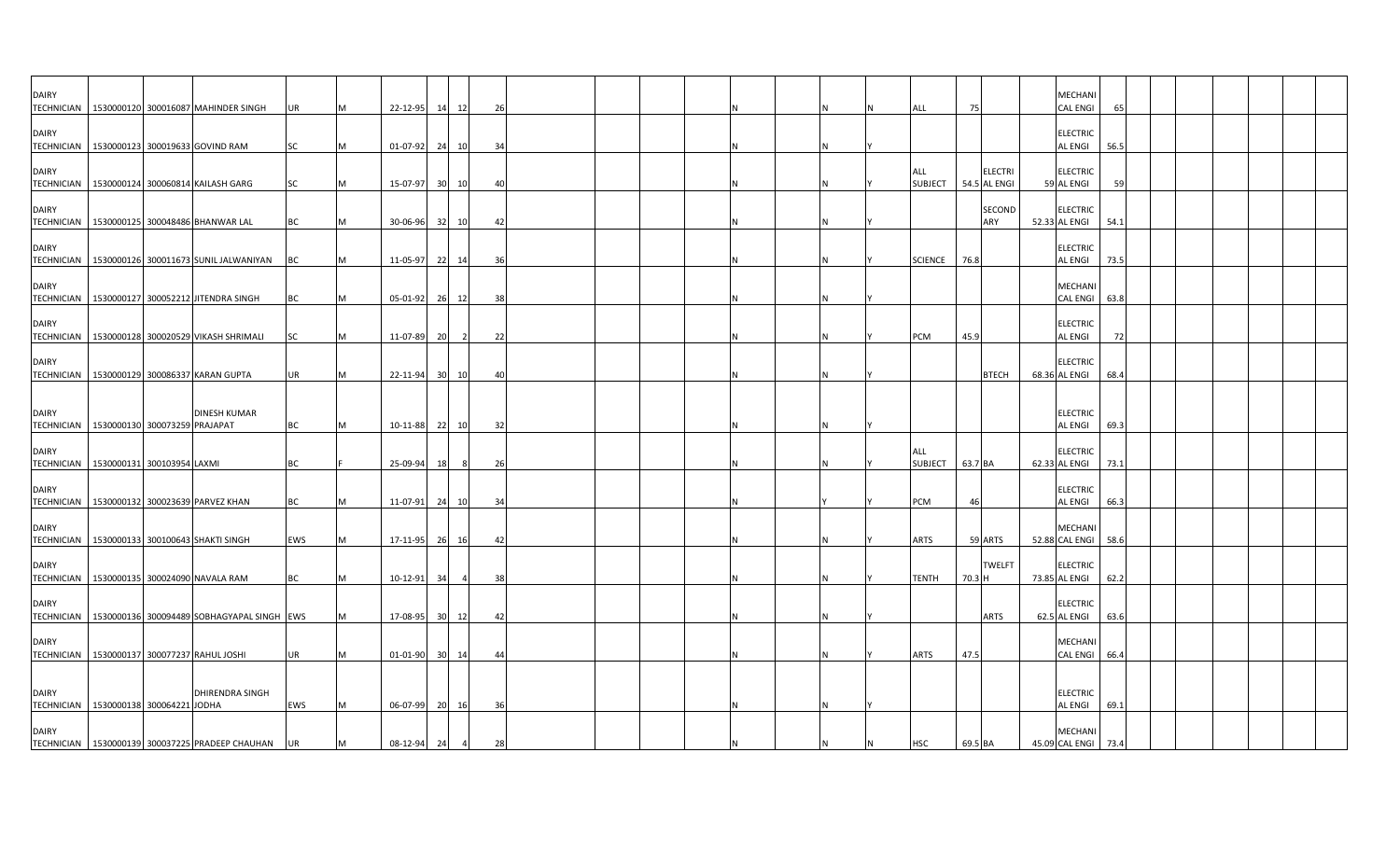| <b>DAIRY</b> |                                              | TECHNICIAN 1530000120 300016087 MAHINDER SINGH          | <b>UR</b>        | IM.      | 22-12-95             |                 | 14 12          | 26       |  |   |  | ALL                   | 75      |                                | <b>MECHANI</b><br><b>CAL ENGI</b>                  | 65           |  |  |  |
|--------------|----------------------------------------------|---------------------------------------------------------|------------------|----------|----------------------|-----------------|----------------|----------|--|---|--|-----------------------|---------|--------------------------------|----------------------------------------------------|--------------|--|--|--|
| <b>DAIRY</b> | TECHNICIAN 1530000123 300019633 GOVIND RAM   |                                                         | SC               | M        | 01-07-92             |                 | 24 10          | 34       |  |   |  |                       |         |                                | <b>ELECTRIC</b><br><b>AL ENGI</b>                  | 56.5         |  |  |  |
| <b>DAIRY</b> |                                              | TECHNICIAN   1530000124 300060814 KAILASH GARG          | SC               | M        | 15-07-97             | 30 <sup>1</sup> | 10             | 40       |  |   |  | ALL<br><b>SUBJECT</b> |         | <b>ELECTRI</b><br>54.5 AL ENGI | <b>ELECTRIC</b><br>59 AL ENGI                      | -59          |  |  |  |
| <b>DAIRY</b> |                                              | TECHNICIAN 1530000125 300048486 BHANWAR LAL             | <b>BC</b>        | M        | 30-06-96             |                 | 32 10          | -42      |  |   |  |                       |         | SECOND<br>ARY                  | <b>ELECTRIC</b><br>52.33 AL ENGI                   | 54.1         |  |  |  |
| <b>DAIRY</b> |                                              | TECHNICIAN   1530000126 300011673 SUNIL JALWANIYAN      | <b>BC</b>        | M        | 11-05-97             |                 | 22 14          | 36       |  |   |  | <b>SCIENCE</b>        | 76.8    |                                | <b>ELECTRIC</b><br><b>AL ENGI</b>                  | 73.5         |  |  |  |
| <b>DAIRY</b> |                                              | TECHNICIAN   1530000127 300052212 JITENDRA SINGH        | <b>BC</b>        | M        | 05-01-92             |                 | 26 12          | 38       |  |   |  |                       |         |                                | <b>MECHANI</b><br><b>CAL ENGI</b>                  | 63.8         |  |  |  |
| <b>DAIRY</b> |                                              | TECHNICIAN 1530000128 300020529 VIKASH SHRIMALI         | SC               | M        | 11-07-89             | 20              | $\overline{2}$ | 22       |  |   |  | PCM                   | 45.9    |                                | <b>ELECTRIC</b><br><b>AL ENGI</b>                  | 72           |  |  |  |
| <b>DAIRY</b> |                                              | TECHNICIAN 1530000129 300086337 KARAN GUPTA             | <b>UR</b>        | M        | 22-11-94             | 30 <sup>1</sup> | 10             | 4(       |  |   |  |                       |         | <b>BTECH</b>                   | <b>ELECTRIC</b><br>68.36 AL ENGI                   | 68.4         |  |  |  |
| <b>DAIRY</b> | TECHNICIAN 1530000130 300073259 PRAJAPAT     | <b>DINESH KUMAR</b>                                     | <b>BC</b>        | M        | 10-11-88 22 10       |                 |                | 32       |  |   |  |                       |         |                                | <b>ELECTRIC</b><br><b>AL ENGI</b>                  | 69.3         |  |  |  |
| <b>DAIRY</b> | TECHNICIAN   1530000131 300103954 LAXMI      |                                                         | <b>BC</b>        |          | 25-09-94             | 18              | - 8            | 26       |  | N |  | ALL<br>SUBJECT        | 63.7 BA |                                | <b>ELECTRIC</b><br>62.33 AL ENGI                   | 73.1         |  |  |  |
| <b>DAIRY</b> | TECHNICIAN 1530000132 300023639 PARVEZ KHAN  |                                                         | BC               |          | 11-07-91             |                 | 24 10          | 34       |  |   |  | PCM                   | 46      |                                | <b>ELECTRIC</b><br><b>AL ENGI</b>                  | 66.3         |  |  |  |
| <b>DAIRY</b> |                                              | TECHNICIAN   1530000133 300100643 SHAKTI SINGH          | EWS              |          | 17-11-95             |                 | 26 16          | 42       |  |   |  | <b>ARTS</b>           |         | 59 ARTS                        | <b>MECHAN</b><br>52.88 CAL ENGI 58.6               |              |  |  |  |
| <b>DAIRY</b> | TECHNICIAN   1530000135 300024090 NAVALA RAM |                                                         | BC               | M        | 10-12-91             | 34              |                | 38       |  |   |  | TENTH                 | 70.3 H  | <b>TWELFT</b>                  | <b>ELECTRIC</b><br>73.85 AL ENGI                   | 62.2         |  |  |  |
| <b>DAIRY</b> |                                              | TECHNICIAN   1530000136 300094489 SOBHAGYAPAL SINGH EWS |                  | M        | 17-08-95             |                 | 30 12          | 42       |  |   |  |                       |         | <b>ARTS</b>                    | <b>ELECTRIC</b><br>62.5 AL ENGI                    | 63.6         |  |  |  |
| <b>DAIRY</b> | TECHNICIAN 1530000137 300077237 RAHUL JOSHI  |                                                         | <b>UR</b>        |          | 01-01-90             |                 | 30 14          | 44       |  |   |  | ARTS                  | 47.5    |                                | <b>MECHANI</b><br><b>CAL ENGI</b>                  | 66.4         |  |  |  |
| <b>DAIRY</b> |                                              | <b>DHIRENDRA SINGH</b>                                  |                  |          |                      |                 |                |          |  |   |  |                       |         |                                | <b>ELECTRIC</b>                                    |              |  |  |  |
| <b>DAIRY</b> | TECHNICIAN 1530000138 300064221 JODHA        | TECHNICIAN   1530000139 300037225 PRADEEP CHAUHAN       | EWS<br><b>UR</b> | IM.<br>M | 06-07-99<br>08-12-94 | 24              | 20 16          | 36<br>28 |  |   |  | <b>HSC</b>            | 69.5 BA |                                | <b>AL ENGI</b><br><b>MECHANI</b><br>45.09 CAL ENGI | 69.1<br>73.4 |  |  |  |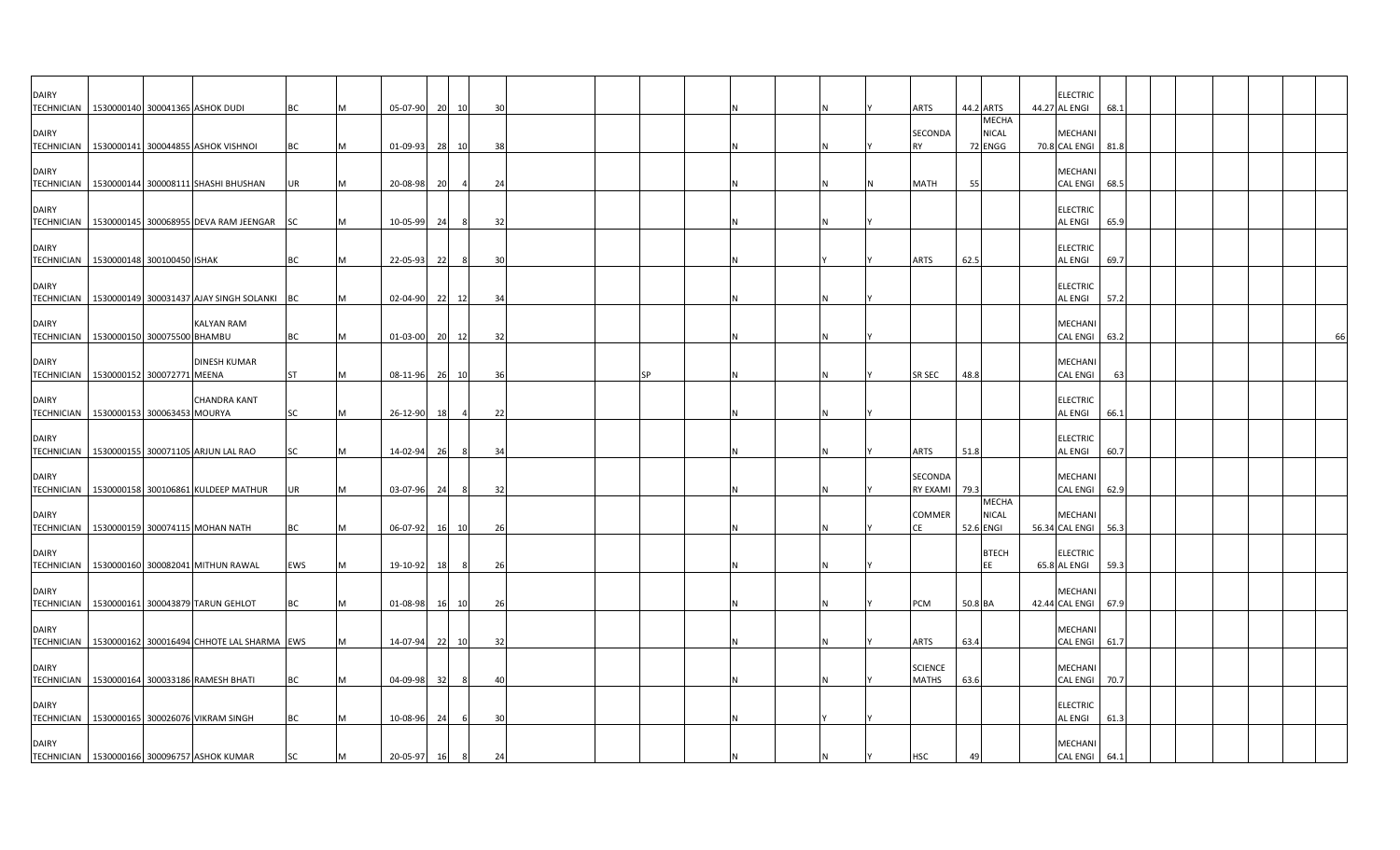| <b>DAIRY</b><br>TECHNICIAN   1530000140 300041365 ASHOK DUDI |  |                                                       | BC        |   |          | 05-07-90 20 10 |       |    | 30 |  |    |  |  | ARTS                           |           | 44.2 ARTS                               | <b>ELECTRIC</b><br>44.27 AL ENGI<br>68.1 |  |  |  |  |
|--------------------------------------------------------------|--|-------------------------------------------------------|-----------|---|----------|----------------|-------|----|----|--|----|--|--|--------------------------------|-----------|-----------------------------------------|------------------------------------------|--|--|--|--|
| <b>DAIRY</b>                                                 |  | TECHNICIAN   1530000141 300044855 ASHOK VISHNOI       | <b>BC</b> |   | 01-09-93 |                | 28    | 10 | 38 |  |    |  |  | SECONDA<br><b>RY</b>           |           | <b>MECHA</b><br><b>NICAL</b><br>72 ENGG | <b>MECHAN</b><br>70.8 CAL ENGI<br>81.8   |  |  |  |  |
| <b>DAIRY</b>                                                 |  | TECHNICIAN   1530000144 300008111 SHASHI BHUSHAN      | UR        |   | 20-08-98 |                | 20    |    | 24 |  |    |  |  | MATH                           | 55        |                                         | MECHANI<br><b>CAL ENGI</b><br>68.5       |  |  |  |  |
| <b>DAIRY</b>                                                 |  | TECHNICIAN   1530000145 300068955 DEVA RAM JEENGAR SC |           |   | 10-05-99 |                | - 24  | 8  | 32 |  |    |  |  |                                |           |                                         | <b>ELECTRIC</b><br>AL ENGI<br>65.9       |  |  |  |  |
| <b>DAIRY</b><br>TECHNICIAN 1530000148 300100450 ISHAK        |  |                                                       | <b>BC</b> |   | 22-05-93 |                | 22    | 8  | 30 |  |    |  |  | ARTS                           | 62.5      |                                         | <b>ELECTRIC</b><br>AL ENGI<br>69.7       |  |  |  |  |
| <b>DAIRY</b><br><b>TECHNICIAN</b>                            |  | 1530000149 300031437 AJAY SINGH SOLANKI BC            |           |   |          | 02-04-90 22    |       | 12 | 34 |  |    |  |  |                                |           |                                         | <b>ELECTRIC</b><br>57.2<br>AL ENGI       |  |  |  |  |
| <b>DAIRY</b><br>TECHNICIAN   1530000150 300075500 BHAMBU     |  | KALYAN RAM                                            | <b>BC</b> |   |          | 01-03-00 20 12 |       |    | 32 |  |    |  |  |                                |           |                                         | <b>MECHAN</b><br><b>CAL ENGI</b><br>63.2 |  |  |  |  |
| <b>DAIRY</b><br>TECHNICIAN   1530000152 300072771 MEENA      |  | <b>DINESH KUMAR</b>                                   | <b>ST</b> | м |          | 08-11-96 26 10 |       |    | 36 |  | SP |  |  | SR SEC                         | 48.8      |                                         | MECHANI<br><b>CAL ENGI</b><br>63         |  |  |  |  |
| <b>DAIRY</b><br>TECHNICIAN 1530000153 300063453 MOURYA       |  | <b>CHANDRA KANT</b>                                   | <b>SC</b> |   | 26-12-90 |                | 18    |    | 22 |  |    |  |  |                                |           |                                         | <b>ELECTRIC</b><br>AL ENGI<br>66.1       |  |  |  |  |
| <b>DAIRY</b>                                                 |  | TECHNICIAN   1530000155 300071105 ARJUN LAL RAO       | SC        |   | 14-02-94 |                | 26    |    | 34 |  |    |  |  | ARTS                           | 51.8      |                                         | <b>ELECTRIC</b><br>AL ENGI<br>60.7       |  |  |  |  |
| <b>DAIRY</b>                                                 |  | TECHNICIAN   1530000158 300106861 KULDEEP MATHUR      | UR        |   | 03-07-96 |                | - 24  |    | 32 |  |    |  |  | SECONDA<br>RY EXAMI            | 79.3      |                                         | MECHANI<br><b>CAL ENGI</b><br>62.9       |  |  |  |  |
| <b>DAIRY</b><br><b>TECHNICIAN</b>                            |  | 1530000159 300074115 MOHAN NATH                       | BC        |   | 06-07-92 |                | 16    | 10 | 26 |  |    |  |  | COMMER<br>СE                   | 52.6 ENGI | <b>MECHA</b><br><b>NICAL</b>            | MECHANI<br>56.34 CAL ENGI<br>56.3        |  |  |  |  |
| <b>DAIRY</b><br><b>TECHNICIAN</b>                            |  | 1530000160 300082041 MITHUN RAWAL                     | EWS       |   | 19-10-92 |                | 18    | 8  | 26 |  |    |  |  |                                |           | <b>BTECH</b><br>EE                      | <b>ELECTRIC</b><br>65.8 AL ENGI<br>59.3  |  |  |  |  |
| <b>DAIRY</b>                                                 |  | TECHNICIAN   1530000161 300043879 TARUN GEHLOT        | ВC        |   | 01-08-98 |                | 16 10 |    | 26 |  |    |  |  | PCM                            | 50.8 BA   |                                         | <b>MECHAN</b><br>42.44 CAL ENGI<br>67.9  |  |  |  |  |
| <b>DAIRY</b>                                                 |  | TECHNICIAN 1530000162 300016494 CHHOTE LAL SHARMA EWS |           |   | 14-07-94 |                | 22    | 10 | 32 |  |    |  |  | ARTS                           | 63.4      |                                         | MECHANI<br><b>CAL ENGI</b><br>61.7       |  |  |  |  |
| <b>DAIRY</b>                                                 |  | TECHNICIAN   1530000164 300033186 RAMESH BHATI        | BC        |   | 04-09-98 |                | 32    |    | 40 |  |    |  |  | <b>SCIENCE</b><br><b>MATHS</b> | 63.6      |                                         | MECHANI<br><b>CAL ENGI</b><br>70.7       |  |  |  |  |
| <b>DAIRY</b>                                                 |  | TECHNICIAN 1530000165 300026076 VIKRAM SINGH          | <b>BC</b> |   | 10-08-96 |                | 24    | 6  | 30 |  |    |  |  |                                |           |                                         | <b>ELECTRIC</b><br>AL ENGI<br>61.3       |  |  |  |  |
| <b>DAIRY</b>                                                 |  | TECHNICIAN 1530000166 300096757 ASHOK KUMAR           | SC        |   | 20-05-97 |                | 16    | 8  | 24 |  |    |  |  | HSC                            |           |                                         | MECHANI<br>CAL ENGI 64.1                 |  |  |  |  |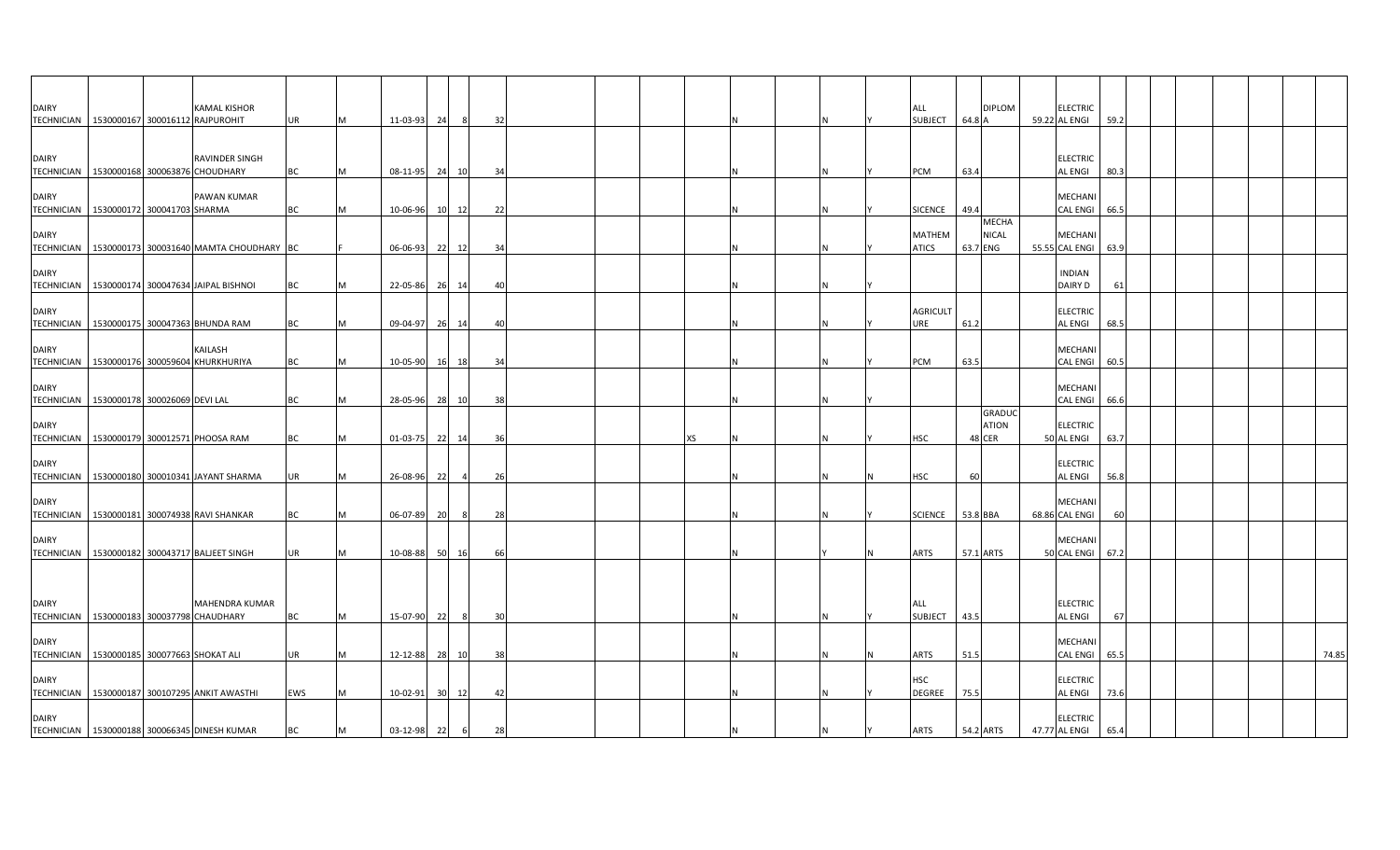| <b>DAIRY</b>                      | TECHNICIAN 1530000167 300016112 RAJPUROHIT      | <b>KAMAL KISHOR</b>   | <b>UR</b>  | M        | 11-03-93       | 24        | - 8            | 32  |  |    |   | ALL<br><b>SUBJECT</b>       | 64.8 A   | <b>DIPLOM</b>                    | <b>ELECTRIC</b><br>59.22 AL ENGI<br>59.2  |  |  |       |
|-----------------------------------|-------------------------------------------------|-----------------------|------------|----------|----------------|-----------|----------------|-----|--|----|---|-----------------------------|----------|----------------------------------|-------------------------------------------|--|--|-------|
| <b>DAIRY</b>                      | TECHNICIAN 1530000168 300063876 CHOUDHARY       | RAVINDER SINGH        | BC         | M        | 08-11-95       |           | 24 10          | 34  |  |    | N | <b>PCM</b>                  | 63.4     |                                  | <b>ELECTRIC</b><br>AL ENGI<br>80.3        |  |  |       |
| <b>DAIRY</b><br><b>TECHNICIAN</b> | 1530000172 300041703 SHARMA                     | PAWAN KUMAR           | BС         | м        | 10-06-96       | <b>10</b> | 12             | 22  |  |    | N | SICENCE                     | 49.4     |                                  | MECHANI<br><b>CAL ENGI</b><br>66.5        |  |  |       |
| <b>DAIRY</b><br><b>TECHNICIAN</b> | 1530000173 300031640 MAMTA CHOUDHARY BC         |                       |            |          | 06-06-93       |           | 22 12          | 34  |  |    | Ν | MATHEM<br><b>ATICS</b>      | 63.7 ENG | <b>MECHA</b><br><b>NICAL</b>     | MECHANI<br>55.55 CAL ENGI 63.9            |  |  |       |
| <b>DAIRY</b>                      | TECHNICIAN 1530000174 300047634 JAIPAL BISHNOI  |                       | BC         | M        | 22-05-86       | 26        | 14             | 40  |  |    |   |                             |          |                                  | <b>INDIAN</b><br>DAIRY D<br>61            |  |  |       |
| <b>DAIRY</b>                      | TECHNICIAN 1530000175 300047363 BHUNDA RAM      |                       | BС         | IM.      | 09-04-97       | - 261     | 14             | -40 |  |    | N | <b>AGRICULT</b><br>URE      | 61.2     |                                  | <b>ELECTRIC</b><br>AL ENGI<br>68.5        |  |  |       |
| <b>DAIRY</b><br><b>TECHNICIAN</b> | 1530000176 300059604 KHURKHURIYA                | KAILASH               | BC         | <b>M</b> | 10-05-90       |           | 16 18          | 34  |  |    | N | PCM                         | 63.5     |                                  | <b>MECHANI</b><br><b>CAL ENGI</b><br>60.5 |  |  |       |
| <b>DAIRY</b>                      | TECHNICIAN   1530000178 300026069 DEVI LAL      |                       | BC         | M        | 28-05-96       | 28        | 10             | 38  |  |    | N |                             |          |                                  | MECHANI<br><b>CAL ENGI</b><br>66.6        |  |  |       |
| <b>DAIRY</b>                      | TECHNICIAN 1530000179 300012571 PHOOSA RAM      |                       | ВC         | M        | 01-03-75       | - 22      | 14             | 36  |  | ХS |   | <b>HSC</b>                  |          | <b>GRADUC</b><br>ATION<br>48 CER | <b>ELECTRIC</b><br>50 AL ENGI<br>63.7     |  |  |       |
| <b>DAIRY</b><br><b>TECHNICIAN</b> | 1530000180 300010341 JAYANT SHARMA              |                       | <b>UR</b>  | M        | 26-08-96       | 22        | $\overline{a}$ | 26  |  |    |   | HSC                         | 60       |                                  | <b>ELECTRIC</b><br>AL ENGI<br>56.8        |  |  |       |
| <b>DAIRY</b>                      | TECHNICIAN 1530000181 300074938 RAVI SHANKAR    |                       | BC         | IM.      | 06-07-89       | -201      | - 8            | 28  |  |    | N | <b>SCIENCE</b>              | 53.8 BBA |                                  | <b>MECHAN</b><br>68.86 CAL ENGI<br>60     |  |  |       |
| <b>DAIRY</b>                      | TECHNICIAN   1530000182 300043717 BALJEET SINGH |                       | UR         | M        | 10-08-88       | 50        | 16             | 66  |  |    |   | ARTS                        |          | 57.1 ARTS                        | MECHANI<br>50 CAL ENGI<br>67.2            |  |  |       |
| <b>DAIRY</b><br>TECHNICIAN        | 1530000183 300037798 CHAUDHARY                  | <b>MAHENDRA KUMAR</b> | BC         | <b>M</b> | 15-07-90       | - 22      | - 8            | 30  |  |    | N | ALL<br>SUBJECT              | 43.5     |                                  | <b>ELECTRIC</b><br>AL ENGI<br>67          |  |  |       |
| <b>DAIRY</b>                      | TECHNICIAN   1530000185 300077663 SHOKAT ALI    |                       | <b>UR</b>  | M        | 12-12-88       | 28        | 10             | 38  |  |    |   | ARTS                        | 51.5     |                                  | MECHANI<br><b>CAL ENGI</b><br>65.5        |  |  | 74.85 |
| <b>DAIRY</b>                      | TECHNICIAN 1530000187 300107295 ANKIT AWASTHI   |                       | <b>EWS</b> | M        | 10-02-91       | 30        | 12             | 42  |  |    | N | <b>HSC</b><br><b>DEGREE</b> | 75.5     |                                  | <b>ELECTRIC</b><br>AL ENGI<br>73.6        |  |  |       |
| <b>DAIRY</b>                      | TECHNICIAN 1530000188 300066345 DINESH KUMAR    |                       | <b>BC</b>  | M        | $03 - 12 - 98$ | 22        | 6              | 28  |  |    | N | <b>ARTS</b>                 |          | 54.2 ARTS                        | <b>ELECTRIC</b><br>47.77 AL ENGI<br>65.4  |  |  |       |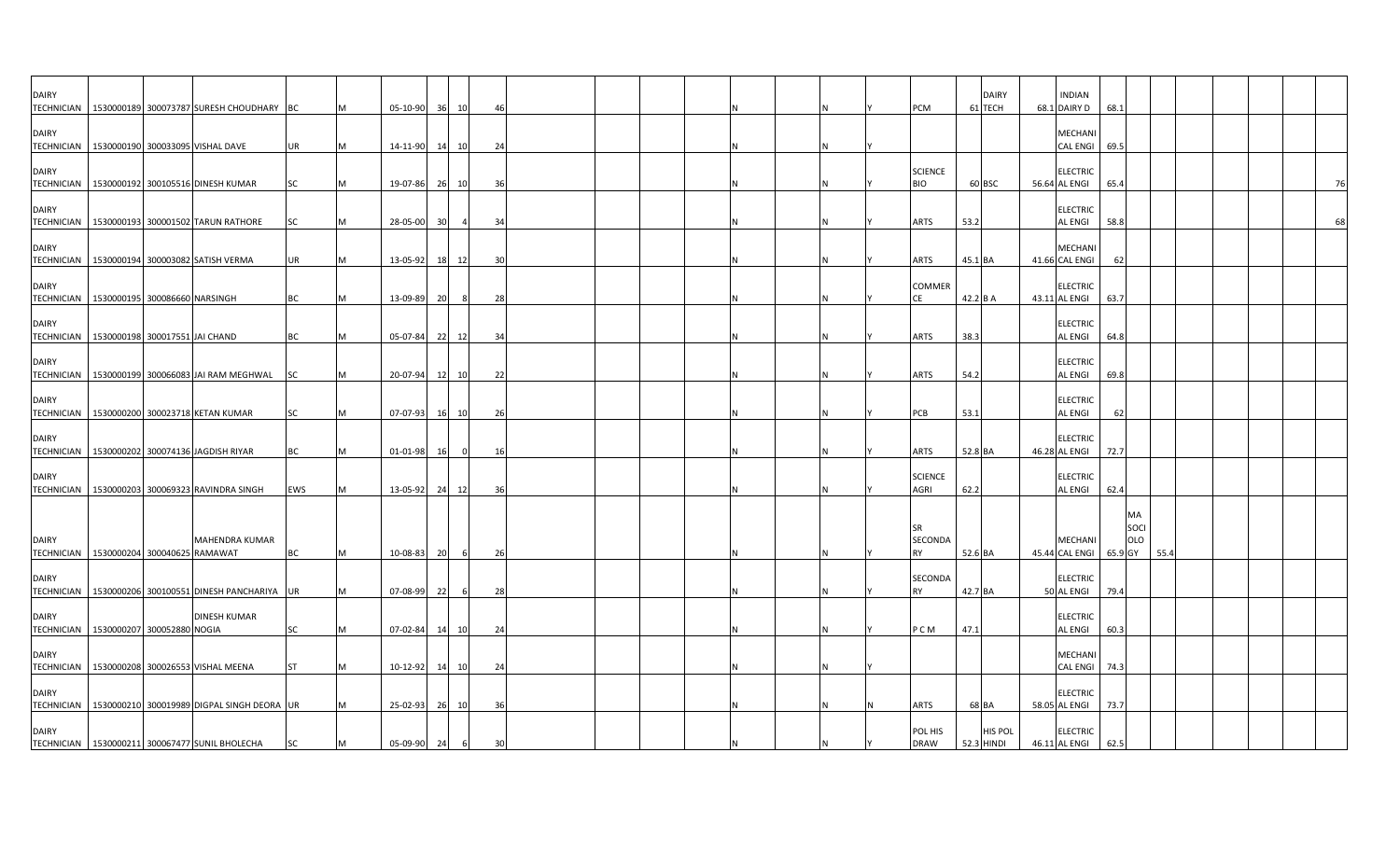| <b>DAIRY</b>                      | TECHNICIAN   1530000189 300073787 SURESH CHOUDHARY BC            |            |   | 05-10-90       | 36              | 10             | 46             |  |  |  |  | PCM                          | <b>DAIRY</b><br>61 TECH      | <b>INDIAN</b><br>68.1 DAIRY D     | 68.1 |                   |      |  |  |    |
|-----------------------------------|------------------------------------------------------------------|------------|---|----------------|-----------------|----------------|----------------|--|--|--|--|------------------------------|------------------------------|-----------------------------------|------|-------------------|------|--|--|----|
| <b>DAIRY</b>                      | TECHNICIAN 1530000190 300033095 VISHAL DAVE                      | UR         |   | 14-11-90       | 14              | 10             | 24             |  |  |  |  |                              |                              | MECHANI<br><b>CAL ENGI</b>        | 69.5 |                   |      |  |  |    |
| <b>DAIRY</b>                      | TECHNICIAN   1530000192 300105516 DINESH KUMAR                   | SC         |   | 19-07-86 26 10 |                 |                | 36             |  |  |  |  | <b>SCIENCE</b><br><b>BIO</b> | 60 BSC                       | <b>ELECTRIC</b><br>56.64 AL ENGI  | 65.4 |                   |      |  |  | 76 |
| <b>DAIRY</b>                      | TECHNICIAN 1530000193 300001502 TARUN RATHORE                    | <b>SC</b>  |   | 28-05-00       | 30 <sup>1</sup> | $\overline{a}$ | 34             |  |  |  |  | <b>ARTS</b>                  | 53.2                         | <b>ELECTRIC</b><br><b>AL ENGI</b> | 58.8 |                   |      |  |  | 68 |
| <b>DAIRY</b>                      | TECHNICIAN 1530000194 300003082 SATISH VERMA                     | UR         |   | 13-05-92       | 18 12           |                | -30            |  |  |  |  | <b>ARTS</b>                  | 45.1 BA                      | MECHAN<br>41.66 CAL ENGI          |      |                   |      |  |  |    |
| <b>DAIRY</b>                      | TECHNICIAN   1530000195 300086660 NARSINGH                       | BC         |   | 13-09-89       | 20              | - 8            | 28             |  |  |  |  | COMMER<br>CE                 | 42.2 B A                     | <b>ELECTRIC</b><br>43.11 AL ENGI  | 63.7 |                   |      |  |  |    |
| <b>DAIRY</b>                      | TECHNICIAN   1530000198 300017551 JAI CHAND                      | ВC         |   | 05-07-84       | 22              | 12             | 34             |  |  |  |  | <b>ARTS</b>                  | 38.3                         | <b>ELECTRIC</b><br><b>AL ENGI</b> | 64.8 |                   |      |  |  |    |
| <b>DAIRY</b>                      | TECHNICIAN   1530000199 300066083 JAI RAM MEGHWAL SC             |            |   | 20-07-94       | 12              | 10             | 22             |  |  |  |  | <b>ARTS</b>                  | 54.2                         | <b>ELECTRIC</b><br><b>AL ENGI</b> | 69.8 |                   |      |  |  |    |
| <b>DAIRY</b>                      | TECHNICIAN 1530000200 300023718 KETAN KUMAR                      | SC         |   | 07-07-93       | 16 10           |                | 26             |  |  |  |  | PCB                          | 53.1                         | <b>ELECTRIC</b><br><b>AL ENGI</b> | 62   |                   |      |  |  |    |
| <b>DAIRY</b>                      | TECHNICIAN 1530000202 300074136 JAGDISH RIYAR                    | BC         |   | 01-01-98       | 16              | $\overline{0}$ | 16             |  |  |  |  | ARTS                         | 52.8 BA                      | <b>ELECTRIC</b><br>46.28 AL ENGI  | 72.7 |                   |      |  |  |    |
| <b>DAIRY</b>                      | TECHNICIAN 1530000203 300069323 RAVINDRA SINGH                   | <b>EWS</b> |   | 13-05-92       | 24 12           |                | 36             |  |  |  |  | <b>SCIENCE</b><br>AGRI       | 62.2                         | <b>ELECTRIC</b><br><b>AL ENGI</b> | 62.4 |                   |      |  |  |    |
| <b>DAIRY</b>                      | <b>MAHENDRA KUMAR</b><br>TECHNICIAN 1530000204 300040625 RAMAWAT | <b>BC</b>  |   | 10-08-83       | 20              | 6              | 26             |  |  |  |  | SECONDA<br><b>RY</b>         | 52.6 BA                      | MECHANI<br>45.44 CAL ENGI 65.9 GY |      | MA<br>SOCI<br>OLO | 55.4 |  |  |    |
| <b>DAIRY</b>                      | TECHNICIAN   1530000206 300100551 DINESH PANCHARIYA UR           |            |   | 07-08-99       | -221            |                | 28             |  |  |  |  | SECONDA<br>RY                | 42.7 BA                      | <b>ELECTRIC</b><br>50 AL ENGI     | 79.4 |                   |      |  |  |    |
| <b>DAIRY</b><br><b>TECHNICIAN</b> | <b>DINESH KUMAR</b><br>1530000207 300052880 NOGIA                | SC         |   | 07-02-84       | 14              | 10             | 24             |  |  |  |  | P C M                        | 47.1                         | <b>ELECTRIC</b><br><b>AL ENGI</b> | 60.3 |                   |      |  |  |    |
| <b>DAIRY</b>                      | TECHNICIAN   1530000208 300026553 VISHAL MEENA                   | <b>ST</b>  |   | 10-12-92       | 14 10           |                | 24             |  |  |  |  |                              |                              | <b>MECHANI</b><br>CAL ENGI        | 74.3 |                   |      |  |  |    |
| <b>DAIRY</b>                      | TECHNICIAN 1530000210 300019989 DIGPAL SINGH DEORA UR            |            |   | 25-02-93       | 26              | 10             | 36             |  |  |  |  | <b>ARTS</b>                  | 68 BA                        | <b>ELECTRIC</b><br>58.05 AL ENGI  | 73.7 |                   |      |  |  |    |
| <b>DAIRY</b>                      | TECHNICIAN 1530000211 300067477 SUNIL BHOLECHA                   | <b>SC</b>  | M | 05-09-90       | 24              | 6              | 3 <sup>0</sup> |  |  |  |  | POL HIS<br><b>DRAW</b>       | <b>HIS POL</b><br>52.3 HINDI | <b>ELECTRIC</b><br>46.11 AL ENGI  | 62.5 |                   |      |  |  |    |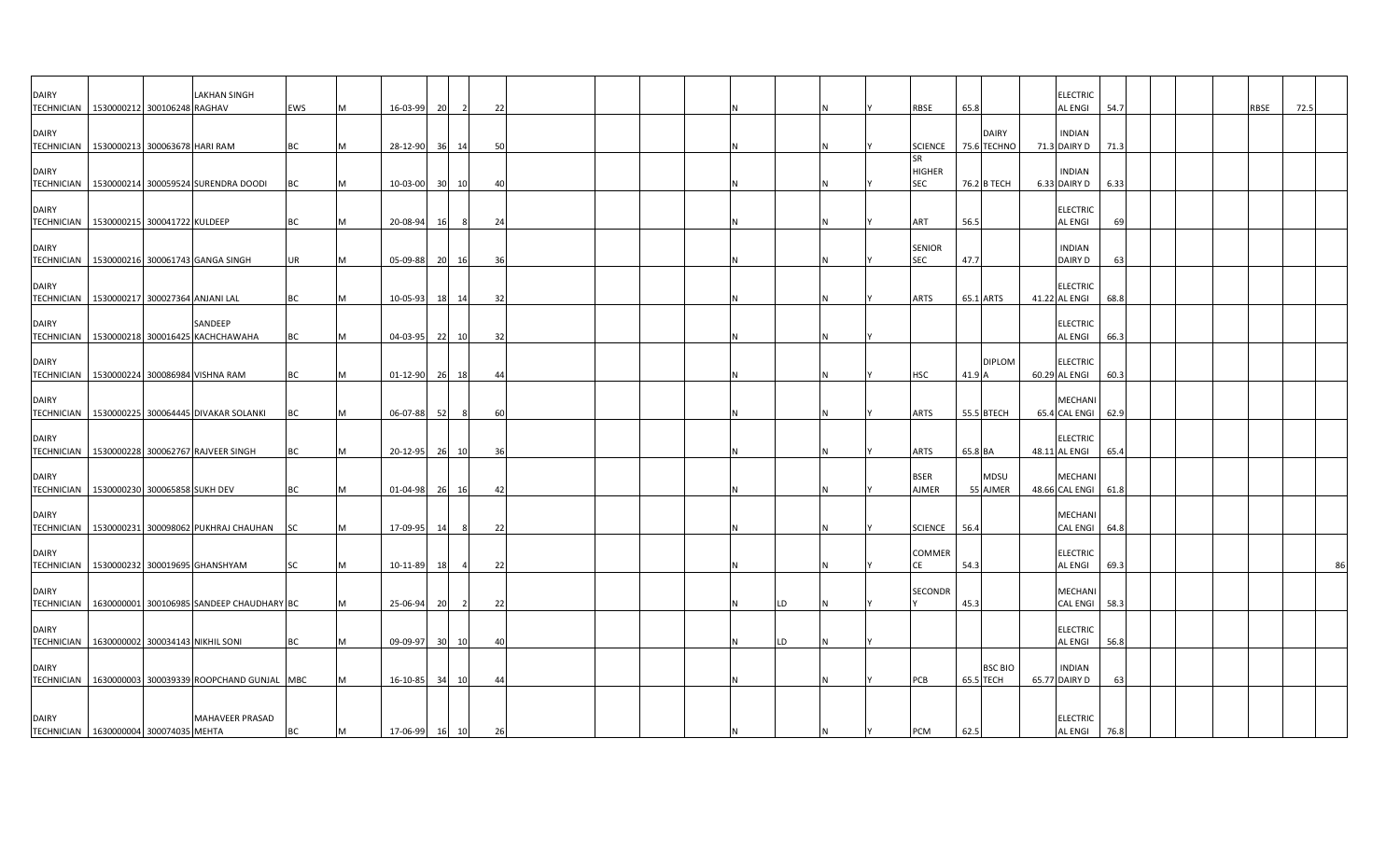| <b>DAIRY</b><br><b>TECHNICIAN</b>                           | 1530000212 300106248 RAGHAV     | <b>LAKHAN SINGH</b>                                    | <b>EWS</b> | M | 16-03-99       | 20 |       | 22 |  |  |    |  | RBSE                                         | 65.8                        | <b>ELECTRIC</b><br>AL ENGI        | 54.7 |  | RBSE | 72.5 |
|-------------------------------------------------------------|---------------------------------|--------------------------------------------------------|------------|---|----------------|----|-------|----|--|--|----|--|----------------------------------------------|-----------------------------|-----------------------------------|------|--|------|------|
| <b>DAIRY</b>                                                |                                 |                                                        |            |   |                |    |       |    |  |  |    |  |                                              | <b>DAIRY</b>                | <b>INDIAN</b>                     |      |  |      |      |
| TECHNICIAN 1530000213 300063678 HARI RAM<br><b>DAIRY</b>    |                                 |                                                        | <b>BC</b>  | M | 28-12-90       | 36 | 14    | 50 |  |  |    |  | <b>SCIENCE</b><br><b>SR</b><br><b>HIGHER</b> | 75.6 TECHNO                 | 71.3 DAIRY D<br><b>INDIAN</b>     | 71.3 |  |      |      |
|                                                             |                                 | TECHNICIAN 1530000214 300059524 SURENDRA DOODI         | BC         | M | 10-03-00 30 10 |    |       | 40 |  |  |    |  | <b>SEC</b>                                   | 76.2 B TECH                 | 6.33 DAIRY D                      | 6.33 |  |      |      |
| <b>DAIRY</b><br>TECHNICIAN 1530000215 300041722 KULDEEP     |                                 |                                                        | <b>BC</b>  | M | 20-08-94       | 16 | 8     | 24 |  |  |    |  | ART                                          | 56.5                        | <b>ELECTRIC</b><br><b>AL ENGI</b> | 69   |  |      |      |
| <b>DAIRY</b>                                                |                                 | TECHNICIAN 1530000216 300061743 GANGA SINGH            | <b>UR</b>  | M | 05-09-88       | 20 | 16    | 36 |  |  |    |  | <b>SENIOR</b><br><b>SEC</b>                  | 47.7                        | <b>INDIAN</b><br>DAIRY D          | 63   |  |      |      |
| <b>DAIRY</b>                                                |                                 |                                                        |            |   |                |    |       |    |  |  |    |  |                                              |                             | <b>ELECTRIC</b>                   |      |  |      |      |
| <b>TECHNICIAN</b>                                           | 1530000217 300027364 ANJANI LAL |                                                        | <b>BC</b>  | M | 10-05-93       |    | 18 14 | 32 |  |  |    |  | <b>ARTS</b>                                  | 65.1 ARTS                   | 41.22 AL ENGI                     | 68.8 |  |      |      |
| <b>DAIRY</b><br>TECHNICIAN                                  |                                 | SANDEEP<br>1530000218 300016425 KACHCHAWAHA            | <b>BC</b>  | M | 04-03-95 22 10 |    |       | 32 |  |  |    |  |                                              |                             | <b>ELECTRIC</b><br>AL ENGI        | 66.3 |  |      |      |
| <b>DAIRY</b><br>TECHNICIAN 1530000224 300086984 VISHNA RAM  |                                 |                                                        | <b>BC</b>  | M | $01 - 12 - 90$ | 26 | 18    | 44 |  |  |    |  | HSC                                          | <b>DIPLOM</b><br>41.9 A     | <b>ELECTRIC</b><br>60.29 AL ENGI  | 60.3 |  |      |      |
| <b>DAIRY</b>                                                |                                 | TECHNICIAN   1530000225 300064445 DIVAKAR SOLANKI      | <b>BC</b>  | M | 06-07-88       | 52 |       | 60 |  |  |    |  | <b>ARTS</b>                                  | 55.5 BTECH                  | MECHANI<br>65.4 CAL ENGI          | 62.9 |  |      |      |
| <b>DAIRY</b>                                                |                                 |                                                        |            |   |                |    |       |    |  |  |    |  |                                              |                             | <b>ELECTRIC</b>                   |      |  |      |      |
|                                                             |                                 | TECHNICIAN   1530000228 300062767 RAJVEER SINGH        | BC         | M | 20-12-95 26 10 |    |       | 36 |  |  |    |  | ARTS                                         | 65.8 BA                     | 48.11 AL ENGI                     | 65.4 |  |      |      |
| <b>DAIRY</b><br>TECHNICIAN 1530000230 300065858 SUKH DEV    |                                 |                                                        | <b>BC</b>  | M | 01-04-98 26 16 |    |       | 42 |  |  |    |  | <b>BSER</b><br>AJMER                         | <b>MDSU</b><br>55 AJMER     | MECHANI<br>48.66 CAL ENGI 61.8    |      |  |      |      |
| <b>DAIRY</b><br>TECHNICIAN                                  |                                 | 1530000231 300098062 PUKHRAJ CHAUHAN SC                |            | M | 17-09-95       | 14 |       | 22 |  |  |    |  | <b>SCIENCE</b>                               | 56.4                        | MECHANI<br><b>CAL ENGI</b>        | 64.8 |  |      |      |
| <b>DAIRY</b><br><b>TECHNICIAN</b>                           |                                 | 1530000232 300019695 GHANSHYAM                         | SC         | M | 10-11-89       | 18 |       | 22 |  |  |    |  | <b>COMMER</b>                                | 54.3                        | <b>ELECTRIC</b><br>AL ENGI        | 69.3 |  |      | 86   |
| <b>DAIRY</b>                                                |                                 | TECHNICIAN   1630000001 300106985 SANDEEP CHAUDHARY BC |            |   | 25-06-94       | 20 |       | 22 |  |  | LD |  | <b>SECONDR</b>                               | 45.3                        | <b>MECHANI</b><br><b>CAL ENGI</b> | 58.3 |  |      |      |
| <b>DAIRY</b><br>TECHNICIAN 1630000002 300034143 NIKHIL SONI |                                 |                                                        | <b>BC</b>  | M | 09-09-97       | 30 | 10    | 40 |  |  | LD |  |                                              |                             | <b>ELECTRIC</b><br><b>AL ENGI</b> | 56.8 |  |      |      |
| <b>DAIRY</b>                                                |                                 | TECHNICIAN   1630000003 300039339 ROOPCHAND GUNJAL MBC |            |   | 16-10-85 34 10 |    |       | 44 |  |  |    |  | PCB                                          | <b>BSC BIO</b><br>65.5 TECH | <b>INDIAN</b><br>65.77 DAIRY D    | 63   |  |      |      |
| <b>DAIRY</b>                                                |                                 | MAHAVEER PRASAD                                        |            |   |                |    |       |    |  |  |    |  |                                              |                             | <b>ELECTRIC</b>                   |      |  |      |      |
| TECHNICIAN 1630000004 300074035 MEHTA                       |                                 |                                                        | <b>BC</b>  | M | 17-06-99 16 10 |    |       | 26 |  |  |    |  | <b>PCM</b>                                   | 62.5                        | <b>AL ENGI</b>                    | 76.8 |  |      |      |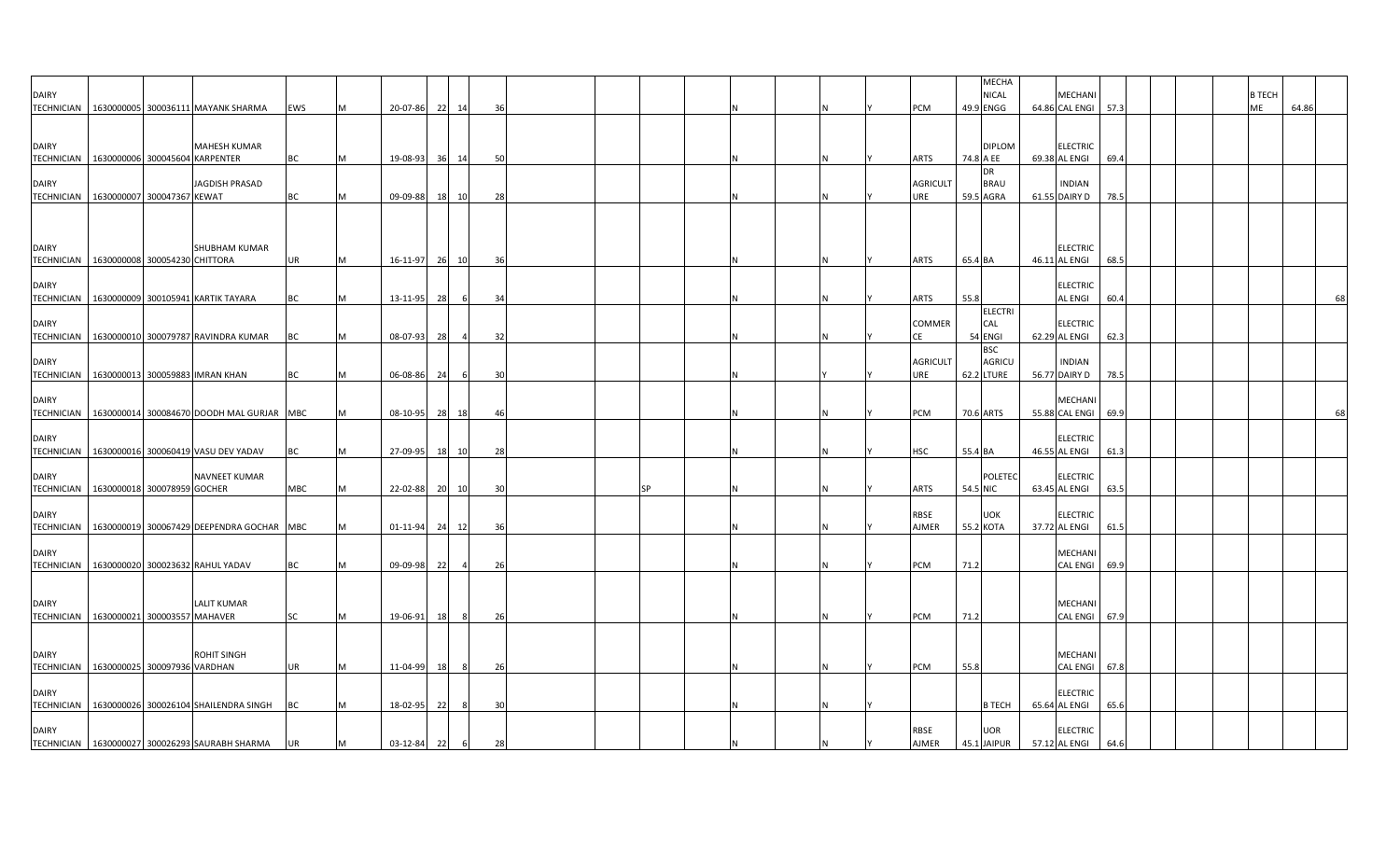| <b>DAIRY</b><br><b>TECHNICIAN</b>                          |                                | 1630000005 300036111 MAYANK SHARMA                 | EWS        | <b>M</b> | 20-07-86 | 22 14    |                | 36 |           |  |  | PCM                    | 49.9 ENGG  | MECHA<br><b>NICAL</b>     | MECHANI<br>64.86 CAL ENGI 57.3   |      |  | <b>B TECH</b><br>ME | 64.86 |    |
|------------------------------------------------------------|--------------------------------|----------------------------------------------------|------------|----------|----------|----------|----------------|----|-----------|--|--|------------------------|------------|---------------------------|----------------------------------|------|--|---------------------|-------|----|
| <b>DAIRY</b><br><b>TECHNICIAN</b>                          | 1630000006 300045604 KARPENTER | MAHESH KUMAR                                       | BC         |          | 19-08-93 | 36       | 14             | 50 |           |  |  | ARTS                   | 74.8 A EE  | <b>DIPLOM</b>             | <b>ELECTRIC</b><br>69.38 AL ENGI | 69.4 |  |                     |       |    |
| <b>DAIRY</b><br><b>TECHNICIAN</b>                          | 1630000007 300047367 KEWAT     | JAGDISH PRASAD                                     | BC         | м        | 09-09-88 | 18 10    |                | 28 |           |  |  | <b>AGRICULT</b><br>JRE | 59.5 AGRA  | DR<br><b>BRAU</b>         | <b>INDIAN</b><br>61.55 DAIRY D   | 78.5 |  |                     |       |    |
| <b>DAIRY</b><br>TECHNICIAN   1630000008 300054230 CHITTORA |                                | <b>SHUBHAM KUMAR</b>                               | <b>UR</b>  | M        | 16-11-97 | 26 10    |                | 36 |           |  |  | ARTS                   | 65.4 BA    |                           | <b>ELECTRIC</b><br>46.11 AL ENGI | 68.5 |  |                     |       |    |
| <b>DAIRY</b>                                               |                                | TECHNICIAN   1630000009 300105941 KARTIK TAYARA    | <b>BC</b>  | M        | 13-11-95 | 28       | 6              | 34 |           |  |  | ARTS                   | 55.8       |                           | <b>ELECTRIC</b><br>AL ENGI       | 60.4 |  |                     |       |    |
| <b>DAIRY</b><br>TECHNICIAN                                 |                                | 1630000010 300079787 RAVINDRA KUMAR                | BC         |          | 08-07-93 | 28       |                | 32 |           |  |  | COMMER<br>СE           | 54 ENGI    | ELECTRI<br>CAL            | <b>ELECTRIC</b><br>62.29 AL ENGI | 62.3 |  |                     |       |    |
| DAIRY<br><b>TECHNICIAN</b>                                 |                                | 1630000013 300059883 IMRAN KHAN                    | BC         |          | 06-08-86 | 24       | 30<br>-6       |    |           |  |  | <b>AGRICULT</b><br>JRE | 62.2 LTURE | <b>BSC</b><br>AGRICU      | <b>INDIAN</b><br>56.77 DAIRY D   | 78.5 |  |                     |       |    |
| <b>DAIRY</b><br><b>TECHNICIAN</b>                          |                                | 1630000014 300084670 DOODH MAL GURJAR MBC          |            |          | 08-10-95 | 28 18    |                | 46 |           |  |  | PCM                    | 70.6 ARTS  |                           | MECHANI<br>55.88 CAL ENGI        | 69.9 |  |                     |       | 68 |
| <b>DAIRY</b><br><b>TECHNICIAN</b>                          |                                | 1630000016 300060419 VASU DEV YADAV                | BC         |          | 27-09-95 | 18 10    |                | 28 |           |  |  | HSC                    | 55.4 BA    |                           | ELECTRIC<br>46.55 AL ENGI        | 61.3 |  |                     |       |    |
| <b>DAIRY</b><br><b>TECHNICIAN</b>                          | 1630000018 300078959 GOCHER    | NAVNEET KUMAR                                      | <b>MBC</b> | IM.      | 22-02-88 | 20<br>10 |                | 30 | <b>SP</b> |  |  | <b>ARTS</b>            | 54.5 NIC   | POLETEC                   | <b>ELECTRIC</b><br>63.45 AL ENGI | 63.5 |  |                     |       |    |
| <b>DAIRY</b><br><b>TECHNICIAN</b>                          |                                | 1630000019 300067429 DEEPENDRA GOCHAR MBC          |            | M        | 01-11-94 | 24<br>12 | 36             |    |           |  |  | RBSE<br>AJMER          | 55.2 KOTA  | <b>UOK</b>                | <b>ELECTRIC</b><br>37.72 AL ENGI | 61.5 |  |                     |       |    |
| <b>DAIRY</b><br><b>TECHNICIAN</b>                          |                                | 1630000020 300023632 RAHUL YADAV                   | BC         |          | 09-09-98 | 22       | $\overline{4}$ | 26 |           |  |  | PCM                    | 71.2       |                           | MECHANI<br><b>CAL ENGI</b>       | 69.9 |  |                     |       |    |
| <b>DAIRY</b><br>TECHNICIAN 1630000021 300003557 MAHAVER    |                                | <b>LALIT KUMAR</b>                                 | <b>SC</b>  | M        | 19-06-91 | 18       | - 8            | 26 |           |  |  | PCM                    | 71.2       |                           | MECHANI<br><b>CAL ENGI</b>       | 67.9 |  |                     |       |    |
| <b>DAIRY</b><br>TECHNICIAN 1630000025 300097936 VARDHAN    |                                | <b>ROHIT SINGH</b>                                 | UR         |          | 11-04-99 | 18       | -8             | 26 |           |  |  | PCM                    | 55.8       |                           | MECHANI<br>CAL ENGI              | 67.8 |  |                     |       |    |
| <b>DAIRY</b>                                               |                                | TECHNICIAN   1630000026 300026104 SHAILENDRA SINGH | BC         |          | 18-02-95 | 22       |                | 30 |           |  |  |                        |            | <b>B TECH</b>             | <b>ELECTRIC</b><br>65.64 AL ENGI | 65.6 |  |                     |       |    |
| <b>DAIRY</b>                                               |                                | TECHNICIAN 1630000027 300026293 SAURABH SHARMA     | <b>UR</b>  | M        | 03-12-84 | 22       | 6              | 28 |           |  |  | RBSE<br>AJMER          |            | <b>UOR</b><br>45.1 JAIPUR | ELECTRIC<br>57.12 AL ENGI        | 64.6 |  |                     |       |    |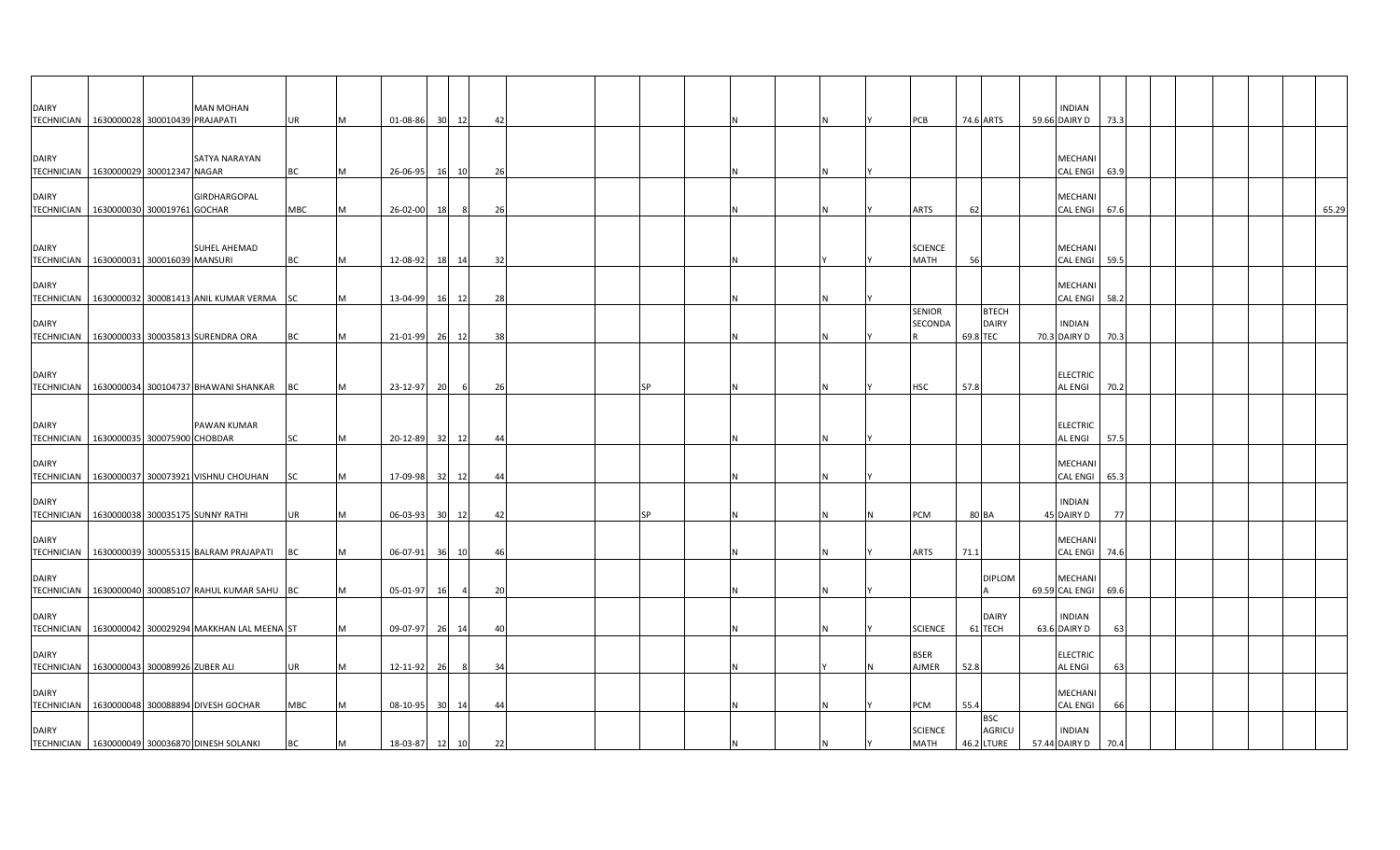| <b>DAIRY</b><br>TECHNICIAN 1630000028 300010439 PRAJAPATI   |  | <b>MAN MOHAN</b>                                       | UR        | IM  | 01-08-86 30    |    | 12    | 42 |  |           |  |   | PCB                           |          | 74.6 ARTS                    | INDIAN<br>59.66 DAIRY D        | 73.3 |  |  |       |
|-------------------------------------------------------------|--|--------------------------------------------------------|-----------|-----|----------------|----|-------|----|--|-----------|--|---|-------------------------------|----------|------------------------------|--------------------------------|------|--|--|-------|
| <b>DAIRY</b><br>TECHNICIAN   1630000029 300012347 NAGAR     |  | SATYA NARAYAN                                          | <b>BC</b> | M   | 26-06-95       |    | 16 10 | 26 |  |           |  | N |                               |          |                              | MECHANI<br>CAL ENGI            | 63.9 |  |  |       |
| <b>DAIRY</b><br>TECHNICIAN   1630000030 300019761 GOCHAR    |  | GIRDHARGOPAL                                           | MBC       |     | 26-02-00       | 18 | 8     | 26 |  |           |  |   | ARTS                          | 62       |                              | MECHANI<br>CAL ENGI            | 67.6 |  |  | 65.29 |
| <b>DAIRY</b><br>TECHNICIAN 1630000031 300016039 MANSURI     |  | SUHEL AHEMAD                                           | <b>BC</b> | IM. | 12-08-92       |    | 18 14 | 32 |  |           |  |   | <b>SCIENCE</b><br><b>MATH</b> | 56       |                              | MECHANI<br><b>CAL ENGI</b>     | 59.5 |  |  |       |
| <b>DAIRY</b>                                                |  | TECHNICIAN   1630000032 300081413 ANIL KUMAR VERMA SC  |           |     | 13-04-99       |    | 16 12 | 28 |  |           |  |   |                               |          |                              | MECHANI<br>CAL ENGI            | 58.2 |  |  |       |
| <b>DAIRY</b>                                                |  | TECHNICIAN 1630000033 300035813 SURENDRA ORA           | <b>BC</b> |     | 21-01-99 26    |    | 12    | 38 |  |           |  |   | <b>SENIOR</b><br>SECONDA      | 69.8 TEC | <b>BTECH</b><br><b>DAIRY</b> | <b>INDIAN</b><br>70.3 DAIRY D  | 70.3 |  |  |       |
| <b>DAIRY</b>                                                |  | TECHNICIAN 1630000034 300104737 BHAWANI SHANKAR BC     |           |     | 23-12-97       | 20 | 6     | 26 |  | <b>SP</b> |  |   | HSC                           | 57.8     |                              | <b>ELECTRIC</b><br>AL ENGI     | 70.2 |  |  |       |
| <b>DAIRY</b><br>TECHNICIAN 1630000035 300075900 CHOBDAR     |  | PAWAN KUMAR                                            | SC        | M   | 20-12-89 32    |    | 12    | 44 |  |           |  | N |                               |          |                              | ELECTRIC<br>AL ENGI            | 57.5 |  |  |       |
| <b>DAIRY</b><br><b>TECHNICIAN</b>                           |  | 1630000037 300073921 VISHNU CHOUHAN                    | SC        |     | 17-09-98 32    |    | 12    | 44 |  |           |  |   |                               |          |                              | MECHANI<br><b>CAL ENGI</b>     | 65.3 |  |  |       |
| <b>DAIRY</b>                                                |  | TECHNICIAN   1630000038 300035175 SUNNY RATHI          | UR        | M   | 06-03-93       |    | 30 12 | 42 |  | SP        |  |   | PCM                           | 80 BA    |                              | <b>INDIAN</b><br>45 DAIRY D    | 77   |  |  |       |
| <b>DAIRY</b>                                                |  | TECHNICIAN 1630000039 300055315 BALRAM PRAJAPATI       | <b>BC</b> | M   | 06-07-91       | 36 | 10    | 46 |  |           |  |   | ARTS                          | 71.1     |                              | MECHANI<br><b>CAL ENGI</b>     | 74.6 |  |  |       |
| <b>DAIRY</b>                                                |  | TECHNICIAN   1630000040 300085107 RAHUL KUMAR SAHU BC  |           |     | 05-01-97       | 16 |       | 20 |  |           |  |   |                               |          | <b>DIPLOM</b>                | MECHANI<br>69.59 CAL ENGI      | 69.6 |  |  |       |
| <b>DAIRY</b>                                                |  | TECHNICIAN   1630000042 300029294 MAKKHAN LAL MEENA ST |           | M   | 09-07-97 26 14 |    |       | 40 |  |           |  |   | <b>SCIENCE</b>                |          | <b>DAIRY</b><br>61 TECH      | <b>INDIAN</b><br>63.6 DAIRY D  | 63   |  |  |       |
| <b>DAIRY</b><br>TECHNICIAN   1630000043 300089926 ZUBER ALI |  |                                                        | UR        |     | 12-11-92 26    |    | 8     | 34 |  |           |  |   | BSER<br>AJMER                 | 52.8     |                              | ELECTRIC<br>AL ENGI            | 63   |  |  |       |
| <b>DAIRY</b>                                                |  | TECHNICIAN 1630000048 300088894 DIVESH GOCHAR          | MBC       |     | 08-10-95 30 14 |    |       | 44 |  |           |  |   | PCM                           | 55.4     | <b>BSC</b>                   | MECHANI<br>CAL ENGI            | 66   |  |  |       |
| <b>DAIRY</b>                                                |  | TECHNICIAN   1630000049 300036870 DINESH SOLANKI       | BC        | M   | 18-03-87       | 12 | 10    | 22 |  |           |  |   | <b>SCIENCE</b><br><b>MATH</b> |          | AGRICU<br>46.2 LTURE         | <b>INDIAN</b><br>57.44 DAIRY D | 70.4 |  |  |       |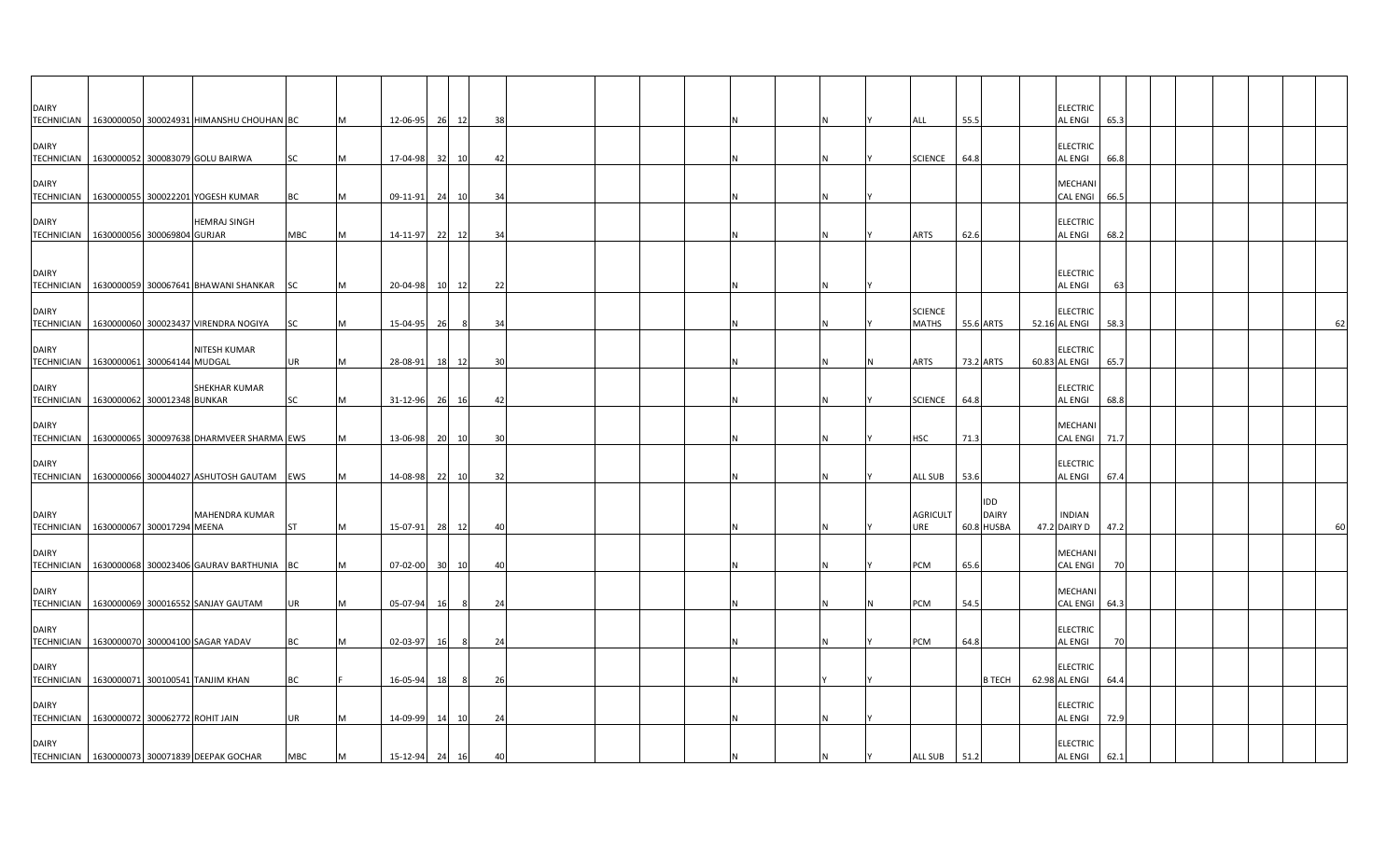| <b>DAIRY</b>                                               |                             |                                                         |            |   |                |                 |       |    |  |  |  |  |                                |      |                            | <b>ELECTRIC</b>                   |      |  |  |    |
|------------------------------------------------------------|-----------------------------|---------------------------------------------------------|------------|---|----------------|-----------------|-------|----|--|--|--|--|--------------------------------|------|----------------------------|-----------------------------------|------|--|--|----|
|                                                            |                             | TECHNICIAN 1630000050 300024931 HIMANSHU CHOUHAN BC     |            |   | 12-06-95       | 26              | 12    | 38 |  |  |  |  | ALL                            | 55.5 |                            | AL ENGI                           | 65.3 |  |  |    |
| <b>DAIRY</b><br><b>TECHNICIAN</b>                          |                             | 1630000052 300083079 GOLU BAIRWA                        | <b>SC</b>  | M | 17-04-98 32    |                 | 10    | 42 |  |  |  |  | <b>SCIENCE</b>                 | 64.8 |                            | <b>ELECTRIC</b><br>AL ENGI        | 66.8 |  |  |    |
| <b>DAIRY</b><br><b>TECHNICIAN</b>                          |                             | 1630000055 300022201 YOGESH KUMAR                       | BC         |   | 09-11-91       | 24              | 10    | 34 |  |  |  |  |                                |      |                            | MECHANI<br><b>CAL ENGI</b>        | 66.5 |  |  |    |
| <b>DAIRY</b><br>TECHNICIAN 1630000056 300069804 GURJAR     |                             | <b>HEMRAJ SINGH</b>                                     | <b>MBC</b> | м | 14-11-97       | 22              | 12    | 34 |  |  |  |  | ARTS                           | 62.6 |                            | <b>ELECTRIC</b><br><b>AL ENGI</b> | 68.2 |  |  |    |
|                                                            |                             |                                                         |            |   |                |                 |       |    |  |  |  |  |                                |      |                            |                                   |      |  |  |    |
| <b>DAIRY</b>                                               |                             | TECHNICIAN 1630000059 300067641 BHAWANI SHANKAR SC      |            | M | 20-04-98       |                 | 10 12 | 22 |  |  |  |  |                                |      |                            | <b>ELECTRIC</b><br>AL ENGI        | 63   |  |  |    |
| <b>DAIRY</b><br><b>TECHNICIAN</b>                          |                             | 1630000060 300023437 VIRENDRA NOGIYA                    | SC         |   | 15-04-95       | - 26            | -8    | 34 |  |  |  |  | <b>SCIENCE</b><br><b>MATHS</b> |      | 55.6 ARTS                  | <b>ELECTRIC</b><br>52.16 AL ENGI  | 58.3 |  |  | 62 |
| <b>DAIRY</b><br>TECHNICIAN 1630000061 300064144 MUDGAL     |                             | NITESH KUMAR                                            | UR         |   | 28-08-91       | 18              | 12    | 30 |  |  |  |  | ARTS                           |      | 73.2 ARTS                  | <b>ELECTRIC</b><br>60.83 AL ENGI  | 65.7 |  |  |    |
| <b>DAIRY</b><br><b>TECHNICIAN</b>                          | 1630000062 300012348 BUNKAR | SHEKHAR KUMAR                                           | <b>SC</b>  |   | 31-12-96 26 16 |                 |       | 42 |  |  |  |  | <b>SCIENCE</b>                 | 64.8 |                            | <b>ELECTRIC</b><br>AL ENGI        | 68.8 |  |  |    |
|                                                            |                             |                                                         |            |   |                |                 |       |    |  |  |  |  |                                |      |                            |                                   |      |  |  |    |
| <b>DAIRY</b>                                               |                             | TECHNICIAN   1630000065 300097638 DHARMVEER SHARMA EWS  |            |   | 13-06-98       |                 | 20 10 | 30 |  |  |  |  | HSC                            | 71.3 |                            | MECHANI<br><b>CAL ENGI</b>        | 71.7 |  |  |    |
| <b>DAIRY</b>                                               |                             | TECHNICIAN   1630000066 300044027 ASHUTOSH GAUTAM   EWS |            |   | 14-08-98       | 22              | 10    | 32 |  |  |  |  | ALL SUB                        | 53.6 |                            | <b>ELECTRIC</b><br>AL ENGI        | 67.4 |  |  |    |
| <b>DAIRY</b>                                               |                             | <b>MAHENDRA KUMAR</b>                                   |            |   |                |                 |       |    |  |  |  |  | <b>AGRICULT</b>                |      | <b>IDD</b><br><b>DAIRY</b> | <b>INDIAN</b>                     |      |  |  |    |
| TECHNICIAN   1630000067 300017294 MEENA                    |                             |                                                         | <b>ST</b>  |   | 15-07-91       | 28              | 12    | 40 |  |  |  |  | URE                            |      | 60.8 HUSBA                 | 47.2 DAIRY D                      | 47.2 |  |  |    |
| <b>DAIRY</b><br><b>TECHNICIAN</b>                          |                             | 1630000068 300023406 GAURAV BARTHUNIA BC                |            |   | 07-02-00       | 30 <sup>°</sup> | 10    | 40 |  |  |  |  | PCM                            | 65.6 |                            | MECHANI<br><b>CAL ENGI</b>        | - 70 |  |  |    |
| <b>DAIRY</b>                                               |                             | TECHNICIAN   1630000069 300016552 SANJAY GAUTAM         | UR         |   | $05 - 07 - 94$ | 16              | 8     | 24 |  |  |  |  | PCM                            | 54.5 |                            | MECHANI<br>CAL ENGI               | 64.3 |  |  |    |
| <b>DAIRY</b>                                               |                             | TECHNICIAN 1630000070 300004100 SAGAR YADAV             | BC         |   | 02-03-97       | 16              | 8     | 24 |  |  |  |  | PCM                            | 64.8 |                            | <b>ELECTRIC</b><br>AL ENGI        | 70   |  |  |    |
| <b>DAIRY</b>                                               |                             |                                                         |            |   |                |                 |       |    |  |  |  |  |                                |      |                            | <b>ELECTRIC</b>                   |      |  |  |    |
| <b>DAIRY</b>                                               |                             | TECHNICIAN 1630000071 300100541 TANJIM KHAN             | BC         |   | 16-05-94       | <b>18</b>       | -8    | 26 |  |  |  |  |                                |      | <b>B TECH</b>              | 62.98 AL ENGI<br><b>ELECTRIC</b>  | 64.4 |  |  |    |
| TECHNICIAN 1630000072 300062772 ROHIT JAIN<br><b>DAIRY</b> |                             |                                                         | <b>UR</b>  |   | 14-09-99       | - 141           | 10    | 24 |  |  |  |  |                                |      |                            | AL ENGI<br><b>ELECTRIC</b>        | 72.9 |  |  |    |
|                                                            |                             | TECHNICIAN   1630000073 300071839 DEEPAK GOCHAR         | <b>MBC</b> |   | 15-12-94 24    |                 | 16    | 40 |  |  |  |  | <b>ALL SUB</b>                 | 51.2 |                            | AL ENGI                           | 62.1 |  |  |    |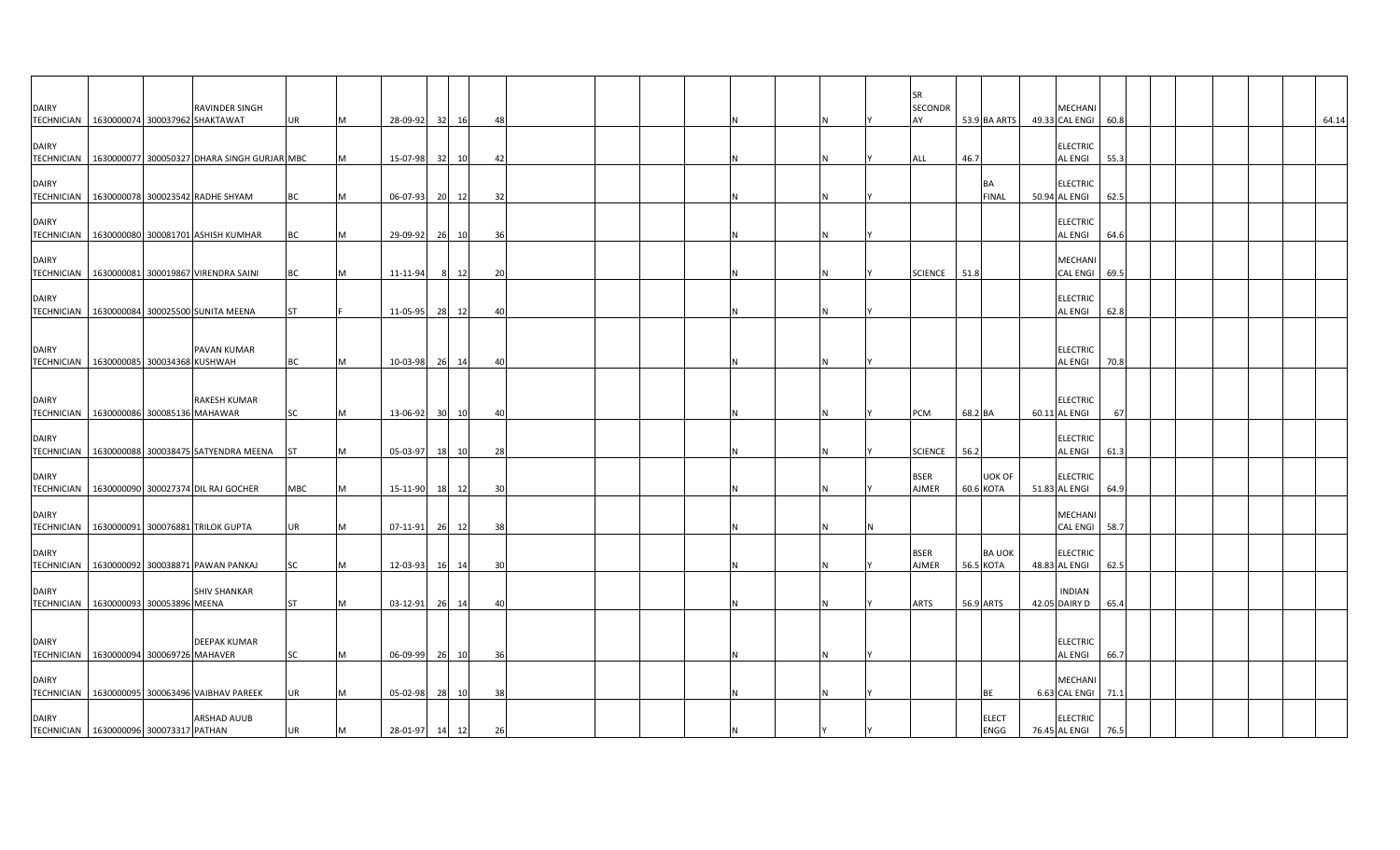| <b>DAIRY</b><br>TECHNICIAN 1630000074 300037962 SHAKTAWAT |  | RAVINDER SINGH                                           | <b>UR</b> |   | 28-09-92       | 32 | 16    | 48 |  |  |  |   | <b>SR</b><br><b>SECONDR</b><br>AY | 53.9 BA ARTS              |               | MECHANI<br>49.33 CAL ENGI        | 60.8 |  | 64.14 |
|-----------------------------------------------------------|--|----------------------------------------------------------|-----------|---|----------------|----|-------|----|--|--|--|---|-----------------------------------|---------------------------|---------------|----------------------------------|------|--|-------|
| <b>DAIRY</b>                                              |  | TECHNICIAN   1630000077 300050327 DHARA SINGH GURJAR MBC |           |   | 15-07-98       |    | 32 10 | 42 |  |  |  |   | ALL                               | 46.7                      |               | ELECTRIC<br>AL ENGI              | 55.3 |  |       |
| <b>DAIRY</b>                                              |  | TECHNICIAN 1630000078 300023542 RADHE SHYAM              | BC        |   | 06-07-93       |    | 20 12 | 32 |  |  |  |   |                                   | <b>BA</b><br><b>FINAL</b> |               | <b>ELECTRIC</b><br>50.94 AL ENGI | 62.5 |  |       |
| <b>DAIRY</b>                                              |  | TECHNICIAN   1630000080 300081701 ASHISH KUMHAR          | BC        |   | 29-09-92       |    | 26 10 | 36 |  |  |  |   |                                   |                           |               | ELECTRIC<br>AL ENGI              | 64.6 |  |       |
| <b>DAIRY</b>                                              |  | TECHNICIAN   1630000081 300019867 VIRENDRA SAINI         | BC        |   | 11-11-94       | 8  | 12    | 20 |  |  |  | N | <b>SCIENCE</b>                    | 51.8                      |               | MECHANI<br><b>CAL ENGI</b>       | 69.5 |  |       |
| <b>DAIRY</b>                                              |  | TECHNICIAN 1630000084 300025500 SUNITA MEENA             | <b>ST</b> |   | 11-05-95       | 28 | 12    | 40 |  |  |  |   |                                   |                           |               | <b>ELECTRIC</b><br>AL ENGI       | 62.8 |  |       |
| <b>DAIRY</b><br>TECHNICIAN   1630000085 300034368 KUSHWAH |  | PAVAN KUMAR                                              | BC        | м | 10-03-98       |    | 26 14 | 40 |  |  |  |   |                                   |                           |               | <b>ELECTRIC</b><br>AL ENGI       | 70.8 |  |       |
| <b>DAIRY</b><br>TECHNICIAN 1630000086 300085136 MAHAWAR   |  | <b>RAKESH KUMAR</b>                                      | SC        | M | 13-06-92       |    | 30 10 | 40 |  |  |  |   | PCM                               | 68.2 BA                   |               | <b>ELECTRIC</b><br>60.11 AL ENGI | 67   |  |       |
| <b>DAIRY</b>                                              |  | TECHNICIAN 1630000088 300038475 SATYENDRA MEENA          | <b>ST</b> |   | 05-03-97       |    | 18 10 | 28 |  |  |  |   | <b>SCIENCE</b>                    | 56.2                      |               | <b>ELECTRIC</b><br>AL ENGI       | 61.3 |  |       |
| <b>DAIRY</b>                                              |  | TECHNICIAN   1630000090 300027374 DIL RAJ GOCHER         | MBC       | M | 15-11-90       |    | 18 12 | 30 |  |  |  |   | <b>BSER</b><br><b>AJMER</b>       | 60.6 KOTA                 | UOK OF        | <b>ELECTRIC</b><br>51.83 AL ENGI | 64.9 |  |       |
| <b>DAIRY</b><br><b>TECHNICIAN</b>                         |  | 1630000091 300076881 TRILOK GUPTA                        | <b>UR</b> | M | 07-11-91       |    | 26 12 | 38 |  |  |  |   |                                   |                           |               | MECHANI<br>CAL ENGI              | 58.7 |  |       |
| <b>DAIRY</b>                                              |  | TECHNICIAN   1630000092 300038871 PAWAN PANKAJ           | SC        |   | 12-03-93       | 16 | 14    | 30 |  |  |  |   | <b>BSER</b><br>AJMER              | 56.5 KOTA                 | <b>BA UOK</b> | <b>ELECTRIC</b><br>48.83 AL ENGI | 62.5 |  |       |
| <b>DAIRY</b><br>TECHNICIAN   1630000093 300053896 MEENA   |  | <b>SHIV SHANKAR</b>                                      | <b>ST</b> |   | 03-12-91       | 26 | 14    | 40 |  |  |  |   | <b>ARTS</b>                       | 56.9 ARTS                 |               | <b>INDIAN</b><br>42.05 DAIRY D   | 65.4 |  |       |
| <b>DAIRY</b><br>TECHNICIAN 1630000094 300069726 MAHAVER   |  | <b>DEEPAK KUMAR</b>                                      | SC        |   | 06-09-99       |    | 26 10 | 36 |  |  |  |   |                                   |                           |               | <b>ELECTRIC</b><br>AL ENGI       | 66.7 |  |       |
| <b>DAIRY</b>                                              |  | TECHNICIAN 1630000095 300063496 VAIBHAV PAREEK           | <b>UR</b> | M | $05 - 02 - 98$ |    | 28 10 | 38 |  |  |  |   |                                   | BE                        |               | MECHANI<br>6.63 CAL ENGI         | 71.1 |  |       |
| <b>DAIRY</b><br>TECHNICIAN 1630000096 300073317 PATHAN    |  | <b>ARSHAD AUUB</b>                                       | UR        | M | 28-01-97 14 12 |    |       | 26 |  |  |  |   |                                   | <b>ELECT</b>              | ENGG          | <b>ELECTRIC</b><br>76.45 AL ENGI | 76.5 |  |       |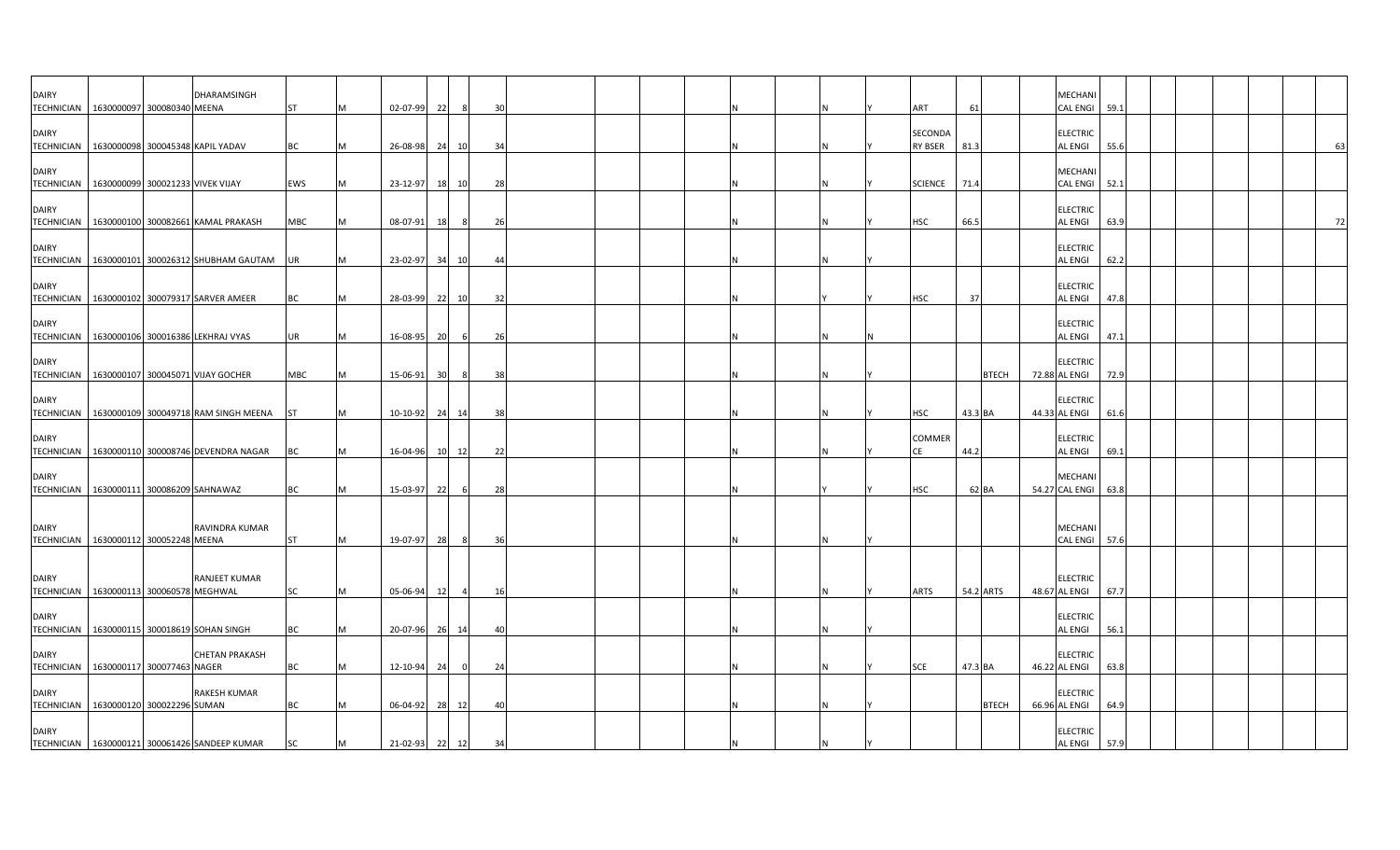| <b>DAIRY</b><br><b>TECHNICIAN</b>                         | 1630000097 300080340 MEENA       | DHARAMSINGH                                          | <b>ST</b>  | M  | $02 - 07 - 99$ | 22 |                | 30   |  |  |     | <b>ART</b>                       | 61        |              | MECHANI<br><b>CAL ENGI</b>        | 59.1 |  |  |           |
|-----------------------------------------------------------|----------------------------------|------------------------------------------------------|------------|----|----------------|----|----------------|------|--|--|-----|----------------------------------|-----------|--------------|-----------------------------------|------|--|--|-----------|
| <b>DAIRY</b>                                              |                                  | TECHNICIAN   1630000098 300045348 KAPIL YADAV        | <b>BC</b>  | M  | 26-08-98       |    | 24 10          | - 34 |  |  |     | <b>SECONDA</b><br><b>RY BSER</b> | 81.3      |              | <b>ELECTRIC</b><br><b>AL ENGI</b> | 55.6 |  |  | 63        |
| <b>DAIRY</b><br><b>TECHNICIAN</b>                         | 1630000099 300021233 VIVEK VIJAY |                                                      | <b>EWS</b> | M  | $23 - 12 - 97$ |    | 18 10          | 28   |  |  | N   | <b>SCIENCE</b>                   | 71.4      |              | <b>MECHANI</b><br><b>CAL ENGI</b> | 52.1 |  |  |           |
| <b>DAIRY</b><br><b>TECHNICIAN</b>                         |                                  | 1630000100 300082661 KAMAL PRAKASH                   | <b>MBC</b> | M  | 08-07-91       | 18 | 8              | 26   |  |  | IN. | <b>HSC</b>                       | 66.5      |              | <b>ELECTRIC</b><br><b>AL ENGI</b> | 63.9 |  |  | <b>72</b> |
| <b>DAIRY</b>                                              |                                  | TECHNICIAN   1630000101 300026312 SHUBHAM GAUTAM UR  |            | M  | 23-02-97 34 10 |    |                | 44   |  |  |     |                                  |           |              | <b>ELECTRIC</b><br>AL ENGI        | 62.2 |  |  |           |
| <b>DAIRY</b>                                              |                                  | TECHNICIAN   1630000102 300079317 SARVER AMEER       | <b>BC</b>  | M  | 28-03-99       |    | 22 10          | 32   |  |  |     | <b>HSC</b>                       | 37        |              | <b>ELECTRIC</b><br><b>AL ENGI</b> | 47.8 |  |  |           |
| <b>DAIRY</b>                                              |                                  | TECHNICIAN   1630000106 300016386 LEKHRAJ VYAS       | UR         | M  | 16-08-95       | 20 |                | 26   |  |  |     |                                  |           |              | <b>ELECTRIC</b><br>AL ENGI        | 47.1 |  |  |           |
| <b>DAIRY</b><br>TECHNICIAN                                |                                  | 1630000107 300045071 VIJAY GOCHER                    | <b>MBC</b> | M  | 15-06-91       | 30 | -8             | 38   |  |  |     |                                  |           | <b>BTECH</b> | <b>ELECTRIC</b><br>72.88 AL ENGI  | 72.9 |  |  |           |
| <b>DAIRY</b>                                              |                                  | TECHNICIAN   1630000109 300049718 RAM SINGH MEENA ST |            | M  | $10-10-92$     |    | 24 14          | 38   |  |  |     | <b>HSC</b>                       | 43.3 BA   |              | <b>ELECTRIC</b><br>44.33 AL ENGI  | 61.6 |  |  |           |
| <b>DAIRY</b>                                              |                                  | TECHNICIAN   1630000110 300008746 DEVENDRA NAGAR     | BC         | M  | 16-04-96       |    | 10 12          | 22   |  |  |     | COMMER<br>СE                     | 44.2      |              | <b>ELECTRIC</b><br><b>AL ENGI</b> | 69.1 |  |  |           |
| <b>DAIRY</b><br>TECHNICIAN 1630000111 300086209 SAHNAWAZ  |                                  |                                                      | BC         | M  | 15-03-97       | 22 |                | 28   |  |  |     | <b>HSC</b>                       | 62 BA     |              | <b>MECHAN</b><br>54.27 CAL ENGI   | 63.8 |  |  |           |
| <b>DAIRY</b><br>TECHNICIAN   1630000112 300052248 MEENA   |                                  | RAVINDRA KUMAR                                       | <b>ST</b>  | M  | 19-07-97       | 28 | -8             | 36   |  |  |     |                                  |           |              | MECHANI<br>CAL ENGI 57.6          |      |  |  |           |
| <b>DAIRY</b><br>TECHNICIAN   1630000113 300060578 MEGHWAL |                                  | RANJEET KUMAR                                        | <b>SC</b>  | M  | 05-06-94       | 12 | $\overline{4}$ | 16   |  |  |     | ARTS                             | 54.2 ARTS |              | <b>ELECTRIC</b><br>48.67 AL ENGI  | 67.7 |  |  |           |
| <b>DAIRY</b><br><b>TECHNICIAN</b>                         |                                  | 1630000115 300018619 SOHAN SINGH                     | <b>BC</b>  | M  | 20-07-96 26 14 |    |                | 40   |  |  |     |                                  |           |              | <b>ELECTRIC</b><br>AL ENGI        | 56.1 |  |  |           |
| <b>DAIRY</b><br>TECHNICIAN 1630000117 300077463 NAGER     |                                  | <b>CHETAN PRAKASH</b>                                | <b>BC</b>  | ΙM | 12-10-94 24    |    | 0              | 24   |  |  |     | <b>SCE</b>                       | 47.3 BA   |              | <b>ELECTRIC</b><br>46.22 AL ENGI  | 63.8 |  |  |           |
| <b>DAIRY</b><br>TECHNICIAN 1630000120 300022296 SUMAN     |                                  | <b>RAKESH KUMAR</b>                                  | <b>BC</b>  |    | 06-04-92       |    | 28 12          | 40   |  |  |     |                                  |           | <b>BTECH</b> | <b>ELECTRIC</b><br>66.96 AL ENGI  | 64.9 |  |  |           |
| <b>DAIRY</b>                                              |                                  | TECHNICIAN   1630000121 300061426 SANDEEP KUMAR      | <b>SC</b>  | M  | 21-02-93 22 12 |    |                | 34   |  |  |     |                                  |           |              | <b>ELECTRIC</b><br><b>AL ENGI</b> | 57.9 |  |  |           |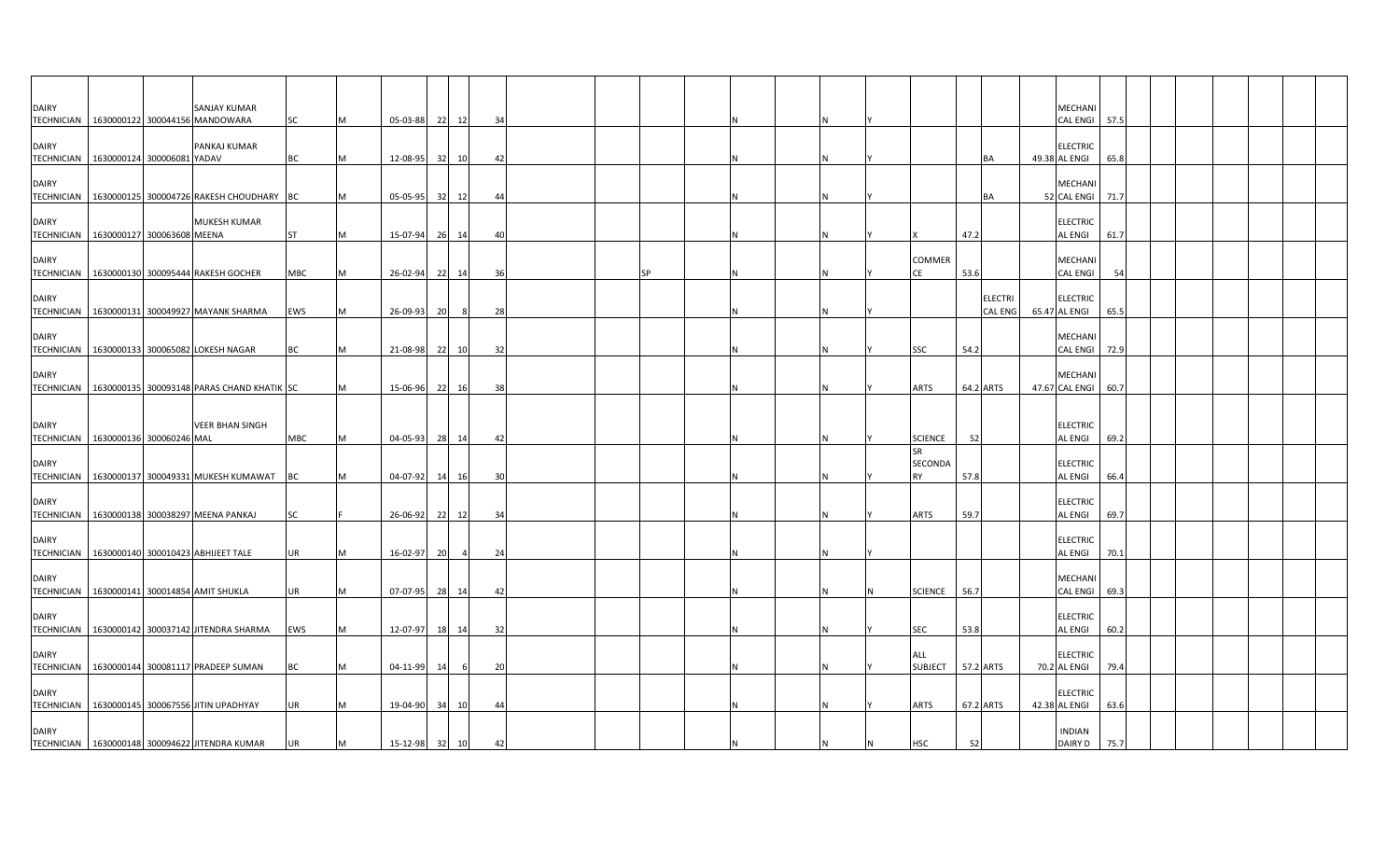| <b>DAIRY</b>                                          |                            | <b>SANJAY KUMAR</b><br>TECHNICIAN   1630000122 300044156 MANDOWARA | SC         | M | 05-03-88 22 12 |    |       | -34 |    |  |     |                                          |           |                                  | MECHANI<br><b>CAL ENGI</b>        | 57.5 |  |  |  |
|-------------------------------------------------------|----------------------------|--------------------------------------------------------------------|------------|---|----------------|----|-------|-----|----|--|-----|------------------------------------------|-----------|----------------------------------|-----------------------------------|------|--|--|--|
| DAIRY<br><b>TECHNICIAN</b>                            | 1630000124 300006081 YADAV | PANKAJ KUMAR                                                       | <b>BC</b>  | M | 12-08-95       |    | 32 10 | 42  |    |  |     |                                          |           | BA                               | <b>ELECTRIC</b><br>49.38 AL ENGI  | 65.8 |  |  |  |
| <b>DAIRY</b><br>TECHNICIAN                            |                            | 1630000125 300004726 RAKESH CHOUDHARY BC                           |            | M | $05-05-95$     |    | 32 12 | 44  |    |  |     |                                          |           | BA                               | <b>MECHAN</b><br>52 CAL ENGI      | 71.7 |  |  |  |
| <b>DAIRY</b><br>TECHNICIAN 1630000127 300063608 MEENA |                            | <b>MUKESH KUMAR</b>                                                | <b>ST</b>  | M | 15-07-94 26 14 |    |       | 40  |    |  |     |                                          | 47.2      |                                  | <b>ELECTRIC</b><br><b>AL ENGI</b> | 61.7 |  |  |  |
| <b>DAIRY</b>                                          |                            | TECHNICIAN   1630000130 300095444 RAKESH GOCHER                    | <b>MBC</b> | M | 26-02-94       |    | 22 14 | 36  | SP |  |     | COMMER                                   | 53.6      |                                  | <b>MECHANI</b><br><b>CAL ENGI</b> | 54   |  |  |  |
| <b>DAIRY</b><br>TECHNICIAN                            |                            | 1630000131 300049927 MAYANK SHARMA                                 | EWS        | M | 26-09-93       | 20 | 8     | 28  |    |  |     |                                          |           | <b>ELECTRI</b><br><b>CAL ENG</b> | <b>ELECTRIC</b><br>65.47 AL ENGI  | 65.5 |  |  |  |
| <b>DAIRY</b>                                          |                            | TECHNICIAN   1630000133 300065082 LOKESH NAGAR                     | <b>BC</b>  | M | 21-08-98       |    | 22 10 | 32  |    |  | IN. | <b>SSC</b>                               | 54.2      |                                  | <b>MECHANI</b><br>CAL ENGI 72.9   |      |  |  |  |
| <b>DAIRY</b>                                          |                            | TECHNICIAN   1630000135 300093148 PARAS CHAND KHATIK SC            |            | M | 15-06-96 22 16 |    |       | 38  |    |  | ΙN  | ARTS                                     | 64.2 ARTS |                                  | <b>MECHAN</b><br>47.67 CAL ENGI   | 60.7 |  |  |  |
| <b>DAIRY</b><br>TECHNICIAN 1630000136 300060246 MAL   |                            | <b>VEER BHAN SINGH</b>                                             | <b>MBC</b> | M | 04-05-93       |    | 28 14 | 42  |    |  | IN. | <b>SCIENCE</b>                           | 52        |                                  | <b>ELECTRIC</b><br><b>AL ENGI</b> | 69.2 |  |  |  |
| <b>DAIRY</b>                                          |                            | TECHNICIAN 1630000137 300049331 MUKESH KUMAWAT BC                  |            | M | 04-07-92       |    | 14 16 | 30  |    |  |     | <b>SR</b><br><b>SECONDA</b><br><b>RY</b> | 57.8      |                                  | <b>ELECTRIC</b><br><b>AL ENGI</b> | 66.4 |  |  |  |
| <b>DAIRY</b>                                          |                            | TECHNICIAN   1630000138 300038297 MEENA PANKAJ                     | <b>SC</b>  |   | 26-06-92 22 12 |    |       | 34  |    |  | IN. | ARTS                                     | 59.7      |                                  | <b>ELECTRIC</b><br><b>AL ENGI</b> | 69.7 |  |  |  |
| <b>DAIRY</b>                                          |                            | TECHNICIAN   1630000140 300010423 ABHIJEET TALE                    | UR         | M | 16-02-97       | 20 |       | 24  |    |  |     |                                          |           |                                  | <b>ELECTRIC</b><br>AL ENGI        | 70.1 |  |  |  |
| <b>DAIRY</b>                                          |                            | TECHNICIAN   1630000141 300014854 AMIT SHUKLA                      | UR         | M | 07-07-95 28 14 |    |       | 42  |    |  |     | <b>SCIENCE</b>                           | 56.7      |                                  | MECHANI<br><b>CAL ENGI</b>        | 69.3 |  |  |  |
| <b>DAIRY</b><br><b>TECHNICIAN</b>                     |                            | 1630000142 300037142 JITENDRA SHARMA                               | <b>EWS</b> | M | 12-07-97       |    | 18 14 | 32  |    |  |     | <b>SEC</b>                               | 53.8      |                                  | <b>ELECTRIC</b><br><b>AL ENGI</b> | 60.2 |  |  |  |
| <b>DAIRY</b><br>TECHNICIAN                            |                            | 1630000144 300081117 PRADEEP SUMAN                                 | ВC         |   | 04-11-99       | 14 | 6     | 20  |    |  | ΙN  | ALL<br><b>SUBJECT</b>                    | 57.2 ARTS |                                  | <b>ELECTRIC</b><br>70.2 AL ENGI   | 79.4 |  |  |  |
| <b>DAIRY</b>                                          |                            | TECHNICIAN   1630000145 300067556 JITIN UPADHYAY                   | <b>UR</b>  | M | 19-04-90       | 34 | 10    | 44  |    |  |     | <b>ARTS</b>                              | 67.2 ARTS |                                  | <b>ELECTRIC</b><br>42.38 AL ENGI  | 63.6 |  |  |  |
| <b>DAIRY</b>                                          |                            | TECHNICIAN   1630000148 300094622 JITENDRA KUMAR                   | UR         | M | 15-12-98 32 10 |    |       | 42  |    |  |     | <b>HSC</b>                               | 52        |                                  | <b>INDIAN</b><br>DAIRY D          | 75.7 |  |  |  |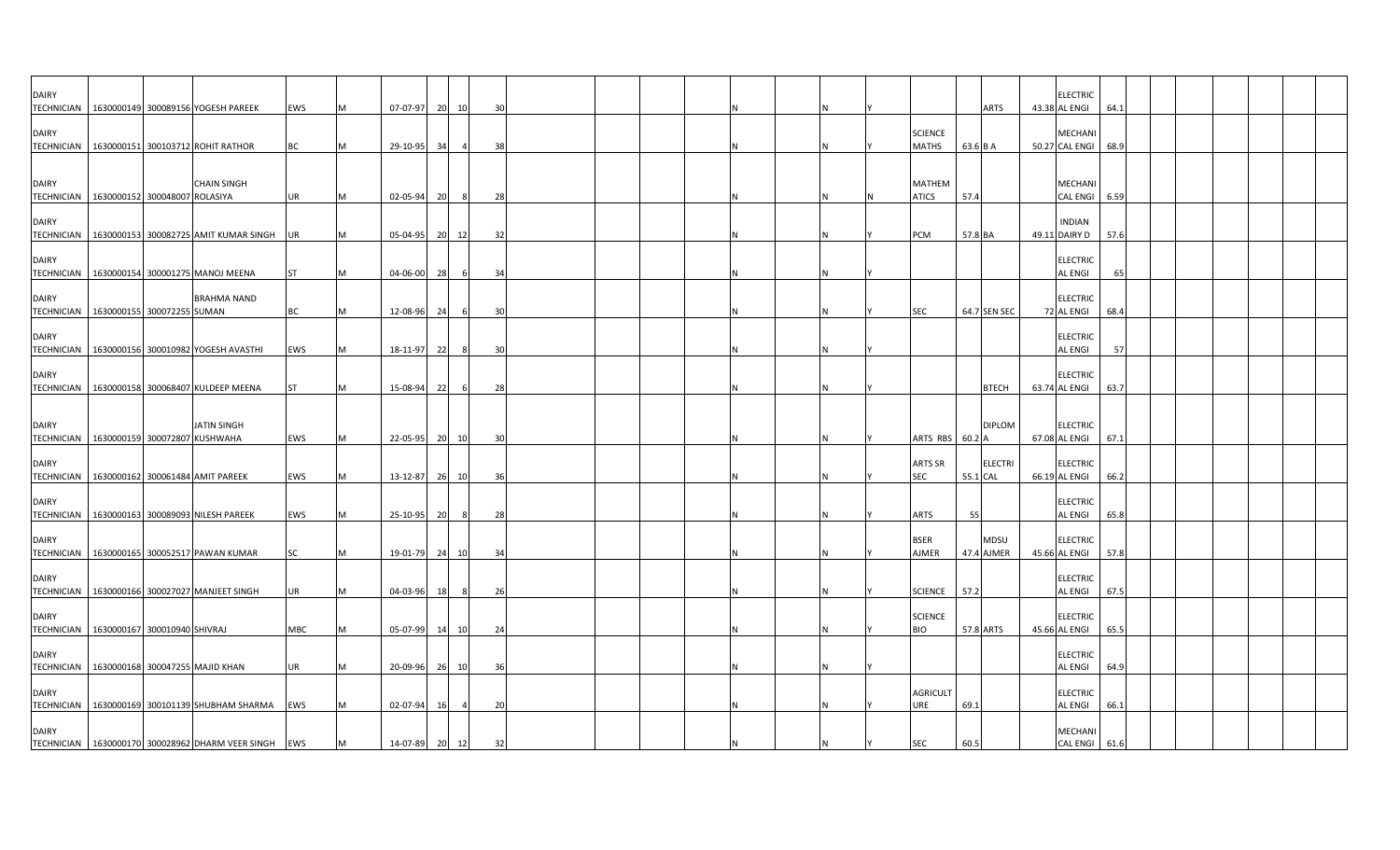| <b>DAIRY</b>                      | TECHNICIAN 1630000149 300089156 YOGESH PAREEK                  | EWS       |   | 07-07-97       | 20 | 10  | 30             |  |  |  |  |                                | <b>ARTS</b>  |                | <b>ELECTRIC</b><br>43.38 AL ENGI  |                 | 64.1 |  |  |  |
|-----------------------------------|----------------------------------------------------------------|-----------|---|----------------|----|-----|----------------|--|--|--|--|--------------------------------|--------------|----------------|-----------------------------------|-----------------|------|--|--|--|
| <b>DAIRY</b>                      | TECHNICIAN 1630000151 300103712 ROHIT RATHOR                   | <b>BC</b> |   | 29-10-95       | 34 |     | 38             |  |  |  |  | <b>SCIENCE</b><br><b>MATHS</b> | 63.6 B A     |                | MECHANI<br>50.27 CAL ENGI         |                 | 68.9 |  |  |  |
| <b>DAIRY</b>                      | <b>CHAIN SINGH</b>                                             |           |   |                |    |     |                |  |  |  |  | <b>MATHEM</b>                  |              |                | <b>MECHANI</b>                    |                 |      |  |  |  |
|                                   | TECHNICIAN 1630000152 300048007 ROLASIYA                       | UR        |   | 02-05-94       | 20 | 8   | 28             |  |  |  |  | <b>ATICS</b>                   | 57.4         |                |                                   | <b>CAL ENGI</b> | 6.59 |  |  |  |
| <b>DAIRY</b>                      | TECHNICIAN 1630000153 300082725 AMIT KUMAR SINGH               | <b>UR</b> |   | 05-04-95       | 20 | 12  | 32             |  |  |  |  | PCM                            | 57.8 BA      |                | <b>INDIAN</b><br>49.11 DAIRY D    |                 | 57.6 |  |  |  |
| <b>DAIRY</b>                      | TECHNICIAN   1630000154 300001275 MANOJ MEENA                  |           |   | 04-06-00       | 28 | - 6 | 34             |  |  |  |  |                                |              |                | <b>ELECTRIC</b><br><b>AL ENGI</b> |                 | 65   |  |  |  |
| <b>DAIRY</b>                      | <b>BRAHMA NAND</b><br>TECHNICIAN   1630000155 300072255 SUMAN  | BC        | M | 12-08-96       | 24 | 6   | 30             |  |  |  |  | SEC                            | 64.7 SEN SEC |                | <b>ELECTRIC</b><br>72 AL ENGI     |                 | 68.4 |  |  |  |
| <b>DAIRY</b>                      | TECHNICIAN   1630000156 300010982 YOGESH AVASTHI               | EWS       | M | 18-11-97       | 22 | 8   | $\overline{3}$ |  |  |  |  |                                |              |                | <b>ELECTRIC</b><br><b>AL ENGI</b> |                 | 57   |  |  |  |
| <b>DAIRY</b>                      | TECHNICIAN   1630000158 300068407 KULDEEP MEENA                | <b>ST</b> | M | 15-08-94       | 22 | 6   | 28             |  |  |  |  |                                |              | <b>BTECH</b>   | <b>ELECTRIC</b><br>63.74 AL ENGI  |                 | 63.7 |  |  |  |
| <b>DAIRY</b>                      | <b>JATIN SINGH</b><br>TECHNICIAN 1630000159 300072807 KUSHWAHA | EWS       | M | 22-05-95       | 20 | 10  | 30             |  |  |  |  | ARTS RBS                       | 60.2 A       | <b>DIPLOM</b>  | <b>ELECTRIC</b><br>67.08 AL ENGI  |                 | 67.1 |  |  |  |
| <b>DAIRY</b>                      | TECHNICIAN 1630000162 300061484 AMIT PAREEK                    | EWS       | M | 13-12-87 26 10 |    |     | 36             |  |  |  |  | <b>ARTS SR</b><br><b>SEC</b>   | 55.1 CAL     | <b>ELECTRI</b> | <b>ELECTRIC</b><br>66.19 AL ENGI  |                 | 66.2 |  |  |  |
| <b>DAIRY</b>                      | TECHNICIAN   1630000163 300089093 NILESH PAREEK                | EWS       | M | 25-10-95       | 20 | 8   | 28             |  |  |  |  | <b>ARTS</b>                    | 55           |                | <b>ELECTRIC</b><br><b>AL ENGI</b> |                 | 65.8 |  |  |  |
| <b>DAIRY</b>                      | TECHNICIAN   1630000165 300052517 PAWAN KUMAR                  | SC        |   | 19-01-79 24 10 |    |     | 34             |  |  |  |  | <b>BSER</b><br><b>AJMER</b>    | 47.4 AJMER   | MDSU           | <b>ELECTRIC</b><br>45.66 AL ENGI  |                 | 57.8 |  |  |  |
| <b>DAIRY</b><br><b>TECHNICIAN</b> | 1630000166 300027027 MANJEET SINGH                             | UR        | M | 04-03-96       | 18 | -8  | 26             |  |  |  |  | SCIENCE                        | 57.2         |                | <b>ELECTRIC</b><br><b>AL ENGI</b> |                 | 67.5 |  |  |  |
| <b>DAIRY</b><br><b>TECHNICIAN</b> | 1630000167 300010940 SHIVRAJ                                   | MBC       |   | 05-07-99 14 10 |    |     | 24             |  |  |  |  | <b>SCIENCE</b><br><b>BIO</b>   | 57.8 ARTS    |                | <b>ELECTRIC</b><br>45.66 AL ENGI  |                 | 65.5 |  |  |  |
| <b>DAIRY</b>                      | TECHNICIAN 1630000168 300047255 MAJID KHAN                     | UR        |   | 20-09-96 26 10 |    |     | 36             |  |  |  |  |                                |              |                | <b>ELECTRIC</b><br><b>AL ENGI</b> |                 | 64.9 |  |  |  |
| <b>DAIRY</b>                      | TECHNICIAN   1630000169 300101139 SHUBHAM SHARMA               | EWS       |   | 02-07-94       | 16 |     | 20             |  |  |  |  | <b>AGRICULT</b><br>URE         | 69.1         |                | <b>ELECTRIC</b><br><b>AL ENGI</b> |                 | 66.1 |  |  |  |
| <b>DAIRY</b>                      | TECHNICIAN   1630000170 300028962 DHARM VEER SINGH   EWS       |           | M | 14-07-89 20 12 |    |     | 32             |  |  |  |  | <b>SEC</b>                     | 60.5         |                | MECHANI                           | CAL ENGI 61.6   |      |  |  |  |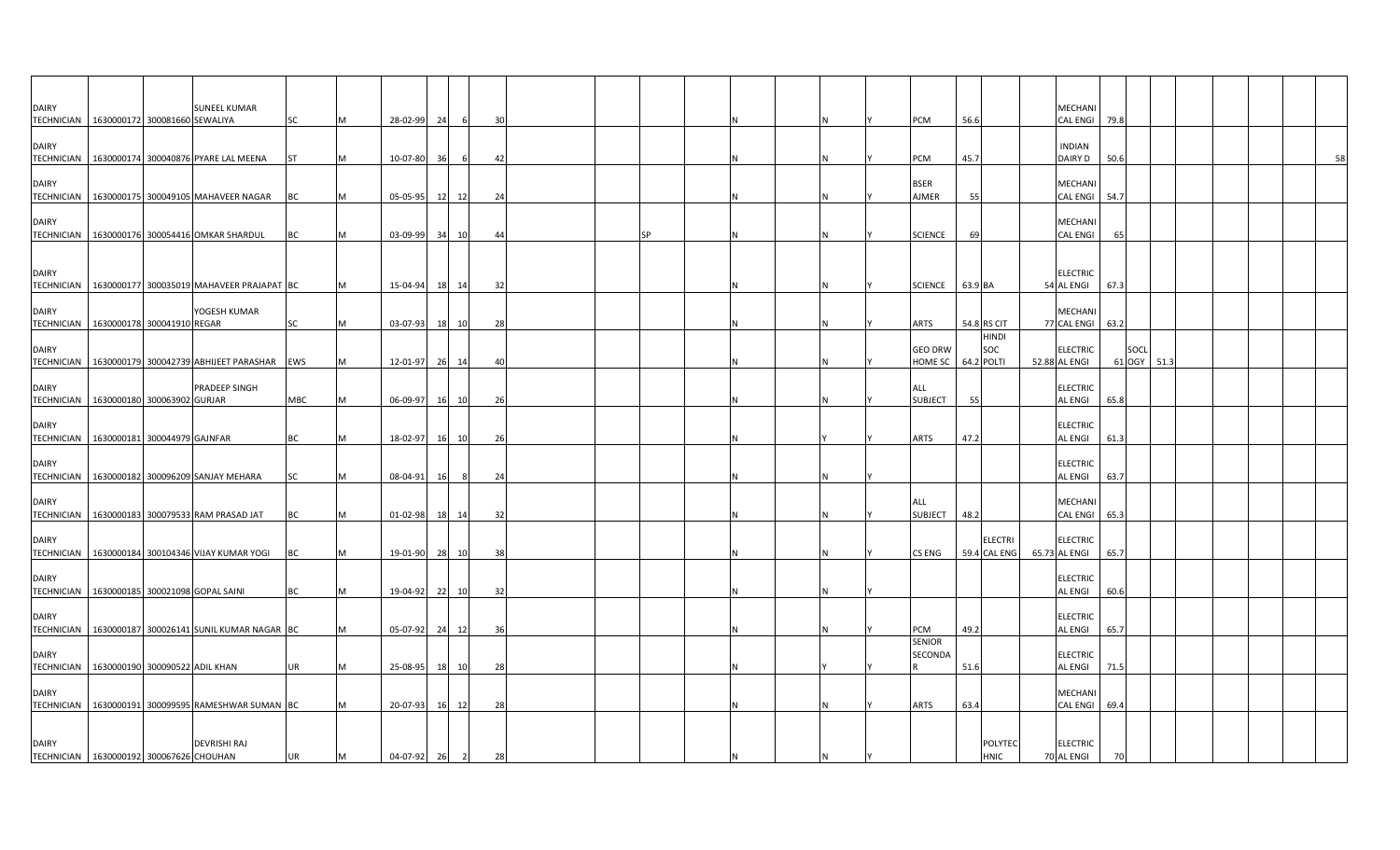| <b>DAIRY</b><br>TECHNICIAN 1630000172 300081660 SEWALIYA |                                | <b>SUNEEL KUMAR</b>                                    | SC         |   | 28-02-99       | 24        | 6              | 30 |  |           |  |          | PCM                         | 56.6        |                                | MECHANI<br>CAL ENGI 79.8          |                |      |  |    |
|----------------------------------------------------------|--------------------------------|--------------------------------------------------------|------------|---|----------------|-----------|----------------|----|--|-----------|--|----------|-----------------------------|-------------|--------------------------------|-----------------------------------|----------------|------|--|----|
| <b>DAIRY</b>                                             |                                |                                                        |            |   |                |           |                |    |  |           |  |          |                             |             |                                | <b>INDIAN</b>                     |                |      |  |    |
|                                                          |                                | TECHNICIAN 1630000174 300040876 PYARE LAL MEENA        | <b>ST</b>  | M | 10-07-80       | 36        | -6             | 42 |  |           |  | IN.      | PCM                         | 45.7        |                                | DAIRY D                           | 50.6           |      |  | 58 |
| <b>DAIRY</b>                                             |                                | TECHNICIAN   1630000175 300049105 MAHAVEER NAGAR       | BC         |   | 05-05-95       | 12        | 12             | 24 |  |           |  | IN.      | <b>BSER</b><br><b>AJMER</b> | 55          |                                | MECHANI<br><b>CAL ENGI</b>        | 54.7           |      |  |    |
| <b>DAIRY</b>                                             |                                |                                                        |            |   |                |           |                |    |  |           |  |          |                             |             |                                | MECHANI                           |                |      |  |    |
| <b>TECHNICIAN</b>                                        |                                | 1630000176 300054416 OMKAR SHARDUL                     | <b>BC</b>  |   | 03-09-99       | 34        | 10             | 44 |  | <b>SP</b> |  | IN.      | <b>SCIENCE</b>              | 69          |                                | <b>CAL ENGI</b>                   | 65             |      |  |    |
| <b>DAIRY</b>                                             |                                |                                                        |            |   |                |           |                |    |  |           |  |          |                             |             |                                | <b>ELECTRIC</b>                   |                |      |  |    |
|                                                          |                                | TECHNICIAN   1630000177 300035019 MAHAVEER PRAJAPAT BC |            | M | 15-04-94       | 18        | 14             | 32 |  |           |  |          | <b>SCIENCE</b>              | 63.9 BA     |                                | 54 AL ENGI                        | 67.3           |      |  |    |
| <b>DAIRY</b><br>TECHNICIAN 1630000178 300041910 REGAR    |                                | YOGESH KUMAR                                           | SC         |   | 03-07-93       | <b>18</b> | 10             | 28 |  |           |  |          | ARTS                        | 54.8 RS CIT |                                | MECHANI<br>77 CAL ENGI            | 63.2           |      |  |    |
| <b>DAIRY</b><br><b>TECHNICIAN</b>                        |                                | 1630000179 300042739 ABHIJEET PARASHAR EWS             |            |   | 12-01-97       | 26        | 14             | 40 |  |           |  |          | <b>GEO DRW</b><br>HOME SC   | 64.2 POLTI  | <b>HINDI</b><br>SOC            | <b>ELECTRIC</b><br>52.88 AL ENGI  | SOCL<br>61 OGY | 51.3 |  |    |
|                                                          |                                |                                                        |            |   |                |           |                |    |  |           |  |          |                             |             |                                |                                   |                |      |  |    |
| <b>DAIRY</b><br><b>TECHNICIAN</b>                        | 1630000180 300063902 GURJAR    | PRADEEP SINGH                                          | <b>MBC</b> | м | 06-09-97       | 16        | 10             | 26 |  |           |  | IN.      | ALL<br><b>SUBJECT</b>       | 55          |                                | <b>ELECTRIC</b><br><b>AL ENGI</b> | 65.8           |      |  |    |
| <b>DAIRY</b>                                             |                                |                                                        |            |   |                |           |                |    |  |           |  |          |                             |             |                                | <b>ELECTRIC</b>                   |                |      |  |    |
| TECHNICIAN 1630000181 300044979 GAJNFAR                  |                                |                                                        | BC         |   | 18-02-97       | 16        | 10             | 26 |  |           |  |          | <b>ARTS</b>                 | 47.2        |                                | AL ENGI                           | 61.3           |      |  |    |
| <b>DAIRY</b>                                             |                                | TECHNICIAN   1630000182 300096209 SANJAY MEHARA        | SC         |   | 08-04-91       | <b>16</b> | -8             | 24 |  |           |  | IN.      |                             |             |                                | <b>ELECTRIC</b><br>AL ENGI        | 63.7           |      |  |    |
| <b>DAIRY</b>                                             |                                |                                                        |            |   |                |           |                |    |  |           |  |          | ALL                         |             |                                | MECHANI                           |                |      |  |    |
|                                                          |                                | TECHNICIAN   1630000183 300079533 RAM PRASAD JAT       | BC         |   | 01-02-98       | <b>18</b> | 14             | 32 |  |           |  |          | <b>SUBJECT</b>              | 48.2        |                                | <b>CAL ENGI</b>                   | 65.3           |      |  |    |
| <b>DAIRY</b>                                             |                                | TECHNICIAN   1630000184 300104346 VIJAY KUMAR YOGI     | BC         |   | 19-01-90       | 28        | 10             | 38 |  |           |  |          | CS ENG                      |             | <b>ELECTRI</b><br>59.4 CAL ENG | <b>ELECTRIC</b><br>65.73 AL ENGI  | 65.7           |      |  |    |
| <b>DAIRY</b>                                             |                                |                                                        |            |   |                |           |                |    |  |           |  |          |                             |             |                                | <b>ELECTRIC</b>                   |                |      |  |    |
|                                                          |                                | TECHNICIAN 1630000185 300021098 GOPAL SAINI            | BC         |   | 19-04-92       | 22        | 10             | 32 |  |           |  | ΙN       |                             |             |                                | AL ENGI                           | 60.6           |      |  |    |
| <b>DAIRY</b>                                             |                                | TECHNICIAN   1630000187 300026141 SUNIL KUMAR NAGAR BC |            |   | 05-07-92       | 24        | 12             | 36 |  |           |  | <b>N</b> | PCM                         | 49.2        |                                | <b>ELECTRIC</b><br><b>AL ENGI</b> | 65.7           |      |  |    |
| <b>DAIRY</b>                                             |                                |                                                        |            |   |                |           |                |    |  |           |  |          | <b>SENIOR</b><br>SECONDA    |             |                                | <b>ELECTRIC</b>                   |                |      |  |    |
| <b>TECHNICIAN</b>                                        | 1630000190 300090522 ADIL KHAN |                                                        | UR         | M | 25-08-95       | 18        | 10             | 28 |  |           |  |          |                             | 51.6        |                                | <b>AL ENGI</b>                    | 71.5           |      |  |    |
| <b>DAIRY</b>                                             |                                |                                                        |            |   |                |           |                |    |  |           |  |          |                             |             |                                | MECHANI                           |                |      |  |    |
|                                                          |                                | TECHNICIAN 1630000191 300099595 RAMESHWAR SUMAN BC     |            |   | 20-07-93       | 16        | 12             | 28 |  |           |  | <b>N</b> | <b>ARTS</b>                 | 63.4        |                                | CAL ENGI 69.4                     |                |      |  |    |
| <b>DAIRY</b>                                             |                                | <b>DEVRISHI RAJ</b>                                    |            |   |                |           |                |    |  |           |  |          |                             |             | POLYTEC                        | <b>ELECTRIC</b>                   |                |      |  |    |
| TECHNICIAN 1630000192 300067626 CHOUHAN                  |                                |                                                        | <b>UR</b>  | M | $04 - 07 - 92$ | 26        | $\overline{2}$ | 28 |  |           |  | ΙN       |                             |             | <b>HNIC</b>                    | 70 AL ENGI                        | 70             |      |  |    |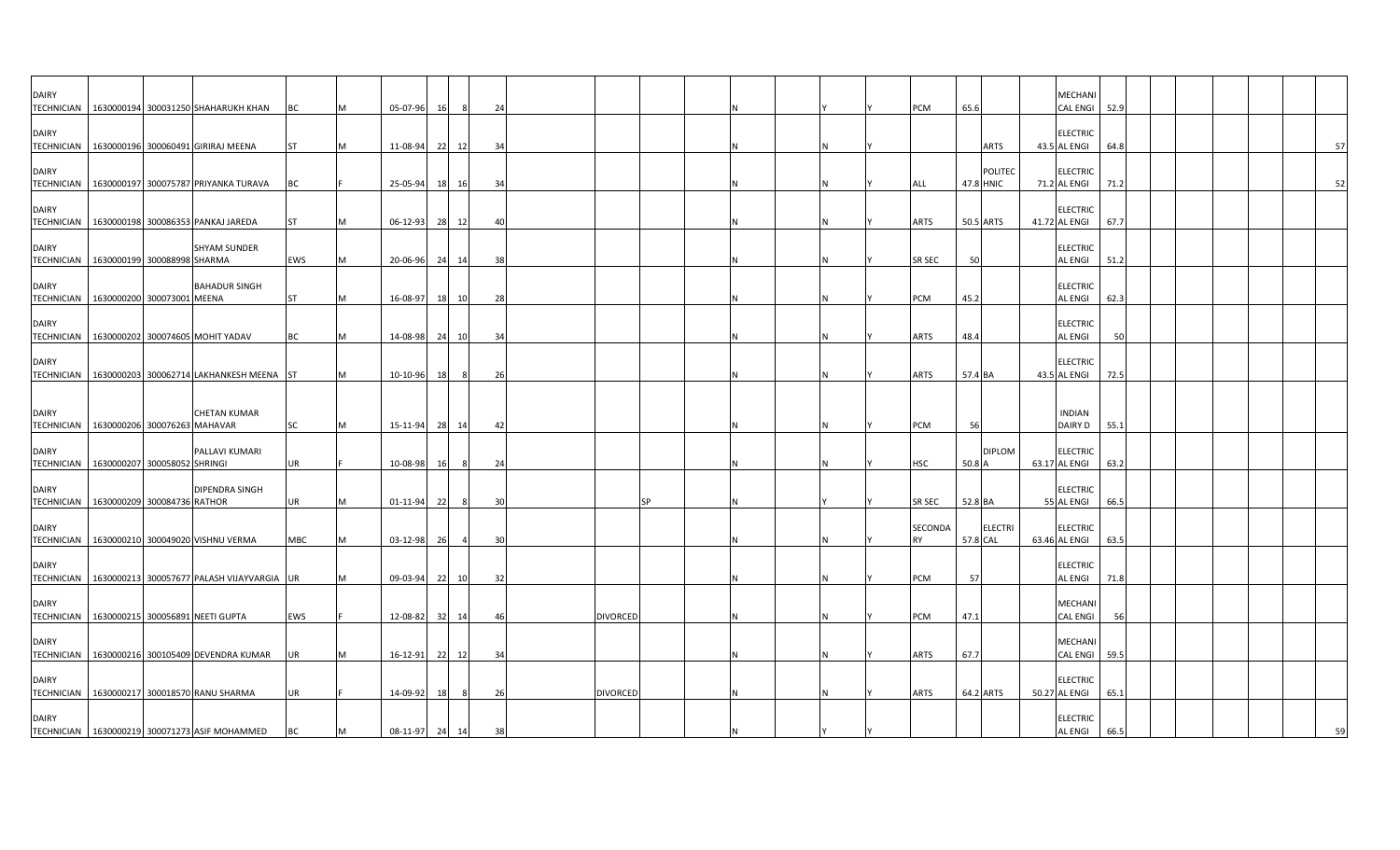| <b>DAIRY</b><br>TECHNICIAN 1630000194 300031250 SHAHARUKH KHAN                                                   |  |                                                         | BC              |          | 05-07-96                   | 16 |                | 24       |                 |    |  |  | <b>PCM</b>               | 65.6      |                | MECHANI<br><b>CAL ENGI</b>                         | 52.9         |  |    |
|------------------------------------------------------------------------------------------------------------------|--|---------------------------------------------------------|-----------------|----------|----------------------------|----|----------------|----------|-----------------|----|--|--|--------------------------|-----------|----------------|----------------------------------------------------|--------------|--|----|
| <b>DAIRY</b><br>TECHNICIAN   1630000196 300060491 GIRIRAJ MEENA                                                  |  |                                                         | <b>ST</b>       |          | 11-08-94                   | 22 | 12             | 34       |                 |    |  |  |                          |           | ARTS           | <b>ELECTRIC</b><br>43.5 AL ENGI                    | 64.8         |  | 57 |
| <b>DAIRY</b><br><b>TECHNICIAN</b>                                                                                |  | 1630000197 300075787 PRIYANKA TURAVA                    | ВC              |          | 25-05-94 18 16             |    |                | 34       |                 |    |  |  | ALL                      | 47.8 HNIC | <b>POLITEC</b> | <b>ELECTRIC</b><br>71.2 AL ENGI                    | 71.2         |  | 52 |
| <b>DAIRY</b><br>TECHNICIAN 1630000198 300086353 PANKAJ JAREDA                                                    |  |                                                         | <b>ST</b>       |          | 06-12-93                   |    | 28 12          | 40       |                 |    |  |  | ARTS                     | 50.5 ARTS |                | <b>ELECTRIC</b><br>41.72 AL ENGI                   | 67.7         |  |    |
| <b>DAIRY</b><br>TECHNICIAN   1630000199 300088998 SHARMA                                                         |  | <b>SHYAM SUNDER</b>                                     | EWS             | M        | 20-06-96 24                |    | 14             | 38       |                 |    |  |  | <b>SR SEC</b>            | 50        |                | <b>ELECTRIC</b><br>AL ENGI                         | 51.2         |  |    |
| <b>DAIRY</b><br>TECHNICIAN   1630000200 300073001 MEENA                                                          |  | <b>BAHADUR SINGH</b>                                    | <b>ST</b>       | M        | 16-08-97                   |    | 18 10          | 28       |                 |    |  |  | <b>PCM</b>               | 45.2      |                | <b>ELECTRIC</b><br>AL ENGI                         | 62.3         |  |    |
| <b>DAIRY</b><br>TECHNICIAN 1630000202 300074605 MOHIT YADAV                                                      |  |                                                         | <b>BC</b>       |          | 14-08-98 24                |    | 10             | 34       |                 |    |  |  | ARTS                     | 48.4      |                | <b>ELECTRIC</b><br>AL ENGI                         | 50           |  |    |
| <b>DAIRY</b>                                                                                                     |  | TECHNICIAN   1630000203 300062714 LAKHANKESH MEENA ST   |                 |          | 10-10-96                   | 18 | - 8            | 26       |                 |    |  |  | ARTS                     | 57.4 BA   |                | <b>ELECTRIC</b><br>43.5 AL ENGI                    | 72.5         |  |    |
| <b>DAIRY</b>                                                                                                     |  | <b>CHETAN KUMAR</b>                                     |                 |          |                            |    |                |          |                 |    |  |  |                          |           |                | <b>INDIAN</b>                                      |              |  |    |
| TECHNICIAN 1630000206 300076263 MAHAVAR<br><b>DAIRY</b>                                                          |  | PALLAVI KUMARI                                          | SC              | M        | 15-11-94                   | 28 | 14             | 42       |                 |    |  |  | <b>PCM</b>               | 56        | <b>DIPLOM</b>  | DAIRY D<br><b>ELECTRIC</b>                         | 55.1         |  |    |
| TECHNICIAN   1630000207 300058052 SHRINGI<br><b>DAIRY</b>                                                        |  | DIPENDRA SINGH                                          | UR              |          | 10-08-98                   | 16 | 8              | 24       |                 |    |  |  | <b>HSC</b>               | 50.8 A    |                | 63.17 AL ENGI<br><b>ELECTRIC</b>                   | 63.2         |  |    |
| TECHNICIAN   1630000209 300084736 RATHOR<br><b>DAIRY</b>                                                         |  |                                                         | UR              |          | 01-11-94                   | 22 | 8              | 30       |                 | SΡ |  |  | <b>SR SEC</b><br>SECONDA | 52.8 BA   | <b>ELECTRI</b> | 55 AL ENGI<br><b>ELECTRIC</b>                      | 66.5         |  |    |
| TECHNICIAN 1630000210 300049020 VISHNU VERMA<br><b>DAIRY</b>                                                     |  |                                                         | <b>MBC</b>      | M        | 03-12-98 26                |    | $\overline{4}$ | 30       |                 |    |  |  | <b>RY</b>                | 57.8 CAL  |                | 63.46 AL ENGI<br><b>ELECTRIC</b>                   | 63.5         |  |    |
| <b>DAIRY</b>                                                                                                     |  | TECHNICIAN   1630000213 300057677 PALASH VIJAYVARGIA UR |                 |          | 09-03-94                   |    | 22 10          | 32       |                 |    |  |  | <b>PCM</b>               | 57        |                | <b>AL ENGI</b><br>MECHANI                          | 71.8         |  |    |
| <b>TECHNICIAN</b><br><b>DAIRY</b>                                                                                |  | 1630000215 300056891 NEETI GUPTA                        | EWS             |          | 12-08-82                   | 32 | 14             | 46       | <b>DIVORCED</b> |    |  |  | <b>PCM</b>               | 47.1      |                | <b>CAL ENGI</b><br><b>MECHANI</b>                  | 56           |  |    |
| TECHNICIAN   1630000216 300105409 DEVENDRA KUMAR<br><b>DAIRY</b>                                                 |  |                                                         | UR              |          | 16-12-91                   |    | 22 12          | 34       |                 |    |  |  | <b>ARTS</b>              | 67.7      |                | CAL ENGI 59.5<br><b>ELECTRIC</b>                   |              |  |    |
| TECHNICIAN   1630000217 300018570 RANU SHARMA<br><b>DAIRY</b><br>TECHNICIAN   1630000219 300071273 ASIF MOHAMMED |  |                                                         | UR<br><b>BC</b> | <b>M</b> | 14-09-92<br>08-11-97 24 14 | 18 | - 8            | 26<br>38 | <b>DIVORCED</b> |    |  |  | <b>ARTS</b>              | 64.2 ARTS |                | 50.27 AL ENGI<br><b>ELECTRIC</b><br><b>AL ENGI</b> | 65.1<br>66.5 |  |    |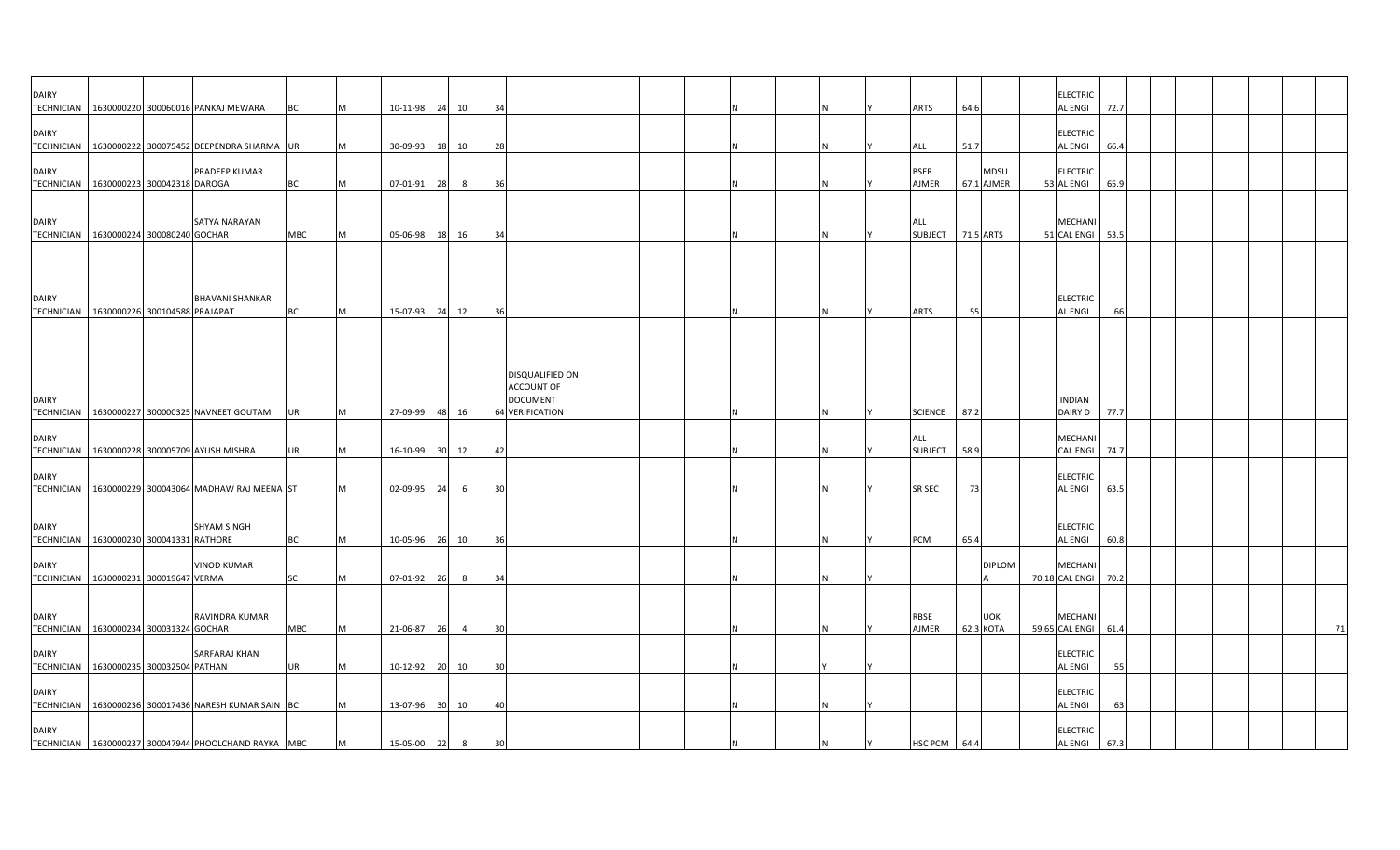| <b>DAIRY</b><br><b>TECHNICIAN</b> |                                          | 1630000220 300060016 PANKAJ MEWARA                     | BC         |          | 10-11-98       | 24 | 10             | 34 |                                                                            |  |  |    | <b>ARTS</b>                             | 64.6 |                         | <b>ELECTRIC</b><br>AL ENGI                   | 72.7 |  |    |
|-----------------------------------|------------------------------------------|--------------------------------------------------------|------------|----------|----------------|----|----------------|----|----------------------------------------------------------------------------|--|--|----|-----------------------------------------|------|-------------------------|----------------------------------------------|------|--|----|
| <b>DAIRY</b>                      |                                          | TECHNICIAN   1630000222 300075452 DEEPENDRA SHARMA UR  |            | M        | 30-09-93       | 18 | 10             | 28 |                                                                            |  |  |    | ALL                                     | 51.7 |                         | <b>ELECTRIC</b><br><b>AL ENGI</b>            | 66.4 |  |    |
| <b>DAIRY</b>                      | TECHNICIAN   1630000223 300042318 DAROGA | PRADEEP KUMAR                                          | BC         | M        | $07 - 01 - 91$ | 28 | 8              | 36 |                                                                            |  |  |    | <b>BSER</b><br>AJMER                    |      | MDSU<br>67.1 AJMER      | <b>ELECTRIC</b><br>53 AL ENGI                | 65.9 |  |    |
| <b>DAIRY</b>                      |                                          | SATYA NARAYAN                                          |            |          |                |    |                |    |                                                                            |  |  |    | ALL                                     |      |                         | <b>MECHANI</b>                               |      |  |    |
|                                   | TECHNICIAN 1630000224 300080240 GOCHAR   |                                                        | <b>MBC</b> | IM.      | 05-06-98       | 18 | 16             | 34 |                                                                            |  |  |    | SUBJECT 71.5 ARTS                       |      |                         | 51 CAL ENGI                                  | 53.5 |  |    |
| <b>DAIRY</b><br><b>TECHNICIAN</b> | 1630000226 300104588 PRAJAPAT            | <b>BHAVANI SHANKAR</b>                                 | BC         | <b>M</b> | 15-07-93       |    | 24 12          | 36 |                                                                            |  |  | ΙN | <b>ARTS</b>                             | 55   |                         | <b>ELECTRIC</b><br><b>AL ENGI</b>            | 66   |  |    |
| <b>DAIRY</b>                      |                                          | TECHNICIAN   1630000227 300000325 NAVNEET GOUTAM       |            |          | 27-09-99       | 48 | 16             |    | DISQUALIFIED ON<br><b>ACCOUNT OF</b><br><b>DOCUMENT</b><br>64 VERIFICATION |  |  |    |                                         | 87.2 |                         | <b>INDIAN</b>                                | 77.7 |  |    |
| <b>DAIRY</b>                      |                                          | TECHNICIAN   1630000228 300005709 AYUSH MISHRA         | UR<br>UR   | IM.      | 16-10-99       | 30 | 12             | 42 |                                                                            |  |  |    | <b>SCIENCE</b><br>ALL<br><b>SUBJECT</b> | 58.9 |                         | DAIRY D<br><b>MECHANI</b><br><b>CAL ENGI</b> | 74.7 |  |    |
| <b>DAIRY</b>                      |                                          | TECHNICIAN   1630000229 300043064 MADHAW RAJ MEENA ST  |            |          | 02-09-95       | 24 | 6              | 30 |                                                                            |  |  |    | <b>SR SEC</b>                           | 73   |                         | <b>ELECTRIC</b><br><b>AL ENGI</b>            | 63.5 |  |    |
| <b>DAIRY</b>                      | TECHNICIAN 1630000230 300041331 RATHORE  | <b>SHYAM SINGH</b>                                     | <b>BC</b>  | <b>M</b> | 10-05-96 26 10 |    |                | 36 |                                                                            |  |  | ΙN | <b>PCM</b>                              | 65.4 |                         | <b>ELECTRIC</b><br><b>AL ENGI</b>            | 60.8 |  |    |
| <b>DAIRY</b>                      | TECHNICIAN   1630000231 300019647 VERMA  | <b>VINOD KUMAR</b>                                     | SC         | IM.      | 07-01-92       | 26 | - 8            | 34 |                                                                            |  |  |    |                                         |      | <b>DIPLOM</b>           | <b>MECHAN</b><br>70.18 CAL ENGI              | 70.2 |  |    |
| <b>DAIRY</b>                      | TECHNICIAN 1630000234 300031324 GOCHAR   | RAVINDRA KUMAR                                         | MBC        |          | 21-06-87       | 26 | $\overline{4}$ | 30 |                                                                            |  |  |    | <b>RBSE</b><br>AJMER                    |      | <b>UOK</b><br>62.3 KOTA | <b>MECHANI</b><br>59.65 CAL ENGI 61.4        |      |  | 71 |
| <b>DAIRY</b>                      | TECHNICIAN   1630000235 300032504 PATHAN | SARFARAJ KHAN                                          | UR         | M        | 10-12-92       |    | 20 10          | 30 |                                                                            |  |  |    |                                         |      |                         | <b>ELECTRIC</b><br><b>AL ENGI</b>            | 55   |  |    |
| <b>DAIRY</b>                      |                                          | TECHNICIAN   1630000236 300017436 NARESH KUMAR SAIN BC |            |          | 13-07-96 30 10 |    |                | 40 |                                                                            |  |  |    |                                         |      |                         | <b>ELECTRIC</b><br><b>AL ENGI</b>            | 63   |  |    |
| <b>DAIRY</b>                      |                                          | TECHNICIAN   1630000237 300047944 PHOOLCHAND RAYKA MBC |            | M        | 15-05-00 22    |    | 8              | 30 |                                                                            |  |  | IN | HSC PCM 64.4                            |      |                         | <b>ELECTRIC</b><br><b>AL ENGI</b>            | 67.3 |  |    |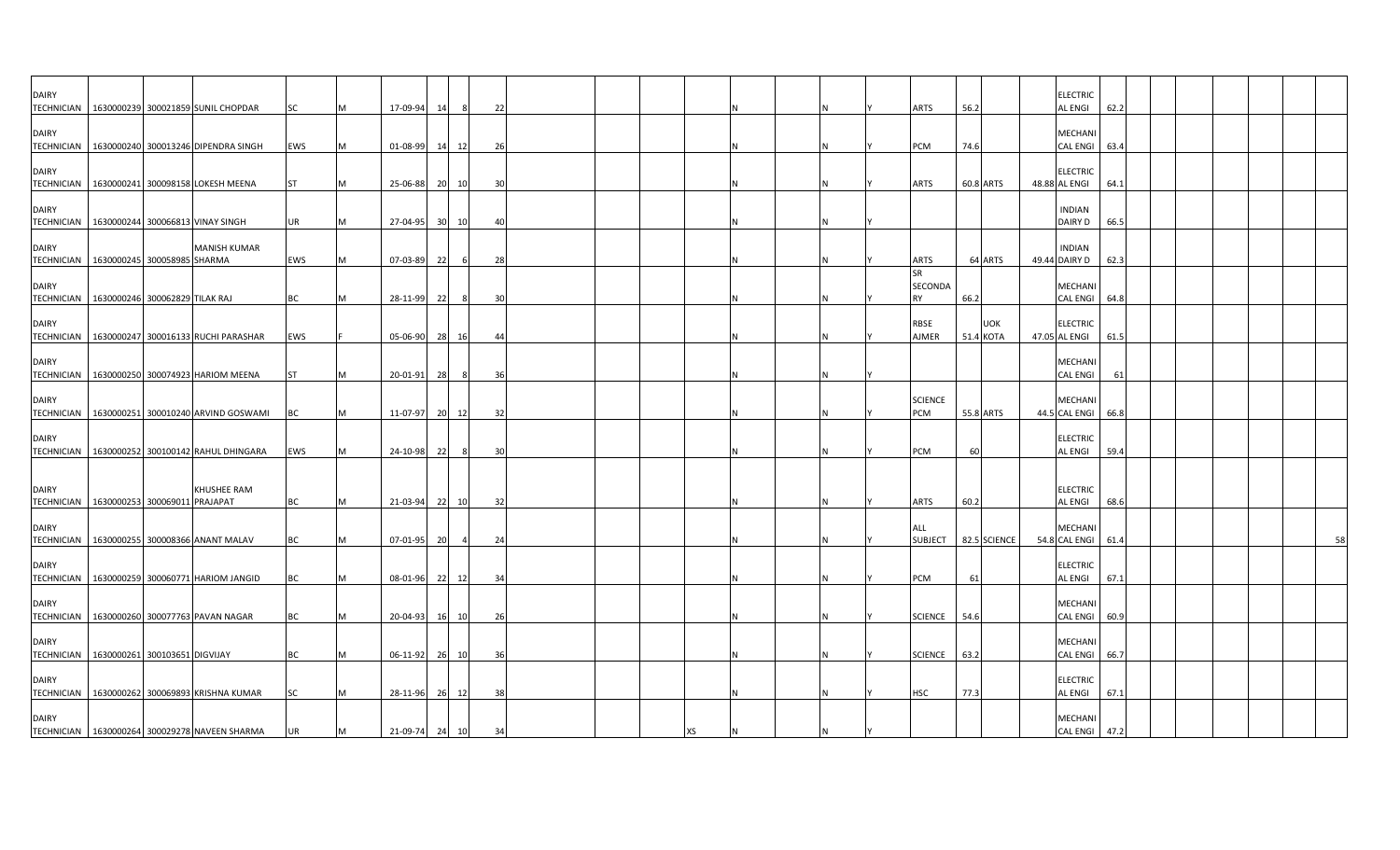| <b>DAIRY</b>                      | TECHNICIAN 1630000239 300021859 SUNIL CHOPDAR                 | <b>SC</b>  |   | 17-09-94       | 14    |                | 22  |  |    |  |  | <b>ARTS</b>                | 56.2             |            | <b>ELECTRIC</b><br><b>AL ENGI</b>   | 62.2 |  |  |  |
|-----------------------------------|---------------------------------------------------------------|------------|---|----------------|-------|----------------|-----|--|----|--|--|----------------------------|------------------|------------|-------------------------------------|------|--|--|--|
| <b>DAIRY</b>                      | TECHNICIAN 1630000240 300013246 DIPENDRA SINGH                | EWS        | M | 01-08-99 14    |       | - 121          | -26 |  |    |  |  | PCM                        | 74.6             |            | <b>MECHANI</b><br>CAL ENGI 63.4     |      |  |  |  |
| <b>DAIRY</b><br><b>TECHNICIAN</b> | 1630000241 300098158 LOKESH MEENA                             | <b>ST</b>  | M | 25-06-88 20 10 |       |                | 30  |  |    |  |  | <b>ARTS</b>                | 60.8 ARTS        |            | <b>ELECTRIC</b><br>48.88 AL ENGI    | 64.1 |  |  |  |
| <b>DAIRY</b>                      | TECHNICIAN 1630000244 300066813 VINAY SINGH                   | <b>UR</b>  | M | 27-04-95 30 10 |       |                | 4(  |  |    |  |  |                            |                  |            | <b>INDIAN</b><br><b>DAIRY D</b>     | 66.5 |  |  |  |
| <b>DAIRY</b>                      | <b>MANISH KUMAR</b><br>TECHNICIAN 1630000245 300058985 SHARMA | EWS        |   | 07-03-89       | 22    |                | 28  |  |    |  |  | <b>ARTS</b>                | 64 ARTS          |            | <b>INDIAN</b><br>49.44 DAIRY D      | 62.3 |  |  |  |
| <b>DAIRY</b><br><b>TECHNICIAN</b> | 1630000246 300062829 TILAK RAJ                                | <b>BC</b>  | M | 28-11-99       | 22    | 8              | 30  |  |    |  |  | SR<br>SECONDA<br><b>RY</b> | 66.2             |            | MECHANI<br><b>CAL ENGI</b>          | 64.8 |  |  |  |
| <b>DAIRY</b>                      | TECHNICIAN   1630000247 300016133 RUCHI PARASHAR              | EWS        |   | 05-06-90       | 28 16 |                | 44  |  |    |  |  | <b>RBSE</b><br>AJMER       | <b>51.4 KOTA</b> | <b>UOK</b> | <b>ELECTRIC</b><br>47.05 AL ENGI    | 61.5 |  |  |  |
| <b>DAIRY</b>                      | TECHNICIAN 1630000250 300074923 HARIOM MEENA                  | <b>ST</b>  |   | 20-01-91       | 28    | - 8            | 36  |  |    |  |  |                            |                  |            | MECHANI<br><b>CAL ENGI</b>          | 61   |  |  |  |
| <b>DAIRY</b>                      | TECHNICIAN   1630000251 300010240 ARVIND GOSWAMI              | <b>BC</b>  | M | 11-07-97       | 20 12 |                | 32  |  |    |  |  | <b>SCIENCE</b><br>PCM      | 55.8 ARTS        |            | MECHANI<br>44.5 CAL ENGI            | 66.8 |  |  |  |
| <b>DAIRY</b>                      | TECHNICIAN   1630000252 300100142 RAHUL DHINGARA              | <b>EWS</b> | M | 24-10-98 22    |       | 8              | 30  |  |    |  |  | PCM                        | 60               |            | <b>ELECTRIC</b><br><b>AL ENGI</b>   | 59.4 |  |  |  |
| <b>DAIRY</b>                      | <b>KHUSHEE RAM</b>                                            |            |   |                |       |                |     |  |    |  |  |                            |                  |            | <b>ELECTRIC</b>                     |      |  |  |  |
|                                   | TECHNICIAN 1630000253 300069011 PRAJAPAT                      | <b>BC</b>  | M | 21-03-94       | 22 10 |                | 32  |  |    |  |  | <b>ARTS</b>                | 60.2             |            | <b>AL ENGI</b>                      | 68.6 |  |  |  |
| <b>DAIRY</b>                      | TECHNICIAN 1630000255 300008366 ANANT MALAV                   | <b>BC</b>  | M | 07-01-95 20    |       | $\overline{a}$ | 24  |  |    |  |  | ALL<br>SUBJECT             | 82.5 SCIENCE     |            | <b>MECHAN</b><br>54.8 CAL ENGI 61.4 |      |  |  |  |
| <b>DAIRY</b>                      | TECHNICIAN   1630000259 300060771 HARIOM JANGID               | BC         |   | 08-01-96 22 12 |       |                | 34  |  |    |  |  | PCM                        | 61               |            | <b>ELECTRIC</b><br><b>AL ENGI</b>   | 67.1 |  |  |  |
| <b>DAIRY</b>                      | TECHNICIAN 1630000260 300077763 PAVAN NAGAR                   | BC         | M | 20-04-93       | 16    | 10             | 26  |  |    |  |  | <b>SCIENCE</b>             | 54.6             |            | <b>MECHANI</b><br><b>CAL ENGI</b>   | 60.9 |  |  |  |
| <b>DAIRY</b>                      | TECHNICIAN 1630000261 300103651 DIGVIJAY                      | <b>BC</b>  | M | 06-11-92 26 10 |       |                | 36  |  |    |  |  | <b>SCIENCE</b>             | 63.2             |            | <b>MECHANI</b><br>CAL ENGI 66.7     |      |  |  |  |
| <b>DAIRY</b>                      | TECHNICIAN 1630000262 300069893 KRISHNA KUMAR                 | <b>SC</b>  |   | 28-11-96 26 12 |       |                | 38  |  |    |  |  | <b>HSC</b>                 | 77.3             |            | <b>ELECTRIC</b><br><b>AL ENGI</b>   | 67.1 |  |  |  |
| <b>DAIRY</b>                      | TECHNICIAN 1630000264 300029278 NAVEEN SHARMA                 | <b>UR</b>  | M | 21-09-74 24 10 |       |                | 34  |  | XS |  |  |                            |                  |            | MECHANI<br>CAL ENGI 47.2            |      |  |  |  |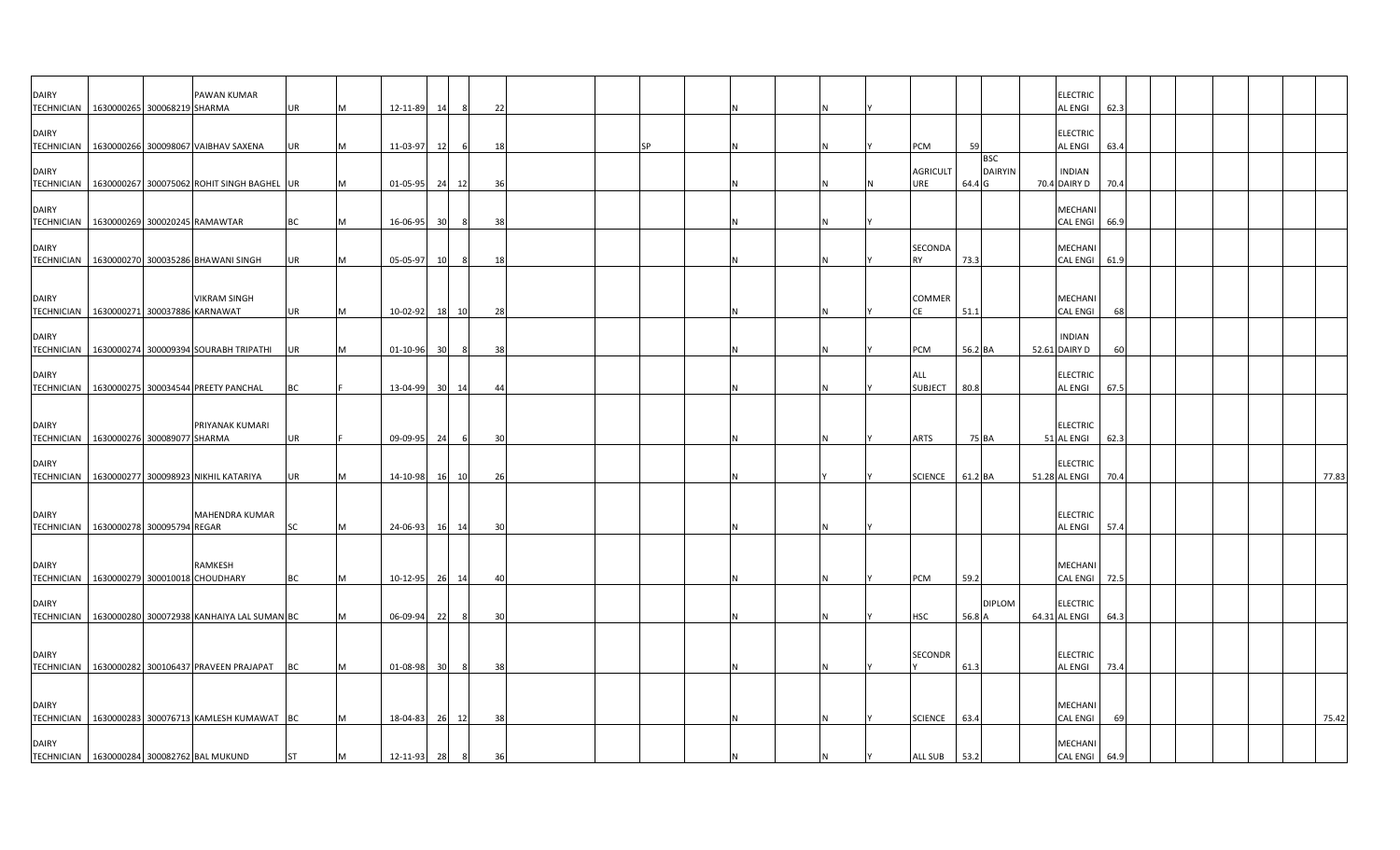| <b>DAIRY</b><br><b>TECHNICIAN</b>                        | 1630000265 300068219 SHARMA    | PAWAN KUMAR                                             | <b>UR</b> | M | 12-11-89 | 14              | - 8            | 22 |  |           |  |   |                        |         |                              | <b>ELECTRIC</b><br>AL ENGI        | 62.3 |  |  |       |
|----------------------------------------------------------|--------------------------------|---------------------------------------------------------|-----------|---|----------|-----------------|----------------|----|--|-----------|--|---|------------------------|---------|------------------------------|-----------------------------------|------|--|--|-------|
| <b>DAIRY</b>                                             |                                |                                                         |           |   |          |                 |                |    |  |           |  |   |                        |         |                              | <b>ELECTRIC</b>                   |      |  |  |       |
| <b>DAIRY</b>                                             |                                | TECHNICIAN 1630000266 300098067 VAIBHAV SAXENA          | <b>UR</b> | M | 11-03-97 | 12              |                | 18 |  | <b>SP</b> |  |   | PCM<br><b>AGRICULT</b> | 59      | <b>BSC</b><br><b>DAIRYIN</b> | AL ENGI<br><b>INDIAN</b>          | 63.4 |  |  |       |
|                                                          |                                | TECHNICIAN   1630000267 300075062 ROHIT SINGH BAGHEL UR |           | M | 01-05-95 | 24 12           |                | 36 |  |           |  |   | JRE                    | 64.4 G  |                              | 70.4 DAIRY D                      | 70.4 |  |  |       |
| <b>DAIRY</b><br>TECHNICIAN 1630000269 300020245 RAMAWTAR |                                |                                                         | <b>BC</b> | M | 16-06-95 | 30              | -8             | 38 |  |           |  |   |                        |         |                              | MECHANI<br>CAL ENGI               | 66.9 |  |  |       |
| <b>DAIRY</b><br><b>TECHNICIAN</b>                        |                                | 1630000270 300035286 BHAWANI SINGH                      | <b>UR</b> | M | 05-05-97 | 10              | -8             | 18 |  |           |  |   | SECONDA<br><b>RY</b>   | 73.3    |                              | <b>MECHANI</b><br><b>CAL ENGI</b> | 61.9 |  |  |       |
| <b>DAIRY</b>                                             |                                | <b>VIKRAM SINGH</b>                                     |           |   |          |                 |                |    |  |           |  |   | <b>COMMER</b>          |         |                              | MECHANI                           |      |  |  |       |
| TECHNICIAN                                               | 1630000271 300037886 KARNAWAT  |                                                         | <b>UR</b> | M | 10-02-92 | 18              | 10             | 28 |  |           |  |   | CE                     | 51.1    |                              | <b>CAL ENGI</b>                   | 68   |  |  |       |
| <b>DAIRY</b>                                             |                                | TECHNICIAN 1630000274 300009394 SOURABH TRIPATHI UR     |           | M | 01-10-96 | 30              |                | 38 |  |           |  |   | PCM                    | 56.2 BA |                              | <b>INDIAN</b><br>52.61 DAIRY D    | 60   |  |  |       |
| <b>DAIRY</b>                                             |                                | TECHNICIAN   1630000275 300034544 PREETY PANCHAL        | BC        |   | 13-04-99 | 30 <sup>1</sup> | 14             | 44 |  |           |  |   | ALL<br><b>SUBJECT</b>  | 80.8    |                              | <b>ELECTRIC</b><br>AL ENGI        | 67.5 |  |  |       |
|                                                          |                                |                                                         |           |   |          |                 |                |    |  |           |  |   |                        |         |                              |                                   |      |  |  |       |
| <b>DAIRY</b><br>TECHNICIAN 1630000276 300089077 SHARMA   |                                | PRIYANAK KUMARI                                         | UR        |   | 09-09-95 | 24              |                | 30 |  |           |  |   | <b>ARTS</b>            | 75 BA   |                              | <b>ELECTRIC</b><br>51 AL ENGI     | 62.3 |  |  |       |
| <b>DAIRY</b>                                             |                                | TECHNICIAN   1630000277 300098923 NIKHIL KATARIYA       | <b>UR</b> | M | 14-10-98 | 16              | 10             | 26 |  |           |  |   | <b>SCIENCE</b>         | 61.2 BA |                              | ELECTRIC<br>51.28 AL ENGI         | 70.4 |  |  | 77.83 |
| <b>DAIRY</b>                                             |                                | MAHENDRA KUMAR                                          |           |   |          |                 |                |    |  |           |  |   |                        |         |                              | <b>ELECTRIC</b>                   |      |  |  |       |
| <b>TECHNICIAN</b>                                        | 1630000278 300095794 REGAR     |                                                         | <b>SC</b> | M | 24-06-93 | 16              | 14             | 30 |  |           |  |   |                        |         |                              | AL ENGI                           | 57.4 |  |  |       |
| <b>DAIRY</b><br><b>TECHNICIAN</b>                        | 1630000279 300010018 CHOUDHARY | RAMKESH                                                 | <b>BC</b> | M | 10-12-95 | 26              | 14             | 40 |  |           |  |   | PCM                    | 59.2    |                              | MECHANI<br>CAL ENGI               | 72.5 |  |  |       |
| <b>DAIRY</b><br><b>TECHNICIAN</b>                        |                                | 1630000280 300072938 KANHAIYA LAL SUMAN BC              |           | M | 06-09-94 | 22              |                | 30 |  |           |  |   | <b>HSC</b>             | 56.8 A  | <b>DIPLOM</b>                | <b>ELECTRIC</b><br>64.31 AL ENGI  | 64.3 |  |  |       |
|                                                          |                                |                                                         |           |   |          |                 |                |    |  |           |  |   |                        |         |                              |                                   |      |  |  |       |
| <b>DAIRY</b>                                             |                                | TECHNICIAN   1630000282 300106437 PRAVEEN PRAJAPAT BC   |           | M | 01-08-98 | 30 <sup>1</sup> | 8              | 38 |  |           |  |   | <b>SECONDR</b>         | 61.3    |                              | <b>ELECTRIC</b><br><b>AL ENGI</b> | 73.4 |  |  |       |
| <b>DAIRY</b>                                             |                                |                                                         |           |   |          |                 |                |    |  |           |  |   |                        |         |                              | MECHANI                           |      |  |  |       |
| <b>DAIRY</b>                                             |                                | TECHNICIAN   1630000283 300076713 KAMLESH KUMAWAT BC    |           | M | 18-04-83 | 26              | 12             | 38 |  |           |  |   | <b>SCIENCE</b>         | 63.4    |                              | <b>CAL ENGI</b><br>MECHANI        | 69   |  |  | 75.42 |
| TECHNICIAN 1630000284 300082762 BAL MUKUND               |                                |                                                         | <b>ST</b> | M | 12-11-93 | 28              | 8 <sup>8</sup> | 36 |  |           |  | N | ALL SUB 53.2           |         |                              | CAL ENGI 64.9                     |      |  |  |       |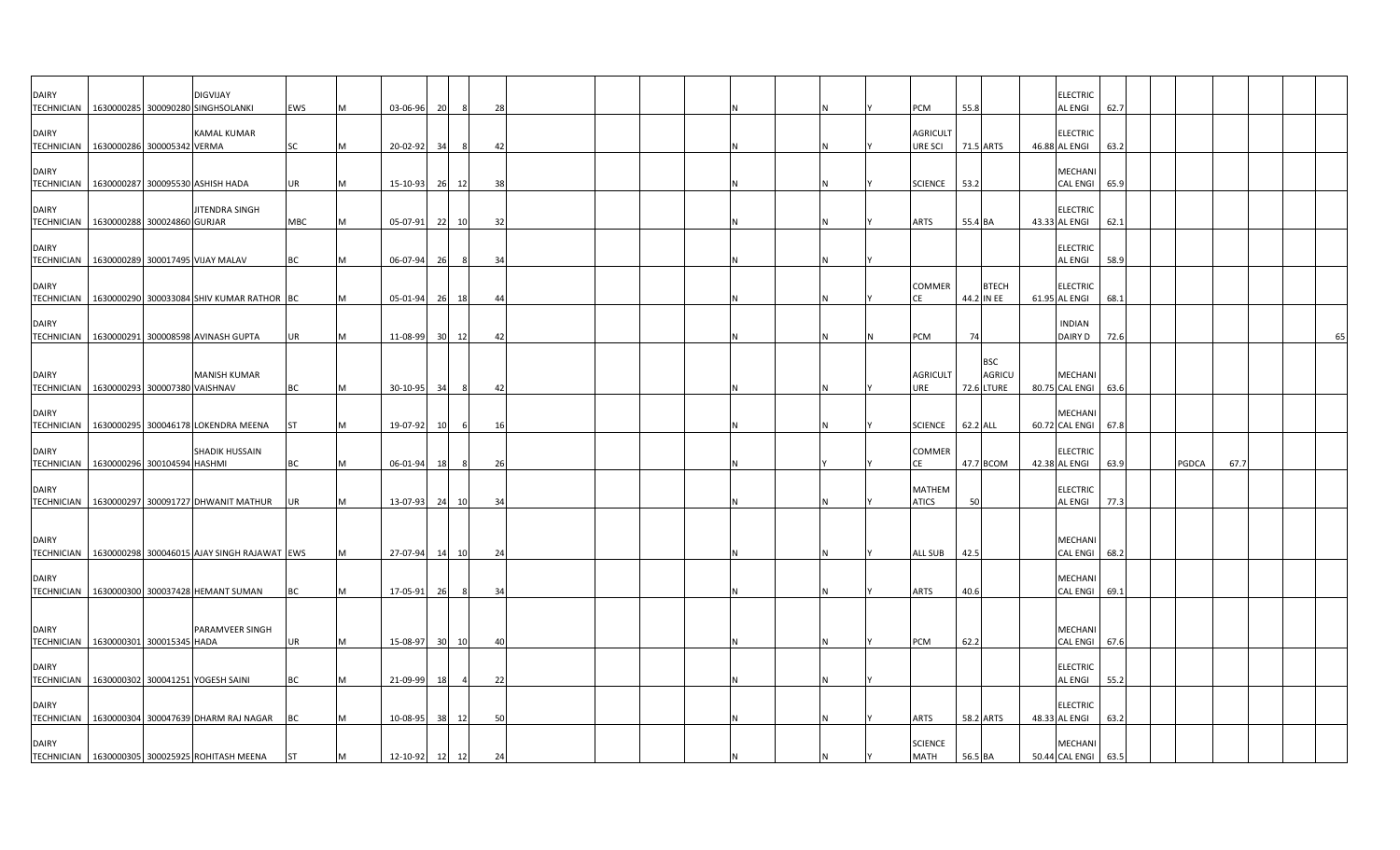| <b>DAIRY</b>                      |                                               | <b>DIGVIJAY</b><br>TECHNICIAN 1630000285 300090280 SINGHSOLANKI | EWS       |   | 03-06-96 | 20                    | $\mathcal{R}$ | 28  |  |  |          | <b>PCM</b>                    | 55.8       |                                    | <b>ELECTRIC</b><br>AL ENGI            | 62.7 |       |      |    |
|-----------------------------------|-----------------------------------------------|-----------------------------------------------------------------|-----------|---|----------|-----------------------|---------------|-----|--|--|----------|-------------------------------|------------|------------------------------------|---------------------------------------|------|-------|------|----|
| <b>DAIRY</b>                      |                                               | <b>KAMAL KUMAR</b>                                              | SC        |   | 20-02-92 | -34                   |               |     |  |  |          | <b>AGRICULT</b><br>URE SCI    |            |                                    | <b>ELECTRIC</b>                       | 63.2 |       |      |    |
| <b>DAIRY</b>                      | TECHNICIAN 1630000286 300005342 VERMA         |                                                                 |           |   |          |                       |               | 42  |  |  |          |                               | 71.5 ARTS  |                                    | 46.88 AL ENGI<br>MECHANI              |      |       |      |    |
| <b>DAIRY</b>                      | TECHNICIAN   1630000287 300095530 ASHISH HADA | JITENDRA SINGH                                                  | UR        |   | 15-10-93 | 26<br>12              |               | 38  |  |  |          | <b>SCIENCE</b>                | 53.2       |                                    | <b>CAL ENGI</b><br><b>ELECTRIC</b>    | 65.9 |       |      |    |
| <b>DAIRY</b>                      | TECHNICIAN 1630000288 300024860 GURJAR        |                                                                 | MBC       |   | 05-07-91 | 22                    | 10            | 32  |  |  |          | <b>ARTS</b>                   | 55.4 BA    |                                    | 43.33 AL ENGI<br><b>ELECTRIC</b>      | 62.1 |       |      |    |
| <b>TECHNICIAN</b><br><b>DAIRY</b> |                                               | 1630000289 300017495 VIJAY MALAV                                | BC        |   | 06-07-94 | 26                    | -8            | 34  |  |  |          | COMMER                        |            | <b>BTECH</b>                       | <b>AL ENGI</b><br><b>ELECTRIC</b>     | 58.9 |       |      |    |
| <b>TECHNICIAN</b><br><b>DAIRY</b> |                                               | 1630000290 300033084 SHIV KUMAR RATHOR BC                       |           |   | 05-01-94 | 26                    | 18            | 44  |  |  | IN.      |                               | 44.2 IN EE |                                    | 61.95 AL ENGI<br><b>INDIAN</b>        | 68.1 |       |      |    |
| <b>TECHNICIAN</b>                 |                                               | 1630000291 300008598 AVINASH GUPTA                              | UR        |   | 11-08-99 | 30 12                 |               | 42  |  |  | <b>N</b> | PCM                           | 74         | <b>BSC</b>                         | DAIRY D                               | 72.6 |       |      | 65 |
| <b>DAIRY</b>                      | TECHNICIAN 1630000293 300007380 VAISHNAV      | <b>MANISH KUMAR</b>                                             | BC        |   | 30-10-95 | - 34                  |               | 42  |  |  |          | <b>AGRICULT</b><br>URE        |            | <b>AGRICU</b><br><b>72.6 LTURE</b> | <b>MECHANI</b><br>80.75 CAL ENGI 63.6 |      |       |      |    |
| <b>DAIRY</b>                      |                                               | TECHNICIAN 1630000295 300046178 LOKENDRA MEENA                  | <b>ST</b> |   | 19-07-92 | 10                    | -6            | 16  |  |  | IN.      | <b>SCIENCE</b>                | 62.2 ALL   |                                    | MECHANI<br>60.72 CAL ENGI             | 67.8 |       |      |    |
| <b>DAIRY</b><br><b>TECHNICIAN</b> | 1630000296 300104594 HASHMI                   | SHADIK HUSSAIN                                                  | BC        |   | 06-01-94 | 18                    | 8             | 26  |  |  |          | <b>COMMER</b><br>СE           | 47.7 BCOM  |                                    | <b>ELECTRIC</b><br>42.38 AL ENGI      | 63.9 | PGDCA | 67.7 |    |
| <b>DAIRY</b>                      |                                               | TECHNICIAN 1630000297 300091727 DHWANIT MATHUR                  | <b>UR</b> |   | 13-07-93 | 24                    | 10            | 34  |  |  |          | <b>MATHEM</b><br><b>ATICS</b> | 50         |                                    | <b>ELECTRIC</b><br>AL ENGI            | 77.3 |       |      |    |
| <b>DAIRY</b>                      |                                               |                                                                 |           |   |          |                       |               |     |  |  |          |                               |            |                                    | MECHANI                               |      |       |      |    |
|                                   |                                               | TECHNICIAN   1630000298 300046015 AJAY SINGH RAJAWAT EWS        |           |   | 27-07-94 | 14                    | 10            | 24  |  |  |          | ALL SUB                       | 42.5       |                                    | <b>CAL ENGI</b>                       | 68.2 |       |      |    |
| <b>DAIRY</b>                      |                                               | TECHNICIAN 1630000300 300037428 HEMANT SUMAN                    | ВC        |   | 17-05-91 | -261                  |               | -34 |  |  |          | ARTS                          | 40.6       |                                    | MECHANI<br><b>CAL ENGI</b>            | 69.  |       |      |    |
| <b>DAIRY</b>                      | TECHNICIAN   1630000301 300015345 HADA        | PARAMVEER SINGH                                                 | UR        |   | 15-08-97 | 30 <sup>1</sup><br>10 |               | 40  |  |  |          | PCM                           | 62.2       |                                    | MECHANI<br>CAL ENGI 67.6              |      |       |      |    |
| <b>DAIRY</b>                      |                                               | TECHNICIAN 1630000302 300041251 YOGESH SAINI                    | BC        |   | 21-09-99 |                       |               | 22  |  |  |          |                               |            |                                    | <b>ELECTRIC</b><br><b>AL ENGI</b>     | 55.2 |       |      |    |
| <b>DAIRY</b>                      |                                               | TECHNICIAN   1630000304 300047639 DHARM RAJ NAGAR               | BC        |   | 10-08-95 | 38                    | 12            | 50  |  |  |          | <b>ARTS</b>                   | 58.2 ARTS  |                                    | <b>ELECTRIC</b><br>48.33 AL ENGI      | 63.2 |       |      |    |
| <b>DAIRY</b>                      |                                               | TECHNICIAN   1630000305 300025925 ROHITASH MEENA                | <b>ST</b> | M | 12-10-92 | 12                    | 12            | 24  |  |  |          | <b>SCIENCE</b><br><b>MATH</b> | 56.5 BA    |                                    | MECHANI<br>50.44 CAL ENGI 63.5        |      |       |      |    |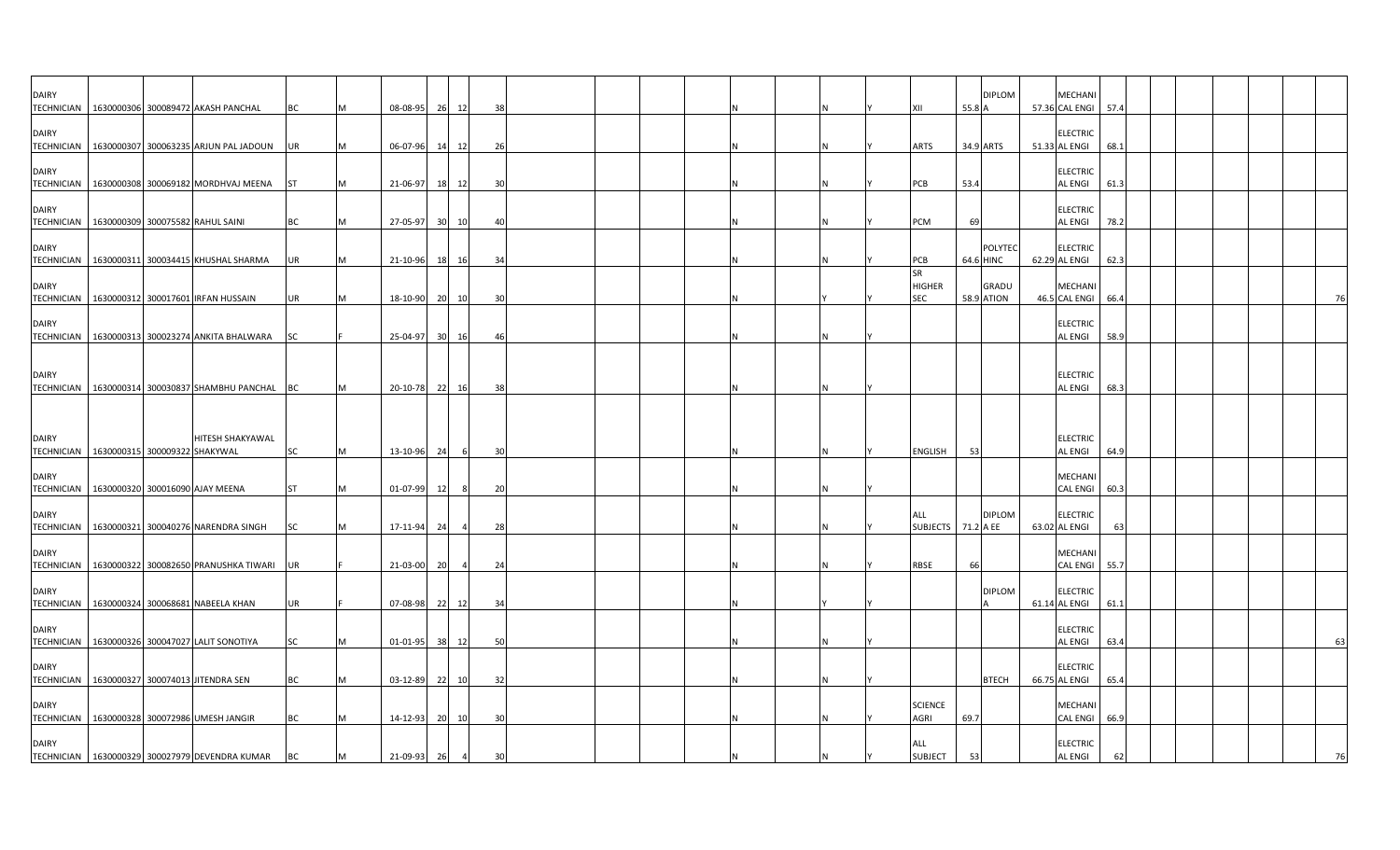| <b>DAIRY</b>                                               |  |                                                       |                        |   |                      |                |           |                |          |  |  |  |  |                                   |        | <b>DIPLOM</b>                     | MECHANI                                               |  |  |  |    |
|------------------------------------------------------------|--|-------------------------------------------------------|------------------------|---|----------------------|----------------|-----------|----------------|----------|--|--|--|--|-----------------------------------|--------|-----------------------------------|-------------------------------------------------------|--|--|--|----|
|                                                            |  | TECHNICIAN   1630000306 300089472 AKASH PANCHAL       | ВC                     |   | 08-08-95             |                | 26        | 12             | 38       |  |  |  |  | XII                               | 55.8 A |                                   | 57.36 CAL ENGI<br>57.4                                |  |  |  |    |
| <b>DAIRY</b>                                               |  | TECHNICIAN 1630000307 300063235 ARJUN PAL JADOUN      | UR                     |   | 06-07-96             |                | 14        | 12             | 26       |  |  |  |  | ARTS                              |        | 34.9 ARTS                         | <b>ELECTRIC</b><br>51.33 AL ENGI<br>68.1              |  |  |  |    |
| <b>DAIRY</b>                                               |  | TECHNICIAN   1630000308 300069182 MORDHVAJ MEENA ST   |                        |   | 21-06-97             |                |           |                |          |  |  |  |  |                                   | 53.4   |                                   | <b>ELECTRIC</b><br>AL ENGI<br>61.3                    |  |  |  |    |
| <b>DAIRY</b>                                               |  |                                                       |                        |   |                      |                | 18        | 12             | 30       |  |  |  |  | PCB                               |        |                                   | <b>ELECTRIC</b>                                       |  |  |  |    |
| TECHNICIAN   1630000309 300075582 RAHUL SAINI              |  |                                                       | BC                     |   | 27-05-97             |                | 30 10     |                | 40       |  |  |  |  | PCM                               | 69     |                                   | AL ENGI<br>78.2                                       |  |  |  |    |
| <b>DAIRY</b>                                               |  | TECHNICIAN 1630000311 300034415 KHUSHAL SHARMA        | UR                     |   | 21-10-96             |                | 18        | 16             | 34       |  |  |  |  | PCB                               |        | <b>POLYTEC</b><br>64.6 HINC       | <b>ELECTRIC</b><br>62.29 AL ENGI<br>62.3              |  |  |  |    |
| <b>DAIRY</b><br><b>TECHNICIAN</b>                          |  | 1630000312 300017601 IRFAN HUSSAIN                    | UR                     |   |                      | 18-10-90 20 10 |           |                | 30       |  |  |  |  | SR<br><b>HIGHER</b><br><b>SEC</b> |        | <b>GRADU</b><br><b>58.9 ATION</b> | MECHANI<br>46.5 CAL ENGI<br>66.4                      |  |  |  | 76 |
| <b>DAIRY</b>                                               |  | TECHNICIAN 1630000313 300023274 ANKITA BHALWARA SC    |                        |   | 25-04-97             |                | 30 16     |                | 46       |  |  |  |  |                                   |        |                                   | <b>ELECTRIC</b><br>AL ENGI<br>58.9                    |  |  |  |    |
| <b>DAIRY</b>                                               |  |                                                       |                        |   |                      |                |           |                |          |  |  |  |  |                                   |        |                                   | <b>ELECTRIC</b>                                       |  |  |  |    |
|                                                            |  | TECHNICIAN 1630000314 300030837 SHAMBHU PANCHAL       | BC                     |   | 20-10-78             |                | 22        | 16             | -38      |  |  |  |  |                                   |        |                                   | AL ENGI<br>68.3                                       |  |  |  |    |
| <b>DAIRY</b>                                               |  | HITESH SHAKYAWAL                                      |                        |   |                      |                |           |                |          |  |  |  |  |                                   |        |                                   | <b>ELECTRIC</b>                                       |  |  |  |    |
| TECHNICIAN   1630000315 300009322 SHAKYWAL<br><b>DAIRY</b> |  | TECHNICIAN 1630000320 300016090 AJAY MEENA            | <b>SC</b><br><b>ST</b> |   | 13-10-96<br>01-07-99 |                | 24<br>12  | - 8            | 30<br>20 |  |  |  |  | ENGLISH                           | 53     |                                   | AL ENGI<br>64.9<br>MECHANI<br><b>CAL ENGI</b><br>60.3 |  |  |  |    |
| <b>DAIRY</b>                                               |  |                                                       |                        |   |                      |                |           |                |          |  |  |  |  | ALL                               |        | <b>DIPLOM</b>                     | <b>ELECTRIC</b>                                       |  |  |  |    |
| <b>TECHNICIAN</b>                                          |  | 1630000321 300040276 NARENDRA SINGH                   | <b>SC</b>              |   | 17-11-94             |                | 24        | $\overline{a}$ | 28       |  |  |  |  | SUBJECTS 71.2 A EE                |        |                                   | 63.02 AL ENGI<br>63                                   |  |  |  |    |
| <b>DAIRY</b><br><b>TECHNICIAN</b>                          |  | 1630000322 300082650 PRANUSHKA TIWARI                 | <b>UR</b>              |   | 21-03-00             |                | <b>20</b> | $\overline{a}$ | 24       |  |  |  |  | RBSE                              | 66     |                                   | MECHANI<br><b>CAL ENGI</b><br>55.7                    |  |  |  |    |
| <b>DAIRY</b>                                               |  | TECHNICIAN 1630000324 300068681 NABEELA KHAN          | UR                     |   | 07-08-98             |                | 22        | 12             | -34      |  |  |  |  |                                   |        | <b>DIPLOM</b>                     | <b>ELECTRIC</b><br>61.14 AL ENGI<br>61.1              |  |  |  |    |
| <b>DAIRY</b>                                               |  | TECHNICIAN   1630000326 300047027 LALIT SONOTIYA      | SC                     |   | 01-01-95             |                | 38        | 12             | 50       |  |  |  |  |                                   |        |                                   | <b>ELECTRIC</b><br>AL ENGI<br>63.4                    |  |  |  | 63 |
| <b>DAIRY</b>                                               |  |                                                       | BC                     |   | 03-12-89             |                |           |                |          |  |  |  |  |                                   |        | <b>BTECH</b>                      | ELECTRIC<br>66.75 AL ENGI<br>65.4                     |  |  |  |    |
| <b>DAIRY</b>                                               |  | TECHNICIAN 1630000327 300074013 JITENDRA SEN          |                        |   |                      |                | 221       | 10             | 32       |  |  |  |  | <b>SCIENCE</b>                    |        |                                   | MECHANI                                               |  |  |  |    |
| <b>DAIRY</b>                                               |  | TECHNICIAN   1630000328 300072986 UMESH JANGIR        | BC                     |   | 14-12-93             |                | 20        | 10             | 30       |  |  |  |  | AGRI<br>ALL                       | 69.7   |                                   | <b>CAL ENGI</b><br>66.9<br><b>ELECTRIC</b>            |  |  |  |    |
|                                                            |  | TECHNICIAN   1630000329 300027979 DEVENDRA KUMAR   BC |                        | M |                      | 21-09-93 26    |           | $\overline{4}$ | 30       |  |  |  |  | <b>SUBJECT</b>                    | 53     |                                   | AL ENGI<br>62                                         |  |  |  | 76 |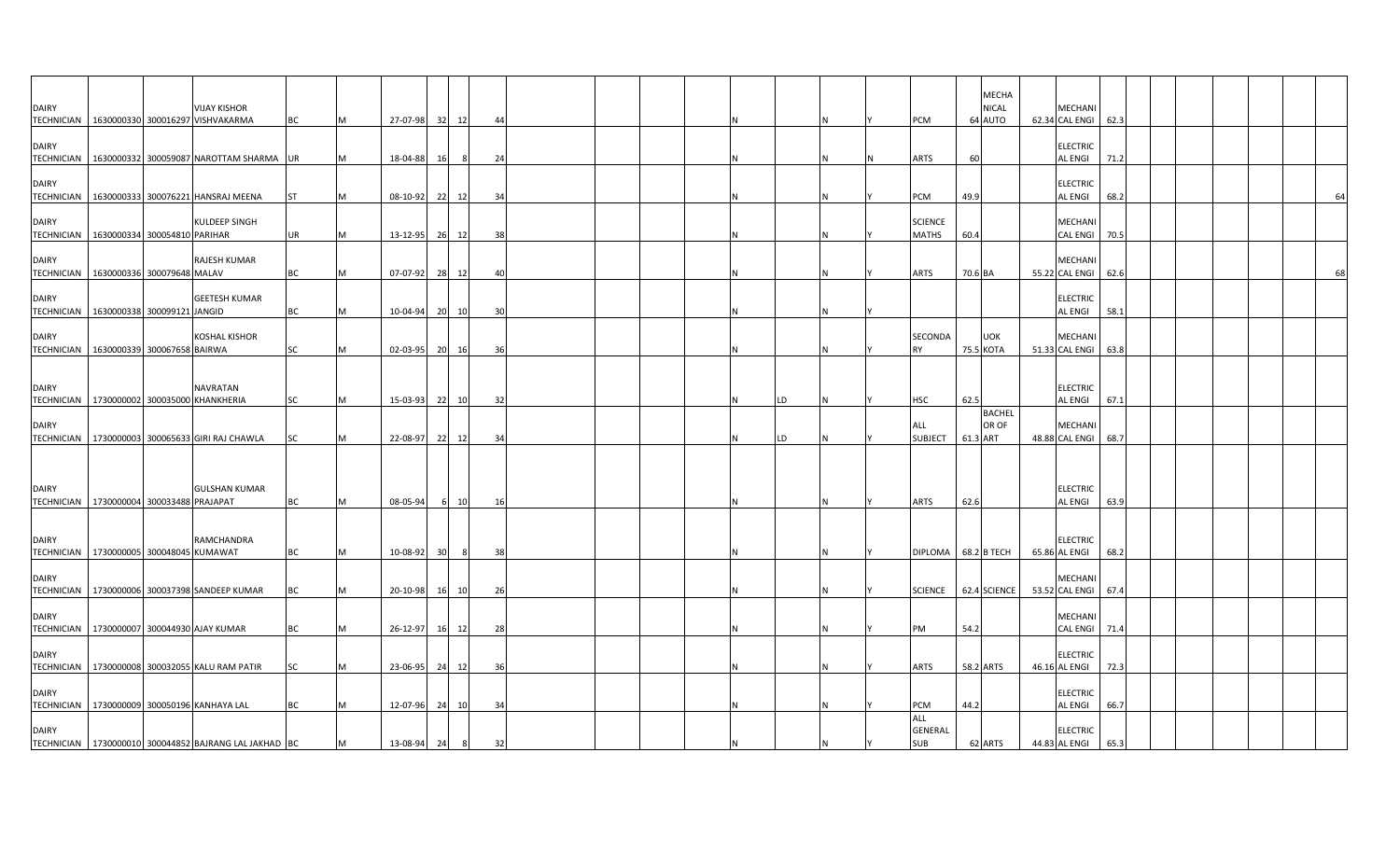| <b>DAIRY</b>                                               |                             | <b>VIJAY KISHOR</b><br>TECHNICIAN 1630000330 300016297 VISHVAKARMA | <b>BC</b> | M | 27-07-98 32    |           | 12    | 44 |  |  |    |  | PCM                            | <b>MECHA</b><br><b>NICAL</b><br>64 AUTO | MECHANI<br>62.34 CAL ENGI 62.3    |      |  |  |    |
|------------------------------------------------------------|-----------------------------|--------------------------------------------------------------------|-----------|---|----------------|-----------|-------|----|--|--|----|--|--------------------------------|-----------------------------------------|-----------------------------------|------|--|--|----|
| <b>DAIRY</b><br><b>TECHNICIAN</b>                          |                             | 1630000332 300059087 NAROTTAM SHARMA UR                            |           | M | 18-04-88       | 16        | 8     | 24 |  |  |    |  | ARTS                           | 60                                      | <b>ELECTRIC</b><br>AL ENGI        | 71.2 |  |  |    |
| <b>DAIRY</b><br><b>TECHNICIAN</b>                          |                             | 1630000333 300076221 HANSRAJ MEENA                                 | <b>ST</b> | M | $08-10-92$     |           | 22 12 | 34 |  |  |    |  | PCM                            | 49.9                                    | <b>ELECTRIC</b><br>AL ENGI        | 68.2 |  |  | 64 |
| <b>DAIRY</b><br>TECHNICIAN 1630000334 300054810 PARIHAR    |                             | <b>KULDEEP SINGH</b>                                               | UR        | M | 13-12-95       | 26        | 12    | 38 |  |  |    |  | <b>SCIENCE</b><br><b>MATHS</b> | 60.4                                    | MECHANI<br>CAL ENGI 70.5          |      |  |  |    |
| <b>DAIRY</b><br>TECHNICIAN 1630000336 300079648 MALAV      |                             | RAJESH KUMAR                                                       | BC        | M | 07-07-92       | 28        | 12    | 40 |  |  |    |  | <b>ARTS</b>                    | 70.6 BA                                 | MECHANI<br>55.22 CAL ENGI 62.6    |      |  |  | 68 |
| <b>DAIRY</b><br>TECHNICIAN                                 | 1630000338 300099121 JANGID | <b>GEETESH KUMAR</b>                                               | <b>BC</b> | M | 10-04-94 20 10 |           |       | 30 |  |  |    |  |                                |                                         | <b>ELECTRIC</b><br>AL ENGI        | 58.1 |  |  |    |
| <b>DAIRY</b><br>TECHNICIAN 1630000339 300067658 BAIRWA     |                             | <b>KOSHAL KISHOR</b>                                               | <b>SC</b> | M | 02-03-95       | 20        | 16    | 36 |  |  |    |  | SECONDA<br><b>RY</b>           | <b>UOK</b><br>75.5 KOTA                 | MECHANI<br>51.33 CAL ENGI 63.8    |      |  |  |    |
| <b>DAIRY</b><br>TECHNICIAN 1730000002 300035000 KHANKHERIA |                             | <b>NAVRATAN</b>                                                    | <b>SC</b> | M | 15-03-93       | 22        | 10    | 32 |  |  | LD |  | HSC                            | 62.5                                    | <b>ELECTRIC</b><br>AL ENGI        | 67.1 |  |  |    |
| <b>DAIRY</b>                                               |                             | TECHNICIAN 1730000003 300065633 GIRI RAJ CHAWLA                    | <b>SC</b> | M | 22-08-97       | 22        | 12    | 34 |  |  | LD |  | ALL<br>SUBJECT   61.3 ART      | <b>BACHEL</b><br>OR OF                  | MECHANI<br>48.88 CAL ENGI         | 68.7 |  |  |    |
| <b>DAIRY</b>                                               |                             | <b>GULSHAN KUMAR</b>                                               |           |   |                |           |       |    |  |  |    |  |                                |                                         | <b>ELECTRIC</b>                   |      |  |  |    |
| TECHNICIAN 1730000004 300033488 PRAJAPAT                   |                             |                                                                    | <b>BC</b> | M | 08-05-94       | -6        | 10    | 16 |  |  |    |  | <b>ARTS</b>                    | 62.6                                    | AL ENGI                           | 63.9 |  |  |    |
| <b>DAIRY</b><br>TECHNICIAN 1730000005 300048045 KUMAWAT    |                             | RAMCHANDRA                                                         | BC        | M | 10-08-92       | 30        |       | 38 |  |  |    |  | <b>DIPLOMA</b>                 | 68.2 B TECH                             | <b>ELECTRIC</b><br>65.86 AL ENGI  | 68.2 |  |  |    |
| <b>DAIRY</b><br>TECHNICIAN                                 |                             | 1730000006 300037398 SANDEEP KUMAR                                 | <b>BC</b> | M | 20-10-98       | <b>16</b> | 10    | 26 |  |  |    |  | <b>SCIENCE</b>                 | 62.4 SCIENCE                            | MECHANI<br>53.52 CAL ENGI         | 67.4 |  |  |    |
| <b>DAIRY</b><br>TECHNICIAN 1730000007 300044930 AJAY KUMAR |                             |                                                                    | <b>BC</b> | M | 26-12-97       |           | 16 12 | 28 |  |  |    |  | PM                             | 54.2                                    | MECHANI<br>CAL ENGI 71.4          |      |  |  |    |
| <b>DAIRY</b>                                               |                             | TECHNICIAN   1730000008 300032055 KALU RAM PATIR                   | SC        |   | 23-06-95 24 12 |           |       | 36 |  |  |    |  | ARTS                           | 58.2 ARTS                               | <b>ELECTRIC</b><br>46.16 AL ENGI  | 72.3 |  |  |    |
| <b>DAIRY</b>                                               |                             | TECHNICIAN 1730000009 300050196 KANHAYA LAL                        | <b>BC</b> | M | 12-07-96       | 24        | 10    | 34 |  |  |    |  | PCM                            | 44.2                                    | <b>ELECTRIC</b><br><b>AL ENGI</b> | 66.7 |  |  |    |
| <b>DAIRY</b>                                               |                             | TECHNICIAN   1730000010 300044852 BAJRANG LAL JAKHAD BC            |           | M | 13-08-94       | 24        | 8     | 32 |  |  |    |  | ALL<br>GENERAL<br><b>SUB</b>   | 62 ARTS                                 | <b>ELECTRIC</b><br>44.83 AL ENGI  | 65.3 |  |  |    |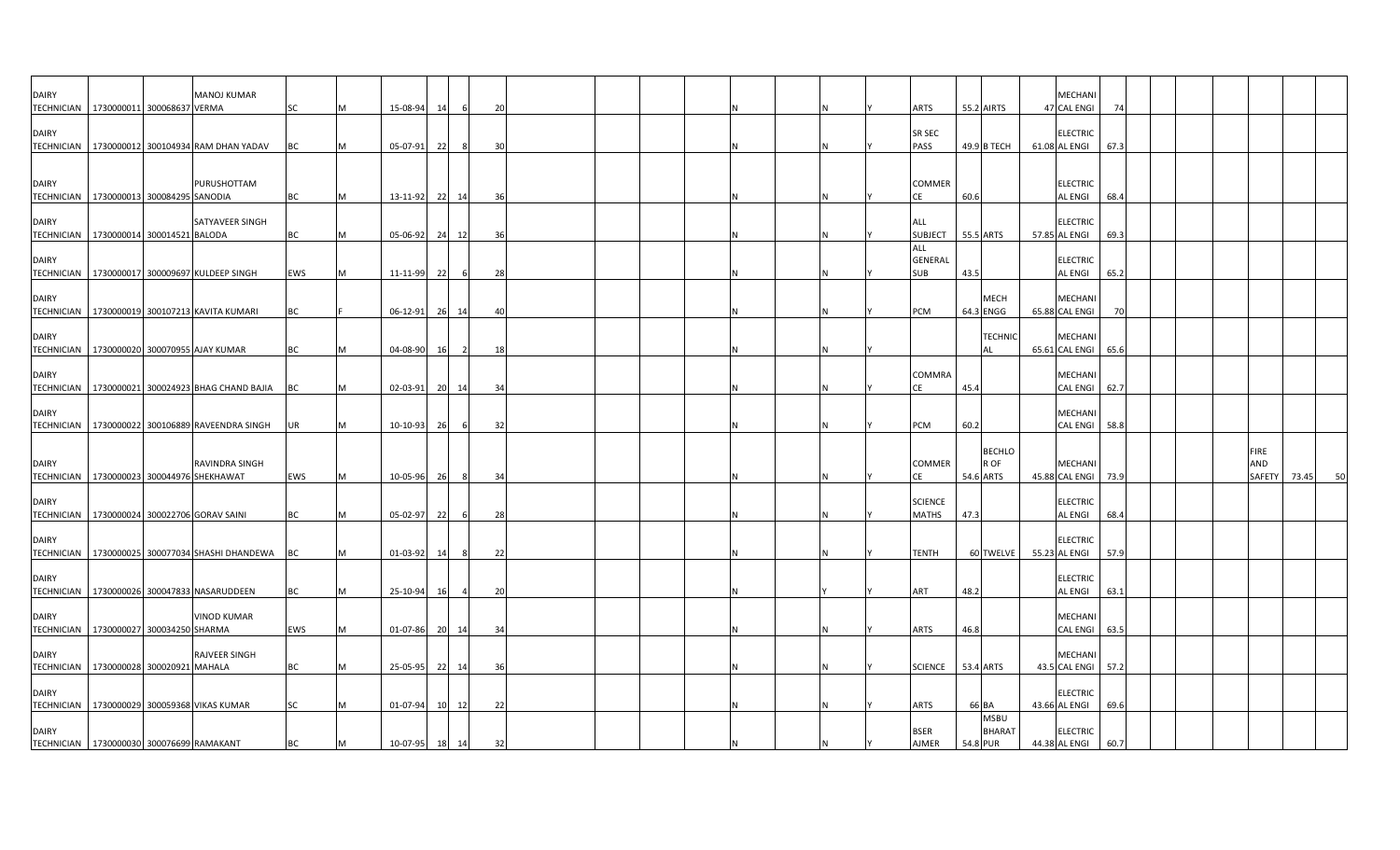| DAIRY<br>TECHNICIAN   1730000011 300068637 VERMA                       |  | <b>MANOJ KUMAR</b>                                    | SC        | м | 15-08-94 | 14        | -6             | 20  |  |  |   | ARTS                           | 55.2 AIRTS |                              | <b>MECHAN</b><br>47 CAL ENGI                | 74   |  |                              |       |    |
|------------------------------------------------------------------------|--|-------------------------------------------------------|-----------|---|----------|-----------|----------------|-----|--|--|---|--------------------------------|------------|------------------------------|---------------------------------------------|------|--|------------------------------|-------|----|
| <b>DAIRY</b>                                                           |  | TECHNICIAN   1730000012 300104934 RAM DHAN YADAV      | <b>BC</b> | м | 05-07-91 | 22        | -8             | 30  |  |  |   | SR SEC<br>PASS                 |            | 49.9 B TECH                  | <b>ELECTRIC</b><br>61.08 AL ENGI            | 67.3 |  |                              |       |    |
| <b>DAIRY</b><br>TECHNICIAN 1730000013 300084295 SANODIA                |  | PURUSHOTTAM                                           | ВC        |   | 13-11-92 | - 22      | 14             | 36  |  |  |   | COMMER<br>СE                   | 60.6       |                              | <b>ELECTRIC</b><br><b>AL ENGI</b>           | 68.4 |  |                              |       |    |
| <b>DAIRY</b><br>TECHNICIAN 1730000014 300014521 BALODA                 |  | SATYAVEER SINGH                                       | BC        |   | 05-06-92 | 24        | 12             | 36  |  |  |   | ALL<br><b>SUBJECT</b>          | 55.5 ARTS  |                              | <b>ELECTRIC</b><br>57.85 AL ENGI            | 69.3 |  |                              |       |    |
| <b>DAIRY</b>                                                           |  | TECHNICIAN   1730000017 300009697 KULDEEP SINGH       | EWS       |   | 11-11-99 | 22        | 6              | 28  |  |  |   | ALL<br>GENERAL<br>SUB          | 43.5       |                              | <b>ELECTRIC</b><br><b>AL ENGI</b>           | 65.2 |  |                              |       |    |
| <b>DAIRY</b>                                                           |  | TECHNICIAN   1730000019 300107213 KAVITA KUMARI       | ВC        |   | 06-12-91 | 26        | 14             | 40  |  |  |   | PCM                            | 64.3 ENGG  | <b>MECH</b>                  | <b>MECHANI</b><br>65.88 CAL ENGI            | -70  |  |                              |       |    |
| <b>DAIRY</b>                                                           |  | TECHNICIAN 1730000020 300070955 AJAY KUMAR            | <b>BC</b> | м | 04-08-90 | <b>16</b> | $\overline{2}$ | 18  |  |  |   |                                |            | <b>TECHNIC</b><br>AL         | <b>MECHANI</b><br>65.61 CAL ENGI            | 65.6 |  |                              |       |    |
| <b>DAIRY</b>                                                           |  | TECHNICIAN   1730000021 300024923 BHAG CHAND BAJIA BC |           | M | 02-03-91 |           | 20 14          | 34  |  |  | N | COMMRA<br>CE                   | 45.4       |                              | <b>MECHANI</b><br>CAL ENGI 62.7             |      |  |                              |       |    |
| <b>DAIRY</b>                                                           |  | TECHNICIAN   1730000022 300106889 RAVEENDRA SINGH     | <b>UR</b> | M | 10-10-93 | 26        | -6             | 32  |  |  |   | <b>PCM</b>                     | 60.2       |                              | <b>MECHANI</b><br><b>CAL ENGI</b>           | 58.8 |  |                              |       |    |
| <b>DAIRY</b><br>TECHNICIAN   1730000023 300044976 SHEKHAWAT            |  | RAVINDRA SINGH                                        | EWS       | M | 10-05-96 | 26        | 8              | 34  |  |  |   | COMMER<br>CE                   | 54.6 ARTS  | <b>BECHLO</b><br>R OF        | <b>MECHANI</b><br>45.88 CAL ENGI            | 73.9 |  | <b>FIRE</b><br>AND<br>SAFETY | 73.45 | 50 |
| <b>DAIRY</b>                                                           |  | TECHNICIAN 1730000024 300022706 GORAV SAINI           | <b>BC</b> | M | 05-02-97 | 22        | -6             | 28  |  |  |   | <b>SCIENCE</b><br><b>MATHS</b> | 47.3       |                              | <b>ELECTRIC</b><br><b>AL ENGI</b>           | 68.4 |  |                              |       |    |
| <b>DAIRY</b>                                                           |  | TECHNICIAN   1730000025 300077034 SHASHI DHANDEWA BC  |           | м | 01-03-92 | 14        | -8             | 22  |  |  |   | TENTH                          |            | 60 TWELVE                    | <b>ELECTRIC</b><br>55.23 AL ENGI            | 57.9 |  |                              |       |    |
| <b>DAIRY</b>                                                           |  | TECHNICIAN   1730000026 300047833 NASARUDDEEN         | <b>BC</b> | м | 25-10-94 | - 16      |                | 20  |  |  |   | ART                            | 48.2       |                              | <b>ELECTRIC</b><br><b>AL ENGI</b>           | 63.1 |  |                              |       |    |
| <b>DAIRY</b><br>TECHNICIAN 1730000027 300034250 SHARMA<br><b>DAIRY</b> |  | <b>VINOD KUMAR</b><br>RAJVEER SINGH                   | EWS       | м | 01-07-86 |           | 20 14          | -34 |  |  |   | <b>ARTS</b>                    | 46.8       |                              | MECHANI<br><b>CAL ENGI</b><br><b>MECHAN</b> | 63.5 |  |                              |       |    |
| TECHNICIAN 1730000028 300020921 MAHALA<br><b>DAIRY</b>                 |  |                                                       | BC        |   | 25-05-95 | 22        | 14             | 36  |  |  | N | <b>SCIENCE</b>                 | 53.4 ARTS  |                              | 43.5 CAL ENGI 57.2<br><b>ELECTRIC</b>       |      |  |                              |       |    |
| <b>DAIRY</b>                                                           |  | TECHNICIAN 1730000029 300059368 VIKAS KUMAR           | SC        |   | 01-07-94 | <b>10</b> | 12             | 22  |  |  |   | <b>ARTS</b><br><b>BSER</b>     | 66 BA      | <b>MSBU</b><br><b>BHARAT</b> | 43.66 AL ENGI<br><b>ELECTRIC</b>            | 69.6 |  |                              |       |    |
| TECHNICIAN 1730000030 300076699 RAMAKANT                               |  |                                                       | <b>BC</b> | M | 10-07-95 | 18        | 14             | 32  |  |  |   | <b>AJMER</b>                   | 54.8 PUR   |                              | 44.38 AL ENGI                               | 60.7 |  |                              |       |    |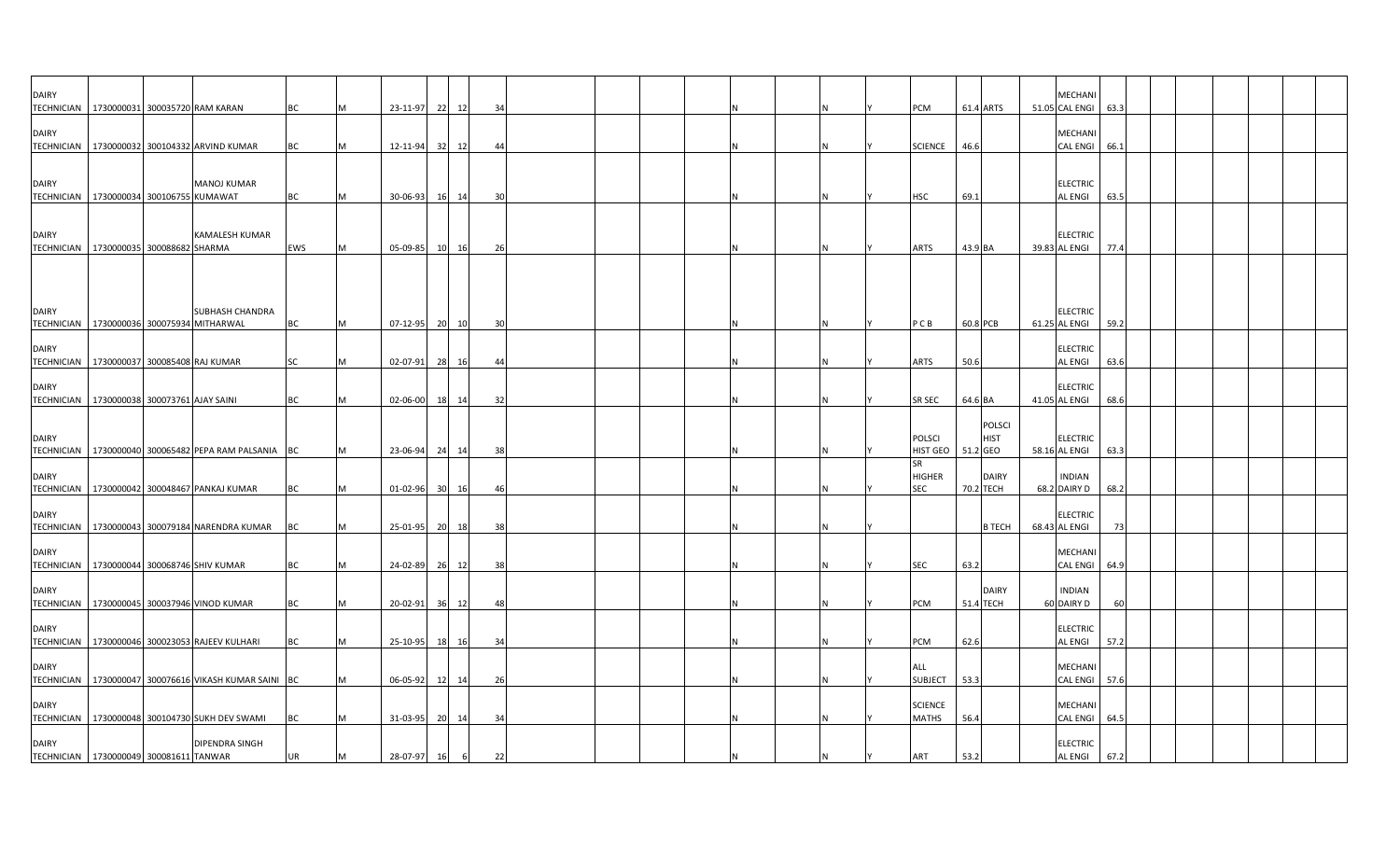| <b>DAIRY</b>                      | TECHNICIAN 1730000031 300035720 RAM KARAN                             | BC        | M | 23-11-97       | 22<br>12 | 34      |  |  |  |  | PCM                            | 61.4 ARTS |                              | <b>MECHAN</b><br>51.05 CAL ENGI   | 63.3 |  |  |  |
|-----------------------------------|-----------------------------------------------------------------------|-----------|---|----------------|----------|---------|--|--|--|--|--------------------------------|-----------|------------------------------|-----------------------------------|------|--|--|--|
| <b>DAIRY</b>                      | TECHNICIAN   1730000032 300104332 ARVIND KUMAR                        | BC        |   | 12-11-94       | 32<br>12 | 44      |  |  |  |  | <b>SCIENCE</b>                 | 46.6      |                              | MECHANI<br><b>CAL ENGI</b>        | 66.1 |  |  |  |
| <b>DAIRY</b>                      | <b>MANOJ KUMAR</b>                                                    |           |   |                |          |         |  |  |  |  |                                |           |                              | <b>ELECTRIC</b>                   |      |  |  |  |
| <b>TECHNICIAN</b>                 | 1730000034 300106755 KUMAWAT                                          | <b>BC</b> |   | 30-06-93       | 16 14    | 30      |  |  |  |  | <b>HSC</b>                     | 69.1      |                              | <b>AL ENGI</b>                    | 63.5 |  |  |  |
| <b>DAIRY</b>                      | <b>KAMALESH KUMAR</b><br>TECHNICIAN   1730000035 300088682 SHARMA     | EWS       |   | 05-09-85 10 16 |          | 26      |  |  |  |  | ARTS                           | 43.9 BA   |                              | <b>ELECTRIC</b><br>39.83 AL ENGI  | 77.4 |  |  |  |
|                                   |                                                                       |           |   |                |          |         |  |  |  |  |                                |           |                              |                                   |      |  |  |  |
| <b>DAIRY</b>                      | <b>SUBHASH CHANDRA</b><br>TECHNICIAN   1730000036 300075934 MITHARWAL | BC        |   | 07-12-95 20 10 |          | 30      |  |  |  |  | PCB                            | 60.8 PCB  |                              | <b>ELECTRIC</b><br>61.25 AL ENGI  | 59.2 |  |  |  |
| <b>DAIRY</b><br><b>TECHNICIAN</b> | 1730000037 300085408 RAJ KUMAR                                        | <b>SC</b> |   | 02-07-91       | 28 16    | 44      |  |  |  |  | ARTS                           | 50.6      |                              | <b>ELECTRIC</b><br>AL ENGI        | 63.6 |  |  |  |
| <b>DAIRY</b>                      | TECHNICIAN   1730000038 300073761 AJAY SAINI                          | BC        |   | 02-06-00       | 18 14    | 32      |  |  |  |  | SR SEC                         | 64.6 BA   |                              | <b>ELECTRIC</b><br>41.05 AL ENGI  | 68.6 |  |  |  |
| <b>DAIRY</b>                      |                                                                       |           |   |                |          |         |  |  |  |  | <b>POLSCI</b>                  |           | <b>POLSCI</b><br><b>HIST</b> | <b>ELECTRIC</b>                   |      |  |  |  |
|                                   | TECHNICIAN 1730000040 300065482 PEPA RAM PALSANIA BC                  |           |   | 23-06-94       | 24<br>14 | 38      |  |  |  |  | HIST GEO   51.2 GEO<br>SR      |           |                              | 58.16 AL ENGI                     | 63.3 |  |  |  |
| <b>DAIRY</b>                      | TECHNICIAN 1730000042 300048467 PANKAJ KUMAR                          | BC        | M | 01-02-96 30    | - 16     | 46      |  |  |  |  | <b>HIGHER</b><br><b>SEC</b>    | 70.2 TECH | <b>DAIRY</b>                 | <b>INDIAN</b><br>68.2 DAIRY D     | 68.2 |  |  |  |
| <b>DAIRY</b><br><b>TECHNICIAN</b> | 1730000043 300079184 NARENDRA KUMAR                                   | BC        |   | 25-01-95       | 20 18    | 38      |  |  |  |  |                                |           | <b>B TECH</b>                | <b>ELECTRIC</b><br>68.43 AL ENGI  | -73  |  |  |  |
| <b>DAIRY</b>                      | TECHNICIAN 1730000044 300068746 SHIV KUMAR                            | BC        |   | 24-02-89 26 12 |          | 38      |  |  |  |  | <b>SEC</b>                     | 63.2      |                              | MECHANI<br><b>CAL ENGI</b>        | 64.9 |  |  |  |
| <b>DAIRY</b>                      | TECHNICIAN 1730000045 300037946 VINOD KUMAR                           | ВC        |   | 20-02-91       | 36 12    |         |  |  |  |  | PCM                            | 51.4 TECH | <b>DAIRY</b>                 | <b>INDIAN</b><br>60 DAIRY D       |      |  |  |  |
| <b>DAIRY</b>                      | TECHNICIAN   1730000046 300023053 RAJEEV KULHARI                      | BC        |   | 25-10-95       | 18<br>16 | 34      |  |  |  |  | PCM                            | 62.6      |                              | <b>ELECTRIC</b><br><b>AL ENGI</b> | 57.2 |  |  |  |
| <b>DAIRY</b>                      | TECHNICIAN 1730000047 300076616 VIKASH KUMAR SAINI BC                 |           |   | 06-05-92       | 12 14    | 26      |  |  |  |  | <b>ALL</b><br><b>SUBJECT</b>   | 53.3      |                              | <b>MECHANI</b><br>CAL ENGI        | 57.6 |  |  |  |
| <b>DAIRY</b>                      | TECHNICIAN 1730000048 300104730 SUKH DEV SWAMI                        | BC        | M | 31-03-95 20 14 |          | 34      |  |  |  |  | <b>SCIENCE</b><br><b>MATHS</b> | 56.4      |                              | MECHANI<br><b>CAL ENGI</b>        | 64.5 |  |  |  |
| <b>DAIRY</b>                      | DIPENDRA SINGH<br>TECHNICIAN 1730000049 300081611 TANWAR              | <b>UR</b> | M | 28-07-97 16    |          | 6<br>22 |  |  |  |  | ART                            | 53.2      |                              | <b>ELECTRIC</b><br><b>AL ENGI</b> | 67.2 |  |  |  |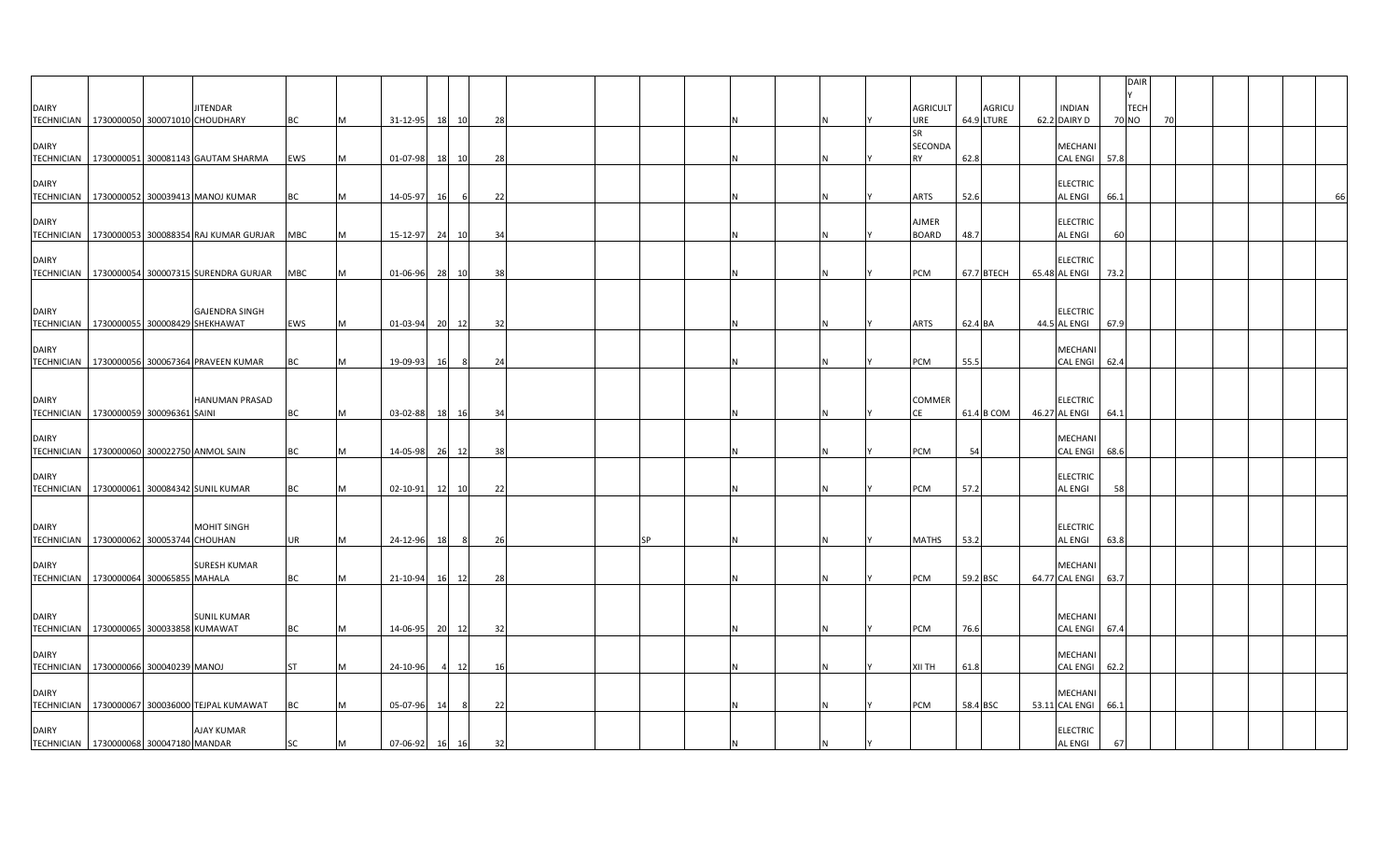|                                           |  |                                                      |           |   |          |           |               |     |  |           |  |     |                  |          |            |                                  | DAIR        |  |    |
|-------------------------------------------|--|------------------------------------------------------|-----------|---|----------|-----------|---------------|-----|--|-----------|--|-----|------------------|----------|------------|----------------------------------|-------------|--|----|
| <b>DAIRY</b>                              |  | JITENDAR                                             |           |   |          |           |               |     |  |           |  |     | <b>AGRICULT</b>  |          | AGRICU     | <b>INDIAN</b>                    | <b>TECH</b> |  |    |
| TECHNICIAN 1730000050 300071010 CHOUDHARY |  |                                                      | BC        |   | 31-12-95 | 18        | 10            | 28  |  |           |  |     | URE<br><b>SR</b> |          | 64.9 LTURE | 62.2 DAIRY D                     | 70 NO       |  |    |
| <b>DAIRY</b>                              |  |                                                      |           |   |          |           |               |     |  |           |  |     | SECONDA          |          |            | MECHANI                          |             |  |    |
| <b>TECHNICIAN</b>                         |  | 1730000051 300081143 GAUTAM SHARMA                   | EWS       |   | 01-07-98 | <b>18</b> | 10            | 28  |  |           |  | IN. | <b>RY</b>        | 62.8     |            | <b>CAL ENGI</b>                  | 57.8        |  |    |
| <b>DAIRY</b>                              |  |                                                      |           |   |          |           |               |     |  |           |  |     |                  |          |            | <b>ELECTRIC</b>                  |             |  |    |
|                                           |  | TECHNICIAN   1730000052 300039413 MANOJ KUMAR        | ВC        |   | 14-05-97 | 16        | 6             | 22  |  |           |  | IN. | ARTS             | 52.6     |            | AL ENGI                          | 66.1        |  | 66 |
| <b>DAIRY</b>                              |  |                                                      |           |   |          |           |               |     |  |           |  |     | <b>AJMER</b>     |          |            | <b>ELECTRIC</b>                  |             |  |    |
|                                           |  | TECHNICIAN 1730000053 300088354 RAJ KUMAR GURJAR MBC |           |   | 15-12-97 | 24        | 10            | 34  |  |           |  |     | <b>BOARD</b>     | 48.7     |            | <b>AL ENGI</b>                   | 60          |  |    |
| <b>DAIRY</b>                              |  |                                                      |           |   |          |           |               |     |  |           |  |     |                  |          |            |                                  |             |  |    |
|                                           |  | TECHNICIAN   1730000054 300007315 SURENDRA GURJAR    | MBC       |   | 01-06-96 | 28        | 10            | 38  |  |           |  |     | PCM              |          | 67.7 BTECH | <b>ELECTRIC</b><br>65.48 AL ENGI | 73.2        |  |    |
|                                           |  |                                                      |           |   |          |           |               |     |  |           |  |     |                  |          |            |                                  |             |  |    |
| <b>DAIRY</b>                              |  | <b>GAJENDRA SINGH</b>                                |           |   |          |           |               |     |  |           |  |     |                  |          |            | <b>ELECTRIC</b>                  |             |  |    |
| TECHNICIAN 1730000055 300008429 SHEKHAWAT |  |                                                      | EWS       |   | 01-03-94 | 20 12     |               | 32  |  |           |  | ΙN  | <b>ARTS</b>      | 62.4 BA  |            | 44.5 AL ENGI                     | 67.9        |  |    |
| <b>DAIRY</b>                              |  |                                                      |           |   |          |           |               |     |  |           |  |     |                  |          |            | MECHANI                          |             |  |    |
|                                           |  | TECHNICIAN 1730000056 300067364 PRAVEEN KUMAR        | BC        |   | 19-09-93 | -16       |               | 24  |  |           |  |     | PCM              | 55.5     |            | <b>CAL ENGI</b>                  | 62.4        |  |    |
|                                           |  |                                                      |           |   |          |           |               |     |  |           |  |     |                  |          |            |                                  |             |  |    |
| <b>DAIRY</b>                              |  | <b>HANUMAN PRASAD</b>                                |           |   |          |           |               |     |  |           |  |     | <b>COMMER</b>    |          |            | <b>ELECTRIC</b>                  |             |  |    |
| TECHNICIAN   1730000059 300096361 SAINI   |  |                                                      | BC        |   | 03-02-88 | 18        | 16            | -34 |  |           |  |     | CE               |          | 61.4 B COM | 46.27 AL ENGI                    | 64.1        |  |    |
| <b>DAIRY</b>                              |  |                                                      |           |   |          |           |               |     |  |           |  |     |                  |          |            | MECHANI                          |             |  |    |
|                                           |  | TECHNICIAN   1730000060 300022750 ANMOL SAIN         | BC        |   | 14-05-98 | 26<br>12  |               | 38  |  |           |  | IN. | <b>PCM</b>       | 54       |            | <b>CAL ENGI</b>                  | 68.6        |  |    |
| <b>DAIRY</b>                              |  |                                                      |           |   |          |           |               |     |  |           |  |     |                  |          |            | <b>ELECTRIC</b>                  |             |  |    |
|                                           |  | TECHNICIAN 1730000061 300084342 SUNIL KUMAR          | BC        |   | 02-10-91 | 12        | 10            | 22  |  |           |  |     | PCM              | 57.2     |            | <b>AL ENGI</b>                   | 58          |  |    |
|                                           |  |                                                      |           |   |          |           |               |     |  |           |  |     |                  |          |            |                                  |             |  |    |
| <b>DAIRY</b>                              |  | <b>MOHIT SINGH</b>                                   |           |   |          |           |               |     |  |           |  |     |                  |          |            | <b>ELECTRIC</b>                  |             |  |    |
| TECHNICIAN 1730000062 300053744 CHOUHAN   |  |                                                      | UR        |   | 24-12-96 | <b>18</b> | $\mathcal{R}$ | 26  |  | <b>SP</b> |  | IN. | <b>MATHS</b>     | 53.2     |            | AL ENGI                          | 63.8        |  |    |
| <b>DAIRY</b>                              |  | <b>SURESH KUMAR</b>                                  |           |   |          |           |               |     |  |           |  |     |                  |          |            | MECHANI                          |             |  |    |
| TECHNICIAN   1730000064 300065855 MAHALA  |  |                                                      | BC        |   | 21-10-94 | 16        | 12            | 28  |  |           |  | IN. | <b>PCM</b>       | 59.2 BSC |            | 64.77 CAL ENGI                   | 63.7        |  |    |
|                                           |  |                                                      |           |   |          |           |               |     |  |           |  |     |                  |          |            |                                  |             |  |    |
| <b>DAIRY</b>                              |  | <b>SUNIL KUMAR</b>                                   |           |   |          |           |               |     |  |           |  |     |                  |          |            | MECHANI                          |             |  |    |
| TECHNICIAN 1730000065 300033858 KUMAWAT   |  |                                                      | BC        |   | 14-06-95 | 20        | 12            | 32  |  |           |  |     | <b>PCM</b>       | 76.6     |            | CAL ENGI 67.4                    |             |  |    |
| <b>DAIRY</b>                              |  |                                                      |           |   |          |           |               |     |  |           |  |     |                  |          |            | MECHANI                          |             |  |    |
| TECHNICIAN 1730000066 300040239 MANOJ     |  |                                                      | <b>ST</b> |   | 24-10-96 |           | 12            | 16  |  |           |  | N   | <b>XII TH</b>    | 61.8     |            | CAL ENGI 62.2                    |             |  |    |
| <b>DAIRY</b>                              |  |                                                      |           |   |          |           |               |     |  |           |  |     |                  |          |            | MECHANI                          |             |  |    |
|                                           |  | TECHNICIAN 1730000067 300036000 TEJPAL KUMAWAT       | BC        |   | 05-07-96 | - 14      |               | 22  |  |           |  |     | PCM              | 58.4 BSC |            | 53.11 CAL ENGI                   | 66.1        |  |    |
| <b>DAIRY</b>                              |  | <b>AJAY KUMAR</b>                                    |           |   |          |           |               |     |  |           |  |     |                  |          |            | <b>ELECTRIC</b>                  |             |  |    |
| TECHNICIAN 1730000068 300047180 MANDAR    |  |                                                      | SC        | M | 07-06-92 | 16        | 16            | 32  |  |           |  |     |                  |          |            | <b>AL ENGI</b>                   | 67          |  |    |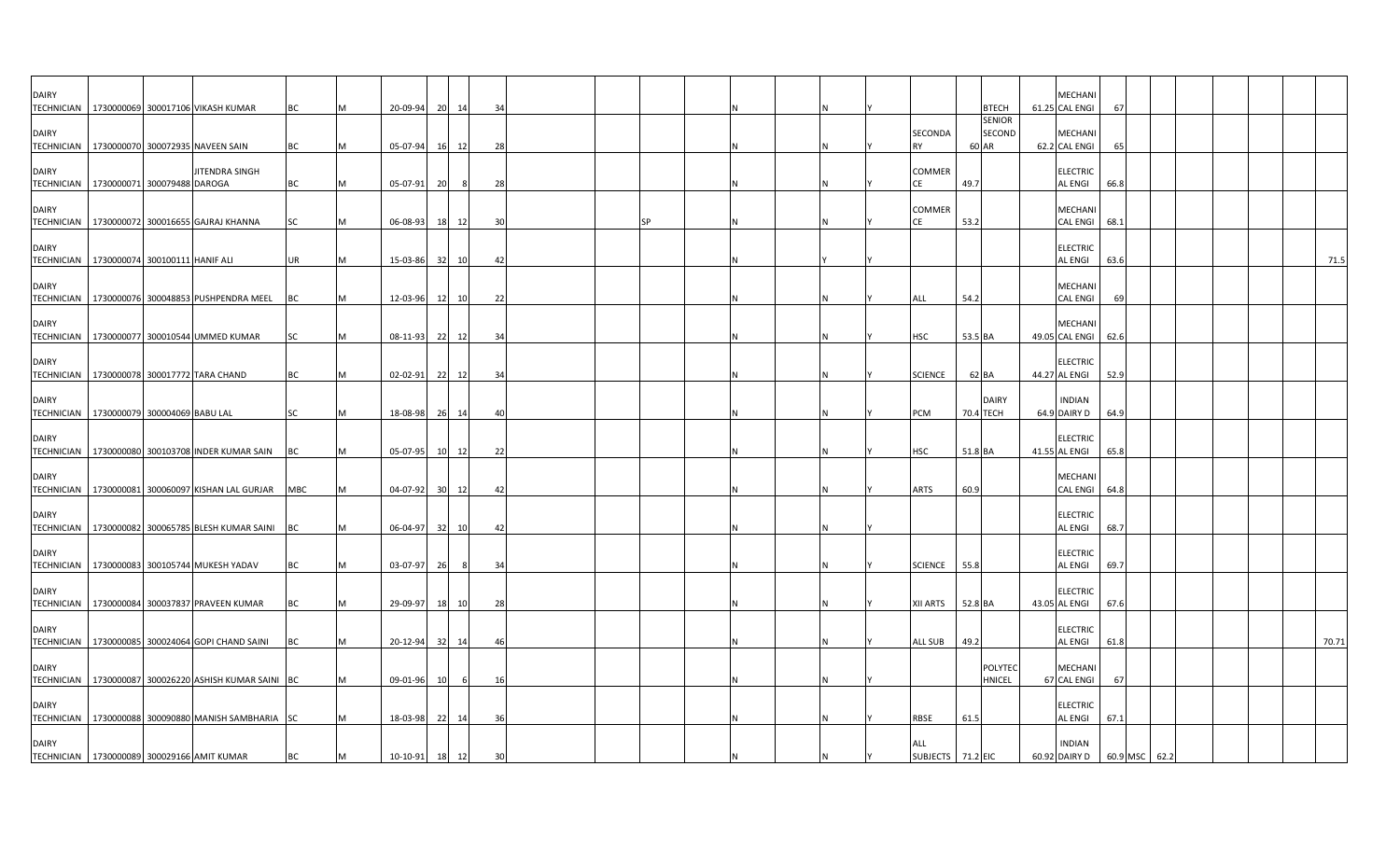| <b>DAIRY</b><br><b>TECHNICIAN</b> | 1730000069 300017106 VIKASH KUMAR                         |                | BC        | 20-09-94       |           | 20 14 | 34 |  |  |   |                                 |           | <b>BTECH</b>                     | MECHANI<br>61.25 CAL ENGI                    | 67   |  |  |  |       |
|-----------------------------------|-----------------------------------------------------------|----------------|-----------|----------------|-----------|-------|----|--|--|---|---------------------------------|-----------|----------------------------------|----------------------------------------------|------|--|--|--|-------|
| <b>DAIRY</b><br><b>TECHNICIAN</b> | 1730000070 300072935 NAVEEN SAIN                          |                | BC        | 05-07-94       | <b>16</b> | 12    | 28 |  |  |   | SECONDA<br>RY                   |           | <b>SENIOR</b><br>SECOND<br>60 AR | MECHANI<br>62.2 CAL ENGI                     | 65   |  |  |  |       |
| <b>DAIRY</b>                      | TECHNICIAN 1730000071 300079488 DAROGA                    | JITENDRA SINGH | ВC        | 05-07-91       | 20        |       | 28 |  |  |   | <b>COMMER</b><br>СE             | 49.7      |                                  | <b>ELECTRIC</b><br><b>AL ENGI</b>            | 66.8 |  |  |  |       |
| <b>DAIRY</b>                      | TECHNICIAN 1730000072 300016655 GAJRAJ KHANNA             |                | SC        | 06-08-93       | 18        | 12    | 30 |  |  |   | COMMER<br>СE                    | 53.2      |                                  | <b>MECHANI</b><br>CAL ENGI 68.1              |      |  |  |  |       |
| <b>DAIRY</b><br><b>TECHNICIAN</b> | 1730000074 300100111 HANIF ALI                            |                | <b>UR</b> | 15-03-86       | 32        | 10    | 42 |  |  |   |                                 |           |                                  | <b>ELECTRIC</b><br><b>AL ENGI</b>            | 63.6 |  |  |  | 71.5  |
| <b>DAIRY</b><br><b>TECHNICIAN</b> | 1730000076 300048853 PUSHPENDRA MEEL BC                   |                |           | 12-03-96 12    |           | 10    | 22 |  |  |   | ALL                             | 54.2      |                                  | MECHANI<br><b>CAL ENGI</b>                   | 69   |  |  |  |       |
| <b>DAIRY</b>                      | TECHNICIAN 1730000077 300010544 UMMED KUMAR               |                | SC        | 08-11-93       | 22        | 12    | 34 |  |  | N | HSC                             | 53.5 BA   |                                  | MECHANI<br>49.05 CAL ENGI 62.6               |      |  |  |  |       |
| <b>DAIRY</b>                      | TECHNICIAN 1730000078 300017772 TARA CHAND                |                | BC        | $02 - 02 - 91$ | 22        | 12    | 34 |  |  |   | <b>SCIENCE</b>                  | 62 BA     |                                  | <b>ELECTRIC</b><br>44.27 AL ENGI             | 52.9 |  |  |  |       |
| <b>DAIRY</b>                      | TECHNICIAN 1730000079 300004069 BABU LAL                  |                | SC        | 18-08-98       | 26        | 14    | 40 |  |  |   | PCM                             | 70.4 TECH | <b>DAIRY</b>                     | <b>INDIAN</b><br>64.9 DAIRY D                | 64.9 |  |  |  |       |
| <b>DAIRY</b>                      | TECHNICIAN   1730000080 300103708 INDER KUMAR SAIN        |                | BC        | 05-07-95       |           | 10 12 | 22 |  |  |   | HSC                             | 51.8 BA   |                                  | <b>ELECTRIC</b><br>41.55 AL ENGI             | 65.8 |  |  |  |       |
| <b>DAIRY</b>                      | TECHNICIAN   1730000081 300060097 KISHAN LAL GURJAR   MBC |                |           | 04-07-92       |           | 30 12 | 42 |  |  |   | <b>ARTS</b>                     | 60.9      |                                  | MECHANI<br>CAL ENGI 64.8                     |      |  |  |  |       |
| <b>DAIRY</b><br><b>TECHNICIAN</b> | 1730000082 300065785 BLESH KUMAR SAINI                    |                | <b>BC</b> | 06-04-97       | 32        | 10    | 42 |  |  |   |                                 |           |                                  | <b>ELECTRIC</b><br><b>AL ENGI</b>            | 68.7 |  |  |  |       |
| <b>DAIRY</b><br><b>TECHNICIAN</b> | 1730000083 300105744 MUKESH YADAV                         |                | BC        | 03-07-97       | 26        | - 8   | 34 |  |  |   | <b>SCIENCE</b>                  | 55.8      |                                  | <b>ELECTRIC</b><br>AL ENGI                   | 69.7 |  |  |  |       |
| <b>DAIRY</b>                      | TECHNICIAN   1730000084 300037837 PRAVEEN KUMAR           |                | ВC        | 29-09-97       | 18        | 10    | 28 |  |  |   | <b>XII ARTS</b>                 | 52.8 BA   |                                  | <b>ELECTRIC</b><br>43.05 AL ENGI             | 67.6 |  |  |  |       |
| <b>DAIRY</b>                      | TECHNICIAN 1730000085 300024064 GOPI CHAND SAINI          |                | BC        | 20-12-94       | 32        | 14    | 46 |  |  |   | <b>ALL SUB</b>                  | 49.2      |                                  | <b>ELECTRIC</b><br><b>AL ENGI</b>            | 61.8 |  |  |  | 70.71 |
| <b>DAIRY</b>                      | TECHNICIAN   1730000087 300026220 ASHISH KUMAR SAINI BC   |                |           | 09-01-96       | <b>10</b> | -6    | 16 |  |  |   |                                 |           | POLYTEC<br><b>HNICEL</b>         | MECHANI<br>67 CAL ENGI                       | 67   |  |  |  |       |
| <b>DAIRY</b>                      | TECHNICIAN 1730000088 300090880 MANISH SAMBHARIA SC       |                |           | 18-03-98       | 22        | 14    | 36 |  |  |   | RBSE                            | 61.5      |                                  | <b>ELECTRIC</b><br>AL ENGI                   | 67.1 |  |  |  |       |
| <b>DAIRY</b>                      | TECHNICIAN 1730000089 300029166 AMIT KUMAR                |                | BC        | 10-10-91       | 18        | 12    | 30 |  |  |   | <b>ALL</b><br>SUBJECTS 71.2 EIC |           |                                  | <b>INDIAN</b><br>60.92 DAIRY D 60.9 MSC 62.2 |      |  |  |  |       |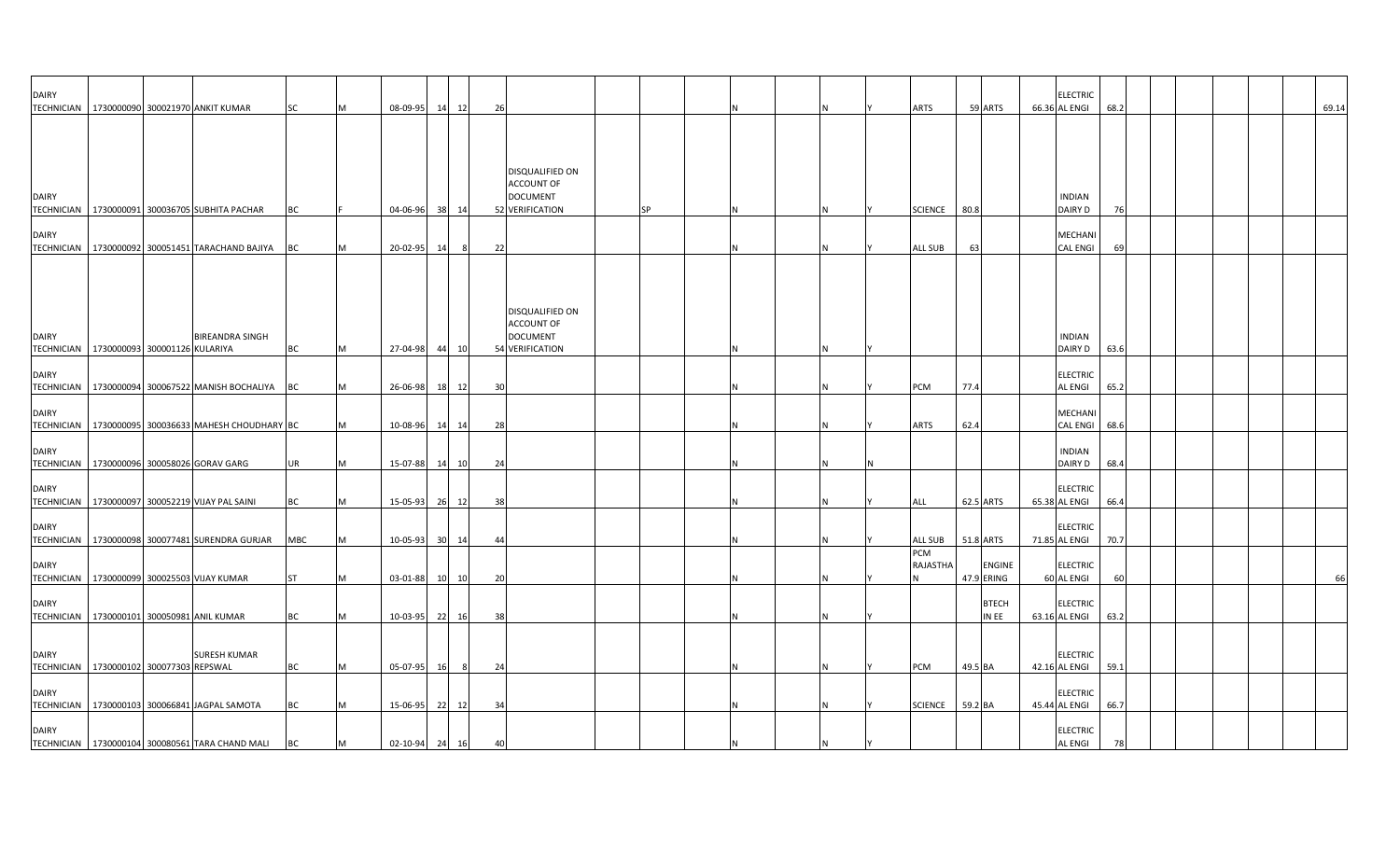| <b>DAIRY</b> |                                            | TECHNICIAN   1730000090 300021970 ANKIT KUMAR         | SC         | M | 08-09-95 14 12 |     | 26                                                                         |           |    | ARTS            | 59 ARTS                     | <b>ELECTRIC</b><br>66.36 AL ENGI  | 68.2 |  |  | 69.14 |
|--------------|--------------------------------------------|-------------------------------------------------------|------------|---|----------------|-----|----------------------------------------------------------------------------|-----------|----|-----------------|-----------------------------|-----------------------------------|------|--|--|-------|
| <b>DAIRY</b> |                                            |                                                       |            |   |                |     | DISQUALIFIED ON<br><b>ACCOUNT OF</b><br><b>DOCUMENT</b>                    |           |    |                 |                             | <b>INDIAN</b>                     |      |  |  |       |
|              |                                            | TECHNICIAN   1730000091 300036705 SUBHITA PACHAR      | BC         |   | 04-06-96 38 14 |     | 52 VERIFICATION                                                            | <b>SP</b> |    | SCIENCE 80.8    |                             | DAIRY D                           | 76   |  |  |       |
| <b>DAIRY</b> |                                            | TECHNICIAN 1730000092 300051451 TARACHAND BAJIYA      | BC         | M | 20-02-95 14    | - 8 | 22                                                                         |           |    | ALL SUB         | 63                          | MECHANI<br><b>CAL ENGI</b>        | 69   |  |  |       |
| <b>DAIRY</b> | TECHNICIAN   1730000093 300001126 KULARIYA | <b>BIREANDRA SINGH</b>                                | BC         | M | 27-04-98 44 10 |     | DISQUALIFIED ON<br><b>ACCOUNT OF</b><br><b>DOCUMENT</b><br>54 VERIFICATION |           | N. |                 |                             | <b>INDIAN</b><br>DAIRY D          | 63.6 |  |  |       |
| <b>DAIRY</b> |                                            | TECHNICIAN 1730000094 300067522 MANISH BOCHALIYA BC   |            | M | 26-06-98 18 12 |     | 30                                                                         |           |    | PCM             | 77.4                        | <b>ELECTRIC</b><br>AL ENGI        | 65.2 |  |  |       |
| <b>DAIRY</b> |                                            | TECHNICIAN   1730000095 300036633 MAHESH CHOUDHARY BC |            | M | 10-08-96 14 14 |     | 28                                                                         |           |    | ARTS            | 62.4                        | MECHANI<br>CAL ENGI 68.6          |      |  |  |       |
| <b>DAIRY</b> |                                            | TECHNICIAN   1730000096 300058026 GORAV GARG          | UR         | M | 15-07-88 14 10 |     | 24                                                                         |           |    |                 |                             | <b>INDIAN</b><br>DAIRY D          | 68.4 |  |  |       |
| <b>DAIRY</b> |                                            | TECHNICIAN   1730000097 300052219 VIJAY PAL SAINI     | BC         | M | 15-05-93 26 12 |     | 38                                                                         |           |    | ALL             | 62.5 ARTS                   | <b>ELECTRIC</b><br>65.38 AL ENGI  | 66.4 |  |  |       |
| <b>DAIRY</b> |                                            | TECHNICIAN 1730000098 300077481 SURENDRA GURJAR       | <b>MBC</b> | M | 10-05-93 30 14 |     | -44                                                                        |           |    | ALL SUB         | 51.8 ARTS                   | <b>ELECTRIC</b><br>71.85 AL ENGI  | 70.7 |  |  |       |
| <b>DAIRY</b> |                                            | TECHNICIAN 1730000099 300025503 VIJAY KUMAR           | <b>ST</b>  | M | 03-01-88 10 10 |     | 20                                                                         |           |    | PCM<br>RAJASTHA | <b>ENGINE</b><br>47.9 ERING | <b>ELECTRIC</b><br>60 AL ENGI     | 60   |  |  | 66    |
| <b>DAIRY</b> | TECHNICIAN 1730000101 300050981 ANIL KUMAR |                                                       | BC         | M | 10-03-95 22    | 16  | 38                                                                         |           |    |                 | <b>BTECH</b><br>IN EE       | <b>ELECTRIC</b><br>63.16 AL ENGI  | 63.2 |  |  |       |
| <b>DAIRY</b> | TECHNICIAN 1730000102 300077303 REPSWAL    | <b>SURESH KUMAR</b>                                   | ВC         | M | 05-07-95 16    | 8   | 24                                                                         |           |    | PCM             | 49.5 BA                     | <b>ELECTRIC</b><br>42.16 AL ENGI  | 59.1 |  |  |       |
| <b>DAIRY</b> |                                            | TECHNICIAN   1730000103 300066841 JAGPAL SAMOTA       | BC         | M | 15-06-95 22 12 |     | 34                                                                         |           |    | <b>SCIENCE</b>  | 59.2 BA                     | <b>ELECTRIC</b><br>45.44 AL ENGI  | 66.7 |  |  |       |
| <b>DAIRY</b> |                                            | TECHNICIAN 1730000104 300080561 TARA CHAND MALI       | <b>BC</b>  | M | 02-10-94 24 16 |     | 40                                                                         |           |    |                 |                             | <b>ELECTRIC</b><br><b>AL ENGI</b> | 78   |  |  |       |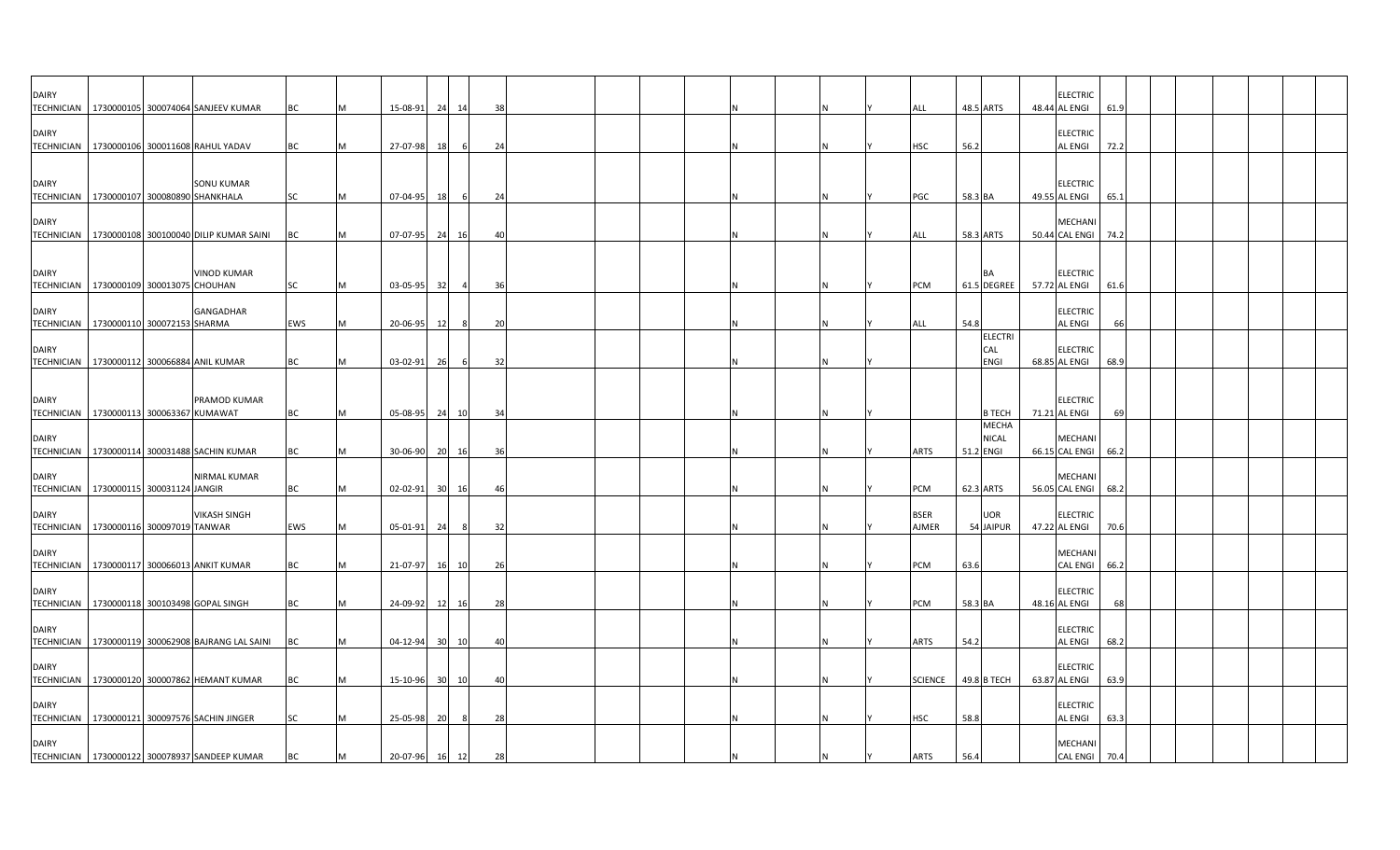| <b>DAIRY</b> | TECHNICIAN   1730000105 300074064 SANJEEV KUMAR                 | BC        | M | 15-08-91       | 24 14           | 38             |  |  |  |  | ALL                         | 48.5 ARTS         |                               | <b>ELECTRIC</b><br>48.44 AL ENGI      | 61.9 |  |  |  |
|--------------|-----------------------------------------------------------------|-----------|---|----------------|-----------------|----------------|--|--|--|--|-----------------------------|-------------------|-------------------------------|---------------------------------------|------|--|--|--|
| <b>DAIRY</b> | TECHNICIAN 1730000106 300011608 RAHUL YADAV                     | BC        |   | 27-07-98       | 18              | 24             |  |  |  |  | <b>HSC</b>                  | 56.2              |                               | <b>ELECTRIC</b><br><b>AL ENGI</b>     | 72.2 |  |  |  |
| <b>DAIRY</b> | <b>SONU KUMAR</b>                                               |           |   |                |                 |                |  |  |  |  |                             |                   |                               | <b>ELECTRIC</b>                       |      |  |  |  |
| <b>DAIRY</b> | TECHNICIAN 1730000107 300080890 SHANKHALA                       | <b>SC</b> |   | 07-04-95       | 18              | 6<br>24        |  |  |  |  | PGC                         | 58.3 BA           |                               | 49.55 AL ENGI<br>MECHANI              | 65.1 |  |  |  |
|              | TECHNICIAN 1730000108 300100040 DILIP KUMAR SAINI               | BC        |   | 07-07-95 24    |                 | 16             |  |  |  |  | <b>ALL</b>                  | 58.3 ARTS         |                               | 50.44 CAL ENGI                        | 74.2 |  |  |  |
| <b>DAIRY</b> | <b>VINOD KUMAR</b><br>TECHNICIAN 1730000109 300013075 CHOUHAN   | SC        |   | 03-05-95       | 32              | 36             |  |  |  |  | PCM                         | BA<br>61.5 DEGREE |                               | <b>ELECTRIC</b><br>57.72 AL ENGI      | 61.6 |  |  |  |
| <b>DAIRY</b> | GANGADHAR<br>TECHNICIAN 1730000110 300072153 SHARMA             | EWS       |   | 20-06-95       | - 12            | $\overline{2}$ |  |  |  |  | ALL                         | 54.8              |                               | <b>ELECTRIC</b><br><b>AL ENGI</b>     |      |  |  |  |
| DAIRY        | TECHNICIAN 1730000112 300066884 ANIL KUMAR                      | <b>BC</b> |   | $03 - 02 - 91$ | 26              | 32<br>- 6      |  |  |  |  |                             | CAL               | <b>ELECTRI</b><br><b>ENGI</b> | <b>ELECTRIC</b><br>68.85 AL ENGI      | 68.9 |  |  |  |
| <b>DAIRY</b> | PRAMOD KUMAR                                                    |           |   |                |                 |                |  |  |  |  |                             |                   |                               | <b>ELECTRIC</b>                       |      |  |  |  |
|              | TECHNICIAN 1730000113 300063367 KUMAWAT                         | <b>BC</b> | M | 05-08-95       | 24              | 10<br>34       |  |  |  |  |                             |                   | <b>B TECH</b>                 | 71.21 AL ENGI                         | 69   |  |  |  |
| <b>DAIRY</b> | TECHNICIAN   1730000114 300031488 SACHIN KUMAR                  | BC        |   | 30-06-90       | 20              | 36<br>- 16     |  |  |  |  | <b>ARTS</b>                 | 51.2 ENGI         | <b>MECHA</b><br><b>NICAL</b>  | MECHANI<br>66.15 CAL ENGI 66.2        |      |  |  |  |
| <b>DAIRY</b> | <b>NIRMAL KUMAR</b><br>TECHNICIAN   1730000115 300031124 JANGIR | ВC        |   | $02 - 02 - 91$ | 30 <sup>1</sup> | 16<br>4(       |  |  |  |  | PCM                         | 62.3 ARTS         |                               | <b>MECHANI</b><br>56.05 CAL ENGI 68.2 |      |  |  |  |
| <b>DAIRY</b> | <b>VIKASH SINGH</b><br>TECHNICIAN 1730000116 300097019 TANWAR   | EWS       |   | 05-01-91       | 24              | 32<br>- 8      |  |  |  |  | <b>BSER</b><br><b>AJMER</b> | 54 JAIPUR         | <b>UOR</b>                    | <b>ELECTRIC</b><br>47.22 AL ENGI      | 70.6 |  |  |  |
| <b>DAIRY</b> | TECHNICIAN 1730000117 300066013 ANKIT KUMAR                     | ВC        |   | 21-07-97       | 16 10           | 26             |  |  |  |  | PCM                         | 63.6              |                               | <b>MECHANI</b><br><b>CAL ENGI</b>     | 66.2 |  |  |  |
| <b>DAIRY</b> | TECHNICIAN 1730000118 300103498 GOPAL SINGH                     | BC        |   | 24-09-92       |                 | 28             |  |  |  |  | PCM                         | 58.3 BA           |                               | <b>ELECTRIC</b><br>48.16 AL ENGI      | 68   |  |  |  |
| <b>DAIRY</b> |                                                                 |           |   |                | 12              | 16             |  |  |  |  |                             |                   |                               | <b>ELECTRIC</b>                       |      |  |  |  |
| <b>DAIRY</b> | TECHNICIAN 1730000119 300062908 BAJRANG LAL SAINI               | BC        |   | 04-12-94       | 30 10           |                |  |  |  |  | <b>ARTS</b>                 | 54.2              |                               | <b>AL ENGI</b><br><b>ELECTRIC</b>     | 68.2 |  |  |  |
| <b>DAIRY</b> | TECHNICIAN   1730000120 300007862 HEMANT KUMAR                  | BC        |   | 15-10-96       | 30 <sup>1</sup> | 10<br>4(       |  |  |  |  | <b>SCIENCE</b>              | 49.8 B TECH       |                               | 63.87 AL ENGI<br><b>ELECTRIC</b>      | 63.9 |  |  |  |
|              | TECHNICIAN 1730000121 300097576 SACHIN JINGER                   | <b>SC</b> |   | 25-05-98       | 20              | 28             |  |  |  |  | <b>HSC</b>                  | 58.8              |                               | <b>AL ENGI</b>                        | 63.3 |  |  |  |
| <b>DAIRY</b> | TECHNICIAN   1730000122 300078937 SANDEEP KUMAR                 | BC        |   | 20-07-96 16 12 |                 | 28             |  |  |  |  | <b>ARTS</b>                 | 56.4              |                               | MECHANI<br><b>CAL ENGI</b>            | 70.4 |  |  |  |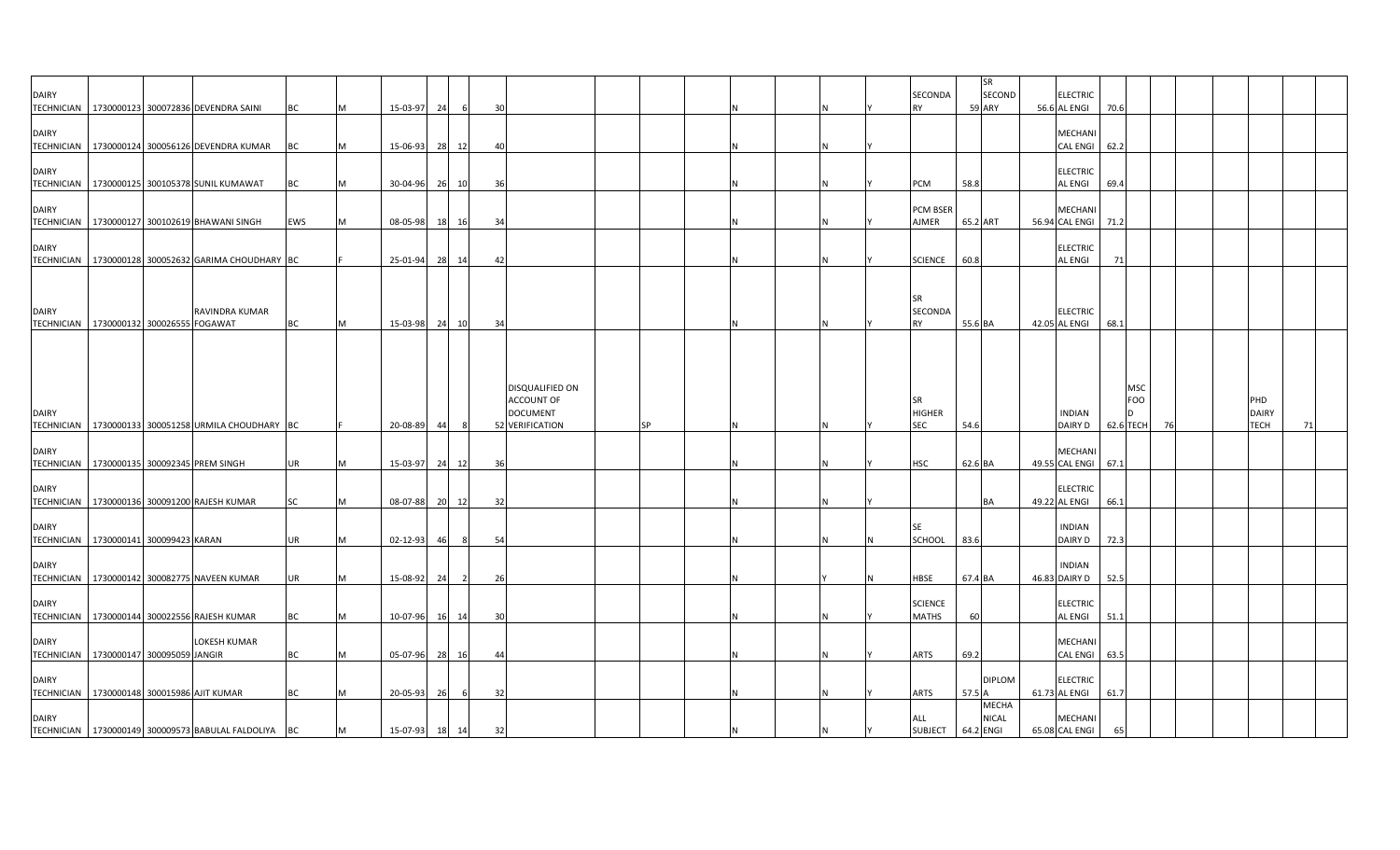|                                                            |  |                                                       |           |     |                |    |                |    |                        |           |  |    |                      |          | SR                      |                                  |            |    |              |    |
|------------------------------------------------------------|--|-------------------------------------------------------|-----------|-----|----------------|----|----------------|----|------------------------|-----------|--|----|----------------------|----------|-------------------------|----------------------------------|------------|----|--------------|----|
| <b>DAIRY</b>                                               |  | TECHNICIAN 1730000123 300072836 DEVENDRA SAINI        | BC        |     | 15-03-97       | 24 | 6              | 30 |                        |           |  |    | SECONDA<br><b>RY</b> |          | SECOND<br><b>59 ARY</b> | <b>ELECTRIC</b><br>56.6 AL ENGI  | 70.6       |    |              |    |
|                                                            |  |                                                       |           |     |                |    |                |    |                        |           |  |    |                      |          |                         |                                  |            |    |              |    |
| <b>DAIRY</b>                                               |  |                                                       |           |     |                |    |                |    |                        |           |  |    |                      |          |                         | MECHANI                          |            |    |              |    |
|                                                            |  | TECHNICIAN   1730000124 300056126 DEVENDRA KUMAR      | <b>BC</b> | M   | 15-06-93       | 28 | 12             | 40 |                        |           |  |    |                      |          |                         | <b>CAL ENGI</b>                  | 62.2       |    |              |    |
| <b>DAIRY</b>                                               |  |                                                       |           |     |                |    |                |    |                        |           |  |    |                      |          |                         | <b>ELECTRIC</b>                  |            |    |              |    |
|                                                            |  | TECHNICIAN   1730000125 300105378 SUNIL KUMAWAT       | BC        | M   | 30-04-96 26 10 |    |                | 36 |                        |           |  |    | PCM                  | 58.8     |                         | AL ENGI                          | 69.4       |    |              |    |
|                                                            |  |                                                       |           |     |                |    |                |    |                        |           |  |    |                      |          |                         |                                  |            |    |              |    |
| <b>DAIRY</b>                                               |  |                                                       |           |     |                |    |                |    |                        |           |  |    | PCM BSEF             |          |                         | <b>MECHAN</b>                    |            |    |              |    |
|                                                            |  | TECHNICIAN   1730000127 300102619 BHAWANI SINGH       | EWS       | M   | 08-05-98 18    |    | 16             | 34 |                        |           |  |    | AJMER                | 65.2 ART |                         | 56.94 CAL ENGI                   | 71.2       |    |              |    |
| <b>DAIRY</b>                                               |  |                                                       |           |     |                |    |                |    |                        |           |  |    |                      |          |                         | <b>ELECTRIC</b>                  |            |    |              |    |
|                                                            |  | TECHNICIAN   1730000128 300052632 GARIMA CHOUDHARY BC |           |     | 25-01-94       |    | 28 14          | 42 |                        |           |  |    | <b>SCIENCE</b>       | 60.8     |                         | <b>AL ENGI</b>                   | 71         |    |              |    |
|                                                            |  |                                                       |           |     |                |    |                |    |                        |           |  |    |                      |          |                         |                                  |            |    |              |    |
|                                                            |  |                                                       |           |     |                |    |                |    |                        |           |  |    |                      |          |                         |                                  |            |    |              |    |
| <b>DAIRY</b>                                               |  | RAVINDRA KUMAR                                        |           |     |                |    |                |    |                        |           |  |    | <b>SR</b><br>SECONDA |          |                         | <b>ELECTRIC</b>                  |            |    |              |    |
| TECHNICIAN 1730000132 300026555 FOGAWAT                    |  |                                                       | <b>BC</b> | IM. | 15-03-98 24    |    | 10             | 34 |                        |           |  | ΙN | <b>RY</b>            | 55.6 BA  |                         | 42.05 AL ENGI                    | 68.1       |    |              |    |
|                                                            |  |                                                       |           |     |                |    |                |    |                        |           |  |    |                      |          |                         |                                  |            |    |              |    |
|                                                            |  |                                                       |           |     |                |    |                |    |                        |           |  |    |                      |          |                         |                                  |            |    |              |    |
|                                                            |  |                                                       |           |     |                |    |                |    |                        |           |  |    |                      |          |                         |                                  |            |    |              |    |
|                                                            |  |                                                       |           |     |                |    |                |    | <b>DISQUALIFIED ON</b> |           |  |    |                      |          |                         |                                  | MSC        |    |              |    |
|                                                            |  |                                                       |           |     |                |    |                |    | <b>ACCOUNT OF</b>      |           |  |    | <b>SR</b>            |          |                         |                                  | <b>FOO</b> |    | PHD          |    |
| <b>DAIRY</b>                                               |  |                                                       |           |     |                |    |                |    | <b>DOCUMENT</b>        |           |  |    | <b>HIGHER</b>        |          |                         | <b>INDIAN</b>                    | D          |    | <b>DAIRY</b> |    |
|                                                            |  | TECHNICIAN   1730000133 300051258 URMILA CHOUDHARY BC |           |     | 20-08-89       | 44 |                |    | 52 VERIFICATION        | <b>SP</b> |  |    | <b>SEC</b>           | 54.6     |                         | DAIRY D                          | 62.6 TECH  | 76 | <b>TECH</b>  | 71 |
|                                                            |  |                                                       |           |     |                |    |                |    |                        |           |  |    |                      |          |                         |                                  |            |    |              |    |
| <b>DAIRY</b><br>TECHNICIAN 1730000135 300092345 PREM SINGH |  |                                                       | UR        |     | 15-03-97       | 24 | 12             | 36 |                        |           |  |    | <b>HSC</b>           | 62.6 BA  |                         | <b>MECHANI</b><br>49.55 CAL ENGI | 67.1       |    |              |    |
|                                                            |  |                                                       |           |     |                |    |                |    |                        |           |  |    |                      |          |                         |                                  |            |    |              |    |
| <b>DAIRY</b>                                               |  |                                                       |           |     |                |    |                |    |                        |           |  |    |                      |          |                         | <b>ELECTRIC</b>                  |            |    |              |    |
|                                                            |  | TECHNICIAN   1730000136 300091200 RAJESH KUMAR        | SC        | M   | 08-07-88 20 12 |    |                | 32 |                        |           |  |    |                      |          | BA                      | 49.22 AL ENGI                    | 66.1       |    |              |    |
| <b>DAIRY</b>                                               |  |                                                       |           |     |                |    |                |    |                        |           |  |    | <b>SE</b>            |          |                         | <b>INDIAN</b>                    |            |    |              |    |
| TECHNICIAN   1730000141 300099423 KARAN                    |  |                                                       | UR        | M   | 02-12-93       | 46 | 8              | 54 |                        |           |  |    | SCHOOL               | 83.6     |                         | DAIRY D                          | 72.3       |    |              |    |
|                                                            |  |                                                       |           |     |                |    |                |    |                        |           |  |    |                      |          |                         |                                  |            |    |              |    |
| <b>DAIRY</b>                                               |  |                                                       |           |     |                |    |                |    |                        |           |  |    |                      |          |                         | <b>INDIAN</b>                    |            |    |              |    |
|                                                            |  | TECHNICIAN   1730000142 300082775 NAVEEN KUMAR        | UR        |     | 15-08-92       | 24 | $\overline{2}$ | 26 |                        |           |  |    | HBSE                 | 67.4 BA  |                         | 46.83 DAIRY D                    | 52.5       |    |              |    |
| <b>DAIRY</b>                                               |  |                                                       |           |     |                |    |                |    |                        |           |  |    | <b>SCIENCE</b>       |          |                         | <b>ELECTRIC</b>                  |            |    |              |    |
| <b>TECHNICIAN</b>                                          |  | 1730000144 300022556 RAJESH KUMAR                     | ВC        |     | 10-07-96       |    | 16 14          | 30 |                        |           |  |    | <b>MATHS</b>         | 60       |                         | AL ENGI                          | 51.1       |    |              |    |
|                                                            |  |                                                       |           |     |                |    |                |    |                        |           |  |    |                      |          |                         |                                  |            |    |              |    |
| <b>DAIRY</b>                                               |  | LOKESH KUMAR                                          |           |     |                |    |                |    |                        |           |  |    |                      |          |                         | MECHANI                          |            |    |              |    |
| TECHNICIAN   1730000147 300095059 JANGIR                   |  |                                                       | <b>BC</b> | M   | 05-07-96 28 16 |    |                | 44 |                        |           |  | ΙN | <b>ARTS</b>          | 69.2     |                         | CAL ENGI 63.5                    |            |    |              |    |
| <b>DAIRY</b>                                               |  |                                                       |           |     |                |    |                |    |                        |           |  |    |                      |          | <b>DIPLOM</b>           | <b>ELECTRIC</b>                  |            |    |              |    |
| TECHNICIAN 1730000148 300015986 AJIT KUMAR                 |  |                                                       | <b>BC</b> |     | 20-05-93       | 26 | 6              | 32 |                        |           |  |    | ARTS                 | 57.5 A   |                         | 61.73 AL ENGI                    | 61.7       |    |              |    |
|                                                            |  |                                                       |           |     |                |    |                |    |                        |           |  |    |                      |          | <b>MECHA</b>            |                                  |            |    |              |    |
| <b>DAIRY</b>                                               |  |                                                       |           |     |                |    |                |    |                        |           |  |    | ALL                  |          | <b>NICAL</b>            | <b>MECHANI</b>                   |            |    |              |    |
|                                                            |  | TECHNICIAN 1730000149 300009573 BABULAL FALDOLIYA BC  |           | M   | 15-07-93 18 14 |    |                | 32 |                        |           |  |    | SUBJECT 64.2 ENGI    |          |                         | 65.08 CAL ENGI                   | 65         |    |              |    |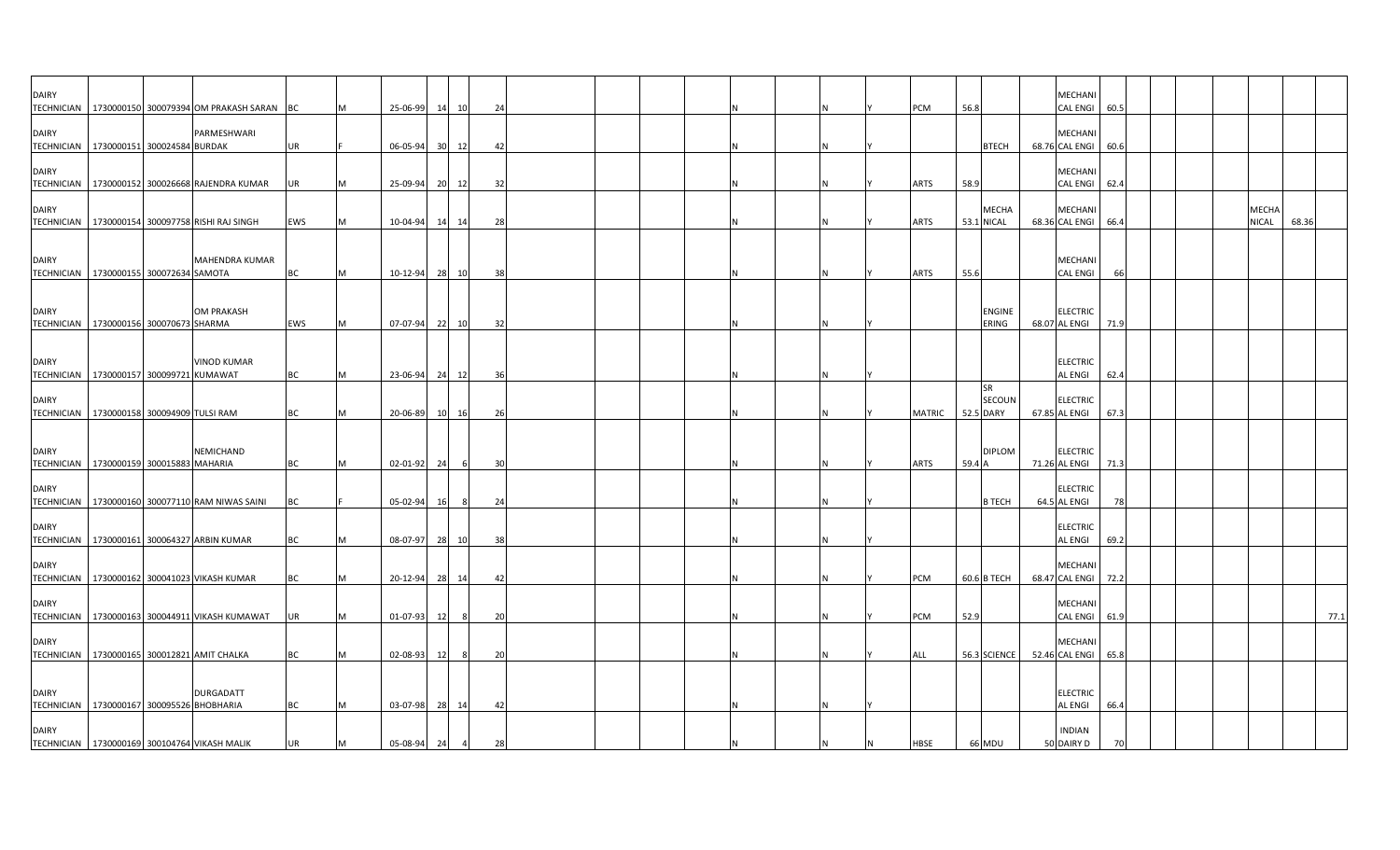| <b>DAIRY</b>                                              |  | TECHNICIAN 1730000150 300079394 OM PRAKASH SARAN BC |           | <b>M</b> | 25-06-99       | 14   | 10    | 24  |  |              |  |  | PCM           | 56.8                              | <b>MECHAN</b><br><b>CAL ENGI</b>  | 60.5 |  |                       |       |
|-----------------------------------------------------------|--|-----------------------------------------------------|-----------|----------|----------------|------|-------|-----|--|--------------|--|--|---------------|-----------------------------------|-----------------------------------|------|--|-----------------------|-------|
| <b>DAIRY</b><br>TECHNICIAN 1730000151 300024584 BURDAK    |  | PARMESHWARI                                         | <b>UR</b> |          | 06-05-94       | 30   | 12    | 42  |  |              |  |  |               | <b>BTECH</b>                      | <b>MECHANI</b><br>68.76 CAL ENGI  | 60.6 |  |                       |       |
| <b>DAIRY</b><br><b>TECHNICIAN</b>                         |  | 1730000152 300026668 RAJENDRA KUMAR                 | UR        | M        | 25-09-94       | 20   | 12    | 32  |  |              |  |  | ARTS          | 58.9                              | <b>MECHANI</b><br><b>CAL ENGI</b> | 62.4 |  |                       |       |
| <b>DAIRY</b>                                              |  | TECHNICIAN 1730000154 300097758 RISHI RAJ SINGH     | EWS       | <b>M</b> | $10 - 04 - 94$ |      | 14 14 | 28  |  |              |  |  | ARTS          | <b>MECHA</b><br><b>53.1 NICAL</b> | <b>MECHANI</b><br>68.36 CAL ENGI  | 66.4 |  | <b>MECHA</b><br>NICAL | 68.36 |
| <b>DAIRY</b>                                              |  | MAHENDRA KUMAR                                      |           |          |                |      |       |     |  |              |  |  |               |                                   | <b>MECHANI</b>                    |      |  |                       |       |
| TECHNICIAN 1730000155 300072634 SAMOTA                    |  |                                                     | BC        | M        | $10-12-94$     | 28   | 10    | 38  |  |              |  |  | ARTS          | 55.6                              | <b>CAL ENGI</b>                   | 66   |  |                       |       |
| <b>DAIRY</b><br>TECHNICIAN 1730000156 300070673 SHARMA    |  | <b>OM PRAKASH</b>                                   | EWS       | M        | 07-07-94       | 22   | 10    | 32  |  |              |  |  |               | <b>ENGINE</b><br>ERING            | <b>ELECTRIC</b><br>68.07 AL ENGI  | 71.9 |  |                       |       |
| <b>DAIRY</b>                                              |  | <b>VINOD KUMAR</b>                                  |           |          |                |      |       |     |  |              |  |  |               |                                   | <b>ELECTRIC</b>                   |      |  |                       |       |
| TECHNICIAN   1730000157 300099721 KUMAWAT<br><b>DAIRY</b> |  |                                                     | BC        | M        | 23-06-94       | 24   | 12    | 36  |  |              |  |  |               | <b>SR</b><br>SECOUN               | <b>AL ENGI</b><br><b>ELECTRIC</b> | 62.4 |  |                       |       |
| TECHNICIAN 1730000158 300094909 TULSI RAM                 |  |                                                     | <b>BC</b> | M        | 20-06-89       | 10   | 16    | 26  |  |              |  |  | <b>MATRIC</b> | 52.5 DARY                         | 67.85 AL ENGI                     | 67.3 |  |                       |       |
| <b>DAIRY</b><br>TECHNICIAN   1730000159 300015883 MAHARIA |  | NEMICHAND                                           | BC        | M        | 02-01-92       | 24   | -6    | 30  |  | N            |  |  | <b>ARTS</b>   | <b>DIPLOM</b><br>59.4 A           | <b>ELECTRIC</b><br>71.26 AL ENGI  | 71.3 |  |                       |       |
| <b>DAIRY</b>                                              |  | TECHNICIAN 1730000160 300077110 RAM NIWAS SAINI     | BC        |          | 05-02-94       | 16   | -8    | 24  |  |              |  |  |               | <b>B TECH</b>                     | <b>ELECTRIC</b><br>64.5 AL ENGI   | 78   |  |                       |       |
| <b>DAIRY</b>                                              |  | TECHNICIAN 1730000161 300064327 ARBIN KUMAR         | ВC        | M        | 08-07-97       | 28   | 10    | 38  |  |              |  |  |               |                                   | <b>ELECTRIC</b><br>AL ENGI        | 69.2 |  |                       |       |
| <b>DAIRY</b>                                              |  | TECHNICIAN   1730000162 300041023 VIKASH KUMAR      | BC        | M        | 20-12-94       | 28   | 14    | -42 |  | $\mathbf{M}$ |  |  | PCM           | 60.6 B TECH                       | <b>MECHAN</b><br>68.47 CAL ENGI   | 72.2 |  |                       |       |
| <b>DAIRY</b>                                              |  | TECHNICIAN 1730000163 300044911 VIKASH KUMAWAT      | <b>UR</b> | M        | 01-07-93       | 12   | 8     | 20  |  |              |  |  | PCM           | 52.9                              | <b>MECHANI</b><br>CAL ENGI        | 61.9 |  |                       | 77.1  |
| <b>DAIRY</b>                                              |  | TECHNICIAN 1730000165 300012821 AMIT CHALKA         | BC        | M        | 02-08-93       | -121 | -8    | 20  |  |              |  |  | ALL           | 56.3 SCIENCE                      | <b>MECHANI</b><br>52.46 CAL ENGI  | 65.8 |  |                       |       |
| <b>DAIRY</b>                                              |  | <b>DURGADATT</b>                                    |           |          |                |      |       |     |  |              |  |  |               |                                   | <b>ELECTRIC</b>                   |      |  |                       |       |
| TECHNICIAN 1730000167 300095526 BHOBHARIA<br><b>DAIRY</b> |  |                                                     | BC        | IM.      | 03-07-98       | 28   | 14    | 42  |  | N            |  |  |               |                                   | <b>AL ENGI</b><br><b>INDIAN</b>   | 66.4 |  |                       |       |
|                                                           |  | TECHNICIAN   1730000169 300104764 VIKASH MALIK      | UR        | M        | 05-08-94       | 24   |       | 28  |  |              |  |  | <b>HBSE</b>   | 66 MDU                            | 50 DAIRY D                        |      |  |                       |       |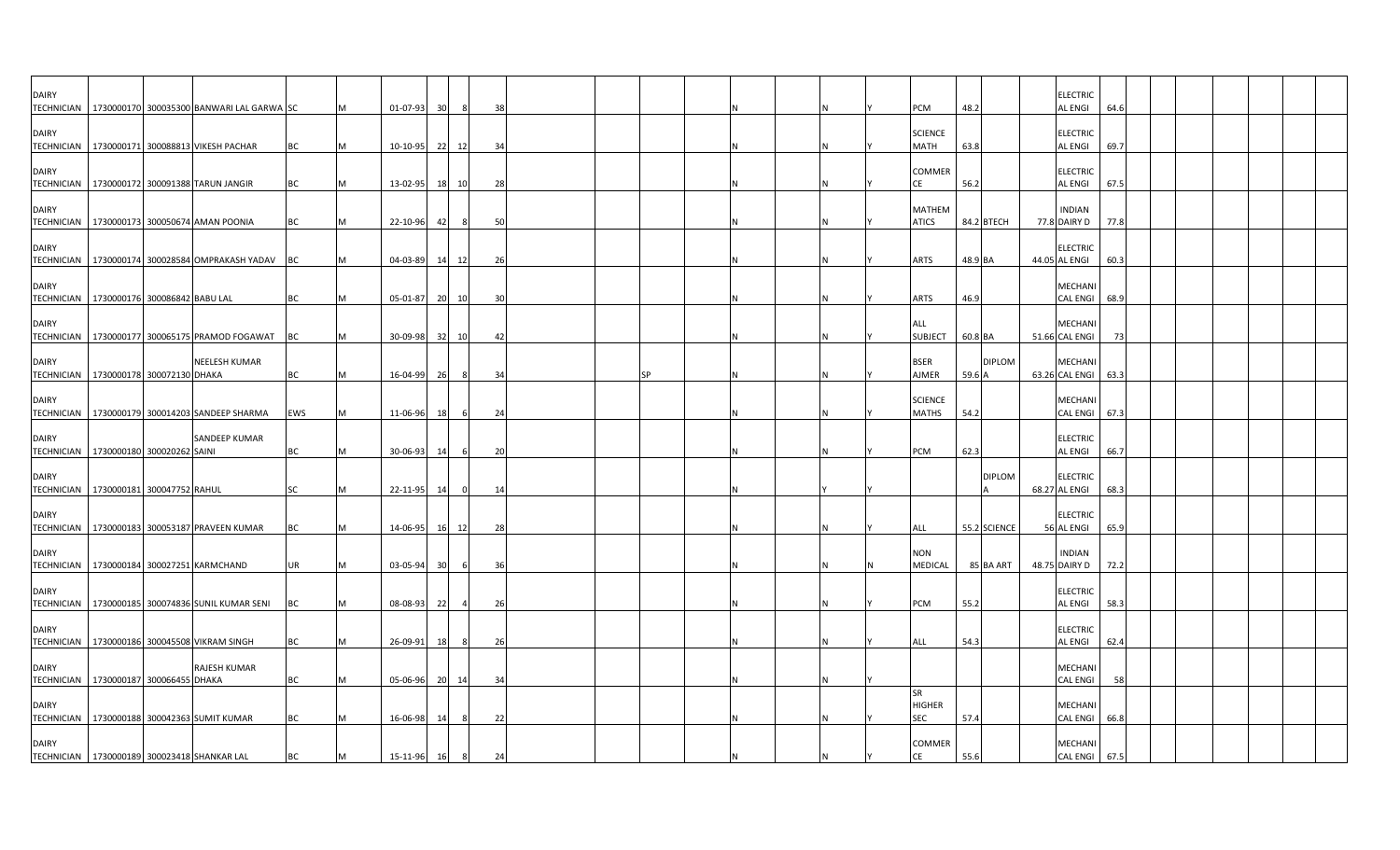| <b>DAIRY</b> | TECHNICIAN   1730000170 300035300 BANWARI LAL GARWA SC          |           |   | 01-07-93       | 30 <sup>1</sup> | 8              | 38           |  |    |  |  | PCM                               | 48.2       |               | <b>ELECTRIC</b><br><b>AL ENGI</b>     | 64.6 |  |  |  |
|--------------|-----------------------------------------------------------------|-----------|---|----------------|-----------------|----------------|--------------|--|----|--|--|-----------------------------------|------------|---------------|---------------------------------------|------|--|--|--|
| <b>DAIRY</b> | TECHNICIAN 1730000171 300088813 VIKESH PACHAR                   | BC        |   | 10-10-95       | 22              | 12             | 34           |  |    |  |  | <b>SCIENCE</b><br><b>MATH</b>     | 63.8       |               | <b>ELECTRIC</b><br><b>AL ENGI</b>     | 69.7 |  |  |  |
| <b>DAIRY</b> | TECHNICIAN 1730000172 300091388 TARUN JANGIR                    | BC        |   | 13-02-95       | 18              | 10             | 28           |  |    |  |  | COMMER<br>СE                      | 56.2       |               | <b>ELECTRIC</b><br><b>AL ENGI</b>     | 67.5 |  |  |  |
| <b>DAIRY</b> | TECHNICIAN   1730000173 300050674 AMAN POONIA                   | BC        |   | 22-10-96       | -421            |                | 5(           |  |    |  |  | MATHEM<br><b>ATICS</b>            | 84.2 BTECH |               | <b>INDIAN</b><br>77.8 DAIRY D         | 77.8 |  |  |  |
| <b>DAIRY</b> | TECHNICIAN 1730000174 300028584 OMPRAKASH YADAV                 | <b>BC</b> |   | 04-03-89       | 14              | 12             | 26           |  |    |  |  | <b>ARTS</b>                       | 48.9 BA    |               | <b>ELECTRIC</b><br>44.05 AL ENGI      | 60.3 |  |  |  |
| <b>DAIRY</b> | TECHNICIAN 1730000176 300086842 BABU LAL                        | <b>BC</b> | M | 05-01-87       |                 | 20 10          | 30           |  |    |  |  | <b>ARTS</b>                       | 46.9       |               | MECHANI<br><b>CAL ENGI</b>            | 68.9 |  |  |  |
| <b>DAIRY</b> | TECHNICIAN   1730000177 300065175 PRAMOD FOGAWAT                | <b>BC</b> |   | 30-09-98 32 10 |                 |                | 42           |  |    |  |  | ALL<br><b>SUBJECT</b>             | 60.8 BA    |               | <b>MECHAN</b><br>51.66 CAL ENGI       | 73   |  |  |  |
| <b>DAIRY</b> | <b>NEELESH KUMAR</b><br>TECHNICIAN   1730000178 300072130 DHAKA | <b>BC</b> | M | 16-04-99       | 26              | - 8            | 34           |  | SP |  |  | <b>BSER</b><br><b>AJMER</b>       | 59.6 A     | <b>DIPLOM</b> | <b>MECHANI</b><br>63.26 CAL ENGI 63.3 |      |  |  |  |
| <b>DAIRY</b> | TECHNICIAN   1730000179 300014203 SANDEEP SHARMA                | EWS       | M | 11-06-96       | 18              |                | 24           |  |    |  |  | <b>SCIENCE</b><br><b>MATHS</b>    | 54.2       |               | <b>MECHANI</b><br><b>CAL ENGI</b>     | 67.3 |  |  |  |
| <b>DAIRY</b> | SANDEEP KUMAR<br>TECHNICIAN   1730000180 300020262 SAINI        | BC        |   | 30-06-93       | 14              |                | 20           |  |    |  |  | PCM                               | 62.3       |               | <b>ELECTRIC</b><br><b>AL ENGI</b>     | 66.7 |  |  |  |
| <b>DAIRY</b> | TECHNICIAN   1730000181 300047752 RAHUL                         | SC        |   | 22-11-95       | -14             |                | $\mathbf{1}$ |  |    |  |  |                                   |            | <b>DIPLOM</b> | <b>ELECTRIC</b><br>68.27 AL ENGI      | 68.3 |  |  |  |
| <b>DAIRY</b> | TECHNICIAN   1730000183 300053187 PRAVEEN KUMAR                 | BC        |   | 14-06-95       | 16              | 12             | 28           |  |    |  |  | ALL                               |            | 55.2 SCIENCE  | <b>ELECTRIC</b><br>56 AL ENGI         | 65.9 |  |  |  |
| <b>DAIRY</b> | TECHNICIAN 1730000184 300027251 KARMCHAND                       | UR        |   | 03-05-94       | 30              | 6              | 36           |  |    |  |  | <b>NON</b><br>MEDICAL             |            | 85 BA ART     | <b>INDIAN</b><br>48.75 DAIRY D        | 72.2 |  |  |  |
| <b>DAIRY</b> | TECHNICIAN 1730000185 300074836 SUNIL KUMAR SENI                | ВC        |   | 08-08-93       | 22              | $\overline{4}$ | 26           |  |    |  |  | PCM                               | 55.2       |               | <b>ELECTRIC</b><br><b>AL ENGI</b>     | 58.3 |  |  |  |
| <b>DAIRY</b> | TECHNICIAN   1730000186 300045508 VIKRAM SINGH                  | ВC        |   | 26-09-91       | 18              |                | 26           |  |    |  |  | ALL                               | 54.3       |               | <b>ELECTRIC</b><br><b>AL ENGI</b>     | 62.4 |  |  |  |
| <b>DAIRY</b> | <b>RAJESH KUMAR</b><br>TECHNICIAN 1730000187 300066455 DHAKA    | BC        |   | 05-06-96       | 20              | 14             | 34           |  |    |  |  |                                   |            |               | <b>MECHANI</b><br><b>CAL ENGI</b>     | 58   |  |  |  |
| <b>DAIRY</b> | TECHNICIAN   1730000188 300042363 SUMIT KUMAR                   | <b>BC</b> |   | 16-06-98       | 14              |                | 22           |  |    |  |  | <b>SR</b><br><b>HIGHER</b><br>SEC | 57.4       |               | MECHANI<br><b>CAL ENGI</b>            | 66.8 |  |  |  |
| <b>DAIRY</b> | TECHNICIAN   1730000189 300023418 SHANKAR LAL                   | ВC        |   | 15-11-96       | 16              | 8              | 24           |  |    |  |  | COMMER<br>CE                      | 55.6       |               | MECHANI<br>CAL ENGI 67.5              |      |  |  |  |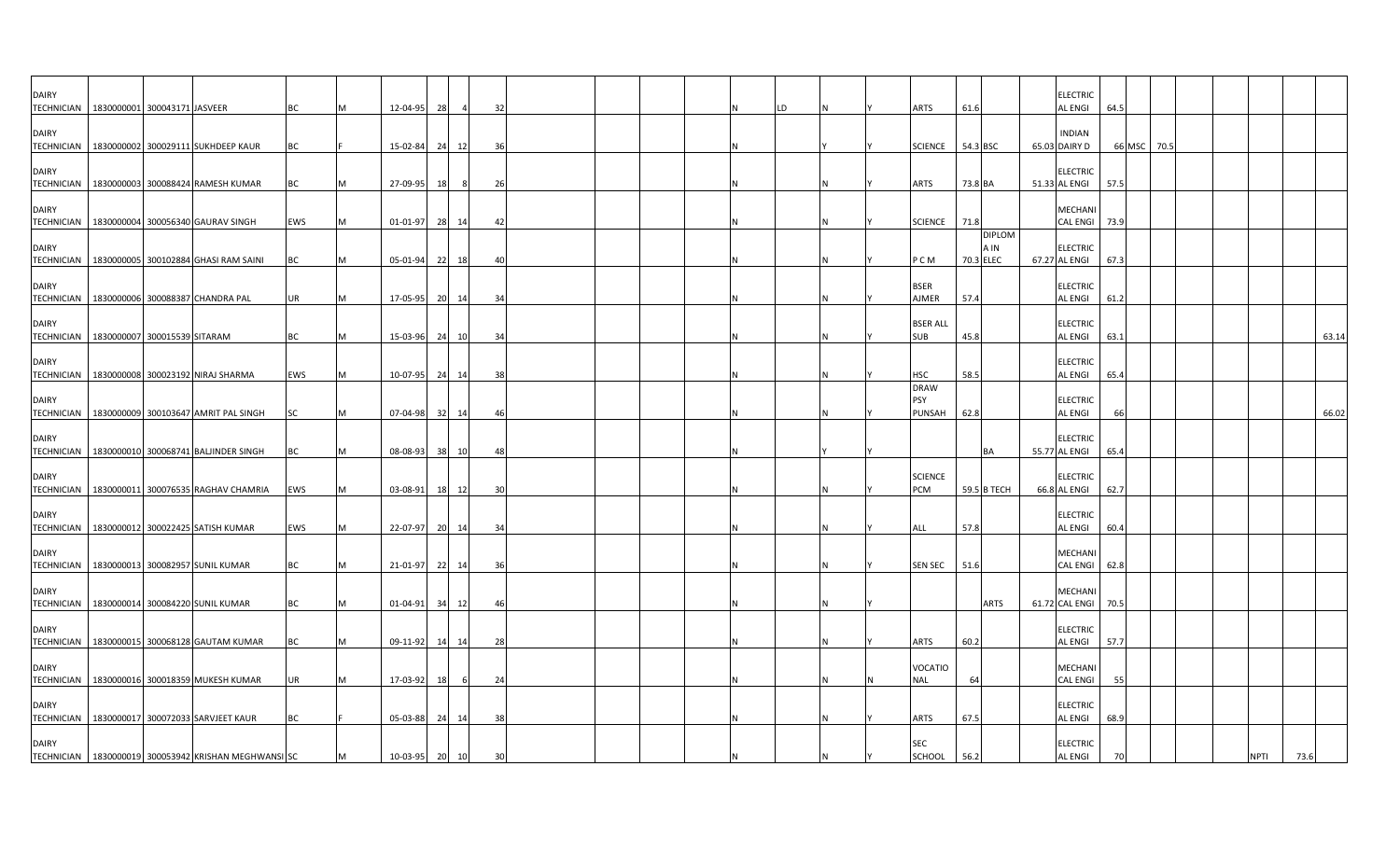| <b>DAIRY</b><br>TECHNICIAN   1830000001 300043171 JASVEER |  |                                                      | BC         | M | 12-04-95       | 28 | $\overline{a}$ | 32 |  |  | LD |  | ARTS                          | 61.6                               | <b>ELECTRIC</b><br><b>AL ENGI</b> | 64.5   |      |  |             |       |
|-----------------------------------------------------------|--|------------------------------------------------------|------------|---|----------------|----|----------------|----|--|--|----|--|-------------------------------|------------------------------------|-----------------------------------|--------|------|--|-------------|-------|
| <b>DAIRY</b>                                              |  | TECHNICIAN   1830000002 300029111 SUKHDEEP KAUR      | BC         |   | 15-02-84       |    | 24 12          | 36 |  |  |    |  | <b>SCIENCE</b>                | 54.3 BSC                           | <b>INDIAN</b><br>65.03 DAIRY D    | 66 MSC | 70.5 |  |             |       |
| <b>DAIRY</b>                                              |  | TECHNICIAN   1830000003 300088424 RAMESH KUMAR       | BC         | м | 27-09-95       | 18 |                | 26 |  |  |    |  | ARTS                          | 73.8 BA                            | <b>ELECTRIC</b><br>51.33 AL ENGI  | 57.5   |      |  |             |       |
| <b>DAIRY</b>                                              |  | TECHNICIAN   1830000004 300056340 GAURAV SINGH       | EWS        | M | $01 - 01 - 97$ |    | 28 14          | 42 |  |  |    |  | <b>SCIENCE</b>                | 71.8                               | MECHANI<br>CAL ENGI 73.9          |        |      |  |             |       |
| <b>DAIRY</b><br><b>TECHNICIAN</b>                         |  | 1830000005 300102884 GHASI RAM SAINI                 | <b>BC</b>  | M | 05-01-94       |    | 22 18          | 40 |  |  |    |  | P C M                         | <b>DIPLOM</b><br>A IN<br>70.3 ELEC | <b>ELECTRIC</b><br>67.27 AL ENGI  | 67.3   |      |  |             |       |
| <b>DAIRY</b><br><b>TECHNICIAN</b>                         |  | 1830000006 300088387 CHANDRA PAL                     | <b>UR</b>  | M | 17-05-95       |    | 20 14          | 34 |  |  |    |  | <b>BSER</b><br>AJMER          | 57.4                               | <b>ELECTRIC</b><br><b>AL ENGI</b> | 61.2   |      |  |             |       |
| <b>DAIRY</b><br>TECHNICIAN 1830000007 300015539 SITARAM   |  |                                                      | ВC         | M | 15-03-96       |    | 24 10          | 34 |  |  |    |  | <b>BSER ALL</b><br><b>SUB</b> | 45.8                               | <b>ELECTRIC</b><br><b>AL ENGI</b> | 63.1   |      |  |             | 63.14 |
| <b>DAIRY</b>                                              |  | TECHNICIAN   1830000008 300023192 NIRAJ SHARMA       | <b>EWS</b> | M | 10-07-95 24 14 |    |                | 38 |  |  |    |  | HSC                           | 58.5                               | <b>ELECTRIC</b><br>AL ENGI        | 65.4   |      |  |             |       |
| <b>DAIRY</b>                                              |  | TECHNICIAN   1830000009 300103647 AMRIT PAL SINGH    | <b>SC</b>  | M | 07-04-98       |    | 32 14          | 46 |  |  |    |  | <b>DRAW</b><br>PSY<br>PUNSAH  | 62.8                               | <b>ELECTRIC</b><br><b>AL ENGI</b> | 66     |      |  |             | 66.02 |
| <b>DAIRY</b>                                              |  | TECHNICIAN   1830000010 300068741 BALJINDER SINGH    | <b>BC</b>  | M | 08-08-93       |    | 38 10          | 48 |  |  |    |  |                               | BA                                 | <b>ELECTRIC</b><br>55.77 AL ENGI  | 65.4   |      |  |             |       |
| <b>DAIRY</b>                                              |  | TECHNICIAN   1830000011 300076535 RAGHAV CHAMRIA     | <b>EWS</b> | M | $03-08-91$     |    | 18 12          | 30 |  |  |    |  | <b>SCIENCE</b><br>PCM         | 59.5 B TECH                        | <b>ELECTRIC</b><br>66.8 AL ENGI   | 62.7   |      |  |             |       |
| <b>DAIRY</b>                                              |  | TECHNICIAN 1830000012 300022425 SATISH KUMAR         | EWS        | M | 22-07-97       |    | 20 14          | 34 |  |  |    |  | ALL                           | 57.8                               | <b>ELECTRIC</b><br><b>AL ENGI</b> | 60.4   |      |  |             |       |
| <b>DAIRY</b><br><b>TECHNICIAN</b>                         |  | 1830000013 300082957 SUNIL KUMAR                     | BC         | M | 21-01-97       |    | 22 14          | 36 |  |  |    |  | <b>SEN SEC</b>                | 51.6                               | MECHANI<br>CAL ENGI 62.8          |        |      |  |             |       |
| <b>DAIRY</b>                                              |  | TECHNICIAN 1830000014 300084220 SUNIL KUMAR          | ВC         | M | $01 - 04 - 91$ |    | 34 12          | 46 |  |  |    |  |                               | <b>ARTS</b>                        | MECHANI<br>61.72 CAL ENGI 70.5    |        |      |  |             |       |
| <b>DAIRY</b>                                              |  | TECHNICIAN   1830000015 300068128 GAUTAM KUMAR       | BC         | M | $09-11-92$     |    | 14 14          | 28 |  |  |    |  | <b>ARTS</b>                   | 60.2                               | <b>ELECTRIC</b><br><b>AL ENGI</b> | 57.7   |      |  |             |       |
| <b>DAIRY</b>                                              |  | TECHNICIAN   1830000016 300018359 MUKESH KUMAR       | <b>UR</b>  |   | 17-03-92       | 18 | 6              | 24 |  |  |    |  | VOCATIO<br><b>NAL</b>         | 64                                 | MECHANI<br><b>CAL ENGI</b>        | 55     |      |  |             |       |
| <b>DAIRY</b>                                              |  | TECHNICIAN   1830000017 300072033 SARVJEET KAUR      | ВC         |   | 05-03-88       |    | 24 14          | 38 |  |  |    |  | <b>ARTS</b>                   | 67.5                               | <b>ELECTRIC</b><br><b>AL ENGI</b> | 68.9   |      |  |             |       |
| <b>DAIRY</b>                                              |  | TECHNICIAN 1830000019 300053942 KRISHAN MEGHWANSI SC |            | M | 10-03-95 20 10 |    |                | 30 |  |  |    |  | SEC<br><b>SCHOOL</b>          | 56.2                               | <b>ELECTRIC</b><br><b>AL ENGI</b> | 70     |      |  | <b>NPTI</b> | 73.6  |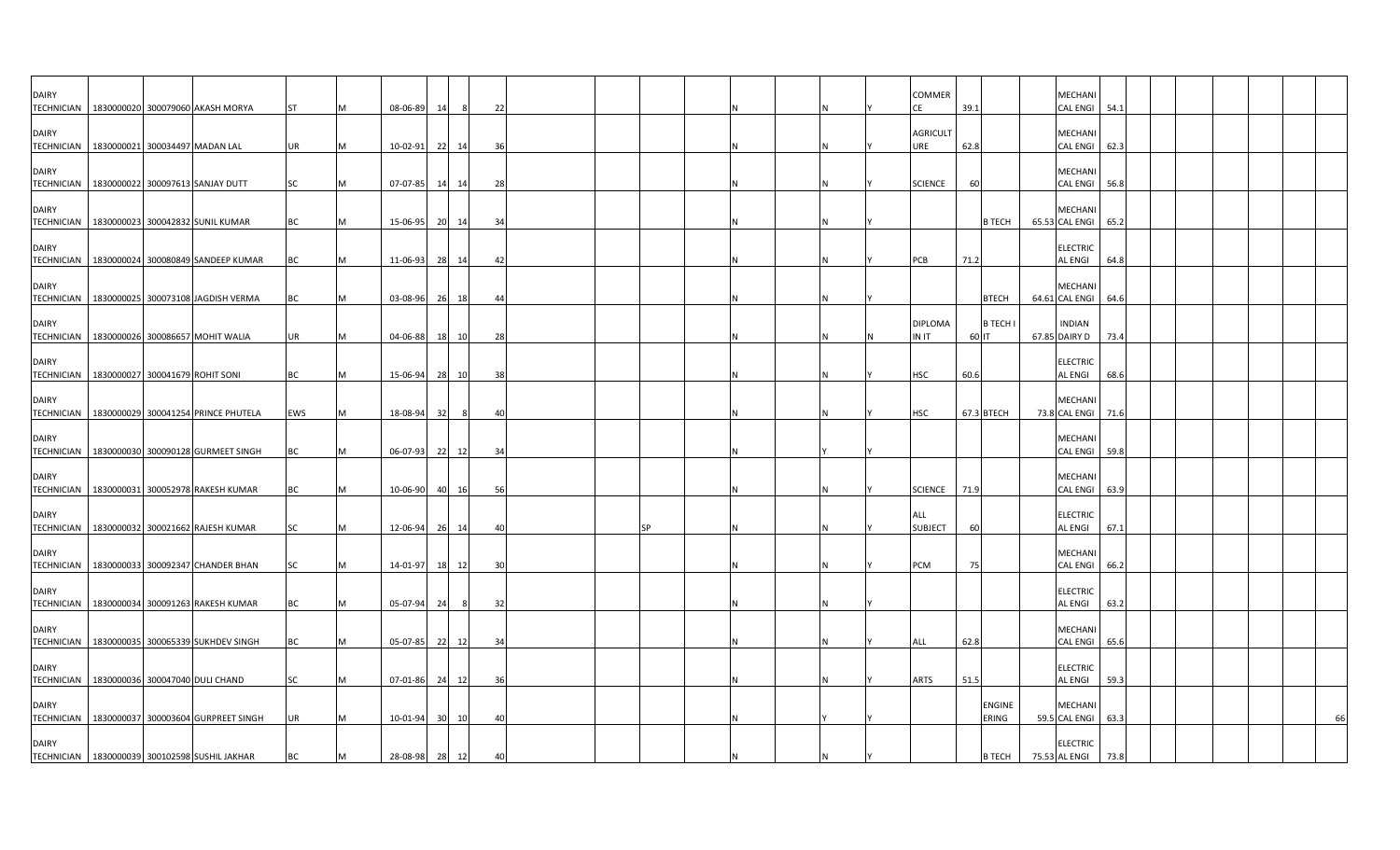| <b>DAIRY</b><br><b>TECHNICIAN</b> | 1830000020 300079060 AKASH MORYA                 | <b>ST</b> |   | 08-06-89       | 14   | -8    | 22 |           |  |   | COMMER<br>CE            | 39.1  |                        | <b>MECHANI</b><br>CAL ENGI 54.1       |      |  |  |    |
|-----------------------------------|--------------------------------------------------|-----------|---|----------------|------|-------|----|-----------|--|---|-------------------------|-------|------------------------|---------------------------------------|------|--|--|----|
| <b>DAIRY</b>                      | TECHNICIAN 1830000021 300034497 MADAN LAL        | <b>UR</b> |   | 10-02-91       | - 22 | 14    | 36 |           |  |   | <b>AGRICULT</b><br>URE  | 62.8  |                        | <b>MECHANI</b><br>CAL ENGI            | 62.3 |  |  |    |
| <b>DAIRY</b>                      | TECHNICIAN   1830000022 300097613 SANJAY DUTT    | SC        |   | 07-07-85       | 14   | 14    | 28 |           |  |   | <b>SCIENCE</b>          | 60    |                        | <b>MECHANI</b><br>CAL ENGI 56.8       |      |  |  |    |
| <b>DAIRY</b>                      | TECHNICIAN 1830000023 300042832 SUNIL KUMAR      | BC        |   | 15-06-95 20 14 |      |       | 34 |           |  |   |                         |       | <b>B TECH</b>          | <b>MECHANI</b><br>65.53 CAL ENGI 65.2 |      |  |  |    |
| <b>DAIRY</b><br><b>TECHNICIAN</b> | 1830000024 300080849 SANDEEP KUMAR               | BC        |   | 11-06-93       | 28   | 14    | 42 |           |  |   | PCB                     | 71.2  |                        | <b>ELECTRIC</b><br><b>AL ENGI</b>     | 64.8 |  |  |    |
| <b>DAIRY</b><br><b>TECHNICIAN</b> | 1830000025 300073108 JAGDISH VERMA               | BC        |   | 03-08-96 26 18 |      |       | 44 |           |  |   |                         |       | <b>BTECH</b>           | <b>MECHANI</b><br>64.61 CAL ENGI 64.6 |      |  |  |    |
| <b>DAIRY</b>                      | TECHNICIAN   1830000026 300086657 MOHIT WALIA    | <b>UR</b> |   | 04-06-88       |      | 18 10 | 28 |           |  | N | <b>DIPLOMA</b><br>IN IT | 60 IT | <b>B TECH</b>          | <b>INDIAN</b><br>67.85 DAIRY D        | 73.4 |  |  |    |
| <b>DAIRY</b>                      | TECHNICIAN   1830000027 300041679 ROHIT SONI     | BC        | M | 15-06-94       | 28   | 10    | 38 |           |  | N | <b>HSC</b>              | 60.6  |                        | <b>ELECTRIC</b><br><b>AL ENGI</b>     | 68.6 |  |  |    |
| <b>DAIRY</b><br><b>TECHNICIAN</b> | 1830000029 300041254 PRINCE PHUTELA              | EWS       |   | 18-08-94       | 32   |       | 40 |           |  |   | <b>HSC</b>              |       | 67.3 BTECH             | <b>MECHAN</b><br>73.8 CAL ENGI        | 71.6 |  |  |    |
| <b>DAIRY</b><br><b>TECHNICIAN</b> | 1830000030 300090128 GURMEET SINGH               | BC        |   | 06-07-93       | 22   | 12    | 34 |           |  |   |                         |       |                        | <b>MECHANI</b><br>CAL ENGI 59.8       |      |  |  |    |
| <b>DAIRY</b>                      | TECHNICIAN   1830000031 300052978 RAKESH KUMAR   | BC        |   | 10-06-90       |      | 40 16 | 56 |           |  |   | <b>SCIENCE</b>          | 71.9  |                        | <b>MECHANI</b><br>CAL ENGI 63.9       |      |  |  |    |
| <b>DAIRY</b><br><b>TECHNICIAN</b> | 1830000032 300021662 RAJESH KUMAR                | SC        |   | 12-06-94       | 26   | 14    | 40 | <b>SP</b> |  |   | ALL<br><b>SUBJECT</b>   | 60    |                        | <b>ELECTRIC</b><br><b>AL ENGI</b>     | 67.1 |  |  |    |
| <b>DAIRY</b><br><b>TECHNICIAN</b> | 1830000033 300092347 CHANDER BHAN                | SC        |   | 14-01-97       |      | 18 12 | 30 |           |  |   | PCM                     | 75    |                        | MECHANI<br>CAL ENGI 66.2              |      |  |  |    |
| <b>DAIRY</b>                      | TECHNICIAN   1830000034 300091263 RAKESH KUMAR   | ВC        |   | $05 - 07 - 94$ | 24   | 8     | 32 |           |  |   |                         |       |                        | <b>ELECTRIC</b><br><b>AL ENGI</b>     | 63.2 |  |  |    |
| <b>DAIRY</b>                      | TECHNICIAN   1830000035 300065339 SUKHDEV SINGH  | BC        |   | 05-07-85       | 22   | 12    | 34 |           |  |   | <b>ALL</b>              | 62.8  |                        | <b>MECHANI</b><br><b>CAL ENGI</b>     | 65.6 |  |  |    |
| <b>DAIRY</b><br><b>TECHNICIAN</b> | 1830000036 300047040 DULI CHAND                  | SC        |   | 07-01-86       | 24   | 12    | 36 |           |  |   | <b>ARTS</b>             | 51.5  |                        | <b>ELECTRIC</b><br><b>AL ENGI</b>     | 59.3 |  |  |    |
| <b>DAIRY</b>                      | TECHNICIAN   1830000037 300003604 GURPREET SINGH | <b>UR</b> |   | 10-01-94       | 30   | 10    | 40 |           |  |   |                         |       | <b>ENGINE</b><br>ERING | MECHANI<br>59.5 CAL ENGI 63.3         |      |  |  | 66 |
| <b>DAIRY</b>                      | TECHNICIAN 1830000039 300102598 SUSHIL JAKHAR    | BC        |   | 28-08-98 28    |      | 12    | 40 |           |  |   |                         |       | <b>B TECH</b>          | <b>ELECTRIC</b><br>75.53 AL ENGI      | 73.8 |  |  |    |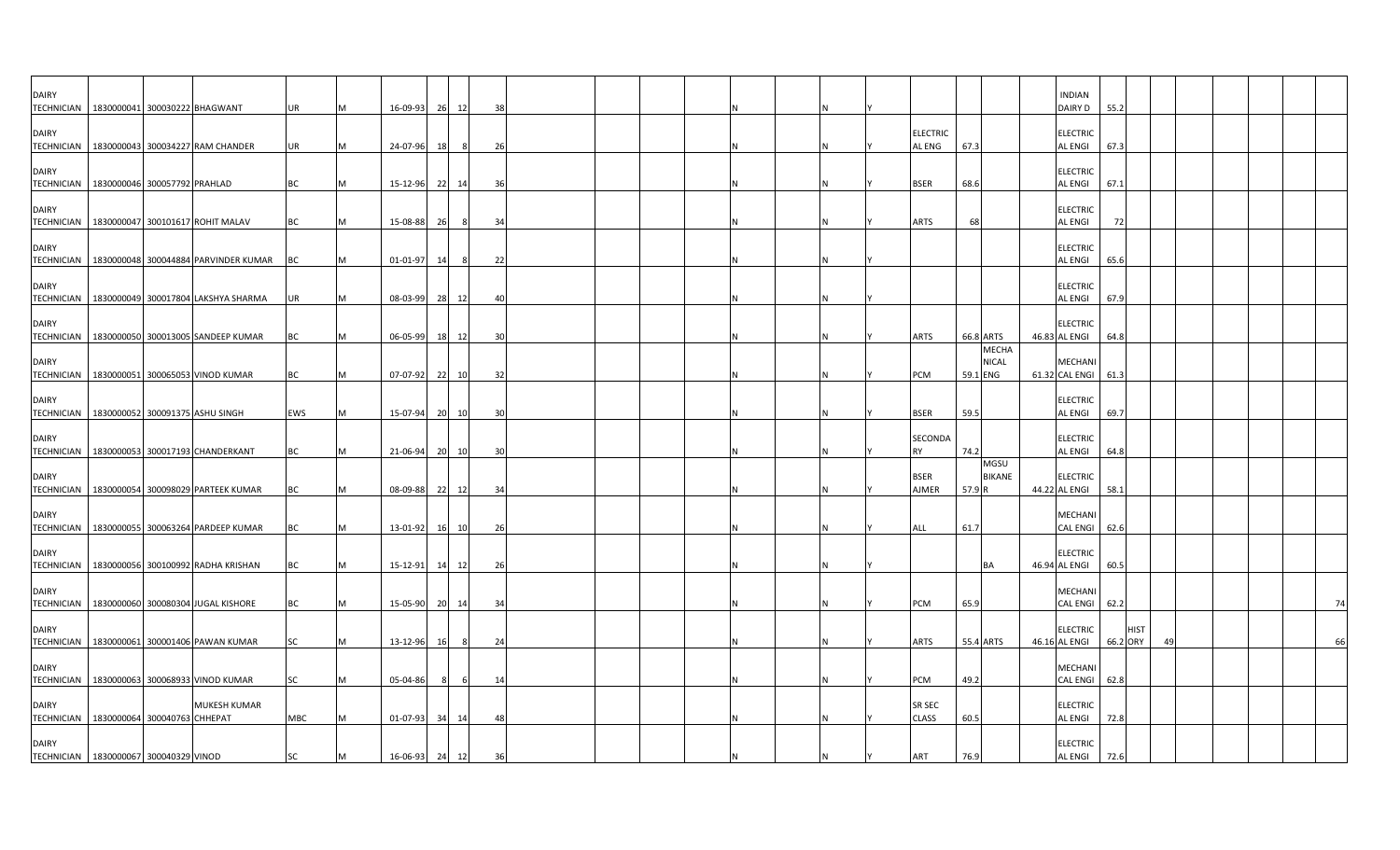| <b>DAIRY</b>                      | TECHNICIAN   1830000041 300030222 BHAGWANT                | UR         |   | 16-09-93       | 26 12 |    | 38             |  |  |  |  |                           |           |                              | <b>INDIAN</b><br>DAIRY D          | 55.2     |             |  |  |    |
|-----------------------------------|-----------------------------------------------------------|------------|---|----------------|-------|----|----------------|--|--|--|--|---------------------------|-----------|------------------------------|-----------------------------------|----------|-------------|--|--|----|
| <b>DAIRY</b>                      | TECHNICIAN   1830000043 300034227 RAM CHANDER             | UR         |   | 24-07-96       | 18    |    | 26             |  |  |  |  | <b>ELECTRIC</b><br>AL ENG | 67.3      |                              | <b>ELECTRIC</b><br><b>AL ENGI</b> | 67.3     |             |  |  |    |
| <b>DAIRY</b>                      | TECHNICIAN   1830000046 300057792 PRAHLAD                 | <b>BC</b>  |   | 15-12-96       | 22 14 |    | 36             |  |  |  |  | <b>BSER</b>               | 68.6      |                              | <b>ELECTRIC</b><br><b>AL ENGI</b> | 67.1     |             |  |  |    |
| <b>DAIRY</b>                      | TECHNICIAN   1830000047 300101617 ROHIT MALAV             | BC         |   | 15-08-88       | 26    | -8 | 34             |  |  |  |  | <b>ARTS</b>               | 68        |                              | <b>ELECTRIC</b><br><b>AL ENGI</b> | 72       |             |  |  |    |
| <b>DAIRY</b>                      | TECHNICIAN   1830000048 300044884 PARVINDER KUMAR         | <b>BC</b>  | M | 01-01-97       | 14    | 8  | 22             |  |  |  |  |                           |           |                              | <b>ELECTRIC</b><br><b>AL ENGI</b> | 65.6     |             |  |  |    |
| <b>DAIRY</b><br><b>TECHNICIAN</b> | 1830000049 300017804 LAKSHYA SHARMA                       | UR         |   | 08-03-99 28 12 |       |    | 40             |  |  |  |  |                           |           |                              | <b>ELECTRIC</b><br><b>AL ENGI</b> | 67.9     |             |  |  |    |
| <b>DAIRY</b>                      | TECHNICIAN   1830000050 300013005 SANDEEP KUMAR           | ВC         | M | 06-05-99       | 18 12 |    | 3 <sup>0</sup> |  |  |  |  | <b>ARTS</b>               | 66.8 ARTS |                              | <b>ELECTRIC</b><br>46.83 AL ENGI  | 64.8     |             |  |  |    |
| <b>DAIRY</b>                      | TECHNICIAN   1830000051 300065053 VINOD KUMAR             | <b>BC</b>  | M | 07-07-92 22 10 |       |    | 32             |  |  |  |  | PCM                       | 59.1 ENG  | <b>MECHA</b><br><b>NICAL</b> | <b>MECHAN</b><br>61.32 CAL ENGI   | 61.3     |             |  |  |    |
| <b>DAIRY</b>                      | TECHNICIAN   1830000052 300091375 ASHU SINGH              | EWS        |   | 15-07-94       | 20 10 |    | 30             |  |  |  |  | <b>BSER</b>               | 59.5      |                              | <b>ELECTRIC</b><br><b>AL ENGI</b> | 69.7     |             |  |  |    |
| <b>DAIRY</b>                      | TECHNICIAN   1830000053 300017193 CHANDERKANT             | ВC         |   | 21-06-94 20 10 |       |    | 30             |  |  |  |  | SECONDA<br><b>RY</b>      | 74.2      |                              | <b>ELECTRIC</b><br><b>AL ENGI</b> | 64.8     |             |  |  |    |
| <b>DAIRY</b>                      | TECHNICIAN 1830000054 300098029 PARTEEK KUMAR             | BC         |   | 08-09-88       | 22 12 |    | 34             |  |  |  |  | <b>BSER</b><br>AJMER      | 57.9 R    | MGSU<br><b>BIKANE</b>        | <b>ELECTRIC</b><br>44.22 AL ENGI  | 58.1     |             |  |  |    |
| <b>DAIRY</b><br><b>TECHNICIAN</b> | 1830000055 300063264 PARDEEP KUMAR                        | <b>BC</b>  | M | 13-01-92       | 16    | 10 | 26             |  |  |  |  | <b>ALL</b>                | 61.7      |                              | <b>MECHANI</b><br><b>CAL ENGI</b> | 62.6     |             |  |  |    |
| <b>DAIRY</b><br><b>TECHNICIAN</b> | 1830000056 300100992 RADHA KRISHAN                        | BC         |   | 15-12-91       | 14 12 |    | 26             |  |  |  |  |                           |           | BA                           | <b>ELECTRIC</b><br>46.94 AL ENGI  | 60.5     |             |  |  |    |
| <b>DAIRY</b>                      | TECHNICIAN   1830000060 300080304 JUGAL KISHORE           | ВC         |   | 15-05-90 20 14 |       |    | 34             |  |  |  |  | PCM                       | 65.9      |                              | <b>MECHAN</b><br><b>CAL ENGI</b>  | 62.2     |             |  |  | 74 |
| <b>DAIRY</b>                      | TECHNICIAN   1830000061 300001406 PAWAN KUMAR             | <b>SC</b>  |   | 13-12-96       | 16    |    | 24             |  |  |  |  | <b>ARTS</b>               | 55.4 ARTS |                              | <b>ELECTRIC</b><br>46.16 AL ENGI  | 66.2 ORY | <b>HIST</b> |  |  | 66 |
| <b>DAIRY</b>                      | TECHNICIAN 1830000063 300068933 VINOD KUMAR               | <b>SC</b>  |   | $05 - 04 - 86$ |       |    | 14             |  |  |  |  | PCM                       | 49.2      |                              | <b>MECHANI</b><br><b>CAL ENGI</b> | 62.8     |             |  |  |    |
| <b>DAIRY</b>                      | MUKESH KUMAR<br>TECHNICIAN   1830000064 300040763 CHHEPAT | <b>MBC</b> |   | 01-07-93       | 34    | 14 | -48            |  |  |  |  | SR SEC<br><b>CLASS</b>    | 60.5      |                              | <b>ELECTRIC</b><br><b>AL ENGI</b> | 72.8     |             |  |  |    |
| <b>DAIRY</b>                      | TECHNICIAN   1830000067 300040329 VINOD                   | SC         |   | 16-06-93 24 12 |       |    | 36             |  |  |  |  | ART                       | 76.9      |                              | <b>ELECTRIC</b><br><b>AL ENGI</b> | 72.6     |             |  |  |    |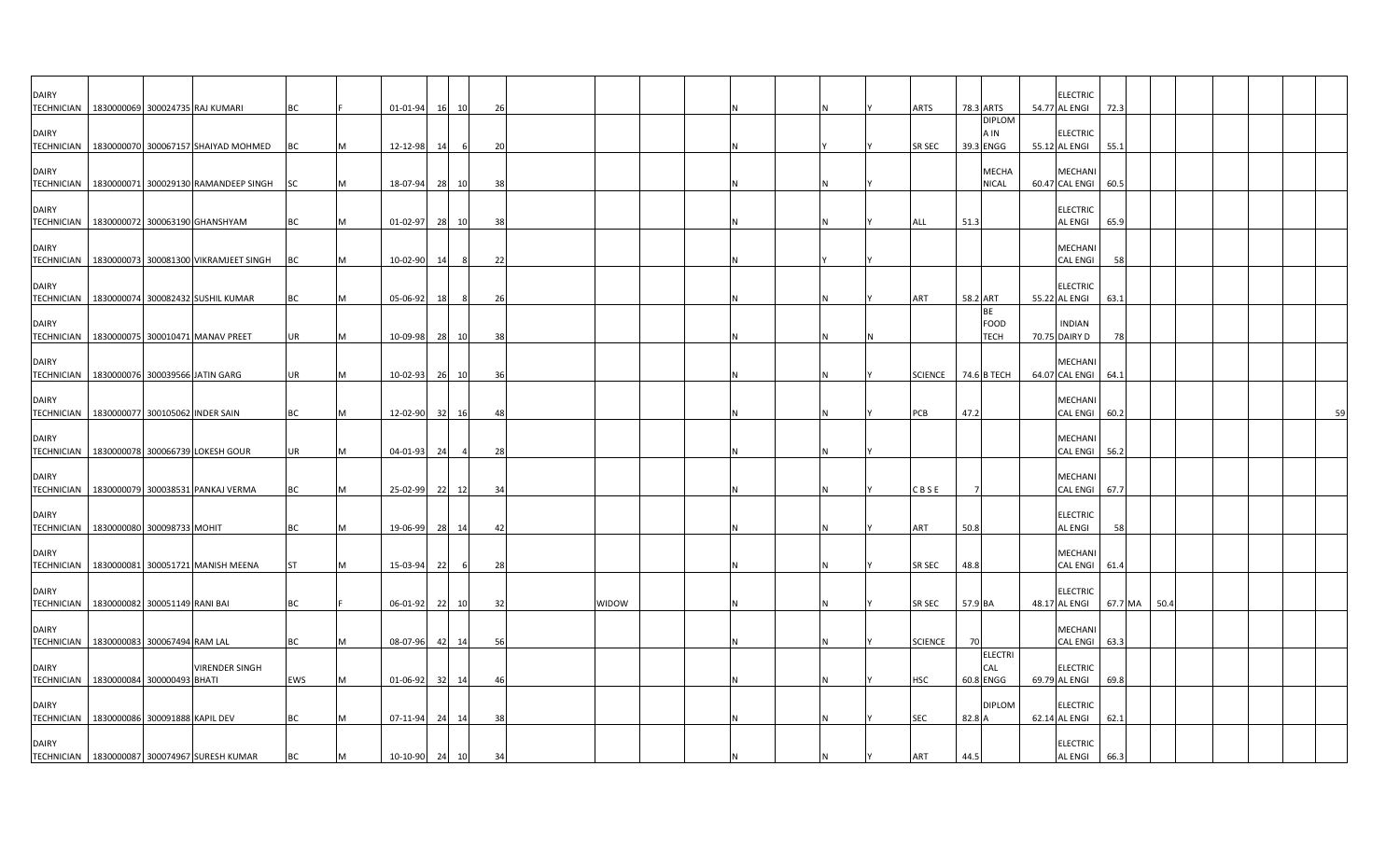| <b>DAIRY</b>                      | TECHNICIAN   1830000069 300024735 RAJ KUMARI                   | BC        |   | 01-01-94       | 16 10    | 26             |       |  |  |  | <b>ARTS</b>    | 78.3 ARTS                          | <b>ELECTRIC</b><br>54.77 AL ENGI     | 72.3    |      |  |    |
|-----------------------------------|----------------------------------------------------------------|-----------|---|----------------|----------|----------------|-------|--|--|--|----------------|------------------------------------|--------------------------------------|---------|------|--|----|
| <b>DAIRY</b>                      | TECHNICIAN   1830000070 300067157 SHAIYAD MOHMED               | <b>BC</b> |   | 12-12-98       | 14       | 20             |       |  |  |  | SR SEC         | <b>DIPLOM</b><br>A IN<br>39.3 ENGG | <b>ELECTRIC</b><br>55.12 AL ENGI     | 55.1    |      |  |    |
| <b>DAIRY</b>                      | TECHNICIAN   1830000071 300029130 RAMANDEEP SINGH              | <b>SC</b> |   | 18-07-94       | 28 10    | 38             |       |  |  |  |                | <b>MECHA</b><br><b>NICAL</b>       | <b>MECHANI</b><br>60.47 CAL ENGI     | 60.5    |      |  |    |
| <b>DAIRY</b>                      | TECHNICIAN   1830000072 300063190 GHANSHYAM                    | ВC        |   | 01-02-97       | 28<br>10 | 38             |       |  |  |  | ALL            | 51.3                               | <b>ELECTRIC</b><br><b>AL ENGI</b>    | 65.9    |      |  |    |
| <b>DAIRY</b>                      | TECHNICIAN   1830000073 300081300 VIKRAMJEET SINGH             | <b>BC</b> |   | 10-02-90       | 14       | - 8<br>22      |       |  |  |  |                |                                    | MECHANI<br><b>CAL ENGI</b>           | - 58    |      |  |    |
| <b>DAIRY</b>                      | TECHNICIAN 1830000074 300082432 SUSHIL KUMAR                   | BC        | M | 05-06-92       | 18       | 8<br>26        |       |  |  |  | ART            | 58.2 ART                           | <b>ELECTRIC</b><br>55.22 AL ENGI     | 63.1    |      |  |    |
| <b>DAIRY</b>                      | TECHNICIAN   1830000075 300010471 MANAV PREET                  | UR        |   | 10-09-98 28 10 |          | 38             |       |  |  |  |                | BE<br><b>FOOD</b><br>TECH          | <b>INDIAN</b><br>70.75 DAIRY D       | 78      |      |  |    |
| <b>DAIRY</b>                      | TECHNICIAN   1830000076 300039566 JATIN GARG                   | <b>UR</b> | M | 10-02-93 26 10 |          | 36             |       |  |  |  | <b>SCIENCE</b> | 74.6 B TECH                        | <b>MECHAN</b><br>64.07 CAL ENGI 64.1 |         |      |  |    |
| <b>DAIRY</b>                      | TECHNICIAN   1830000077 300105062 INDER SAIN                   | BC        |   | 12-02-90       | 32       | 16<br>48       |       |  |  |  | PCB            | 47.2                               | <b>MECHAN</b><br><b>CAL ENGI</b>     | 60.2    |      |  | 59 |
| <b>DAIRY</b>                      | TECHNICIAN   1830000078 300066739 LOKESH GOUR                  | UR        |   | 04-01-93       | 24       | 28             |       |  |  |  |                |                                    | MECHANI<br><b>CAL ENGI</b>           | 56.2    |      |  |    |
| <b>DAIRY</b>                      | TECHNICIAN   1830000079 300038531 PANKAJ VERMA                 | BC        |   | 25-02-99       | 22<br>12 | 3 <sup>i</sup> |       |  |  |  | CBSE           |                                    | <b>MECHANI</b><br>CAL ENGI 67.7      |         |      |  |    |
| <b>DAIRY</b>                      | TECHNICIAN   1830000080 300098733 MOHIT                        | <b>BC</b> |   | 19-06-99       | 28<br>14 | 42             |       |  |  |  | ART            | 50.8                               | <b>ELECTRIC</b><br><b>AL ENGI</b>    | 58      |      |  |    |
| <b>DAIRY</b><br><b>TECHNICIAN</b> | 1830000081 300051721 MANISH MEENA                              | <b>ST</b> |   | 15-03-94       | 22       | - 6<br>28      |       |  |  |  | SR SEC         | 48.8                               | MECHANI<br><b>CAL ENGI</b>           | 61.4    |      |  |    |
| <b>DAIRY</b>                      | TECHNICIAN 1830000082 300051149 RANI BAI                       | <b>BC</b> |   | 06-01-92       | 22 10    | 32             | WIDOW |  |  |  | SR SEC         | 57.9 BA                            | <b>ELECTRIC</b><br>48.17 AL ENGI     | 67.7 MA | 50.4 |  |    |
| <b>DAIRY</b>                      | TECHNICIAN   1830000083 300067494 RAM LAL                      | <b>BC</b> |   | 08-07-96 42 14 |          | -56            |       |  |  |  | <b>SCIENCE</b> | 70                                 | <b>MECHANI</b><br><b>CAL ENGI</b>    | 63.3    |      |  |    |
| <b>DAIRY</b>                      | <b>VIRENDER SINGH</b><br>TECHNICIAN 1830000084 300000493 BHATI | EWS       |   | 01-06-92       | 32<br>14 | 46             |       |  |  |  | <b>HSC</b>     | <b>ELECTRI</b><br>CAL<br>60.8 ENGG | <b>ELECTRIC</b><br>69.79 AL ENGI     | 69.8    |      |  |    |
| <b>DAIRY</b>                      | TECHNICIAN 1830000086 300091888 KAPIL DEV                      | <b>BC</b> |   | 07-11-94       | 24 14    | 38             |       |  |  |  | <b>SEC</b>     | <b>DIPLOM</b><br>82.8 A            | <b>ELECTRIC</b><br>62.14 AL ENGI     | 62.1    |      |  |    |
| <b>DAIRY</b>                      | TECHNICIAN   1830000087 300074967 SURESH KUMAR                 | BC        |   | 10-10-90 24 10 |          | 34             |       |  |  |  | ART            | 44.5                               | <b>ELECTRIC</b><br><b>AL ENGI</b>    | 66.3    |      |  |    |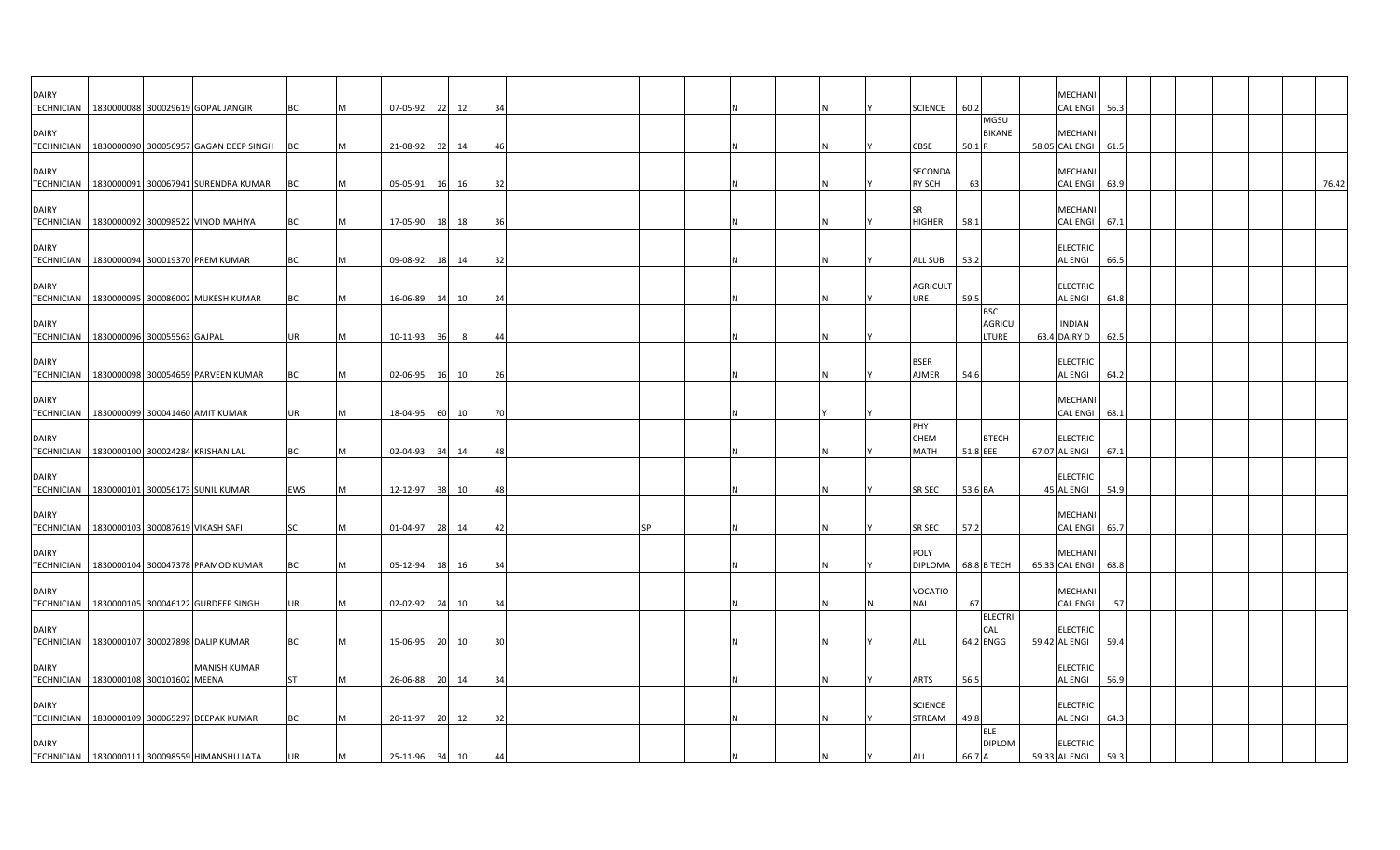| <b>DAIRY</b>                                                  |  | TECHNICIAN   1830000088 300029619 GOPAL JANGIR     | BC        | м | 07-05-92       |           | 22 12 | 34 |  |    |  |  | <b>SCIENCE</b>                  | 60.2                                 | MECHANI<br>CAL ENGI              | 56.3 |  |       |
|---------------------------------------------------------------|--|----------------------------------------------------|-----------|---|----------------|-----------|-------|----|--|----|--|--|---------------------------------|--------------------------------------|----------------------------------|------|--|-------|
| <b>DAIRY</b>                                                  |  | TECHNICIAN   1830000090 300056957 GAGAN DEEP SINGH | <b>BC</b> |   | 21-08-92       | 32        | 14    | 46 |  |    |  |  | <b>CBSE</b>                     | MGSU<br><b>BIKANE</b><br>50.1R       | MECHANI<br>58.05 CAL ENGI        | 61.5 |  |       |
| <b>DAIRY</b>                                                  |  | TECHNICIAN 1830000091 300067941 SURENDRA KUMAR     | BC        |   | 05-05-91       | 16        | 16    | 32 |  |    |  |  | SECONDA<br><b>RY SCH</b>        | 63                                   | MECHANI<br><b>CAL ENGI</b>       | 63.9 |  | 76.42 |
| <b>DAIRY</b>                                                  |  | TECHNICIAN 1830000092 300098522 VINOD MAHIYA       | BC        |   | 17-05-90       | 18        | 18    | 36 |  |    |  |  | <b>SR</b><br><b>HIGHER</b>      | 58.1                                 | MECHANI<br>CAL ENGI              | 67.1 |  |       |
| <b>DAIRY</b>                                                  |  | TECHNICIAN 1830000094 300019370 PREM KUMAR         | BC        |   | 09-08-92       | <b>18</b> | 14    | 32 |  |    |  |  | <b>ALL SUB</b>                  | 53.2                                 | <b>ELECTRIC</b><br>AL ENGI       | 66.5 |  |       |
| <b>DAIRY</b>                                                  |  | TECHNICIAN   1830000095 300086002 MUKESH KUMAR     | BC        |   | 16-06-89       | 14        | 10    | 24 |  |    |  |  | AGRICULT<br>URE                 | 59.5                                 | <b>ELECTRIC</b><br>AL ENGI       | 64.8 |  |       |
| <b>DAIRY</b><br>TECHNICIAN   1830000096 300055563 GAJPAL      |  |                                                    | <b>UR</b> | м | 10-11-93       | 36        | 8     | 44 |  |    |  |  |                                 | <b>BSC</b><br><b>AGRICU</b><br>LTURE | <b>INDIAN</b><br>63.4 DAIRY D    | 62.5 |  |       |
| <b>DAIRY</b>                                                  |  | TECHNICIAN   1830000098 300054659 PARVEEN KUMAR    | BC        | M | 02-06-95       | 16        | 10    | 26 |  |    |  |  | <b>BSER</b><br>AJMER            | 54.6                                 | ELECTRIC<br>AL ENGI              | 64.2 |  |       |
| <b>DAIRY</b>                                                  |  | TECHNICIAN   1830000099 300041460 AMIT KUMAR       | <b>UR</b> | M | 18-04-95       |           | 60 10 | 70 |  |    |  |  |                                 |                                      | MECHANI<br>CAL ENGI              | 68.1 |  |       |
| <b>DAIRY</b><br>TECHNICIAN   1830000100 300024284 KRISHAN LAL |  |                                                    | BC        | M | 02-04-93       | 34        | 14    | 48 |  |    |  |  | PHY<br>CHEM<br><b>MATH</b>      | <b>BTECH</b><br>51.8 EEE             | <b>ELECTRIC</b><br>67.07 AL ENGI | 67.1 |  |       |
| <b>DAIRY</b>                                                  |  | TECHNICIAN   1830000101 300056173 SUNIL KUMAR      | EWS       |   | 12-12-97       | - 381     | 10    | 48 |  |    |  |  | SR SEC                          | 53.6 BA                              | ELECTRIC<br>45 AL ENGI           | 54.9 |  |       |
| <b>DAIRY</b><br>TECHNICIAN   1830000103 300087619 VIKASH SAFI |  |                                                    | SC        | м | 01-04-97       | 28        | 14    | 42 |  | SP |  |  | SR SEC                          | 57.2                                 | MECHANI<br>CAL ENGI              | 65.7 |  |       |
| <b>DAIRY</b><br><b>TECHNICIAN</b>                             |  | 1830000104 300047378 PRAMOD KUMAR                  | BC        |   | 05-12-94       | 18        | 16    | 34 |  |    |  |  | POLY<br><b>DIPLOMA</b>          | 68.8 B TECH                          | MECHANI<br>65.33 CAL ENGI        | 68.8 |  |       |
| <b>DAIRY</b>                                                  |  | TECHNICIAN 1830000105 300046122 GURDEEP SINGH      | UR        |   | 02-02-92       | 24        | 10    | 34 |  |    |  |  | <b>VOCATIO</b><br><b>NAL</b>    | 67                                   | MECHANI<br>CAL ENGI              | 57   |  |       |
| <b>DAIRY</b>                                                  |  | TECHNICIAN   1830000107 300027898 DALIP KUMAR      | BC        |   | 15-06-95       | 20        | 10    | 30 |  |    |  |  | ALL                             | ELECTRI<br>CAL<br>64.2 ENGG          | ELECTRIC<br>59.42 AL ENGI        | 59.4 |  |       |
| <b>DAIRY</b><br>TECHNICIAN   1830000108 300101602 MEENA       |  | <b>MANISH KUMAR</b>                                | <b>ST</b> |   | 26-06-88       | 20        | 14    | 34 |  |    |  |  | ARTS                            | 56.5                                 | ELECTRIC<br>AL ENGI              | 56.9 |  |       |
| <b>DAIRY</b>                                                  |  | TECHNICIAN   1830000109 300065297 DEEPAK KUMAR     | ВC        |   | 20-11-97       | 20        | 12    | 32 |  |    |  |  | <b>SCIENCE</b><br><b>STREAM</b> | 49.8                                 | <b>ELECTRIC</b><br>AL ENGI       | 64.3 |  |       |
| <b>DAIRY</b>                                                  |  | TECHNICIAN   1830000111 300098559 HIMANSHU LATA    | <b>UR</b> | M | 25-11-96 34 10 |           |       | 44 |  |    |  |  | ALL                             | ELE<br><b>DIPLOM</b><br>66.7 A       | <b>ELECTRIC</b><br>59.33 AL ENGI | 59.3 |  |       |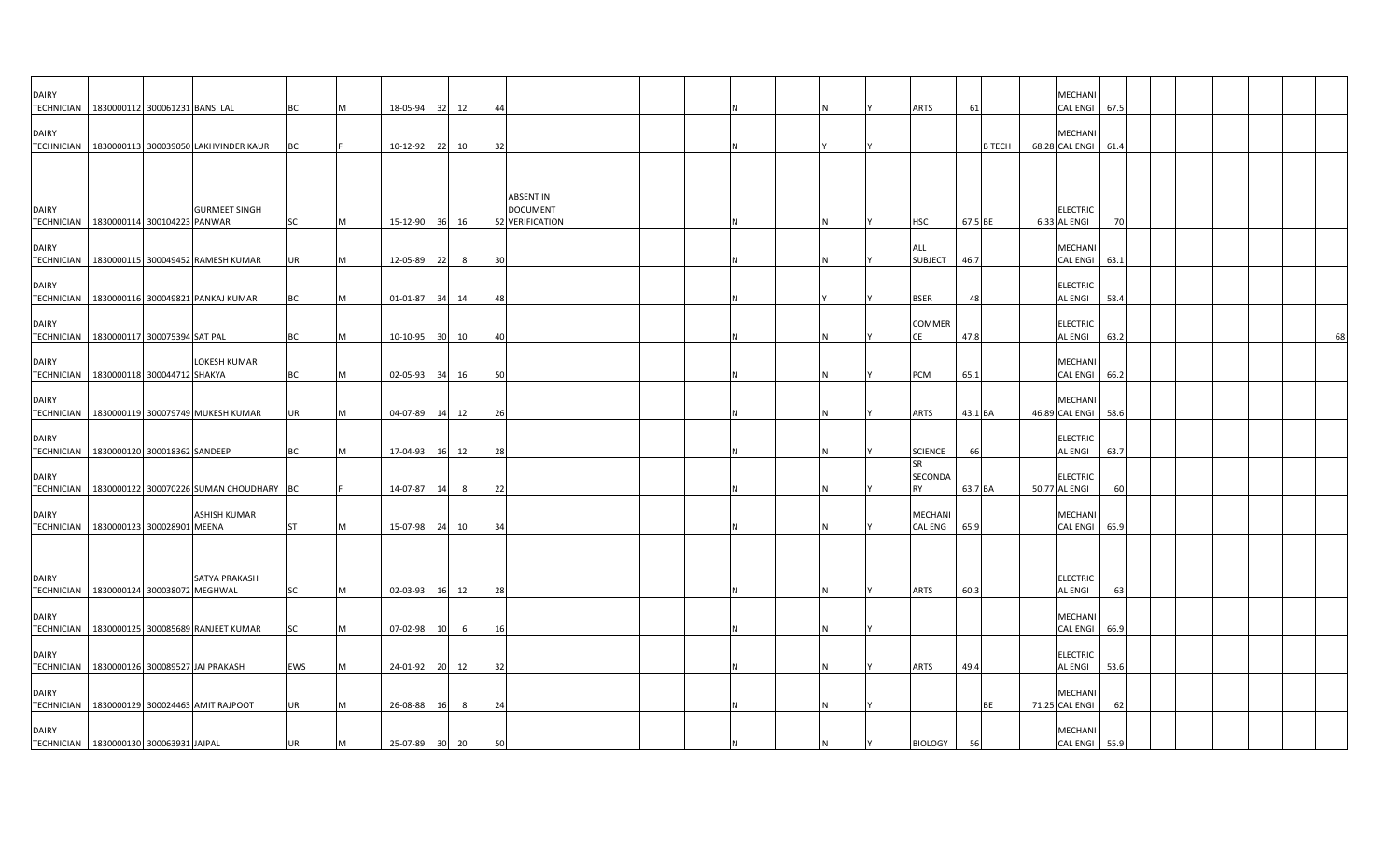| <b>DAIRY</b>                      | TECHNICIAN   1830000112 300061231 BANSI LAL          |                      | <b>BC</b> | M | 18-05-94 | 32   | 12    | 44                                                     |  |   | Ν   | ARTS                  | 61      |               | MECHANI<br><b>CAL ENGI</b><br>67.5     |  |    |
|-----------------------------------|------------------------------------------------------|----------------------|-----------|---|----------|------|-------|--------------------------------------------------------|--|---|-----|-----------------------|---------|---------------|----------------------------------------|--|----|
| <b>DAIRY</b>                      | TECHNICIAN 1830000113 300039050 LAKHVINDER KAUR      |                      | BC        |   | 10-12-92 | 221  | 10    | 32                                                     |  |   |     |                       |         | <b>B TECH</b> | MECHANI<br>68.28 CAL ENGI<br>61.4      |  |    |
|                                   |                                                      |                      |           |   |          |      |       |                                                        |  |   |     |                       |         |               |                                        |  |    |
| <b>DAIRY</b><br><b>TECHNICIAN</b> | 1830000114 300104223 PANWAR                          | <b>GURMEET SINGH</b> | <b>SC</b> | M | 15-12-90 |      | 36 16 | <b>ABSENT IN</b><br><b>DOCUMENT</b><br>52 VERIFICATION |  |   | N   | HSC                   | 67.5 BE |               | <b>ELECTRIC</b><br>6.33 AL ENGI<br>70  |  |    |
| <b>DAIRY</b>                      | TECHNICIAN 1830000115 300049452 RAMESH KUMAR         |                      | <b>UR</b> | M | 12-05-89 | 22   | 8     | 30                                                     |  |   | N   | ALL<br><b>SUBJECT</b> | 46.7    |               | MECHANI<br>CAL ENGI 63.1               |  |    |
| <b>DAIRY</b>                      | TECHNICIAN 1830000116 300049821 PANKAJ KUMAR         |                      | <b>BC</b> | M | 01-01-87 | 34   | 14    | 48                                                     |  |   |     | <b>BSER</b>           | 48      |               | <b>ELECTRIC</b><br>AL ENGI<br>58.4     |  |    |
| <b>DAIRY</b>                      | TECHNICIAN 1830000117 300075394 SAT PAL              |                      | BC        | M | 10-10-95 | 30 l | 10    | 40                                                     |  |   |     | COMMER<br>CE          | 47.8    |               | <b>ELECTRIC</b><br>AL ENGI<br>63.2     |  | 68 |
| <b>DAIRY</b>                      | TECHNICIAN 1830000118 300044712 SHAKYA               | LOKESH KUMAR         | <b>BC</b> | M | 02-05-93 | 34   | 16    | 50                                                     |  |   | Ν   | PCM                   | 65.1    |               | MECHANI<br><b>CAL ENGI</b><br>66.2     |  |    |
| <b>DAIRY</b>                      | TECHNICIAN   1830000119 300079749 MUKESH KUMAR       |                      | <b>UR</b> | M | 04-07-89 |      | 14 12 | 26                                                     |  |   |     | ARTS                  | 43.1 BA |               | MECHANI<br>46.89 CAL ENGI 58.6         |  |    |
| <b>DAIRY</b>                      | TECHNICIAN 1830000120 300018362 SANDEEP              |                      | <b>BC</b> | M | 17-04-93 | 16   | 12    | 28                                                     |  | N | N   | <b>SCIENCE</b>        | 66      |               | <b>ELECTRIC</b><br>AL ENGI<br>63.7     |  |    |
| <b>DAIRY</b>                      | TECHNICIAN   1830000122 300070226 SUMAN CHOUDHARY BC |                      |           |   | 14-07-87 | 14   | - 8   | 22                                                     |  |   |     | SR<br>SECONDA<br>RY   | 63.7 BA |               | <b>ELECTRIC</b><br>50.77 AL ENGI<br>60 |  |    |
| <b>DAIRY</b>                      | TECHNICIAN   1830000123 300028901 MEENA              | <b>ASHISH KUMAR</b>  | <b>ST</b> | M | 15-07-98 | 24   | 10    | 34                                                     |  |   | N   | MECHANI<br>CAL ENG    | 65.9    |               | MECHANI<br><b>CAL ENGI</b><br>65.9     |  |    |
|                                   |                                                      |                      |           |   |          |      |       |                                                        |  |   |     |                       |         |               |                                        |  |    |
| <b>DAIRY</b><br><b>TECHNICIAN</b> | 1830000124 300038072 MEGHWAL                         | SATYA PRAKASH        | <b>SC</b> | M | 02-03-93 | 16   | 12    | 28                                                     |  |   | IN. | ARTS                  | 60.3    |               | <b>ELECTRIC</b><br>63<br>AL ENGI       |  |    |
| <b>DAIRY</b><br><b>TECHNICIAN</b> | 1830000125 300085689 RANJEET KUMAR                   |                      | <b>SC</b> | M | 07-02-98 | 10   | - 6   | 16                                                     |  |   | N   |                       |         |               | MECHANI<br><b>CAL ENGI</b><br>66.9     |  |    |
| <b>DAIRY</b>                      | TECHNICIAN 1830000126 300089527 JAI PRAKASH          |                      | EWS       | M | 24-01-92 | -201 | 12    | 32                                                     |  | N | N   | ARTS                  | 49.4    |               | <b>ELECTRIC</b><br>AL ENGI<br>53.6     |  |    |
| <b>DAIRY</b>                      | TECHNICIAN 1830000129 300024463 AMIT RAJPOOT         |                      | <b>UR</b> |   | 26-08-88 | 16   |       | 24                                                     |  |   |     |                       |         | <b>BE</b>     | MECHAN<br>71.25 CAL ENGI<br>62         |  |    |
| <b>DAIRY</b>                      | TECHNICIAN   1830000130 300063931 JAIPAL             |                      | <b>UR</b> | M | 25-07-89 | 30   | 20    | 50                                                     |  |   | N   | <b>BIOLOGY</b>        | 56      |               | MECHANI<br>55.9<br><b>CAL ENGI</b>     |  |    |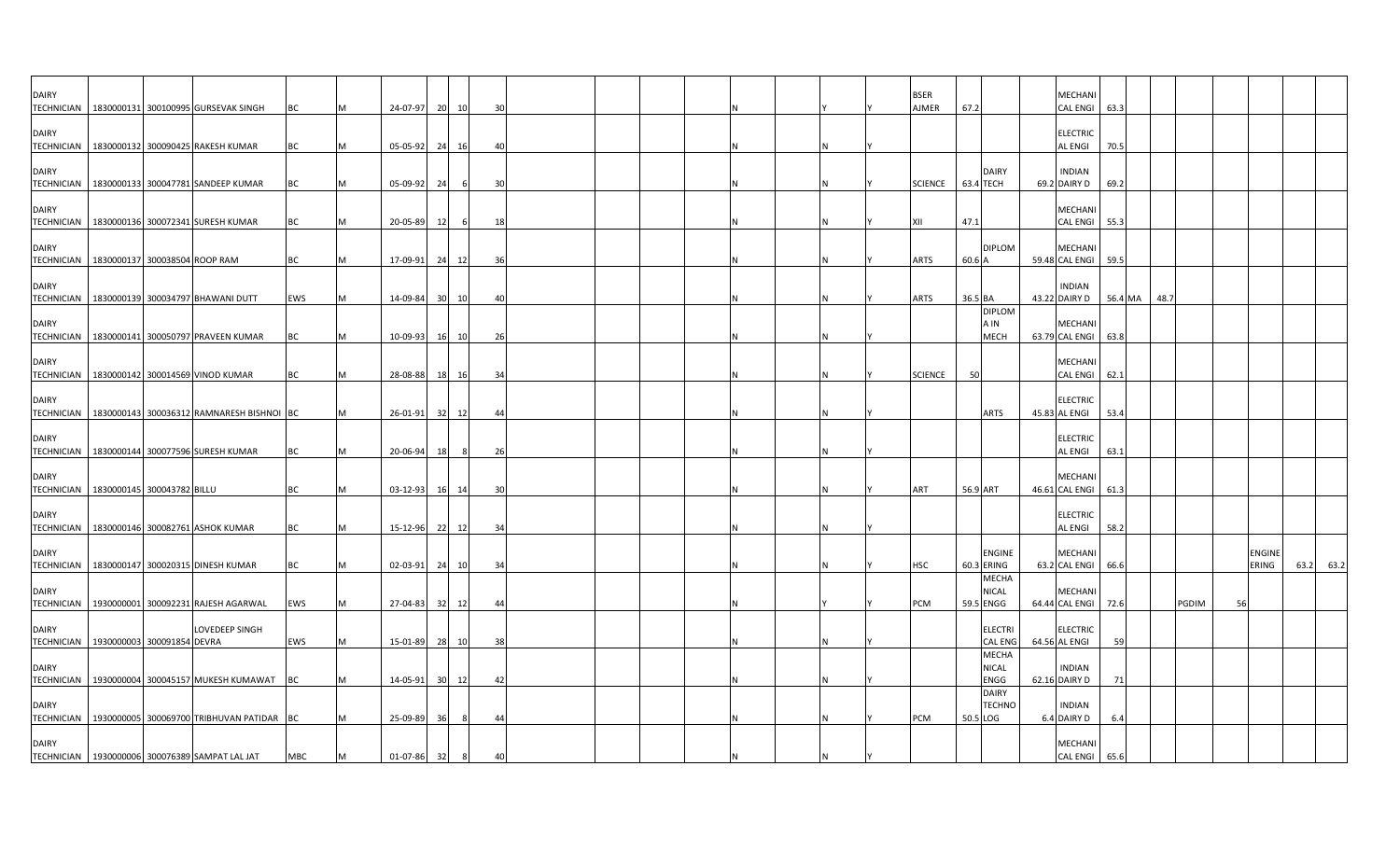| <b>DAIRY</b>                      | TECHNICIAN   1830000131 300100995 GURSEVAK SINGH        | BC         |   | 24-07-97 20 10 |       |     | 30             |  |  |  |  | <b>BSER</b><br><b>AJMER</b> | 67.2       |                                      | <b>MECHANI</b><br>CAL ENGI 63.3       |         |      |       |    |                        |           |
|-----------------------------------|---------------------------------------------------------|------------|---|----------------|-------|-----|----------------|--|--|--|--|-----------------------------|------------|--------------------------------------|---------------------------------------|---------|------|-------|----|------------------------|-----------|
| <b>DAIRY</b>                      | TECHNICIAN   1830000132 300090425 RAKESH KUMAR          | BC         |   | 05-05-92       | 24    | 16  | 4(             |  |  |  |  |                             |            |                                      | <b>ELECTRIC</b><br><b>AL ENGI</b>     | 70.5    |      |       |    |                        |           |
| <b>DAIRY</b>                      | TECHNICIAN 1830000133 300047781 SANDEEP KUMAR           | <b>BC</b>  |   | 05-09-92       | 24    | - 6 | 30             |  |  |  |  | <b>SCIENCE</b>              | 63.4 TECH  | <b>DAIRY</b>                         | <b>INDIAN</b><br>69.2 DAIRY D         | 69.2    |      |       |    |                        |           |
| <b>DAIRY</b>                      | TECHNICIAN   1830000136 300072341 SURESH KUMAR          | ВC         |   | 20-05-89       | 12    | - 6 | 18             |  |  |  |  |                             | 47.1       |                                      | MECHANI<br><b>CAL ENGI</b>            | 55.3    |      |       |    |                        |           |
| <b>DAIRY</b>                      | TECHNICIAN 1830000137 300038504 ROOP RAM                | BC         | M | 17-09-91       | 24    | 12  | 36             |  |  |  |  | <b>ARTS</b>                 | 60.6 A     | <b>DIPLOM</b>                        | MECHANI<br>59.48 CAL ENGI 59.5        |         |      |       |    |                        |           |
| <b>DAIRY</b>                      | TECHNICIAN 1830000139 300034797 BHAWANI DUTT            | EWS        |   | 14-09-84       | 30 10 |     | 4(             |  |  |  |  | <b>ARTS</b>                 | 36.5 BA    |                                      | <b>INDIAN</b><br>43.22 DAIRY D        | 56.4 MA | 48.7 |       |    |                        |           |
| <b>DAIRY</b>                      | TECHNICIAN   1830000141 300050797 PRAVEEN KUMAR         | <b>BC</b>  |   | 10-09-93       | 16 10 |     | 26             |  |  |  |  |                             |            | <b>DIPLOM</b><br>A IN<br><b>MECH</b> | <b>MECHANI</b><br>63.79 CAL ENGI      | 63.8    |      |       |    |                        |           |
| <b>DAIRY</b>                      | TECHNICIAN   1830000142 300014569 VINOD KUMAR           | <b>BC</b>  |   | 28-08-88 18 16 |       |     | 34             |  |  |  |  | <b>SCIENCE</b>              | 50         |                                      | <b>MECHAN</b><br>CAL ENGI 62.1        |         |      |       |    |                        |           |
| <b>DAIRY</b>                      | TECHNICIAN   1830000143 300036312 RAMNARESH BISHNOI BC  |            |   | 26-01-91       | 32    | 12  | 44             |  |  |  |  |                             |            | <b>ARTS</b>                          | <b>ELECTRIC</b><br>45.83 AL ENGI      | 53.4    |      |       |    |                        |           |
| <b>DAIRY</b>                      | TECHNICIAN   1830000144 300077596 SURESH KUMAR          | <b>BC</b>  |   | 20-06-94       | 18    | - 8 | 26             |  |  |  |  |                             |            |                                      | <b>ELECTRIC</b><br><b>AL ENGI</b>     | 63.1    |      |       |    |                        |           |
| <b>DAIRY</b>                      | TECHNICIAN   1830000145 300043782 BILLU                 | ВC         |   | 03-12-93       | 16    | 14  | 3 <sup>0</sup> |  |  |  |  | ART                         | 56.9 ART   |                                      | <b>MECHANI</b><br>46.61 CAL ENGI 61.3 |         |      |       |    |                        |           |
| <b>DAIRY</b>                      | TECHNICIAN   1830000146 300082761 ASHOK KUMAR           | BC         | M | 15-12-96 22    |       | 12  | 34             |  |  |  |  |                             |            |                                      | <b>ELECTRIC</b><br><b>AL ENGI</b>     | 58.2    |      |       |    |                        |           |
| <b>DAIRY</b><br><b>TECHNICIAN</b> | 1830000147 300020315 DINESH KUMAR                       | BC         |   | 02-03-91       | 24 10 |     | 34             |  |  |  |  | <b>HSC</b>                  | 60.3 ERING | <b>ENGINE</b>                        | <b>MECHANI</b><br>63.2 CAL ENGI       | 66.6    |      |       |    | <b>ENGINE</b><br>ERING | 63.2 63.2 |
| <b>DAIRY</b>                      | TECHNICIAN   1930000001 300092231 RAJESH AGARWAL        | EWS        |   | 27-04-83 32 12 |       |     | 44             |  |  |  |  | PCM                         | 59.5 ENGG  | <b>MECHA</b><br><b>NICAL</b>         | <b>MECHANI</b><br>64.44 CAL ENGI      | 72.6    |      | PGDIM | 56 |                        |           |
| <b>DAIRY</b>                      | LOVEDEEP SINGH<br>TECHNICIAN 1930000003 300091854 DEVRA | EWS        |   | 15-01-89 28 10 |       |     | 38             |  |  |  |  |                             |            | <b>ELECTRI</b><br><b>CAL ENG</b>     | <b>ELECTRIC</b><br>64.56 AL ENGI      | 59      |      |       |    |                        |           |
| <b>DAIRY</b>                      | TECHNICIAN 1930000004 300045157 MUKESH KUMAWAT          | <b>BC</b>  |   | 14-05-91       | 30    | 12  | 42             |  |  |  |  |                             |            | <b>MECHA</b><br><b>NICAL</b><br>ENGG | <b>INDIAN</b><br>62.16 DAIRY D        | 71      |      |       |    |                        |           |
| <b>DAIRY</b>                      | TECHNICIAN 1930000005 300069700 TRIBHUVAN PATIDAR BC    |            |   | 25-09-89       | 36    | - 8 | 44             |  |  |  |  | PCM                         | 50.5 LOG   | <b>DAIRY</b><br>TECHNO               | <b>INDIAN</b><br>6.4 DAIRY D          | 6.4     |      |       |    |                        |           |
| <b>DAIRY</b>                      | TECHNICIAN 1930000006 300076389 SAMPAT LAL JAT          | <b>MBC</b> |   | 01-07-86 32    |       | 8   |                |  |  |  |  |                             |            |                                      | MECHANI<br><b>CAL ENGI</b>            | 65.6    |      |       |    |                        |           |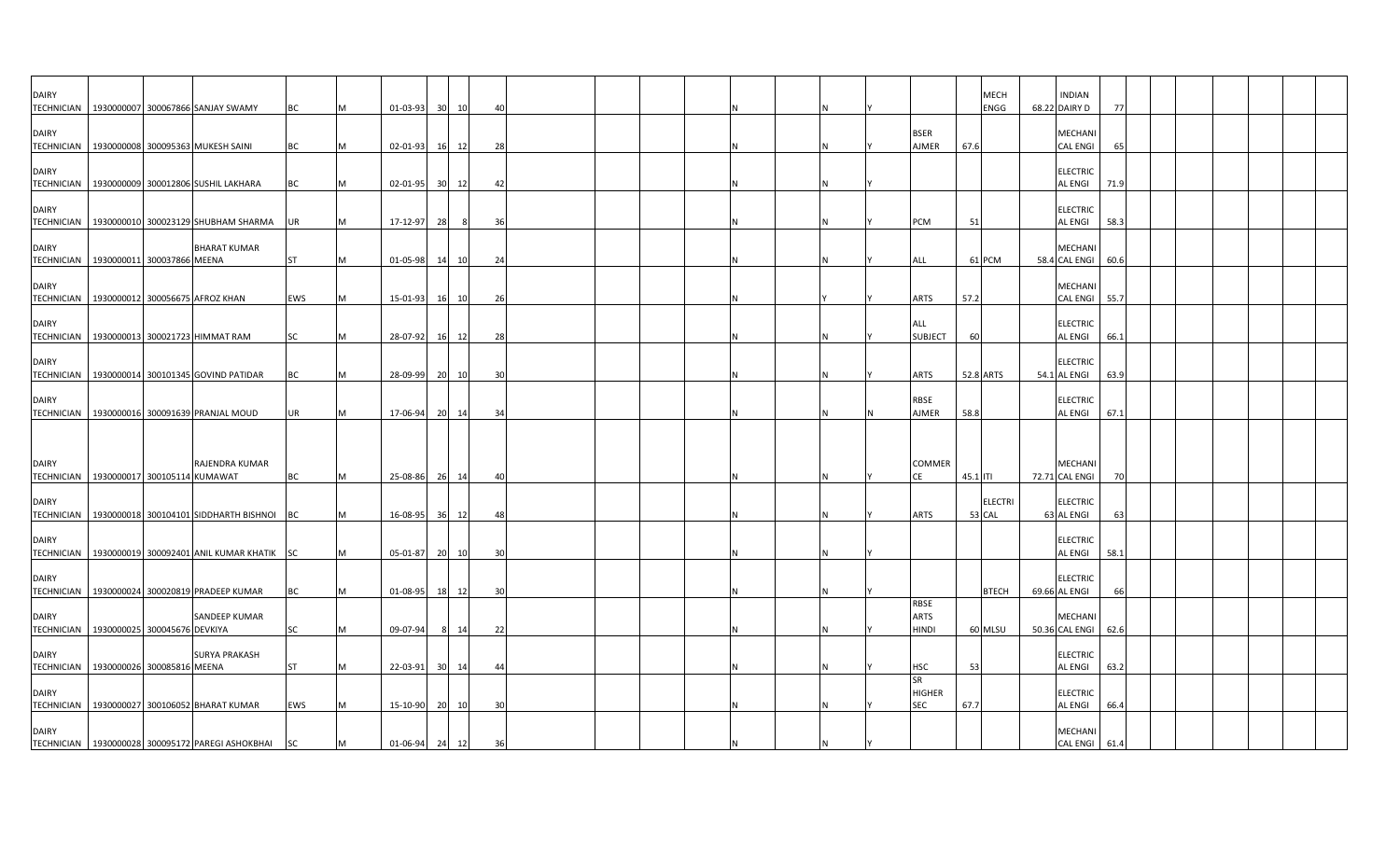| <b>DAIRY</b>      | TECHNICIAN   1930000007 300067866 SANJAY SWAMY                   | ВC        |   | 01-03-93         | 30 <sup>1</sup> | 10 | 4(             |  |  |  |  |                                   | <b>MECH</b><br>ENGG      | <b>INDIAN</b><br>68.22 DAIRY D      | -77  |  |  |  |
|-------------------|------------------------------------------------------------------|-----------|---|------------------|-----------------|----|----------------|--|--|--|--|-----------------------------------|--------------------------|-------------------------------------|------|--|--|--|
| <b>DAIRY</b>      |                                                                  |           |   |                  |                 |    |                |  |  |  |  | <b>BSER</b>                       |                          | <b>MECHANI</b>                      |      |  |  |  |
| <b>DAIRY</b>      | TECHNICIAN   1930000008 300095363 MUKESH SAINI                   | BC        |   | 02-01-93         | 16 12           |    | 28             |  |  |  |  | AJMER                             | 67.6                     | <b>CAL ENGI</b><br><b>ELECTRIC</b>  | 65   |  |  |  |
|                   | TECHNICIAN   1930000009 300012806 SUSHIL LAKHARA                 | BC        |   | 02-01-95 30 12   |                 |    | 42             |  |  |  |  |                                   |                          | <b>AL ENGI</b>                      | 71.9 |  |  |  |
| <b>DAIRY</b>      | TECHNICIAN 1930000010 300023129 SHUBHAM SHARMA                   | UR        |   | 17-12-97         | 28              | 8  | 36             |  |  |  |  | PCM                               | 51                       | <b>ELECTRIC</b><br><b>AL ENGI</b>   | 58.3 |  |  |  |
| <b>DAIRY</b>      | <b>BHARAT KUMAR</b><br>TECHNICIAN 1930000011 300037866 MEENA     | <b>ST</b> |   | 01-05-98 14 10   |                 |    | 24             |  |  |  |  | <b>ALL</b>                        | 61 PCM                   | <b>MECHAN</b><br>58.4 CAL ENGI 60.6 |      |  |  |  |
| <b>DAIRY</b>      | TECHNICIAN   1930000012 300056675 AFROZ KHAN                     | EWS       |   | 15-01-93         | 16 10           |    | 26             |  |  |  |  | <b>ARTS</b>                       | 57.2                     | <b>MECHANI</b><br><b>CAL ENGI</b>   | 55.7 |  |  |  |
| <b>DAIRY</b>      | TECHNICIAN   1930000013 300021723 HIMMAT RAM                     | SC        |   | 28-07-92         | 16              | 12 | 28             |  |  |  |  | ALL<br><b>SUBJECT</b>             | 60                       | <b>ELECTRIC</b><br><b>AL ENGI</b>   | 66.1 |  |  |  |
| <b>DAIRY</b>      |                                                                  |           |   |                  |                 |    |                |  |  |  |  |                                   |                          | <b>ELECTRIC</b>                     |      |  |  |  |
| <b>TECHNICIAN</b> | 1930000014 300101345 GOVIND PATIDAR                              | BC        |   | 28-09-99         | 20              | 10 | 30             |  |  |  |  | <b>ARTS</b>                       | 52.8 ARTS                | 54.1 AL ENGI                        | 63.9 |  |  |  |
| <b>DAIRY</b>      | TECHNICIAN   1930000016 300091639 PRANJAL MOUD                   | UR        |   | 17-06-94 20 14   |                 |    | 34             |  |  |  |  | RBSE<br>AJMER                     | 58.8                     | <b>ELECTRIC</b><br><b>AL ENGI</b>   | 67.1 |  |  |  |
|                   |                                                                  |           |   |                  |                 |    |                |  |  |  |  |                                   |                          |                                     |      |  |  |  |
| <b>DAIRY</b>      | RAJENDRA KUMAR<br>TECHNICIAN   1930000017 300105114 KUMAWAT      | <b>BC</b> | M | 25-08-86 26 14   |                 |    | 40             |  |  |  |  | COMMER<br><b>CE</b>               | 45.1 ITI                 | MECHANI<br>72.71 CAL ENGI           |      |  |  |  |
| <b>DAIRY</b>      | TECHNICIAN 1930000018 300104101 SIDDHARTH BISHNOI BC             |           |   | 16-08-95 36 12   |                 |    | 48             |  |  |  |  | <b>ARTS</b>                       | <b>ELECTRI</b><br>53 CAL | <b>ELECTRIC</b><br>63 AL ENGI       | 63   |  |  |  |
| <b>DAIRY</b>      | TECHNICIAN   1930000019 300092401 ANIL KUMAR KHATIK SC           |           |   | 05-01-87         | 20 10           |    | 30             |  |  |  |  |                                   |                          | <b>ELECTRIC</b><br><b>AL ENGI</b>   | 58.1 |  |  |  |
| <b>DAIRY</b>      |                                                                  |           |   |                  |                 |    |                |  |  |  |  |                                   |                          | <b>ELECTRIC</b>                     |      |  |  |  |
| <b>DAIRY</b>      | TECHNICIAN   1930000024 300020819 PRADEEP KUMAR<br>SANDEEP KUMAR | BC        |   | 01-08-95 18      |                 | 12 | -30            |  |  |  |  | RBSE<br><b>ARTS</b>               | <b>BTECH</b>             | 69.66 AL ENGI<br><b>MECHANI</b>     |      |  |  |  |
|                   | TECHNICIAN 1930000025 300045676 DEVKIYA                          | <b>SC</b> |   | 09-07-94         | 8 14            |    | 22             |  |  |  |  | <b>HINDI</b>                      | 60 MLSU                  | 50.36 CAL ENGI                      | 62.6 |  |  |  |
| <b>DAIRY</b>      | <b>SURYA PRAKASH</b><br>TECHNICIAN 1930000026 300085816 MEENA    | <b>ST</b> |   | 22-03-91         | 30 14           |    | $\overline{4}$ |  |  |  |  | <b>HSC</b>                        | 53                       | <b>ELECTRIC</b><br><b>AL ENGI</b>   | 63.2 |  |  |  |
| <b>DAIRY</b>      | TECHNICIAN 1930000027 300106052 BHARAT KUMAR                     | EWS       |   | 15-10-90         | 20              | 10 | 30             |  |  |  |  | SR<br><b>HIGHER</b><br><b>SEC</b> | 67.7                     | <b>ELECTRIC</b><br><b>AL ENGI</b>   | 66.4 |  |  |  |
| <b>DAIRY</b>      | TECHNICIAN 1930000028 300095172 PAREGI ASHOKBHAI SC              |           | M | $01-06-94$ 24 12 |                 |    | 36             |  |  |  |  |                                   |                          | MECHANI<br><b>CAL ENGI</b>          | 61.4 |  |  |  |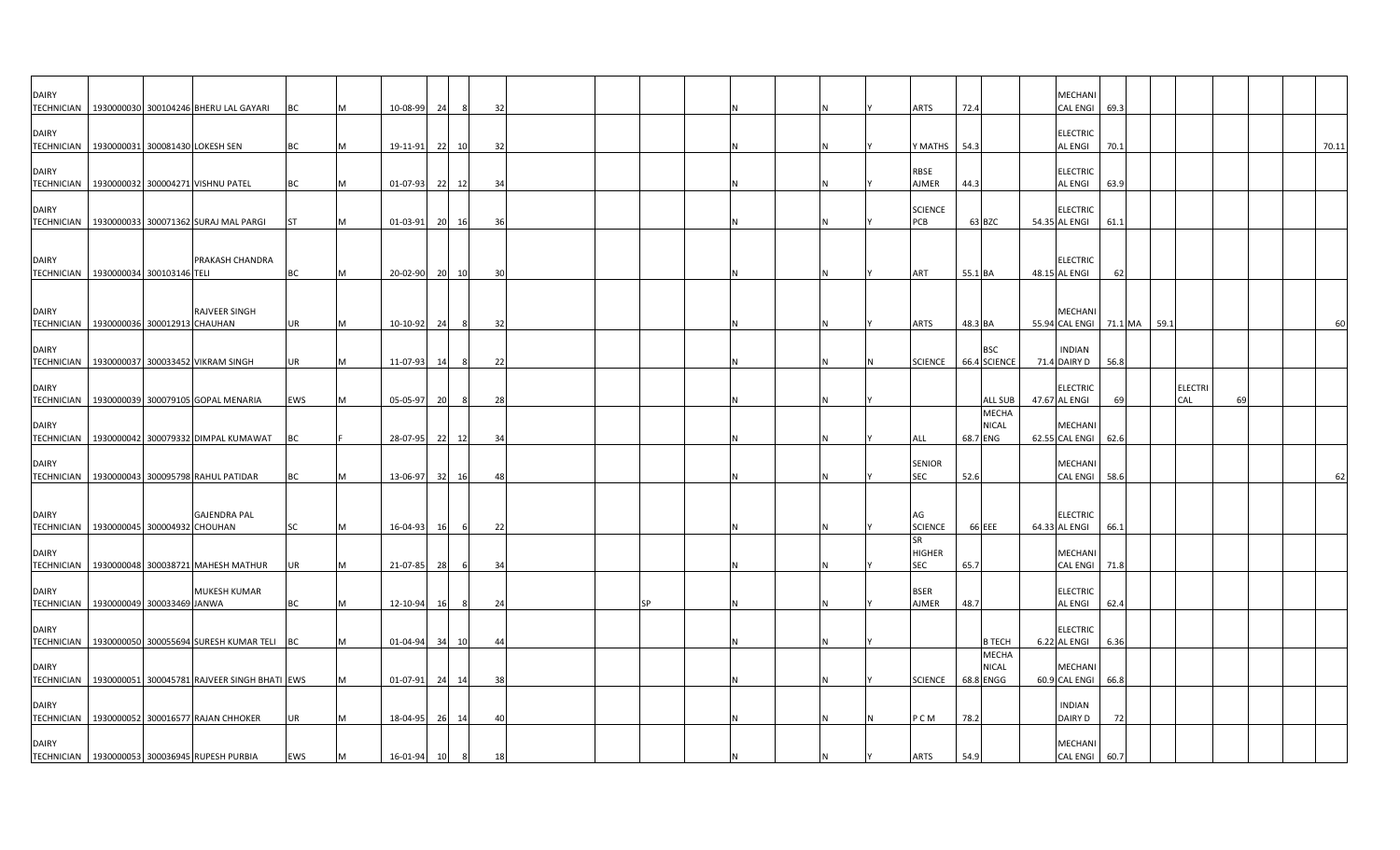| <b>DAIRY</b><br><b>TECHNICIAN</b>                     |                                 | 1930000030 300104246 BHERU LAL GAYARI                   | BC        | M | 10-08-99       | 24   | -8    | 32 |  |    |  |    | ARTS                                     | 72.4                                      | MECHANI<br>CAL ENGI 69.3          |                        |      |                       |    |       |
|-------------------------------------------------------|---------------------------------|---------------------------------------------------------|-----------|---|----------------|------|-------|----|--|----|--|----|------------------------------------------|-------------------------------------------|-----------------------------------|------------------------|------|-----------------------|----|-------|
| <b>DAIRY</b><br><b>TECHNICIAN</b>                     | 1930000031 300081430 LOKESH SEN |                                                         | ВC        |   | 19-11-91       |      | 22 10 | 32 |  |    |  |    | Y MATHS                                  | 54.3                                      | <b>ELECTRIC</b><br>AL ENGI        | 70.1                   |      |                       |    | 70.11 |
| <b>DAIRY</b>                                          |                                 |                                                         |           |   |                |      |       |    |  |    |  |    | <b>RBSE</b>                              |                                           | <b>ELECTRIC</b>                   |                        |      |                       |    |       |
| <b>DAIRY</b>                                          |                                 | TECHNICIAN   1930000032 300004271 VISHNU PATEL          | <b>BC</b> | м | 01-07-93       |      | 22 12 | 34 |  |    |  |    | AJMER<br><b>SCIENCE</b>                  | 44.3                                      | <b>AL ENGI</b><br><b>ELECTRIC</b> | 63.9                   |      |                       |    |       |
|                                                       |                                 | TECHNICIAN 1930000033 300071362 SURAJ MAL PARGI         | <b>ST</b> | М | $01-03-91$     |      | 20 16 | 36 |  |    |  |    | PCB                                      | 63 BZC                                    | 54.35 AL ENGI                     | 61.1                   |      |                       |    |       |
| <b>DAIRY</b><br>TECHNICIAN 1930000034 300103146 TELI  |                                 | PRAKASH CHANDRA                                         | BC        | M | 20-02-90 20 10 |      |       | 30 |  |    |  |    | ART                                      | 55.1 BA                                   | <b>ELECTRIC</b><br>48.15 AL ENGI  | 62                     |      |                       |    |       |
| <b>DAIRY</b>                                          |                                 | RAJVEER SINGH                                           |           |   |                |      |       |    |  |    |  |    |                                          |                                           | MECHANI                           |                        |      |                       |    | 60    |
| <b>TECHNICIAN</b><br><b>DAIRY</b>                     | 1930000036 300012913 CHAUHAN    |                                                         | UR        | M | 10-10-92       | - 24 | -8    | 32 |  |    |  |    | ARTS                                     | 48.3 BA<br><b>BSC</b>                     | <b>INDIAN</b>                     | 55.94 CAL ENGI 71.1 MA | 59.1 |                       |    |       |
| <b>TECHNICIAN</b>                                     |                                 | 1930000037 300033452 VIKRAM SINGH                       | <b>UR</b> | M | 11-07-93       | 14   | -8    | 22 |  |    |  |    | <b>SCIENCE</b>                           | 66.4 SCIENCE                              | 71.4 DAIRY D                      | 56.8                   |      |                       |    |       |
| <b>DAIRY</b><br><b>TECHNICIAN</b>                     |                                 | 1930000039 300079105 GOPAL MENARIA                      | EWS       | м | 05-05-97       | 20   | -8    | 28 |  |    |  |    |                                          | <b>ALL SUB</b>                            | <b>ELECTRIC</b><br>47.67 AL ENGI  | 69                     |      | <b>ELECTRI</b><br>CAL | 69 |       |
| <b>DAIRY</b>                                          |                                 |                                                         |           |   |                |      |       |    |  |    |  |    |                                          | <b>MECHA</b><br><b>NICAL</b>              | <b>MECHANI</b>                    |                        |      |                       |    |       |
| <b>DAIRY</b>                                          |                                 | TECHNICIAN 1930000042 300079332 DIMPAL KUMAWAT          | BС        |   | 28-07-95       |      | 22 12 | 34 |  |    |  |    | ALL<br><b>SENIOR</b>                     | 68.7 ENG                                  | 62.55 CAL ENGI 62.6<br>MECHANI    |                        |      |                       |    |       |
|                                                       |                                 | TECHNICIAN   1930000043 300095798 RAHUL PATIDAR         | ВC        | м | 13-06-97       |      | 32 16 | 48 |  |    |  |    | <b>SEC</b>                               | 52.6                                      | <b>CAL ENGI</b>                   | 58.6                   |      |                       |    | 62    |
| <b>DAIRY</b><br><b>TECHNICIAN</b>                     | 1930000045 300004932 CHOUHAN    | <b>GAJENDRA PAL</b>                                     | SC        | M | 16-04-93       | 16   | 6     | 22 |  |    |  |    | AG<br><b>SCIENCE</b>                     | 66 EEE                                    | <b>ELECTRIC</b><br>64.33 AL ENGI  | 66.1                   |      |                       |    |       |
| <b>DAIRY</b><br><b>TECHNICIAN</b>                     |                                 | 1930000048 300038721 MAHESH MATHUR                      | <b>UR</b> |   | 21-07-85       | 28   | - 6   | 34 |  |    |  |    | <b>SR</b><br><b>HIGHER</b><br><b>SEC</b> | 65.7                                      | MECHANI<br>CAL ENGI 71.8          |                        |      |                       |    |       |
| <b>DAIRY</b><br>TECHNICIAN 1930000049 300033469 JANWA |                                 | <b>MUKESH KUMAR</b>                                     | ВC        | M | 12-10-94       | 16   | -8    | 24 |  | SP |  |    | <b>BSER</b><br>AJMER                     | 48.7                                      | <b>ELECTRIC</b><br><b>AL ENGI</b> | 62.4                   |      |                       |    |       |
| <b>DAIRY</b>                                          |                                 | TECHNICIAN 1930000050 300055694 SURESH KUMAR TELI BC    |           | M | $01 - 04 - 94$ |      | 34 10 | 44 |  |    |  |    |                                          | <b>B TECH</b>                             | <b>ELECTRIC</b><br>6.22 AL ENGI   | 6.36                   |      |                       |    |       |
| <b>DAIRY</b>                                          |                                 | TECHNICIAN 1930000051 300045781 RAJVEER SINGH BHATI EWS |           |   | $01 - 07 - 91$ |      | 24 14 | 38 |  |    |  |    | <b>SCIENCE</b>                           | <b>MECHA</b><br><b>NICAL</b><br>68.8 ENGG | MECHANI<br>60.9 CAL ENGI          | 66.8                   |      |                       |    |       |
| <b>DAIRY</b>                                          |                                 | TECHNICIAN 1930000052 300016577 RAJAN CHHOKER           | <b>UR</b> |   | 18-04-95       |      | 26 14 | 40 |  |    |  |    | P C M                                    | 78.2                                      | <b>INDIAN</b><br>DAIRY D          | 72                     |      |                       |    |       |
| <b>DAIRY</b>                                          |                                 | TECHNICIAN   1930000053 300036945 RUPESH PURBIA         | EWS       | M | 16-01-94       | 10   | 8     | 18 |  |    |  | ΙN | <b>ARTS</b>                              | 54.9                                      | MECHANI<br>CAL ENGI 60.7          |                        |      |                       |    |       |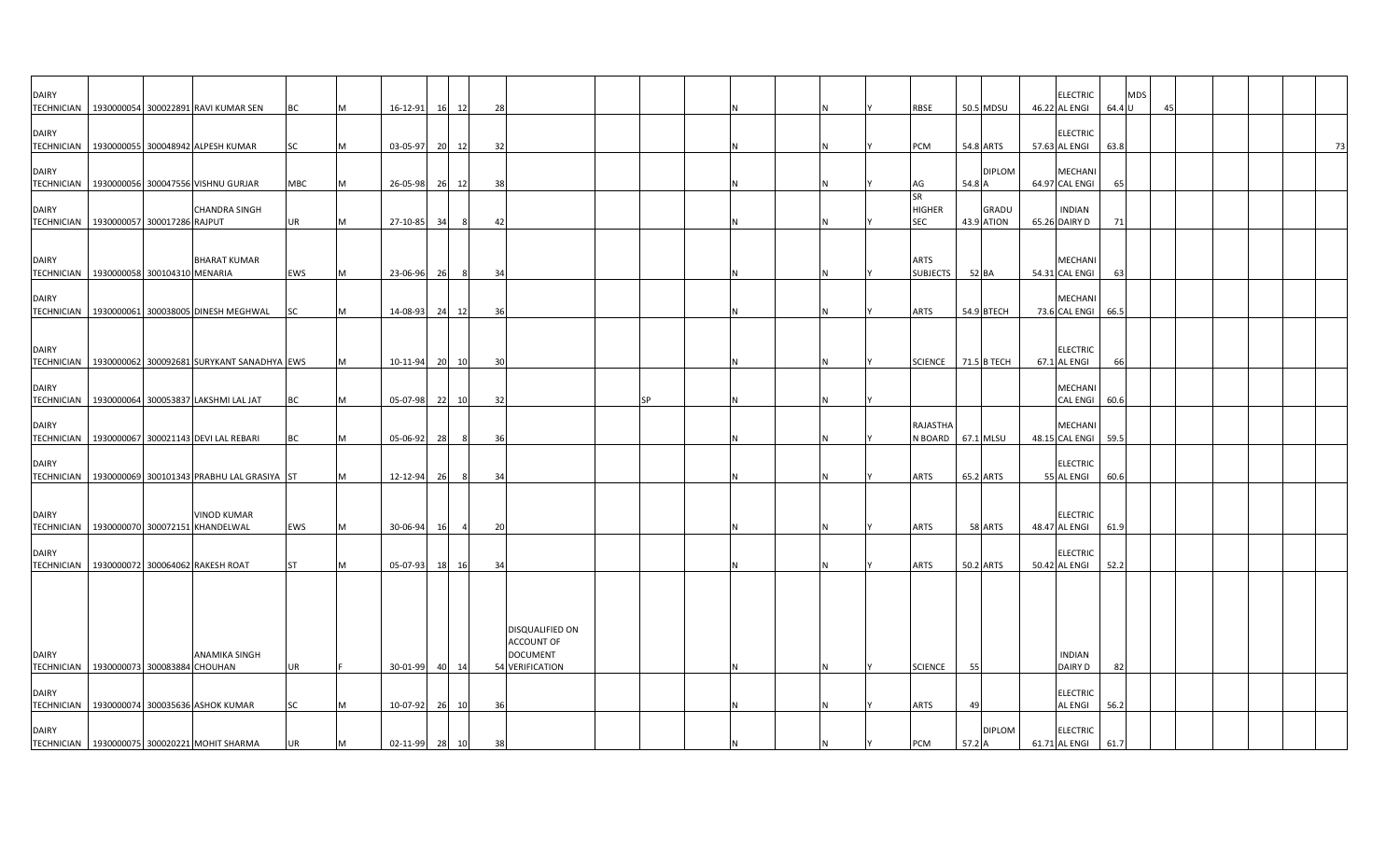| <b>DAIRY</b>                      | TECHNICIAN   1930000054 300022891 RAVI KUMAR SEN                                              | BC              |   | $16 - 12 - 91$             | 12<br>16 | 28                   |                                                         |    |  |  | RBSE                              |              | 50.5 MDSU                  | <b>ELECTRIC</b><br>46.22 AL ENGI                   | 64.4 U       | <b>MDS</b> | 45 |  |  |    |
|-----------------------------------|-----------------------------------------------------------------------------------------------|-----------------|---|----------------------------|----------|----------------------|---------------------------------------------------------|----|--|--|-----------------------------------|--------------|----------------------------|----------------------------------------------------|--------------|------------|----|--|--|----|
| <b>DAIRY</b>                      | TECHNICIAN 1930000055 300048942 ALPESH KUMAR                                                  | SC              |   | 03-05-97                   | 20 12    | 32                   |                                                         |    |  |  | PCM                               |              | 54.8 ARTS                  | <b>ELECTRIC</b><br>57.63 AL ENGI                   | 63.8         |            |    |  |  | 73 |
| <b>DAIRY</b>                      | TECHNICIAN   1930000056 300047556 VISHNU GURJAR                                               | MBC             | M | 26-05-98                   | 26 12    | 38                   |                                                         |    |  |  | AG                                | 54.8 A       | <b>DIPLOM</b>              | <b>MECHANI</b><br>64.97 CAL ENGI                   | 65           |            |    |  |  |    |
| <b>DAIRY</b><br><b>TECHNICIAN</b> | <b>CHANDRA SINGH</b><br>1930000057 300017286 RAJPUT                                           | <b>UR</b>       | M | 27-10-85 34                |          | 8<br>42              |                                                         |    |  |  | SR<br><b>HIGHER</b><br><b>SEC</b> |              | <b>GRADU</b><br>43.9 ATION | <b>INDIAN</b><br>65.26 DAIRY D                     | 71           |            |    |  |  |    |
| <b>DAIRY</b>                      | <b>BHARAT KUMAR</b><br>TECHNICIAN 1930000058 300104310 MENARIA                                | EWS             |   | 23-06-96                   | 26       | - 8<br>34            |                                                         |    |  |  | <b>ARTS</b><br><b>SUBJECTS</b>    | 52 BA        |                            | MECHANI<br>54.31 CAL ENGI                          | 63           |            |    |  |  |    |
| <b>DAIRY</b><br><b>TECHNICIAN</b> | 1930000061 300038005 DINESH MEGHWAL                                                           | SC              |   | 14-08-93                   | 12<br>24 | 36                   |                                                         |    |  |  | <b>ARTS</b>                       |              | 54.9 BTECH                 | <b>MECHANI</b><br>73.6 CAL ENGI                    | 66.5         |            |    |  |  |    |
| <b>DAIRY</b>                      | TECHNICIAN 1930000062 300092681 SURYKANT SANADHYA EWS                                         |                 |   | 10-11-94                   | 20 10    | 30                   |                                                         |    |  |  | SCIENCE 71.5 B TECH               |              |                            | <b>ELECTRIC</b><br>67.1 AL ENGI                    | 66           |            |    |  |  |    |
| <b>DAIRY</b>                      | TECHNICIAN   1930000064 300053837 LAKSHMI LAL JAT                                             | BC              |   | 05-07-98 22                | 10       | 32                   |                                                         | SP |  |  |                                   |              |                            | <b>MECHANI</b><br><b>CAL ENGI</b>                  | 60.6         |            |    |  |  |    |
| <b>DAIRY</b><br><b>TECHNICIAN</b> | 1930000067 300021143 DEVI LAL REBARI                                                          | <b>BC</b>       |   | 05-06-92                   | 28       | 8<br>36              |                                                         |    |  |  | RAJASTHA<br>N BOARD 67.1 MLSU     |              |                            | <b>MECHANI</b><br>48.15 CAL ENGI                   | 59.5         |            |    |  |  |    |
| <b>DAIRY</b>                      | TECHNICIAN 1930000069 300101343 PRABHU LAL GRASIYA ST                                         |                 |   | 12-12-94                   | 26       | 8<br>34              |                                                         |    |  |  | <b>ARTS</b>                       |              | 65.2 ARTS                  | <b>ELECTRIC</b><br>55 AL ENGI                      | 60.6         |            |    |  |  |    |
| <b>DAIRY</b>                      | <b>VINOD KUMAR</b><br>TECHNICIAN   1930000070 300072151 KHANDELWAL                            | EWS             | M | 30-06-94                   | 16       | 20<br>$\overline{a}$ |                                                         |    |  |  | ARTS                              |              | 58 ARTS                    | <b>ELECTRIC</b><br>48.47 AL ENGI                   | 61.9         |            |    |  |  |    |
| <b>DAIRY</b>                      | TECHNICIAN 1930000072 300064062 RAKESH ROAT                                                   | <b>ST</b>       |   | 05-07-93                   | 18 16    | 34                   |                                                         |    |  |  | <b>ARTS</b>                       |              | 50.2 ARTS                  | <b>ELECTRIC</b><br>50.42 AL ENGI                   | 52.2         |            |    |  |  |    |
| <b>DAIRY</b>                      | <b>ANAMIKA SINGH</b>                                                                          |                 |   |                            |          |                      | DISQUALIFIED ON<br><b>ACCOUNT OF</b><br><b>DOCUMENT</b> |    |  |  |                                   |              |                            | <b>INDIAN</b>                                      |              |            |    |  |  |    |
| <b>DAIRY</b>                      | TECHNICIAN 1930000073 300083884 CHOUHAN                                                       | UR              |   | 30-01-99                   | 40<br>14 |                      | 54 VERIFICATION                                         |    |  |  | <b>SCIENCE</b>                    | 55           |                            | DAIRY D<br><b>ELECTRIC</b>                         | 82           |            |    |  |  |    |
| <b>DAIRY</b>                      | TECHNICIAN 1930000074 300035636 ASHOK KUMAR<br>TECHNICIAN   1930000075 300020221 MOHIT SHARMA | SC<br><b>UR</b> | M | 10-07-92<br>02-11-99 28 10 | 26 10    | 36<br>38             |                                                         |    |  |  | <b>ARTS</b><br>PCM                | 49<br>57.2 A | <b>DIPLOM</b>              | <b>AL ENGI</b><br><b>ELECTRIC</b><br>61.71 AL ENGI | 56.2<br>61.7 |            |    |  |  |    |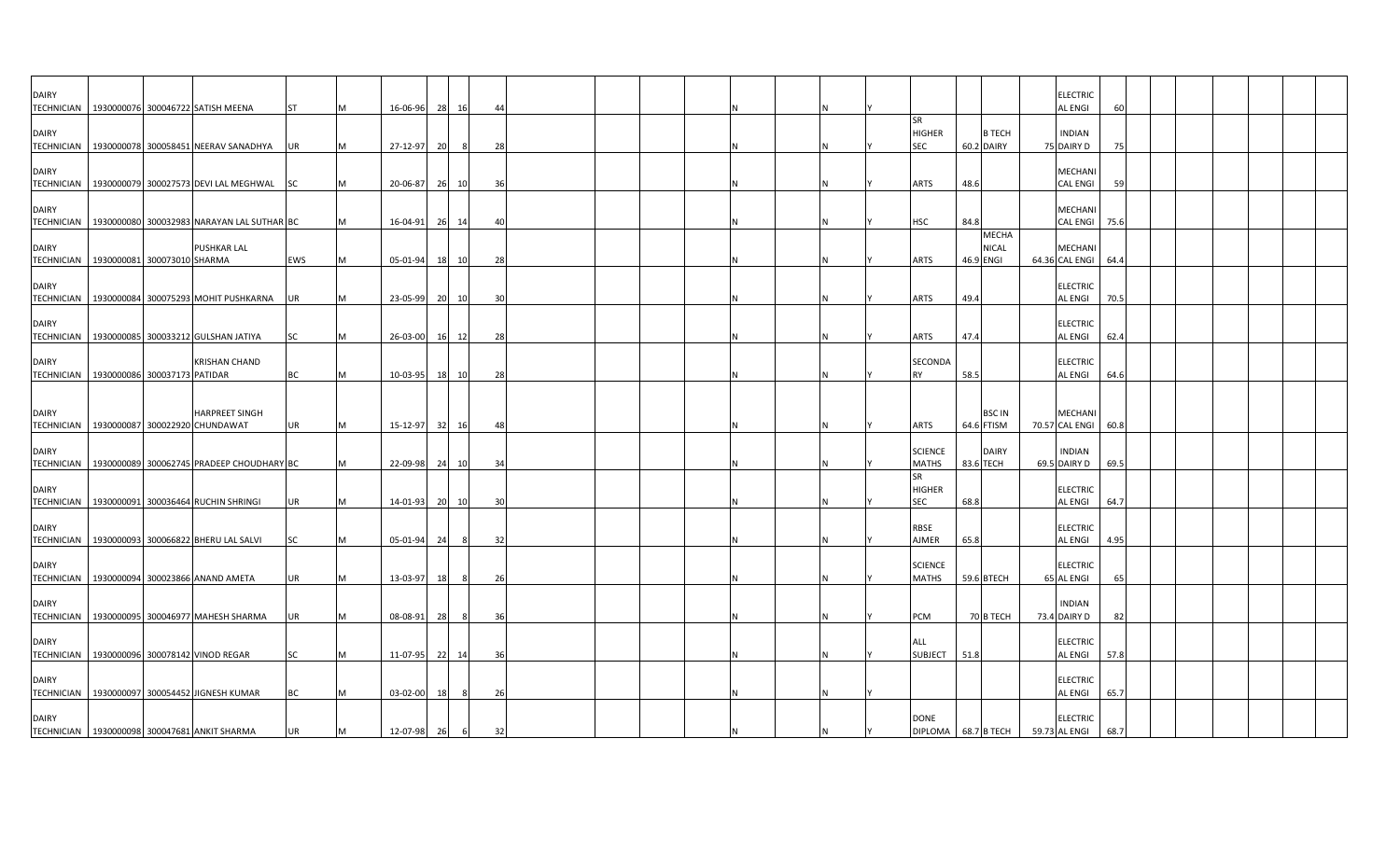| <b>DAIRY</b>                      | TECHNICIAN 1930000076 300046722 SATISH MEENA                                                      | <b>ST</b>              |   | 16-06-96                | 28    | 16      | $\overline{4}$ |  |  |  |                                          |                            |                       | <b>ELECTRIC</b><br><b>AL ENGI</b>                  |              |  |  |  |
|-----------------------------------|---------------------------------------------------------------------------------------------------|------------------------|---|-------------------------|-------|---------|----------------|--|--|--|------------------------------------------|----------------------------|-----------------------|----------------------------------------------------|--------------|--|--|--|
| <b>DAIRY</b>                      | TECHNICIAN 1930000078 300058451 NEERAV SANADHYA UR                                                |                        |   | 27-12-97                | - 20  | - 8     | 28             |  |  |  | <b>SR</b><br><b>HIGHER</b><br><b>SEC</b> | 60.2 DAIRY                 | <b>B TECH</b>         | <b>INDIAN</b><br>75 DAIRY D                        | -75          |  |  |  |
| <b>DAIRY</b><br><b>TECHNICIAN</b> | 1930000079 300027573 DEVI LAL MEGHWAL SC                                                          |                        |   | 20-06-87 26 10          |       |         | 36             |  |  |  | <b>ARTS</b>                              | 48.6                       |                       | <b>MECHANI</b><br><b>CAL ENGI</b>                  | 59           |  |  |  |
| <b>DAIRY</b>                      | TECHNICIAN 1930000080 300032983 NARAYAN LAL SUTHAR BC                                             |                        |   | 16-04-91                | 26 14 |         | 4(             |  |  |  | <b>HSC</b>                               | 84.8                       |                       | <b>MECHANI</b><br><b>CAL ENGI</b>                  | 75.6         |  |  |  |
| <b>DAIRY</b>                      | <b>PUSHKAR LAL</b><br>TECHNICIAN   1930000081 300073010 SHARMA                                    | EWS                    |   | 05-01-94                | 18    | 10      | 28             |  |  |  | <b>ARTS</b>                              | 46.9 ENGI                  | <b>MECHA</b><br>NICAL | MECHANI<br>64.36 CAL ENGI                          | 64.4         |  |  |  |
| <b>DAIRY</b><br><b>TECHNICIAN</b> | 1930000084 300075293 MOHIT PUSHKARNA                                                              | <b>UR</b>              |   | 23-05-99 20 10          |       |         | 30             |  |  |  | <b>ARTS</b>                              | 49.4                       |                       | <b>ELECTRIC</b><br><b>AL ENGI</b>                  | 70.5         |  |  |  |
| <b>DAIRY</b>                      | TECHNICIAN   1930000085 300033212 GULSHAN JATIYA                                                  | SC                     |   | 26-03-00 16 12          |       |         | -28            |  |  |  | <b>ARTS</b>                              | 47.4                       |                       | <b>ELECTRIC</b><br><b>AL ENGI</b>                  | 62.4         |  |  |  |
| <b>DAIRY</b>                      | <b>KRISHAN CHAND</b><br>TECHNICIAN   1930000086 300037173 PATIDAR                                 | <b>BC</b>              |   | 10-03-95                | 18 10 |         | 28             |  |  |  | SECONDA<br><b>RY</b>                     | 58.5                       |                       | <b>ELECTRIC</b><br><b>AL ENGI</b>                  | 64.6         |  |  |  |
| <b>DAIRY</b>                      | <b>HARPREET SINGH</b>                                                                             |                        |   |                         |       |         |                |  |  |  |                                          | <b>BSCIN</b>               |                       | <b>MECHANI</b>                                     |              |  |  |  |
| <b>DAIRY</b>                      | TECHNICIAN 1930000087 300022920 CHUNDAWAT                                                         | UR                     |   | 15-12-97                | 32    | 16      | 48             |  |  |  | <b>ARTS</b><br><b>SCIENCE</b>            | 64.6 FTISM<br><b>DAIRY</b> |                       | 70.57 CAL ENGI<br><b>INDIAN</b>                    | 60.8         |  |  |  |
| <b>DAIRY</b>                      | TECHNICIAN   1930000089 300062745 PRADEEP CHOUDHARY BC                                            |                        |   | 22-09-98 24             |       | 10      | 34             |  |  |  | <b>MATHS</b><br>SR<br><b>HIGHER</b>      | 83.6 TECH                  |                       | 69.5 DAIRY D<br><b>ELECTRIC</b>                    | 69.5         |  |  |  |
| <b>DAIRY</b>                      | TECHNICIAN 1930000091 300036464 RUCHIN SHRINGI                                                    | UR                     |   | 14-01-93                | 20    | 10      | 30             |  |  |  | SEC<br>RBSE                              | 68.8                       |                       | <b>AL ENGI</b><br><b>ELECTRIC</b>                  | 64.7         |  |  |  |
| <b>DAIRY</b>                      | TECHNICIAN   1930000093 300066822 BHERU LAL SALVI                                                 | <b>SC</b>              | M | 05-01-94                | 24    | 8       | 32             |  |  |  | AJMER<br><b>SCIENCE</b>                  | 65.8                       |                       | <b>AL ENGI</b><br><b>ELECTRIC</b>                  | 4.95         |  |  |  |
| <b>DAIRY</b>                      | TECHNICIAN   1930000094 300023866 ANAND AMETA                                                     | UR                     |   | 13-03-97                | 18    | - 8     | 26             |  |  |  | MATHS                                    | 59.6 BTECH                 |                       | 65 AL ENGI<br><b>INDIAN</b>                        | 65           |  |  |  |
| <b>DAIRY</b>                      | TECHNICIAN   1930000095 300046977 MAHESH SHARMA                                                   | UR                     |   | 08-08-91                | 28    | -8      | 36             |  |  |  | PCM<br>ALL                               | 70 B TECH                  |                       | 73.4 DAIRY D<br><b>ELECTRIC</b>                    | 82           |  |  |  |
| <b>DAIRY</b>                      | TECHNICIAN 1930000096 300078142 VINOD REGAR                                                       | <b>SC</b>              |   | 11-07-95 22 14          |       |         | 36             |  |  |  | <b>SUBJECT</b>                           | 51.8                       |                       | <b>AL ENGI</b><br><b>ELECTRIC</b>                  | 57.8         |  |  |  |
| <b>DAIRY</b>                      | TECHNICIAN   1930000097 300054452 JIGNESH KUMAR<br>TECHNICIAN   1930000098 300047681 ANKIT SHARMA | <b>BC</b><br><b>UR</b> | M | 03-02-00<br>12-07-98 26 | 18    | -8<br>6 | 26<br>32       |  |  |  | DONE<br>DIPLOMA 68.7 B TECH              |                            |                       | <b>AL ENGI</b><br><b>ELECTRIC</b><br>59.73 AL ENGI | 65.7<br>68.7 |  |  |  |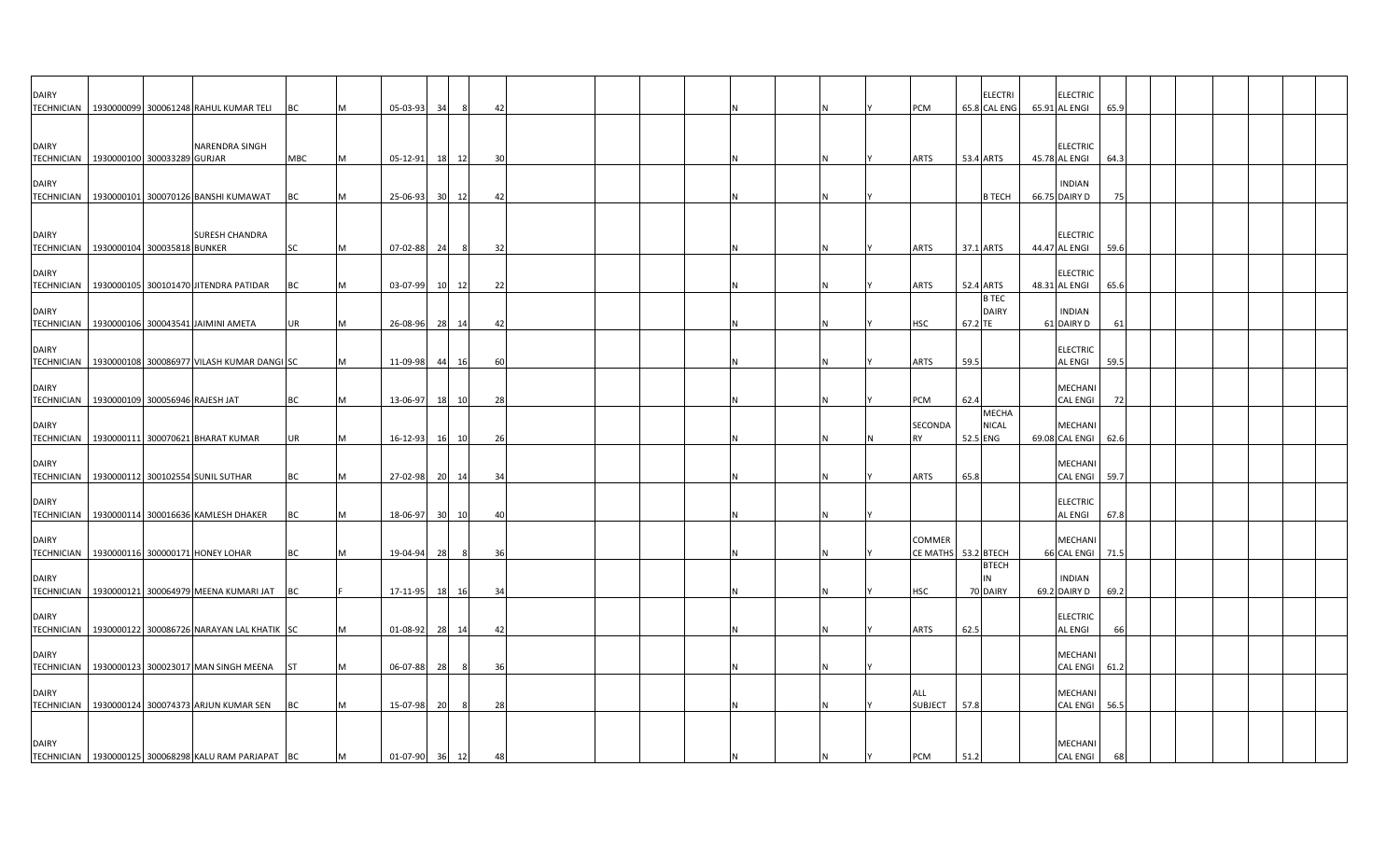| <b>DAIRY</b>                                             |                                 | TECHNICIAN   1930000099 300061248 RAHUL KUMAR TELI   | BC        | M | 05-03-93       | 34 | - 8   | 42 |  |  |  |     | <b>PCM</b>                           |           | <b>ELECTRI</b><br>65.8 CAL ENG | <b>ELECTRIC</b><br>65.91 AL ENGI  | 65.9 |  |  |
|----------------------------------------------------------|---------------------------------|------------------------------------------------------|-----------|---|----------------|----|-------|----|--|--|--|-----|--------------------------------------|-----------|--------------------------------|-----------------------------------|------|--|--|
| <b>DAIRY</b>                                             |                                 | NARENDRA SINGH                                       |           |   |                |    |       |    |  |  |  |     |                                      |           |                                | <b>ELECTRIC</b>                   |      |  |  |
| <b>TECHNICIAN</b><br><b>DAIRY</b>                        | 1930000100 300033289 GURJAR     |                                                      | MBC       | M | 05-12-91       |    | 18 12 | 30 |  |  |  |     | ARTS                                 | 53.4 ARTS |                                | 45.78 AL ENGI<br><b>INDIAN</b>    | 64.3 |  |  |
| <b>TECHNICIAN</b>                                        |                                 | 1930000101 300070126 BANSHI KUMAWAT                  | ВC        |   | 25-06-93       | 30 | 12    | 42 |  |  |  |     |                                      |           | <b>B TECH</b>                  | 66.75 DAIRY D                     | 75   |  |  |
| <b>DAIRY</b><br>TECHNICIAN   1930000104 300035818 BUNKER |                                 | <b>SURESH CHANDRA</b>                                | <b>SC</b> | M | 07-02-88 24    |    | 8     | 32 |  |  |  |     | <b>ARTS</b>                          | 37.1 ARTS |                                | <b>ELECTRIC</b><br>44.47 AL ENGI  | 59.6 |  |  |
| <b>DAIRY</b>                                             |                                 | TECHNICIAN   1930000105 300101470 JITENDRA PATIDAR   | ВC        |   | 03-07-99       |    | 10 12 | 22 |  |  |  |     | ARTS                                 | 52.4 ARTS |                                | <b>ELECTRIC</b><br>48.31 AL ENGI  | 65.6 |  |  |
| <b>DAIRY</b>                                             |                                 | TECHNICIAN   1930000106 300043541 JAIMINI AMETA      | UR        | M | 26-08-96 28    |    | 14    | 42 |  |  |  |     | <b>HSC</b>                           | 67.2 TE   | <b>B TEC</b><br><b>DAIRY</b>   | <b>INDIAN</b><br>61 DAIRY D       | 61   |  |  |
| <b>DAIRY</b><br><b>TECHNICIAN</b>                        |                                 | 1930000108 300086977 VILASH KUMAR DANGI SC           |           | M | 11-09-98       | 44 | 16    | 60 |  |  |  |     | <b>ARTS</b>                          | 59.5      |                                | <b>ELECTRIC</b><br>AL ENGI        | 59.5 |  |  |
| <b>DAIRY</b><br><b>TECHNICIAN</b>                        | 1930000109 300056946 RAJESH JAT |                                                      | BC        |   | 13-06-97       |    | 18 10 | 28 |  |  |  |     | PCM                                  | 62.4      |                                | MECHANI<br><b>CAL ENGI</b>        | 72   |  |  |
| <b>DAIRY</b>                                             |                                 | TECHNICIAN   1930000111 300070621 BHARAT KUMAR       | UR        |   | 16-12-93       |    | 16 10 | 26 |  |  |  |     | SECONDA<br><b>RY</b>                 | 52.5 ENG  | <b>MECHA</b><br><b>NICAL</b>   | MECHANI<br>69.08 CAL ENGI         | 62.6 |  |  |
| <b>DAIRY</b>                                             |                                 | TECHNICIAN   1930000112 300102554 SUNIL SUTHAR       | BC        |   | 27-02-98       | 20 | 14    | 34 |  |  |  |     | <b>ARTS</b>                          | 65.8      |                                | <b>MECHANI</b><br><b>CAL ENGI</b> | 59.7 |  |  |
| <b>DAIRY</b>                                             |                                 | TECHNICIAN   1930000114 300016636 KAMLESH DHAKER     | BC        |   | 18-06-97       | 30 | 10    | 40 |  |  |  |     |                                      |           |                                | <b>ELECTRIC</b><br><b>AL ENGI</b> | 67.8 |  |  |
| <b>DAIRY</b>                                             |                                 | TECHNICIAN   1930000116 300000171 HONEY LOHAR        | ВC        |   | 19-04-94       | 28 | - 8   | 36 |  |  |  |     | <b>COMMER</b><br>CE MATHS 53.2 BTECH |           |                                | <b>MECHAN</b><br>66 CAL ENGI      | 71.5 |  |  |
| <b>DAIRY</b>                                             |                                 | TECHNICIAN 1930000121 300064979 MEENA KUMARI JAT     | BC        |   | 17-11-95 18    |    | 16    | 34 |  |  |  |     | <b>HSC</b>                           |           | <b>BTECH</b><br>70 DAIRY       | <b>INDIAN</b><br>69.2 DAIRY D     | 69.2 |  |  |
| <b>DAIRY</b><br><b>TECHNICIAN</b>                        |                                 | 1930000122 300086726 NARAYAN LAL KHATIK SC           |           |   | 01-08-92       |    | 28 14 | 42 |  |  |  | IN. | ARTS                                 | 62.5      |                                | <b>ELECTRIC</b><br>AL ENGI        | 66   |  |  |
| <b>DAIRY</b><br><b>TECHNICIAN</b>                        |                                 | 1930000123 300023017 MAN SINGH MEENA                 | <b>ST</b> | M | 06-07-88 28    |    | 8     | 36 |  |  |  |     |                                      |           |                                | <b>MECHANI</b><br>CAL ENGI 61.2   |      |  |  |
| <b>DAIRY</b>                                             |                                 | TECHNICIAN   1930000124 300074373 ARJUN KUMAR SEN    | BC        |   | 15-07-98       | 20 | 8     | 28 |  |  |  |     | <b>ALL</b><br><b>SUBJECT</b>         | 57.8      |                                | MECHANI<br>CAL ENGI               | 56.5 |  |  |
| <b>DAIRY</b>                                             |                                 | TECHNICIAN 1930000125 300068298 KALU RAM PARJAPAT BC |           | M | 01-07-90 36 12 |    |       | 48 |  |  |  |     | <b>PCM</b>                           | 51.2      |                                | MECHANI<br><b>CAL ENGI</b>        | 68   |  |  |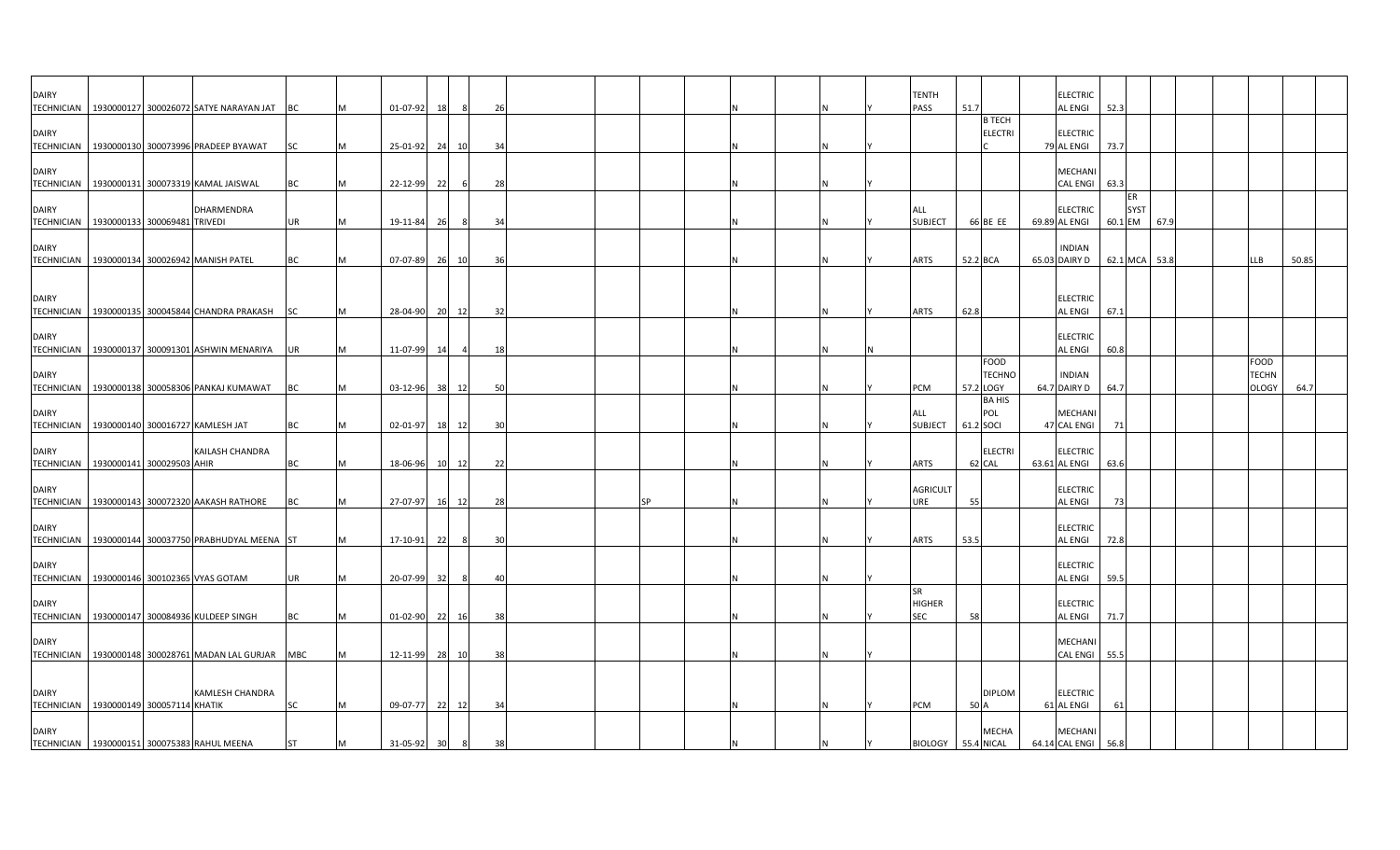| <b>DAIRY</b>                      |                                                                    |           |                |       |                |     |  |    |   |  | <b>TENTH</b>                      |                                   |                | <b>ELECTRIC</b>                   |      |                              |      |  |                      |       |
|-----------------------------------|--------------------------------------------------------------------|-----------|----------------|-------|----------------|-----|--|----|---|--|-----------------------------------|-----------------------------------|----------------|-----------------------------------|------|------------------------------|------|--|----------------------|-------|
|                                   | TECHNICIAN   1930000127 300026072 SATYE NARAYAN JAT                | BC        | 01-07-92       | 18    |                | 26  |  |    |   |  | PASS                              | 51.7<br><b>B TECH</b>             |                | <b>AL ENGI</b>                    | 52.3 |                              |      |  |                      |       |
| <b>DAIRY</b>                      | TECHNICIAN   1930000130 300073996 PRADEEP BYAWAT                   | <b>SC</b> | 25-01-92 24    |       | 10             | 34  |  |    |   |  |                                   |                                   | <b>ELECTRI</b> | <b>ELECTRIC</b><br>79 AL ENGI     | 73.7 |                              |      |  |                      |       |
| <b>DAIRY</b>                      | TECHNICIAN   1930000131 300073319 KAMAL JAISWAL                    | BC        | 22-12-99       | 22    | - 6            | 28  |  |    |   |  |                                   |                                   |                | MECHANI<br><b>CAL ENGI</b>        | 63.3 |                              |      |  |                      |       |
| <b>DAIRY</b>                      | DHARMENDRA<br>TECHNICIAN   1930000133 300069481 TRIVEDI            | UR        | 19-11-84       | 26    | 8              | 34  |  |    |   |  | ALL<br><b>SUBJECT</b>             | 66 BE EE                          |                | <b>ELECTRIC</b><br>69.89 AL ENGI  |      | ER<br><b>SYST</b><br>60.1 EM | 67.9 |  |                      |       |
| <b>DAIRY</b>                      | TECHNICIAN 1930000134 300026942 MANISH PATEL                       | BC        | 07-07-89 26 10 |       |                | 36  |  |    |   |  | <b>ARTS</b>                       | 52.2 BCA                          |                | <b>INDIAN</b><br>65.03 DAIRY D    |      | 62.1 MCA                     | 53.8 |  | LLB                  | 50.85 |
| <b>DAIRY</b>                      | TECHNICIAN 1930000135 300045844 CHANDRA PRAKASH                    |           | 28-04-90       | 20 12 |                | 32  |  |    |   |  | <b>ARTS</b>                       | 62.8                              |                | <b>ELECTRIC</b><br><b>AL ENGI</b> | 67.1 |                              |      |  |                      |       |
| <b>DAIRY</b>                      |                                                                    | <b>SC</b> |                |       |                |     |  |    |   |  |                                   |                                   |                | <b>ELECTRIC</b>                   |      |                              |      |  |                      |       |
| <b>DAIRY</b>                      | TECHNICIAN 1930000137 300091301 ASHWIN MENARIYA UR                 |           | 11-07-99       | 14    | $\overline{4}$ | 18  |  |    |   |  |                                   | FOOD                              | <b>TECHNC</b>  | <b>AL ENGI</b><br><b>INDIAN</b>   | 60.8 |                              |      |  | FOOD<br><b>TECHN</b> |       |
| <b>DAIRY</b>                      | TECHNICIAN   1930000138 300058306 PANKAJ KUMAWAT                   | <b>BC</b> | 03-12-96       | 38 12 |                | 50  |  |    |   |  | PCM<br>ALL                        | 57.2 LOGY<br><b>BA HIS</b><br>POL |                | 64.7 DAIRY D<br><b>MECHANI</b>    | 64.7 |                              |      |  | <b>DLOGY</b>         | 64.7  |
|                                   | TECHNICIAN   1930000140 300016727 KAMLESH JAT                      | BC        | 02-01-97       | 18 12 |                | 30  |  |    |   |  | <b>SUBJECT</b>                    | 61.2 SOCI                         |                | 47 CAL ENGI                       |      | 71                           |      |  |                      |       |
| <b>DAIRY</b><br><b>TECHNICIAN</b> | KAILASH CHANDRA<br>1930000141 300029503 AHIR                       | ВC        | 18-06-96       | 10 12 |                | 22  |  |    |   |  | <b>ARTS</b>                       | 62 CAL                            | <b>ELECTRI</b> | <b>ELECTRIC</b><br>63.61 AL ENGI  | 63.6 |                              |      |  |                      |       |
| <b>DAIRY</b>                      | TECHNICIAN 1930000143 300072320 AAKASH RATHORE                     | <b>BC</b> | 27-07-97       | 16 12 |                | 28  |  | ςp |   |  | <b>AGRICULT</b><br>URE            | 55                                |                | <b>ELECTRIC</b><br><b>AL ENGI</b> |      | -73                          |      |  |                      |       |
| <b>DAIRY</b>                      | TECHNICIAN 1930000144 300037750 PRABHUDYAL MEENA ST                |           | 17-10-91       | 22    | - 8            | 30  |  |    |   |  | <b>ARTS</b>                       | 53.5                              |                | <b>ELECTRIC</b><br><b>AL ENGI</b> | 72.8 |                              |      |  |                      |       |
| <b>DAIRY</b>                      | TECHNICIAN 1930000146 300102365 VYAS GOTAM                         | UR        | 20-07-99       | 32    |                | 4(  |  |    |   |  |                                   |                                   |                | <b>ELECTRIC</b><br><b>AL ENGI</b> | 59.5 |                              |      |  |                      |       |
| <b>DAIRY</b>                      | TECHNICIAN   1930000147 300084936 KULDEEP SINGH                    | BC        | 01-02-90 22    |       | 16             | -38 |  |    |   |  | SR<br><b>HIGHER</b><br><b>SEC</b> | 58                                |                | <b>ELECTRIC</b><br><b>AL ENGI</b> | 71.7 |                              |      |  |                      |       |
| <b>DAIRY</b>                      | TECHNICIAN   1930000148 300028761 MADAN LAL GURJAR                 | MBC       | 12-11-99 28 10 |       |                | 38  |  |    |   |  |                                   |                                   |                | <b>MECHANI</b><br><b>CAL ENGI</b> | 55.5 |                              |      |  |                      |       |
| <b>DAIRY</b>                      | <b>KAMLESH CHANDRA</b><br>TECHNICIAN   1930000149 300057114 KHATIK | <b>SC</b> | 09-07-77 22 12 |       |                | 34  |  |    | N |  | PCM                               | 50 A                              | <b>DIPLOM</b>  | <b>ELECTRIC</b><br>61 AL ENGI     |      | 61                           |      |  |                      |       |
| <b>DAIRY</b>                      | TECHNICIAN 1930000151 300075383 RAHUL MEENA                        | <b>ST</b> | 31-05-92       | 30    | 8              | 38  |  |    |   |  | BIOLOGY 55.4 NICAL                |                                   | <b>MECHA</b>   | MECHANI<br>64.14 CAL ENGI         | 56.8 |                              |      |  |                      |       |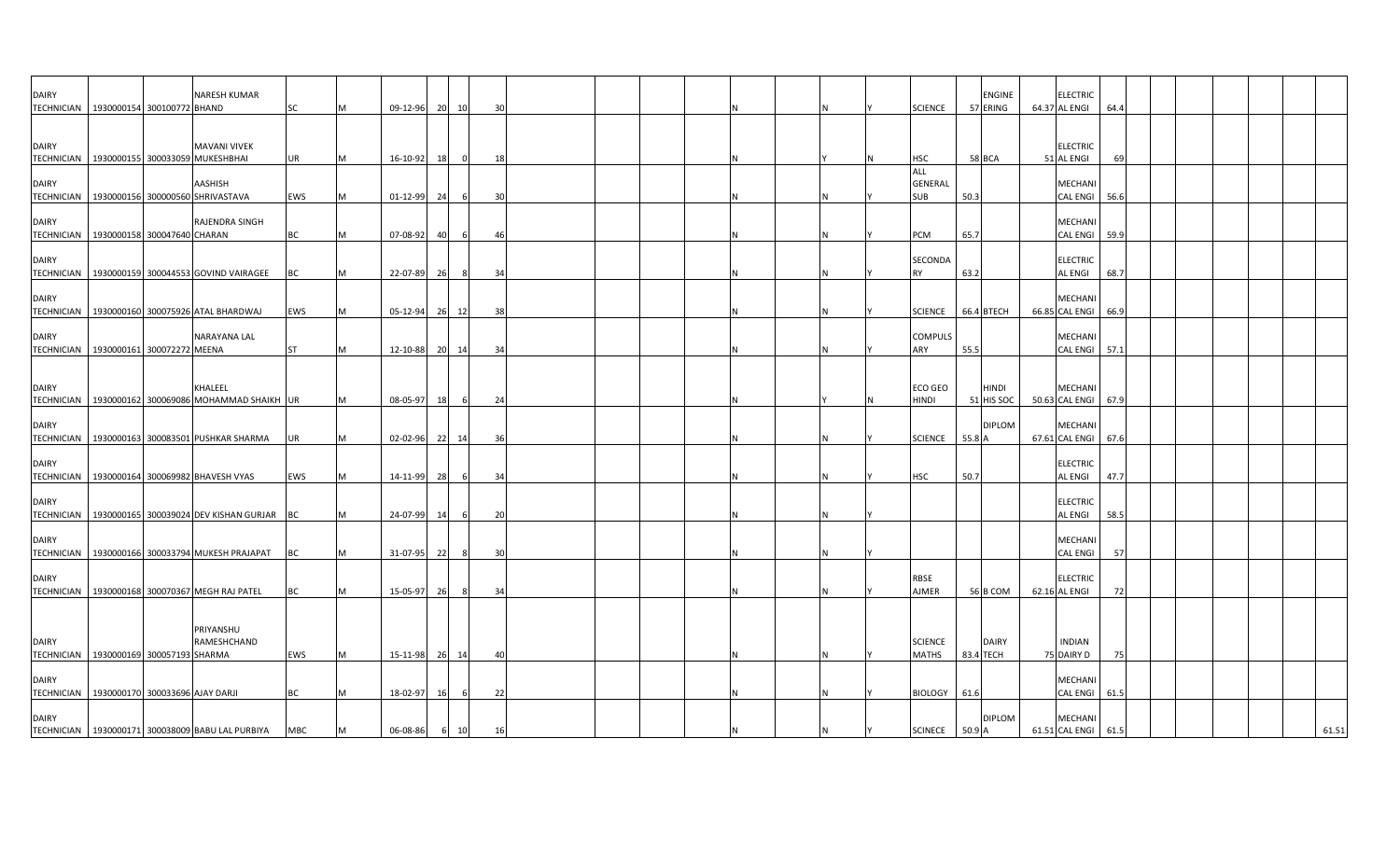| DAIRY<br><b>TECHNICIAN</b>                                 | 1930000154 300100772 BHAND | NARESH KUMAR                                                        | SC         | M  | 09-12-96       | 20   | 10    | 30  |  |  |     | <b>SCIENCE</b>                 |           | <b>ENGINE</b><br>57 ERING   | <b>ELECTRIC</b><br>64.37 AL ENGI      | 64.4 |  |  |       |
|------------------------------------------------------------|----------------------------|---------------------------------------------------------------------|------------|----|----------------|------|-------|-----|--|--|-----|--------------------------------|-----------|-----------------------------|---------------------------------------|------|--|--|-------|
|                                                            |                            |                                                                     |            |    |                |      |       |     |  |  |     |                                |           |                             |                                       |      |  |  |       |
| <b>DAIRY</b>                                               |                            | <b>MAVANI VIVEK</b><br>TECHNICIAN   1930000155 300033059 MUKESHBHAI | <b>UR</b>  | M  | 16-10-92       | 18   | 0     | 18  |  |  |     | <b>HSC</b>                     | 58 BCA    |                             | <b>ELECTRIC</b><br>51 AL ENGI         | 69   |  |  |       |
| <b>DAIRY</b><br><b>TECHNICIAN</b>                          |                            | AASHISH<br>1930000156 300000560 SHRIVASTAVA                         | <b>EWS</b> | M  | 01-12-99       | 24   |       | 30  |  |  |     | ALL<br>GENERAL<br><b>SUB</b>   | 50.3      |                             | <b>MECHANI</b><br><b>CAL ENGI</b>     | 56.6 |  |  |       |
| DAIRY<br>TECHNICIAN   1930000158 300047640 CHARAN          |                            | RAJENDRA SINGH                                                      | <b>BC</b>  | M  | 07-08-92       | -401 | -6    | 46  |  |  |     | PCM                            | 65.7      |                             | MECHANI<br><b>CAL ENGI</b>            | 59.9 |  |  |       |
| <b>DAIRY</b><br><b>TECHNICIAN</b>                          |                            | 1930000159 300044553 GOVIND VAIRAGEE                                | BC         | M  | 22-07-89       | 26   | 8     | 34  |  |  | IN. | SECONDA<br><b>RY</b>           | 63.2      |                             | <b>ELECTRIC</b><br><b>AL ENGI</b>     | 68.7 |  |  |       |
| <b>DAIRY</b>                                               |                            | TECHNICIAN   1930000160 300075926 ATAL BHARDWAJ                     | <b>EWS</b> | M  | 05-12-94 26 12 |      |       | 38  |  |  | IN. | <b>SCIENCE</b>                 |           | 66.4 BTECH                  | <b>MECHAN</b><br>66.85 CAL ENGI       | 66.9 |  |  |       |
| <b>DAIRY</b><br><b>TECHNICIAN</b>                          | 1930000161 300072272 MEENA | NARAYANA LAL                                                        | <b>ST</b>  | M  | 12-10-88       |      | 20 14 | 34  |  |  |     | <b>COMPULS</b><br>ARY          | 55.5      |                             | MECHANI<br><b>CAL ENGI</b>            | 57.1 |  |  |       |
| <b>DAIRY</b>                                               |                            | KHALEEL                                                             |            |    |                |      |       |     |  |  |     | <b>ECO GEO</b>                 |           | <b>HINDI</b>                | <b>MECHAN</b>                         |      |  |  |       |
| <b>TECHNICIAN</b><br><b>DAIRY</b>                          |                            | 1930000162 300069086 MOHAMMAD SHAIKH UR                             |            | M  | 08-05-97       | 18   | 6     | 24  |  |  |     | <b>HINDI</b>                   |           | 51 HIS SOC<br><b>DIPLOM</b> | 50.63 CAL ENGI<br>MECHANI             | 67.9 |  |  |       |
| TECHNICIAN<br><b>DAIRY</b>                                 |                            | 1930000163 300083501 PUSHKAR SHARMA                                 | UR         | M  | 02-02-96 22 14 |      |       | -36 |  |  |     | <b>SCIENCE</b>                 | 55.8 A    |                             | 67.61 CAL ENGI<br><b>ELECTRIC</b>     | 67.6 |  |  |       |
| TECHNICIAN<br><b>DAIRY</b>                                 |                            | 1930000164 300069982 BHAVESH VYAS                                   | EWS        | M  | 14-11-99       | 28   | 6     | 34  |  |  | N   | <b>HSC</b>                     | 50.7      |                             | AL ENGI<br><b>ELECTRIC</b>            | 47.7 |  |  |       |
|                                                            |                            | TECHNICIAN 1930000165 300039024 DEV KISHAN GURJAR BC                |            |    | 24-07-99       | 14   |       | 20  |  |  | N   |                                |           |                             | <b>AL ENGI</b>                        | 58.5 |  |  |       |
| <b>DAIRY</b>                                               |                            | TECHNICIAN   1930000166 300033794 MUKESH PRAJAPAT                   | BC         | M  | 31-07-95       | 22   |       | 30  |  |  |     |                                |           |                             | <b>MECHANI</b><br><b>CAL ENGI</b>     | 57   |  |  |       |
| DAIRY                                                      |                            | TECHNICIAN 1930000168 300070367 MEGH RAJ PATEL                      | BC         | M  | 15-05-97       | 26   | -8    | 34  |  |  |     | <b>RBSE</b><br><b>AJMER</b>    |           | 56 B COM                    | <b>ELECTRIC</b><br>62.16 AL ENGI      | 72   |  |  |       |
|                                                            |                            | PRIYANSHU                                                           |            |    |                |      |       |     |  |  |     |                                |           |                             |                                       |      |  |  |       |
| <b>DAIRY</b><br>TECHNICIAN 1930000169 300057193 SHARMA     |                            | RAMESHCHAND                                                         | <b>EWS</b> | ΙM | 15-11-98       |      | 26 14 | 40  |  |  | IN. | <b>SCIENCE</b><br><b>MATHS</b> | 83.4 TECH | <b>DAIRY</b>                | <b>INDIAN</b><br>75 DAIRY D           | 75   |  |  |       |
| <b>DAIRY</b><br>TECHNICIAN 1930000170 300033696 AJAY DARJI |                            |                                                                     | <b>BC</b>  | M  | 18-02-97       | 16   | 6     | 22  |  |  | ΙN  | BIOLOGY 61.6                   |           |                             | <b>MECHANI</b><br><b>CAL ENGI</b>     | 61.5 |  |  |       |
| <b>DAIRY</b>                                               |                            | TECHNICIAN   1930000171 300038009 BABU LAL PURBIYA                  | <b>MBC</b> | M  | 06-08-86       |      | 6 10  | 16  |  |  | IN. | SCINECE 50.9 A                 |           | <b>DIPLOM</b>               | <b>MECHANI</b><br>61.51 CAL ENGI 61.5 |      |  |  | 61.51 |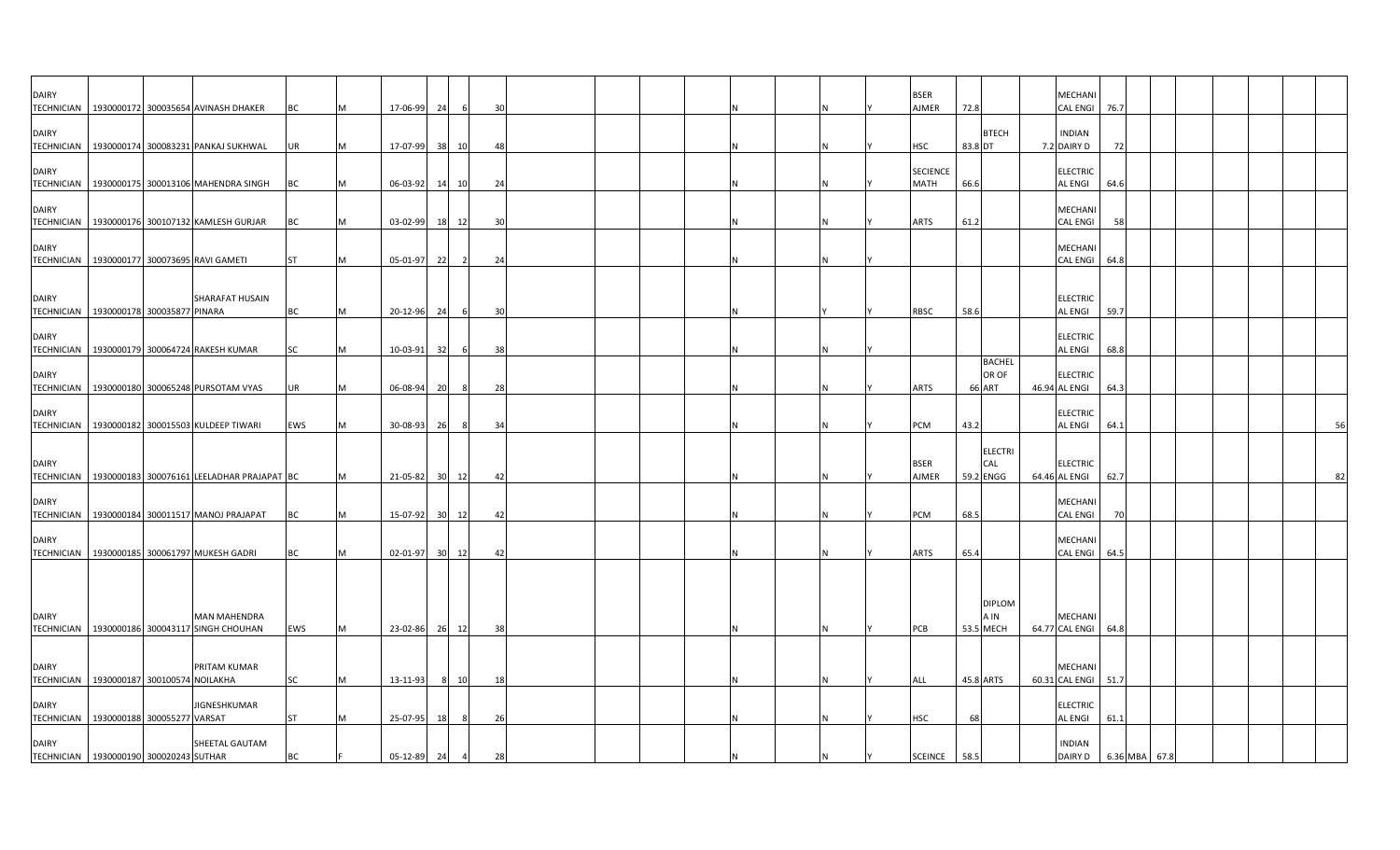| <b>DAIRY</b><br><b>TECHNICIAN</b> | 1930000172 300035654 AVINASH DHAKER                     |                        | BC        | 17-06-99    | 24              | -6             | 30 |  |  |   | <b>BSER</b><br><b>AJMER</b> | 72.8    |                                         | MECHANI<br><b>CAL ENGI</b>             | 76.7 |  |  |    |
|-----------------------------------|---------------------------------------------------------|------------------------|-----------|-------------|-----------------|----------------|----|--|--|---|-----------------------------|---------|-----------------------------------------|----------------------------------------|------|--|--|----|
| <b>DAIRY</b><br><b>TECHNICIAN</b> | 1930000174 300083231 PANKAJ SUKHWAL                     |                        | <b>UR</b> | 17-07-99    | 38              | 10             | 48 |  |  |   | <b>HSC</b>                  | 83.8 DT | <b>BTECH</b>                            | <b>INDIAN</b><br>7.2 DAIRY D           | 72   |  |  |    |
| <b>DAIRY</b>                      | TECHNICIAN   1930000175 300013106 MAHENDRA SINGH        |                        | BC        | 06-03-92    | 14              | 10             | 24 |  |  |   | <b>SECIENCE</b><br>MATH     | 66.6    |                                         | <b>ELECTRIC</b><br><b>AL ENGI</b>      | 64.6 |  |  |    |
| <b>DAIRY</b>                      | TECHNICIAN   1930000176 300107132 KAMLESH GURJAR        |                        | BC        | 03-02-99 18 |                 | 12             | 30 |  |  | Ν | <b>ARTS</b>                 | 61.2    |                                         | MECHANI<br><b>CAL ENGI</b>             | 58   |  |  |    |
| <b>DAIRY</b><br><b>TECHNICIAN</b> | 1930000177 300073695 RAVI GAMETI                        |                        | <b>ST</b> | 05-01-97    | 22              | $\overline{2}$ | 24 |  |  |   |                             |         |                                         | MECHANI<br><b>CAL ENGI</b>             | 64.8 |  |  |    |
| <b>DAIRY</b>                      |                                                         | <b>SHARAFAT HUSAIN</b> |           |             |                 |                |    |  |  |   |                             |         |                                         | <b>ELECTRIC</b>                        |      |  |  |    |
| <b>TECHNICIAN</b>                 | 1930000178 300035877 PINARA                             |                        | BC        | 20-12-96    | 24              |                | 30 |  |  |   | RBSC                        | 58.6    |                                         | <b>AL ENGI</b>                         | 59.7 |  |  |    |
| <b>DAIRY</b>                      | TECHNICIAN   1930000179 300064724 RAKESH KUMAR          |                        | SC        | 10-03-91    | 32              |                | 38 |  |  |   |                             |         |                                         | <b>ELECTRIC</b><br><b>AL ENGI</b>      | 68.8 |  |  |    |
| <b>DAIRY</b>                      | TECHNICIAN 1930000180 300065248 PURSOTAM VYAS           |                        | UR        | 06-08-94    | - 201           | -8             | 28 |  |  |   | <b>ARTS</b>                 |         | <b>BACHEL</b><br>OR OF<br><b>66 ART</b> | <b>ELECTRIC</b><br>46.94 AL ENGI       | 64.3 |  |  |    |
| <b>DAIRY</b><br><b>TECHNICIAN</b> | 1930000182 300015503 KULDEEP TIWARI                     |                        | EWS       | 30-08-93    | 26              | 8              | 34 |  |  | Ν | PCM                         | 43.2    |                                         | <b>ELECTRIC</b><br><b>AL ENGI</b>      | 64.1 |  |  | 56 |
|                                   |                                                         |                        |           |             |                 |                |    |  |  |   |                             |         | <b>ELECTRI</b><br>CAL                   |                                        |      |  |  |    |
| <b>DAIRY</b>                      | TECHNICIAN   1930000183 300076161 LEELADHAR PRAJAPAT BC |                        |           | 21-05-82    | 30 <sup>1</sup> | 12             | 42 |  |  |   | <b>BSER</b><br><b>AJMER</b> |         | 59.2 ENGG                               | <b>ELECTRIC</b><br>64.46 AL ENGI       | 62.7 |  |  | 82 |
| <b>DAIRY</b><br><b>TECHNICIAN</b> | 1930000184 300011517 MANOJ PRAJAPAT                     |                        | BC        | 15-07-92    | 30 <sup>1</sup> | 12             | 42 |  |  |   | PCM                         | 68.5    |                                         | MECHANI<br><b>CAL ENGI</b>             | 70   |  |  |    |
| <b>DAIRY</b>                      | TECHNICIAN   1930000185 300061797 MUKESH GADRI          |                        | BС        | 02-01-97    | 30 <sup>1</sup> | 12             | 42 |  |  |   | <b>ARTS</b>                 | 65.4    |                                         | MECHANI<br>CAL ENGI 64.5               |      |  |  |    |
|                                   |                                                         |                        |           |             |                 |                |    |  |  |   |                             |         |                                         |                                        |      |  |  |    |
| <b>DAIRY</b><br><b>TECHNICIAN</b> | 1930000186 300043117 SINGH CHOUHAN                      | <b>MAN MAHENDRA</b>    | EWS       | 23-02-86    | 26              | 12             | 38 |  |  | Ν | PCB                         |         | <b>DIPLOM</b><br>A IN<br>53.5 MECH      | MECHANI<br>64.77 CAL ENGI 64.8         |      |  |  |    |
| <b>DAIRY</b>                      |                                                         | PRITAM KUMAR           |           |             |                 |                |    |  |  |   |                             |         |                                         | MECHANI                                |      |  |  |    |
|                                   | TECHNICIAN 1930000187 300100574 NOILAKHA                |                        | <b>SC</b> | 13-11-93    | 8               | 10             | 18 |  |  | N | <b>ALL</b>                  |         | 45.8 ARTS                               | 60.31 CAL ENGI                         | 51.7 |  |  |    |
| <b>DAIRY</b>                      | TECHNICIAN   1930000188 300055277 VARSAT                | JIGNESHKUMAR           | <b>ST</b> | 25-07-95    | - 18            |                | 26 |  |  |   | HSC                         | 68      |                                         | <b>ELECTRIC</b><br><b>AL ENGI</b>      | 61.1 |  |  |    |
| <b>DAIRY</b>                      | TECHNICIAN 1930000190 300020243 SUTHAR                  | SHEETAL GAUTAM         | BC        | 05-12-89 24 |                 | $\overline{4}$ | 28 |  |  | N | <b>SCEINCE</b>              | 58.5    |                                         | <b>INDIAN</b><br>DAIRY D 6.36 MBA 67.8 |      |  |  |    |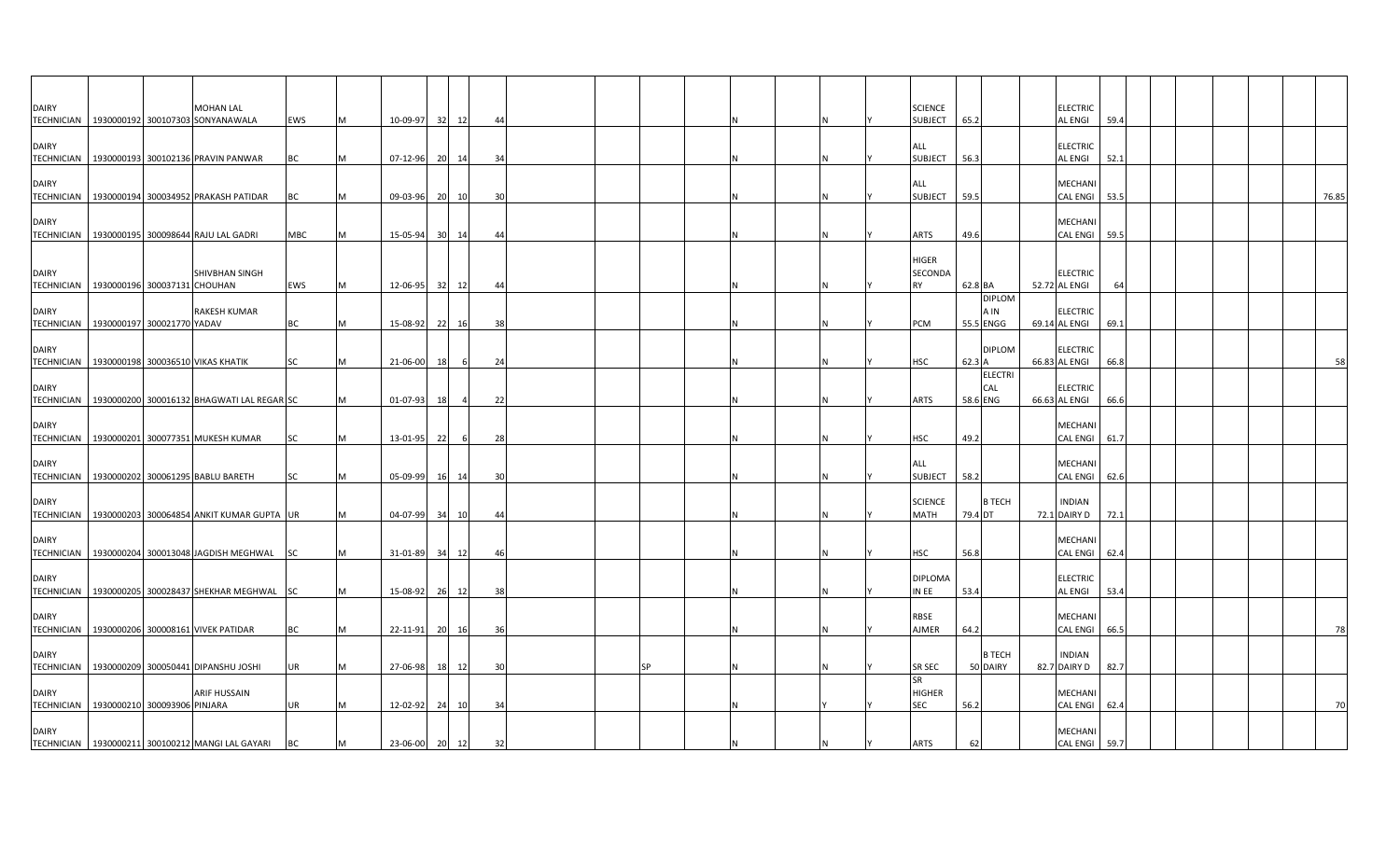| <b>DAIRY</b>      | <b>MOHAN LAL</b>                                                 |            |   |          |                 |       |    |  |    |     | <b>SCIENCE</b>              |         |                       | <b>ELECTRIC</b>                  |      |  |  |       |
|-------------------|------------------------------------------------------------------|------------|---|----------|-----------------|-------|----|--|----|-----|-----------------------------|---------|-----------------------|----------------------------------|------|--|--|-------|
|                   | TECHNICIAN 1930000192 300107303 SONYANAWALA                      | EWS        | м | 10-09-97 | 32              | 12    | 44 |  |    |     | <b>SUBJECT</b>              | 65.2    |                       | AL ENGI                          | 59.4 |  |  |       |
| <b>DAIRY</b>      |                                                                  |            |   |          |                 |       |    |  |    |     | ALL                         |         |                       | <b>ELECTRIC</b>                  |      |  |  |       |
| <b>TECHNICIAN</b> | 1930000193 300102136 PRAVIN PANWAR                               | ВC         |   | 07-12-96 |                 | 20 14 | 34 |  |    |     | <b>SUBJECT</b>              | 56.3    |                       | AL ENGI                          | 52.1 |  |  |       |
|                   |                                                                  |            |   |          |                 |       |    |  |    |     |                             |         |                       |                                  |      |  |  |       |
| <b>DAIRY</b>      | TECHNICIAN 1930000194 300034952 PRAKASH PATIDAR                  | BC         |   | 09-03-96 | 20              | 10    | 30 |  |    |     | ALL<br><b>SUBJECT</b>       | 59.5    |                       | MECHANI<br>CAL ENGI 53.5         |      |  |  | 76.85 |
|                   |                                                                  |            |   |          |                 |       |    |  |    |     |                             |         |                       |                                  |      |  |  |       |
| <b>DAIRY</b>      |                                                                  |            |   |          |                 |       |    |  |    |     |                             |         |                       | MECHANI                          |      |  |  |       |
|                   | TECHNICIAN 1930000195 300098644 RAJU LAL GADRI                   | <b>MBC</b> |   | 15-05-94 | 30 <sup>1</sup> | 14    | 44 |  |    |     | ARTS                        | 49.6    |                       | <b>CAL ENGI</b>                  | 59.5 |  |  |       |
|                   |                                                                  |            |   |          |                 |       |    |  |    |     | <b>HIGER</b>                |         |                       |                                  |      |  |  |       |
| <b>DAIRY</b>      | <b>SHIVBHAN SINGH</b>                                            |            |   |          |                 |       |    |  |    |     | SECONDA                     |         |                       | <b>ELECTRIC</b>                  |      |  |  |       |
| <b>TECHNICIAN</b> | 1930000196 300037131 CHOUHAN                                     | EWS        | M | 12-06-95 | 32              | 12    | 44 |  |    | I N | <b>RY</b>                   | 62.8 BA |                       | 52.72 AL ENGI                    | 64   |  |  |       |
| <b>DAIRY</b>      | <b>RAKESH KUMAR</b>                                              |            |   |          |                 |       |    |  |    |     |                             |         | <b>DIPLOM</b><br>A IN | <b>ELECTRIC</b>                  |      |  |  |       |
|                   | TECHNICIAN   1930000197 300021770 YADAV                          | BC         |   | 15-08-92 | 22              | 16    | 38 |  |    |     | PCM                         |         | 55.5 ENGG             | 69.14 AL ENGI                    | 69.1 |  |  |       |
|                   |                                                                  |            |   |          |                 |       |    |  |    |     |                             |         |                       |                                  |      |  |  |       |
| <b>DAIRY</b>      | TECHNICIAN   1930000198 300036510 VIKAS KHATIK                   | <b>SC</b>  |   | 21-06-00 | 18              | - 6   | 24 |  |    |     | <b>HSC</b>                  | 62.3 A  | <b>DIPLOM</b>         | <b>ELECTRIC</b><br>66.83 AL ENGI | 66.8 |  |  | 58    |
|                   |                                                                  |            |   |          |                 |       |    |  |    |     |                             |         | <b>ELECTRI</b>        |                                  |      |  |  |       |
| <b>DAIRY</b>      |                                                                  |            |   |          |                 |       |    |  |    |     |                             |         | CAL                   | <b>ELECTRIC</b>                  |      |  |  |       |
|                   | TECHNICIAN   1930000200 300016132 BHAGWATI LAL REGAR SC          |            |   | 01-07-93 | 18              |       | 22 |  |    |     | ARTS                        |         | 58.6 ENG              | 66.63 AL ENGI                    | 66.6 |  |  |       |
| <b>DAIRY</b>      |                                                                  |            |   |          |                 |       |    |  |    |     |                             |         |                       | MECHANI                          |      |  |  |       |
|                   | TECHNICIAN 1930000201 300077351 MUKESH KUMAR                     | <b>SC</b>  |   | 13-01-95 | 22              | -6    | 28 |  |    |     | <b>HSC</b>                  | 49.2    |                       | <b>CAL ENGI</b>                  | 61.7 |  |  |       |
|                   |                                                                  |            |   |          |                 |       |    |  |    |     |                             |         |                       |                                  |      |  |  |       |
| <b>DAIRY</b>      | TECHNICIAN 1930000202 300061295 BABLU BARETH                     | <b>SC</b>  |   | 05-09-99 |                 | 16 14 | 30 |  |    |     | ALL<br><b>SUBJECT</b>       | 58.2    |                       | MECHANI<br>CAL ENGI 62.6         |      |  |  |       |
|                   |                                                                  |            |   |          |                 |       |    |  |    |     |                             |         |                       |                                  |      |  |  |       |
| <b>DAIRY</b>      |                                                                  |            |   |          |                 |       |    |  |    |     | <b>SCIENCE</b>              |         | B TECH                | <b>INDIAN</b>                    |      |  |  |       |
|                   | TECHNICIAN   1930000203 300064854 ANKIT KUMAR GUPTA UR           |            |   | 04-07-99 |                 | 34 10 | 44 |  |    |     | <b>MATH</b>                 | 79.4 DT |                       | 72.1 DAIRY D                     | 72.1 |  |  |       |
| <b>DAIRY</b>      |                                                                  |            |   |          |                 |       |    |  |    |     |                             |         |                       | MECHANI                          |      |  |  |       |
|                   | TECHNICIAN   1930000204 300013048 JAGDISH MEGHWAL SC             |            |   | 31-01-89 | 34              | 12    | 46 |  |    |     | HSC                         | 56.8    |                       | CAL ENGI                         | 62.4 |  |  |       |
| <b>DAIRY</b>      |                                                                  |            |   |          |                 |       |    |  |    |     | <b>DIPLOMA</b>              |         |                       | <b>ELECTRIC</b>                  |      |  |  |       |
|                   | TECHNICIAN   1930000205 300028437 SHEKHAR MEGHWAL SC             |            | M | 15-08-92 | 26              | 12    | 38 |  |    |     | in ee                       | 53.4    |                       | AL ENGI                          | 53.4 |  |  |       |
|                   |                                                                  |            |   |          |                 |       |    |  |    |     |                             |         |                       |                                  |      |  |  |       |
| <b>DAIRY</b>      |                                                                  |            |   |          |                 |       |    |  |    |     | RBSE                        |         |                       | MECHANI                          |      |  |  |       |
|                   | TECHNICIAN 1930000206 300008161 VIVEK PATIDAR                    | BC         |   | 22-11-91 |                 | 20 16 | 36 |  |    |     | AJMER                       | 64.2    |                       | CAL ENGI 66.5                    |      |  |  |       |
| <b>DAIRY</b>      |                                                                  |            |   |          |                 |       |    |  |    |     |                             |         | <b>B TECH</b>         | <b>INDIAN</b>                    |      |  |  |       |
|                   | TECHNICIAN 1930000209 300050441 DIPANSHU JOSHI                   | UR         |   | 27-06-98 |                 | 18 12 | 30 |  | SP |     | <b>SR SEC</b>               |         | 50 DAIRY              | 82.7 DAIRY D                     | 82.7 |  |  |       |
|                   |                                                                  |            |   |          |                 |       |    |  |    |     | <b>SR</b>                   |         |                       |                                  |      |  |  |       |
| <b>DAIRY</b>      | <b>ARIF HUSSAIN</b><br>TECHNICIAN   1930000210 300093906 PINJARA | <b>UR</b>  |   | 12-02-92 | 24              | 10    | 34 |  |    |     | <b>HIGHER</b><br><b>SEC</b> | 56.2    |                       | MECHANI<br><b>CAL ENGI</b>       | 62.4 |  |  | 70    |
|                   |                                                                  |            |   |          |                 |       |    |  |    |     |                             |         |                       |                                  |      |  |  |       |
| <b>DAIRY</b>      |                                                                  |            |   |          |                 |       |    |  |    |     |                             |         |                       | MECHANI                          |      |  |  |       |
|                   | TECHNICIAN   1930000211 300100212 MANGI LAL GAYARI               | <b>BC</b>  | M | 23-06-00 | 20              | 12    | 32 |  |    |     | <b>ARTS</b>                 | 62      |                       | CAL ENGI 59.7                    |      |  |  |       |